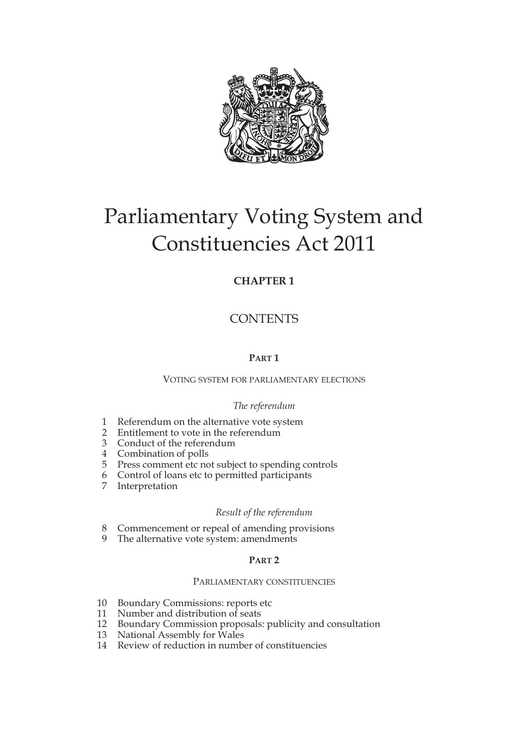

# Parliamentary Voting System and Constituencies Act 2011

## **CHAPTER 1**

## **CONTENTS**

## **PART 1**

## VOTING SYSTEM FOR PARLIAMENTARY ELECTIONS

## *The referendum*

- 1 Referendum on the alternative vote system
- 2 Entitlement to vote in the referendum
- 3 Conduct of the referendum
- 4 Combination of polls
- 5 Press comment etc not subject to spending controls
- 6 Control of loans etc to permitted participants
- 7 Interpretation

## *Result of the referendum*

- 8 Commencement or repeal of amending provisions
- 9 The alternative vote system: amendments

### **PART 2**

## PARLIAMENTARY CONSTITUENCIES

- 10 Boundary Commissions: reports etc
- 11 Number and distribution of seats
- 12 Boundary Commission proposals: publicity and consultation
- 13 National Assembly for Wales
- 14 Review of reduction in number of constituencies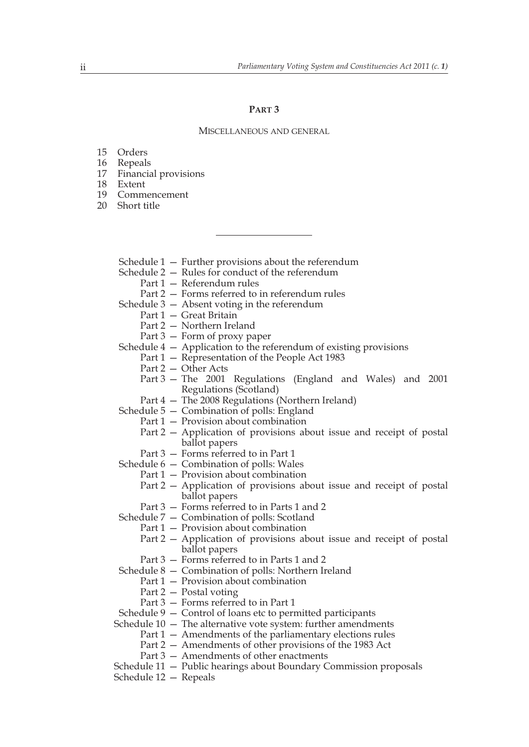#### **PART 3**

#### MISCELLANEOUS AND GENERAL

- 15 Orders
- 16 Repeals
- 17 Financial provisions
- 18 Extent
- 19 Commencement
- 20 Short title
	- Schedule 1 Further provisions about the referendum
	- Schedule 2 Rules for conduct of the referendum
		- Part 1 Referendum rules
		- Part 2 Forms referred to in referendum rules
	- Schedule 3 Absent voting in the referendum
		- Part 1 Great Britain
		- Part 2 Northern Ireland
		- Part 3 Form of proxy paper
	- Schedule 4 Application to the referendum of existing provisions
		- Part 1 Representation of the People Act 1983
			- Part 2 Other Acts
			- Part 3 The 2001 Regulations (England and Wales) and 2001 Regulations (Scotland)
			- Part 4 The 2008 Regulations (Northern Ireland)
	- Schedule 5 Combination of polls: England
		- Part 1 Provision about combination
		- Part 2 Application of provisions about issue and receipt of postal ballot papers
		- Part 3 Forms referred to in Part 1
	- Schedule 6 Combination of polls: Wales
		- Part 1 Provision about combination
			- Part 2 Application of provisions about issue and receipt of postal ballot papers
		- Part 3 Forms referred to in Parts 1 and 2
	- Schedule 7 Combination of polls: Scotland
		- Part 1 Provision about combination
		- Part 2 Application of provisions about issue and receipt of postal ballot papers
		- Part 3 Forms referred to in Parts 1 and 2
	- Schedule 8 Combination of polls: Northern Ireland
		- Part 1 Provision about combination
		- Part 2 Postal voting
		- Part 3 Forms referred to in Part 1
	- Schedule 9 Control of loans etc to permitted participants
	- Schedule 10 The alternative vote system: further amendments
		- Part 1 Amendments of the parliamentary elections rules
		- Part 2 Amendments of other provisions of the 1983 Act
		- Part 3 Amendments of other enactments
	- Schedule 11 Public hearings about Boundary Commission proposals
	- Schedule 12 Repeals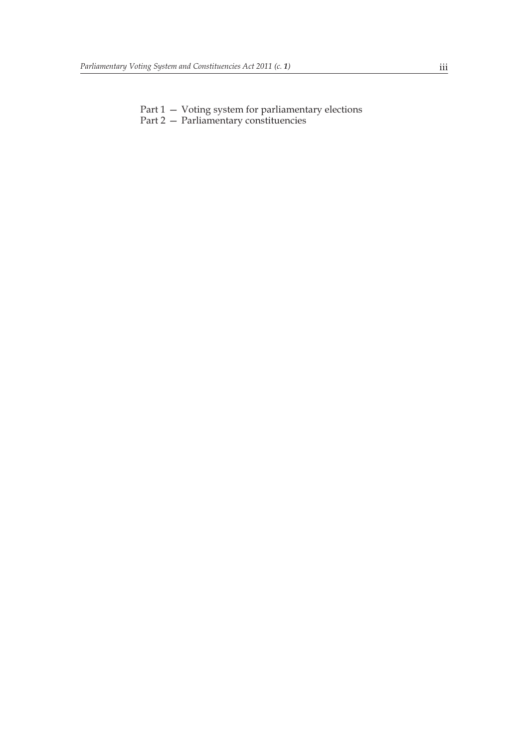Part 1 — Voting system for parliamentary elections Part 2 — Parliamentary constituencies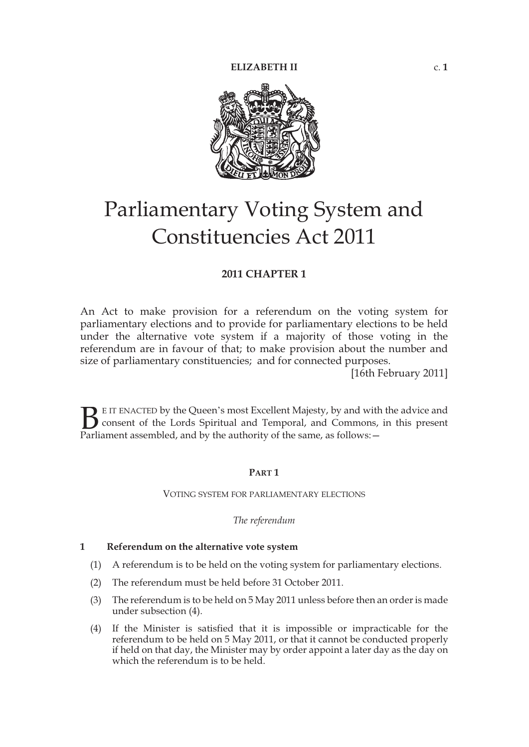

# Parliamentary Voting System and Constituencies Act 2011

## **2011 CHAPTER 1**

An Act to make provision for a referendum on the voting system for parliamentary elections and to provide for parliamentary elections to be held under the alternative vote system if a majority of those voting in the referendum are in favour of that; to make provision about the number and size of parliamentary constituencies; and for connected purposes.

[16th February 2011]

E IT ENACTED by the Queen's most Excellent Majesty, by and with the advice and consent of the Lords Spiritual and Temporal, and Commons, in this present **B** E IT ENACTED by the Queen's most Excellent Majesty, by and with consent of the Lords Spiritual and Temporal, and Commons, Parliament assembled, and by the authority of the same, as follows:  $-$ 

## **PART 1**

#### VOTING SYSTEM FOR PARLIAMENTARY ELECTIONS

*The referendum*

#### **1 Referendum on the alternative vote system**

- (1) A referendum is to be held on the voting system for parliamentary elections.
- (2) The referendum must be held before 31 October 2011.
- (3) The referendum is to be held on 5 May 2011 unless before then an order is made under subsection (4).
- (4) If the Minister is satisfied that it is impossible or impracticable for the referendum to be held on 5 May 2011, or that it cannot be conducted properly if held on that day, the Minister may by order appoint a later day as the day on which the referendum is to be held.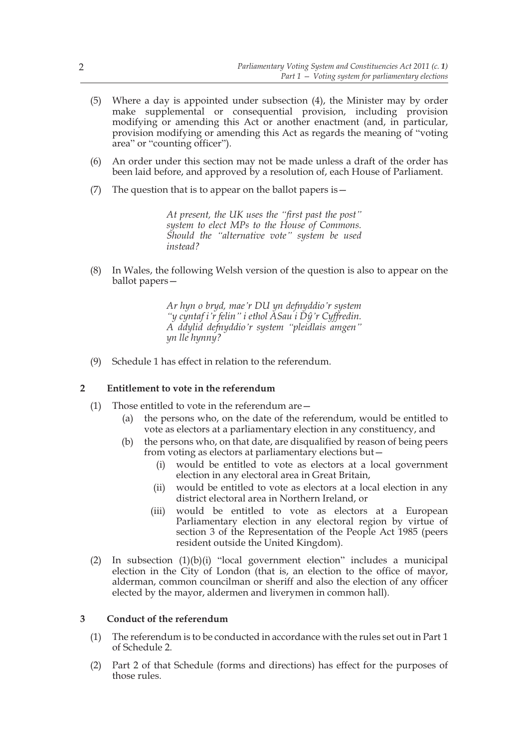- (5) Where a day is appointed under subsection (4), the Minister may by order make supplemental or consequential provision, including provision modifying or amending this Act or another enactment (and, in particular, provision modifying or amending this Act as regards the meaning of "voting area" or "counting officer").
- (6) An order under this section may not be made unless a draft of the order has been laid before, and approved by a resolution of, each House of Parliament.
- (7) The question that is to appear on the ballot papers is  $-$

*At present, the UK uses the "first past the post" system to elect MPs to the House of Commons. Should the "alternative vote" system be used instead?*

(8) In Wales, the following Welsh version of the question is also to appear on the ballot papers—

> *Ar hyn o bryd, mae'r DU yn defnyddio'r system "y cyntaf i'r felin" i ethol ASau i Dœ'r Cyffredin. A ddylid defnyddio'r system "pleidlais amgen" yn lle hynny?*

(9) Schedule 1 has effect in relation to the referendum.

## **2 Entitlement to vote in the referendum**

- (1) Those entitled to vote in the referendum are—
	- (a) the persons who, on the date of the referendum, would be entitled to vote as electors at a parliamentary election in any constituency, and
	- (b) the persons who, on that date, are disqualified by reason of being peers from voting as electors at parliamentary elections but—
		- (i) would be entitled to vote as electors at a local government election in any electoral area in Great Britain,
		- (ii) would be entitled to vote as electors at a local election in any district electoral area in Northern Ireland, or
		- (iii) would be entitled to vote as electors at a European Parliamentary election in any electoral region by virtue of section 3 of the Representation of the People Act 1985 (peers resident outside the United Kingdom).
- (2) In subsection (1)(b)(i) "local government election" includes a municipal election in the City of London (that is, an election to the office of mayor, alderman, common councilman or sheriff and also the election of any officer elected by the mayor, aldermen and liverymen in common hall).

## **3 Conduct of the referendum**

- (1) The referendum is to be conducted in accordance with the rules set out in Part 1 of Schedule 2.
- (2) Part 2 of that Schedule (forms and directions) has effect for the purposes of those rules.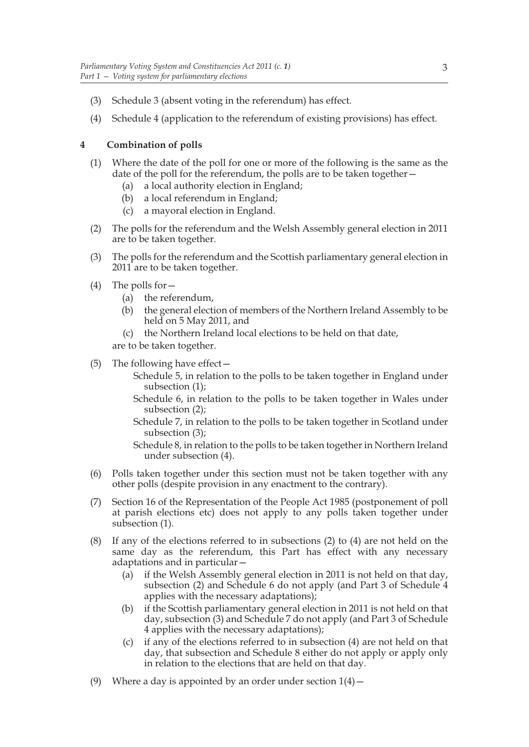- (3) Schedule 3 (absent voting in the referendum) has effect.
- (4) Schedule 4 (application to the referendum of existing provisions) has effect.

## **4 Combination of polls**

- (1) Where the date of the poll for one or more of the following is the same as the date of the poll for the referendum, the polls are to be taken together—
	- (a) a local authority election in England;
	- (b) a local referendum in England;
	- (c) a mayoral election in England.
- (2) The polls for the referendum and the Welsh Assembly general election in 2011 are to be taken together.
- (3) The polls for the referendum and the Scottish parliamentary general election in 2011 are to be taken together.
- (4) The polls for—
	- (a) the referendum,
	- (b) the general election of members of the Northern Ireland Assembly to be held on 5 May 2011, and
	- (c) the Northern Ireland local elections to be held on that date,

are to be taken together.

- (5) The following have effect—
	- Schedule 5, in relation to the polls to be taken together in England under subsection (1);
	- Schedule 6, in relation to the polls to be taken together in Wales under subsection (2);
	- Schedule 7, in relation to the polls to be taken together in Scotland under subsection (3);
	- Schedule 8, in relation to the polls to be taken together in Northern Ireland under subsection (4).
- (6) Polls taken together under this section must not be taken together with any other polls (despite provision in any enactment to the contrary).
- (7) Section 16 of the Representation of the People Act 1985 (postponement of poll at parish elections etc) does not apply to any polls taken together under subsection (1).
- (8) If any of the elections referred to in subsections (2) to (4) are not held on the same day as the referendum, this Part has effect with any necessary adaptations and in particular—
	- (a) if the Welsh Assembly general election in 2011 is not held on that day, subsection (2) and Schedule 6 do not apply (and Part 3 of Schedule 4 applies with the necessary adaptations);
	- (b) if the Scottish parliamentary general election in 2011 is not held on that day, subsection (3) and Schedule 7 do not apply (and Part 3 of Schedule 4 applies with the necessary adaptations);
	- (c) if any of the elections referred to in subsection (4) are not held on that day, that subsection and Schedule 8 either do not apply or apply only in relation to the elections that are held on that day.
- (9) Where a day is appointed by an order under section  $1(4)$  -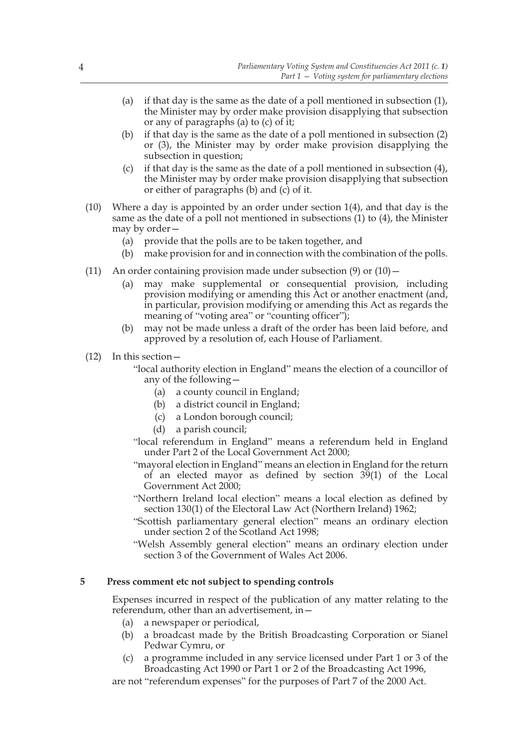- (a) if that day is the same as the date of a poll mentioned in subsection (1), the Minister may by order make provision disapplying that subsection or any of paragraphs (a) to (c) of it;
- (b) if that day is the same as the date of a poll mentioned in subsection (2) or (3), the Minister may by order make provision disapplying the subsection in question;
- (c) if that day is the same as the date of a poll mentioned in subsection (4), the Minister may by order make provision disapplying that subsection or either of paragraphs (b) and  $(c)$  of it.
- (10) Where a day is appointed by an order under section 1(4), and that day is the same as the date of a poll not mentioned in subsections  $(1)$  to  $(4)$ , the Minister may by order—
	- (a) provide that the polls are to be taken together, and
	- (b) make provision for and in connection with the combination of the polls.
- (11) An order containing provision made under subsection  $(9)$  or  $(10)$ 
	- (a) may make supplemental or consequential provision, including provision modifying or amending this Act or another enactment (and, in particular, provision modifying or amending this Act as regards the meaning of "voting area" or "counting officer");
	- (b) may not be made unless a draft of the order has been laid before, and approved by a resolution of, each House of Parliament.
- (12) In this section—

"local authority election in England" means the election of a councillor of any of the following—

- (a) a county council in England;
- (b) a district council in England;
- (c) a London borough council;
- (d) a parish council;
- "local referendum in England" means a referendum held in England under Part 2 of the Local Government Act 2000;
- "mayoral election in England" means an election in England for the return of an elected mayor as defined by section  $39(1)$  of the Local Government Act 2000;
- "Northern Ireland local election" means a local election as defined by section 130(1) of the Electoral Law Act (Northern Ireland) 1962;
- "Scottish parliamentary general election" means an ordinary election under section 2 of the Scotland Act 1998;
- "Welsh Assembly general election" means an ordinary election under section 3 of the Government of Wales Act 2006.

## **5 Press comment etc not subject to spending controls**

Expenses incurred in respect of the publication of any matter relating to the referendum, other than an advertisement, in—

- (a) a newspaper or periodical,
- (b) a broadcast made by the British Broadcasting Corporation or Sianel Pedwar Cymru, or
- (c) a programme included in any service licensed under Part 1 or 3 of the Broadcasting Act 1990 or Part 1 or 2 of the Broadcasting Act 1996,

are not "referendum expenses" for the purposes of Part 7 of the 2000 Act.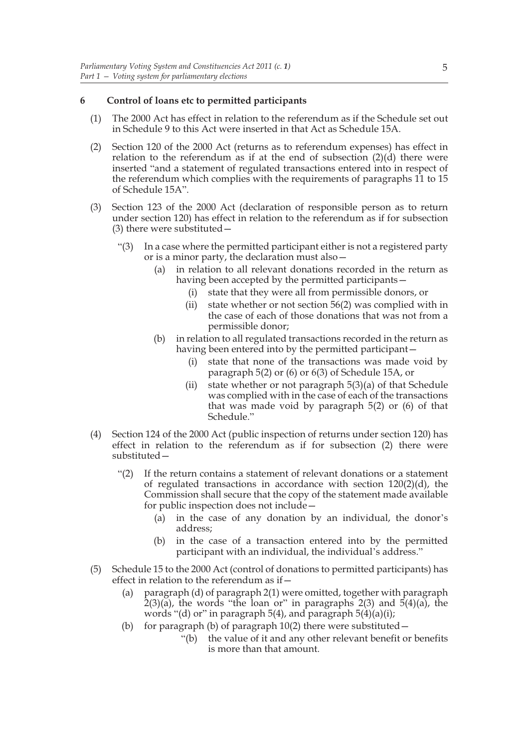#### **6 Control of loans etc to permitted participants**

- (1) The 2000 Act has effect in relation to the referendum as if the Schedule set out in Schedule 9 to this Act were inserted in that Act as Schedule 15A.
- (2) Section 120 of the 2000 Act (returns as to referendum expenses) has effect in relation to the referendum as if at the end of subsection  $(2)(d)$  there were inserted "and a statement of regulated transactions entered into in respect of the referendum which complies with the requirements of paragraphs 11 to 15 of Schedule 15A".
- (3) Section 123 of the 2000 Act (declaration of responsible person as to return under section 120) has effect in relation to the referendum as if for subsection (3) there were substituted—
	- "(3) In a case where the permitted participant either is not a registered party or is a minor party, the declaration must also—
		- (a) in relation to all relevant donations recorded in the return as having been accepted by the permitted participants—
			- (i) state that they were all from permissible donors, or
			- (ii) state whether or not section 56(2) was complied with in the case of each of those donations that was not from a permissible donor;
		- (b) in relation to all regulated transactions recorded in the return as having been entered into by the permitted participant—
			- (i) state that none of the transactions was made void by paragraph 5(2) or (6) or 6(3) of Schedule 15A, or
			- (ii) state whether or not paragraph 5(3)(a) of that Schedule was complied with in the case of each of the transactions that was made void by paragraph 5(2) or (6) of that Schedule."
- (4) Section 124 of the 2000 Act (public inspection of returns under section 120) has effect in relation to the referendum as if for subsection (2) there were substituted—
	- "(2) If the return contains a statement of relevant donations or a statement of regulated transactions in accordance with section 120(2)(d), the Commission shall secure that the copy of the statement made available for public inspection does not include—
		- (a) in the case of any donation by an individual, the donor's address;
		- (b) in the case of a transaction entered into by the permitted participant with an individual, the individual's address."
- (5) Schedule 15 to the 2000 Act (control of donations to permitted participants) has effect in relation to the referendum as if—
	- (a) paragraph (d) of paragraph 2(1) were omitted, together with paragraph  $2(3)(a)$ , the words "the loan or" in paragraphs 2(3) and  $5(4)(a)$ , the words "(d) or" in paragraph  $5(4)$ , and paragraph  $5(4)(a)(i)$ ;
	- (b) for paragraph (b) of paragraph  $10(2)$  there were substituted
		- "(b) the value of it and any other relevant benefit or benefits is more than that amount.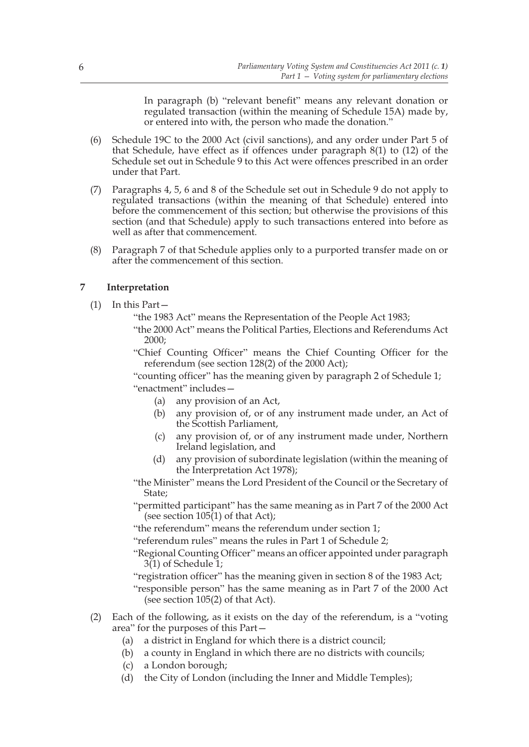In paragraph (b) "relevant benefit" means any relevant donation or regulated transaction (within the meaning of Schedule 15A) made by, or entered into with, the person who made the donation."

- (6) Schedule 19C to the 2000 Act (civil sanctions), and any order under Part 5 of that Schedule, have effect as if offences under paragraph 8(1) to (12) of the Schedule set out in Schedule 9 to this Act were offences prescribed in an order under that Part.
- (7) Paragraphs 4, 5, 6 and 8 of the Schedule set out in Schedule 9 do not apply to regulated transactions (within the meaning of that Schedule) entered into before the commencement of this section; but otherwise the provisions of this section (and that Schedule) apply to such transactions entered into before as well as after that commencement.
- (8) Paragraph 7 of that Schedule applies only to a purported transfer made on or after the commencement of this section.

## **7 Interpretation**

(1) In this Part—

"the 1983 Act" means the Representation of the People Act 1983;

- "the 2000 Act" means the Political Parties, Elections and Referendums Act 2000;
- "Chief Counting Officer" means the Chief Counting Officer for the referendum (see section 128(2) of the 2000 Act);

"counting officer" has the meaning given by paragraph 2 of Schedule 1; "enactment" includes—

- (a) any provision of an Act,
- (b) any provision of, or of any instrument made under, an Act of the Scottish Parliament,
- (c) any provision of, or of any instrument made under, Northern Ireland legislation, and
- (d) any provision of subordinate legislation (within the meaning of the Interpretation Act 1978);
- "the Minister" means the Lord President of the Council or the Secretary of State;

"permitted participant" has the same meaning as in Part 7 of the 2000 Act (see section 105(1) of that Act);

"the referendum" means the referendum under section 1;

"referendum rules" means the rules in Part 1 of Schedule 2;

"Regional Counting Officer" means an officer appointed under paragraph 3(1) of Schedule 1;

"registration officer" has the meaning given in section 8 of the 1983 Act;

"responsible person" has the same meaning as in Part 7 of the 2000 Act (see section 105(2) of that Act).

- (2) Each of the following, as it exists on the day of the referendum, is a "voting area" for the purposes of this Part—
	- (a) a district in England for which there is a district council;
	- (b) a county in England in which there are no districts with councils;
	- (c) a London borough;
	- (d) the City of London (including the Inner and Middle Temples);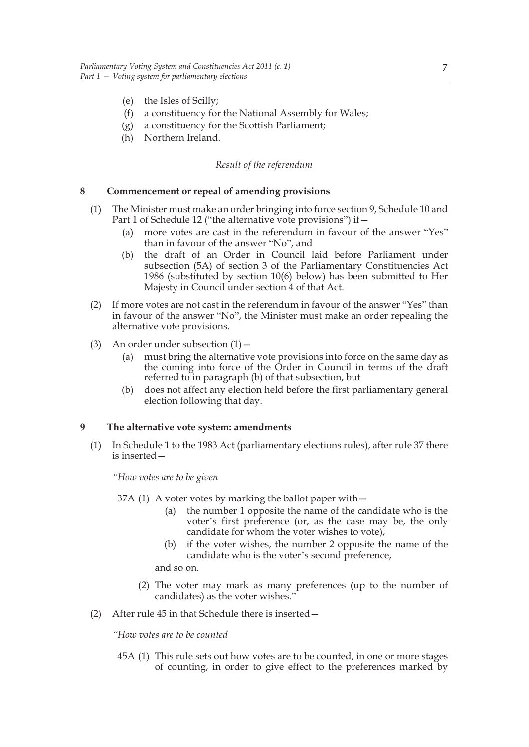- (e) the Isles of Scilly;
- (f) a constituency for the National Assembly for Wales;
- (g) a constituency for the Scottish Parliament;
- (h) Northern Ireland.

## *Result of the referendum*

## **8 Commencement or repeal of amending provisions**

- (1) The Minister must make an order bringing into force section 9, Schedule 10 and Part 1 of Schedule 12 ("the alternative vote provisions") if -
	- (a) more votes are cast in the referendum in favour of the answer "Yes" than in favour of the answer "No", and
	- (b) the draft of an Order in Council laid before Parliament under subsection (5A) of section 3 of the Parliamentary Constituencies Act 1986 (substituted by section 10(6) below) has been submitted to Her Majesty in Council under section 4 of that Act.
- (2) If more votes are not cast in the referendum in favour of the answer "Yes" than in favour of the answer "No", the Minister must make an order repealing the alternative vote provisions.
- (3) An order under subsection  $(1)$ 
	- (a) must bring the alternative vote provisions into force on the same day as the coming into force of the Order in Council in terms of the draft referred to in paragraph (b) of that subsection, but
	- (b) does not affect any election held before the first parliamentary general election following that day.

## **9 The alternative vote system: amendments**

(1) In Schedule 1 to the 1983 Act (parliamentary elections rules), after rule 37 there is inserted—

*"How votes are to be given*

37A (1) A voter votes by marking the ballot paper with—

- (a) the number 1 opposite the name of the candidate who is the voter's first preference (or, as the case may be, the only candidate for whom the voter wishes to vote),
- (b) if the voter wishes, the number 2 opposite the name of the candidate who is the voter's second preference,

and so on.

- (2) The voter may mark as many preferences (up to the number of candidates) as the voter wishes."
- (2) After rule 45 in that Schedule there is inserted—

*"How votes are to be counted*

45A (1) This rule sets out how votes are to be counted, in one or more stages of counting, in order to give effect to the preferences marked by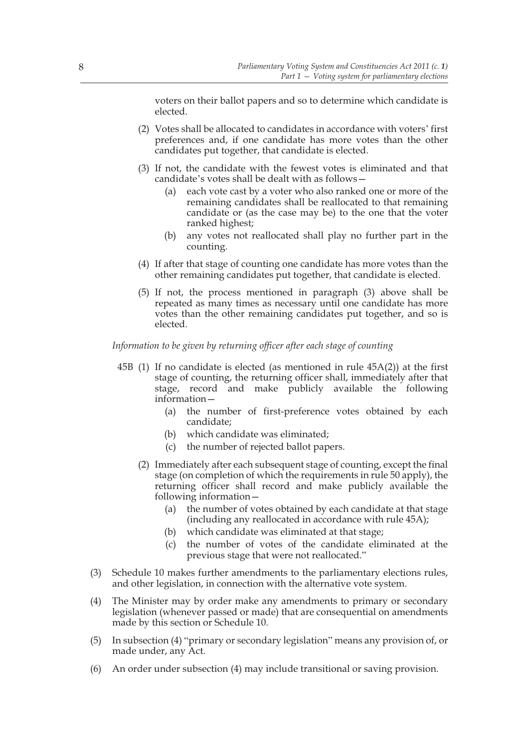voters on their ballot papers and so to determine which candidate is elected.

- (2) Votes shall be allocated to candidates in accordance with voters' first preferences and, if one candidate has more votes than the other candidates put together, that candidate is elected.
- (3) If not, the candidate with the fewest votes is eliminated and that candidate's votes shall be dealt with as follows—
	- (a) each vote cast by a voter who also ranked one or more of the remaining candidates shall be reallocated to that remaining candidate or (as the case may be) to the one that the voter ranked highest;
	- (b) any votes not reallocated shall play no further part in the counting.
- (4) If after that stage of counting one candidate has more votes than the other remaining candidates put together, that candidate is elected.
- (5) If not, the process mentioned in paragraph (3) above shall be repeated as many times as necessary until one candidate has more votes than the other remaining candidates put together, and so is elected.

*Information to be given by returning officer after each stage of counting*

- 45B (1) If no candidate is elected (as mentioned in rule 45A(2)) at the first stage of counting, the returning officer shall, immediately after that stage, record and make publicly available the following information—
	- (a) the number of first-preference votes obtained by each candidate;
	- (b) which candidate was eliminated;
	- (c) the number of rejected ballot papers.
	- (2) Immediately after each subsequent stage of counting, except the final stage (on completion of which the requirements in rule 50 apply), the returning officer shall record and make publicly available the following information—
		- (a) the number of votes obtained by each candidate at that stage (including any reallocated in accordance with rule 45A);
		- (b) which candidate was eliminated at that stage;
		- (c) the number of votes of the candidate eliminated at the previous stage that were not reallocated."
- (3) Schedule 10 makes further amendments to the parliamentary elections rules, and other legislation, in connection with the alternative vote system.
- (4) The Minister may by order make any amendments to primary or secondary legislation (whenever passed or made) that are consequential on amendments made by this section or Schedule 10.
- (5) In subsection (4) "primary or secondary legislation" means any provision of, or made under, any Act.
- (6) An order under subsection (4) may include transitional or saving provision.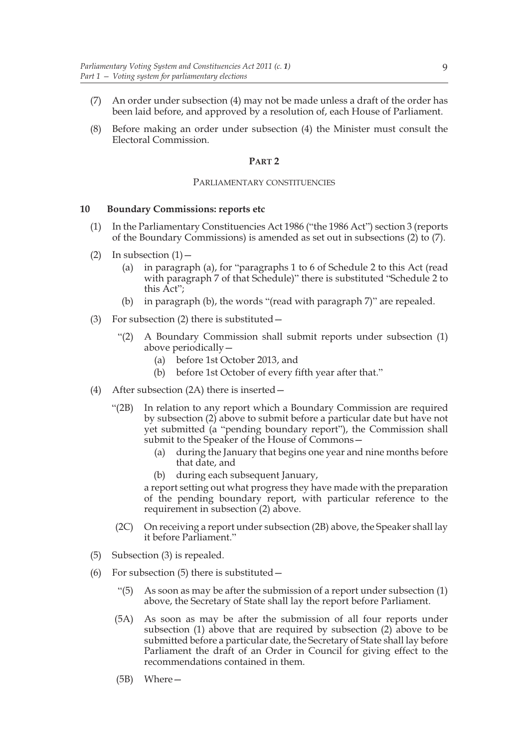- (7) An order under subsection (4) may not be made unless a draft of the order has been laid before, and approved by a resolution of, each House of Parliament.
- (8) Before making an order under subsection (4) the Minister must consult the Electoral Commission.

#### **PART 2**

#### PARLIAMENTARY CONSTITUENCIES

#### **10 Boundary Commissions: reports etc**

- (1) In the Parliamentary Constituencies Act 1986 ("the 1986 Act") section 3 (reports of the Boundary Commissions) is amended as set out in subsections (2) to (7).
- (2) In subsection  $(1)$ 
	- (a) in paragraph (a), for "paragraphs 1 to 6 of Schedule 2 to this Act (read with paragraph 7 of that Schedule)" there is substituted "Schedule 2 to this Act";
	- (b) in paragraph (b), the words "(read with paragraph 7)" are repealed.
- (3) For subsection (2) there is substituted—
	- "(2) A Boundary Commission shall submit reports under subsection (1) above periodically—
		- (a) before 1st October 2013, and
		- (b) before 1st October of every fifth year after that."
- (4) After subsection (2A) there is inserted—
	- "(2B) In relation to any report which a Boundary Commission are required by subsection (2) above to submit before a particular date but have not yet submitted (a "pending boundary report"), the Commission shall submit to the Speaker of the House of Commons—
		- (a) during the January that begins one year and nine months before that date, and
		- (b) during each subsequent January,

a report setting out what progress they have made with the preparation of the pending boundary report, with particular reference to the requirement in subsection (2) above.

- (2C) On receiving a report under subsection (2B) above, the Speaker shall lay it before Parliament."
- (5) Subsection (3) is repealed.
- (6) For subsection  $(5)$  there is substituted  $-$ 
	- $\degree$ (5) As soon as may be after the submission of a report under subsection (1) above, the Secretary of State shall lay the report before Parliament.
	- (5A) As soon as may be after the submission of all four reports under subsection (1) above that are required by subsection (2) above to be submitted before a particular date, the Secretary of State shall lay before Parliament the draft of an Order in Council for giving effect to the recommendations contained in them.
	- (5B) Where—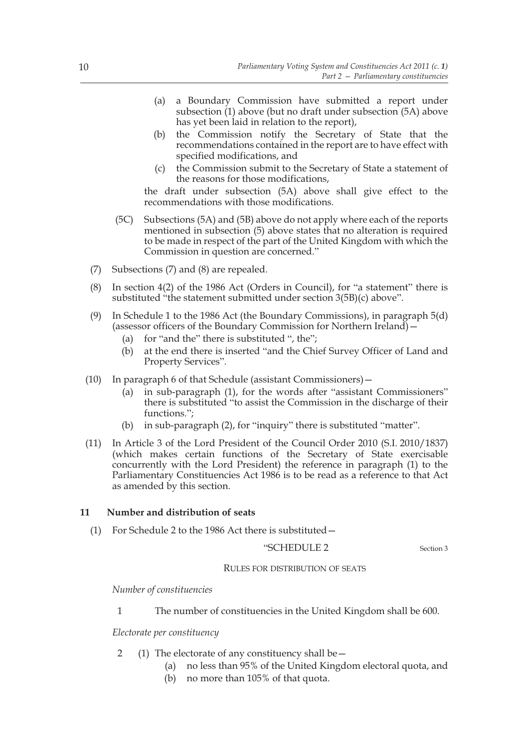- (a) a Boundary Commission have submitted a report under subsection (1) above (but no draft under subsection (5A) above has yet been laid in relation to the report),
- (b) the Commission notify the Secretary of State that the recommendations contained in the report are to have effect with specified modifications, and
- (c) the Commission submit to the Secretary of State a statement of the reasons for those modifications,

the draft under subsection (5A) above shall give effect to the recommendations with those modifications.

- (5C) Subsections (5A) and (5B) above do not apply where each of the reports mentioned in subsection (5) above states that no alteration is required to be made in respect of the part of the United Kingdom with which the Commission in question are concerned."
- (7) Subsections (7) and (8) are repealed.
- (8) In section 4(2) of the 1986 Act (Orders in Council), for "a statement" there is substituted "the statement submitted under section 3(5B)(c) above".
- (9) In Schedule 1 to the 1986 Act (the Boundary Commissions), in paragraph 5(d) (assessor officers of the Boundary Commission for Northern Ireland)  $-$ 
	- (a) for "and the" there is substituted ", the";
	- (b) at the end there is inserted "and the Chief Survey Officer of Land and Property Services".
- (10) In paragraph 6 of that Schedule (assistant Commissioners)—
	- (a) in sub-paragraph (1), for the words after "assistant Commissioners" there is substituted "to assist the Commission in the discharge of their functions.";
	- (b) in sub-paragraph (2), for "inquiry" there is substituted "matter".
- (11) In Article 3 of the Lord President of the Council Order 2010 (S.I. 2010/1837) (which makes certain functions of the Secretary of State exercisable concurrently with the Lord President) the reference in paragraph (1) to the Parliamentary Constituencies Act 1986 is to be read as a reference to that Act as amended by this section.

## **11 Number and distribution of seats**

(1) For Schedule 2 to the 1986 Act there is substituted—

"SCHEDULE 2 Section 3

### RULES FOR DISTRIBUTION OF SEATS

*Number of constituencies*

1 The number of constituencies in the United Kingdom shall be 600.

*Electorate per constituency*

- 2 (1) The electorate of any constituency shall be—
	- (a) no less than 95% of the United Kingdom electoral quota, and
	- (b) no more than 105% of that quota.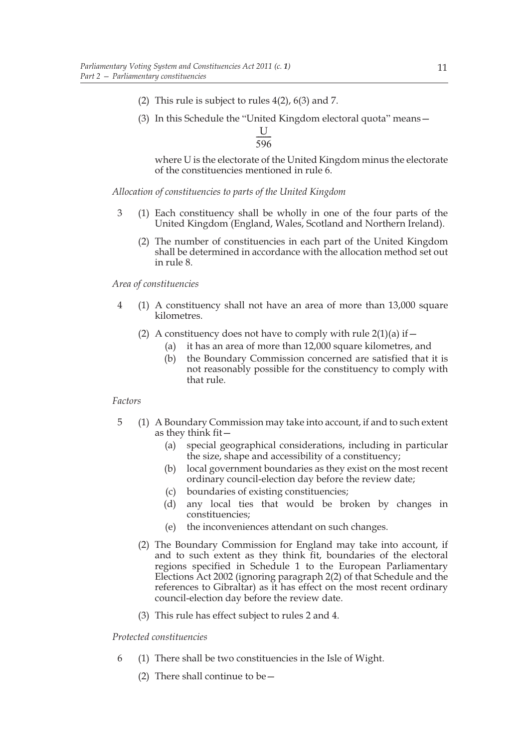- (2) This rule is subject to rules 4(2), 6(3) and 7.
- (3) In this Schedule the "United Kingdom electoral quota" means—

$$
\frac{U}{596}
$$

where U is the electorate of the United Kingdom minus the electorate of the constituencies mentioned in rule 6.

*Allocation of constituencies to parts of the United Kingdom*

- 3 (1) Each constituency shall be wholly in one of the four parts of the United Kingdom (England, Wales, Scotland and Northern Ireland).
	- (2) The number of constituencies in each part of the United Kingdom shall be determined in accordance with the allocation method set out in rule 8.

#### *Area of constituencies*

- 4 (1) A constituency shall not have an area of more than 13,000 square kilometres.
	- (2) A constituency does not have to comply with rule  $2(1)(a)$  if  $-$ 
		- (a) it has an area of more than 12,000 square kilometres, and
		- (b) the Boundary Commission concerned are satisfied that it is not reasonably possible for the constituency to comply with that rule.

#### *Factors*

- 5 (1) A Boundary Commission may take into account, if and to such extent as they think fit—
	- (a) special geographical considerations, including in particular the size, shape and accessibility of a constituency;
	- (b) local government boundaries as they exist on the most recent ordinary council-election day before the review date;
	- (c) boundaries of existing constituencies;
	- (d) any local ties that would be broken by changes in constituencies;
	- (e) the inconveniences attendant on such changes.
	- (2) The Boundary Commission for England may take into account, if and to such extent as they think fit, boundaries of the electoral regions specified in Schedule 1 to the European Parliamentary Elections Act 2002 (ignoring paragraph 2(2) of that Schedule and the references to Gibraltar) as it has effect on the most recent ordinary council-election day before the review date.
	- (3) This rule has effect subject to rules 2 and 4.

#### *Protected constituencies*

- 6 (1) There shall be two constituencies in the Isle of Wight.
	- (2) There shall continue to be  $-$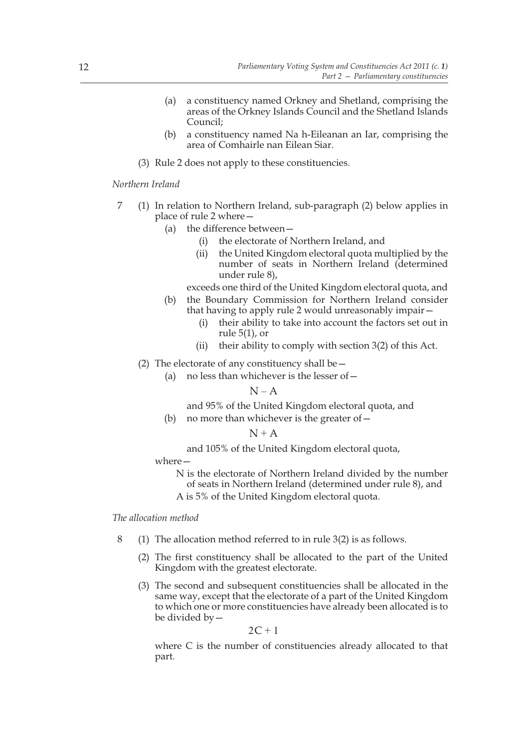- (a) a constituency named Orkney and Shetland, comprising the areas of the Orkney Islands Council and the Shetland Islands Council;
- (b) a constituency named Na h-Eileanan an Iar, comprising the area of Comhairle nan Eilean Siar.
- (3) Rule 2 does not apply to these constituencies.

#### *Northern Ireland*

- 7 (1) In relation to Northern Ireland, sub-paragraph (2) below applies in place of rule 2 where—
	- (a) the difference between—
		- (i) the electorate of Northern Ireland, and
		- (ii) the United Kingdom electoral quota multiplied by the number of seats in Northern Ireland (determined under rule 8),

exceeds one third of the United Kingdom electoral quota, and

- (b) the Boundary Commission for Northern Ireland consider that having to apply rule 2 would unreasonably impair—
	- (i) their ability to take into account the factors set out in rule 5(1), or
	- (ii) their ability to comply with section  $3(2)$  of this Act.
- (2) The electorate of any constituency shall be  $-$ 
	- (a) no less than whichever is the lesser of  $-$

## $N-A$

and 95% of the United Kingdom electoral quota, and

(b) no more than whichever is the greater of  $-$ 

## $N+A$

and 105% of the United Kingdom electoral quota,

## where—

- N is the electorate of Northern Ireland divided by the number of seats in Northern Ireland (determined under rule 8), and
- A is 5% of the United Kingdom electoral quota.

*The allocation method*

- 8 (1) The allocation method referred to in rule 3(2) is as follows.
	- (2) The first constituency shall be allocated to the part of the United Kingdom with the greatest electorate.
	- (3) The second and subsequent constituencies shall be allocated in the same way, except that the electorate of a part of the United Kingdom to which one or more constituencies have already been allocated is to be divided by—

 $2C + 1$ 

where C is the number of constituencies already allocated to that part.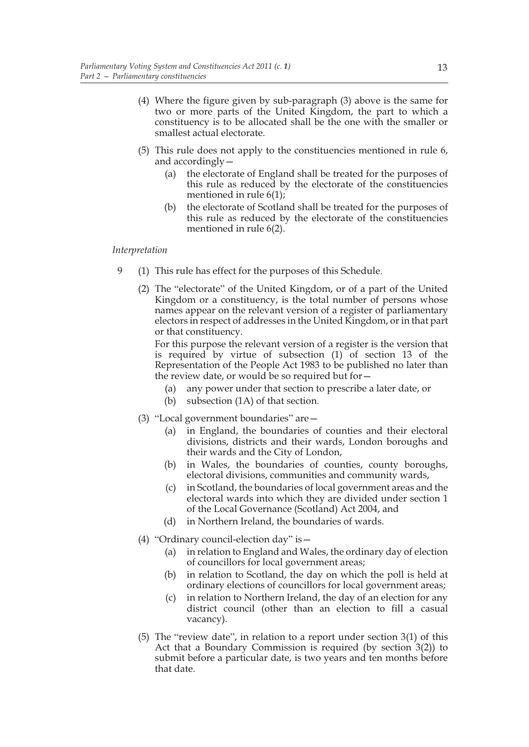- (4) Where the figure given by sub-paragraph (3) above is the same for two or more parts of the United Kingdom, the part to which a constituency is to be allocated shall be the one with the smaller or smallest actual electorate.
- (5) This rule does not apply to the constituencies mentioned in rule 6, and accordingly—
	- (a) the electorate of England shall be treated for the purposes of this rule as reduced by the electorate of the constituencies mentioned in rule 6(1);
	- (b) the electorate of Scotland shall be treated for the purposes of this rule as reduced by the electorate of the constituencies mentioned in rule 6(2).

#### *Interpretation*

- 9 (1) This rule has effect for the purposes of this Schedule.
	- (2) The "electorate" of the United Kingdom, or of a part of the United Kingdom or a constituency, is the total number of persons whose names appear on the relevant version of a register of parliamentary electors in respect of addresses in the United Kingdom, or in that part or that constituency.

For this purpose the relevant version of a register is the version that is required by virtue of subsection (1) of section 13 of the Representation of the People Act 1983 to be published no later than the review date, or would be so required but for—

- (a) any power under that section to prescribe a later date, or
- (b) subsection (1A) of that section.
- (3) "Local government boundaries" are—
	- (a) in England, the boundaries of counties and their electoral divisions, districts and their wards, London boroughs and their wards and the City of London,
	- (b) in Wales, the boundaries of counties, county boroughs, electoral divisions, communities and community wards,
	- (c) in Scotland, the boundaries of local government areas and the electoral wards into which they are divided under section 1 of the Local Governance (Scotland) Act 2004, and
	- (d) in Northern Ireland, the boundaries of wards.
- (4) "Ordinary council-election day" is—
	- (a) in relation to England and Wales, the ordinary day of election of councillors for local government areas;
	- (b) in relation to Scotland, the day on which the poll is held at ordinary elections of councillors for local government areas;
	- (c) in relation to Northern Ireland, the day of an election for any district council (other than an election to fill a casual vacancy).
- (5) The "review date", in relation to a report under section 3(1) of this Act that a Boundary Commission is required (by section 3(2)) to submit before a particular date, is two years and ten months before that date.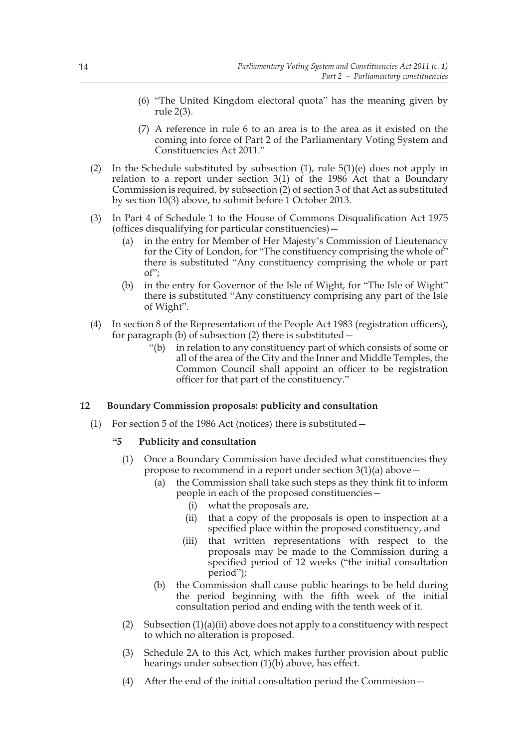- (6) "The United Kingdom electoral quota" has the meaning given by rule 2(3).
- (7) A reference in rule 6 to an area is to the area as it existed on the coming into force of Part 2 of the Parliamentary Voting System and Constituencies Act 2011."
- (2) In the Schedule substituted by subsection (1), rule 5(1)(e) does not apply in relation to a report under section 3(1) of the 1986 Act that a Boundary Commission is required, by subsection (2) of section 3 of that Act as substituted by section 10(3) above, to submit before 1 October 2013.
- (3) In Part 4 of Schedule 1 to the House of Commons Disqualification Act 1975 (offices disqualifying for particular constituencies)—
	- (a) in the entry for Member of Her Majesty's Commission of Lieutenancy for the City of London, for "The constituency comprising the whole of" there is substituted "Any constituency comprising the whole or part of";
	- (b) in the entry for Governor of the Isle of Wight, for "The Isle of Wight" there is substituted "Any constituency comprising any part of the Isle of Wight".
- (4) In section 8 of the Representation of the People Act 1983 (registration officers), for paragraph (b) of subsection (2) there is substituted—
	- "(b) in relation to any constituency part of which consists of some or all of the area of the City and the Inner and Middle Temples, the Common Council shall appoint an officer to be registration officer for that part of the constituency."

## **12 Boundary Commission proposals: publicity and consultation**

(1) For section 5 of the 1986 Act (notices) there is substituted—

## **"5 Publicity and consultation**

- (1) Once a Boundary Commission have decided what constituencies they propose to recommend in a report under section  $3(1)(a)$  above –
	- (a) the Commission shall take such steps as they think fit to inform people in each of the proposed constituencies—
		- (i) what the proposals are,
		- (ii) that a copy of the proposals is open to inspection at a specified place within the proposed constituency, and
		- (iii) that written representations with respect to the proposals may be made to the Commission during a specified period of 12 weeks ("the initial consultation period");
	- (b) the Commission shall cause public hearings to be held during the period beginning with the fifth week of the initial consultation period and ending with the tenth week of it.
- (2) Subsection (1)(a)(ii) above does not apply to a constituency with respect to which no alteration is proposed.
- (3) Schedule 2A to this Act, which makes further provision about public hearings under subsection (1)(b) above, has effect.
- (4) After the end of the initial consultation period the Commission—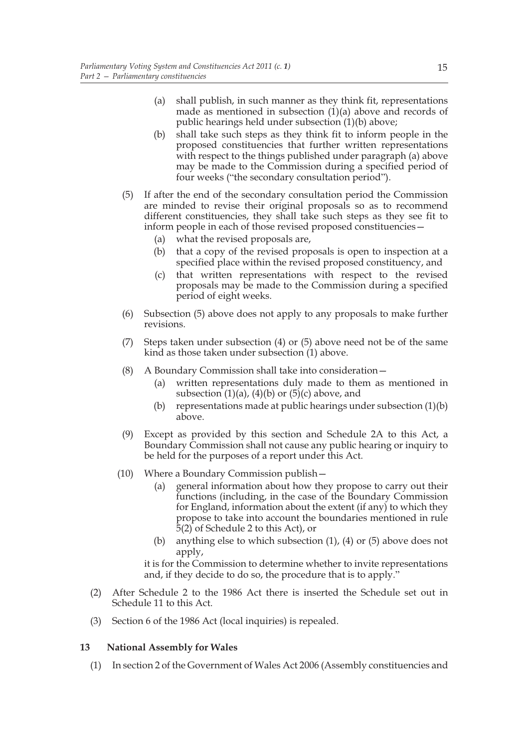- (a) shall publish, in such manner as they think fit, representations made as mentioned in subsection  $(1)(a)$  above and records of public hearings held under subsection (1)(b) above;
- (b) shall take such steps as they think fit to inform people in the proposed constituencies that further written representations with respect to the things published under paragraph (a) above may be made to the Commission during a specified period of four weeks ("the secondary consultation period").
- (5) If after the end of the secondary consultation period the Commission are minded to revise their original proposals so as to recommend different constituencies, they shall take such steps as they see fit to inform people in each of those revised proposed constituencies—
	- (a) what the revised proposals are,
	- (b) that a copy of the revised proposals is open to inspection at a specified place within the revised proposed constituency, and
	- (c) that written representations with respect to the revised proposals may be made to the Commission during a specified period of eight weeks.
- (6) Subsection (5) above does not apply to any proposals to make further revisions.
- (7) Steps taken under subsection (4) or (5) above need not be of the same kind as those taken under subsection (1) above.
- (8) A Boundary Commission shall take into consideration—
	- (a) written representations duly made to them as mentioned in subsection  $(1)(a)$ ,  $(4)(b)$  or  $(5)(c)$  above, and
	- (b) representations made at public hearings under subsection (1)(b) above.
- (9) Except as provided by this section and Schedule 2A to this Act, a Boundary Commission shall not cause any public hearing or inquiry to be held for the purposes of a report under this Act.
- (10) Where a Boundary Commission publish—
	- (a) general information about how they propose to carry out their functions (including, in the case of the Boundary Commission for England, information about the extent (if any) to which they propose to take into account the boundaries mentioned in rule  $\bar{5}(2)$  of Schedule 2 to this Act), or
	- (b) anything else to which subsection (1), (4) or (5) above does not apply,

it is for the Commission to determine whether to invite representations and, if they decide to do so, the procedure that is to apply."

- (2) After Schedule 2 to the 1986 Act there is inserted the Schedule set out in Schedule 11 to this Act.
- (3) Section 6 of the 1986 Act (local inquiries) is repealed.

## **13 National Assembly for Wales**

(1) In section 2 of the Government of Wales Act 2006 (Assembly constituencies and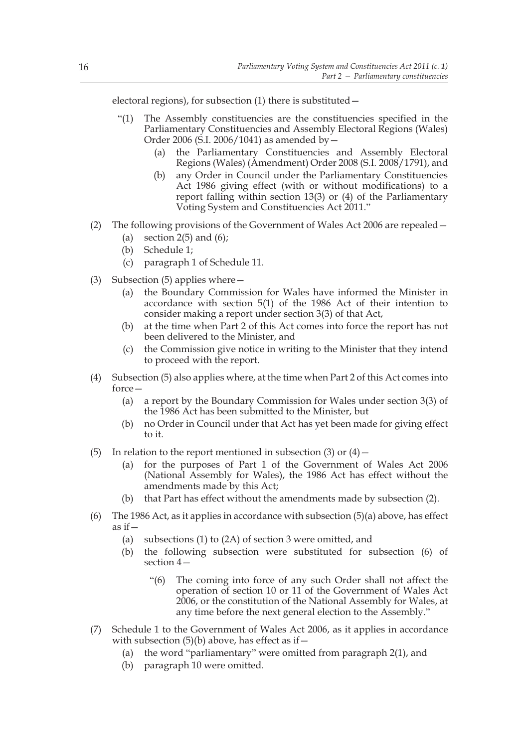electoral regions), for subsection (1) there is substituted—

- "(1) The Assembly constituencies are the constituencies specified in the Parliamentary Constituencies and Assembly Electoral Regions (Wales) Order 2006 (S.I. 2006/1041) as amended by—
	- (a) the Parliamentary Constituencies and Assembly Electoral Regions (Wales) (Amendment) Order 2008 (S.I. 2008/1791), and
	- (b) any Order in Council under the Parliamentary Constituencies Act 1986 giving effect (with or without modifications) to a report falling within section 13(3) or (4) of the Parliamentary Voting System and Constituencies Act 2011."
- (2) The following provisions of the Government of Wales Act 2006 are repealed—
	- (a) section  $2(5)$  and  $(6)$ ;
	- (b) Schedule 1;
	- (c) paragraph 1 of Schedule 11.
- (3) Subsection (5) applies where—
	- (a) the Boundary Commission for Wales have informed the Minister in accordance with section 5(1) of the 1986 Act of their intention to consider making a report under section 3(3) of that Act,
	- (b) at the time when Part 2 of this Act comes into force the report has not been delivered to the Minister, and
	- (c) the Commission give notice in writing to the Minister that they intend to proceed with the report.
- (4) Subsection (5) also applies where, at the time when Part 2 of this Act comes into force—
	- (a) a report by the Boundary Commission for Wales under section 3(3) of the 1986 Act has been submitted to the Minister, but
	- (b) no Order in Council under that Act has yet been made for giving effect to it.
- (5) In relation to the report mentioned in subsection (3) or  $(4)$  -
	- (a) for the purposes of Part 1 of the Government of Wales Act 2006 (National Assembly for Wales), the 1986 Act has effect without the amendments made by this Act;
	- (b) that Part has effect without the amendments made by subsection (2).
- (6) The 1986 Act, as it applies in accordance with subsection  $(5)(a)$  above, has effect as if—
	- (a) subsections (1) to (2A) of section 3 were omitted, and
	- (b) the following subsection were substituted for subsection (6) of section 4—
		- "(6) The coming into force of any such Order shall not affect the operation of section 10 or 11 of the Government of Wales Act 2006, or the constitution of the National Assembly for Wales, at any time before the next general election to the Assembly."
- (7) Schedule 1 to the Government of Wales Act 2006, as it applies in accordance with subsection  $(5)(b)$  above, has effect as if  $-$ 
	- (a) the word "parliamentary" were omitted from paragraph 2(1), and
	- (b) paragraph 10 were omitted.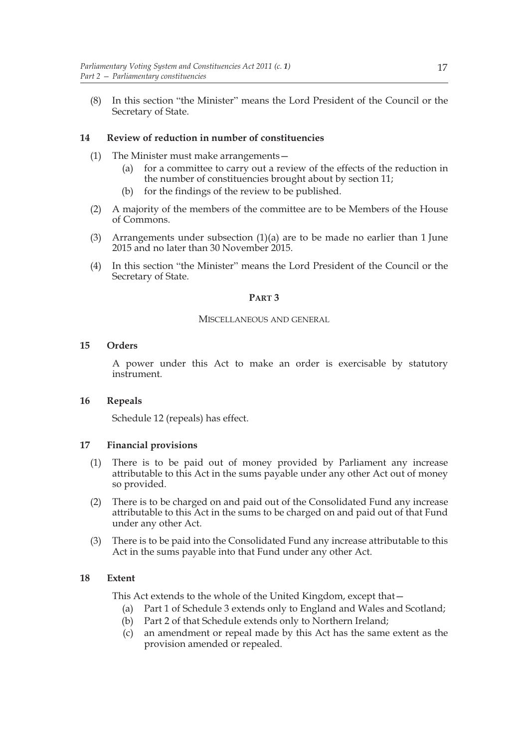(8) In this section "the Minister" means the Lord President of the Council or the Secretary of State.

## **14 Review of reduction in number of constituencies**

- (1) The Minister must make arrangements—
	- (a) for a committee to carry out a review of the effects of the reduction in the number of constituencies brought about by section 11;
	- (b) for the findings of the review to be published.
- (2) A majority of the members of the committee are to be Members of the House of Commons.
- (3) Arrangements under subsection (1)(a) are to be made no earlier than 1 June 2015 and no later than 30 November 2015.
- (4) In this section "the Minister" means the Lord President of the Council or the Secretary of State.

### **PART 3**

#### MISCELLANEOUS AND GENERAL

#### **15 Orders**

A power under this Act to make an order is exercisable by statutory instrument.

#### **16 Repeals**

Schedule 12 (repeals) has effect.

## **17 Financial provisions**

- (1) There is to be paid out of money provided by Parliament any increase attributable to this Act in the sums payable under any other Act out of money so provided.
- (2) There is to be charged on and paid out of the Consolidated Fund any increase attributable to this Act in the sums to be charged on and paid out of that Fund under any other Act.
- (3) There is to be paid into the Consolidated Fund any increase attributable to this Act in the sums payable into that Fund under any other Act.

## **18 Extent**

This Act extends to the whole of the United Kingdom, except that—

- (a) Part 1 of Schedule 3 extends only to England and Wales and Scotland;
- (b) Part 2 of that Schedule extends only to Northern Ireland;
- (c) an amendment or repeal made by this Act has the same extent as the provision amended or repealed.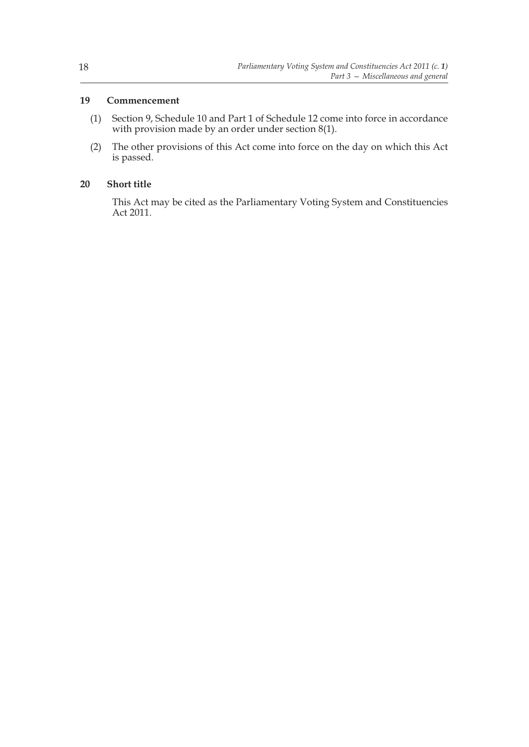## **19 Commencement**

- (1) Section 9, Schedule 10 and Part 1 of Schedule 12 come into force in accordance with provision made by an order under section 8(1).
- (2) The other provisions of this Act come into force on the day on which this Act is passed.

## **20 Short title**

This Act may be cited as the Parliamentary Voting System and Constituencies Act 2011.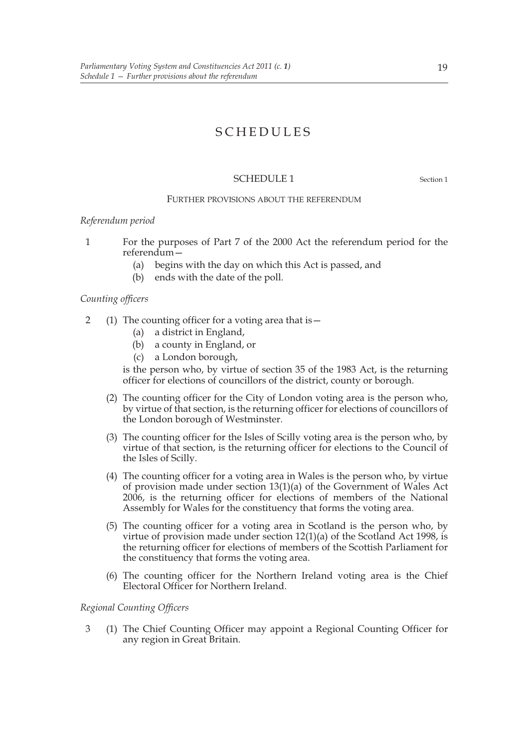# SCHEDULES

## SCHEDULE 1 Section 1

#### FURTHER PROVISIONS ABOUT THE REFERENDUM

#### *Referendum period*

- 1 For the purposes of Part 7 of the 2000 Act the referendum period for the referendum—
	- (a) begins with the day on which this Act is passed, and
	- (b) ends with the date of the poll.

#### *Counting officers*

- 2 (1) The counting officer for a voting area that is—
	- (a) a district in England,
	- (b) a county in England, or
	- (c) a London borough,

is the person who, by virtue of section 35 of the 1983 Act, is the returning officer for elections of councillors of the district, county or borough.

- (2) The counting officer for the City of London voting area is the person who, by virtue of that section, is the returning officer for elections of councillors of the London borough of Westminster.
- (3) The counting officer for the Isles of Scilly voting area is the person who, by virtue of that section, is the returning officer for elections to the Council of the Isles of Scilly.
- (4) The counting officer for a voting area in Wales is the person who, by virtue of provision made under section 13(1)(a) of the Government of Wales Act 2006, is the returning officer for elections of members of the National Assembly for Wales for the constituency that forms the voting area.
- (5) The counting officer for a voting area in Scotland is the person who, by virtue of provision made under section 12(1)(a) of the Scotland Act 1998, is the returning officer for elections of members of the Scottish Parliament for the constituency that forms the voting area.
- (6) The counting officer for the Northern Ireland voting area is the Chief Electoral Officer for Northern Ireland.

#### *Regional Counting Officers*

3 (1) The Chief Counting Officer may appoint a Regional Counting Officer for any region in Great Britain.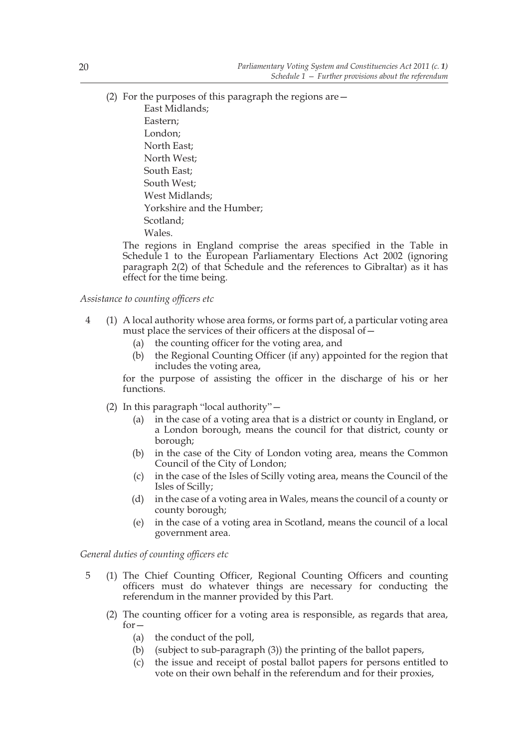(2) For the purposes of this paragraph the regions are— East Midlands; Eastern; London; North East; North West; South East; South West; West Midlands; Yorkshire and the Humber; Scotland; Wales.

The regions in England comprise the areas specified in the Table in Schedule 1 to the European Parliamentary Elections Act 2002 (ignoring paragraph 2(2) of that Schedule and the references to Gibraltar) as it has effect for the time being.

#### *Assistance to counting officers etc*

- 4 (1) A local authority whose area forms, or forms part of, a particular voting area must place the services of their officers at the disposal of—
	- (a) the counting officer for the voting area, and
	- (b) the Regional Counting Officer (if any) appointed for the region that includes the voting area,

for the purpose of assisting the officer in the discharge of his or her functions.

- (2) In this paragraph "local authority"—
	- (a) in the case of a voting area that is a district or county in England, or a London borough, means the council for that district, county or borough;
	- (b) in the case of the City of London voting area, means the Common Council of the City of London;
	- (c) in the case of the Isles of Scilly voting area, means the Council of the Isles of Scilly;
	- (d) in the case of a voting area in Wales, means the council of a county or county borough;
	- (e) in the case of a voting area in Scotland, means the council of a local government area.

*General duties of counting officers etc*

- 5 (1) The Chief Counting Officer, Regional Counting Officers and counting officers must do whatever things are necessary for conducting the referendum in the manner provided by this Part.
	- (2) The counting officer for a voting area is responsible, as regards that area, for—
		- (a) the conduct of the poll,
		- (b) (subject to sub-paragraph (3)) the printing of the ballot papers,
		- (c) the issue and receipt of postal ballot papers for persons entitled to vote on their own behalf in the referendum and for their proxies,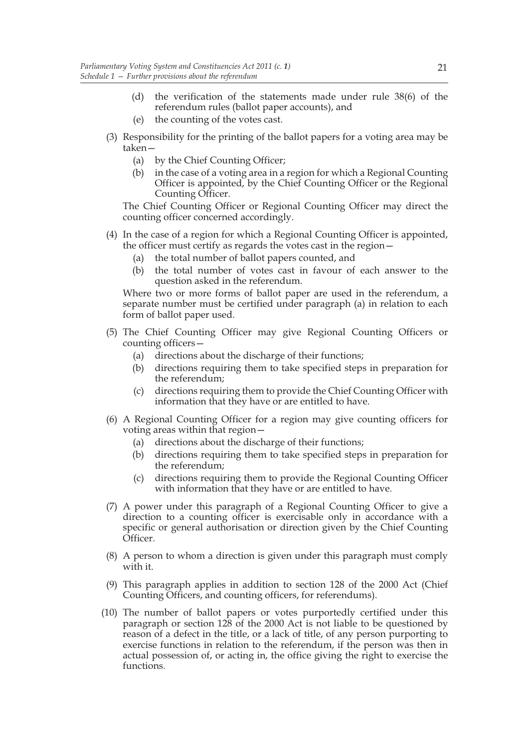- (d) the verification of the statements made under rule 38(6) of the referendum rules (ballot paper accounts), and
- (e) the counting of the votes cast.
- (3) Responsibility for the printing of the ballot papers for a voting area may be taken—
	- (a) by the Chief Counting Officer;
	- (b) in the case of a voting area in a region for which a Regional Counting Officer is appointed, by the Chief Counting Officer or the Regional Counting Officer.

The Chief Counting Officer or Regional Counting Officer may direct the counting officer concerned accordingly.

- (4) In the case of a region for which a Regional Counting Officer is appointed, the officer must certify as regards the votes cast in the region—
	- (a) the total number of ballot papers counted, and
	- (b) the total number of votes cast in favour of each answer to the question asked in the referendum.

Where two or more forms of ballot paper are used in the referendum, a separate number must be certified under paragraph (a) in relation to each form of ballot paper used.

- (5) The Chief Counting Officer may give Regional Counting Officers or counting officers—
	- (a) directions about the discharge of their functions;
	- (b) directions requiring them to take specified steps in preparation for the referendum;
	- (c) directions requiring them to provide the Chief Counting Officer with information that they have or are entitled to have.
- (6) A Regional Counting Officer for a region may give counting officers for voting areas within that region—
	- (a) directions about the discharge of their functions;
	- (b) directions requiring them to take specified steps in preparation for the referendum;
	- (c) directions requiring them to provide the Regional Counting Officer with information that they have or are entitled to have.
- (7) A power under this paragraph of a Regional Counting Officer to give a direction to a counting officer is exercisable only in accordance with a specific or general authorisation or direction given by the Chief Counting Officer.
- (8) A person to whom a direction is given under this paragraph must comply with it.
- (9) This paragraph applies in addition to section 128 of the 2000 Act (Chief Counting Officers, and counting officers, for referendums).
- (10) The number of ballot papers or votes purportedly certified under this paragraph or section 128 of the 2000 Act is not liable to be questioned by reason of a defect in the title, or a lack of title, of any person purporting to exercise functions in relation to the referendum, if the person was then in actual possession of, or acting in, the office giving the right to exercise the functions.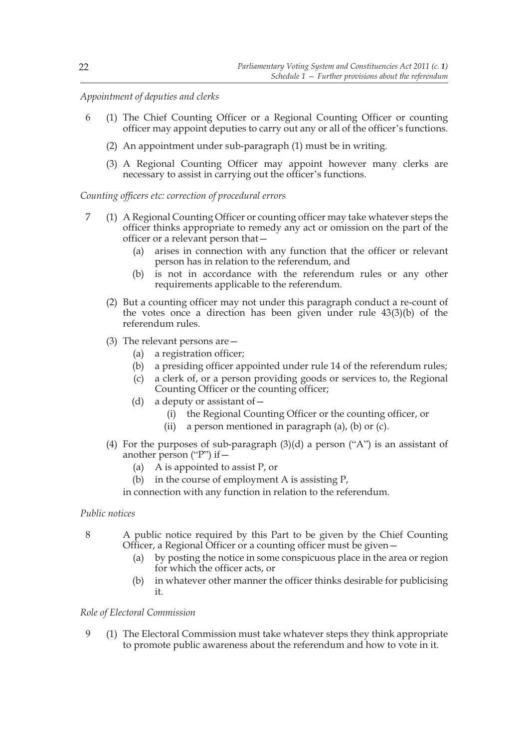*Appointment of deputies and clerks*

- 6 (1) The Chief Counting Officer or a Regional Counting Officer or counting officer may appoint deputies to carry out any or all of the officer's functions.
	- (2) An appointment under sub-paragraph (1) must be in writing.
	- (3) A Regional Counting Officer may appoint however many clerks are necessary to assist in carrying out the officer's functions.

*Counting officers etc: correction of procedural errors*

- 7 (1) A Regional Counting Officer or counting officer may take whatever steps the officer thinks appropriate to remedy any act or omission on the part of the officer or a relevant person that—
	- (a) arises in connection with any function that the officer or relevant person has in relation to the referendum, and
	- (b) is not in accordance with the referendum rules or any other requirements applicable to the referendum.
	- (2) But a counting officer may not under this paragraph conduct a re-count of the votes once a direction has been given under rule 43(3)(b) of the referendum rules.
	- (3) The relevant persons are—
		- (a) a registration officer;
		- (b) a presiding officer appointed under rule 14 of the referendum rules;
		- (c) a clerk of, or a person providing goods or services to, the Regional Counting Officer or the counting officer;
		- (d) a deputy or assistant of  $-$ 
			- (i) the Regional Counting Officer or the counting officer, or
			- (ii) a person mentioned in paragraph  $(a)$ ,  $(b)$  or  $(c)$ .
	- (4) For the purposes of sub-paragraph  $(3)(d)$  a person ("A") is an assistant of another person ("P") if  $-$ 
		- (a) A is appointed to assist P, or
		- (b) in the course of employment A is assisting P,

in connection with any function in relation to the referendum.

## *Public notices*

- 8 A public notice required by this Part to be given by the Chief Counting Officer, a Regional Officer or a counting officer must be given—
	- (a) by posting the notice in some conspicuous place in the area or region for which the officer acts, or
	- (b) in whatever other manner the officer thinks desirable for publicising it.

#### *Role of Electoral Commission*

9 (1) The Electoral Commission must take whatever steps they think appropriate to promote public awareness about the referendum and how to vote in it.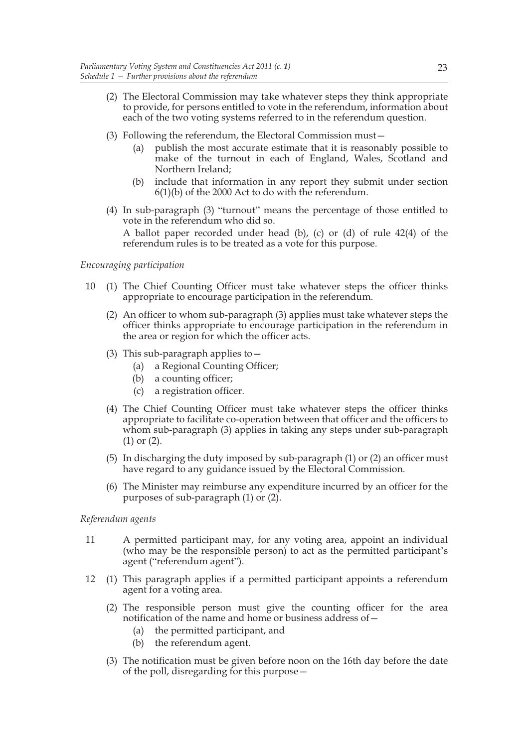- (2) The Electoral Commission may take whatever steps they think appropriate to provide, for persons entitled to vote in the referendum, information about each of the two voting systems referred to in the referendum question.
- (3) Following the referendum, the Electoral Commission must—
	- (a) publish the most accurate estimate that it is reasonably possible to make of the turnout in each of England, Wales, Scotland and Northern Ireland;
	- (b) include that information in any report they submit under section 6(1)(b) of the 2000 Act to do with the referendum.
- (4) In sub-paragraph (3) "turnout" means the percentage of those entitled to vote in the referendum who did so.

A ballot paper recorded under head (b), (c) or (d) of rule 42(4) of the referendum rules is to be treated as a vote for this purpose.

#### *Encouraging participation*

- 10 (1) The Chief Counting Officer must take whatever steps the officer thinks appropriate to encourage participation in the referendum.
	- (2) An officer to whom sub-paragraph (3) applies must take whatever steps the officer thinks appropriate to encourage participation in the referendum in the area or region for which the officer acts.
	- (3) This sub-paragraph applies to  $-$ 
		- (a) a Regional Counting Officer;
		- (b) a counting officer;
		- (c) a registration officer.
	- (4) The Chief Counting Officer must take whatever steps the officer thinks appropriate to facilitate co-operation between that officer and the officers to whom sub-paragraph (3) applies in taking any steps under sub-paragraph (1) or (2).
	- (5) In discharging the duty imposed by sub-paragraph (1) or (2) an officer must have regard to any guidance issued by the Electoral Commission.
	- (6) The Minister may reimburse any expenditure incurred by an officer for the purposes of sub-paragraph (1) or (2).

### *Referendum agents*

- 11 A permitted participant may, for any voting area, appoint an individual (who may be the responsible person) to act as the permitted participant's agent ("referendum agent").
- 12 (1) This paragraph applies if a permitted participant appoints a referendum agent for a voting area.
	- (2) The responsible person must give the counting officer for the area notification of the name and home or business address of—
		- (a) the permitted participant, and
		- (b) the referendum agent.
	- (3) The notification must be given before noon on the 16th day before the date of the poll, disregarding for this purpose—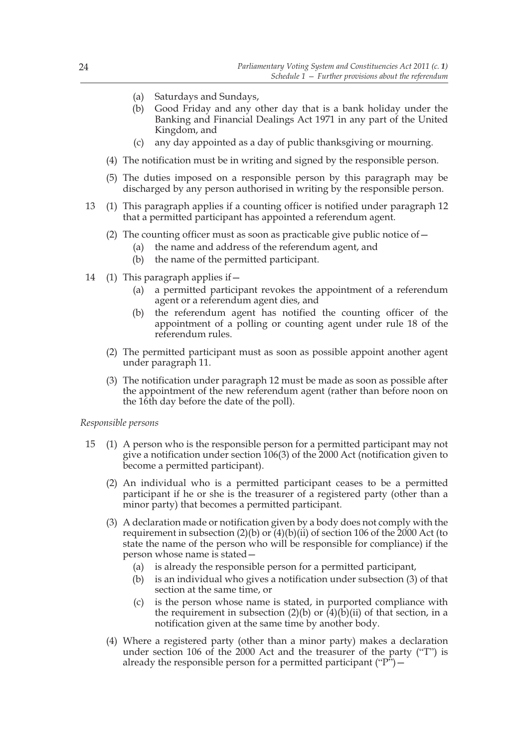- (a) Saturdays and Sundays,
- (b) Good Friday and any other day that is a bank holiday under the Banking and Financial Dealings Act 1971 in any part of the United Kingdom, and
- (c) any day appointed as a day of public thanksgiving or mourning.
- (4) The notification must be in writing and signed by the responsible person.
- (5) The duties imposed on a responsible person by this paragraph may be discharged by any person authorised in writing by the responsible person.
- 13 (1) This paragraph applies if a counting officer is notified under paragraph 12 that a permitted participant has appointed a referendum agent.
	- (2) The counting officer must as soon as practicable give public notice of  $-$ 
		- (a) the name and address of the referendum agent, and
		- (b) the name of the permitted participant.
- 14 (1) This paragraph applies if  $-$ 
	- (a) a permitted participant revokes the appointment of a referendum agent or a referendum agent dies, and
	- (b) the referendum agent has notified the counting officer of the appointment of a polling or counting agent under rule 18 of the referendum rules.
	- (2) The permitted participant must as soon as possible appoint another agent under paragraph 11.
	- (3) The notification under paragraph 12 must be made as soon as possible after the appointment of the new referendum agent (rather than before noon on the 16th day before the date of the poll).

## *Responsible persons*

- 15 (1) A person who is the responsible person for a permitted participant may not give a notification under section 106(3) of the 2000 Act (notification given to become a permitted participant).
	- (2) An individual who is a permitted participant ceases to be a permitted participant if he or she is the treasurer of a registered party (other than a minor party) that becomes a permitted participant.
	- (3) A declaration made or notification given by a body does not comply with the requirement in subsection (2)(b) or  $(4)$ (b)(ii) of section 106 of the 2000 Act (to state the name of the person who will be responsible for compliance) if the person whose name is stated—
		- (a) is already the responsible person for a permitted participant,
		- (b) is an individual who gives a notification under subsection (3) of that section at the same time, or
		- (c) is the person whose name is stated, in purported compliance with the requirement in subsection (2)(b) or  $\overline{(4)}$ (b)(ii) of that section, in a notification given at the same time by another body.
	- (4) Where a registered party (other than a minor party) makes a declaration under section 106 of the 2000 Act and the treasurer of the party ("T") is already the responsible person for a permitted participant (" $P$ ") –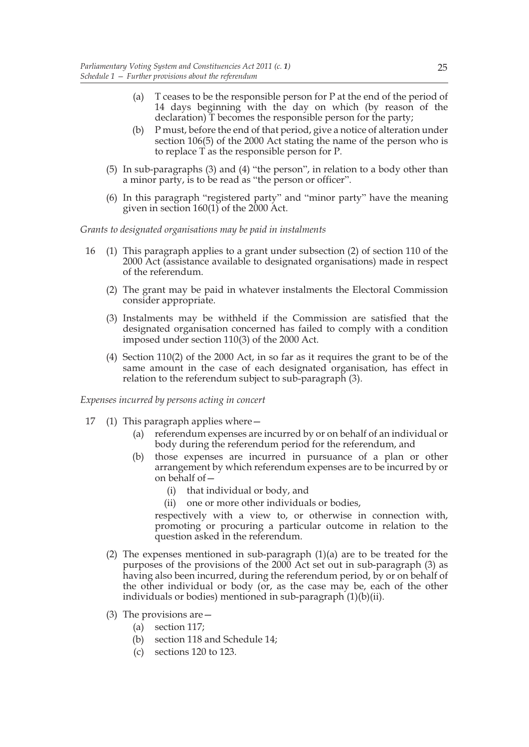- (a) T ceases to be the responsible person for P at the end of the period of 14 days beginning with the day on which (by reason of the declaration) T becomes the responsible person for the party;
- (b) P must, before the end of that period, give a notice of alteration under section 106(5) of the 2000 Act stating the name of the person who is to replace T as the responsible person for P.
- (5) In sub-paragraphs (3) and (4) "the person", in relation to a body other than a minor party, is to be read as "the person or officer".
- (6) In this paragraph "registered party" and "minor party" have the meaning given in section  $160(1)$  of the 2000 Act.

*Grants to designated organisations may be paid in instalments*

- 16 (1) This paragraph applies to a grant under subsection (2) of section 110 of the 2000 Act (assistance available to designated organisations) made in respect of the referendum.
	- (2) The grant may be paid in whatever instalments the Electoral Commission consider appropriate.
	- (3) Instalments may be withheld if the Commission are satisfied that the designated organisation concerned has failed to comply with a condition imposed under section 110(3) of the 2000 Act.
	- (4) Section 110(2) of the 2000 Act, in so far as it requires the grant to be of the same amount in the case of each designated organisation, has effect in relation to the referendum subject to sub-paragraph (3).

*Expenses incurred by persons acting in concert*

- 17 (1) This paragraph applies where—
	- (a) referendum expenses are incurred by or on behalf of an individual or body during the referendum period for the referendum, and
	- (b) those expenses are incurred in pursuance of a plan or other arrangement by which referendum expenses are to be incurred by or on behalf of—
		- (i) that individual or body, and
		- (ii) one or more other individuals or bodies,

respectively with a view to, or otherwise in connection with, promoting or procuring a particular outcome in relation to the question asked in the referendum.

- (2) The expenses mentioned in sub-paragraph (1)(a) are to be treated for the purposes of the provisions of the 2000 Act set out in sub-paragraph (3) as having also been incurred, during the referendum period, by or on behalf of the other individual or body (or, as the case may be, each of the other individuals or bodies) mentioned in sub-paragraph (1)(b)(ii).
- (3) The provisions are—
	- (a) section 117;
	- (b) section 118 and Schedule 14;
	- (c) sections 120 to 123.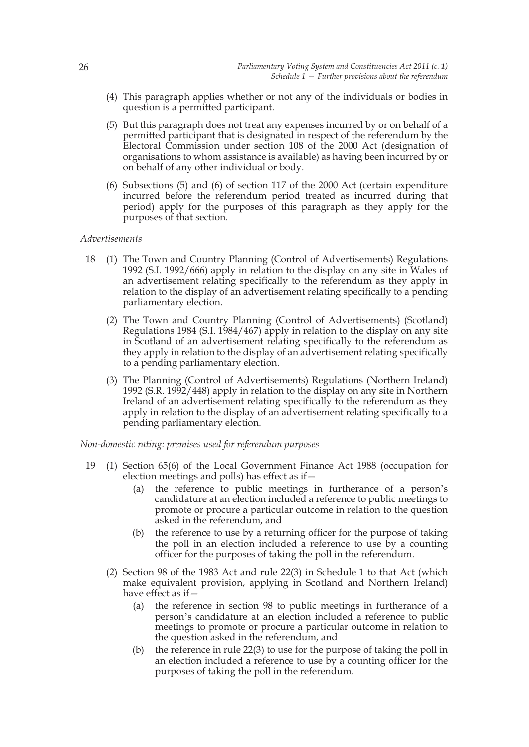- (4) This paragraph applies whether or not any of the individuals or bodies in question is a permitted participant.
- (5) But this paragraph does not treat any expenses incurred by or on behalf of a permitted participant that is designated in respect of the referendum by the Electoral Commission under section 108 of the 2000 Act (designation of organisations to whom assistance is available) as having been incurred by or on behalf of any other individual or body.
- (6) Subsections (5) and (6) of section 117 of the 2000 Act (certain expenditure incurred before the referendum period treated as incurred during that period) apply for the purposes of this paragraph as they apply for the purposes of that section.

#### *Advertisements*

- 18 (1) The Town and Country Planning (Control of Advertisements) Regulations 1992 (S.I. 1992/666) apply in relation to the display on any site in Wales of an advertisement relating specifically to the referendum as they apply in relation to the display of an advertisement relating specifically to a pending parliamentary election.
	- (2) The Town and Country Planning (Control of Advertisements) (Scotland) Regulations 1984 (S.I. 1984/467) apply in relation to the display on any site in Scotland of an advertisement relating specifically to the referendum as they apply in relation to the display of an advertisement relating specifically to a pending parliamentary election.
	- (3) The Planning (Control of Advertisements) Regulations (Northern Ireland) 1992 (S.R. 1992/448) apply in relation to the display on any site in Northern Ireland of an advertisement relating specifically to the referendum as they apply in relation to the display of an advertisement relating specifically to a pending parliamentary election.

*Non-domestic rating: premises used for referendum purposes*

- 19 (1) Section 65(6) of the Local Government Finance Act 1988 (occupation for election meetings and polls) has effect as if—
	- (a) the reference to public meetings in furtherance of a person's candidature at an election included a reference to public meetings to promote or procure a particular outcome in relation to the question asked in the referendum, and
	- (b) the reference to use by a returning officer for the purpose of taking the poll in an election included a reference to use by a counting officer for the purposes of taking the poll in the referendum.
	- (2) Section 98 of the 1983 Act and rule 22(3) in Schedule 1 to that Act (which make equivalent provision, applying in Scotland and Northern Ireland) have effect as if—
		- (a) the reference in section 98 to public meetings in furtherance of a person's candidature at an election included a reference to public meetings to promote or procure a particular outcome in relation to the question asked in the referendum, and
		- (b) the reference in rule 22(3) to use for the purpose of taking the poll in an election included a reference to use by a counting officer for the purposes of taking the poll in the referendum.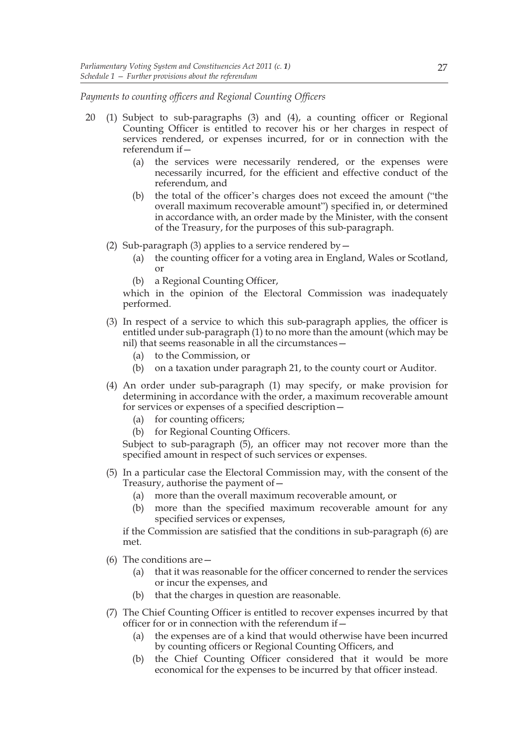*Payments to counting officers and Regional Counting Officers*

- 20 (1) Subject to sub-paragraphs (3) and (4), a counting officer or Regional Counting Officer is entitled to recover his or her charges in respect of services rendered, or expenses incurred, for or in connection with the referendum if—
	- (a) the services were necessarily rendered, or the expenses were necessarily incurred, for the efficient and effective conduct of the referendum, and
	- (b) the total of the officer's charges does not exceed the amount ("the overall maximum recoverable amount") specified in, or determined in accordance with, an order made by the Minister, with the consent of the Treasury, for the purposes of this sub-paragraph.
	- (2) Sub-paragraph (3) applies to a service rendered by  $-$ 
		- (a) the counting officer for a voting area in England, Wales or Scotland, or
		- (b) a Regional Counting Officer,

which in the opinion of the Electoral Commission was inadequately performed.

- (3) In respect of a service to which this sub-paragraph applies, the officer is entitled under sub-paragraph (1) to no more than the amount (which may be nil) that seems reasonable in all the circumstances—
	- (a) to the Commission, or
	- (b) on a taxation under paragraph 21, to the county court or Auditor.
- (4) An order under sub-paragraph (1) may specify, or make provision for determining in accordance with the order, a maximum recoverable amount for services or expenses of a specified description—
	- (a) for counting officers;
	- (b) for Regional Counting Officers.

Subject to sub-paragraph (5), an officer may not recover more than the specified amount in respect of such services or expenses.

- (5) In a particular case the Electoral Commission may, with the consent of the Treasury, authorise the payment of—
	- (a) more than the overall maximum recoverable amount, or
	- (b) more than the specified maximum recoverable amount for any specified services or expenses,

if the Commission are satisfied that the conditions in sub-paragraph (6) are met.

- (6) The conditions are—
	- (a) that it was reasonable for the officer concerned to render the services or incur the expenses, and
	- (b) that the charges in question are reasonable.
- (7) The Chief Counting Officer is entitled to recover expenses incurred by that officer for or in connection with the referendum if—
	- (a) the expenses are of a kind that would otherwise have been incurred by counting officers or Regional Counting Officers, and
	- (b) the Chief Counting Officer considered that it would be more economical for the expenses to be incurred by that officer instead.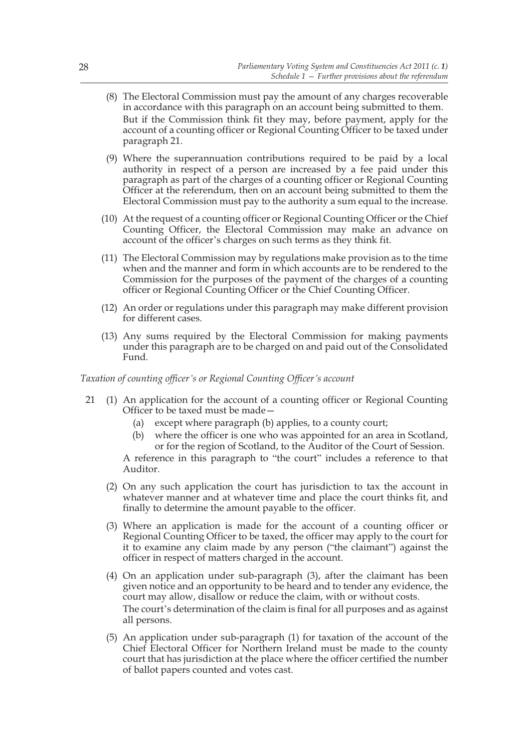- (8) The Electoral Commission must pay the amount of any charges recoverable in accordance with this paragraph on an account being submitted to them. But if the Commission think fit they may, before payment, apply for the account of a counting officer or Regional Counting Officer to be taxed under paragraph 21.
- (9) Where the superannuation contributions required to be paid by a local authority in respect of a person are increased by a fee paid under this paragraph as part of the charges of a counting officer or Regional Counting Officer at the referendum, then on an account being submitted to them the Electoral Commission must pay to the authority a sum equal to the increase.
- (10) At the request of a counting officer or Regional Counting Officer or the Chief Counting Officer, the Electoral Commission may make an advance on account of the officer's charges on such terms as they think fit.
- (11) The Electoral Commission may by regulations make provision as to the time when and the manner and form in which accounts are to be rendered to the Commission for the purposes of the payment of the charges of a counting officer or Regional Counting Officer or the Chief Counting Officer.
- (12) An order or regulations under this paragraph may make different provision for different cases.
- (13) Any sums required by the Electoral Commission for making payments under this paragraph are to be charged on and paid out of the Consolidated Fund.

#### *Taxation of counting officer's or Regional Counting Officer's account*

- 21 (1) An application for the account of a counting officer or Regional Counting Officer to be taxed must be made—
	- (a) except where paragraph (b) applies, to a county court;
	- (b) where the officer is one who was appointed for an area in Scotland, or for the region of Scotland, to the Auditor of the Court of Session.

A reference in this paragraph to "the court" includes a reference to that Auditor.

- (2) On any such application the court has jurisdiction to tax the account in whatever manner and at whatever time and place the court thinks fit, and finally to determine the amount payable to the officer.
- (3) Where an application is made for the account of a counting officer or Regional Counting Officer to be taxed, the officer may apply to the court for it to examine any claim made by any person ("the claimant") against the officer in respect of matters charged in the account.
- (4) On an application under sub-paragraph (3), after the claimant has been given notice and an opportunity to be heard and to tender any evidence, the court may allow, disallow or reduce the claim, with or without costs. The court's determination of the claim is final for all purposes and as against all persons.
- (5) An application under sub-paragraph (1) for taxation of the account of the Chief Electoral Officer for Northern Ireland must be made to the county court that has jurisdiction at the place where the officer certified the number of ballot papers counted and votes cast.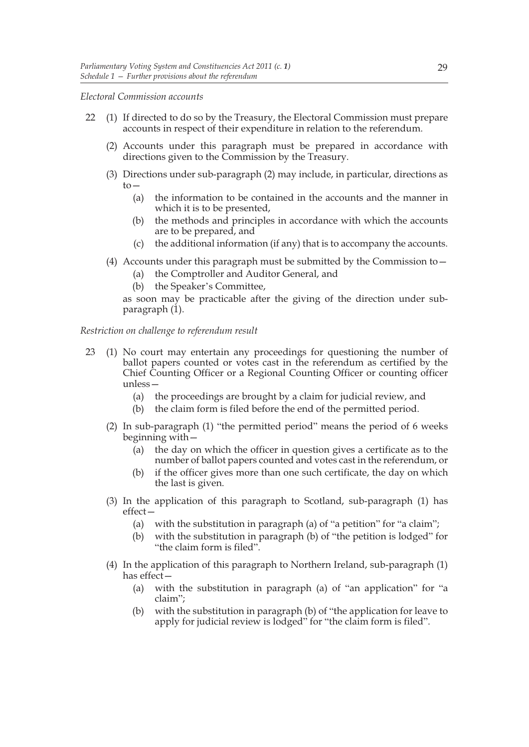#### *Electoral Commission accounts*

- 22 (1) If directed to do so by the Treasury, the Electoral Commission must prepare accounts in respect of their expenditure in relation to the referendum.
	- (2) Accounts under this paragraph must be prepared in accordance with directions given to the Commission by the Treasury.
	- (3) Directions under sub-paragraph (2) may include, in particular, directions as  $to-$ 
		- (a) the information to be contained in the accounts and the manner in which it is to be presented,
		- (b) the methods and principles in accordance with which the accounts are to be prepared, and
		- (c) the additional information (if any) that is to accompany the accounts.
	- (4) Accounts under this paragraph must be submitted by the Commission to  $-$ 
		- (a) the Comptroller and Auditor General, and
		- (b) the Speaker's Committee,

as soon may be practicable after the giving of the direction under sub $paragraph (1)$ .

#### *Restriction on challenge to referendum result*

- 23 (1) No court may entertain any proceedings for questioning the number of ballot papers counted or votes cast in the referendum as certified by the Chief Counting Officer or a Regional Counting Officer or counting officer unless—
	- (a) the proceedings are brought by a claim for judicial review, and
	- (b) the claim form is filed before the end of the permitted period.
	- (2) In sub-paragraph (1) "the permitted period" means the period of 6 weeks beginning with—
		- (a) the day on which the officer in question gives a certificate as to the number of ballot papers counted and votes cast in the referendum, or
		- (b) if the officer gives more than one such certificate, the day on which the last is given.
	- (3) In the application of this paragraph to Scotland, sub-paragraph (1) has effect—
		- (a) with the substitution in paragraph (a) of "a petition" for "a claim";
		- (b) with the substitution in paragraph (b) of "the petition is lodged" for "the claim form is filed".
	- (4) In the application of this paragraph to Northern Ireland, sub-paragraph (1) has effect—
		- (a) with the substitution in paragraph (a) of "an application" for "a claim";
		- (b) with the substitution in paragraph (b) of "the application for leave to apply for judicial review is lodged" for "the claim form is filed".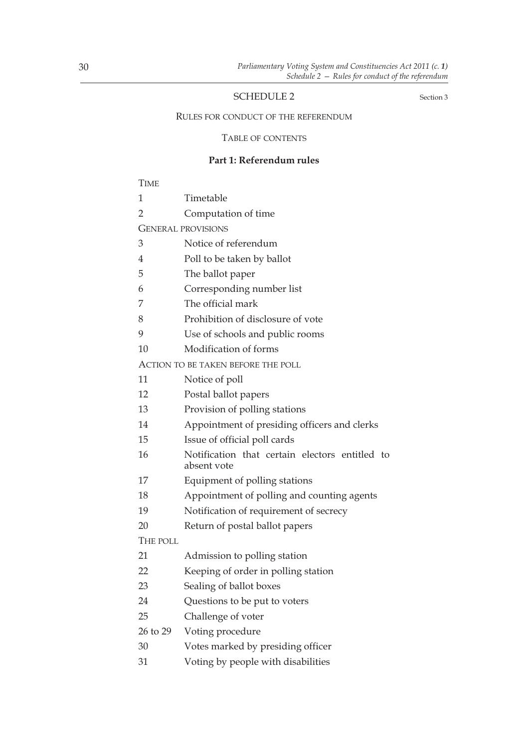## SCHEDULE 2 Section 3

## RULES FOR CONDUCT OF THE REFERENDUM

#### TABLE OF CONTENTS

## **Part 1: Referendum rules**

| <b>TIME</b>                        |                                                               |  |  |
|------------------------------------|---------------------------------------------------------------|--|--|
| 1                                  | Timetable                                                     |  |  |
| 2                                  | Computation of time                                           |  |  |
|                                    | <b>GENERAL PROVISIONS</b>                                     |  |  |
| 3                                  | Notice of referendum                                          |  |  |
| 4                                  | Poll to be taken by ballot                                    |  |  |
| 5                                  | The ballot paper                                              |  |  |
| 6                                  | Corresponding number list                                     |  |  |
| 7                                  | The official mark                                             |  |  |
| 8                                  | Prohibition of disclosure of vote                             |  |  |
| 9                                  | Use of schools and public rooms                               |  |  |
| 10                                 | Modification of forms                                         |  |  |
| ACTION TO BE TAKEN BEFORE THE POLL |                                                               |  |  |
| 11                                 | Notice of poll                                                |  |  |
| 12                                 | Postal ballot papers                                          |  |  |
| 13                                 | Provision of polling stations                                 |  |  |
| 14                                 | Appointment of presiding officers and clerks                  |  |  |
| 15                                 | Issue of official poll cards                                  |  |  |
| 16                                 | Notification that certain electors entitled to<br>absent vote |  |  |
| 17                                 | Equipment of polling stations                                 |  |  |
| 18                                 | Appointment of polling and counting agents                    |  |  |
| 19                                 | Notification of requirement of secrecy                        |  |  |
| 20                                 | Return of postal ballot papers                                |  |  |
| THE POLL                           |                                                               |  |  |
| 21                                 | Admission to polling station                                  |  |  |
| 22                                 | Keeping of order in polling station                           |  |  |
| 23                                 | Sealing of ballot boxes                                       |  |  |
| 24                                 | Questions to be put to voters                                 |  |  |
| 25                                 | Challenge of voter                                            |  |  |
| 26 to 29                           | Voting procedure                                              |  |  |
| 30                                 | Votes marked by presiding officer                             |  |  |
| 31                                 | Voting by people with disabilities                            |  |  |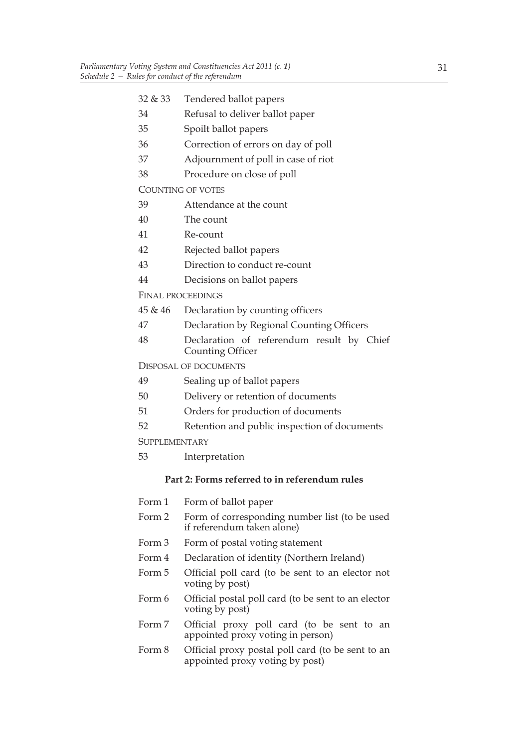| 32 & 33                                       | Tendered ballot papers                                                          |  |
|-----------------------------------------------|---------------------------------------------------------------------------------|--|
| 34                                            | Refusal to deliver ballot paper                                                 |  |
| 35                                            | Spoilt ballot papers                                                            |  |
| 36                                            | Correction of errors on day of poll                                             |  |
| 37                                            | Adjournment of poll in case of riot                                             |  |
| 38                                            | Procedure on close of poll                                                      |  |
|                                               | <b>COUNTING OF VOTES</b>                                                        |  |
| 39                                            | Attendance at the count                                                         |  |
| 40                                            | The count                                                                       |  |
| 41                                            | Re-count                                                                        |  |
| 42                                            | Rejected ballot papers                                                          |  |
| 43                                            | Direction to conduct re-count                                                   |  |
| 44                                            | Decisions on ballot papers                                                      |  |
| <b>FINAL PROCEEDINGS</b>                      |                                                                                 |  |
| 45 & 46                                       | Declaration by counting officers                                                |  |
| 47                                            | Declaration by Regional Counting Officers                                       |  |
| 48                                            | Declaration of referendum result by Chief<br><b>Counting Officer</b>            |  |
|                                               | <b>DISPOSAL OF DOCUMENTS</b>                                                    |  |
| 49                                            | Sealing up of ballot papers                                                     |  |
| 50                                            | Delivery or retention of documents                                              |  |
| 51<br>Orders for production of documents      |                                                                                 |  |
| 52                                            | Retention and public inspection of documents                                    |  |
| <b>SUPPLEMENTARY</b>                          |                                                                                 |  |
| 53                                            | Interpretation                                                                  |  |
| Part 2: Forms referred to in referendum rules |                                                                                 |  |
| Form 1                                        | Form of ballot paper                                                            |  |
| Form 2                                        | Form of corresponding number list (to be used<br>if referendum taken alone)     |  |
| Form 3                                        | Form of postal voting statement                                                 |  |
| Form 4                                        | Declaration of identity (Northern Ireland)                                      |  |
| Form 5                                        | Official poll card (to be sent to an elector not<br>voting by post)             |  |
| Form 6                                        | Official postal poll card (to be sent to an elector<br>voting by post)          |  |
| Form 7                                        | Official proxy poll card (to be sent to an<br>appointed proxy voting in person) |  |
|                                               | $\bigcap$ $\bigcap$ $\bigcup$ $\bigcup$<br>$-1.41$ $(1 - 1.4)$                  |  |

Form 8 Official proxy postal poll card (to be sent to an appointed proxy voting by post)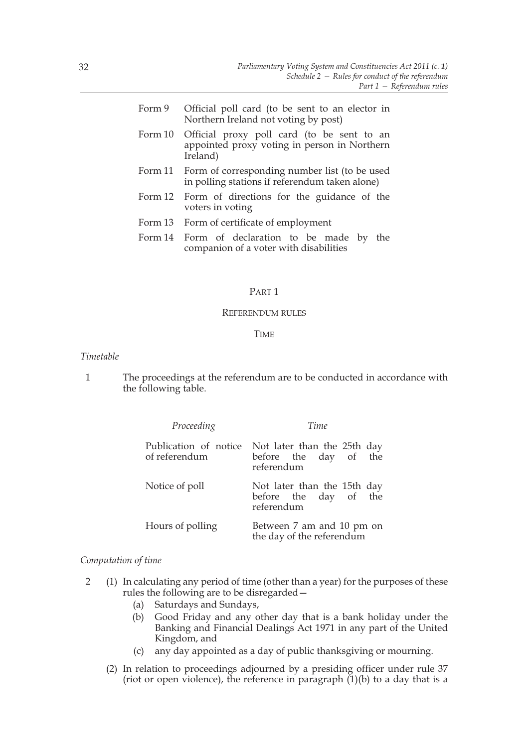| Form 9  | Official poll card (to be sent to an elector in<br>Northern Ireland not voting by post)                 |  |
|---------|---------------------------------------------------------------------------------------------------------|--|
| Form 10 | Official proxy poll card (to be sent to an<br>appointed proxy voting in person in Northern<br>Ireland)  |  |
|         | Form 11 Form of corresponding number list (to be used<br>in polling stations if referendum taken alone) |  |
|         | Form 12 Form of directions for the guidance of the<br>voters in voting                                  |  |
|         | Form 13 Form of certificate of employment                                                               |  |
|         | Form 14 Form of declaration to be made by the<br>companion of a voter with disabilities                 |  |

#### PART 1

#### REFERENDUM RULES

## TIME

### *Timetable*

1 The proceedings at the referendum are to be conducted in accordance with the following table.

| Proceeding                             | Time                                                               |
|----------------------------------------|--------------------------------------------------------------------|
| Publication of notice<br>of referendum | Not later than the 25th day<br>before the day of the<br>referendum |
| Notice of poll                         | Not later than the 15th day<br>before the day of the<br>referendum |
| Hours of polling                       | Between 7 am and 10 pm on<br>the day of the referendum             |

#### *Computation of time*

- 2 (1) In calculating any period of time (other than a year) for the purposes of these rules the following are to be disregarded—
	- (a) Saturdays and Sundays,
	- (b) Good Friday and any other day that is a bank holiday under the Banking and Financial Dealings Act 1971 in any part of the United Kingdom, and
	- (c) any day appointed as a day of public thanksgiving or mourning.
	- (2) In relation to proceedings adjourned by a presiding officer under rule 37 (riot or open violence), the reference in paragraph (1)(b) to a day that is a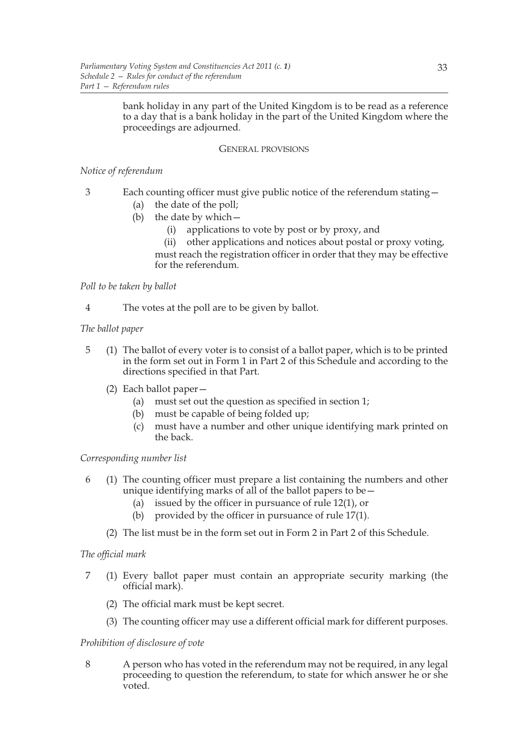bank holiday in any part of the United Kingdom is to be read as a reference to a day that is a bank holiday in the part of the United Kingdom where the proceedings are adjourned.

#### GENERAL PROVISIONS

## *Notice of referendum*

- 3 Each counting officer must give public notice of the referendum stating—
	- (a) the date of the poll;
	- (b) the date by which—
		- (i) applications to vote by post or by proxy, and
		- (ii) other applications and notices about postal or proxy voting, must reach the registration officer in order that they may be effective for the referendum.

## *Poll to be taken by ballot*

4 The votes at the poll are to be given by ballot.

## *The ballot paper*

- 5 (1) The ballot of every voter is to consist of a ballot paper, which is to be printed in the form set out in Form 1 in Part 2 of this Schedule and according to the directions specified in that Part.
	- (2) Each ballot paper—
		- (a) must set out the question as specified in section 1;
		- (b) must be capable of being folded up;
		- (c) must have a number and other unique identifying mark printed on the back.

## *Corresponding number list*

- 6 (1) The counting officer must prepare a list containing the numbers and other unique identifying marks of all of the ballot papers to be $-$ 
	- (a) issued by the officer in pursuance of rule 12(1), or
	- (b) provided by the officer in pursuance of rule 17(1).
	- (2) The list must be in the form set out in Form 2 in Part 2 of this Schedule.

## *The official mark*

- 7 (1) Every ballot paper must contain an appropriate security marking (the official mark).
	- (2) The official mark must be kept secret.
	- (3) The counting officer may use a different official mark for different purposes.

## *Prohibition of disclosure of vote*

8 A person who has voted in the referendum may not be required, in any legal proceeding to question the referendum, to state for which answer he or she voted.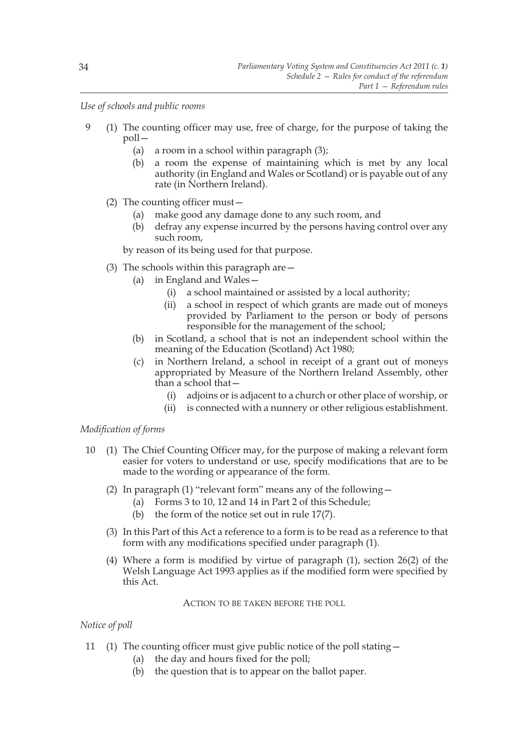*Use of schools and public rooms*

- 9 (1) The counting officer may use, free of charge, for the purpose of taking the poll—
	- (a) a room in a school within paragraph (3);
	- (b) a room the expense of maintaining which is met by any local authority (in England and Wales or Scotland) or is payable out of any rate (in Northern Ireland).
	- (2) The counting officer must—
		- (a) make good any damage done to any such room, and
		- (b) defray any expense incurred by the persons having control over any such room,

by reason of its being used for that purpose.

- (3) The schools within this paragraph are—
	- (a) in England and Wales—
		- (i) a school maintained or assisted by a local authority;
		- (ii) a school in respect of which grants are made out of moneys provided by Parliament to the person or body of persons responsible for the management of the school;
	- (b) in Scotland, a school that is not an independent school within the meaning of the Education (Scotland) Act 1980;
	- (c) in Northern Ireland, a school in receipt of a grant out of moneys appropriated by Measure of the Northern Ireland Assembly, other than a school that—
		- (i) adjoins or is adjacent to a church or other place of worship, or
		- (ii) is connected with a nunnery or other religious establishment.

### *Modification of forms*

- 10 (1) The Chief Counting Officer may, for the purpose of making a relevant form easier for voters to understand or use, specify modifications that are to be made to the wording or appearance of the form.
	- (2) In paragraph (1) "relevant form" means any of the following—
		- (a) Forms 3 to 10, 12 and 14 in Part 2 of this Schedule;
		- (b) the form of the notice set out in rule 17(7).
	- (3) In this Part of this Act a reference to a form is to be read as a reference to that form with any modifications specified under paragraph (1).
	- (4) Where a form is modified by virtue of paragraph (1), section 26(2) of the Welsh Language Act 1993 applies as if the modified form were specified by this Act.

ACTION TO BE TAKEN BEFORE THE POLL

### *Notice of poll*

- 11 (1) The counting officer must give public notice of the poll stating—
	- (a) the day and hours fixed for the poll;
	- (b) the question that is to appear on the ballot paper.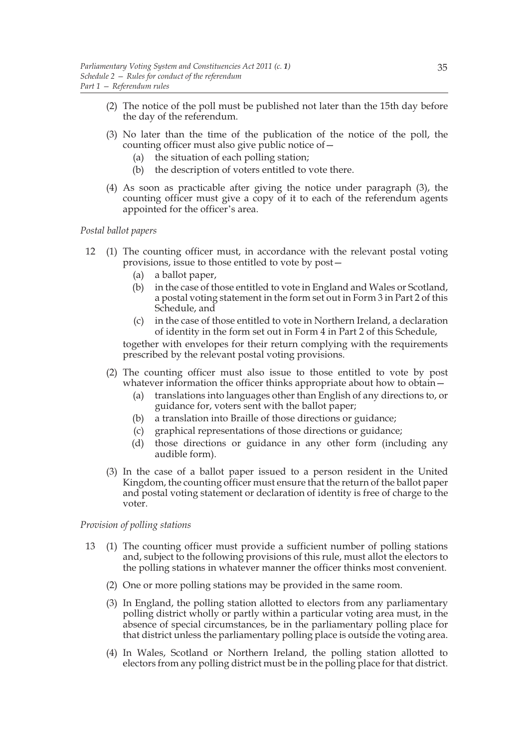- (2) The notice of the poll must be published not later than the 15th day before the day of the referendum.
- (3) No later than the time of the publication of the notice of the poll, the counting officer must also give public notice of—
	- (a) the situation of each polling station;
	- (b) the description of voters entitled to vote there.
- (4) As soon as practicable after giving the notice under paragraph (3), the counting officer must give a copy of it to each of the referendum agents appointed for the officer's area.

#### *Postal ballot papers*

- 12 (1) The counting officer must, in accordance with the relevant postal voting provisions, issue to those entitled to vote by post—
	- (a) a ballot paper,
	- (b) in the case of those entitled to vote in England and Wales or Scotland, a postal voting statement in the form set out in Form 3 in Part 2 of this Schedule, and
	- (c) in the case of those entitled to vote in Northern Ireland, a declaration of identity in the form set out in Form 4 in Part 2 of this Schedule,

together with envelopes for their return complying with the requirements prescribed by the relevant postal voting provisions.

- (2) The counting officer must also issue to those entitled to vote by post whatever information the officer thinks appropriate about how to obtain—
	- (a) translations into languages other than English of any directions to, or guidance for, voters sent with the ballot paper;
	- (b) a translation into Braille of those directions or guidance;
	- (c) graphical representations of those directions or guidance;
	- (d) those directions or guidance in any other form (including any audible form).
- (3) In the case of a ballot paper issued to a person resident in the United Kingdom, the counting officer must ensure that the return of the ballot paper and postal voting statement or declaration of identity is free of charge to the voter.

### *Provision of polling stations*

- 13 (1) The counting officer must provide a sufficient number of polling stations and, subject to the following provisions of this rule, must allot the electors to the polling stations in whatever manner the officer thinks most convenient.
	- (2) One or more polling stations may be provided in the same room.
	- (3) In England, the polling station allotted to electors from any parliamentary polling district wholly or partly within a particular voting area must, in the absence of special circumstances, be in the parliamentary polling place for that district unless the parliamentary polling place is outside the voting area.
	- (4) In Wales, Scotland or Northern Ireland, the polling station allotted to electors from any polling district must be in the polling place for that district.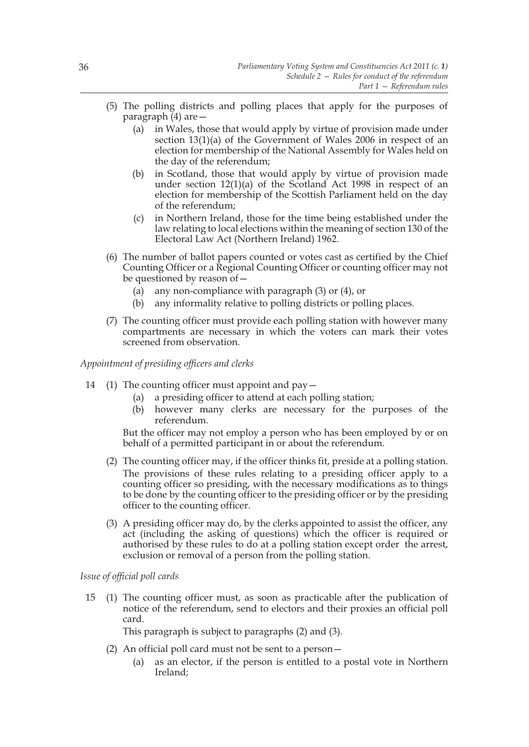- (5) The polling districts and polling places that apply for the purposes of paragraph (4) are—
	- (a) in Wales, those that would apply by virtue of provision made under section 13(1)(a) of the Government of Wales 2006 in respect of an election for membership of the National Assembly for Wales held on the day of the referendum;
	- (b) in Scotland, those that would apply by virtue of provision made under section 12(1)(a) of the Scotland Act 1998 in respect of an election for membership of the Scottish Parliament held on the day of the referendum;
	- (c) in Northern Ireland, those for the time being established under the law relating to local elections within the meaning of section 130 of the Electoral Law Act (Northern Ireland) 1962.
- (6) The number of ballot papers counted or votes cast as certified by the Chief Counting Officer or a Regional Counting Officer or counting officer may not be questioned by reason of—
	- (a) any non-compliance with paragraph (3) or (4), or
	- (b) any informality relative to polling districts or polling places.
- (7) The counting officer must provide each polling station with however many compartments are necessary in which the voters can mark their votes screened from observation.

### *Appointment of presiding officers and clerks*

- 14 (1) The counting officer must appoint and pay—
	- (a) a presiding officer to attend at each polling station;
	- (b) however many clerks are necessary for the purposes of the referendum.

But the officer may not employ a person who has been employed by or on behalf of a permitted participant in or about the referendum.

- (2) The counting officer may, if the officer thinks fit, preside at a polling station. The provisions of these rules relating to a presiding officer apply to a counting officer so presiding, with the necessary modifications as to things to be done by the counting officer to the presiding officer or by the presiding officer to the counting officer.
- (3) A presiding officer may do, by the clerks appointed to assist the officer, any act (including the asking of questions) which the officer is required or authorised by these rules to do at a polling station except order the arrest, exclusion or removal of a person from the polling station.

### *Issue of official poll cards*

15 (1) The counting officer must, as soon as practicable after the publication of notice of the referendum, send to electors and their proxies an official poll card.

This paragraph is subject to paragraphs (2) and (3).

- (2) An official poll card must not be sent to a person—
	- (a) as an elector, if the person is entitled to a postal vote in Northern Ireland;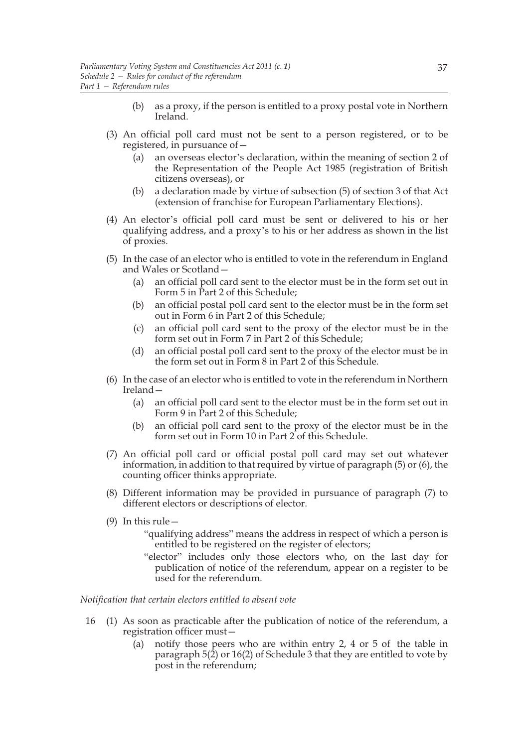- (b) as a proxy, if the person is entitled to a proxy postal vote in Northern Ireland.
- (3) An official poll card must not be sent to a person registered, or to be registered, in pursuance of—
	- (a) an overseas elector's declaration, within the meaning of section 2 of the Representation of the People Act 1985 (registration of British citizens overseas), or
	- (b) a declaration made by virtue of subsection (5) of section 3 of that Act (extension of franchise for European Parliamentary Elections).
- (4) An elector's official poll card must be sent or delivered to his or her qualifying address, and a proxy's to his or her address as shown in the list of proxies.
- (5) In the case of an elector who is entitled to vote in the referendum in England and Wales or Scotland—
	- (a) an official poll card sent to the elector must be in the form set out in Form 5 in Part 2 of this Schedule;
	- (b) an official postal poll card sent to the elector must be in the form set out in Form 6 in Part 2 of this Schedule;
	- (c) an official poll card sent to the proxy of the elector must be in the form set out in Form 7 in Part 2 of this Schedule;
	- (d) an official postal poll card sent to the proxy of the elector must be in the form set out in Form 8 in Part 2 of this Schedule.
- (6) In the case of an elector who is entitled to vote in the referendum in Northern Ireland—
	- (a) an official poll card sent to the elector must be in the form set out in Form 9 in Part 2 of this Schedule;
	- (b) an official poll card sent to the proxy of the elector must be in the form set out in Form 10 in Part 2 of this Schedule.
- (7) An official poll card or official postal poll card may set out whatever information, in addition to that required by virtue of paragraph (5) or (6), the counting officer thinks appropriate.
- (8) Different information may be provided in pursuance of paragraph (7) to different electors or descriptions of elector.
- (9) In this rule—
	- "qualifying address" means the address in respect of which a person is entitled to be registered on the register of electors;
	- "elector" includes only those electors who, on the last day for publication of notice of the referendum, appear on a register to be used for the referendum.

*Notification that certain electors entitled to absent vote*

- 16 (1) As soon as practicable after the publication of notice of the referendum, a registration officer must—
	- (a) notify those peers who are within entry 2, 4 or 5 of the table in paragraph 5(2) or 16(2) of Schedule 3 that they are entitled to vote by post in the referendum;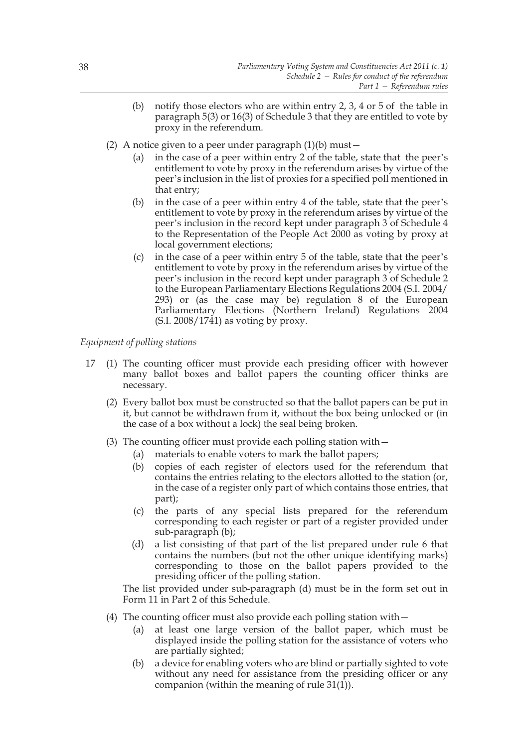- (b) notify those electors who are within entry 2, 3, 4 or 5 of the table in paragraph 5(3) or 16(3) of Schedule 3 that they are entitled to vote by proxy in the referendum.
- (2) A notice given to a peer under paragraph  $(1)(b)$  must -
	- (a) in the case of a peer within entry 2 of the table, state that the peer's entitlement to vote by proxy in the referendum arises by virtue of the peer's inclusion in the list of proxies for a specified poll mentioned in that entry;
	- (b) in the case of a peer within entry 4 of the table, state that the peer's entitlement to vote by proxy in the referendum arises by virtue of the peer's inclusion in the record kept under paragraph 3 of Schedule 4 to the Representation of the People Act 2000 as voting by proxy at local government elections;
	- (c) in the case of a peer within entry 5 of the table, state that the peer's entitlement to vote by proxy in the referendum arises by virtue of the peer's inclusion in the record kept under paragraph 3 of Schedule 2 to the European Parliamentary Elections Regulations 2004 (S.I. 2004/ 293) or (as the case may be) regulation 8 of the European Parliamentary Elections (Northern Ireland) Regulations 2004  $(S.I. 2008/1741)$  as voting by proxy.

### *Equipment of polling stations*

- 17 (1) The counting officer must provide each presiding officer with however many ballot boxes and ballot papers the counting officer thinks are necessary.
	- (2) Every ballot box must be constructed so that the ballot papers can be put in it, but cannot be withdrawn from it, without the box being unlocked or (in the case of a box without a lock) the seal being broken.
	- (3) The counting officer must provide each polling station with—
		- (a) materials to enable voters to mark the ballot papers;
		- (b) copies of each register of electors used for the referendum that contains the entries relating to the electors allotted to the station (or, in the case of a register only part of which contains those entries, that part);
		- (c) the parts of any special lists prepared for the referendum corresponding to each register or part of a register provided under sub-paragraph (b);
		- (d) a list consisting of that part of the list prepared under rule 6 that contains the numbers (but not the other unique identifying marks) corresponding to those on the ballot papers provided to the presiding officer of the polling station.

The list provided under sub-paragraph (d) must be in the form set out in Form 11 in Part 2 of this Schedule.

- (4) The counting officer must also provide each polling station with—
	- (a) at least one large version of the ballot paper, which must be displayed inside the polling station for the assistance of voters who are partially sighted;
	- (b) a device for enabling voters who are blind or partially sighted to vote without any need for assistance from the presiding officer or any companion (within the meaning of rule 31(1)).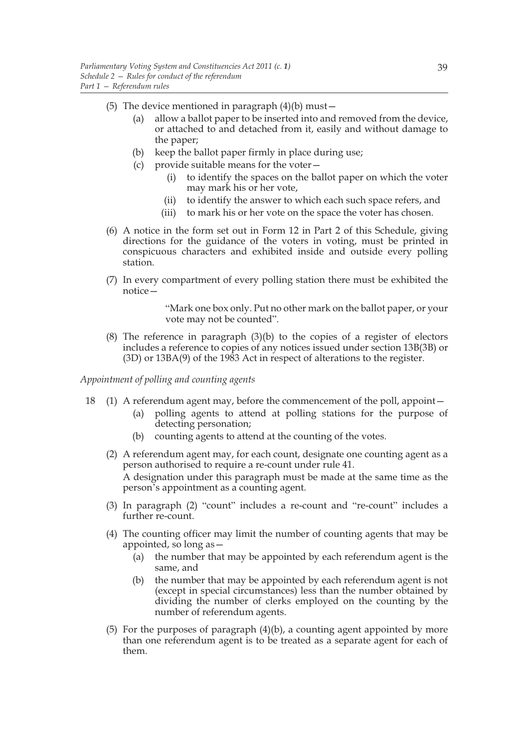- (5) The device mentioned in paragraph  $(4)(b)$  must  $-$ 
	- (a) allow a ballot paper to be inserted into and removed from the device, or attached to and detached from it, easily and without damage to the paper;
	- (b) keep the ballot paper firmly in place during use;
	- (c) provide suitable means for the voter—
		- (i) to identify the spaces on the ballot paper on which the voter may mark his or her vote,
		- (ii) to identify the answer to which each such space refers, and
		- (iii) to mark his or her vote on the space the voter has chosen.
- (6) A notice in the form set out in Form 12 in Part 2 of this Schedule, giving directions for the guidance of the voters in voting, must be printed in conspicuous characters and exhibited inside and outside every polling station.
- (7) In every compartment of every polling station there must be exhibited the notice—

"Mark one box only. Put no other mark on the ballot paper, or your vote may not be counted".

(8) The reference in paragraph (3)(b) to the copies of a register of electors includes a reference to copies of any notices issued under section 13B(3B) or (3D) or 13BA(9) of the 1983 Act in respect of alterations to the register.

*Appointment of polling and counting agents*

- 18 (1) A referendum agent may, before the commencement of the poll, appoint—
	- (a) polling agents to attend at polling stations for the purpose of detecting personation;
	- (b) counting agents to attend at the counting of the votes.

person's appointment as a counting agent.

- (2) A referendum agent may, for each count, designate one counting agent as a person authorised to require a re-count under rule 41. A designation under this paragraph must be made at the same time as the
- (3) In paragraph (2) "count" includes a re-count and "re-count" includes a further re-count.
- (4) The counting officer may limit the number of counting agents that may be appointed, so long as—
	- (a) the number that may be appointed by each referendum agent is the same, and
	- (b) the number that may be appointed by each referendum agent is not (except in special circumstances) less than the number obtained by dividing the number of clerks employed on the counting by the number of referendum agents.
- (5) For the purposes of paragraph  $(4)(b)$ , a counting agent appointed by more than one referendum agent is to be treated as a separate agent for each of them.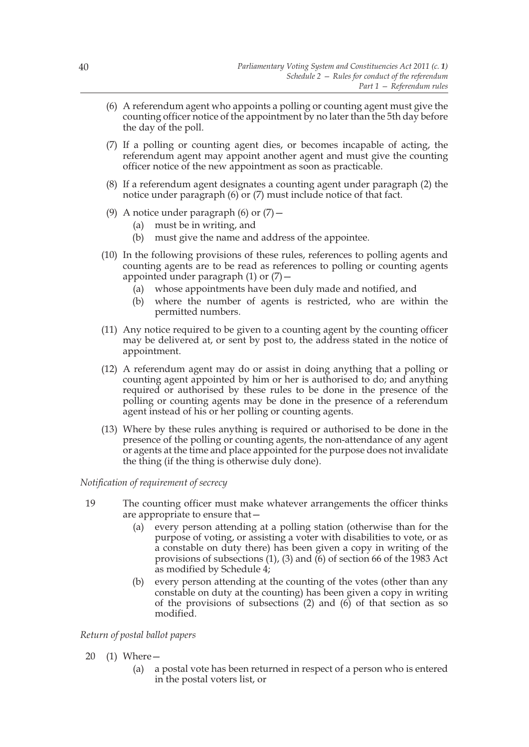- (6) A referendum agent who appoints a polling or counting agent must give the counting officer notice of the appointment by no later than the 5th day before the day of the poll.
- (7) If a polling or counting agent dies, or becomes incapable of acting, the referendum agent may appoint another agent and must give the counting officer notice of the new appointment as soon as practicable.
- (8) If a referendum agent designates a counting agent under paragraph (2) the notice under paragraph (6) or (7) must include notice of that fact.
- (9) A notice under paragraph (6) or  $(7)$ 
	- (a) must be in writing, and
	- (b) must give the name and address of the appointee.
- (10) In the following provisions of these rules, references to polling agents and counting agents are to be read as references to polling or counting agents appointed under paragraph (1) or (7)—
	- (a) whose appointments have been duly made and notified, and
	- (b) where the number of agents is restricted, who are within the permitted numbers.
- (11) Any notice required to be given to a counting agent by the counting officer may be delivered at, or sent by post to, the address stated in the notice of appointment.
- (12) A referendum agent may do or assist in doing anything that a polling or counting agent appointed by him or her is authorised to do; and anything required or authorised by these rules to be done in the presence of the polling or counting agents may be done in the presence of a referendum agent instead of his or her polling or counting agents.
- (13) Where by these rules anything is required or authorised to be done in the presence of the polling or counting agents, the non-attendance of any agent or agents at the time and place appointed for the purpose does not invalidate the thing (if the thing is otherwise duly done).

### *Notification of requirement of secrecy*

- 19 The counting officer must make whatever arrangements the officer thinks are appropriate to ensure that—
	- (a) every person attending at a polling station (otherwise than for the purpose of voting, or assisting a voter with disabilities to vote, or as a constable on duty there) has been given a copy in writing of the provisions of subsections  $(1)$ ,  $(3)$  and  $(6)$  of section 66 of the 1983 Act as modified by Schedule 4;
	- (b) every person attending at the counting of the votes (other than any constable on duty at the counting) has been given a copy in writing of the provisions of subsections  $(2)$  and  $(6)$  of that section as so modified.

### *Return of postal ballot papers*

- 20 (1) Where—
	- (a) a postal vote has been returned in respect of a person who is entered in the postal voters list, or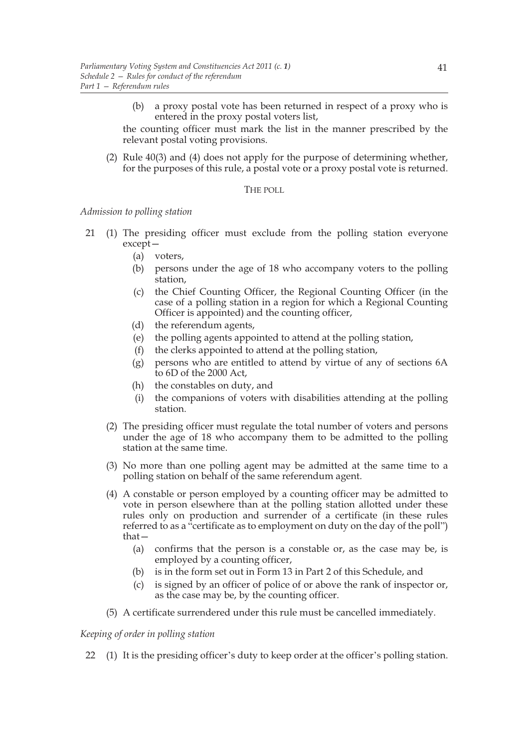(b) a proxy postal vote has been returned in respect of a proxy who is entered in the proxy postal voters list,

the counting officer must mark the list in the manner prescribed by the relevant postal voting provisions.

(2) Rule 40(3) and (4) does not apply for the purpose of determining whether, for the purposes of this rule, a postal vote or a proxy postal vote is returned.

#### THE POLL

#### *Admission to polling station*

- 21 (1) The presiding officer must exclude from the polling station everyone except—
	- (a) voters,
	- (b) persons under the age of 18 who accompany voters to the polling station,
	- (c) the Chief Counting Officer, the Regional Counting Officer (in the case of a polling station in a region for which a Regional Counting Officer is appointed) and the counting officer,
	- (d) the referendum agents,
	- (e) the polling agents appointed to attend at the polling station,
	- (f) the clerks appointed to attend at the polling station,
	- (g) persons who are entitled to attend by virtue of any of sections 6A to 6D of the 2000 Act,
	- (h) the constables on duty, and
	- (i) the companions of voters with disabilities attending at the polling station.
	- (2) The presiding officer must regulate the total number of voters and persons under the age of 18 who accompany them to be admitted to the polling station at the same time.
	- (3) No more than one polling agent may be admitted at the same time to a polling station on behalf of the same referendum agent.
	- (4) A constable or person employed by a counting officer may be admitted to vote in person elsewhere than at the polling station allotted under these rules only on production and surrender of a certificate (in these rules referred to as a "certificate as to employment on duty on the day of the poll") that—
		- (a) confirms that the person is a constable or, as the case may be, is employed by a counting officer,
		- (b) is in the form set out in Form 13 in Part 2 of this Schedule, and
		- (c) is signed by an officer of police of or above the rank of inspector or, as the case may be, by the counting officer.
	- (5) A certificate surrendered under this rule must be cancelled immediately.

#### *Keeping of order in polling station*

22 (1) It is the presiding officer's duty to keep order at the officer's polling station.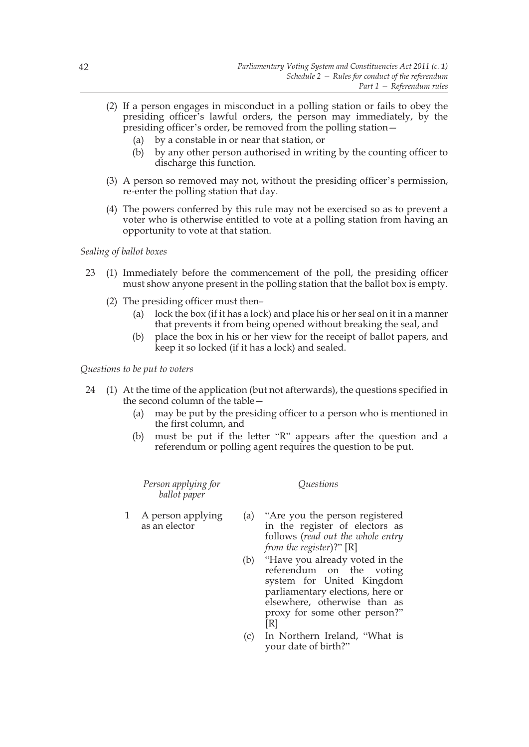- (2) If a person engages in misconduct in a polling station or fails to obey the presiding officer's lawful orders, the person may immediately, by the presiding officer's order, be removed from the polling station—
	- (a) by a constable in or near that station, or
	- (b) by any other person authorised in writing by the counting officer to discharge this function.
- (3) A person so removed may not, without the presiding officer's permission, re-enter the polling station that day.
- (4) The powers conferred by this rule may not be exercised so as to prevent a voter who is otherwise entitled to vote at a polling station from having an opportunity to vote at that station.

#### *Sealing of ballot boxes*

- 23 (1) Immediately before the commencement of the poll, the presiding officer must show anyone present in the polling station that the ballot box is empty.
	- (2) The presiding officer must then–
		- (a) lock the box (if it has a lock) and place his or her seal on it in a manner that prevents it from being opened without breaking the seal, and
		- (b) place the box in his or her view for the receipt of ballot papers, and keep it so locked (if it has a lock) and sealed.

#### *Questions to be put to voters*

- 24 (1) At the time of the application (but not afterwards), the questions specified in the second column of the table—
	- (a) may be put by the presiding officer to a person who is mentioned in the first column, and
	- (b) must be put if the letter "R" appears after the question and a referendum or polling agent requires the question to be put.

*Person applying for ballot paper*

*Questions*

- 1 A person applying as an elector (a) "Are you the person registered in the register of electors as follows (*read out the whole entry*
	- *from the register*)?" [R] (b) "Have you already voted in the referendum on the voting system for United Kingdom parliamentary elections, here or elsewhere, otherwise than as proxy for some other person?" [R]
	- (c) In Northern Ireland, "What is your date of birth?"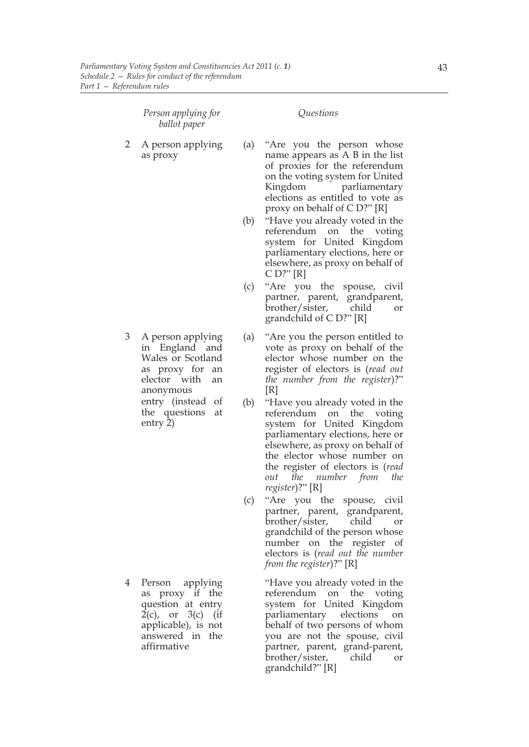|   | Person applying for<br>ballot paper |     | Questions                                                                                                                                                                                                                     |
|---|-------------------------------------|-----|-------------------------------------------------------------------------------------------------------------------------------------------------------------------------------------------------------------------------------|
|   | A person applying<br>as proxy       | (a) | "Are you the person whose<br>name appears as A B in the list<br>of proxies for the referendum<br>on the voting system for United<br>Kingdom parliamentary<br>elections as entitled to vote as<br>proxy on behalf of C D?" [R] |
|   |                                     | (b) | "Have you already voted in the<br>referendum on the voting<br>system for United Kingdom<br>parliamentary elections, here or<br>elsewhere, as proxy on behalf of<br>CD?" [R]                                                   |
|   |                                     | (c) | "Are you the spouse, civil"<br>partner, parent, grandparent,<br>brother/sister, child<br><b>or</b><br>grandchild of $C$ D?" [R]                                                                                               |
| 3 | A person applying<br>in England and | (a) | "Are you the person entitled to<br>vote as proxy on behalf of the                                                                                                                                                             |

3 A person applying in England and Wales or Scotland as proxy for an elector with an anonymous entry (instead of the questions at entry 2)

4 Person applying as proxy if the question at entry  $2(c)$ , or  $3(c)$  (if applicable), is not answered in the affirmative

 $D$ ?" [R] erson entitled to on behalf of the elector whose number on the register of electors is (*read out the number from the register*)?" [R]

- (b) "Have you already voted in the referendum on the voting system for United Kingdom parliamentary elections, here or elsewhere, as proxy on behalf of the elector whose number on the register of electors is (*read out the number from the register*)?" [R]
- (c) "Are you the spouse, civil partner, parent, grandparent, brother/sister, child or grandchild of the person whose number on the register of electors is (*read out the number from the register*)?" [R]

"Have you already voted in the referendum on the voting system for United Kingdom parliamentary elections on behalf of two persons of whom you are not the spouse, civil partner, parent, grand-parent, brother/sister, child or grandchild?" [R]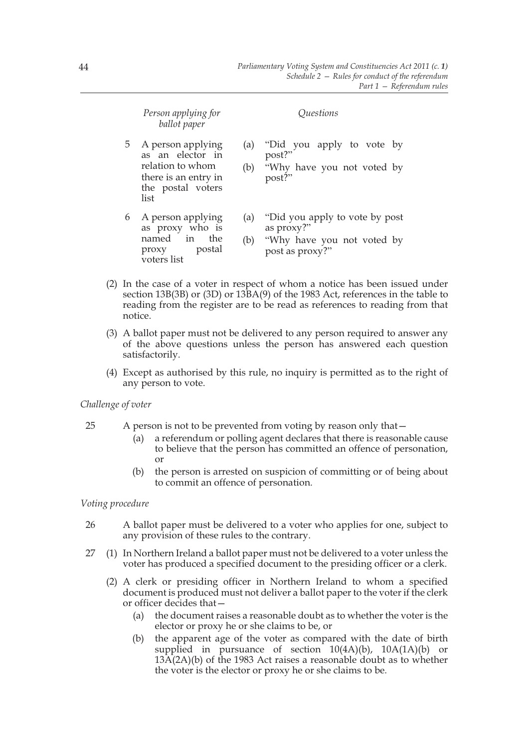|   | Person applying for<br>ballot paper                                                                            |            | <i><u>Ouestions</u></i>                                                                        |
|---|----------------------------------------------------------------------------------------------------------------|------------|------------------------------------------------------------------------------------------------|
| 5 | A person applying<br>as an elector in<br>relation to whom<br>there is an entry in<br>the postal voters<br>list | (a)<br>(b) | "Did you apply to vote by<br>post?"<br>"Why have you not voted by<br>post?"                    |
| 6 | A person applying<br>as proxy who is<br>named<br>in<br>the<br>postal<br>proxy<br>voters list                   | (a)<br>(b) | "Did you apply to vote by post"<br>as proxy?"<br>"Why have you not voted by<br>post as proxy?" |

- (2) In the case of a voter in respect of whom a notice has been issued under section 13B(3B) or (3D) or 13BA(9) of the 1983 Act, references in the table to reading from the register are to be read as references to reading from that notice.
- (3) A ballot paper must not be delivered to any person required to answer any of the above questions unless the person has answered each question satisfactorily.
- (4) Except as authorised by this rule, no inquiry is permitted as to the right of any person to vote.

### *Challenge of voter*

- 25 A person is not to be prevented from voting by reason only that—
	- (a) a referendum or polling agent declares that there is reasonable cause to believe that the person has committed an offence of personation, or
	- (b) the person is arrested on suspicion of committing or of being about to commit an offence of personation.

## *Voting procedure*

- 26 A ballot paper must be delivered to a voter who applies for one, subject to any provision of these rules to the contrary.
- 27 (1) In Northern Ireland a ballot paper must not be delivered to a voter unless the voter has produced a specified document to the presiding officer or a clerk.
	- (2) A clerk or presiding officer in Northern Ireland to whom a specified document is produced must not deliver a ballot paper to the voter if the clerk or officer decides that—
		- (a) the document raises a reasonable doubt as to whether the voter is the elector or proxy he or she claims to be, or
		- (b) the apparent age of the voter as compared with the date of birth supplied in pursuance of section  $10(4A)(b)$ ,  $10A(1A)(b)$  or 13A(2A)(b) of the 1983 Act raises a reasonable doubt as to whether the voter is the elector or proxy he or she claims to be.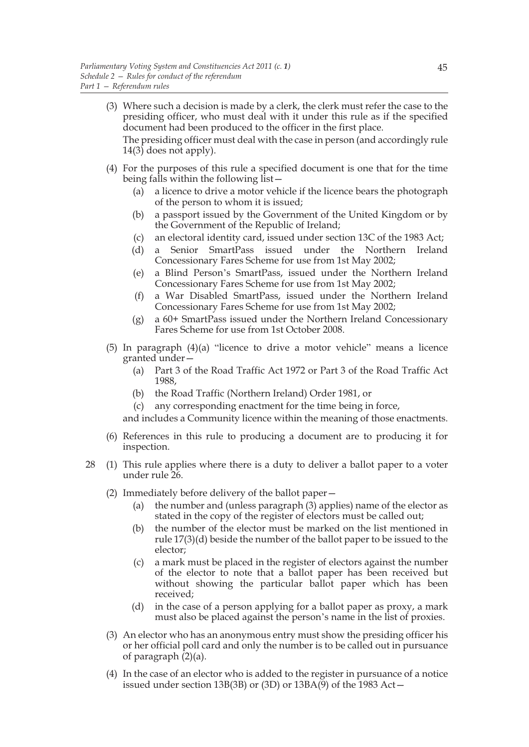(3) Where such a decision is made by a clerk, the clerk must refer the case to the presiding officer, who must deal with it under this rule as if the specified document had been produced to the officer in the first place.

The presiding officer must deal with the case in person (and accordingly rule  $14(3)$  does not apply).

- (4) For the purposes of this rule a specified document is one that for the time being falls within the following list—
	- (a) a licence to drive a motor vehicle if the licence bears the photograph of the person to whom it is issued;
	- (b) a passport issued by the Government of the United Kingdom or by the Government of the Republic of Ireland;
	- (c) an electoral identity card, issued under section 13C of the 1983 Act;
	- (d) a Senior SmartPass issued under the Northern Ireland Concessionary Fares Scheme for use from 1st May 2002;
	- (e) a Blind Person's SmartPass, issued under the Northern Ireland Concessionary Fares Scheme for use from 1st May 2002;
	- (f) a War Disabled SmartPass, issued under the Northern Ireland Concessionary Fares Scheme for use from 1st May 2002;
	- (g) a 60+ SmartPass issued under the Northern Ireland Concessionary Fares Scheme for use from 1st October 2008.
- (5) In paragraph (4)(a) "licence to drive a motor vehicle" means a licence granted under—
	- (a) Part 3 of the Road Traffic Act 1972 or Part 3 of the Road Traffic Act 1988,
	- (b) the Road Traffic (Northern Ireland) Order 1981, or
	- (c) any corresponding enactment for the time being in force,

and includes a Community licence within the meaning of those enactments.

- (6) References in this rule to producing a document are to producing it for inspection.
- 28 (1) This rule applies where there is a duty to deliver a ballot paper to a voter under rule 26.
	- (2) Immediately before delivery of the ballot paper—
		- (a) the number and (unless paragraph (3) applies) name of the elector as stated in the copy of the register of electors must be called out;
		- (b) the number of the elector must be marked on the list mentioned in rule 17(3)(d) beside the number of the ballot paper to be issued to the elector;
		- (c) a mark must be placed in the register of electors against the number of the elector to note that a ballot paper has been received but without showing the particular ballot paper which has been received;
		- (d) in the case of a person applying for a ballot paper as proxy, a mark must also be placed against the person's name in the list of proxies.
	- (3) An elector who has an anonymous entry must show the presiding officer his or her official poll card and only the number is to be called out in pursuance of paragraph  $(2)(a)$ .
	- (4) In the case of an elector who is added to the register in pursuance of a notice issued under section 13B(3B) or (3D) or 13BA(9) of the 1983 Act—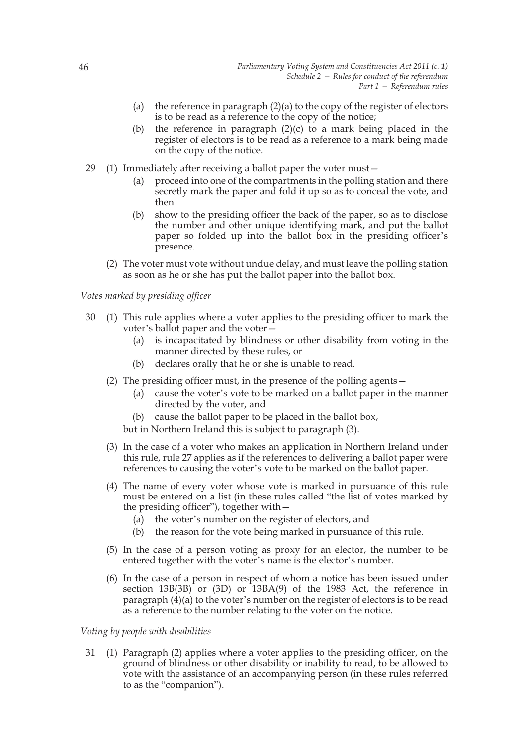- (a) the reference in paragraph  $(2)(a)$  to the copy of the register of electors is to be read as a reference to the copy of the notice;
- (b) the reference in paragraph (2)(c) to a mark being placed in the register of electors is to be read as a reference to a mark being made on the copy of the notice.
- 29 (1) Immediately after receiving a ballot paper the voter must—
	- (a) proceed into one of the compartments in the polling station and there secretly mark the paper and fold it up so as to conceal the vote, and then
	- (b) show to the presiding officer the back of the paper, so as to disclose the number and other unique identifying mark, and put the ballot paper so folded up into the ballot box in the presiding officer's presence.
	- (2) The voter must vote without undue delay, and must leave the polling station as soon as he or she has put the ballot paper into the ballot box.

*Votes marked by presiding officer*

- 30 (1) This rule applies where a voter applies to the presiding officer to mark the voter's ballot paper and the voter—
	- (a) is incapacitated by blindness or other disability from voting in the manner directed by these rules, or
	- (b) declares orally that he or she is unable to read.
	- (2) The presiding officer must, in the presence of the polling agents—
		- (a) cause the voter's vote to be marked on a ballot paper in the manner directed by the voter, and
		- (b) cause the ballot paper to be placed in the ballot box,

but in Northern Ireland this is subject to paragraph (3).

- (3) In the case of a voter who makes an application in Northern Ireland under this rule, rule 27 applies as if the references to delivering a ballot paper were references to causing the voter's vote to be marked on the ballot paper.
- (4) The name of every voter whose vote is marked in pursuance of this rule must be entered on a list (in these rules called "the list of votes marked by the presiding officer"), together with—
	- (a) the voter's number on the register of electors, and
	- (b) the reason for the vote being marked in pursuance of this rule.
- (5) In the case of a person voting as proxy for an elector, the number to be entered together with the voter's name is the elector's number.
- (6) In the case of a person in respect of whom a notice has been issued under section 13B(3B) or (3D) or 13BA(9) of the 1983 Act, the reference in paragraph (4)(a) to the voter's number on the register of electors is to be read as a reference to the number relating to the voter on the notice.

### *Voting by people with disabilities*

31 (1) Paragraph (2) applies where a voter applies to the presiding officer, on the ground of blindness or other disability or inability to read, to be allowed to vote with the assistance of an accompanying person (in these rules referred to as the "companion").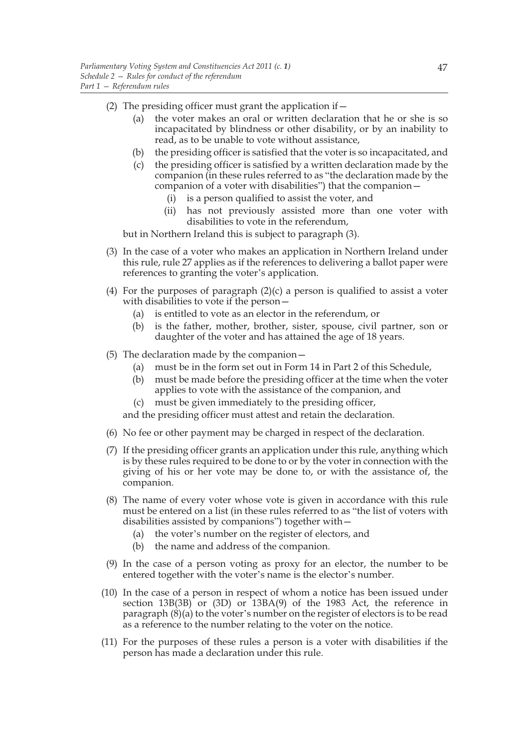- (2) The presiding officer must grant the application if  $-$ 
	- (a) the voter makes an oral or written declaration that he or she is so incapacitated by blindness or other disability, or by an inability to read, as to be unable to vote without assistance,
	- (b) the presiding officer is satisfied that the voter is so incapacitated, and
	- (c) the presiding officer is satisfied by a written declaration made by the companion (in these rules referred to as "the declaration made by the companion of a voter with disabilities") that the companion—
		- (i) is a person qualified to assist the voter, and
		- (ii) has not previously assisted more than one voter with disabilities to vote in the referendum,

but in Northern Ireland this is subject to paragraph (3).

- (3) In the case of a voter who makes an application in Northern Ireland under this rule, rule 27 applies as if the references to delivering a ballot paper were references to granting the voter's application.
- (4) For the purposes of paragraph  $(2)(c)$  a person is qualified to assist a voter with disabilities to vote if the person—
	- (a) is entitled to vote as an elector in the referendum, or
	- (b) is the father, mother, brother, sister, spouse, civil partner, son or daughter of the voter and has attained the age of 18 years.
- (5) The declaration made by the companion—
	- (a) must be in the form set out in Form 14 in Part 2 of this Schedule,
	- (b) must be made before the presiding officer at the time when the voter applies to vote with the assistance of the companion, and
	- (c) must be given immediately to the presiding officer,

and the presiding officer must attest and retain the declaration.

- (6) No fee or other payment may be charged in respect of the declaration.
- (7) If the presiding officer grants an application under this rule, anything which is by these rules required to be done to or by the voter in connection with the giving of his or her vote may be done to, or with the assistance of, the companion.
- (8) The name of every voter whose vote is given in accordance with this rule must be entered on a list (in these rules referred to as "the list of voters with disabilities assisted by companions") together with—
	- (a) the voter's number on the register of electors, and
	- (b) the name and address of the companion.
- (9) In the case of a person voting as proxy for an elector, the number to be entered together with the voter's name is the elector's number.
- (10) In the case of a person in respect of whom a notice has been issued under section 13B(3B) or (3D) or 13BA(9) of the 1983 Act, the reference in paragraph (8)(a) to the voter's number on the register of electors is to be read as a reference to the number relating to the voter on the notice.
- (11) For the purposes of these rules a person is a voter with disabilities if the person has made a declaration under this rule.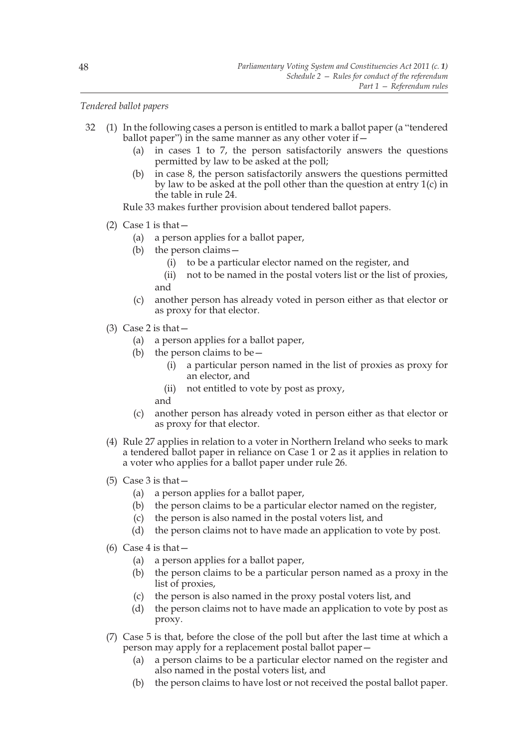*Tendered ballot papers*

- 32 (1) In the following cases a person is entitled to mark a ballot paper (a "tendered ballot paper") in the same manner as any other voter if  $-$ 
	- (a) in cases 1 to 7, the person satisfactorily answers the questions permitted by law to be asked at the poll;
	- (b) in case 8, the person satisfactorily answers the questions permitted by law to be asked at the poll other than the question at entry 1(c) in the table in rule 24.

Rule 33 makes further provision about tendered ballot papers.

- (2) Case 1 is that  $-$ 
	- (a) a person applies for a ballot paper,
	- (b) the person claims—
		- (i) to be a particular elector named on the register, and
		- (ii) not to be named in the postal voters list or the list of proxies, and
	- (c) another person has already voted in person either as that elector or as proxy for that elector.
- (3) Case 2 is that  $-$ 
	- (a) a person applies for a ballot paper,
	- (b) the person claims to be  $$ 
		- a particular person named in the list of proxies as proxy for an elector, and
		- (ii) not entitled to vote by post as proxy,

and

- (c) another person has already voted in person either as that elector or as proxy for that elector.
- (4) Rule 27 applies in relation to a voter in Northern Ireland who seeks to mark a tendered ballot paper in reliance on Case 1 or 2 as it applies in relation to a voter who applies for a ballot paper under rule 26.
- (5) Case  $3$  is that  $-$ 
	- (a) a person applies for a ballot paper,
	- (b) the person claims to be a particular elector named on the register,
	- (c) the person is also named in the postal voters list, and
	- (d) the person claims not to have made an application to vote by post.
- (6) Case 4 is that  $-$ 
	- (a) a person applies for a ballot paper,
	- (b) the person claims to be a particular person named as a proxy in the list of proxies,
	- (c) the person is also named in the proxy postal voters list, and
	- (d) the person claims not to have made an application to vote by post as proxy.
- (7) Case 5 is that, before the close of the poll but after the last time at which a person may apply for a replacement postal ballot paper—
	- (a) a person claims to be a particular elector named on the register and also named in the postal voters list, and
	- (b) the person claims to have lost or not received the postal ballot paper.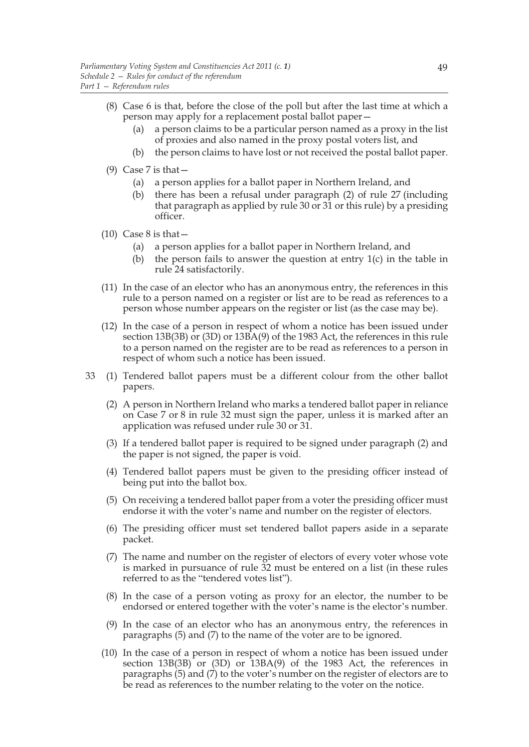- (8) Case 6 is that, before the close of the poll but after the last time at which a person may apply for a replacement postal ballot paper—
	- (a) a person claims to be a particular person named as a proxy in the list of proxies and also named in the proxy postal voters list, and
	- (b) the person claims to have lost or not received the postal ballot paper.
- (9) Case 7 is that  $-$ 
	- (a) a person applies for a ballot paper in Northern Ireland, and
	- (b) there has been a refusal under paragraph (2) of rule 27 (including that paragraph as applied by rule 30 or 31 or this rule) by a presiding officer.
- (10) Case  $8$  is that  $-$ 
	- (a) a person applies for a ballot paper in Northern Ireland, and
	- (b) the person fails to answer the question at entry 1(c) in the table in rule 24 satisfactorily.
- (11) In the case of an elector who has an anonymous entry, the references in this rule to a person named on a register or list are to be read as references to a person whose number appears on the register or list (as the case may be).
- (12) In the case of a person in respect of whom a notice has been issued under section 13B(3B) or (3D) or 13BA(9) of the 1983 Act, the references in this rule to a person named on the register are to be read as references to a person in respect of whom such a notice has been issued.
- 33 (1) Tendered ballot papers must be a different colour from the other ballot papers.
	- (2) A person in Northern Ireland who marks a tendered ballot paper in reliance on Case 7 or 8 in rule 32 must sign the paper, unless it is marked after an application was refused under rule 30 or 31.
	- (3) If a tendered ballot paper is required to be signed under paragraph (2) and the paper is not signed, the paper is void.
	- (4) Tendered ballot papers must be given to the presiding officer instead of being put into the ballot box.
	- (5) On receiving a tendered ballot paper from a voter the presiding officer must endorse it with the voter's name and number on the register of electors.
	- (6) The presiding officer must set tendered ballot papers aside in a separate packet.
	- (7) The name and number on the register of electors of every voter whose vote is marked in pursuance of rule 32 must be entered on a list (in these rules referred to as the "tendered votes list").
	- (8) In the case of a person voting as proxy for an elector, the number to be endorsed or entered together with the voter's name is the elector's number.
	- (9) In the case of an elector who has an anonymous entry, the references in paragraphs (5) and (7) to the name of the voter are to be ignored.
	- (10) In the case of a person in respect of whom a notice has been issued under section 13B(3B) or (3D) or 13BA(9) of the 1983 Act, the references in paragraphs (5) and (7) to the voter's number on the register of electors are to be read as references to the number relating to the voter on the notice.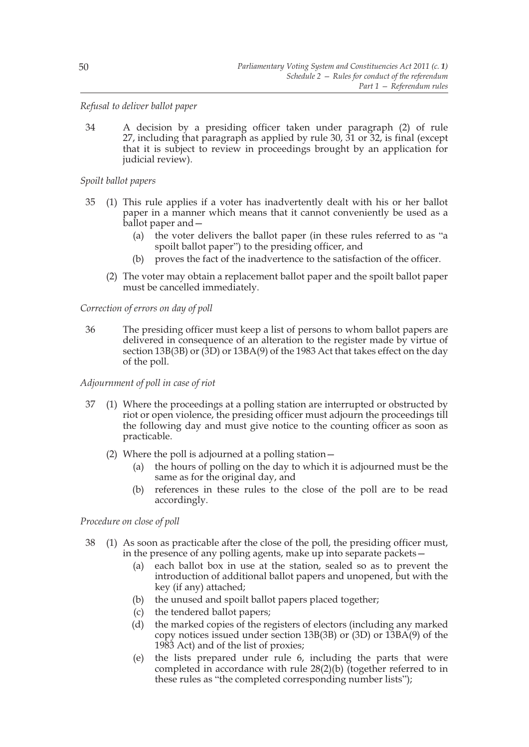### *Refusal to deliver ballot paper*

34 A decision by a presiding officer taken under paragraph (2) of rule 27, including that paragraph as applied by rule 30, 31 or 32, is final (except that it is subject to review in proceedings brought by an application for judicial review).

#### *Spoilt ballot papers*

- 35 (1) This rule applies if a voter has inadvertently dealt with his or her ballot paper in a manner which means that it cannot conveniently be used as a ballot paper and—
	- (a) the voter delivers the ballot paper (in these rules referred to as "a spoilt ballot paper") to the presiding officer, and
	- (b) proves the fact of the inadvertence to the satisfaction of the officer.
	- (2) The voter may obtain a replacement ballot paper and the spoilt ballot paper must be cancelled immediately.

# *Correction of errors on day of poll*

- 36 The presiding officer must keep a list of persons to whom ballot papers are delivered in consequence of an alteration to the register made by virtue of section 13B(3B) or (3D) or 13BA(9) of the 1983 Act that takes effect on the day of the poll.
- *Adjournment of poll in case of riot*
	- 37 (1) Where the proceedings at a polling station are interrupted or obstructed by riot or open violence, the presiding officer must adjourn the proceedings till the following day and must give notice to the counting officer as soon as practicable.
		- (2) Where the poll is adjourned at a polling station—
			- (a) the hours of polling on the day to which it is adjourned must be the same as for the original day, and
			- (b) references in these rules to the close of the poll are to be read accordingly.

## *Procedure on close of poll*

- 38 (1) As soon as practicable after the close of the poll, the presiding officer must, in the presence of any polling agents, make up into separate packets—
	- (a) each ballot box in use at the station, sealed so as to prevent the introduction of additional ballot papers and unopened, but with the key (if any) attached;
	- (b) the unused and spoilt ballot papers placed together;
	- (c) the tendered ballot papers;
	- (d) the marked copies of the registers of electors (including any marked copy notices issued under section 13B(3B) or (3D) or 13BA(9) of the 1983 Act) and of the list of proxies;
	- (e) the lists prepared under rule 6, including the parts that were completed in accordance with rule 28(2)(b) (together referred to in these rules as "the completed corresponding number lists");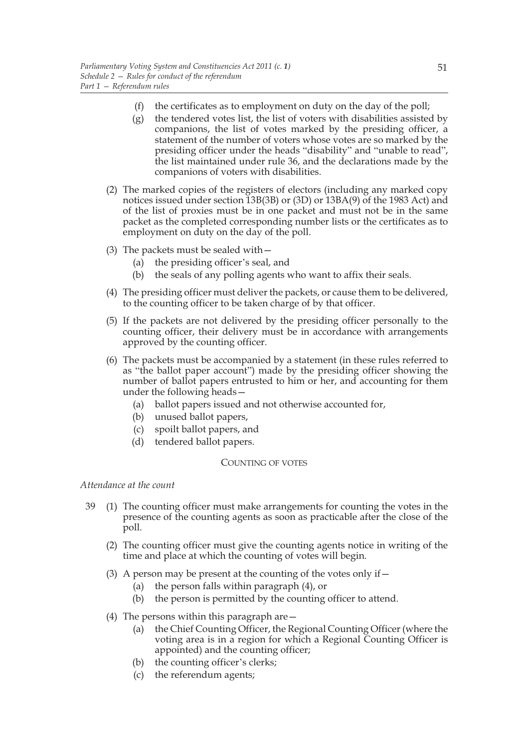- (f) the certificates as to employment on duty on the day of the poll;
- (g) the tendered votes list, the list of voters with disabilities assisted by companions, the list of votes marked by the presiding officer, a statement of the number of voters whose votes are so marked by the presiding officer under the heads "disability" and "unable to read", the list maintained under rule 36, and the declarations made by the companions of voters with disabilities.
- (2) The marked copies of the registers of electors (including any marked copy notices issued under section 13B(3B) or (3D) or 13BA(9) of the 1983 Act) and of the list of proxies must be in one packet and must not be in the same packet as the completed corresponding number lists or the certificates as to employment on duty on the day of the poll.
- (3) The packets must be sealed with—
	- (a) the presiding officer's seal, and
	- (b) the seals of any polling agents who want to affix their seals.
- (4) The presiding officer must deliver the packets, or cause them to be delivered, to the counting officer to be taken charge of by that officer.
- (5) If the packets are not delivered by the presiding officer personally to the counting officer, their delivery must be in accordance with arrangements approved by the counting officer.
- (6) The packets must be accompanied by a statement (in these rules referred to as "the ballot paper account") made by the presiding officer showing the number of ballot papers entrusted to him or her, and accounting for them under the following heads—
	- (a) ballot papers issued and not otherwise accounted for,
	- (b) unused ballot papers,
	- (c) spoilt ballot papers, and
	- (d) tendered ballot papers.

#### COUNTING OF VOTES

### *Attendance at the count*

- 39 (1) The counting officer must make arrangements for counting the votes in the presence of the counting agents as soon as practicable after the close of the poll.
	- (2) The counting officer must give the counting agents notice in writing of the time and place at which the counting of votes will begin.
	- (3) A person may be present at the counting of the votes only if  $-$ 
		- (a) the person falls within paragraph (4), or
		- (b) the person is permitted by the counting officer to attend.
	- (4) The persons within this paragraph are—
		- (a) the Chief Counting Officer, the Regional Counting Officer (where the voting area is in a region for which a Regional Counting Officer is appointed) and the counting officer;
		- (b) the counting officer's clerks;
		- (c) the referendum agents;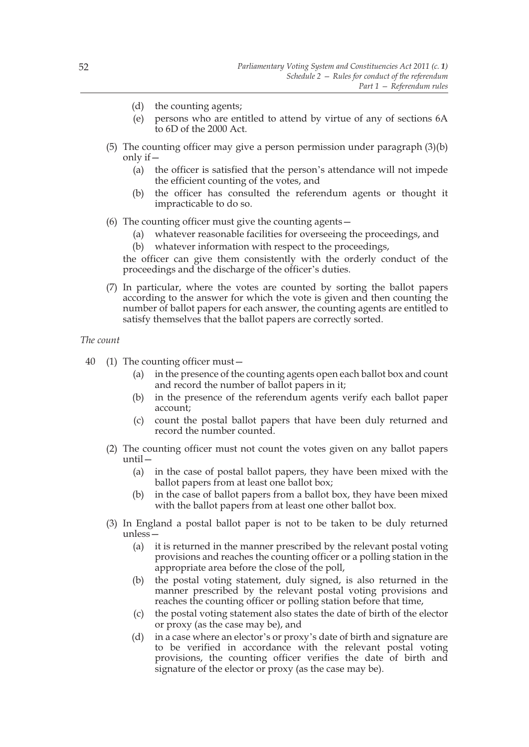- (d) the counting agents;
- (e) persons who are entitled to attend by virtue of any of sections 6A to 6D of the 2000 Act.
- (5) The counting officer may give a person permission under paragraph (3)(b) only if—
	- (a) the officer is satisfied that the person's attendance will not impede the efficient counting of the votes, and
	- (b) the officer has consulted the referendum agents or thought it impracticable to do so.
- (6) The counting officer must give the counting agents—
	- (a) whatever reasonable facilities for overseeing the proceedings, and
	- (b) whatever information with respect to the proceedings,

the officer can give them consistently with the orderly conduct of the proceedings and the discharge of the officer's duties.

(7) In particular, where the votes are counted by sorting the ballot papers according to the answer for which the vote is given and then counting the number of ballot papers for each answer, the counting agents are entitled to satisfy themselves that the ballot papers are correctly sorted.

#### *The count*

- 40 (1) The counting officer must—
	- (a) in the presence of the counting agents open each ballot box and count and record the number of ballot papers in it;
	- (b) in the presence of the referendum agents verify each ballot paper account;
	- (c) count the postal ballot papers that have been duly returned and record the number counted.
	- (2) The counting officer must not count the votes given on any ballot papers until—
		- (a) in the case of postal ballot papers, they have been mixed with the ballot papers from at least one ballot box;
		- (b) in the case of ballot papers from a ballot box, they have been mixed with the ballot papers from at least one other ballot box.
	- (3) In England a postal ballot paper is not to be taken to be duly returned unless—
		- (a) it is returned in the manner prescribed by the relevant postal voting provisions and reaches the counting officer or a polling station in the appropriate area before the close of the poll,
		- (b) the postal voting statement, duly signed, is also returned in the manner prescribed by the relevant postal voting provisions and reaches the counting officer or polling station before that time,
		- (c) the postal voting statement also states the date of birth of the elector or proxy (as the case may be), and
		- (d) in a case where an elector's or proxy's date of birth and signature are to be verified in accordance with the relevant postal voting provisions, the counting officer verifies the date of birth and signature of the elector or proxy (as the case may be).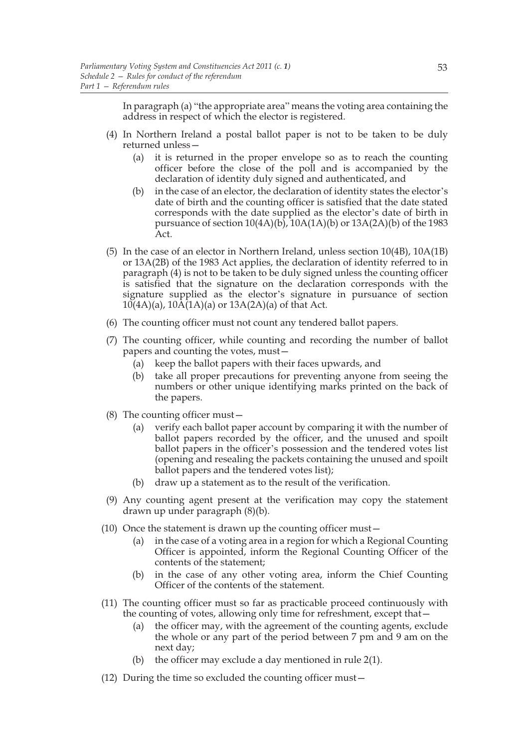In paragraph (a) "the appropriate area" means the voting area containing the address in respect of which the elector is registered.

- (4) In Northern Ireland a postal ballot paper is not to be taken to be duly returned unless—
	- (a) it is returned in the proper envelope so as to reach the counting officer before the close of the poll and is accompanied by the declaration of identity duly signed and authenticated, and
	- (b) in the case of an elector, the declaration of identity states the elector's date of birth and the counting officer is satisfied that the date stated corresponds with the date supplied as the elector's date of birth in pursuance of section 10(4A)(b), 10A(1A)(b) or 13A(2A)(b) of the 1983 Act.
- (5) In the case of an elector in Northern Ireland, unless section 10(4B), 10A(1B) or 13A(2B) of the 1983 Act applies, the declaration of identity referred to in paragraph (4) is not to be taken to be duly signed unless the counting officer is satisfied that the signature on the declaration corresponds with the signature supplied as the elector's signature in pursuance of section  $10(4A)(a)$ ,  $10A(1A)(a)$  or  $13A(2A)(a)$  of that Act.
- (6) The counting officer must not count any tendered ballot papers.
- (7) The counting officer, while counting and recording the number of ballot papers and counting the votes, must—
	- (a) keep the ballot papers with their faces upwards, and
	- (b) take all proper precautions for preventing anyone from seeing the numbers or other unique identifying marks printed on the back of the papers.
- (8) The counting officer must—
	- (a) verify each ballot paper account by comparing it with the number of ballot papers recorded by the officer, and the unused and spoilt ballot papers in the officer's possession and the tendered votes list (opening and resealing the packets containing the unused and spoilt ballot papers and the tendered votes list);
	- (b) draw up a statement as to the result of the verification.
- (9) Any counting agent present at the verification may copy the statement drawn up under paragraph (8)(b).
- (10) Once the statement is drawn up the counting officer must—
	- (a) in the case of a voting area in a region for which a Regional Counting Officer is appointed, inform the Regional Counting Officer of the contents of the statement;
	- (b) in the case of any other voting area, inform the Chief Counting Officer of the contents of the statement.
- (11) The counting officer must so far as practicable proceed continuously with the counting of votes, allowing only time for refreshment, except that—
	- (a) the officer may, with the agreement of the counting agents, exclude the whole or any part of the period between 7 pm and 9 am on the next day;
	- (b) the officer may exclude a day mentioned in rule 2(1).
- (12) During the time so excluded the counting officer must—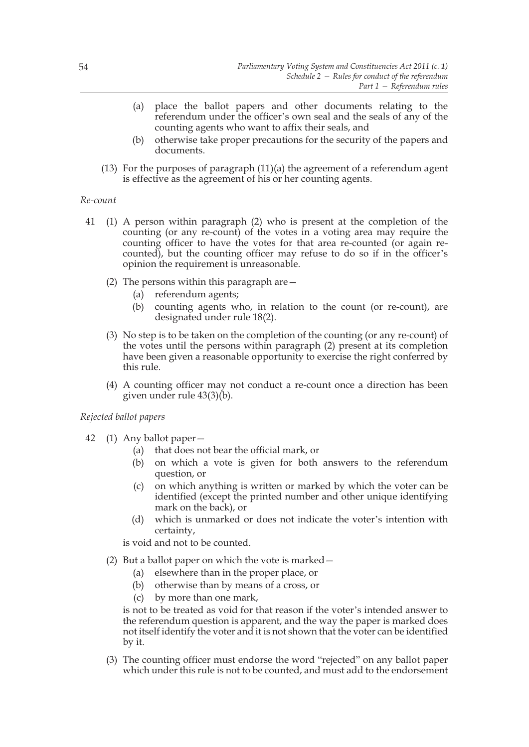- (a) place the ballot papers and other documents relating to the referendum under the officer's own seal and the seals of any of the counting agents who want to affix their seals, and
- (b) otherwise take proper precautions for the security of the papers and documents.
- (13) For the purposes of paragraph (11)(a) the agreement of a referendum agent is effective as the agreement of his or her counting agents.

#### *Re-count*

- 41 (1) A person within paragraph (2) who is present at the completion of the counting (or any re-count) of the votes in a voting area may require the counting officer to have the votes for that area re-counted (or again recounted), but the counting officer may refuse to do so if in the officer's opinion the requirement is unreasonable.
	- (2) The persons within this paragraph are  $-$ 
		- (a) referendum agents;
		- (b) counting agents who, in relation to the count (or re-count), are designated under rule 18(2).
	- (3) No step is to be taken on the completion of the counting (or any re-count) of the votes until the persons within paragraph (2) present at its completion have been given a reasonable opportunity to exercise the right conferred by this rule.
	- (4) A counting officer may not conduct a re-count once a direction has been given under rule 43(3)(b).

#### *Rejected ballot papers*

- 42 (1) Any ballot paper—
	- (a) that does not bear the official mark, or
	- (b) on which a vote is given for both answers to the referendum question, or
	- (c) on which anything is written or marked by which the voter can be identified (except the printed number and other unique identifying mark on the back), or
	- (d) which is unmarked or does not indicate the voter's intention with certainty,

is void and not to be counted.

- (2) But a ballot paper on which the vote is marked—
	- (a) elsewhere than in the proper place, or
	- (b) otherwise than by means of a cross, or
	- (c) by more than one mark,

is not to be treated as void for that reason if the voter's intended answer to the referendum question is apparent, and the way the paper is marked does not itself identify the voter and it is not shown that the voter can be identified by it.

(3) The counting officer must endorse the word "rejected" on any ballot paper which under this rule is not to be counted, and must add to the endorsement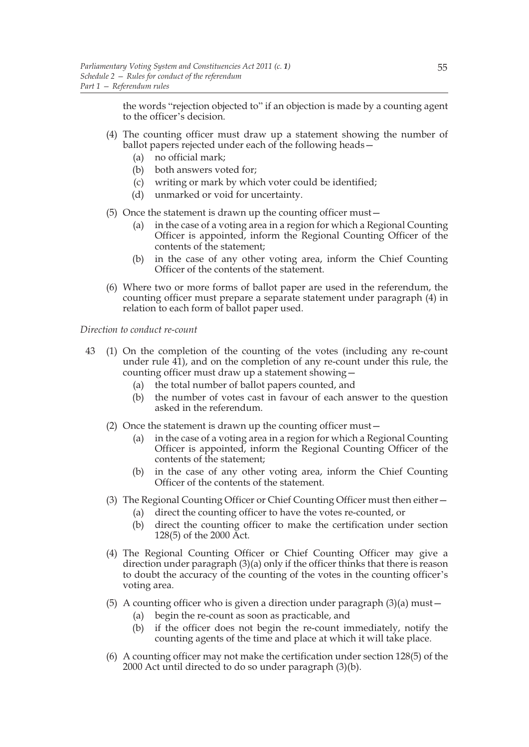the words "rejection objected to" if an objection is made by a counting agent to the officer's decision.

- (4) The counting officer must draw up a statement showing the number of ballot papers rejected under each of the following heads—
	- (a) no official mark;
	- (b) both answers voted for;
	- (c) writing or mark by which voter could be identified;
	- (d) unmarked or void for uncertainty.
- (5) Once the statement is drawn up the counting officer must—
	- (a) in the case of a voting area in a region for which a Regional Counting Officer is appointed, inform the Regional Counting Officer of the contents of the statement;
	- (b) in the case of any other voting area, inform the Chief Counting Officer of the contents of the statement.
- (6) Where two or more forms of ballot paper are used in the referendum, the counting officer must prepare a separate statement under paragraph (4) in relation to each form of ballot paper used.

*Direction to conduct re-count*

- 43 (1) On the completion of the counting of the votes (including any re-count under rule  $\overline{41}$ , and on the completion of any re-count under this rule, the counting officer must draw up a statement showing—
	- (a) the total number of ballot papers counted, and
	- (b) the number of votes cast in favour of each answer to the question asked in the referendum.
	- (2) Once the statement is drawn up the counting officer must—
		- (a) in the case of a voting area in a region for which a Regional Counting Officer is appointed, inform the Regional Counting Officer of the contents of the statement;
		- (b) in the case of any other voting area, inform the Chief Counting Officer of the contents of the statement.
	- (3) The Regional Counting Officer or Chief Counting Officer must then either—
		- (a) direct the counting officer to have the votes re-counted, or
		- (b) direct the counting officer to make the certification under section 128(5) of the 2000 Act.
	- (4) The Regional Counting Officer or Chief Counting Officer may give a direction under paragraph (3)(a) only if the officer thinks that there is reason to doubt the accuracy of the counting of the votes in the counting officer's voting area.
	- (5) A counting officer who is given a direction under paragraph (3)(a) must—
		- (a) begin the re-count as soon as practicable, and
		- (b) if the officer does not begin the re-count immediately, notify the counting agents of the time and place at which it will take place.
	- (6) A counting officer may not make the certification under section 128(5) of the 2000 Act until directed to do so under paragraph (3)(b).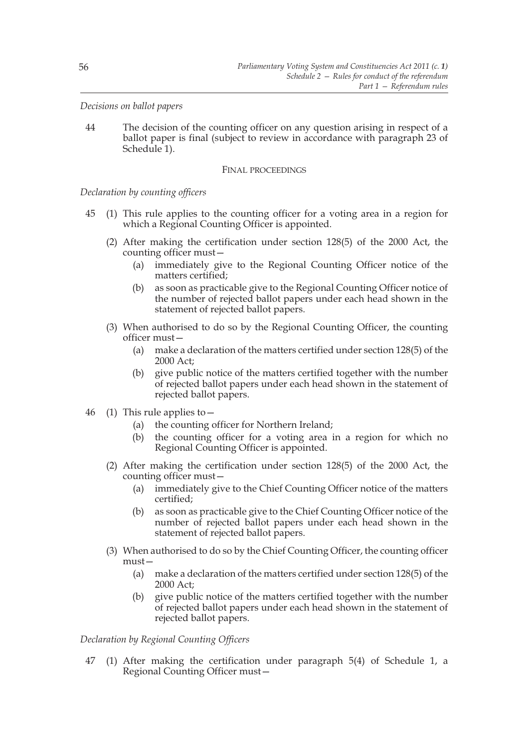#### *Decisions on ballot papers*

44 The decision of the counting officer on any question arising in respect of a ballot paper is final (subject to review in accordance with paragraph 23 of Schedule 1).

#### FINAL PROCEEDINGS

*Declaration by counting officers*

- 45 (1) This rule applies to the counting officer for a voting area in a region for which a Regional Counting Officer is appointed.
	- (2) After making the certification under section 128(5) of the 2000 Act, the counting officer must—
		- (a) immediately give to the Regional Counting Officer notice of the matters certified;
		- (b) as soon as practicable give to the Regional Counting Officer notice of the number of rejected ballot papers under each head shown in the statement of rejected ballot papers.
	- (3) When authorised to do so by the Regional Counting Officer, the counting officer must—
		- (a) make a declaration of the matters certified under section 128(5) of the 2000 Act;
		- (b) give public notice of the matters certified together with the number of rejected ballot papers under each head shown in the statement of rejected ballot papers.
- 46 (1) This rule applies to—
	- (a) the counting officer for Northern Ireland;
	- (b) the counting officer for a voting area in a region for which no Regional Counting Officer is appointed.
	- (2) After making the certification under section 128(5) of the 2000 Act, the counting officer must—
		- (a) immediately give to the Chief Counting Officer notice of the matters certified;
		- (b) as soon as practicable give to the Chief Counting Officer notice of the number of rejected ballot papers under each head shown in the statement of rejected ballot papers.
	- (3) When authorised to do so by the Chief Counting Officer, the counting officer must—
		- (a) make a declaration of the matters certified under section 128(5) of the 2000 Act;
		- (b) give public notice of the matters certified together with the number of rejected ballot papers under each head shown in the statement of rejected ballot papers.

### *Declaration by Regional Counting Officers*

47 (1) After making the certification under paragraph 5(4) of Schedule 1, a Regional Counting Officer must—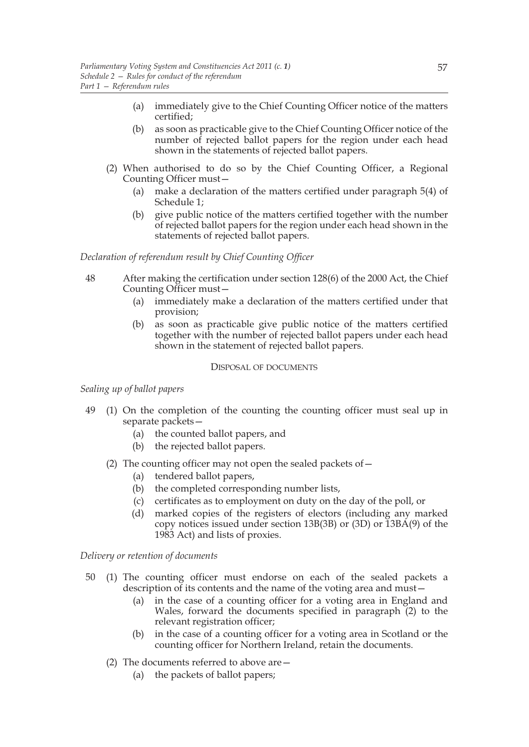- (a) immediately give to the Chief Counting Officer notice of the matters certified;
- (b) as soon as practicable give to the Chief Counting Officer notice of the number of rejected ballot papers for the region under each head shown in the statements of rejected ballot papers.
- (2) When authorised to do so by the Chief Counting Officer, a Regional Counting Officer must—
	- (a) make a declaration of the matters certified under paragraph 5(4) of Schedule 1;
	- (b) give public notice of the matters certified together with the number of rejected ballot papers for the region under each head shown in the statements of rejected ballot papers.

#### *Declaration of referendum result by Chief Counting Officer*

- 48 After making the certification under section 128(6) of the 2000 Act, the Chief Counting Officer must—
	- (a) immediately make a declaration of the matters certified under that provision;
	- (b) as soon as practicable give public notice of the matters certified together with the number of rejected ballot papers under each head shown in the statement of rejected ballot papers.

#### DISPOSAL OF DOCUMENTS

#### *Sealing up of ballot papers*

- 49 (1) On the completion of the counting the counting officer must seal up in separate packets—
	- (a) the counted ballot papers, and
	- (b) the rejected ballot papers.
	- (2) The counting officer may not open the sealed packets of  $-$ 
		- (a) tendered ballot papers,
		- (b) the completed corresponding number lists,
		- (c) certificates as to employment on duty on the day of the poll, or
		- (d) marked copies of the registers of electors (including any marked copy notices issued under section 13B(3B) or (3D) or 13BA(9) of the 1983 Act) and lists of proxies.

*Delivery or retention of documents*

- 50 (1) The counting officer must endorse on each of the sealed packets a description of its contents and the name of the voting area and must—
	- (a) in the case of a counting officer for a voting area in England and Wales, forward the documents specified in paragraph (2) to the relevant registration officer;
	- (b) in the case of a counting officer for a voting area in Scotland or the counting officer for Northern Ireland, retain the documents.
	- (2) The documents referred to above are—
		- (a) the packets of ballot papers;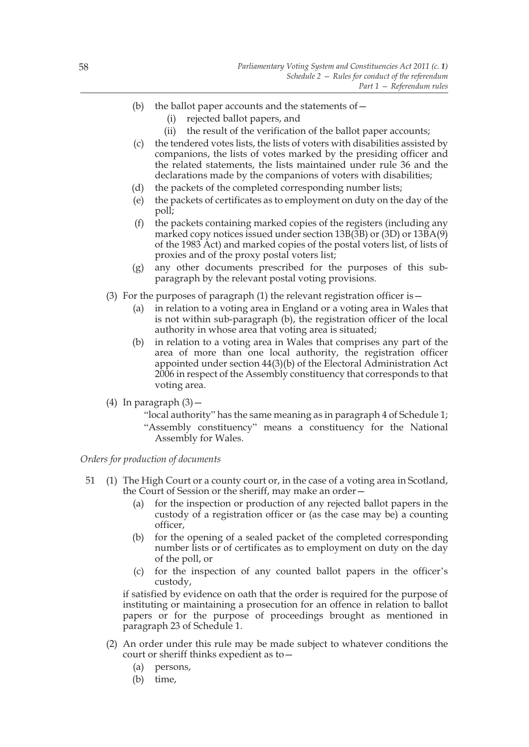- (b) the ballot paper accounts and the statements of  $-$ 
	- (i) rejected ballot papers, and
	- (ii) the result of the verification of the ballot paper accounts;
- (c) the tendered votes lists, the lists of voters with disabilities assisted by companions, the lists of votes marked by the presiding officer and the related statements, the lists maintained under rule 36 and the declarations made by the companions of voters with disabilities;
- (d) the packets of the completed corresponding number lists;
- (e) the packets of certificates as to employment on duty on the day of the poll;
- (f) the packets containing marked copies of the registers (including any marked copy notices issued under section 13B(3B) or (3D) or 13BA(9) of the 1983 Act) and marked copies of the postal voters list, of lists of proxies and of the proxy postal voters list;
- (g) any other documents prescribed for the purposes of this subparagraph by the relevant postal voting provisions.
- (3) For the purposes of paragraph (1) the relevant registration officer is  $-$ 
	- (a) in relation to a voting area in England or a voting area in Wales that is not within sub-paragraph (b), the registration officer of the local authority in whose area that voting area is situated;
	- (b) in relation to a voting area in Wales that comprises any part of the area of more than one local authority, the registration officer appointed under section 44(3)(b) of the Electoral Administration Act 2006 in respect of the Assembly constituency that corresponds to that voting area.
- (4) In paragraph  $(3)$  -
	- "local authority" has the same meaning as in paragraph 4 of Schedule 1; "Assembly constituency" means a constituency for the National Assembly for Wales.

### *Orders for production of documents*

- 51 (1) The High Court or a county court or, in the case of a voting area in Scotland, the Court of Session or the sheriff, may make an order—
	- (a) for the inspection or production of any rejected ballot papers in the custody of a registration officer or (as the case may be) a counting officer,
	- (b) for the opening of a sealed packet of the completed corresponding number lists or of certificates as to employment on duty on the day of the poll, or
	- (c) for the inspection of any counted ballot papers in the officer's custody,

if satisfied by evidence on oath that the order is required for the purpose of instituting or maintaining a prosecution for an offence in relation to ballot papers or for the purpose of proceedings brought as mentioned in paragraph 23 of Schedule 1.

- (2) An order under this rule may be made subject to whatever conditions the court or sheriff thinks expedient as to—
	- (a) persons,
	- (b) time,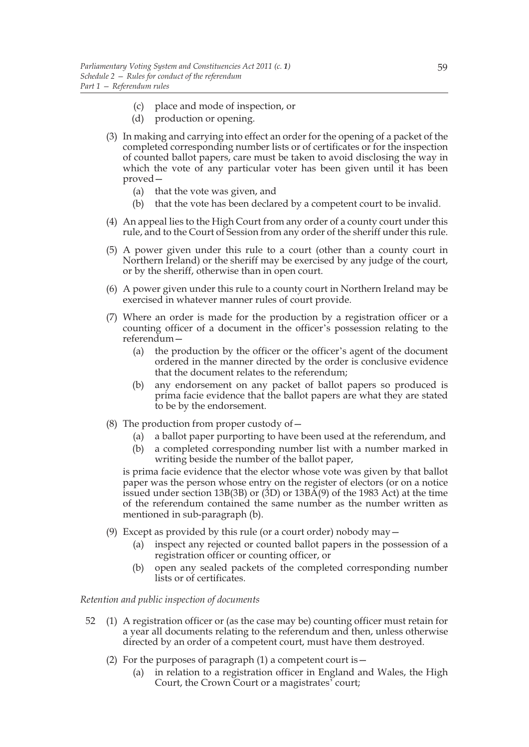- (c) place and mode of inspection, or
- (d) production or opening.
- (3) In making and carrying into effect an order for the opening of a packet of the completed corresponding number lists or of certificates or for the inspection of counted ballot papers, care must be taken to avoid disclosing the way in which the vote of any particular voter has been given until it has been proved—
	- (a) that the vote was given, and
	- (b) that the vote has been declared by a competent court to be invalid.
- (4) An appeal lies to the High Court from any order of a county court under this rule, and to the Court of Session from any order of the sheriff under this rule.
- (5) A power given under this rule to a court (other than a county court in Northern Ireland) or the sheriff may be exercised by any judge of the court, or by the sheriff, otherwise than in open court.
- (6) A power given under this rule to a county court in Northern Ireland may be exercised in whatever manner rules of court provide.
- (7) Where an order is made for the production by a registration officer or a counting officer of a document in the officer's possession relating to the referendum—
	- (a) the production by the officer or the officer's agent of the document ordered in the manner directed by the order is conclusive evidence that the document relates to the referendum;
	- (b) any endorsement on any packet of ballot papers so produced is prima facie evidence that the ballot papers are what they are stated to be by the endorsement.
- (8) The production from proper custody of  $-$ 
	- (a) a ballot paper purporting to have been used at the referendum, and
	- (b) a completed corresponding number list with a number marked in writing beside the number of the ballot paper,

is prima facie evidence that the elector whose vote was given by that ballot paper was the person whose entry on the register of electors (or on a notice issued under section 13B(3B) or (3D) or 13BA(9) of the 1983 Act) at the time of the referendum contained the same number as the number written as mentioned in sub-paragraph (b).

- (9) Except as provided by this rule (or a court order) nobody may  $-$ 
	- (a) inspect any rejected or counted ballot papers in the possession of a registration officer or counting officer, or
	- (b) open any sealed packets of the completed corresponding number lists or of certificates.

#### *Retention and public inspection of documents*

- 52 (1) A registration officer or (as the case may be) counting officer must retain for a year all documents relating to the referendum and then, unless otherwise directed by an order of a competent court, must have them destroyed.
	- (2) For the purposes of paragraph  $(1)$  a competent court is  $-$ 
		- (a) in relation to a registration officer in England and Wales, the High Court, the Crown Court or a magistrates' court;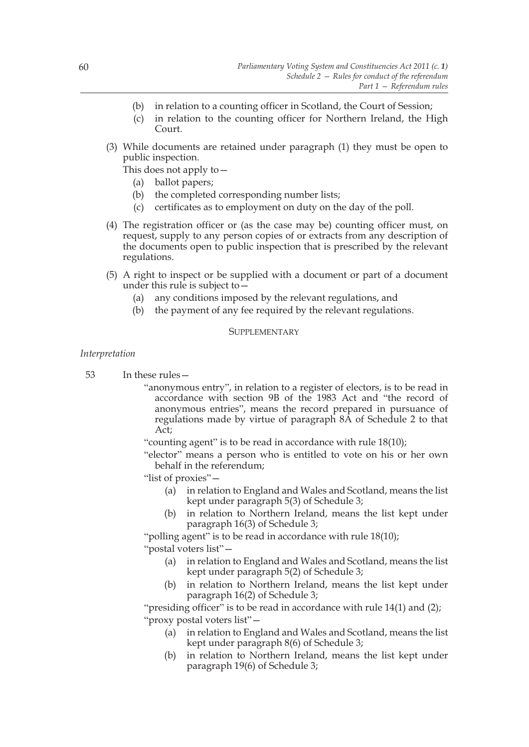- (b) in relation to a counting officer in Scotland, the Court of Session;
- (c) in relation to the counting officer for Northern Ireland, the High Court.
- (3) While documents are retained under paragraph (1) they must be open to public inspection.

This does not apply to—

- (a) ballot papers;
- (b) the completed corresponding number lists;
- (c) certificates as to employment on duty on the day of the poll.
- (4) The registration officer or (as the case may be) counting officer must, on request, supply to any person copies of or extracts from any description of the documents open to public inspection that is prescribed by the relevant regulations.
- (5) A right to inspect or be supplied with a document or part of a document under this rule is subject to—
	- (a) any conditions imposed by the relevant regulations, and
	- (b) the payment of any fee required by the relevant regulations.

#### SUPPLEMENTARY

### *Interpretation*

- 53 In these rules—
	- "anonymous entry", in relation to a register of electors, is to be read in accordance with section 9B of the 1983 Act and "the record of anonymous entries", means the record prepared in pursuance of regulations made by virtue of paragraph 8A of Schedule 2 to that Act;

"counting agent" is to be read in accordance with rule 18(10);

"elector" means a person who is entitled to vote on his or her own behalf in the referendum;

"list of proxies"—

- (a) in relation to England and Wales and Scotland, means the list kept under paragraph 5(3) of Schedule 3;
- (b) in relation to Northern Ireland, means the list kept under paragraph 16(3) of Schedule 3;

"polling agent" is to be read in accordance with rule 18(10);

"postal voters list"—

- (a) in relation to England and Wales and Scotland, means the list kept under paragraph 5(2) of Schedule 3;
- (b) in relation to Northern Ireland, means the list kept under paragraph 16(2) of Schedule 3;

"presiding officer" is to be read in accordance with rule 14(1) and (2); "proxy postal voters list"—

- (a) in relation to England and Wales and Scotland, means the list kept under paragraph 8(6) of Schedule 3;
- (b) in relation to Northern Ireland, means the list kept under paragraph 19(6) of Schedule 3;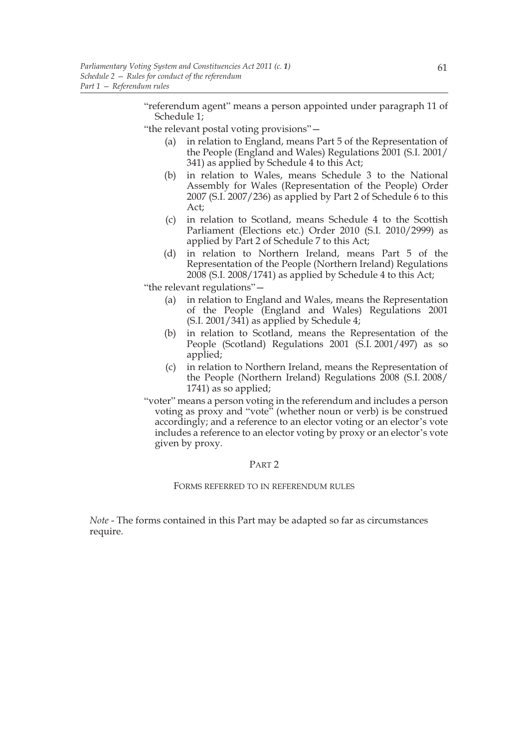"referendum agent" means a person appointed under paragraph 11 of Schedule 1;

"the relevant postal voting provisions"—

- (a) in relation to England, means Part 5 of the Representation of the People (England and Wales) Regulations 2001 (S.I. 2001/ 341) as applied by Schedule 4 to this Act;
- (b) in relation to Wales, means Schedule 3 to the National Assembly for Wales (Representation of the People) Order 2007 (S.I. 2007/236) as applied by Part 2 of Schedule 6 to this Act;
- (c) in relation to Scotland, means Schedule 4 to the Scottish Parliament (Elections etc.) Order 2010 (S.I. 2010/2999) as applied by Part 2 of Schedule 7 to this Act;
- (d) in relation to Northern Ireland, means Part 5 of the Representation of the People (Northern Ireland) Regulations 2008 (S.I. 2008/1741) as applied by Schedule 4 to this Act;

"the relevant regulations"—

- (a) in relation to England and Wales, means the Representation of the People (England and Wales) Regulations 2001 (S.I. 2001/341) as applied by Schedule 4;
- (b) in relation to Scotland, means the Representation of the People (Scotland) Regulations 2001 (S.I. 2001/497) as so applied;
- (c) in relation to Northern Ireland, means the Representation of the People (Northern Ireland) Regulations 2008 (S.I. 2008/ 1741) as so applied;
- "voter" means a person voting in the referendum and includes a person voting as proxy and "vote" (whether noun or verb) is be construed accordingly; and a reference to an elector voting or an elector's vote includes a reference to an elector voting by proxy or an elector's vote given by proxy.

#### PART 2

#### FORMS REFERRED TO IN REFERENDUM RULES

*Note* - The forms contained in this Part may be adapted so far as circumstances require.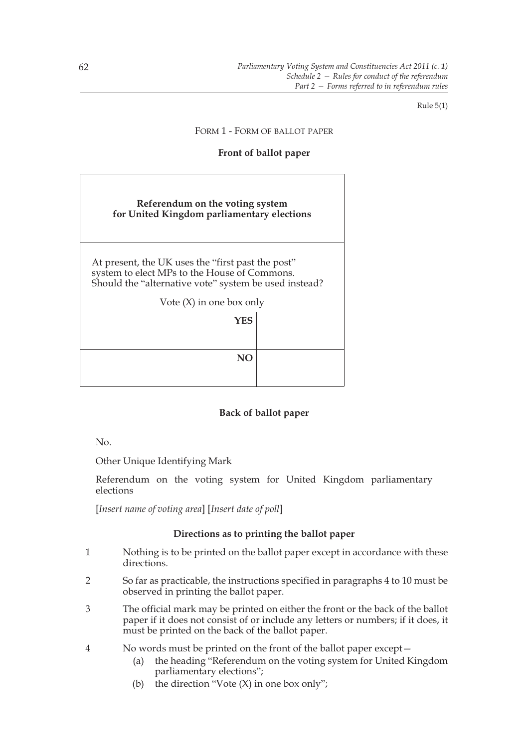Rule 5(1)

#### FORM 1 - FORM OF BALLOT PAPER

## **Front of ballot paper**

| Referendum on the voting system<br>for United Kingdom parliamentary elections                                                                                                            |  |  |  |
|------------------------------------------------------------------------------------------------------------------------------------------------------------------------------------------|--|--|--|
| At present, the UK uses the "first past the post"<br>system to elect MPs to the House of Commons.<br>Should the "alternative vote" system be used instead?<br>Vote $(X)$ in one box only |  |  |  |
|                                                                                                                                                                                          |  |  |  |
| YFS                                                                                                                                                                                      |  |  |  |
|                                                                                                                                                                                          |  |  |  |
| NΟ                                                                                                                                                                                       |  |  |  |
|                                                                                                                                                                                          |  |  |  |

## **Back of ballot paper**

No.

Other Unique Identifying Mark

Referendum on the voting system for United Kingdom parliamentary elections

[*Insert name of voting area*] [*Insert date of poll*]

# **Directions as to printing the ballot paper**

- 1 Nothing is to be printed on the ballot paper except in accordance with these directions.
- 2 So far as practicable, the instructions specified in paragraphs 4 to 10 must be observed in printing the ballot paper.
- 3 The official mark may be printed on either the front or the back of the ballot paper if it does not consist of or include any letters or numbers; if it does, it must be printed on the back of the ballot paper.
- 4 No words must be printed on the front of the ballot paper except—
	- (a) the heading "Referendum on the voting system for United Kingdom parliamentary elections";
	- (b) the direction "Vote (X) in one box only";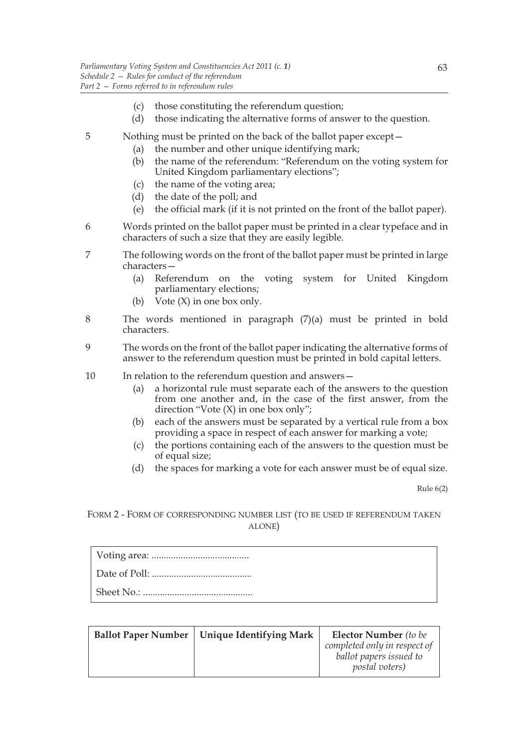- (c) those constituting the referendum question;
- (d) those indicating the alternative forms of answer to the question.
- 5 Nothing must be printed on the back of the ballot paper except—
	- (a) the number and other unique identifying mark;
	- (b) the name of the referendum: "Referendum on the voting system for United Kingdom parliamentary elections";
	- (c) the name of the voting area;
	- (d) the date of the poll; and
	- (e) the official mark (if it is not printed on the front of the ballot paper).
- 6 Words printed on the ballot paper must be printed in a clear typeface and in characters of such a size that they are easily legible.
- 7 The following words on the front of the ballot paper must be printed in large characters—
	- (a) Referendum on the voting system for United Kingdom parliamentary elections;
	- (b) Vote (X) in one box only.
- 8 The words mentioned in paragraph (7)(a) must be printed in bold characters.
- 9 The words on the front of the ballot paper indicating the alternative forms of answer to the referendum question must be printed in bold capital letters.
- 10 In relation to the referendum question and answers—
	- (a) a horizontal rule must separate each of the answers to the question from one another and, in the case of the first answer, from the direction "Vote (X) in one box only";
	- (b) each of the answers must be separated by a vertical rule from a box providing a space in respect of each answer for marking a vote;
	- (c) the portions containing each of the answers to the question must be of equal size;
	- (d) the spaces for marking a vote for each answer must be of equal size.

Rule 6(2)

# FORM 2 - FORM OF CORRESPONDING NUMBER LIST (TO BE USED IF REFERENDUM TAKEN ALONE)

| Ballot Paper Number   Unique Identifying Mark | <b>Elector Number</b> (to be                                                      |
|-----------------------------------------------|-----------------------------------------------------------------------------------|
|                                               | completed only in respect of<br>ballot papers issued to<br><i>postal voters</i> ) |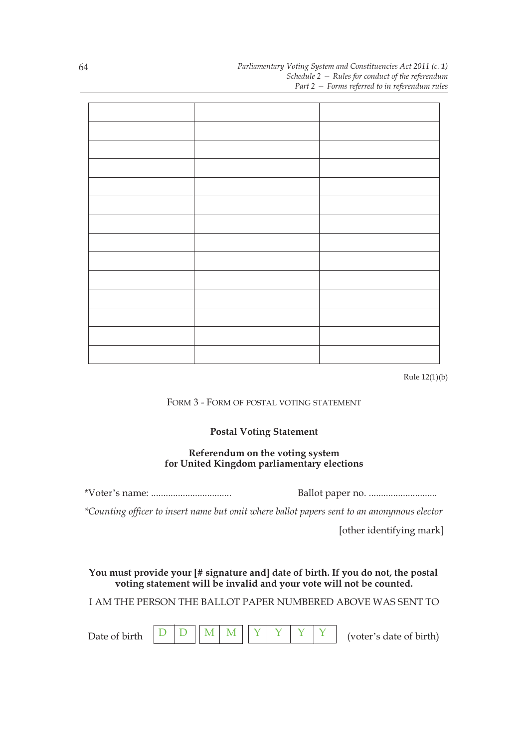Rule 12(1)(b)

FORM 3 - FORM OF POSTAL VOTING STATEMENT

# **Postal Voting Statement**

#### **Referendum on the voting system for United Kingdom parliamentary elections**

\*Voter's name: ................................. Ballot paper no. ............................

*\*Counting officer to insert name but omit where ballot papers sent to an anonymous elector*

[other identifying mark]

**You must provide your [# signature and] date of birth. If you do not, the postal voting statement will be invalid and your vote will not be counted.**

I AM THE PERSON THE BALLOT PAPER NUMBERED ABOVE WAS SENT TO

| Date of birth |  |  |  |  | $\mathbb{E}_{\text{min}}$   D   D   M   M   Y   Y   Y   Y   (voter's date of birth) |
|---------------|--|--|--|--|-------------------------------------------------------------------------------------|
|               |  |  |  |  |                                                                                     |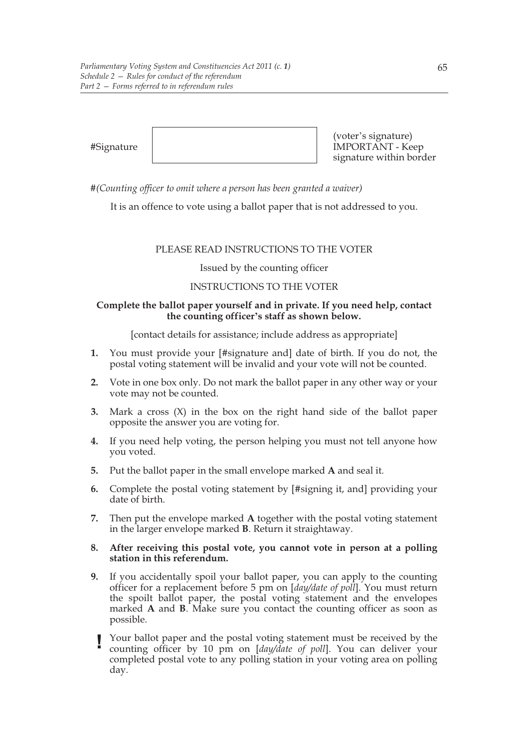#Signature

(voter's signature) IMPORTANT - Keep signature within border

*#(Counting officer to omit where a person has been granted a waiver)*

It is an offence to vote using a ballot paper that is not addressed to you.

## PLEASE READ INSTRUCTIONS TO THE VOTER

### Issued by the counting officer

## INSTRUCTIONS TO THE VOTER

#### **Complete the ballot paper yourself and in private. If you need help, contact the counting officer's staff as shown below.**

[contact details for assistance; include address as appropriate]

- **1.** You must provide your [#signature and] date of birth. If you do not, the postal voting statement will be invalid and your vote will not be counted.
- **2.** Vote in one box only. Do not mark the ballot paper in any other way or your vote may not be counted.
- **3.** Mark a cross (X) in the box on the right hand side of the ballot paper opposite the answer you are voting for.
- **4.** If you need help voting, the person helping you must not tell anyone how you voted.
- **5.** Put the ballot paper in the small envelope marked **A** and seal it.
- **6.** Complete the postal voting statement by [#signing it, and] providing your date of birth.
- **7.** Then put the envelope marked **A** together with the postal voting statement in the larger envelope marked **B**. Return it straightaway.
- **8. After receiving this postal vote, you cannot vote in person at a polling station in this referendum.**
- **9.** If you accidentally spoil your ballot paper, you can apply to the counting officer for a replacement before 5 pm on [*day/date of poll*]. You must return the spoilt ballot paper, the postal voting statement and the envelopes marked **A** and **B**. Make sure you contact the counting officer as soon as possible.
	- Your ballot paper and the postal voting statement must be received by the counting officer by 10 pm on [*day/date of poll*]. You can deliver your completed postal vote to any polling station in your voting area on polling day. **!**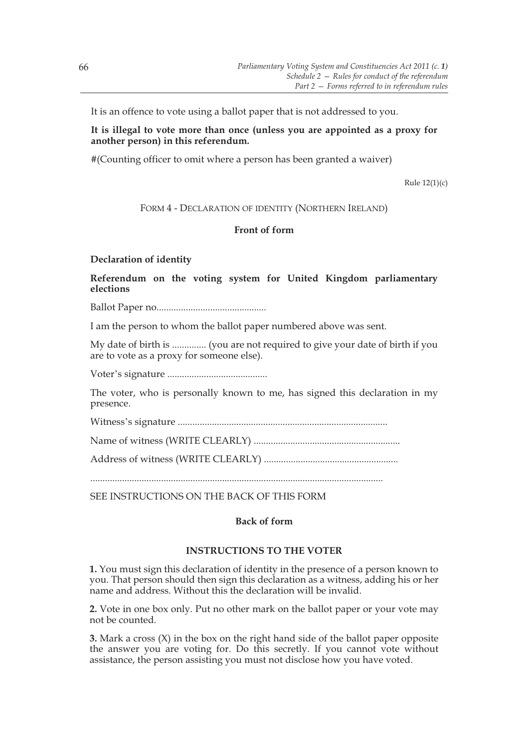It is an offence to vote using a ballot paper that is not addressed to you.

## **It is illegal to vote more than once (unless you are appointed as a proxy for another person) in this referendum.**

#(Counting officer to omit where a person has been granted a waiver)

Rule 12(1)(c)

FORM 4 - DECLARATION OF IDENTITY (NORTHERN IRELAND)

## **Front of form**

## **Declaration of identity**

**Referendum on the voting system for United Kingdom parliamentary elections**

Ballot Paper no.............................................

I am the person to whom the ballot paper numbered above was sent.

My date of birth is .............. (you are not required to give your date of birth if you are to vote as a proxy for someone else).

Voter's signature .........................................

The voter, who is personally known to me, has signed this declaration in my presence.

Witness's signature ......................................................................................

Name of witness (WRITE CLEARLY) ............................................................

Address of witness (WRITE CLEARLY) .......................................................

........................................................................................................................

SEE INSTRUCTIONS ON THE BACK OF THIS FORM

## **Back of form**

### **INSTRUCTIONS TO THE VOTER**

**1.** You must sign this declaration of identity in the presence of a person known to you. That person should then sign this declaration as a witness, adding his or her name and address. Without this the declaration will be invalid.

**2.** Vote in one box only. Put no other mark on the ballot paper or your vote may not be counted.

**3.** Mark a cross (X) in the box on the right hand side of the ballot paper opposite the answer you are voting for. Do this secretly. If you cannot vote without assistance, the person assisting you must not disclose how you have voted.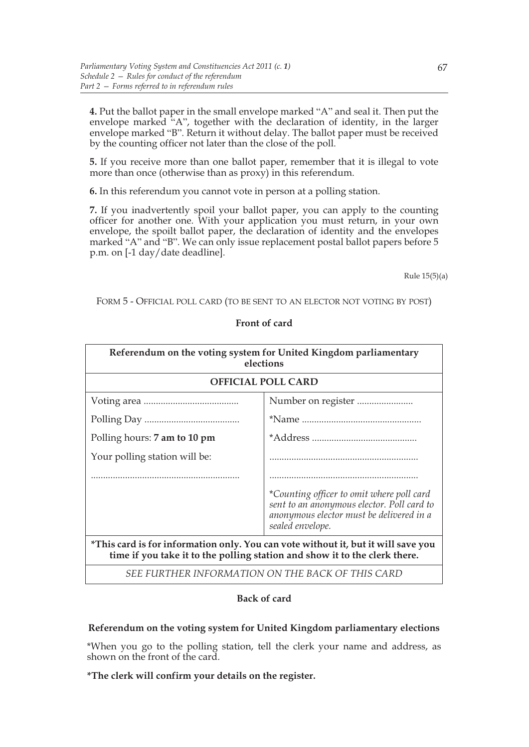**4.** Put the ballot paper in the small envelope marked "A" and seal it. Then put the envelope marked "A", together with the declaration of identity, in the larger envelope marked "B". Return it without delay. The ballot paper must be received by the counting officer not later than the close of the poll.

**5.** If you receive more than one ballot paper, remember that it is illegal to vote more than once (otherwise than as proxy) in this referendum.

**6.** In this referendum you cannot vote in person at a polling station.

**7.** If you inadvertently spoil your ballot paper, you can apply to the counting officer for another one. With your application you must return, in your own envelope, the spoilt ballot paper, the declaration of identity and the envelopes marked "A" and "B". We can only issue replacement postal ballot papers before 5 p.m. on [-1 day/date deadline].

Rule 15(5)(a)

FORM 5 - OFFICIAL POLL CARD (TO BE SENT TO AN ELECTOR NOT VOTING BY POST)

| Referendum on the voting system for United Kingdom parliamentary<br>elections                                                                                   |                                                                                                                                                         |  |  |  |
|-----------------------------------------------------------------------------------------------------------------------------------------------------------------|---------------------------------------------------------------------------------------------------------------------------------------------------------|--|--|--|
| <b>OFFICIAL POLL CARD</b>                                                                                                                                       |                                                                                                                                                         |  |  |  |
|                                                                                                                                                                 |                                                                                                                                                         |  |  |  |
|                                                                                                                                                                 |                                                                                                                                                         |  |  |  |
| Polling hours: 7 am to 10 pm                                                                                                                                    |                                                                                                                                                         |  |  |  |
| Your polling station will be:                                                                                                                                   |                                                                                                                                                         |  |  |  |
|                                                                                                                                                                 |                                                                                                                                                         |  |  |  |
|                                                                                                                                                                 | *Counting officer to omit where poll card<br>sent to an anonymous elector. Poll card to<br>anonymous elector must be delivered in a<br>sealed envelope. |  |  |  |
| *This card is for information only. You can vote without it, but it will save you<br>time if you take it to the polling station and show it to the clerk there. |                                                                                                                                                         |  |  |  |
| SEE FURTHER INFORMATION ON THE BACK OF THIS CARD                                                                                                                |                                                                                                                                                         |  |  |  |

## **Front of card**

### **Back of card**

### **Referendum on the voting system for United Kingdom parliamentary elections**

\*When you go to the polling station, tell the clerk your name and address, as shown on the front of the card.

**\*The clerk will confirm your details on the register.**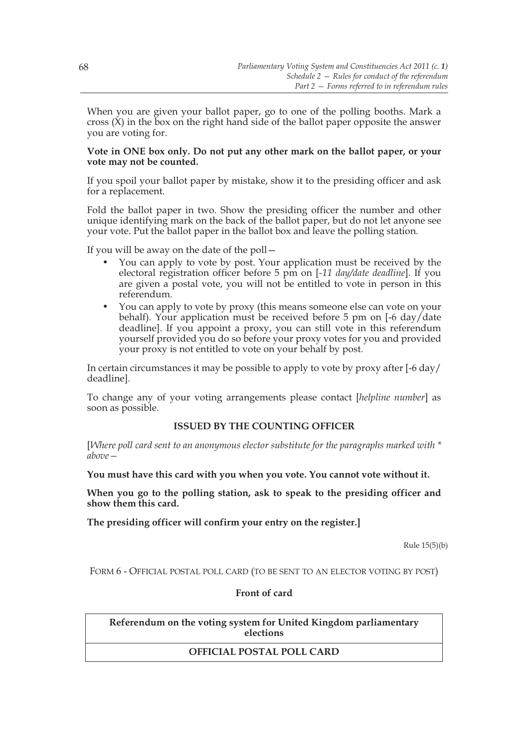When you are given your ballot paper, go to one of the polling booths. Mark a cross  $(X)$  in the box on the right hand side of the ballot paper opposite the answer you are voting for.

### **Vote in ONE box only. Do not put any other mark on the ballot paper, or your vote may not be counted.**

If you spoil your ballot paper by mistake, show it to the presiding officer and ask for a replacement.

Fold the ballot paper in two. Show the presiding officer the number and other unique identifying mark on the back of the ballot paper, but do not let anyone see your vote. Put the ballot paper in the ballot box and leave the polling station.

If you will be away on the date of the poll—

- You can apply to vote by post. Your application must be received by the electoral registration officer before 5 pm on [*-11 day/date deadline*]. If you are given a postal vote, you will not be entitled to vote in person in this referendum.
- You can apply to vote by proxy (this means someone else can vote on your behalf). Your application must be received before 5 pm on  $\left[-6 \frac{day}{data}\right]$ deadline]. If you appoint a proxy, you can still vote in this referendum yourself provided you do so before your proxy votes for you and provided your proxy is not entitled to vote on your behalf by post.

In certain circumstances it may be possible to apply to vote by proxy after [-6 day/ deadline].

To change any of your voting arrangements please contact [*helpline number*] as soon as possible.

### **ISSUED BY THE COUNTING OFFICER**

[*Where poll card sent to an anonymous elector substitute for the paragraphs marked with \* above—*

**You must have this card with you when you vote. You cannot vote without it.**

**When you go to the polling station, ask to speak to the presiding officer and show them this card.**

**The presiding officer will confirm your entry on the register.]**

Rule 15(5)(b)

FORM 6 - OFFICIAL POSTAL POLL CARD (TO BE SENT TO AN ELECTOR VOTING BY POST)

### **Front of card**

### **Referendum on the voting system for United Kingdom parliamentary elections**

# **OFFICIAL POSTAL POLL CARD**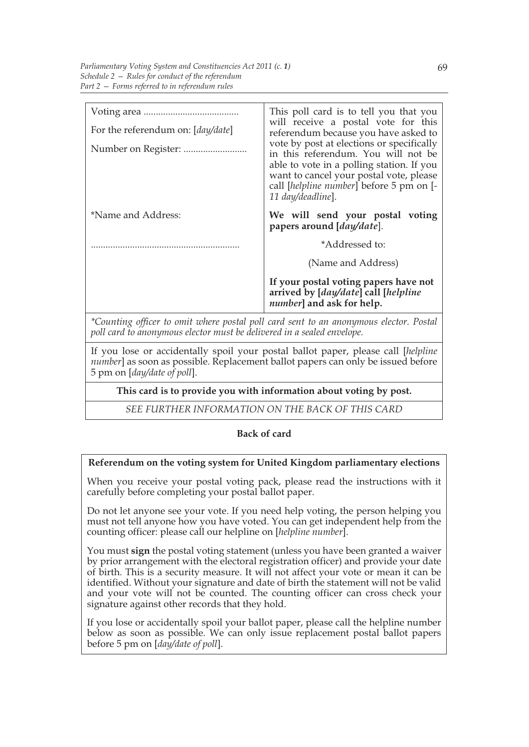| For the referendum on: [day/date] | This poll card is to tell you that you<br>will receive a postal vote for this<br>referendum because you have asked to<br>vote by post at elections or specifically<br>in this referendum. You will not be<br>able to vote in a polling station. If you<br>want to cancel your postal vote, please<br>call [helpline number] before 5 pm on [-<br>11 day/deadline]. |  |  |
|-----------------------------------|--------------------------------------------------------------------------------------------------------------------------------------------------------------------------------------------------------------------------------------------------------------------------------------------------------------------------------------------------------------------|--|--|
| *Name and Address:                | We will send your postal voting<br>papers around [day/date].                                                                                                                                                                                                                                                                                                       |  |  |
|                                   | *Addressed to:                                                                                                                                                                                                                                                                                                                                                     |  |  |
|                                   | (Name and Address)                                                                                                                                                                                                                                                                                                                                                 |  |  |
|                                   | If your postal voting papers have not<br>arrived by [day/date] call [helpline<br>number] and ask for help.                                                                                                                                                                                                                                                         |  |  |

*\*Counting officer to omit where postal poll card sent to an anonymous elector. Postal poll card to anonymous elector must be delivered in a sealed envelope.*

If you lose or accidentally spoil your postal ballot paper, please call [*helpline number*] as soon as possible. Replacement ballot papers can only be issued before 5 pm on [*day/date of poll*].

**This card is to provide you with information about voting by post.**

*SEE FURTHER INFORMATION ON THE BACK OF THIS CARD*

# **Back of card**

### **Referendum on the voting system for United Kingdom parliamentary elections**

When you receive your postal voting pack, please read the instructions with it carefully before completing your postal ballot paper.

Do not let anyone see your vote. If you need help voting, the person helping you must not tell anyone how you have voted. You can get independent help from the counting officer: please call our helpline on [*helpline number*].

You must **sign** the postal voting statement (unless you have been granted a waiver by prior arrangement with the electoral registration officer) and provide your date of birth. This is a security measure. It will not affect your vote or mean it can be identified. Without your signature and date of birth the statement will not be valid and your vote will not be counted. The counting officer can cross check your signature against other records that they hold.

If you lose or accidentally spoil your ballot paper, please call the helpline number below as soon as possible. We can only issue replacement postal ballot papers before 5 pm on [*day/date of poll*].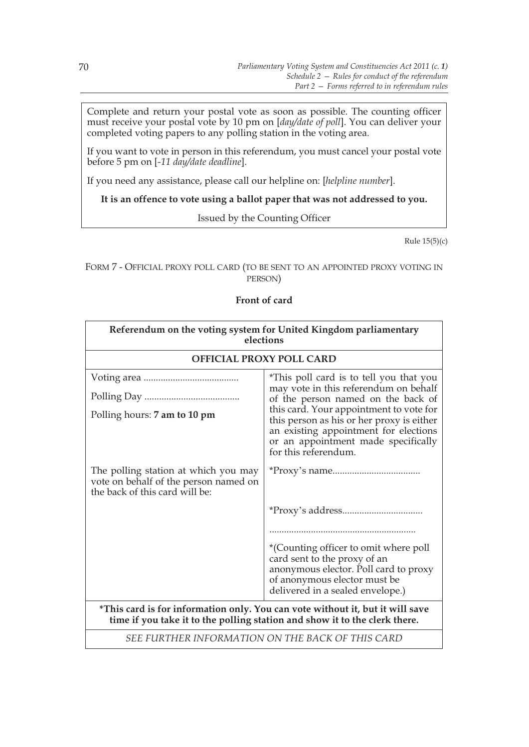Complete and return your postal vote as soon as possible. The counting officer must receive your postal vote by 10 pm on [*day/date of poll*]. You can deliver your completed voting papers to any polling station in the voting area.

If you want to vote in person in this referendum, you must cancel your postal vote before 5 pm on [*-11 day/date deadline*].

If you need any assistance, please call our helpline on: [*helpline number*].

**It is an offence to vote using a ballot paper that was not addressed to you.**

Issued by the Counting Officer

Rule 15(5)(c)

## FORM 7 - OFFICIAL PROXY POLL CARD (TO BE SENT TO AN APPOINTED PROXY VOTING IN PERSON)

## **Front of card**

| Referendum on the voting system for United Kingdom parliamentary<br>elections                                                                               |                                                                                                                                                                                              |  |
|-------------------------------------------------------------------------------------------------------------------------------------------------------------|----------------------------------------------------------------------------------------------------------------------------------------------------------------------------------------------|--|
|                                                                                                                                                             | <b>OFFICIAL PROXY POLL CARD</b>                                                                                                                                                              |  |
|                                                                                                                                                             | *This poll card is to tell you that you<br>may vote in this referendum on behalf                                                                                                             |  |
|                                                                                                                                                             | of the person named on the back of                                                                                                                                                           |  |
| Polling hours: 7 am to 10 pm                                                                                                                                | this card. Your appointment to vote for<br>this person as his or her proxy is either<br>an existing appointment for elections<br>or an appointment made specifically<br>for this referendum. |  |
| The polling station at which you may<br>vote on behalf of the person named on<br>the back of this card will be:                                             |                                                                                                                                                                                              |  |
|                                                                                                                                                             |                                                                                                                                                                                              |  |
|                                                                                                                                                             |                                                                                                                                                                                              |  |
|                                                                                                                                                             | *(Counting officer to omit where poll<br>card sent to the proxy of an<br>anonymous elector. Poll card to proxy<br>of anonymous elector must be<br>delivered in a sealed envelope.)           |  |
| *This card is for information only. You can vote without it, but it will save<br>time if you take it to the polling station and show it to the clerk there. |                                                                                                                                                                                              |  |
| SEE FURTHER INFORMATION ON THE BACK OF THIS CARD                                                                                                            |                                                                                                                                                                                              |  |

70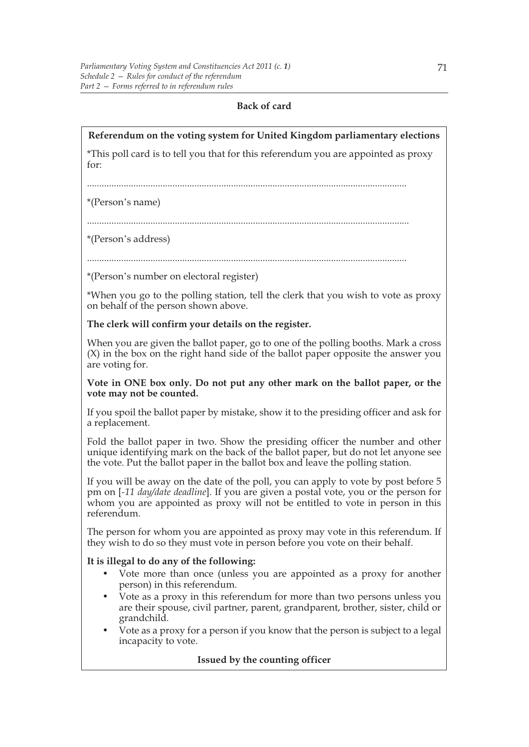## **Back of card**

## **Referendum on the voting system for United Kingdom parliamentary elections**

\*This poll card is to tell you that for this referendum you are appointed as proxy for:

...................................................................................................................................

\*(Person's name)

....................................................................................................................................

\*(Person's address)

...................................................................................................................................

\*(Person's number on electoral register)

\*When you go to the polling station, tell the clerk that you wish to vote as proxy on behalf of the person shown above.

**The clerk will confirm your details on the register.**

When you are given the ballot paper, go to one of the polling booths. Mark a cross (X) in the box on the right hand side of the ballot paper opposite the answer you are voting for.

**Vote in ONE box only. Do not put any other mark on the ballot paper, or the vote may not be counted.**

If you spoil the ballot paper by mistake, show it to the presiding officer and ask for a replacement.

Fold the ballot paper in two. Show the presiding officer the number and other unique identifying mark on the back of the ballot paper, but do not let anyone see the vote. Put the ballot paper in the ballot box and leave the polling station.

If you will be away on the date of the poll, you can apply to vote by post before 5 pm on [*-11 day/date deadline*]. If you are given a postal vote, you or the person for whom you are appointed as proxy will not be entitled to vote in person in this referendum.

The person for whom you are appointed as proxy may vote in this referendum. If they wish to do so they must vote in person before you vote on their behalf.

### **It is illegal to do any of the following:**

- Vote more than once (unless you are appointed as a proxy for another person) in this referendum.
- Vote as a proxy in this referendum for more than two persons unless you are their spouse, civil partner, parent, grandparent, brother, sister, child or grandchild.
- Vote as a proxy for a person if you know that the person is subject to a legal incapacity to vote.

## **Issued by the counting officer**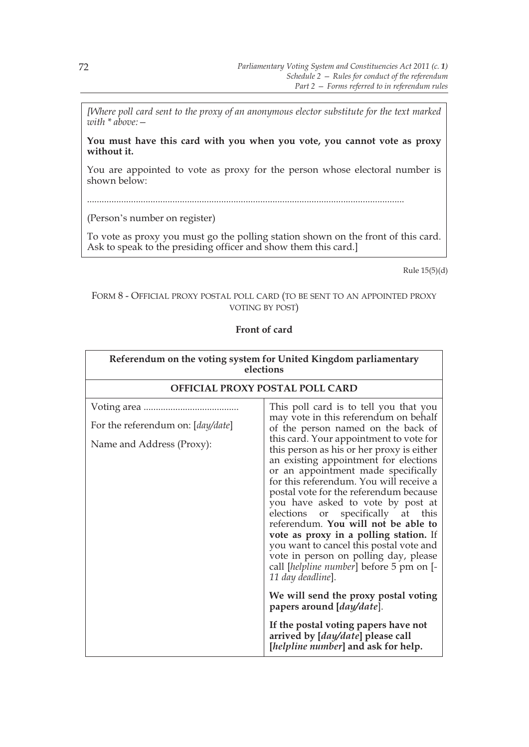*[Where poll card sent to the proxy of an anonymous elector substitute for the text marked with \* above:—*

**You must have this card with you when you vote, you cannot vote as proxy without it.**

You are appointed to vote as proxy for the person whose electoral number is shown below:

..................................................................................................................................

(Person's number on register)

To vote as proxy you must go the polling station shown on the front of this card. Ask to speak to the presiding officer and show them this card.]

Rule 15(5)(d)

FORM 8 - OFFICIAL PROXY POSTAL POLL CARD (TO BE SENT TO AN APPOINTED PROXY VOTING BY POST)

# **Front of card**

| Referendum on the voting system for United Kingdom parliamentary<br>elections |                                                                                                                                                                                                                                                                                                                                                                                                                                                                                                                                                                                                                                                                                                                                                                                                                                                                                                |  |
|-------------------------------------------------------------------------------|------------------------------------------------------------------------------------------------------------------------------------------------------------------------------------------------------------------------------------------------------------------------------------------------------------------------------------------------------------------------------------------------------------------------------------------------------------------------------------------------------------------------------------------------------------------------------------------------------------------------------------------------------------------------------------------------------------------------------------------------------------------------------------------------------------------------------------------------------------------------------------------------|--|
|                                                                               | <b>OFFICIAL PROXY POSTAL POLL CARD</b>                                                                                                                                                                                                                                                                                                                                                                                                                                                                                                                                                                                                                                                                                                                                                                                                                                                         |  |
| For the referendum on: [day/date]<br>Name and Address (Proxy):                | This poll card is to tell you that you<br>may vote in this referendum on behalf<br>of the person named on the back of<br>this card. Your appointment to vote for<br>this person as his or her proxy is either<br>an existing appointment for elections<br>or an appointment made specifically<br>for this referendum. You will receive a<br>postal vote for the referendum because<br>you have asked to vote by post at<br>or specifically at this<br>elections<br>referendum. You will not be able to<br>vote as proxy in a polling station. If<br>you want to cancel this postal vote and<br>vote in person on polling day, please<br>call [helpline number] before 5 pm on [-<br>11 day deadline].<br>We will send the proxy postal voting<br>papers around [day/date].<br>If the postal voting papers have not<br>arrived by [day/date] please call<br>[helpline number] and ask for help. |  |

72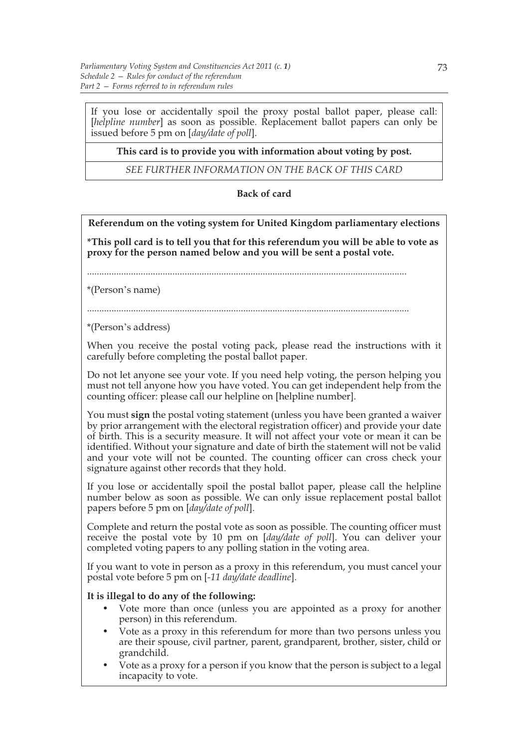If you lose or accidentally spoil the proxy postal ballot paper, please call: [*helpline number*] as soon as possible. Replacement ballot papers can only be issued before 5 pm on [*day/date of poll*].

**This card is to provide you with information about voting by post.**

*SEE FURTHER INFORMATION ON THE BACK OF THIS CARD*

# **Back of card**

**Referendum on the voting system for United Kingdom parliamentary elections**

**\*This poll card is to tell you that for this referendum you will be able to vote as proxy for the person named below and you will be sent a postal vote.**

...................................................................................................................................

\*(Person's name)

....................................................................................................................................

\*(Person's address)

When you receive the postal voting pack, please read the instructions with it carefully before completing the postal ballot paper.

Do not let anyone see your vote. If you need help voting, the person helping you must not tell anyone how you have voted. You can get independent help from the counting officer: please call our helpline on [helpline number].

You must **sign** the postal voting statement (unless you have been granted a waiver by prior arrangement with the electoral registration officer) and provide your date of birth. This is a security measure. It will not affect your vote or mean it can be identified. Without your signature and date of birth the statement will not be valid and your vote will not be counted. The counting officer can cross check your signature against other records that they hold.

If you lose or accidentally spoil the postal ballot paper, please call the helpline number below as soon as possible. We can only issue replacement postal ballot papers before 5 pm on [*day/date of poll*].

Complete and return the postal vote as soon as possible. The counting officer must receive the postal vote by 10 pm on [*day/date of poll*]. You can deliver your completed voting papers to any polling station in the voting area.

If you want to vote in person as a proxy in this referendum, you must cancel your postal vote before 5 pm on [*-11 day/date deadline*].

# **It is illegal to do any of the following:**

- Vote more than once (unless you are appointed as a proxy for another person) in this referendum.
- Vote as a proxy in this referendum for more than two persons unless you are their spouse, civil partner, parent, grandparent, brother, sister, child or grandchild.
- Vote as a proxy for a person if you know that the person is subject to a legal incapacity to vote.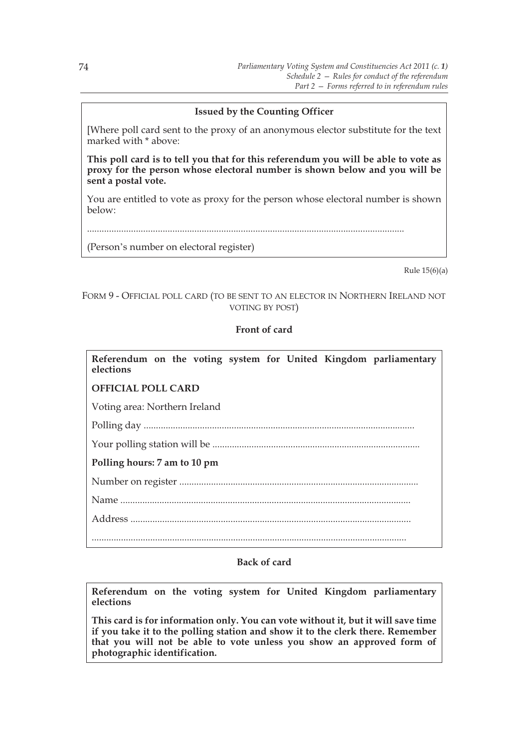## **Issued by the Counting Officer**

[Where poll card sent to the proxy of an anonymous elector substitute for the text marked with \* above:

**This poll card is to tell you that for this referendum you will be able to vote as proxy for the person whose electoral number is shown below and you will be sent a postal vote.**

You are entitled to vote as proxy for the person whose electoral number is shown below:

..................................................................................................................................

(Person's number on electoral register)

Rule 15(6)(a)

FORM 9 - OFFICIAL POLL CARD (TO BE SENT TO AN ELECTOR IN NORTHERN IRELAND NOT VOTING BY POST)

## **Front of card**

**Referendum on the voting system for United Kingdom parliamentary elections OFFICIAL POLL CARD** Voting area: Northern Ireland Polling day ............................................................................................................... Your polling station will be ..................................................................................... **Polling hours: 7 am to 10 pm** Number on register .................................................................................................. Name ....................................................................................................................... Address ................................................................................................................... .................................................................................................................................

## **Back of card**

**Referendum on the voting system for United Kingdom parliamentary elections**

**This card is for information only. You can vote without it, but it will save time if you take it to the polling station and show it to the clerk there. Remember that you will not be able to vote unless you show an approved form of photographic identification.**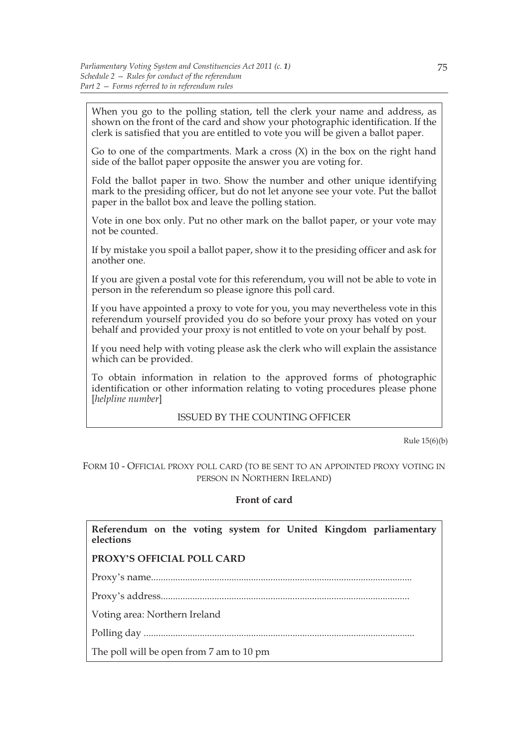When you go to the polling station, tell the clerk your name and address, as shown on the front of the card and show your photographic identification. If the clerk is satisfied that you are entitled to vote you will be given a ballot paper.

Go to one of the compartments. Mark a cross (X) in the box on the right hand side of the ballot paper opposite the answer you are voting for.

Fold the ballot paper in two. Show the number and other unique identifying mark to the presiding officer, but do not let anyone see your vote. Put the ballot paper in the ballot box and leave the polling station.

Vote in one box only. Put no other mark on the ballot paper, or your vote may not be counted.

If by mistake you spoil a ballot paper, show it to the presiding officer and ask for another one.

If you are given a postal vote for this referendum, you will not be able to vote in person in the referendum so please ignore this poll card.

If you have appointed a proxy to vote for you, you may nevertheless vote in this referendum yourself provided you do so before your proxy has voted on your behalf and provided your proxy is not entitled to vote on your behalf by post.

If you need help with voting please ask the clerk who will explain the assistance which can be provided.

To obtain information in relation to the approved forms of photographic identification or other information relating to voting procedures please phone [*helpline number*]

## ISSUED BY THE COUNTING OFFICER

Rule 15(6)(b)

FORM 10 - OFFICIAL PROXY POLL CARD (TO BE SENT TO AN APPOINTED PROXY VOTING IN PERSON IN NORTHERN IRELAND)

## **Front of card**

**Referendum on the voting system for United Kingdom parliamentary elections**

# **PROXY'S OFFICIAL POLL CARD**

Proxy's name...........................................................................................................

Proxy's address......................................................................................................

Voting area: Northern Ireland

Polling day ...............................................................................................................

The poll will be open from 7 am to 10 pm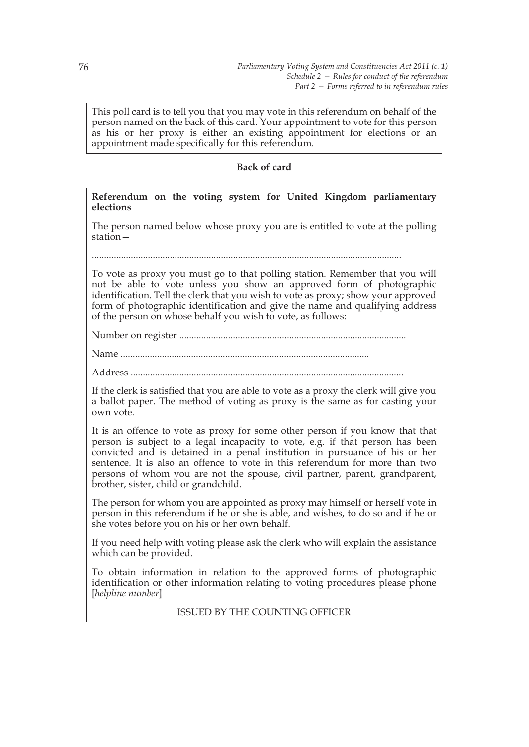This poll card is to tell you that you may vote in this referendum on behalf of the person named on the back of this card. Your appointment to vote for this person as his or her proxy is either an existing appointment for elections or an appointment made specifically for this referendum.

## **Back of card**

## **Referendum on the voting system for United Kingdom parliamentary elections**

The person named below whose proxy you are is entitled to vote at the polling station—

...............................................................................................................................

To vote as proxy you must go to that polling station. Remember that you will not be able to vote unless you show an approved form of photographic identification. Tell the clerk that you wish to vote as proxy; show your approved form of photographic identification and give the name and qualifying address of the person on whose behalf you wish to vote, as follows:

Number on register .............................................................................................

Name ......................................................................................................

Address ................................................................................................................

If the clerk is satisfied that you are able to vote as a proxy the clerk will give you a ballot paper. The method of voting as proxy is the same as for casting your own vote.

It is an offence to vote as proxy for some other person if you know that that person is subject to a legal incapacity to vote, e.g. if that person has been convicted and is detained in a penal institution in pursuance of his or her sentence. It is also an offence to vote in this referendum for more than two persons of whom you are not the spouse, civil partner, parent, grandparent, brother, sister, child or grandchild.

The person for whom you are appointed as proxy may himself or herself vote in person in this referendum if he or she is able, and wishes, to do so and if he or she votes before you on his or her own behalf.

If you need help with voting please ask the clerk who will explain the assistance which can be provided.

To obtain information in relation to the approved forms of photographic identification or other information relating to voting procedures please phone [*helpline number*]

ISSUED BY THE COUNTING OFFICER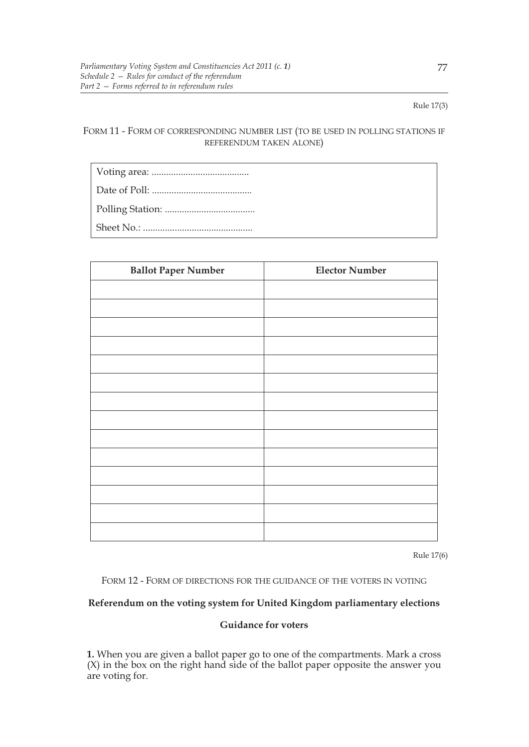## Rule 17(3)

## FORM 11 - FORM OF CORRESPONDING NUMBER LIST (TO BE USED IN POLLING STATIONS IF REFERENDUM TAKEN ALONE)

| <b>Ballot Paper Number</b> | <b>Elector Number</b> |
|----------------------------|-----------------------|
|                            |                       |
|                            |                       |
|                            |                       |
|                            |                       |
|                            |                       |
|                            |                       |
|                            |                       |
|                            |                       |
|                            |                       |
|                            |                       |
|                            |                       |
|                            |                       |
|                            |                       |
|                            |                       |
|                            |                       |

Rule 17(6)

FORM 12 - FORM OF DIRECTIONS FOR THE GUIDANCE OF THE VOTERS IN VOTING

## **Referendum on the voting system for United Kingdom parliamentary elections**

## **Guidance for voters**

**1.** When you are given a ballot paper go to one of the compartments. Mark a cross (X) in the box on the right hand side of the ballot paper opposite the answer you are voting for.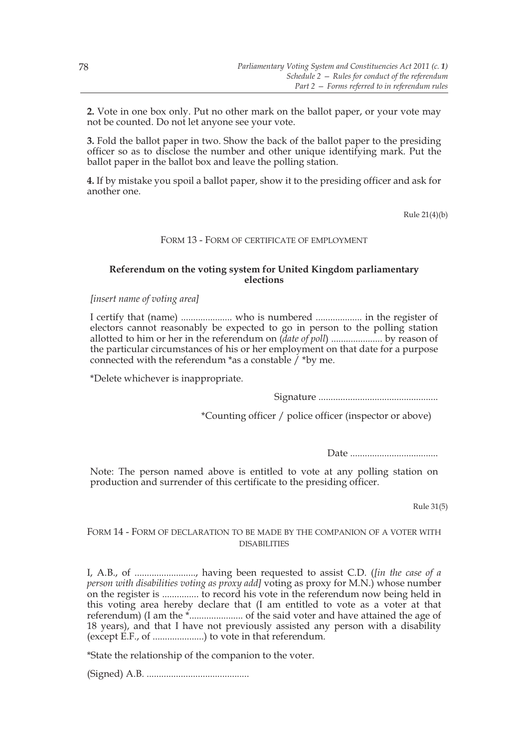**2.** Vote in one box only. Put no other mark on the ballot paper, or your vote may not be counted. Do not let anyone see your vote.

**3.** Fold the ballot paper in two. Show the back of the ballot paper to the presiding officer so as to disclose the number and other unique identifying mark. Put the ballot paper in the ballot box and leave the polling station.

**4.** If by mistake you spoil a ballot paper, show it to the presiding officer and ask for another one.

Rule 21(4)(b)

## FORM 13 - FORM OF CERTIFICATE OF EMPLOYMENT

## **Referendum on the voting system for United Kingdom parliamentary elections**

*[insert name of voting area]*

I certify that (name) ..................... who is numbered ................... in the register of electors cannot reasonably be expected to go in person to the polling station allotted to him or her in the referendum on (*date of poll*) ..................... by reason of the particular circumstances of his or her employment on that date for a purpose connected with the referendum \*as a constable  $\check{}/$  \*by me.

\*Delete whichever is inappropriate.

Signature .................................................

\*Counting officer / police officer (inspector or above)

Date ....................................

Note: The person named above is entitled to vote at any polling station on production and surrender of this certificate to the presiding officer.

Rule 31(5)

## FORM 14 - FORM OF DECLARATION TO BE MADE BY THE COMPANION OF A VOTER WITH DISABILITIES

I, A.B., of ........................., having been requested to assist C.D. (*[in the case of a person with disabilities voting as proxy add]* voting as proxy for M.N.) whose number on the register is ............... to record his vote in the referendum now being held in this voting area hereby declare that (I am entitled to vote as a voter at that referendum) (I am the \*...................... of the said voter and have attained the age of 18 years), and that I have not previously assisted any person with a disability (except E.F., of .....................) to vote in that referendum.

\*State the relationship of the companion to the voter.

(Signed) A.B. ..........................................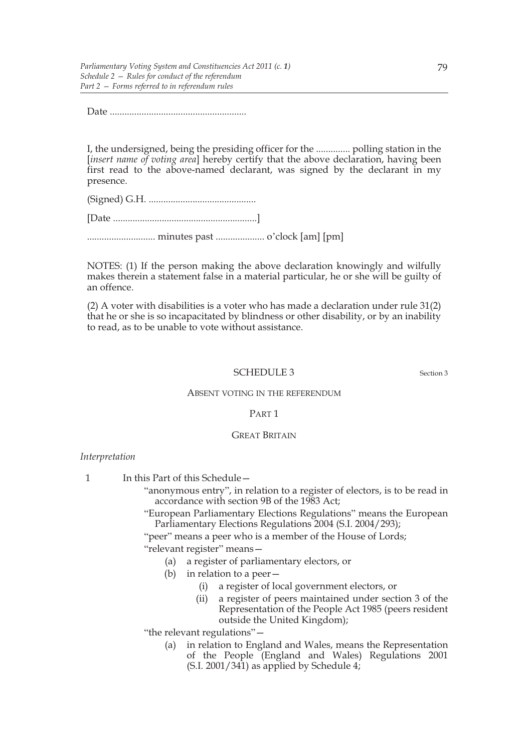Date ........................................................

I, the undersigned, being the presiding officer for the .............. polling station in the [*insert name of voting area*] hereby certify that the above declaration, having been first read to the above-named declarant, was signed by the declarant in my presence.

(Signed) G.H. ............................................

[Date ...........................................................]

............................ minutes past .................... o'clock [am] [pm]

NOTES: (1) If the person making the above declaration knowingly and wilfully makes therein a statement false in a material particular, he or she will be guilty of an offence.

(2) A voter with disabilities is a voter who has made a declaration under rule 31(2) that he or she is so incapacitated by blindness or other disability, or by an inability to read, as to be unable to vote without assistance.

#### SCHEDULE 3 Section 3

#### ABSENT VOTING IN THE REFERENDUM

## PART 1

## GREAT BRITAIN

#### *Interpretation*

1 In this Part of this Schedule -

"anonymous entry", in relation to a register of electors, is to be read in accordance with section 9B of the 1983 Act;

"European Parliamentary Elections Regulations" means the European Parliamentary Elections Regulations 2004 (S.I. 2004/293);

"peer" means a peer who is a member of the House of Lords;

"relevant register" means—

- (a) a register of parliamentary electors, or
- (b) in relation to a peer—
	- (i) a register of local government electors, or
	- (ii) a register of peers maintained under section 3 of the Representation of the People Act 1985 (peers resident outside the United Kingdom);

"the relevant regulations"—

(a) in relation to England and Wales, means the Representation of the People (England and Wales) Regulations 2001  $(S.I. 2001/341)$  as applied by Schedule 4;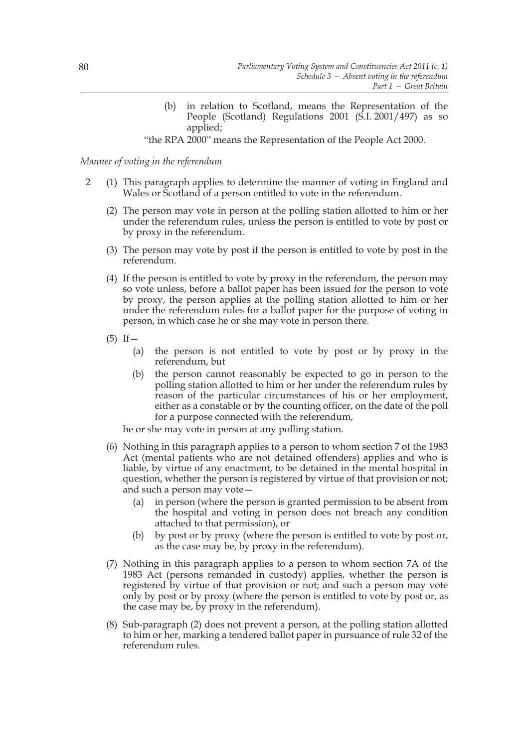- (b) in relation to Scotland, means the Representation of the People (Scotland) Regulations 2001 (S.I. 2001/497) as so applied;
- "the RPA 2000" means the Representation of the People Act 2000.

## *Manner of voting in the referendum*

- 2 (1) This paragraph applies to determine the manner of voting in England and Wales or Scotland of a person entitled to vote in the referendum.
	- (2) The person may vote in person at the polling station allotted to him or her under the referendum rules, unless the person is entitled to vote by post or by proxy in the referendum.
	- (3) The person may vote by post if the person is entitled to vote by post in the referendum.
	- (4) If the person is entitled to vote by proxy in the referendum, the person may so vote unless, before a ballot paper has been issued for the person to vote by proxy, the person applies at the polling station allotted to him or her under the referendum rules for a ballot paper for the purpose of voting in person, in which case he or she may vote in person there.
	- $(5)$  If
		- (a) the person is not entitled to vote by post or by proxy in the referendum, but
		- (b) the person cannot reasonably be expected to go in person to the polling station allotted to him or her under the referendum rules by reason of the particular circumstances of his or her employment, either as a constable or by the counting officer, on the date of the poll for a purpose connected with the referendum,

he or she may vote in person at any polling station.

- (6) Nothing in this paragraph applies to a person to whom section 7 of the 1983 Act (mental patients who are not detained offenders) applies and who is liable, by virtue of any enactment, to be detained in the mental hospital in question, whether the person is registered by virtue of that provision or not; and such a person may vote—
	- (a) in person (where the person is granted permission to be absent from the hospital and voting in person does not breach any condition attached to that permission), or
	- (b) by post or by proxy (where the person is entitled to vote by post or, as the case may be, by proxy in the referendum).
- (7) Nothing in this paragraph applies to a person to whom section 7A of the 1983 Act (persons remanded in custody) applies, whether the person is registered by virtue of that provision or not; and such a person may vote only by post or by proxy (where the person is entitled to vote by post or, as the case may be, by proxy in the referendum).
- (8) Sub-paragraph (2) does not prevent a person, at the polling station allotted to him or her, marking a tendered ballot paper in pursuance of rule 32 of the referendum rules.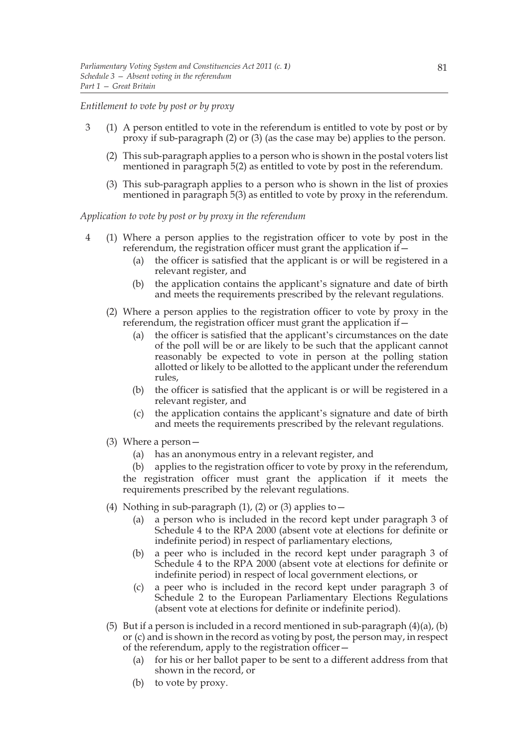## *Entitlement to vote by post or by proxy*

- 3 (1) A person entitled to vote in the referendum is entitled to vote by post or by proxy if sub-paragraph (2) or (3) (as the case may be) applies to the person.
	- (2) This sub-paragraph applies to a person who is shown in the postal voters list mentioned in paragraph 5(2) as entitled to vote by post in the referendum.
	- (3) This sub-paragraph applies to a person who is shown in the list of proxies mentioned in paragraph 5(3) as entitled to vote by proxy in the referendum.

*Application to vote by post or by proxy in the referendum*

- 4 (1) Where a person applies to the registration officer to vote by post in the referendum, the registration officer must grant the application if  $-$ 
	- (a) the officer is satisfied that the applicant is or will be registered in a relevant register, and
	- (b) the application contains the applicant's signature and date of birth and meets the requirements prescribed by the relevant regulations.
	- (2) Where a person applies to the registration officer to vote by proxy in the referendum, the registration officer must grant the application if—
		- (a) the officer is satisfied that the applicant's circumstances on the date of the poll will be or are likely to be such that the applicant cannot reasonably be expected to vote in person at the polling station allotted or likely to be allotted to the applicant under the referendum rules,
		- (b) the officer is satisfied that the applicant is or will be registered in a relevant register, and
		- (c) the application contains the applicant's signature and date of birth and meets the requirements prescribed by the relevant regulations.
	- (3) Where a person—
		- (a) has an anonymous entry in a relevant register, and
		- (b) applies to the registration officer to vote by proxy in the referendum, the registration officer must grant the application if it meets the requirements prescribed by the relevant regulations.
	- (4) Nothing in sub-paragraph  $(1)$ ,  $(2)$  or  $(3)$  applies to  $-$ 
		- (a) a person who is included in the record kept under paragraph 3 of Schedule 4 to the RPA 2000 (absent vote at elections for definite or indefinite period) in respect of parliamentary elections,
		- (b) a peer who is included in the record kept under paragraph 3 of Schedule 4 to the RPA 2000 (absent vote at elections for definite or indefinite period) in respect of local government elections, or
		- (c) a peer who is included in the record kept under paragraph 3 of Schedule 2 to the European Parliamentary Elections Regulations (absent vote at elections for definite or indefinite period).
	- (5) But if a person is included in a record mentioned in sub-paragraph  $(4)(a)$ ,  $(b)$ or (c) and is shown in the record as voting by post, the person may, in respect of the referendum, apply to the registration officer—
		- (a) for his or her ballot paper to be sent to a different address from that shown in the record, or
		- (b) to vote by proxy.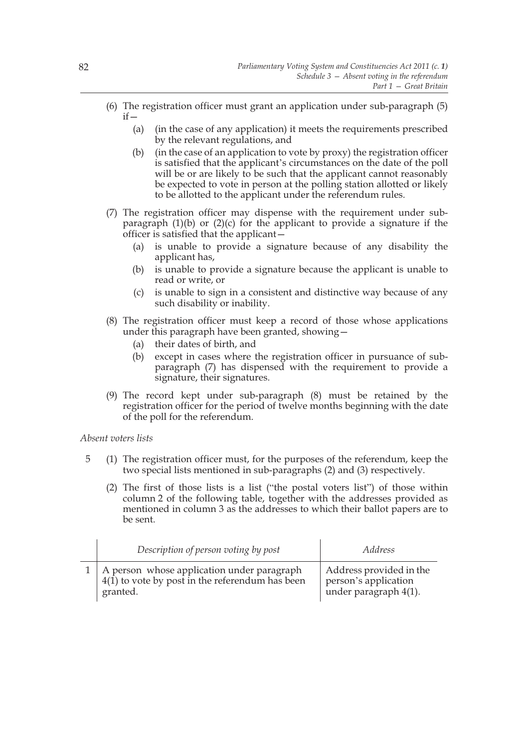- (6) The registration officer must grant an application under sub-paragraph (5)  $if$ 
	- (a) (in the case of any application) it meets the requirements prescribed by the relevant regulations, and
	- (b) (in the case of an application to vote by proxy) the registration officer is satisfied that the applicant's circumstances on the date of the poll will be or are likely to be such that the applicant cannot reasonably be expected to vote in person at the polling station allotted or likely to be allotted to the applicant under the referendum rules.
- (7) The registration officer may dispense with the requirement under subparagraph  $(1)(b)$  or  $(2)(c)$  for the applicant to provide a signature if the officer is satisfied that the applicant—
	- (a) is unable to provide a signature because of any disability the applicant has,
	- (b) is unable to provide a signature because the applicant is unable to read or write, or
	- (c) is unable to sign in a consistent and distinctive way because of any such disability or inability.
- (8) The registration officer must keep a record of those whose applications under this paragraph have been granted, showing—
	- (a) their dates of birth, and
	- (b) except in cases where the registration officer in pursuance of subparagraph (7) has dispensed with the requirement to provide a signature, their signatures.
- (9) The record kept under sub-paragraph (8) must be retained by the registration officer for the period of twelve months beginning with the date of the poll for the referendum.

*Absent voters lists*

- 5 (1) The registration officer must, for the purposes of the referendum, keep the two special lists mentioned in sub-paragraphs (2) and (3) respectively.
	- (2) The first of those lists is a list ("the postal voters list") of those within column 2 of the following table, together with the addresses provided as mentioned in column 3 as the addresses to which their ballot papers are to be sent.

| Description of person voting by post                                                                        | <i>Address</i>                                                              |
|-------------------------------------------------------------------------------------------------------------|-----------------------------------------------------------------------------|
| A person whose application under paragraph<br>$4(1)$ to vote by post in the referendum has been<br>granted. | Address provided in the<br>person's application<br>under paragraph $4(1)$ . |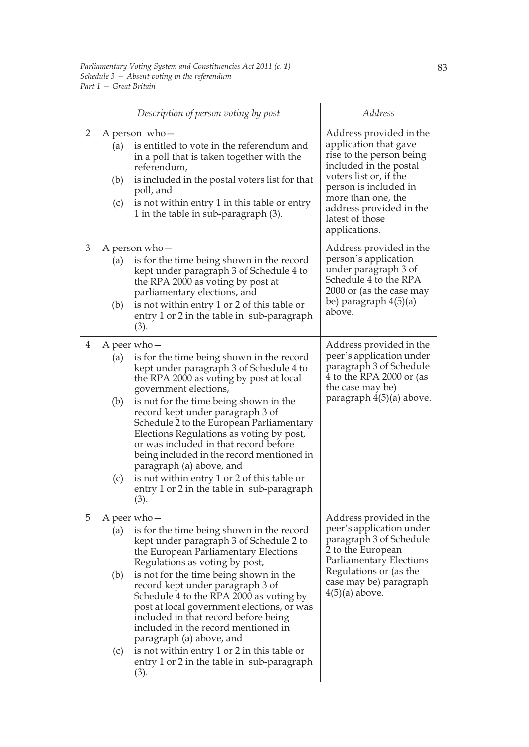|                |                   | Description of person voting by post                                                                                                                                                                                                                                                                                                                                                                                                                                                                                                                                    | <b>Address</b>                                                                                                                                                                                                                                 |
|----------------|-------------------|-------------------------------------------------------------------------------------------------------------------------------------------------------------------------------------------------------------------------------------------------------------------------------------------------------------------------------------------------------------------------------------------------------------------------------------------------------------------------------------------------------------------------------------------------------------------------|------------------------------------------------------------------------------------------------------------------------------------------------------------------------------------------------------------------------------------------------|
| $\overline{2}$ | (a)<br>(b)<br>(c) | A person who-<br>is entitled to vote in the referendum and<br>in a poll that is taken together with the<br>referendum,<br>is included in the postal voters list for that<br>poll, and<br>is not within entry 1 in this table or entry<br>1 in the table in sub-paragraph (3).                                                                                                                                                                                                                                                                                           | Address provided in the<br>application that gave<br>rise to the person being<br>included in the postal<br>voters list or, if the<br>person is included in<br>more than one, the<br>address provided in the<br>latest of those<br>applications. |
| 3              | (a)<br>(b)        | A person who-<br>is for the time being shown in the record<br>kept under paragraph 3 of Schedule 4 to<br>the RPA 2000 as voting by post at<br>parliamentary elections, and<br>is not within entry 1 or 2 of this table or<br>entry 1 or 2 in the table in sub-paragraph<br>(3).                                                                                                                                                                                                                                                                                         | Address provided in the<br>person's application<br>under paragraph 3 of<br>Schedule 4 to the RPA<br>2000 or (as the case may<br>be) paragraph 4(5)(a)<br>above.                                                                                |
| $\overline{4}$ | (a)<br>(b)<br>(c) | A peer who –<br>is for the time being shown in the record<br>kept under paragraph 3 of Schedule 4 to<br>the RPA 2000 as voting by post at local<br>government elections,<br>is not for the time being shown in the<br>record kept under paragraph 3 of<br>Schedule 2 to the European Parliamentary<br>Elections Regulations as voting by post,<br>or was included in that record before<br>being included in the record mentioned in<br>paragraph (a) above, and<br>is not within entry 1 or 2 of this table or<br>entry 1 or 2 in the table in sub-paragraph<br>(3).   | Address provided in the<br>peer's application under<br>paragraph 3 of Schedule<br>4 to the RPA 2000 or (as<br>the case may be)<br>paragraph 4(5)(a) above.                                                                                     |
| 5              | (a)<br>(b)<br>(c) | A peer who $-$<br>is for the time being shown in the record<br>kept under paragraph 3 of Schedule 2 to<br>the European Parliamentary Elections<br>Regulations as voting by post,<br>is not for the time being shown in the<br>record kept under paragraph 3 of<br>Schedule 4 to the RPA 2000 as voting by<br>post at local government elections, or was<br>included in that record before being<br>included in the record mentioned in<br>paragraph (a) above, and<br>is not within entry 1 or 2 in this table or<br>entry 1 or 2 in the table in sub-paragraph<br>(3). | Address provided in the<br>peer's application under<br>paragraph 3 of Schedule<br>2 to the European<br><b>Parliamentary Elections</b><br>Regulations or (as the<br>case may be) paragraph<br>$4(5)(a)$ above.                                  |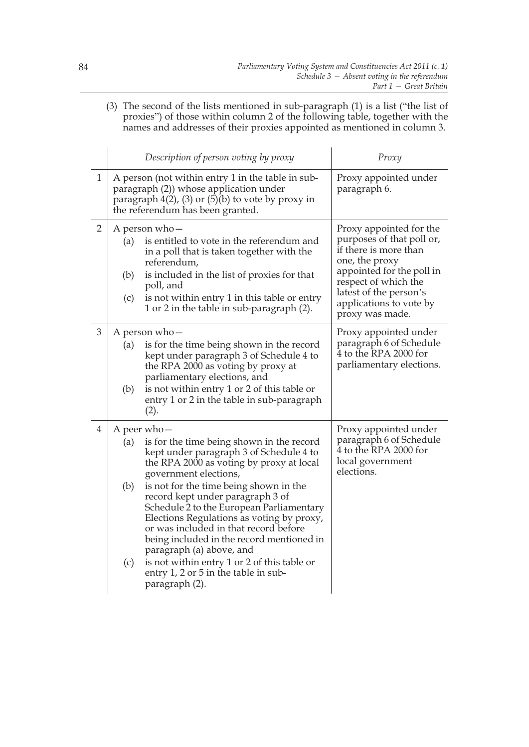(3) The second of the lists mentioned in sub-paragraph (1) is a list ("the list of proxies") of those within column 2 of the following table, together with the names and addresses of their proxies appointed as mentioned in column 3.

|                | Description of person voting by proxy                                                                                                                                                                                                                                                                                                                                                                                                                                                                                                                                                                  | Proxy                                                                                                                                                                                                                        |
|----------------|--------------------------------------------------------------------------------------------------------------------------------------------------------------------------------------------------------------------------------------------------------------------------------------------------------------------------------------------------------------------------------------------------------------------------------------------------------------------------------------------------------------------------------------------------------------------------------------------------------|------------------------------------------------------------------------------------------------------------------------------------------------------------------------------------------------------------------------------|
| $\mathbf{1}$   | A person (not within entry 1 in the table in sub-<br>paragraph (2)) whose application under<br>paragraph $4(2)$ , (3) or (5)(b) to vote by proxy in<br>the referendum has been granted.                                                                                                                                                                                                                                                                                                                                                                                                                | Proxy appointed under<br>paragraph 6.                                                                                                                                                                                        |
| $\overline{2}$ | A person who –<br>(a)<br>is entitled to vote in the referendum and<br>in a poll that is taken together with the<br>referendum,<br>is included in the list of proxies for that<br>(b)<br>poll, and<br>is not within entry 1 in this table or entry<br>(c)<br>1 or 2 in the table in sub-paragraph (2).                                                                                                                                                                                                                                                                                                  | Proxy appointed for the<br>purposes of that poll or,<br>if there is more than<br>one, the proxy<br>appointed for the poll in<br>respect of which the<br>latest of the person's<br>applications to vote by<br>proxy was made. |
| $\mathfrak{Z}$ | A person who-<br>is for the time being shown in the record<br>(a)<br>kept under paragraph 3 of Schedule 4 to<br>the RPA 2000 as voting by proxy at<br>parliamentary elections, and<br>(b)<br>is not within entry 1 or 2 of this table or<br>entry 1 or 2 in the table in sub-paragraph<br>(2).                                                                                                                                                                                                                                                                                                         | Proxy appointed under<br>paragraph 6 of Schedule<br>4 to the RPA 2000 for<br>parliamentary elections.                                                                                                                        |
| 4              | A peer who $-$<br>is for the time being shown in the record<br>(a)<br>kept under paragraph 3 of Schedule 4 to<br>the RPA 2000 as voting by proxy at local<br>government elections,<br>(b)<br>is not for the time being shown in the<br>record kept under paragraph 3 of<br>Schedule 2 to the European Parliamentary<br>Elections Regulations as voting by proxy,<br>or was included in that record before<br>being included in the record mentioned in<br>paragraph (a) above, and<br>is not within entry 1 or 2 of this table or<br>(c)<br>entry $1, 2$ or $5$ in the table in sub-<br>paragraph (2). | Proxy appointed under<br>paragraph 6 of Schedule<br>4 to the RPA 2000 for<br>local government<br>elections.                                                                                                                  |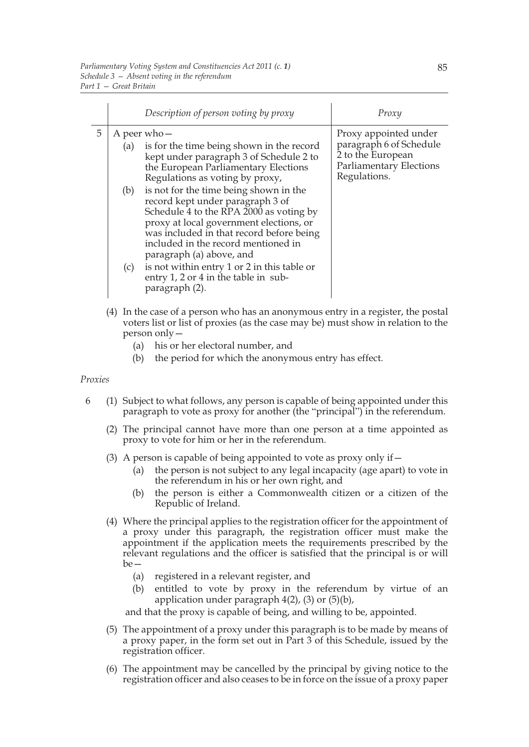|   |            | Description of person voting by proxy                                                                                                                                                                                                                                                                      | Proxy                                                                                                                   |
|---|------------|------------------------------------------------------------------------------------------------------------------------------------------------------------------------------------------------------------------------------------------------------------------------------------------------------------|-------------------------------------------------------------------------------------------------------------------------|
| 5 | (a)<br>(b) | A peer who $-$<br>is for the time being shown in the record<br>kept under paragraph 3 of Schedule 2 to<br>the European Parliamentary Elections<br>Regulations as voting by proxy,<br>is not for the time being shown in the<br>record kept under paragraph 3 of<br>Schedule 4 to the RPA 2000 as voting by | Proxy appointed under<br>paragraph 6 of Schedule<br>2 to the European<br><b>Parliamentary Elections</b><br>Regulations. |
|   | (c)        | proxy at local government elections, or<br>was included in that record before being<br>included in the record mentioned in<br>paragraph (a) above, and<br>is not within entry 1 or 2 in this table or<br>entry 1, 2 or 4 in the table in sub-<br>paragraph (2).                                            |                                                                                                                         |

(4) In the case of a person who has an anonymous entry in a register, the postal voters list or list of proxies (as the case may be) must show in relation to the person only—

- (a) his or her electoral number, and
- (b) the period for which the anonymous entry has effect.

#### *Proxies*

- 6 (1) Subject to what follows, any person is capable of being appointed under this paragraph to vote as proxy for another (the "principal") in the referendum.
	- (2) The principal cannot have more than one person at a time appointed as proxy to vote for him or her in the referendum.
	- (3) A person is capable of being appointed to vote as proxy only if  $-$ 
		- (a) the person is not subject to any legal incapacity (age apart) to vote in the referendum in his or her own right, and
		- (b) the person is either a Commonwealth citizen or a citizen of the Republic of Ireland.
	- (4) Where the principal applies to the registration officer for the appointment of a proxy under this paragraph, the registration officer must make the appointment if the application meets the requirements prescribed by the relevant regulations and the officer is satisfied that the principal is or will be—
		- (a) registered in a relevant register, and
		- (b) entitled to vote by proxy in the referendum by virtue of an application under paragraph 4(2), (3) or (5)(b),

and that the proxy is capable of being, and willing to be, appointed.

- (5) The appointment of a proxy under this paragraph is to be made by means of a proxy paper, in the form set out in Part 3 of this Schedule, issued by the registration officer.
- (6) The appointment may be cancelled by the principal by giving notice to the registration officer and also ceases to be in force on the issue of a proxy paper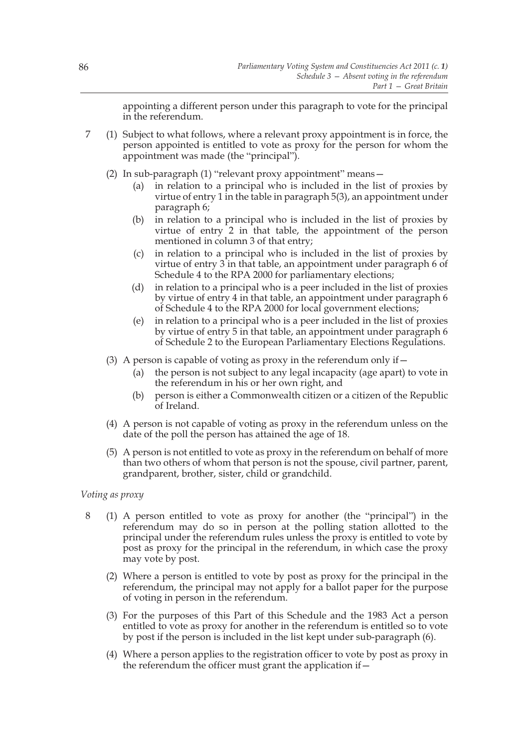appointing a different person under this paragraph to vote for the principal in the referendum.

- 7 (1) Subject to what follows, where a relevant proxy appointment is in force, the person appointed is entitled to vote as proxy for the person for whom the appointment was made (the "principal").
	- (2) In sub-paragraph (1) "relevant proxy appointment" means—
		- (a) in relation to a principal who is included in the list of proxies by virtue of entry 1 in the table in paragraph 5(3), an appointment under paragraph 6;
		- (b) in relation to a principal who is included in the list of proxies by virtue of entry 2 in that table, the appointment of the person mentioned in column 3 of that entry;
		- (c) in relation to a principal who is included in the list of proxies by virtue of entry 3 in that table, an appointment under paragraph 6 of Schedule 4 to the RPA 2000 for parliamentary elections;
		- (d) in relation to a principal who is a peer included in the list of proxies by virtue of entry 4 in that table, an appointment under paragraph 6 of Schedule 4 to the RPA 2000 for local government elections;
		- (e) in relation to a principal who is a peer included in the list of proxies by virtue of entry 5 in that table, an appointment under paragraph 6 of Schedule 2 to the European Parliamentary Elections Regulations.
	- (3) A person is capable of voting as proxy in the referendum only if  $-$ 
		- (a) the person is not subject to any legal incapacity (age apart) to vote in the referendum in his or her own right, and
		- (b) person is either a Commonwealth citizen or a citizen of the Republic of Ireland.
	- (4) A person is not capable of voting as proxy in the referendum unless on the date of the poll the person has attained the age of 18.
	- (5) A person is not entitled to vote as proxy in the referendum on behalf of more than two others of whom that person is not the spouse, civil partner, parent, grandparent, brother, sister, child or grandchild.

## *Voting as proxy*

- 8 (1) A person entitled to vote as proxy for another (the "principal") in the referendum may do so in person at the polling station allotted to the principal under the referendum rules unless the proxy is entitled to vote by post as proxy for the principal in the referendum, in which case the proxy may vote by post.
	- (2) Where a person is entitled to vote by post as proxy for the principal in the referendum, the principal may not apply for a ballot paper for the purpose of voting in person in the referendum.
	- (3) For the purposes of this Part of this Schedule and the 1983 Act a person entitled to vote as proxy for another in the referendum is entitled so to vote by post if the person is included in the list kept under sub-paragraph (6).
	- (4) Where a person applies to the registration officer to vote by post as proxy in the referendum the officer must grant the application if—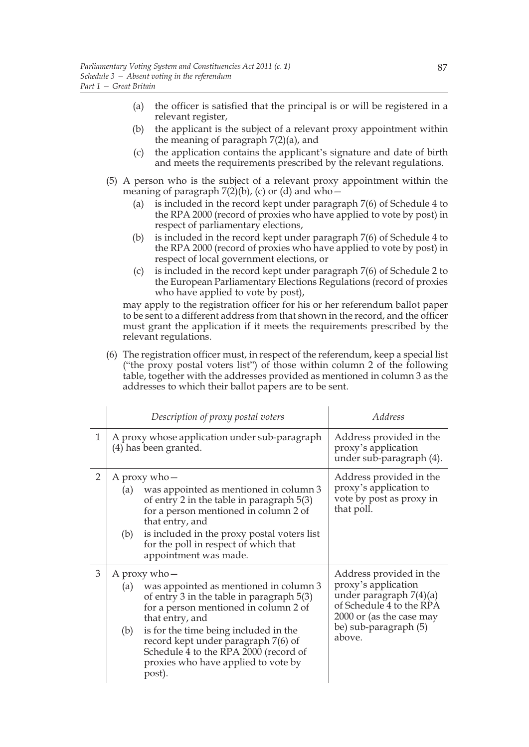- (a) the officer is satisfied that the principal is or will be registered in a relevant register,
- (b) the applicant is the subject of a relevant proxy appointment within the meaning of paragraph 7(2)(a), and
- (c) the application contains the applicant's signature and date of birth and meets the requirements prescribed by the relevant regulations.
- (5) A person who is the subject of a relevant proxy appointment within the meaning of paragraph  $7(2)(b)$ , (c) or (d) and who-
	- (a) is included in the record kept under paragraph 7(6) of Schedule 4 to the RPA 2000 (record of proxies who have applied to vote by post) in respect of parliamentary elections,
	- (b) is included in the record kept under paragraph 7(6) of Schedule 4 to the RPA 2000 (record of proxies who have applied to vote by post) in respect of local government elections, or
	- (c) is included in the record kept under paragraph 7(6) of Schedule 2 to the European Parliamentary Elections Regulations (record of proxies who have applied to vote by post),

may apply to the registration officer for his or her referendum ballot paper to be sent to a different address from that shown in the record, and the officer must grant the application if it meets the requirements prescribed by the relevant regulations.

(6) The registration officer must, in respect of the referendum, keep a special list ("the proxy postal voters list") of those within column 2 of the following table, together with the addresses provided as mentioned in column 3 as the addresses to which their ballot papers are to be sent.

|   | Description of proxy postal voters                                     |                                                                                                                                                                                                                                                                                                                                                | <i>Address</i>                                                                                                                                                       |
|---|------------------------------------------------------------------------|------------------------------------------------------------------------------------------------------------------------------------------------------------------------------------------------------------------------------------------------------------------------------------------------------------------------------------------------|----------------------------------------------------------------------------------------------------------------------------------------------------------------------|
| 1 | A proxy whose application under sub-paragraph<br>(4) has been granted. |                                                                                                                                                                                                                                                                                                                                                | Address provided in the<br>proxy's application<br>under sub-paragraph (4).                                                                                           |
| 2 | (a)<br>(b)                                                             | A proxy who $-$<br>was appointed as mentioned in column 3<br>of entry 2 in the table in paragraph $5(3)$<br>for a person mentioned in column 2 of<br>that entry, and<br>is included in the proxy postal voters list<br>for the poll in respect of which that<br>appointment was made.                                                          | Address provided in the<br>proxy's application to<br>vote by post as proxy in<br>that poll.                                                                          |
| 3 | (a)<br>(b)                                                             | A proxy who –<br>was appointed as mentioned in column 3<br>of entry $3$ in the table in paragraph $5(3)$<br>for a person mentioned in column 2 of<br>that entry, and<br>is for the time being included in the<br>record kept under paragraph 7(6) of<br>Schedule 4 to the RPA 2000 (record of<br>proxies who have applied to vote by<br>post). | Address provided in the<br>proxy's application<br>under paragraph 7(4)(a)<br>of Schedule 4 to the RPA<br>2000 or (as the case may<br>be) sub-paragraph (5)<br>above. |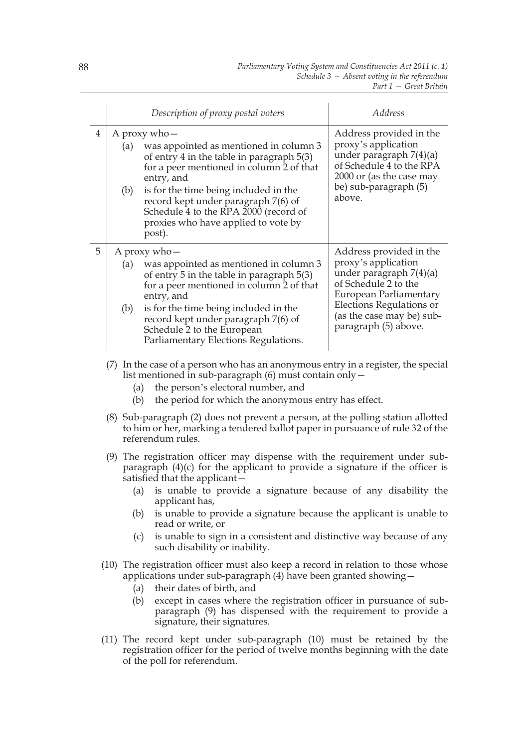|                                                                                                                                                                                                                                                          |            | Description of proxy postal voters                                                                                                                                                                                                                                                                                                          | <b>Address</b>                                                                                                                                                                                               |
|----------------------------------------------------------------------------------------------------------------------------------------------------------------------------------------------------------------------------------------------------------|------------|---------------------------------------------------------------------------------------------------------------------------------------------------------------------------------------------------------------------------------------------------------------------------------------------------------------------------------------------|--------------------------------------------------------------------------------------------------------------------------------------------------------------------------------------------------------------|
| $\overline{4}$                                                                                                                                                                                                                                           | (a)<br>(b) | A proxy who-<br>was appointed as mentioned in column 3<br>of entry $4$ in the table in paragraph $5(3)$<br>for a peer mentioned in column 2 of that<br>entry, and<br>is for the time being included in the<br>record kept under paragraph 7(6) of<br>Schedule 4 to the RPA 2000 (record of<br>proxies who have applied to vote by<br>post). | Address provided in the<br>proxy's application<br>under paragraph $7(4)(a)$<br>of Schedule 4 to the RPA<br>2000 or (as the case may<br>be) sub-paragraph (5)<br>above.                                       |
| 5                                                                                                                                                                                                                                                        | (a)<br>(b) | A proxy who-<br>was appointed as mentioned in column 3<br>of entry 5 in the table in paragraph 5(3)<br>for a peer mentioned in column 2 of that<br>entry, and<br>is for the time being included in the<br>record kept under paragraph 7(6) of<br>Schedule 2 to the European<br>Parliamentary Elections Regulations.                         | Address provided in the<br>proxy's application<br>under paragraph 7(4)(a)<br>of Schedule 2 to the<br>European Parliamentary<br>Elections Regulations or<br>(as the case may be) sub-<br>paragraph (5) above. |
| (7) In the case of a person who has an anonymous entry in a register, the special<br>list mentioned in sub-paragraph (6) must contain only -<br>the person's electoral number, and<br>(a)<br>the period for which the anonymous entry has effect.<br>(b) |            |                                                                                                                                                                                                                                                                                                                                             |                                                                                                                                                                                                              |
| (8) Sub-paragraph (2) does not prevent a person, at the polling station allotted<br>to him or her, marking a tendered ballot paper in pursuance of rule 32 of the<br>referendum rules.                                                                   |            |                                                                                                                                                                                                                                                                                                                                             |                                                                                                                                                                                                              |
|                                                                                                                                                                                                                                                          |            | (9) The registration officer may dispense with the requirement under sub-<br>paragraph $(4)(c)$ for the applicant to provide a signature if the officer is<br>satisfied that the applicant-<br>(a) is unable to provide a signature because of any disability the                                                                           |                                                                                                                                                                                                              |

- applicant has, (b) is unable to provide a signature because the applicant is unable to read or write, or
- (c) is unable to sign in a consistent and distinctive way because of any such disability or inability.
- (10) The registration officer must also keep a record in relation to those whose applications under sub-paragraph (4) have been granted showing—
	- (a) their dates of birth, and
	- (b) except in cases where the registration officer in pursuance of subparagraph (9) has dispensed with the requirement to provide a signature, their signatures.
- (11) The record kept under sub-paragraph (10) must be retained by the registration officer for the period of twelve months beginning with the date of the poll for referendum.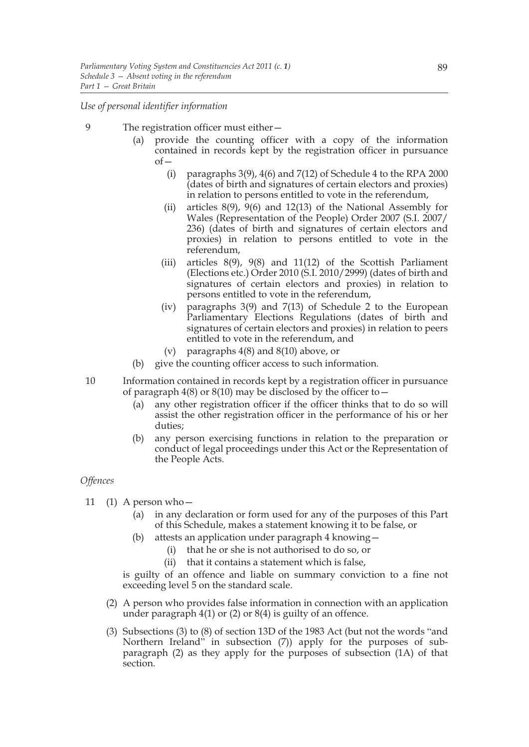## *Use of personal identifier information*

- 9 The registration officer must either—
	- (a) provide the counting officer with a copy of the information contained in records kept by the registration officer in pursuance  $of$ 
		- (i) paragraphs  $3(9)$ ,  $4(6)$  and  $7(12)$  of Schedule 4 to the RPA 2000 (dates of birth and signatures of certain electors and proxies) in relation to persons entitled to vote in the referendum,
		- (ii) articles  $8(9)$ ,  $9(6)$  and  $12(13)$  of the National Assembly for Wales (Representation of the People) Order 2007 (S.I. 2007/ 236) (dates of birth and signatures of certain electors and proxies) in relation to persons entitled to vote in the referendum,
		- (iii) articles 8(9), 9(8) and 11(12) of the Scottish Parliament (Elections etc.) Order 2010 (S.I. 2010/2999) (dates of birth and signatures of certain electors and proxies) in relation to persons entitled to vote in the referendum,
		- (iv) paragraphs 3(9) and 7(13) of Schedule 2 to the European Parliamentary Elections Regulations (dates of birth and signatures of certain electors and proxies) in relation to peers entitled to vote in the referendum, and
		- (v) paragraphs 4(8) and 8(10) above, or
	- (b) give the counting officer access to such information.
- 10 Information contained in records kept by a registration officer in pursuance of paragraph  $4(8)$  or  $8(10)$  may be disclosed by the officer to  $-$ 
	- (a) any other registration officer if the officer thinks that to do so will assist the other registration officer in the performance of his or her duties;
	- (b) any person exercising functions in relation to the preparation or conduct of legal proceedings under this Act or the Representation of the People Acts.

#### *Offences*

- 11 (1) A person who  $-$ 
	- (a) in any declaration or form used for any of the purposes of this Part of this Schedule, makes a statement knowing it to be false, or
	- (b) attests an application under paragraph 4 knowing—
		- (i) that he or she is not authorised to do so, or
		- (ii) that it contains a statement which is false,

is guilty of an offence and liable on summary conviction to a fine not exceeding level 5 on the standard scale.

- (2) A person who provides false information in connection with an application under paragraph  $4(1)$  or  $(2)$  or  $8(4)$  is guilty of an offence.
- (3) Subsections (3) to (8) of section 13D of the 1983 Act (but not the words "and Northern Ireland" in subsection (7)) apply for the purposes of subparagraph (2) as they apply for the purposes of subsection (1A) of that section.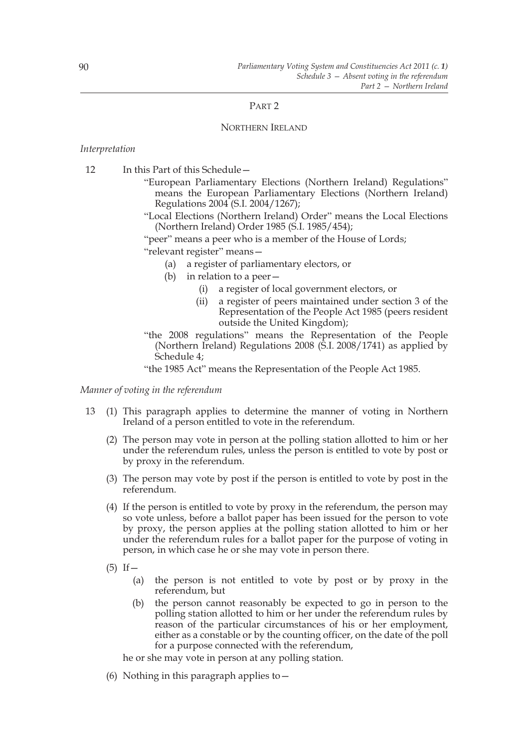## PART 2

#### NORTHERN IRELAND

## *Interpretation*

- 12 In this Part of this Schedule—
	- "European Parliamentary Elections (Northern Ireland) Regulations" means the European Parliamentary Elections (Northern Ireland) Regulations 2004 (S.I. 2004/1267);
	- "Local Elections (Northern Ireland) Order" means the Local Elections (Northern Ireland) Order 1985 (S.I. 1985/454);
	- "peer" means a peer who is a member of the House of Lords;
	- "relevant register" means—
		- (a) a register of parliamentary electors, or
		- (b) in relation to a peer—
			- (i) a register of local government electors, or
			- (ii) a register of peers maintained under section 3 of the Representation of the People Act 1985 (peers resident outside the United Kingdom);
	- "the 2008 regulations" means the Representation of the People (Northern Ireland) Regulations 2008 (S.I. 2008/1741) as applied by Schedule 4;

"the 1985 Act" means the Representation of the People Act 1985.

#### *Manner of voting in the referendum*

- 13 (1) This paragraph applies to determine the manner of voting in Northern Ireland of a person entitled to vote in the referendum.
	- (2) The person may vote in person at the polling station allotted to him or her under the referendum rules, unless the person is entitled to vote by post or by proxy in the referendum.
	- (3) The person may vote by post if the person is entitled to vote by post in the referendum.
	- (4) If the person is entitled to vote by proxy in the referendum, the person may so vote unless, before a ballot paper has been issued for the person to vote by proxy, the person applies at the polling station allotted to him or her under the referendum rules for a ballot paper for the purpose of voting in person, in which case he or she may vote in person there.
	- $(5)$  If  $-$ 
		- (a) the person is not entitled to vote by post or by proxy in the referendum, but
		- (b) the person cannot reasonably be expected to go in person to the polling station allotted to him or her under the referendum rules by reason of the particular circumstances of his or her employment, either as a constable or by the counting officer, on the date of the poll for a purpose connected with the referendum,

he or she may vote in person at any polling station.

(6) Nothing in this paragraph applies to  $-$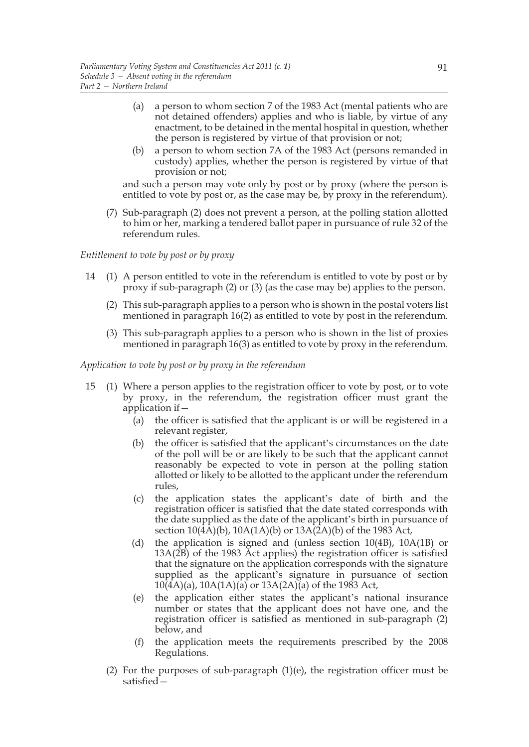- (a) a person to whom section 7 of the 1983 Act (mental patients who are not detained offenders) applies and who is liable, by virtue of any enactment, to be detained in the mental hospital in question, whether the person is registered by virtue of that provision or not;
- (b) a person to whom section 7A of the 1983 Act (persons remanded in custody) applies, whether the person is registered by virtue of that provision or not;

and such a person may vote only by post or by proxy (where the person is entitled to vote by post or, as the case may be, by proxy in the referendum).

(7) Sub-paragraph (2) does not prevent a person, at the polling station allotted to him or her, marking a tendered ballot paper in pursuance of rule 32 of the referendum rules.

### *Entitlement to vote by post or by proxy*

- 14 (1) A person entitled to vote in the referendum is entitled to vote by post or by proxy if sub-paragraph (2) or (3) (as the case may be) applies to the person.
	- (2) This sub-paragraph applies to a person who is shown in the postal voters list mentioned in paragraph 16(2) as entitled to vote by post in the referendum.
	- (3) This sub-paragraph applies to a person who is shown in the list of proxies mentioned in paragraph 16(3) as entitled to vote by proxy in the referendum.

*Application to vote by post or by proxy in the referendum*

- 15 (1) Where a person applies to the registration officer to vote by post, or to vote by proxy, in the referendum, the registration officer must grant the application if—
	- (a) the officer is satisfied that the applicant is or will be registered in a relevant register,
	- (b) the officer is satisfied that the applicant's circumstances on the date of the poll will be or are likely to be such that the applicant cannot reasonably be expected to vote in person at the polling station allotted or likely to be allotted to the applicant under the referendum rules,
	- (c) the application states the applicant's date of birth and the registration officer is satisfied that the date stated corresponds with the date supplied as the date of the applicant's birth in pursuance of section  $10(\overline{4}A)(b)$ ,  $10A(1A)(b)$  or  $13A(2A)(b)$  of the 1983 Act,
	- (d) the application is signed and (unless section 10(4B), 10A(1B) or 13A(2B) of the 1983 Act applies) the registration officer is satisfied that the signature on the application corresponds with the signature supplied as the applicant's signature in pursuance of section 10(4A)(a), 10A(1A)(a) or 13A(2A)(a) of the 1983 Act,
	- (e) the application either states the applicant's national insurance number or states that the applicant does not have one, and the registration officer is satisfied as mentioned in sub-paragraph (2) below, and
	- (f) the application meets the requirements prescribed by the 2008 Regulations.
	- (2) For the purposes of sub-paragraph  $(1)(e)$ , the registration officer must be satisfied—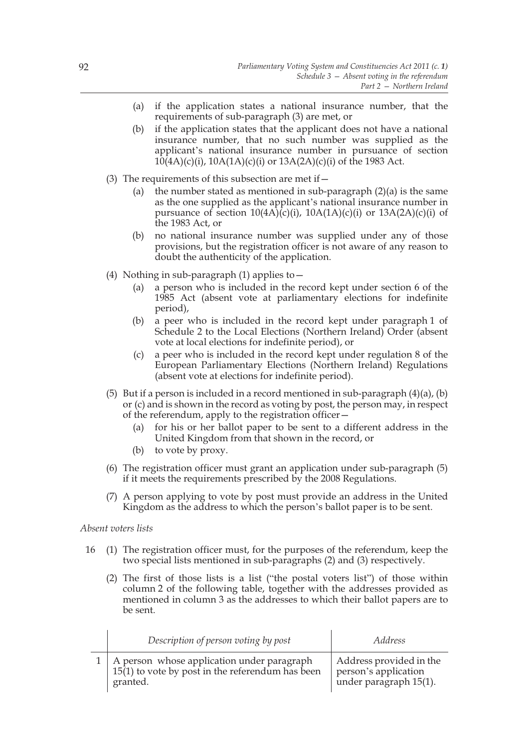- (a) if the application states a national insurance number, that the requirements of sub-paragraph (3) are met, or
- (b) if the application states that the applicant does not have a national insurance number, that no such number was supplied as the applicant's national insurance number in pursuance of section  $10(4A)(c)(i)$ ,  $10A(1A)(c)(i)$  or  $13A(2A)(c)(i)$  of the 1983 Act.
- (3) The requirements of this subsection are met if  $-$ 
	- (a) the number stated as mentioned in sub-paragraph  $(2)(a)$  is the same as the one supplied as the applicant's national insurance number in pursuance of section  $10(4A)(c)(i)$ ,  $10A(1A)(c)(i)$  or  $13A(2A)(c)(i)$  of the 1983 Act, or
	- (b) no national insurance number was supplied under any of those provisions, but the registration officer is not aware of any reason to doubt the authenticity of the application.
- (4) Nothing in sub-paragraph (1) applies to—
	- (a) a person who is included in the record kept under section 6 of the 1985 Act (absent vote at parliamentary elections for indefinite period),
	- (b) a peer who is included in the record kept under paragraph 1 of Schedule 2 to the Local Elections (Northern Ireland) Order (absent vote at local elections for indefinite period), or
	- (c) a peer who is included in the record kept under regulation 8 of the European Parliamentary Elections (Northern Ireland) Regulations (absent vote at elections for indefinite period).
- (5) But if a person is included in a record mentioned in sub-paragraph  $(4)(a)$ ,  $(b)$ or (c) and is shown in the record as voting by post, the person may, in respect of the referendum, apply to the registration officer—
	- (a) for his or her ballot paper to be sent to a different address in the United Kingdom from that shown in the record, or
	- (b) to vote by proxy.
- (6) The registration officer must grant an application under sub-paragraph (5) if it meets the requirements prescribed by the 2008 Regulations.
- (7) A person applying to vote by post must provide an address in the United Kingdom as the address to which the person's ballot paper is to be sent.

## *Absent voters lists*

- 16 (1) The registration officer must, for the purposes of the referendum, keep the two special lists mentioned in sub-paragraphs (2) and (3) respectively.
	- (2) The first of those lists is a list ("the postal voters list") of those within column 2 of the following table, together with the addresses provided as mentioned in column 3 as the addresses to which their ballot papers are to be sent.

 $\mathbf{I}$ 

| Description of person voting by post                                                                         | <i>Address</i>                                                            |
|--------------------------------------------------------------------------------------------------------------|---------------------------------------------------------------------------|
| A person whose application under paragraph<br>$15(1)$ to vote by post in the referendum has been<br>granted. | Address provided in the<br>person's application<br>under paragraph 15(1). |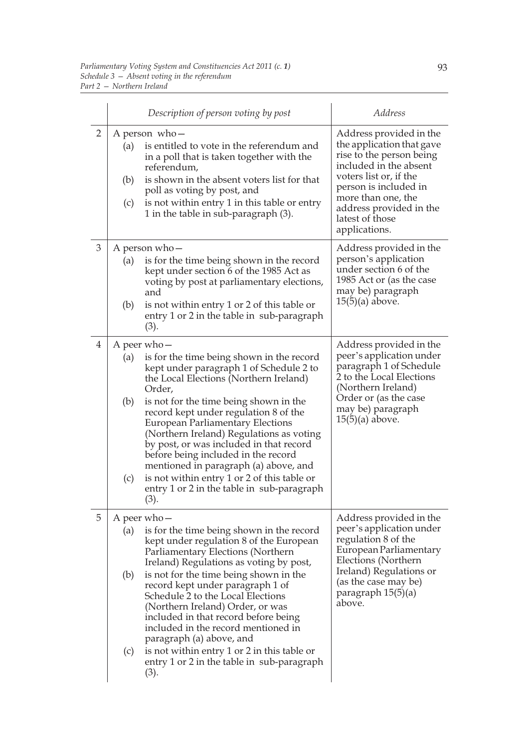|                |                   | Description of person voting by post                                                                                                                                                                                                                                                                                                                                                                                                                                                                                                                                  | <b>Address</b>                                                                                                                                                                                                                                     |
|----------------|-------------------|-----------------------------------------------------------------------------------------------------------------------------------------------------------------------------------------------------------------------------------------------------------------------------------------------------------------------------------------------------------------------------------------------------------------------------------------------------------------------------------------------------------------------------------------------------------------------|----------------------------------------------------------------------------------------------------------------------------------------------------------------------------------------------------------------------------------------------------|
| $\overline{2}$ | (a)<br>(b)<br>(c) | A person $who$ –<br>is entitled to vote in the referendum and<br>in a poll that is taken together with the<br>referendum,<br>is shown in the absent voters list for that<br>poll as voting by post, and<br>is not within entry 1 in this table or entry<br>1 in the table in sub-paragraph (3).                                                                                                                                                                                                                                                                       | Address provided in the<br>the application that gave<br>rise to the person being<br>included in the absent<br>voters list or, if the<br>person is included in<br>more than one, the<br>address provided in the<br>latest of those<br>applications. |
| $\mathfrak{Z}$ | (a)<br>(b)        | A person who-<br>is for the time being shown in the record<br>kept under section 6 of the 1985 Act as<br>voting by post at parliamentary elections,<br>and<br>is not within entry 1 or 2 of this table or                                                                                                                                                                                                                                                                                                                                                             | Address provided in the<br>person's application<br>under section 6 of the<br>1985 Act or (as the case<br>may be) paragraph<br>$15(5)(a)$ above.                                                                                                    |
|                |                   | entry 1 or 2 in the table in sub-paragraph<br>(3).                                                                                                                                                                                                                                                                                                                                                                                                                                                                                                                    |                                                                                                                                                                                                                                                    |
| $\overline{4}$ | (a)<br>(b)<br>(c) | A peer who $-$<br>is for the time being shown in the record<br>kept under paragraph 1 of Schedule 2 to<br>the Local Elections (Northern Ireland)<br>Order,<br>is not for the time being shown in the<br>record kept under regulation 8 of the<br><b>European Parliamentary Elections</b><br>(Northern Ireland) Regulations as voting<br>by post, or was included in that record<br>before being included in the record<br>mentioned in paragraph (a) above, and<br>is not within entry 1 or 2 of this table or<br>entry 1 or 2 in the table in sub-paragraph          | Address provided in the<br>peer's application under<br>paragraph 1 of Schedule<br>2 to the Local Elections<br>(Northern Ireland)<br>Order or (as the case<br>may be) paragraph<br>$15(5)(a)$ above.                                                |
| 5              | (a)<br>(b)<br>(c) | (3).<br>A peer who $-$<br>is for the time being shown in the record<br>kept under regulation 8 of the European<br>Parliamentary Elections (Northern<br>Ireland) Regulations as voting by post,<br>is not for the time being shown in the<br>record kept under paragraph 1 of<br>Schedule 2 to the Local Elections<br>(Northern Ireland) Order, or was<br>included in that record before being<br>included in the record mentioned in<br>paragraph (a) above, and<br>is not within entry 1 or 2 in this table or<br>entry 1 or 2 in the table in sub-paragraph<br>(3). | Address provided in the<br>peer's application under<br>regulation 8 of the<br>European Parliamentary<br>Elections (Northern<br>Ireland) Regulations or<br>(as the case may be)<br>paragraph 15(5)(a)<br>above.                                     |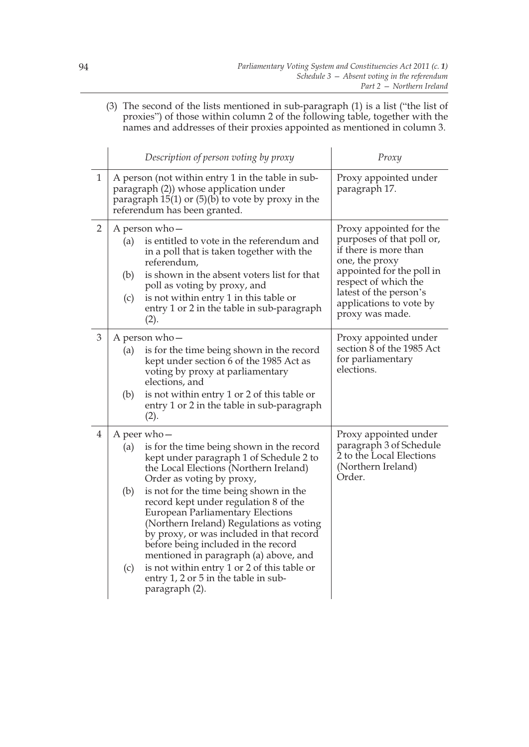(3) The second of the lists mentioned in sub-paragraph (1) is a list ("the list of proxies") of those within column 2 of the following table, together with the names and addresses of their proxies appointed as mentioned in column 3.

|                | Description of person voting by proxy                                                                                                                                                                                                                                                                                                                                                                                                                                                                                                                                                                             | Proxy                                                                                                                                                                                                                        |
|----------------|-------------------------------------------------------------------------------------------------------------------------------------------------------------------------------------------------------------------------------------------------------------------------------------------------------------------------------------------------------------------------------------------------------------------------------------------------------------------------------------------------------------------------------------------------------------------------------------------------------------------|------------------------------------------------------------------------------------------------------------------------------------------------------------------------------------------------------------------------------|
| $\mathbf{1}$   | A person (not within entry 1 in the table in sub-<br>paragraph (2)) whose application under<br>paragraph $15(1)$ or $(5)(b)$ to vote by proxy in the<br>referendum has been granted.                                                                                                                                                                                                                                                                                                                                                                                                                              | Proxy appointed under<br>paragraph 17.                                                                                                                                                                                       |
| $\overline{2}$ | A person who –<br>is entitled to vote in the referendum and<br>(a)<br>in a poll that is taken together with the<br>referendum,<br>is shown in the absent voters list for that<br>(b)<br>poll as voting by proxy, and<br>is not within entry 1 in this table or<br>(c)<br>entry 1 or 2 in the table in sub-paragraph<br>(2).                                                                                                                                                                                                                                                                                       | Proxy appointed for the<br>purposes of that poll or,<br>if there is more than<br>one, the proxy<br>appointed for the poll in<br>respect of which the<br>latest of the person's<br>applications to vote by<br>proxy was made. |
| 3              | A person who-<br>is for the time being shown in the record<br>(a)<br>kept under section 6 of the 1985 Act as<br>voting by proxy at parliamentary<br>elections, and<br>(b)<br>is not within entry 1 or 2 of this table or<br>entry 1 or 2 in the table in sub-paragraph<br>(2).                                                                                                                                                                                                                                                                                                                                    | Proxy appointed under<br>section 8 of the 1985 Act<br>for parliamentary<br>elections.                                                                                                                                        |
| 4              | A peer who $-$<br>is for the time being shown in the record<br>(a)<br>kept under paragraph 1 of Schedule 2 to<br>the Local Elections (Northern Ireland)<br>Order as voting by proxy,<br>is not for the time being shown in the<br>(b)<br>record kept under regulation 8 of the<br><b>European Parliamentary Elections</b><br>(Northern Ireland) Regulations as voting<br>by proxy, or was included in that record<br>before being included in the record<br>mentioned in paragraph (a) above, and<br>is not within entry 1 or 2 of this table or<br>(c)<br>entry 1, 2 or 5 in the table in sub-<br>paragraph (2). | Proxy appointed under<br>paragraph 3 of Schedule<br>2 to the Local Elections<br>(Northern Ireland)<br>Order.                                                                                                                 |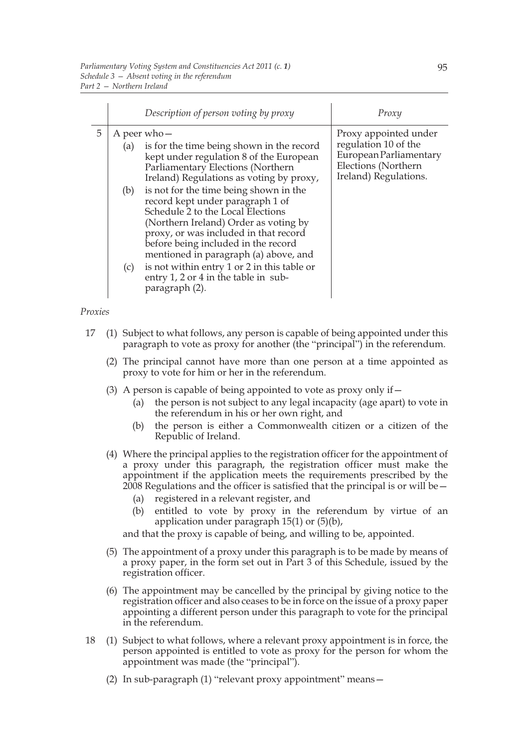|   |     | Description of person voting by proxy                                                                                                                                                                                                                                                                                                                                                                                                                                            | Proxy                                                                                                                   |
|---|-----|----------------------------------------------------------------------------------------------------------------------------------------------------------------------------------------------------------------------------------------------------------------------------------------------------------------------------------------------------------------------------------------------------------------------------------------------------------------------------------|-------------------------------------------------------------------------------------------------------------------------|
| 5 | (b) | A peer who $-$<br>(a) is for the time being shown in the record<br>kept under regulation 8 of the European<br>Parliamentary Elections (Northern<br>Ireland) Regulations as voting by proxy,<br>is not for the time being shown in the<br>record kept under paragraph 1 of<br>Schedule 2 to the Local Elections<br>(Northern Ireland) Order as voting by<br>proxy, or was included in that record<br>before being included in the record<br>mentioned in paragraph (a) above, and | Proxy appointed under<br>regulation 10 of the<br>European Parliamentary<br>Elections (Northern<br>Ireland) Regulations. |
|   | (c) | is not within entry 1 or 2 in this table or<br>entry 1, 2 or 4 in the table in sub-<br>paragraph (2).                                                                                                                                                                                                                                                                                                                                                                            |                                                                                                                         |

## *Proxies*

- 17 (1) Subject to what follows, any person is capable of being appointed under this paragraph to vote as proxy for another (the "principal") in the referendum.
	- (2) The principal cannot have more than one person at a time appointed as proxy to vote for him or her in the referendum.
	- (3) A person is capable of being appointed to vote as proxy only if  $-$ 
		- (a) the person is not subject to any legal incapacity (age apart) to vote in the referendum in his or her own right, and
		- (b) the person is either a Commonwealth citizen or a citizen of the Republic of Ireland.
	- (4) Where the principal applies to the registration officer for the appointment of a proxy under this paragraph, the registration officer must make the appointment if the application meets the requirements prescribed by the  $2008$  Regulations and the officer is satisfied that the principal is or will be  $-$ 
		- (a) registered in a relevant register, and
		- (b) entitled to vote by proxy in the referendum by virtue of an application under paragraph 15(1) or (5)(b),

and that the proxy is capable of being, and willing to be, appointed.

- (5) The appointment of a proxy under this paragraph is to be made by means of a proxy paper, in the form set out in Part 3 of this Schedule, issued by the registration officer.
- (6) The appointment may be cancelled by the principal by giving notice to the registration officer and also ceases to be in force on the issue of a proxy paper appointing a different person under this paragraph to vote for the principal in the referendum.
- 18 (1) Subject to what follows, where a relevant proxy appointment is in force, the person appointed is entitled to vote as proxy for the person for whom the appointment was made (the "principal").
	- (2) In sub-paragraph (1) "relevant proxy appointment" means—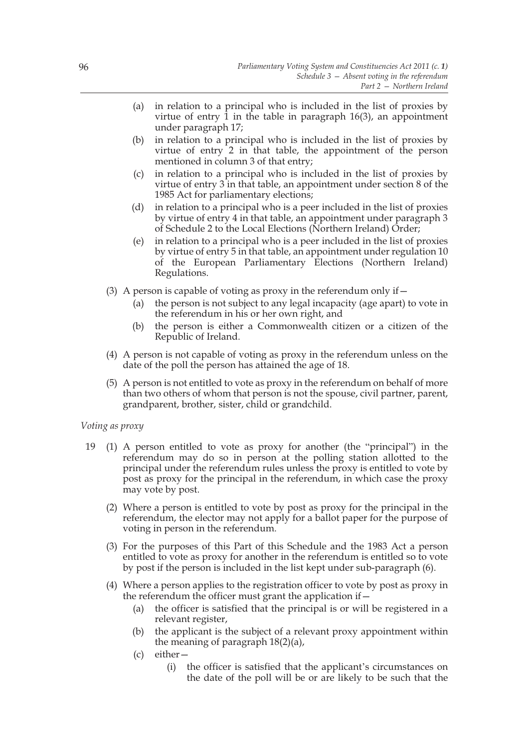- (a) in relation to a principal who is included in the list of proxies by virtue of entry  $\hat{1}$  in the table in paragraph 16(3), an appointment under paragraph 17;
- (b) in relation to a principal who is included in the list of proxies by virtue of entry 2 in that table, the appointment of the person mentioned in column 3 of that entry;
- (c) in relation to a principal who is included in the list of proxies by virtue of entry 3 in that table, an appointment under section 8 of the 1985 Act for parliamentary elections;
- (d) in relation to a principal who is a peer included in the list of proxies by virtue of entry 4 in that table, an appointment under paragraph 3 of Schedule 2 to the Local Elections (Northern Ireland) Order;
- (e) in relation to a principal who is a peer included in the list of proxies by virtue of entry 5 in that table, an appointment under regulation 10 of the European Parliamentary Elections (Northern Ireland) Regulations.
- (3) A person is capable of voting as proxy in the referendum only if  $-$ 
	- (a) the person is not subject to any legal incapacity (age apart) to vote in the referendum in his or her own right, and
	- (b) the person is either a Commonwealth citizen or a citizen of the Republic of Ireland.
- (4) A person is not capable of voting as proxy in the referendum unless on the date of the poll the person has attained the age of 18.
- (5) A person is not entitled to vote as proxy in the referendum on behalf of more than two others of whom that person is not the spouse, civil partner, parent, grandparent, brother, sister, child or grandchild.

## *Voting as proxy*

- 19 (1) A person entitled to vote as proxy for another (the "principal") in the referendum may do so in person at the polling station allotted to the principal under the referendum rules unless the proxy is entitled to vote by post as proxy for the principal in the referendum, in which case the proxy may vote by post.
	- (2) Where a person is entitled to vote by post as proxy for the principal in the referendum, the elector may not apply for a ballot paper for the purpose of voting in person in the referendum.
	- (3) For the purposes of this Part of this Schedule and the 1983 Act a person entitled to vote as proxy for another in the referendum is entitled so to vote by post if the person is included in the list kept under sub-paragraph (6).
	- (4) Where a person applies to the registration officer to vote by post as proxy in the referendum the officer must grant the application if—
		- (a) the officer is satisfied that the principal is or will be registered in a relevant register,
		- (b) the applicant is the subject of a relevant proxy appointment within the meaning of paragraph 18(2)(a),
		- (c) either—
			- (i) the officer is satisfied that the applicant's circumstances on the date of the poll will be or are likely to be such that the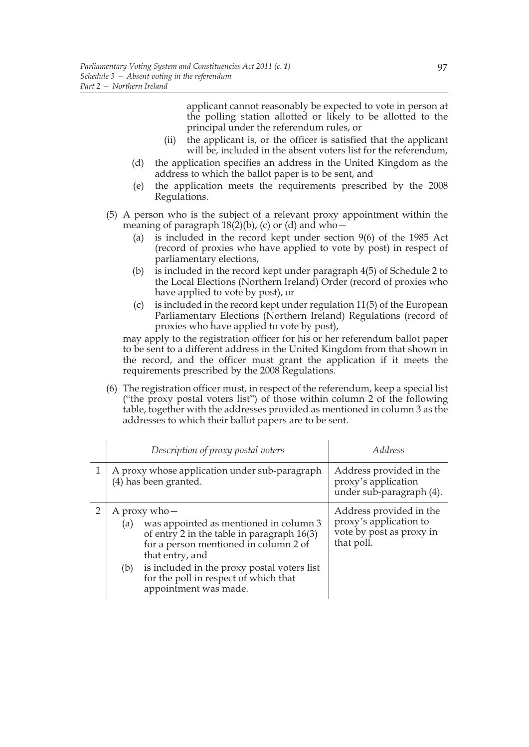applicant cannot reasonably be expected to vote in person at the polling station allotted or likely to be allotted to the principal under the referendum rules, or

- (ii) the applicant is, or the officer is satisfied that the applicant will be, included in the absent voters list for the referendum,
- (d) the application specifies an address in the United Kingdom as the address to which the ballot paper is to be sent, and
- (e) the application meets the requirements prescribed by the 2008 Regulations.
- (5) A person who is the subject of a relevant proxy appointment within the meaning of paragraph  $18(2)(b)$ , (c) or (d) and who –
	- (a) is included in the record kept under section 9(6) of the 1985 Act (record of proxies who have applied to vote by post) in respect of parliamentary elections,
	- (b) is included in the record kept under paragraph 4(5) of Schedule 2 to the Local Elections (Northern Ireland) Order (record of proxies who have applied to vote by post), or
	- (c) is included in the record kept under regulation 11(5) of the European Parliamentary Elections (Northern Ireland) Regulations (record of proxies who have applied to vote by post),

may apply to the registration officer for his or her referendum ballot paper to be sent to a different address in the United Kingdom from that shown in the record, and the officer must grant the application if it meets the requirements prescribed by the 2008 Regulations.

(6) The registration officer must, in respect of the referendum, keep a special list ("the proxy postal voters list") of those within column 2 of the following table, together with the addresses provided as mentioned in column 3 as the addresses to which their ballot papers are to be sent.

| Description of proxy postal voters                                                                                                                                                                                                                                                                 |  | <i>Address</i>                                                                              |
|----------------------------------------------------------------------------------------------------------------------------------------------------------------------------------------------------------------------------------------------------------------------------------------------------|--|---------------------------------------------------------------------------------------------|
| A proxy whose application under sub-paragraph<br>(4) has been granted.                                                                                                                                                                                                                             |  | Address provided in the<br>proxy's application<br>under sub-paragraph (4).                  |
| A proxy who $-$<br>was appointed as mentioned in column 3<br>(a)<br>of entry 2 in the table in paragraph 16(3)<br>for a person mentioned in column 2 of<br>that entry, and<br>is included in the proxy postal voters list<br>(b)<br>for the poll in respect of which that<br>appointment was made. |  | Address provided in the<br>proxy's application to<br>vote by post as proxy in<br>that poll. |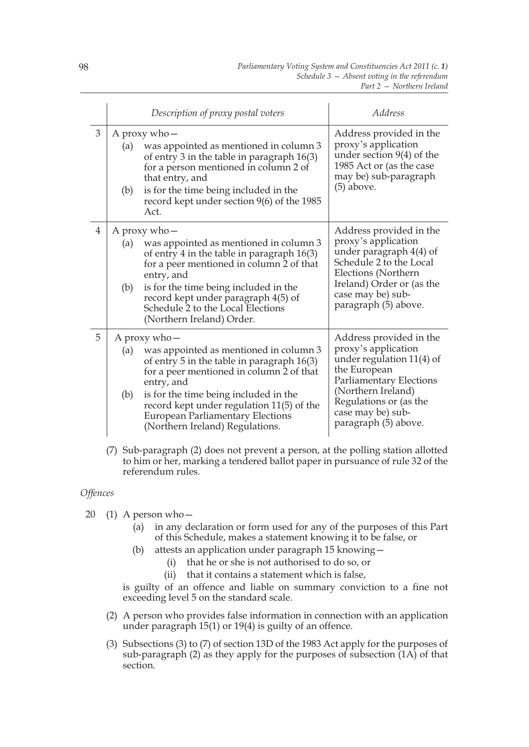|                |            | Description of proxy postal voters                                                                                                                                                                                                                                                                                                      | <b>Address</b>                                                                                                                                                                                                               |
|----------------|------------|-----------------------------------------------------------------------------------------------------------------------------------------------------------------------------------------------------------------------------------------------------------------------------------------------------------------------------------------|------------------------------------------------------------------------------------------------------------------------------------------------------------------------------------------------------------------------------|
| $\mathfrak{Z}$ | (a)<br>(b) | A proxy who $-$<br>was appointed as mentioned in column 3<br>of entry 3 in the table in paragraph 16(3)<br>for a person mentioned in column 2 of<br>that entry, and<br>is for the time being included in the<br>record kept under section 9(6) of the 1985<br>Act.                                                                      | Address provided in the<br>proxy's application<br>under section $9(4)$ of the<br>1985 Act or (as the case<br>may be) sub-paragraph<br>$(5)$ above.                                                                           |
| $\overline{4}$ | (a)<br>(b) | A proxy who –<br>was appointed as mentioned in column 3<br>of entry 4 in the table in paragraph 16(3)<br>for a peer mentioned in column 2 of that<br>entry, and<br>is for the time being included in the<br>record kept under paragraph 4(5) of<br>Schedule 2 to the Local Elections<br>(Northern Ireland) Order.                       | Address provided in the<br>proxy's application<br>under paragraph 4(4) of<br>Schedule 2 to the Local<br>Elections (Northern<br>Ireland) Order or (as the<br>case may be) sub-<br>paragraph (5) above.                        |
| 5              | (a)<br>(b) | A proxy who –<br>was appointed as mentioned in column 3<br>of entry $5$ in the table in paragraph $16(3)$<br>for a peer mentioned in column 2 of that<br>entry, and<br>is for the time being included in the<br>record kept under regulation 11(5) of the<br><b>European Parliamentary Elections</b><br>(Northern Ireland) Regulations. | Address provided in the<br>proxy's application<br>under regulation $11(4)$ of<br>the European<br><b>Parliamentary Elections</b><br>(Northern Ireland)<br>Regulations or (as the<br>case may be) sub-<br>paragraph (5) above. |

(7) Sub-paragraph (2) does not prevent a person, at the polling station allotted to him or her, marking a tendered ballot paper in pursuance of rule 32 of the referendum rules.

# *Offences*

- 20 (1) A person who—
	- (a) in any declaration or form used for any of the purposes of this Part of this Schedule, makes a statement knowing it to be false, or
	- (b) attests an application under paragraph 15 knowing—
		- (i) that he or she is not authorised to do so, or
		- (ii) that it contains a statement which is false,

is guilty of an offence and liable on summary conviction to a fine not exceeding level 5 on the standard scale.

- (2) A person who provides false information in connection with an application under paragraph 15(1) or 19(4) is guilty of an offence.
- (3) Subsections (3) to (7) of section 13D of the 1983 Act apply for the purposes of sub-paragraph  $(2)$  as they apply for the purposes of subsection  $(1)$  of that section.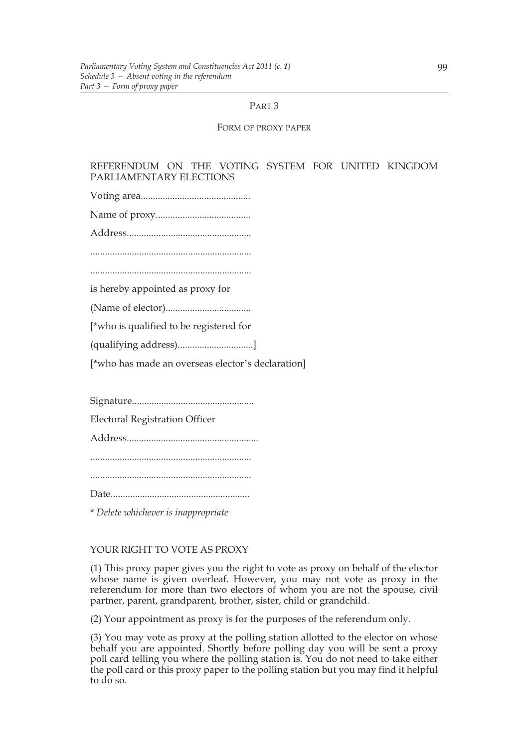## PART 3

#### FORM OF PROXY PAPER

## REFERENDUM ON THE VOTING SYSTEM FOR UNITED KINGDOM PARLIAMENTARY ELECTIONS

Voting area.............................................

Name of proxy.......................................

Address...................................................

..................................................................

..................................................................

is hereby appointed as proxy for

(Name of elector)...................................

[\*who is qualified to be registered for

(qualifying address)...............................]

[\*who has made an overseas elector's declaration]

Signature..................................................

Electoral Registration Officer

Address......................................................

..................................................................

..................................................................

Date.........................................................

\* *Delete whichever is inappropriate*

## YOUR RIGHT TO VOTE AS PROXY

(1) This proxy paper gives you the right to vote as proxy on behalf of the elector whose name is given overleaf. However, you may not vote as proxy in the referendum for more than two electors of whom you are not the spouse, civil partner, parent, grandparent, brother, sister, child or grandchild.

(2) Your appointment as proxy is for the purposes of the referendum only.

(3) You may vote as proxy at the polling station allotted to the elector on whose behalf you are appointed. Shortly before polling day you will be sent a proxy poll card telling you where the polling station is. You do not need to take either the poll card or this proxy paper to the polling station but you may find it helpful to do so.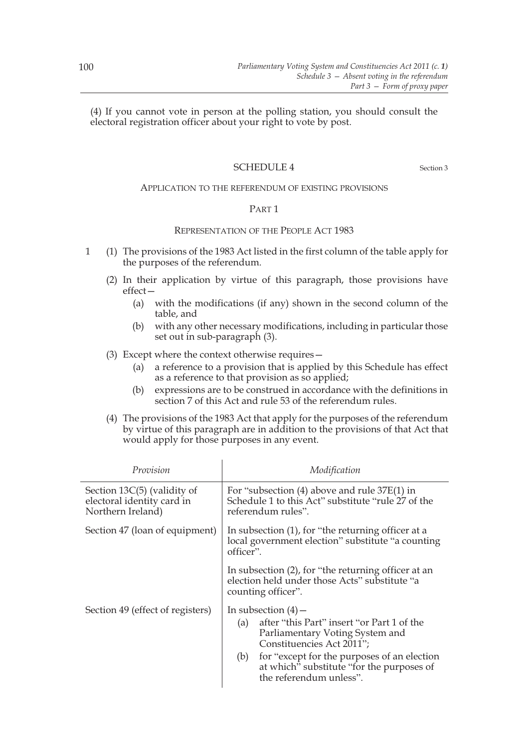(4) If you cannot vote in person at the polling station, you should consult the electoral registration officer about your right to vote by post.

## SCHEDULE 4 Section 3

## APPLICATION TO THE REFERENDUM OF EXISTING PROVISIONS

## PART 1

#### REPRESENTATION OF THE PEOPLE ACT 1983

- 1 (1) The provisions of the 1983 Act listed in the first column of the table apply for the purposes of the referendum.
	- (2) In their application by virtue of this paragraph, those provisions have effect—
		- (a) with the modifications (if any) shown in the second column of the table, and
		- (b) with any other necessary modifications, including in particular those set out in sub-paragraph (3).
	- (3) Except where the context otherwise requires—
		- (a) a reference to a provision that is applied by this Schedule has effect as a reference to that provision as so applied;
		- (b) expressions are to be construed in accordance with the definitions in section 7 of this Act and rule 53 of the referendum rules.
	- (4) The provisions of the 1983 Act that apply for the purposes of the referendum by virtue of this paragraph are in addition to the provisions of that Act that would apply for those purposes in any event.

| Provision                                                                        | Modification                                                                                                                                                                                                                                                              |  |
|----------------------------------------------------------------------------------|---------------------------------------------------------------------------------------------------------------------------------------------------------------------------------------------------------------------------------------------------------------------------|--|
| Section $13C(5)$ (validity of<br>electoral identity card in<br>Northern Ireland) | For "subsection (4) above and rule 37E(1) in<br>Schedule 1 to this Act" substitute "rule 27 of the<br>referendum rules".                                                                                                                                                  |  |
| Section 47 (loan of equipment)                                                   | In subsection $(1)$ , for "the returning officer at a<br>local government election" substitute "a counting<br>officer".                                                                                                                                                   |  |
|                                                                                  | In subsection $(2)$ , for "the returning officer at an<br>election held under those Acts" substitute "a<br>counting officer".                                                                                                                                             |  |
| Section 49 (effect of registers)                                                 | In subsection $(4)$ –<br>after "this Part" insert "or Part 1 of the<br>(a)<br>Parliamentary Voting System and<br>Constituencies Act 2011";<br>for "except for the purposes of an election"<br>(b)<br>at which" substitute "for the purposes of<br>the referendum unless". |  |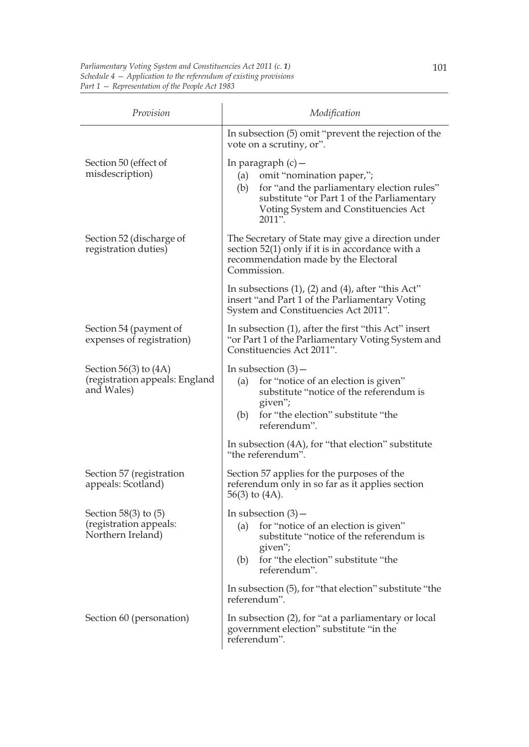| Provision                                                                 | Modification                                                                                                                                                                                                     |  |
|---------------------------------------------------------------------------|------------------------------------------------------------------------------------------------------------------------------------------------------------------------------------------------------------------|--|
|                                                                           | In subsection (5) omit "prevent the rejection of the<br>vote on a scrutiny, or".                                                                                                                                 |  |
| Section 50 (effect of<br>misdescription)                                  | In paragraph $(c)$ –<br>omit "nomination paper,";<br>(a)<br>for "and the parliamentary election rules"<br>(b)<br>substitute "or Part 1 of the Parliamentary<br>Voting System and Constituencies Act<br>$2011$ ". |  |
| Section 52 (discharge of<br>registration duties)                          | The Secretary of State may give a direction under<br>section 52(1) only if it is in accordance with a<br>recommendation made by the Electoral<br>Commission.                                                     |  |
|                                                                           | In subsections $(1)$ , $(2)$ and $(4)$ , after "this Act"<br>insert "and Part 1 of the Parliamentary Voting<br>System and Constituencies Act 2011".                                                              |  |
| Section 54 (payment of<br>expenses of registration)                       | In subsection (1), after the first "this Act" insert<br>"or Part 1 of the Parliamentary Voting System and<br>Constituencies Act 2011".                                                                           |  |
| Section $56(3)$ to $(4A)$<br>(registration appeals: England<br>and Wales) | In subsection $(3)$ –<br>for "notice of an election is given"<br>(a)<br>substitute "notice of the referendum is<br>given";<br>for "the election" substitute "the<br>(b)<br>referendum".                          |  |
|                                                                           | In subsection (4A), for "that election" substitute<br>"the referendum".                                                                                                                                          |  |
| Section 57 (registration<br>appeals: Scotland)                            | Section 57 applies for the purposes of the<br>referendum only in so far as it applies section<br>$56(3)$ to $(4A)$ .                                                                                             |  |
| Section $58(3)$ to $(5)$<br>(registration appeals:<br>Northern Ireland)   | In subsection $(3)$ –<br>for "notice of an election is given"<br>(a)<br>substitute "notice of the referendum is<br>given";<br>for "the election" substitute "the<br>(b)<br>referendum".                          |  |
|                                                                           | In subsection (5), for "that election" substitute "the<br>referendum".                                                                                                                                           |  |
| Section 60 (personation)                                                  | In subsection (2), for "at a parliamentary or local<br>government election" substitute "in the<br>referendum".                                                                                                   |  |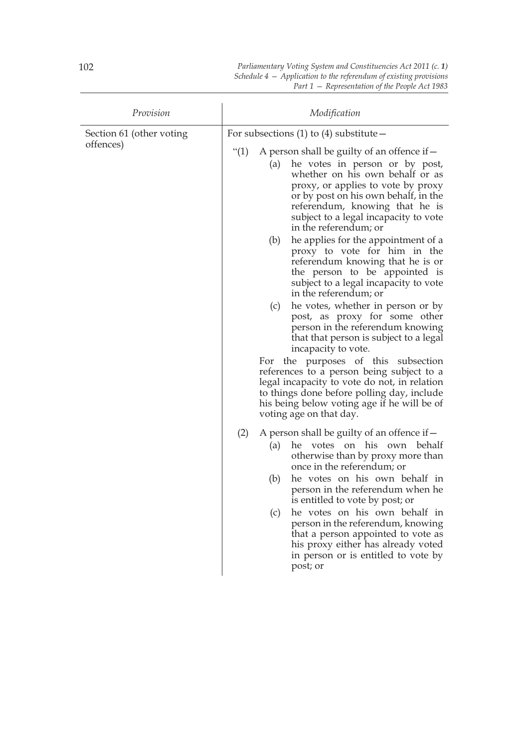*Parliamentary Voting System and Constituencies Act 2011 (c. 1) Schedule 4 — Application to the referendum of existing provisions Part 1 — Representation of the People Act 1983*

| Provision                | Modification                                                                                                                                                                                                                                                                                                                                                                                                                                                                |
|--------------------------|-----------------------------------------------------------------------------------------------------------------------------------------------------------------------------------------------------------------------------------------------------------------------------------------------------------------------------------------------------------------------------------------------------------------------------------------------------------------------------|
| Section 61 (other voting | For subsections $(1)$ to $(4)$ substitute –                                                                                                                                                                                                                                                                                                                                                                                                                                 |
| offences)                | $\cdot(1)$<br>A person shall be guilty of an offence if $-$<br>he votes in person or by post,<br>(a)<br>whether on his own behalf or as<br>proxy, or applies to vote by proxy<br>or by post on his own behalf, in the<br>referendum, knowing that he is<br>subject to a legal incapacity to vote<br>in the referendum; or                                                                                                                                                   |
|                          | he applies for the appointment of a<br>(b)<br>proxy to vote for him in the<br>referendum knowing that he is or<br>the person to be appointed is<br>subject to a legal incapacity to vote<br>in the referendum; or                                                                                                                                                                                                                                                           |
|                          | he votes, whether in person or by<br>(c)<br>post, as proxy for some other<br>person in the referendum knowing<br>that that person is subject to a legal<br>incapacity to vote.                                                                                                                                                                                                                                                                                              |
|                          | For the purposes of this subsection<br>references to a person being subject to a<br>legal incapacity to vote do not, in relation<br>to things done before polling day, include<br>his being below voting age if he will be of<br>voting age on that day.                                                                                                                                                                                                                    |
|                          | (2)<br>A person shall be guilty of an offence if $-$<br>he votes on his own behalf<br>(a)<br>otherwise than by proxy more than<br>once in the referendum; or<br>he votes on his own behalf in<br>(b)<br>person in the referendum when he<br>is entitled to vote by post; or<br>he votes on his own behalf in<br>(c)<br>person in the referendum, knowing<br>that a person appointed to vote as<br>his proxy either has already voted<br>in person or is entitled to vote by |
|                          | post; or                                                                                                                                                                                                                                                                                                                                                                                                                                                                    |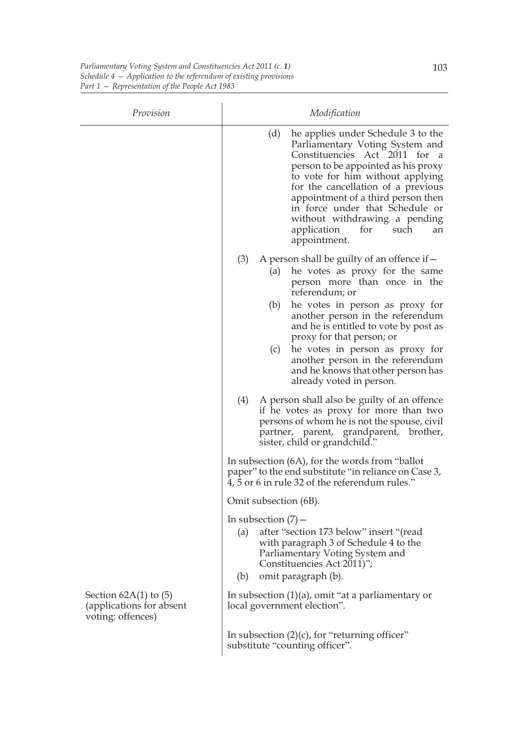| Provision                                                                  | Modification                                                                                                                                                                                                                                                                                                                                                                                                                                      |  |
|----------------------------------------------------------------------------|---------------------------------------------------------------------------------------------------------------------------------------------------------------------------------------------------------------------------------------------------------------------------------------------------------------------------------------------------------------------------------------------------------------------------------------------------|--|
|                                                                            | (d)<br>he applies under Schedule 3 to the<br>Parliamentary Voting System and<br>Constituencies Act 2011 for a<br>person to be appointed as his proxy<br>to vote for him without applying<br>for the cancellation of a previous<br>appointment of a third person then<br>in force under that Schedule or<br>without withdrawing a pending<br>application<br>for<br>such<br>an<br>appointment.                                                      |  |
|                                                                            | A person shall be guilty of an offence if -<br>(3)<br>he votes as proxy for the same<br>(a)<br>person more than once in the<br>referendum; or<br>he votes in person as proxy for<br>(b)<br>another person in the referendum<br>and he is entitled to vote by post as<br>proxy for that person; or<br>he votes in person as proxy for<br>(c)<br>another person in the referendum<br>and he knows that other person has<br>already voted in person. |  |
|                                                                            | A person shall also be guilty of an offence<br>(4)<br>if he votes as proxy for more than two<br>persons of whom he is not the spouse, civil<br>partner, parent, grandparent, brother,<br>sister, child or grandchild."                                                                                                                                                                                                                            |  |
|                                                                            | In subsection (6A), for the words from "ballot"<br>paper" to the end substitute "in reliance on Case 3,<br>4, 5 or 6 in rule 32 of the referendum rules."                                                                                                                                                                                                                                                                                         |  |
|                                                                            | Omit subsection (6B).                                                                                                                                                                                                                                                                                                                                                                                                                             |  |
|                                                                            | In subsection $(7)$ –<br>after "section 173 below" insert "(read<br>(a)<br>with paragraph 3 of Schedule 4 to the<br>Parliamentary Voting System and<br>Constituencies Act 2011)";<br>omit paragraph (b).<br>(b)                                                                                                                                                                                                                                   |  |
| Section $62A(1)$ to $(5)$<br>(applications for absent<br>voting: offences) | In subsection $(1)(a)$ , omit "at a parliamentary or<br>local government election".                                                                                                                                                                                                                                                                                                                                                               |  |
|                                                                            | In subsection $(2)(c)$ , for "returning officer"<br>substitute "counting officer".                                                                                                                                                                                                                                                                                                                                                                |  |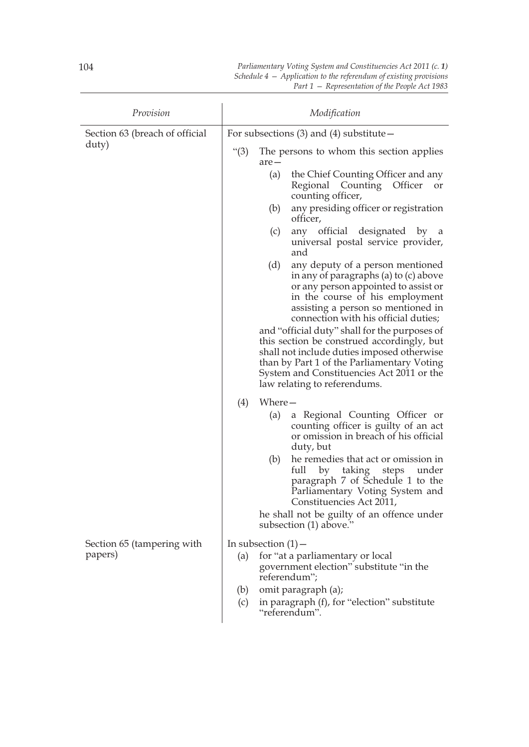*Parliamentary Voting System and Constituencies Act 2011 (c. 1) Schedule 4 — Application to the referendum of existing provisions Part 1 — Representation of the People Act 1983*

| Provision                             |                                              | Modification                                                                                                                                                                                                                                                         |  |
|---------------------------------------|----------------------------------------------|----------------------------------------------------------------------------------------------------------------------------------------------------------------------------------------------------------------------------------------------------------------------|--|
| Section 63 (breach of official        | For subsections $(3)$ and $(4)$ substitute – |                                                                                                                                                                                                                                                                      |  |
| duty)                                 | " $(3)$                                      | The persons to whom this section applies<br>are –                                                                                                                                                                                                                    |  |
|                                       |                                              | the Chief Counting Officer and any<br>(a)<br>Regional Counting Officer<br>or<br>counting officer,                                                                                                                                                                    |  |
|                                       |                                              | any presiding officer or registration<br>(b)<br>officer,                                                                                                                                                                                                             |  |
|                                       |                                              | any official designated by a<br>(c)<br>universal postal service provider,<br>and                                                                                                                                                                                     |  |
|                                       |                                              | (d)<br>any deputy of a person mentioned<br>in any of paragraphs (a) to $(c)$ above<br>or any person appointed to assist or<br>in the course of his employment<br>assisting a person so mentioned in<br>connection with his official duties;                          |  |
|                                       |                                              | and "official duty" shall for the purposes of<br>this section be construed accordingly, but<br>shall not include duties imposed otherwise<br>than by Part 1 of the Parliamentary Voting<br>System and Constituencies Act 2011 or the<br>law relating to referendums. |  |
|                                       | (4)                                          | Where-                                                                                                                                                                                                                                                               |  |
|                                       |                                              | (a)<br>a Regional Counting Officer or<br>counting officer is guilty of an act<br>or omission in breach of his official<br>duty, but                                                                                                                                  |  |
|                                       |                                              | (b)<br>he remedies that act or omission in<br>full<br>by taking<br>under<br>steps<br>paragraph 7 of Schedule 1 to the<br>Parliamentary Voting System and<br>Constituencies Act 2011,                                                                                 |  |
|                                       |                                              | he shall not be guilty of an offence under<br>subsection (1) above."                                                                                                                                                                                                 |  |
| Section 65 (tampering with<br>papers) | (a)                                          | In subsection $(1)$ –<br>for "at a parliamentary or local<br>government election" substitute "in the<br>referendum";                                                                                                                                                 |  |
|                                       | (b)<br>(c)                                   | omit paragraph (a);<br>in paragraph (f), for "election" substitute<br>"referendum".                                                                                                                                                                                  |  |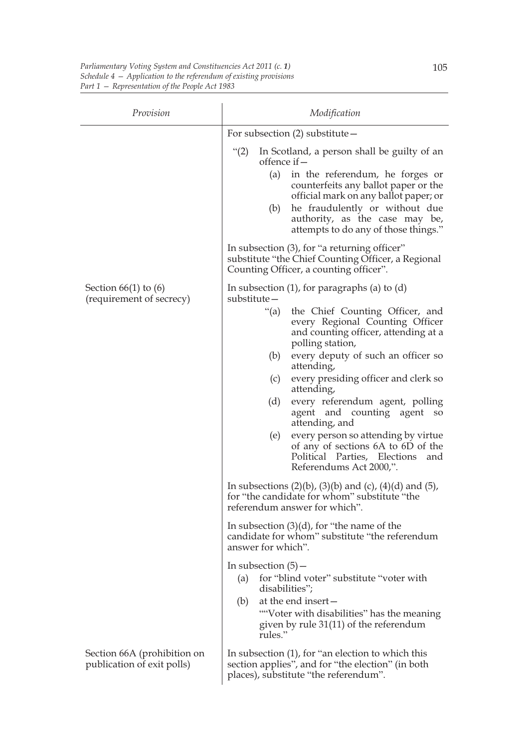| Provision                                                 | Modification                                                                                                                                                                                                                                                                                                                                                                                                                                                                                                                                                                                    |  |  |
|-----------------------------------------------------------|-------------------------------------------------------------------------------------------------------------------------------------------------------------------------------------------------------------------------------------------------------------------------------------------------------------------------------------------------------------------------------------------------------------------------------------------------------------------------------------------------------------------------------------------------------------------------------------------------|--|--|
|                                                           | For subsection $(2)$ substitute –                                                                                                                                                                                                                                                                                                                                                                                                                                                                                                                                                               |  |  |
|                                                           | $\cdot\cdot(2)$<br>In Scotland, a person shall be guilty of an<br>offence if $-$<br>(a)<br>in the referendum, he forges or<br>counterfeits any ballot paper or the<br>official mark on any ballot paper; or<br>he fraudulently or without due<br>(b)<br>authority, as the case may be,<br>attempts to do any of those things."                                                                                                                                                                                                                                                                  |  |  |
|                                                           | In subsection (3), for "a returning officer"<br>substitute "the Chief Counting Officer, a Regional<br>Counting Officer, a counting officer".                                                                                                                                                                                                                                                                                                                                                                                                                                                    |  |  |
| Section $66(1)$ to $(6)$<br>(requirement of secrecy)      | In subsection $(1)$ , for paragraphs $(a)$ to $(d)$<br>substitute-<br>"(a)<br>the Chief Counting Officer, and<br>every Regional Counting Officer<br>and counting officer, attending at a<br>polling station,<br>every deputy of such an officer so<br>(b)<br>attending,<br>every presiding officer and clerk so<br>(c)<br>attending,<br>(d)<br>every referendum agent, polling<br>agent and counting agent<br><b>SO</b><br>attending, and<br>(e)<br>every person so attending by virtue<br>of any of sections 6A to 6D of the<br>Political Parties, Elections<br>and<br>Referendums Act 2000,". |  |  |
|                                                           | In subsections $(2)(b)$ , $(3)(b)$ and $(c)$ , $(4)(d)$ and $(5)$ ,<br>for "the candidate for whom" substitute "the<br>referendum answer for which".                                                                                                                                                                                                                                                                                                                                                                                                                                            |  |  |
|                                                           | In subsection $(3)(d)$ , for "the name of the<br>candidate for whom" substitute "the referendum<br>answer for which".                                                                                                                                                                                                                                                                                                                                                                                                                                                                           |  |  |
|                                                           | In subsection $(5)$ –<br>for "blind voter" substitute "voter with<br>(a)<br>disabilities";<br>at the end insert-<br>(b)<br>""Voter with disabilities" has the meaning<br>given by rule 31(11) of the referendum<br>rules."                                                                                                                                                                                                                                                                                                                                                                      |  |  |
| Section 66A (prohibition on<br>publication of exit polls) | In subsection (1), for "an election to which this<br>section applies", and for "the election" (in both<br>places), substitute "the referendum".                                                                                                                                                                                                                                                                                                                                                                                                                                                 |  |  |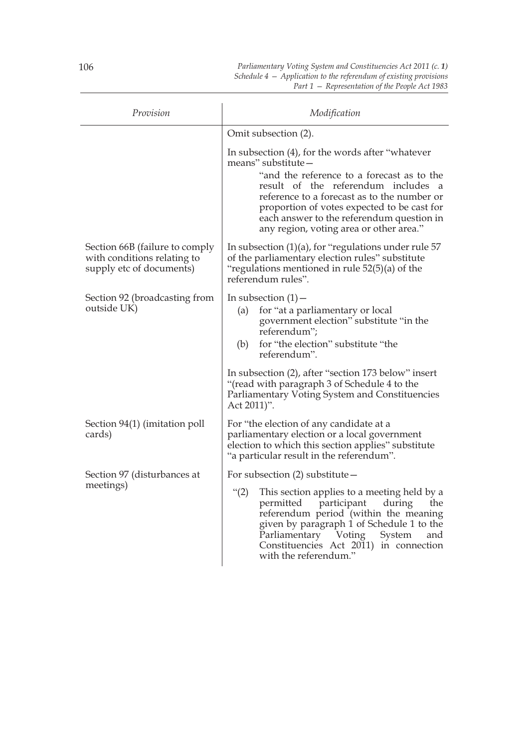*Parliamentary Voting System and Constituencies Act 2011 (c. 1) Schedule 4 — Application to the referendum of existing provisions Part 1 — Representation of the People Act 1983*

| Provision                                                                                 | Modification                                                                                                                                                                                                                                                                                                                                                      |
|-------------------------------------------------------------------------------------------|-------------------------------------------------------------------------------------------------------------------------------------------------------------------------------------------------------------------------------------------------------------------------------------------------------------------------------------------------------------------|
|                                                                                           | Omit subsection (2).                                                                                                                                                                                                                                                                                                                                              |
|                                                                                           | In subsection (4), for the words after "whatever"<br>means" substitute –<br>"and the reference to a forecast as to the<br>result of the referendum includes<br><sub>a</sub><br>reference to a forecast as to the number or<br>proportion of votes expected to be cast for<br>each answer to the referendum question in<br>any region, voting area or other area." |
| Section 66B (failure to comply<br>with conditions relating to<br>supply etc of documents) | In subsection $(1)(a)$ , for "regulations under rule 57<br>of the parliamentary election rules" substitute<br>"regulations mentioned in rule $52(5)(a)$ of the<br>referendum rules".                                                                                                                                                                              |
| Section 92 (broadcasting from<br>outside UK)                                              | In subsection $(1)$ –<br>for "at a parliamentary or local<br>(a)<br>government election" substitute "in the<br>referendum";<br>for "the election" substitute "the<br>(b)<br>referendum".<br>In subsection (2), after "section 173 below" insert<br>"(read with paragraph 3 of Schedule 4 to the<br>Parliamentary Voting System and Constituencies<br>Act 2011)".  |
| Section 94(1) (imitation poll<br>cards)                                                   | For "the election of any candidate at a<br>parliamentary election or a local government<br>election to which this section applies" substitute<br>"a particular result in the referendum".                                                                                                                                                                         |
| Section 97 (disturbances at                                                               | For subsection $(2)$ substitute –                                                                                                                                                                                                                                                                                                                                 |
| meetings)                                                                                 | $\cdot\cdot(2)$<br>This section applies to a meeting held by a<br>participant<br>permitted<br>during<br>the<br>referendum period (within the meaning<br>given by paragraph 1 of Schedule 1 to the<br>Parliamentary Voting<br>System<br>and<br>Constituencies Act 2011) in connection<br>with the referendum."                                                     |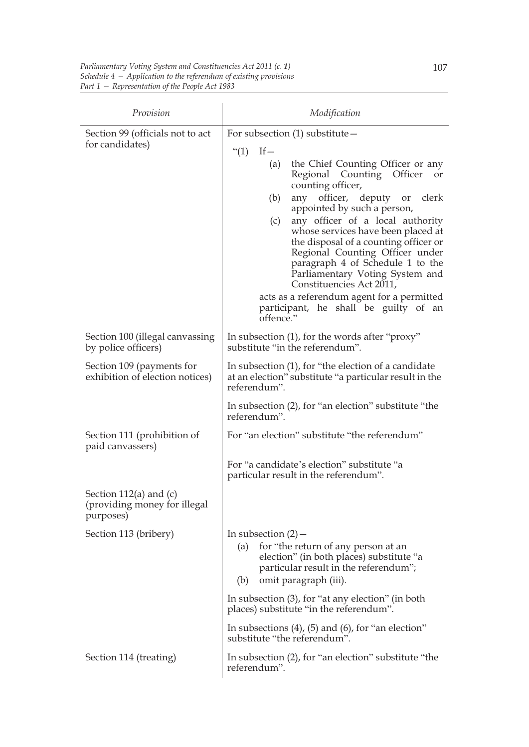| Provision                                                             | Modification                                                                                                                                                                                                                                                                                                                                                                                                                                                                                                                                                                                                |
|-----------------------------------------------------------------------|-------------------------------------------------------------------------------------------------------------------------------------------------------------------------------------------------------------------------------------------------------------------------------------------------------------------------------------------------------------------------------------------------------------------------------------------------------------------------------------------------------------------------------------------------------------------------------------------------------------|
| Section 99 (officials not to act<br>for candidates)                   | For subsection $(1)$ substitute –<br>$If -$<br>$\cdot$ (1)<br>the Chief Counting Officer or any<br>(a)<br>Regional Counting Officer<br>or<br>counting officer,<br>any officer, deputy or<br>(b)<br>clerk<br>appointed by such a person,<br>any officer of a local authority<br>(c)<br>whose services have been placed at<br>the disposal of a counting officer or<br>Regional Counting Officer under<br>paragraph 4 of Schedule 1 to the<br>Parliamentary Voting System and<br>Constituencies Act 2011,<br>acts as a referendum agent for a permitted<br>participant, he shall be guilty of an<br>offence." |
| Section 100 (illegal canvassing<br>by police officers)                | In subsection (1), for the words after "proxy"<br>substitute "in the referendum".                                                                                                                                                                                                                                                                                                                                                                                                                                                                                                                           |
| Section 109 (payments for<br>exhibition of election notices)          | In subsection $(1)$ , for "the election of a candidate"<br>at an election" substitute "a particular result in the<br>referendum".                                                                                                                                                                                                                                                                                                                                                                                                                                                                           |
|                                                                       | In subsection (2), for "an election" substitute "the<br>referendum".                                                                                                                                                                                                                                                                                                                                                                                                                                                                                                                                        |
| Section 111 (prohibition of<br>paid canvassers)                       | For "an election" substitute "the referendum"                                                                                                                                                                                                                                                                                                                                                                                                                                                                                                                                                               |
|                                                                       | For "a candidate's election" substitute "a<br>particular result in the referendum".                                                                                                                                                                                                                                                                                                                                                                                                                                                                                                                         |
| Section $112(a)$ and (c)<br>(providing money for illegal<br>purposes) |                                                                                                                                                                                                                                                                                                                                                                                                                                                                                                                                                                                                             |
| Section 113 (bribery)                                                 | In subsection $(2)$ –<br>for "the return of any person at an<br>(a)<br>election" (in both places) substitute "a<br>particular result in the referendum";<br>omit paragraph (iii).<br>(b)                                                                                                                                                                                                                                                                                                                                                                                                                    |
|                                                                       | In subsection (3), for "at any election" (in both<br>places) substitute "in the referendum".                                                                                                                                                                                                                                                                                                                                                                                                                                                                                                                |
|                                                                       | In subsections $(4)$ , $(5)$ and $(6)$ , for "an election"<br>substitute "the referendum".                                                                                                                                                                                                                                                                                                                                                                                                                                                                                                                  |
| Section 114 (treating)                                                | In subsection (2), for "an election" substitute "the<br>referendum".                                                                                                                                                                                                                                                                                                                                                                                                                                                                                                                                        |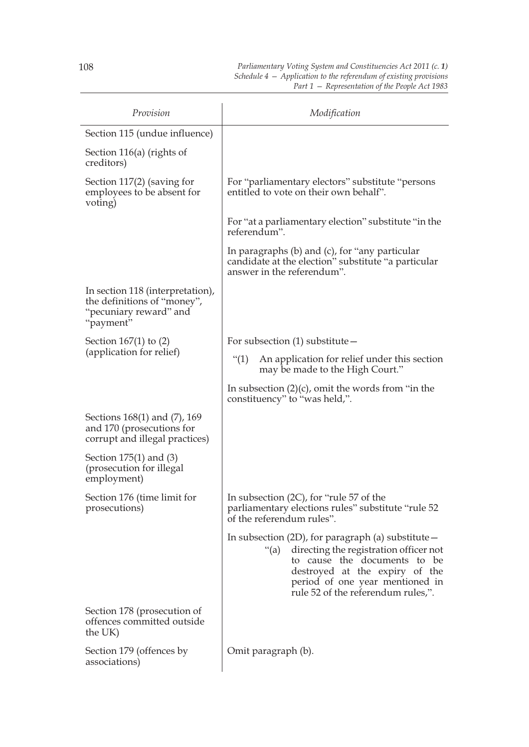*Parliamentary Voting System and Constituencies Act 2011 (c. 1) Schedule 4 — Application to the referendum of existing provisions Part 1 — Representation of the People Act 1983*

| Provision                                                                                              | Modification                                                                                                                                                                                                                                           |
|--------------------------------------------------------------------------------------------------------|--------------------------------------------------------------------------------------------------------------------------------------------------------------------------------------------------------------------------------------------------------|
| Section 115 (undue influence)                                                                          |                                                                                                                                                                                                                                                        |
| Section 116(a) (rights of<br>creditors)                                                                |                                                                                                                                                                                                                                                        |
| Section 117(2) (saving for<br>employees to be absent for<br>voting)                                    | For "parliamentary electors" substitute "persons<br>entitled to vote on their own behalf".                                                                                                                                                             |
|                                                                                                        | For "at a parliamentary election" substitute "in the<br>referendum".                                                                                                                                                                                   |
|                                                                                                        | In paragraphs (b) and (c), for "any particular<br>candidate at the election" substitute "a particular<br>answer in the referendum".                                                                                                                    |
| In section 118 (interpretation),<br>the definitions of "money",<br>"pecuniary reward" and<br>"payment" |                                                                                                                                                                                                                                                        |
| Section $167(1)$ to $(2)$                                                                              | For subsection $(1)$ substitute –                                                                                                                                                                                                                      |
| (application for relief)                                                                               | $\cdot$ (1)<br>An application for relief under this section<br>may be made to the High Court."                                                                                                                                                         |
|                                                                                                        | In subsection $(2)(c)$ , omit the words from "in the<br>constituency" to "was held,".                                                                                                                                                                  |
| Sections 168(1) and (7), 169<br>and 170 (prosecutions for<br>corrupt and illegal practices)            |                                                                                                                                                                                                                                                        |
| Section $175(1)$ and $(3)$<br>(prosecution for illegal<br>employment)                                  |                                                                                                                                                                                                                                                        |
| Section 176 (time limit for<br>prosecutions)                                                           | In subsection (2C), for "rule 57 of the<br>parliamentary elections rules" substitute "rule 52<br>of the referendum rules".                                                                                                                             |
|                                                                                                        | In subsection $(2D)$ , for paragraph $(a)$ substitute $-$<br>directing the registration officer not<br>"(a)<br>to cause the documents to be<br>destroyed at the expiry of the<br>period of one year mentioned in<br>rule 52 of the referendum rules,". |
| Section 178 (prosecution of<br>offences committed outside<br>the UK)                                   |                                                                                                                                                                                                                                                        |
| Section 179 (offences by<br>associations)                                                              | Omit paragraph (b).                                                                                                                                                                                                                                    |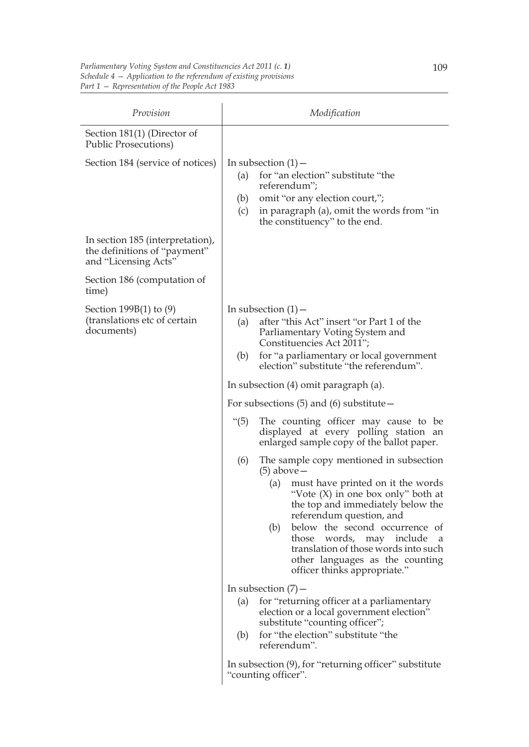| Provision                                                                                | Modification                                                                                                                                                                                                                                                                                                                                                                                              |
|------------------------------------------------------------------------------------------|-----------------------------------------------------------------------------------------------------------------------------------------------------------------------------------------------------------------------------------------------------------------------------------------------------------------------------------------------------------------------------------------------------------|
| Section 181(1) (Director of<br>Public Prosecutions)                                      |                                                                                                                                                                                                                                                                                                                                                                                                           |
| Section 184 (service of notices)                                                         | In subsection $(1)$ –<br>for "an election" substitute "the<br>(a)<br>referendum";<br>omit "or any election court,";<br>(b)<br>in paragraph (a), omit the words from "in<br>(c)<br>the constituency" to the end.                                                                                                                                                                                           |
| In section 185 (interpretation),<br>the definitions of "payment"<br>and "Licensing Acts" |                                                                                                                                                                                                                                                                                                                                                                                                           |
| Section 186 (computation of<br>time)                                                     |                                                                                                                                                                                                                                                                                                                                                                                                           |
| Section $199B(1)$ to $(9)$<br>(translations etc of certain<br>documents)                 | In subsection $(1)$ –<br>after "this Act" insert "or Part 1 of the<br>(a)<br>Parliamentary Voting System and<br>Constituencies Act 2011";<br>for "a parliamentary or local government<br>(b)<br>election" substitute "the referendum".                                                                                                                                                                    |
|                                                                                          | In subsection (4) omit paragraph (a).                                                                                                                                                                                                                                                                                                                                                                     |
|                                                                                          | For subsections $(5)$ and $(6)$ substitute –                                                                                                                                                                                                                                                                                                                                                              |
|                                                                                          | " $(5)$<br>The counting officer may cause to be<br>displayed at every polling station an<br>enlarged sample copy of the ballot paper.                                                                                                                                                                                                                                                                     |
|                                                                                          | (6)<br>The sample copy mentioned in subsection<br>$(5)$ above $-$<br>must have printed on it the words<br>(a)<br>"Vote (X) in one box only" both at<br>the top and immediately below the<br>referendum question, and<br>below the second occurrence of<br>(b)<br>those words, may include<br>a<br>translation of those words into such<br>other languages as the counting<br>officer thinks appropriate." |
|                                                                                          | In subsection $(7)$ –<br>for "returning officer at a parliamentary<br>(a)<br>election or a local government election"<br>substitute "counting officer";<br>for "the election" substitute "the<br>(b)<br>referendum".<br>In subsection (9), for "returning officer" substitute<br>"counting officer".                                                                                                      |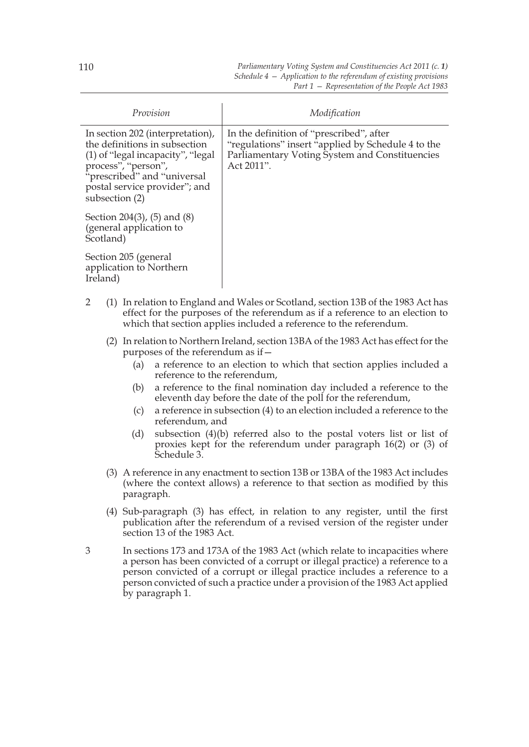| Provision                                                                                                                                                                                                       | Modification                                                                                                                                                   |
|-----------------------------------------------------------------------------------------------------------------------------------------------------------------------------------------------------------------|----------------------------------------------------------------------------------------------------------------------------------------------------------------|
| In section 202 (interpretation),<br>the definitions in subsection<br>(1) of "legal incapacity", "legal<br>process", "person",<br>"prescribed" and "universal<br>postal service provider"; and<br>subsection (2) | In the definition of "prescribed", after<br>"regulations" insert "applied by Schedule 4 to the<br>Parliamentary Voting System and Constituencies<br>Act 2011". |
| Section 204(3), (5) and (8)<br>(general application to<br>Scotland)                                                                                                                                             |                                                                                                                                                                |
| Section 205 (general<br>application to Northern<br>Ireland)                                                                                                                                                     |                                                                                                                                                                |

- 2 (1) In relation to England and Wales or Scotland, section 13B of the 1983 Act has effect for the purposes of the referendum as if a reference to an election to which that section applies included a reference to the referendum.
	- (2) In relation to Northern Ireland, section 13BA of the 1983 Act has effect for the purposes of the referendum as if—
		- (a) a reference to an election to which that section applies included a reference to the referendum,
		- (b) a reference to the final nomination day included a reference to the eleventh day before the date of the poll for the referendum,
		- (c) a reference in subsection (4) to an election included a reference to the referendum, and
		- (d) subsection (4)(b) referred also to the postal voters list or list of proxies kept for the referendum under paragraph 16(2) or (3) of Schedule 3.
	- (3) A reference in any enactment to section 13B or 13BA of the 1983 Act includes (where the context allows) a reference to that section as modified by this paragraph.
	- (4) Sub-paragraph (3) has effect, in relation to any register, until the first publication after the referendum of a revised version of the register under section 13 of the 1983 Act.
- 3 In sections 173 and 173A of the 1983 Act (which relate to incapacities where a person has been convicted of a corrupt or illegal practice) a reference to a person convicted of a corrupt or illegal practice includes a reference to a person convicted of such a practice under a provision of the 1983 Act applied by paragraph 1.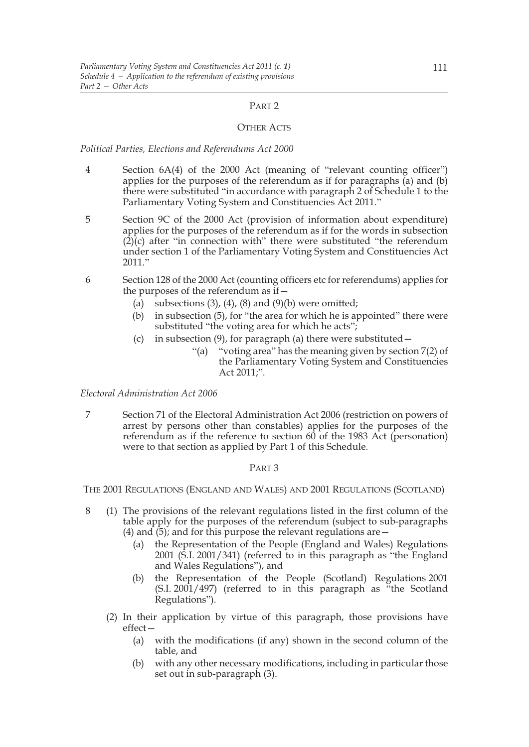### PART 2

### OTHER ACTS

*Political Parties, Elections and Referendums Act 2000*

- 4 Section 6A(4) of the 2000 Act (meaning of "relevant counting officer") applies for the purposes of the referendum as if for paragraphs  $\overline{a}$  and  $\overline{b}$ ) there were substituted "in accordance with paragraph 2 of Schedule 1 to the Parliamentary Voting System and Constituencies Act 2011."
- 5 Section 9C of the 2000 Act (provision of information about expenditure) applies for the purposes of the referendum as if for the words in subsection  $(2)(c)$  after "in connection with" there were substituted "the referendum under section 1 of the Parliamentary Voting System and Constituencies Act 2011."
- 6 Section 128 of the 2000 Act (counting officers etc for referendums) applies for the purposes of the referendum as if—
	- (a) subsections  $(3)$ ,  $(4)$ ,  $(8)$  and  $(9)(b)$  were omitted;
	- (b) in subsection (5), for "the area for which he is appointed" there were substituted "the voting area for which he acts";
	- (c) in subsection  $(9)$ , for paragraph (a) there were substituted
		- "(a) "voting area" has the meaning given by section 7(2) of the Parliamentary Voting System and Constituencies Act 2011;".

*Electoral Administration Act 2006*

7 Section 71 of the Electoral Administration Act 2006 (restriction on powers of arrest by persons other than constables) applies for the purposes of the referendum as if the reference to section  $60$  of the 1983 Act (personation) were to that section as applied by Part 1 of this Schedule.

### PART 3

THE 2001 REGULATIONS (ENGLAND AND WALES) AND 2001 REGULATIONS (SCOTLAND)

- 8 (1) The provisions of the relevant regulations listed in the first column of the table apply for the purposes of the referendum (subject to sub-paragraphs (4) and (5); and for this purpose the relevant regulations are—
	- (a) the Representation of the People (England and Wales) Regulations 2001 (S.I. 2001/341) (referred to in this paragraph as "the England and Wales Regulations"), and
	- (b) the Representation of the People (Scotland) Regulations 2001 (S.I. 2001/497) (referred to in this paragraph as "the Scotland Regulations").
	- (2) In their application by virtue of this paragraph, those provisions have effect—
		- (a) with the modifications (if any) shown in the second column of the table, and
		- (b) with any other necessary modifications, including in particular those set out in sub-paragraph (3).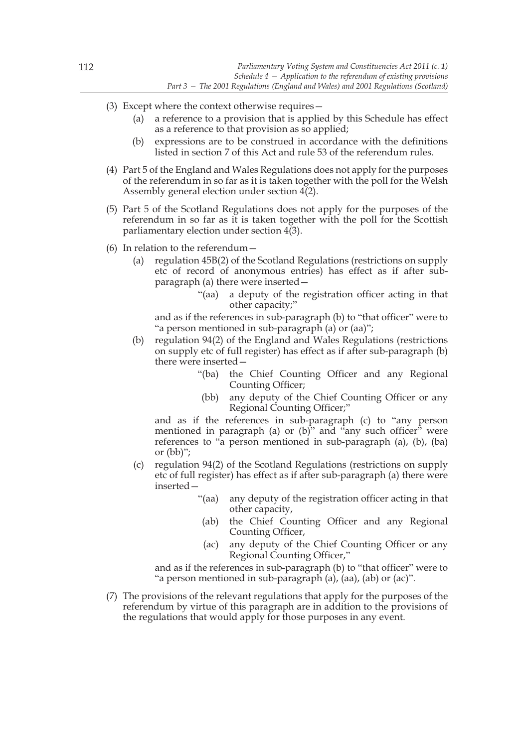- (3) Except where the context otherwise requires—
	- (a) a reference to a provision that is applied by this Schedule has effect as a reference to that provision as so applied;
	- (b) expressions are to be construed in accordance with the definitions listed in section 7 of this Act and rule 53 of the referendum rules.
- (4) Part 5 of the England and Wales Regulations does not apply for the purposes of the referendum in so far as it is taken together with the poll for the Welsh Assembly general election under section  $4\tilde{2}$ ).
- (5) Part 5 of the Scotland Regulations does not apply for the purposes of the referendum in so far as it is taken together with the poll for the Scottish parliamentary election under section  $4\overline{6}$ .
- (6) In relation to the referendum—
	- (a) regulation 45B(2) of the Scotland Regulations (restrictions on supply etc of record of anonymous entries) has effect as if after subparagraph (a) there were inserted—
		- "(aa) a deputy of the registration officer acting in that other capacity;"

and as if the references in sub-paragraph (b) to "that officer" were to "a person mentioned in sub-paragraph (a) or (aa)";

- (b) regulation 94(2) of the England and Wales Regulations (restrictions on supply etc of full register) has effect as if after sub-paragraph (b) there were inserted—
	- "(ba) the Chief Counting Officer and any Regional Counting Officer;
	- (bb) any deputy of the Chief Counting Officer or any Regional Counting Officer;"

and as if the references in sub-paragraph (c) to "any person mentioned in paragraph (a) or (b)" and "any such officer" were references to "a person mentioned in sub-paragraph (a), (b), (ba) or  $(bb)$ ";

- (c) regulation 94(2) of the Scotland Regulations (restrictions on supply etc of full register) has effect as if after sub-paragraph (a) there were inserted—
	- "(aa) any deputy of the registration officer acting in that other capacity,
	- (ab) the Chief Counting Officer and any Regional Counting Officer,
	- (ac) any deputy of the Chief Counting Officer or any Regional Counting Officer,"

and as if the references in sub-paragraph (b) to "that officer" were to "a person mentioned in sub-paragraph (a), (aa), (ab) or (ac)".

(7) The provisions of the relevant regulations that apply for the purposes of the referendum by virtue of this paragraph are in addition to the provisions of the regulations that would apply for those purposes in any event.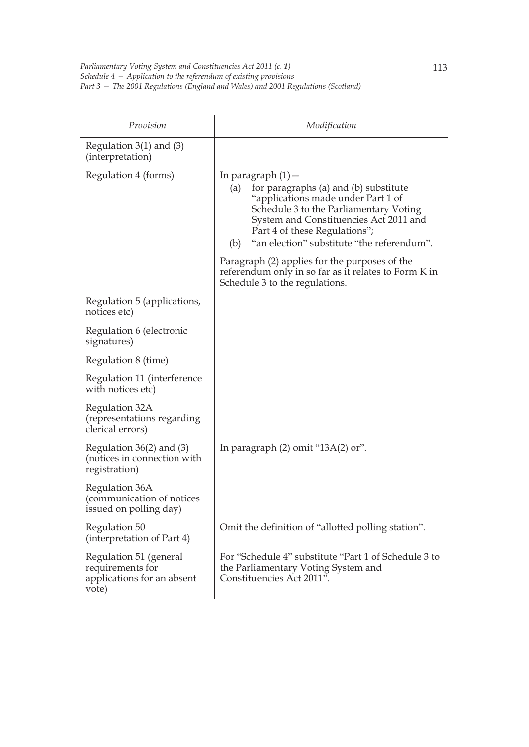| Provision                                                                         | Modification                                                                                                                                                                                                                                                                         |
|-----------------------------------------------------------------------------------|--------------------------------------------------------------------------------------------------------------------------------------------------------------------------------------------------------------------------------------------------------------------------------------|
| Regulation $3(1)$ and $(3)$<br>(interpretation)                                   |                                                                                                                                                                                                                                                                                      |
| Regulation 4 (forms)                                                              | In paragraph $(1)$ –<br>for paragraphs (a) and (b) substitute<br>(a)<br>"applications made under Part 1 of<br>Schedule 3 to the Parliamentary Voting<br>System and Constituencies Act 2011 and<br>Part 4 of these Regulations";<br>"an election" substitute "the referendum".<br>(b) |
|                                                                                   | Paragraph (2) applies for the purposes of the<br>referendum only in so far as it relates to Form K in<br>Schedule 3 to the regulations.                                                                                                                                              |
| Regulation 5 (applications,<br>notices etc)                                       |                                                                                                                                                                                                                                                                                      |
| Regulation 6 (electronic<br>signatures)                                           |                                                                                                                                                                                                                                                                                      |
| Regulation 8 (time)                                                               |                                                                                                                                                                                                                                                                                      |
| Regulation 11 (interference<br>with notices etc)                                  |                                                                                                                                                                                                                                                                                      |
| Regulation 32A<br>(representations regarding<br>clerical errors)                  |                                                                                                                                                                                                                                                                                      |
| Regulation $36(2)$ and $(3)$<br>(notices in connection with<br>registration)      | In paragraph $(2)$ omit " $13A(2)$ or".                                                                                                                                                                                                                                              |
| Regulation 36A<br>(communication of notices<br>issued on polling day)             |                                                                                                                                                                                                                                                                                      |
| Regulation 50<br>(interpretation of Part 4)                                       | Omit the definition of "allotted polling station".                                                                                                                                                                                                                                   |
| Regulation 51 (general<br>requirements for<br>applications for an absent<br>vote) | For "Schedule 4" substitute "Part 1 of Schedule 3 to<br>the Parliamentary Voting System and<br>Constituencies Act 2011".                                                                                                                                                             |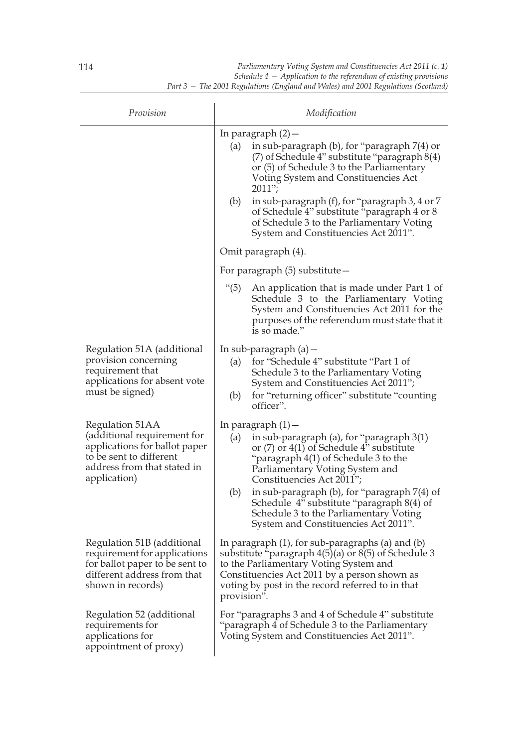| Provision                                                                                                                                                 | Modification                                                                                                                                                                                                                                                                                                                                                                                                                     |
|-----------------------------------------------------------------------------------------------------------------------------------------------------------|----------------------------------------------------------------------------------------------------------------------------------------------------------------------------------------------------------------------------------------------------------------------------------------------------------------------------------------------------------------------------------------------------------------------------------|
|                                                                                                                                                           | In paragraph $(2)$ –<br>in sub-paragraph $(b)$ , for "paragraph $7(4)$ or<br>(a)<br>(7) of Schedule 4" substitute "paragraph 8(4)<br>or (5) of Schedule 3 to the Parliamentary<br>Voting System and Constituencies Act<br>$2011$ ";<br>(b)<br>in sub-paragraph (f), for "paragraph 3, 4 or 7<br>of Schedule 4" substitute "paragraph 4 or 8<br>of Schedule 3 to the Parliamentary Voting<br>System and Constituencies Act 2011". |
|                                                                                                                                                           | Omit paragraph (4).                                                                                                                                                                                                                                                                                                                                                                                                              |
|                                                                                                                                                           | For paragraph $(5)$ substitute $-$                                                                                                                                                                                                                                                                                                                                                                                               |
|                                                                                                                                                           | ``(5)<br>An application that is made under Part 1 of<br>Schedule 3 to the Parliamentary Voting<br>System and Constituencies Act 2011 for the<br>purposes of the referendum must state that it<br>is so made."                                                                                                                                                                                                                    |
| Regulation 51A (additional<br>provision concerning<br>requirement that<br>applications for absent vote<br>must be signed)                                 | In sub-paragraph $(a)$ –<br>for "Schedule 4" substitute "Part 1 of<br>(a)<br>Schedule 3 to the Parliamentary Voting<br>System and Constituencies Act 2011";<br>for "returning officer" substitute "counting<br>(b)<br>officer".                                                                                                                                                                                                  |
| Regulation 51AA<br>(additional requirement for<br>applications for ballot paper<br>to be sent to different<br>address from that stated in<br>application) | In paragraph $(1)$ –<br>in sub-paragraph (a), for "paragraph $3(1)$<br>(a)<br>or $(7)$ or $4(1)$ of Schedule 4" substitute<br>"paragraph 4(1) of Schedule 3 to the<br>Parliamentary Voting System and<br>Constituencies Act 2011";<br>in sub-paragraph (b), for "paragraph 7(4) of<br>(b)<br>Schedule 4" substitute "paragraph 8(4) of<br>Schedule 3 to the Parliamentary Voting<br>System and Constituencies Act 2011".         |
| Regulation 51B (additional<br>requirement for applications<br>for ballot paper to be sent to<br>different address from that<br>shown in records)          | In paragraph $(1)$ , for sub-paragraphs $(a)$ and $(b)$<br>substitute "paragraph $4(5)(a)$ or $8(5)$ of Schedule 3<br>to the Parliamentary Voting System and<br>Constituencies Act 2011 by a person shown as<br>voting by post in the record referred to in that<br>provision".                                                                                                                                                  |
| Regulation 52 (additional<br>requirements for<br>applications for<br>appointment of proxy)                                                                | For "paragraphs 3 and 4 of Schedule 4" substitute<br>"paragraph 4 of Schedule 3 to the Parliamentary<br>Voting System and Constituencies Act 2011".                                                                                                                                                                                                                                                                              |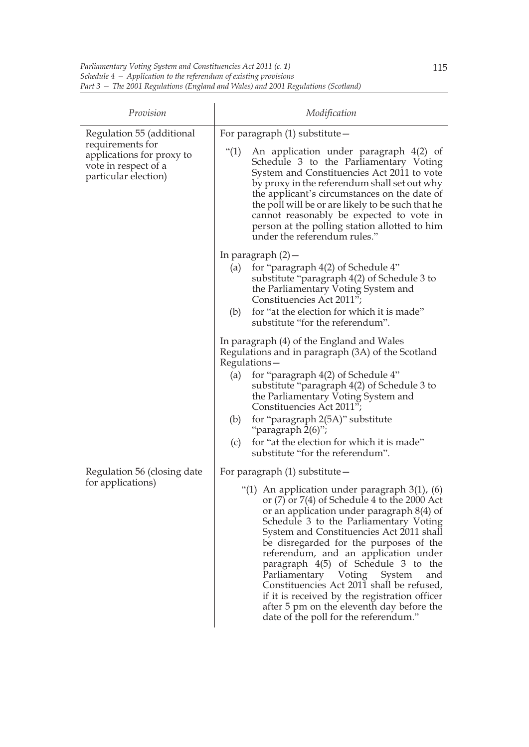| Provision                                                                                                                  | Modification                                                                                                                                                                                                                                                                                                                                                                                                                                                                                                                                                                              |
|----------------------------------------------------------------------------------------------------------------------------|-------------------------------------------------------------------------------------------------------------------------------------------------------------------------------------------------------------------------------------------------------------------------------------------------------------------------------------------------------------------------------------------------------------------------------------------------------------------------------------------------------------------------------------------------------------------------------------------|
| Regulation 55 (additional<br>requirements for<br>applications for proxy to<br>vote in respect of a<br>particular election) | For paragraph $(1)$ substitute $-$                                                                                                                                                                                                                                                                                                                                                                                                                                                                                                                                                        |
|                                                                                                                            | $\cdot\cdot(1)$<br>An application under paragraph 4(2) of<br>Schedule 3 to the Parliamentary Voting<br>System and Constituencies Act 2011 to vote<br>by proxy in the referendum shall set out why<br>the applicant's circumstances on the date of<br>the poll will be or are likely to be such that he<br>cannot reasonably be expected to vote in<br>person at the polling station allotted to him<br>under the referendum rules."                                                                                                                                                       |
|                                                                                                                            | In paragraph $(2)$ –                                                                                                                                                                                                                                                                                                                                                                                                                                                                                                                                                                      |
|                                                                                                                            | for "paragraph 4(2) of Schedule 4"<br>(a)<br>substitute "paragraph 4(2) of Schedule 3 to<br>the Parliamentary Voting System and<br>Constituencies Act 2011";                                                                                                                                                                                                                                                                                                                                                                                                                              |
|                                                                                                                            | for "at the election for which it is made"<br>(b)<br>substitute "for the referendum".                                                                                                                                                                                                                                                                                                                                                                                                                                                                                                     |
|                                                                                                                            | In paragraph (4) of the England and Wales<br>Regulations and in paragraph (3A) of the Scotland<br>Regulations-                                                                                                                                                                                                                                                                                                                                                                                                                                                                            |
|                                                                                                                            | (a)<br>for "paragraph 4(2) of Schedule 4"<br>substitute "paragraph 4(2) of Schedule 3 to<br>the Parliamentary Voting System and<br>Constituencies Act 2011";                                                                                                                                                                                                                                                                                                                                                                                                                              |
|                                                                                                                            | for "paragraph 2(5A)" substitute<br>(b)<br>"paragraph $2(6)$ ";                                                                                                                                                                                                                                                                                                                                                                                                                                                                                                                           |
|                                                                                                                            | for "at the election for which it is made"<br>(c)<br>substitute "for the referendum".                                                                                                                                                                                                                                                                                                                                                                                                                                                                                                     |
| Regulation 56 (closing date                                                                                                | For paragraph $(1)$ substitute $-$                                                                                                                                                                                                                                                                                                                                                                                                                                                                                                                                                        |
| for applications)                                                                                                          | "(1) An application under paragraph $3(1)$ , (6)<br>or (7) or 7(4) of Schedule 4 to the 2000 Act<br>or an application under paragraph 8(4) of<br>Schedule 3 to the Parliamentary Voting<br>System and Constituencies Act 2011 shall<br>be disregarded for the purposes of the<br>referendum, and an application under<br>paragraph 4(5) of Schedule 3 to the<br>Parliamentary Voting<br>System<br>and<br>Constituencies Act 2011 shall be refused,<br>if it is received by the registration officer<br>after 5 pm on the eleventh day before the<br>date of the poll for the referendum." |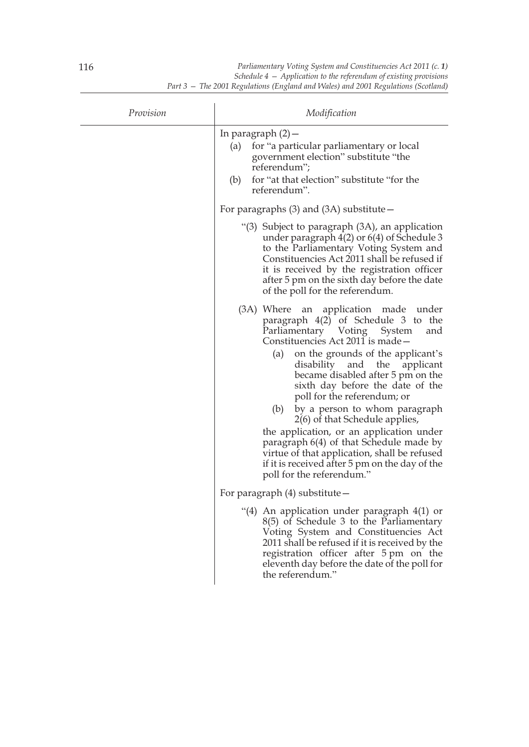| Provision | Modification                                                                                                                                                                                                                                                                                                              |
|-----------|---------------------------------------------------------------------------------------------------------------------------------------------------------------------------------------------------------------------------------------------------------------------------------------------------------------------------|
|           | In paragraph $(2)$ –<br>for "a particular parliamentary or local<br>(a)<br>government election" substitute "the<br>referendum";<br>for "at that election" substitute "for the<br>(b)<br>referendum".                                                                                                                      |
|           | For paragraphs $(3)$ and $(3A)$ substitute –                                                                                                                                                                                                                                                                              |
|           | "(3) Subject to paragraph (3A), an application<br>under paragraph $4(2)$ or $6(4)$ of Schedule 3<br>to the Parliamentary Voting System and<br>Constituencies Act 2011 shall be refused if<br>it is received by the registration officer<br>after 5 pm on the sixth day before the date<br>of the poll for the referendum. |
|           | (3A) Where an application made under<br>paragraph 4(2) of Schedule 3 to the<br>Parliamentary Voting System<br>and<br>Constituencies Act 2011 is made -                                                                                                                                                                    |
|           | on the grounds of the applicant's<br>(a)<br>disability and the<br>applicant<br>became disabled after 5 pm on the<br>sixth day before the date of the<br>poll for the referendum; or                                                                                                                                       |
|           | by a person to whom paragraph<br>(b)<br>2(6) of that Schedule applies,<br>the application, or an application under<br>paragraph 6(4) of that Schedule made by<br>virtue of that application, shall be refused<br>if it is received after 5 pm on the day of the<br>poll for the referendum."                              |
|           | For paragraph (4) substitute -                                                                                                                                                                                                                                                                                            |
|           | "(4) An application under paragraph 4(1) or<br>8(5) of Schedule 3 to the Parliamentary<br>Voting System and Constituencies Act<br>2011 shall be refused if it is received by the<br>registration officer after 5 pm on the<br>eleventh day before the date of the poll for<br>the referendum."                            |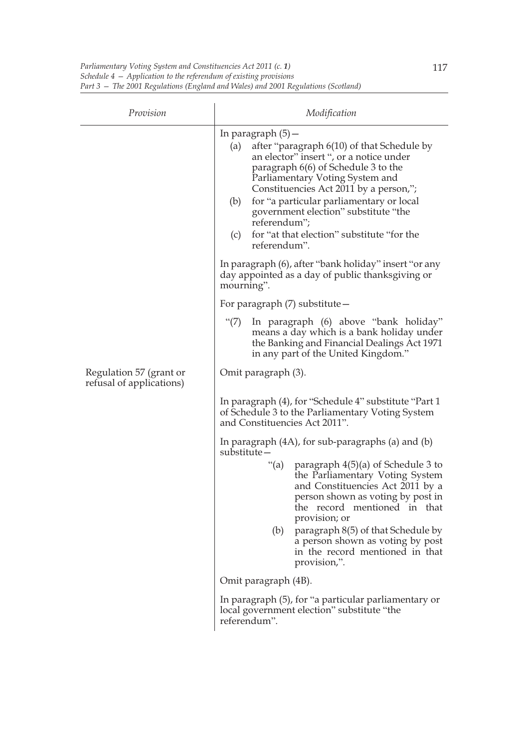| Provision                                           | Modification                                                                                                                                                                                                                                                                                                                                                                                                             |
|-----------------------------------------------------|--------------------------------------------------------------------------------------------------------------------------------------------------------------------------------------------------------------------------------------------------------------------------------------------------------------------------------------------------------------------------------------------------------------------------|
|                                                     | In paragraph $(5)$ –<br>after "paragraph 6(10) of that Schedule by<br>(a)<br>an elector" insert ", or a notice under<br>paragraph 6(6) of Schedule 3 to the<br>Parliamentary Voting System and<br>Constituencies Act 2011 by a person,";<br>(b)<br>for "a particular parliamentary or local<br>government election" substitute "the<br>referendum";<br>for "at that election" substitute "for the<br>(c)<br>referendum". |
|                                                     | In paragraph (6), after "bank holiday" insert "or any<br>day appointed as a day of public thanksgiving or<br>mourning".                                                                                                                                                                                                                                                                                                  |
|                                                     | For paragraph $(7)$ substitute $-$                                                                                                                                                                                                                                                                                                                                                                                       |
|                                                     | ``(7)<br>In paragraph (6) above "bank holiday"<br>means a day which is a bank holiday under<br>the Banking and Financial Dealings Act 1971<br>in any part of the United Kingdom."                                                                                                                                                                                                                                        |
| Regulation 57 (grant or<br>refusal of applications) | Omit paragraph (3).                                                                                                                                                                                                                                                                                                                                                                                                      |
|                                                     | In paragraph (4), for "Schedule 4" substitute "Part 1<br>of Schedule 3 to the Parliamentary Voting System<br>and Constituencies Act 2011".                                                                                                                                                                                                                                                                               |
|                                                     | In paragraph $(4A)$ , for sub-paragraphs $(a)$ and $(b)$<br>substitute-                                                                                                                                                                                                                                                                                                                                                  |
|                                                     | "(a)<br>paragraph $4(5)(a)$ of Schedule 3 to<br>the Parliamentary Voting System<br>and Constituencies Act 2011 by a<br>person shown as voting by post in<br>the record mentioned in that<br>provision; or                                                                                                                                                                                                                |
|                                                     | paragraph 8(5) of that Schedule by<br>(b)<br>a person shown as voting by post<br>in the record mentioned in that<br>provision,".                                                                                                                                                                                                                                                                                         |
|                                                     | Omit paragraph (4B).                                                                                                                                                                                                                                                                                                                                                                                                     |
|                                                     | In paragraph (5), for "a particular parliamentary or<br>local government election" substitute "the<br>referendum".                                                                                                                                                                                                                                                                                                       |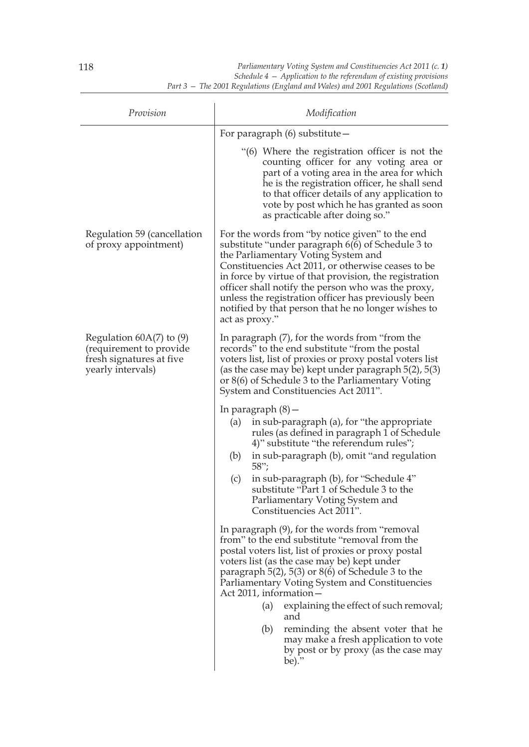| Provision                                                                                                | Modification                                                                                                                                                                                                                                                                                                                                                                                                                                                                                                                                |
|----------------------------------------------------------------------------------------------------------|---------------------------------------------------------------------------------------------------------------------------------------------------------------------------------------------------------------------------------------------------------------------------------------------------------------------------------------------------------------------------------------------------------------------------------------------------------------------------------------------------------------------------------------------|
|                                                                                                          | For paragraph $(6)$ substitute $-$                                                                                                                                                                                                                                                                                                                                                                                                                                                                                                          |
|                                                                                                          | "(6) Where the registration officer is not the<br>counting officer for any voting area or<br>part of a voting area in the area for which<br>he is the registration officer, he shall send<br>to that officer details of any application to<br>vote by post which he has granted as soon<br>as practicable after doing so."                                                                                                                                                                                                                  |
| Regulation 59 (cancellation<br>of proxy appointment)                                                     | For the words from "by notice given" to the end<br>substitute "under paragraph 6(6) of Schedule 3 to<br>the Parliamentary Voting System and<br>Constituencies Act 2011, or otherwise ceases to be<br>in force by virtue of that provision, the registration<br>officer shall notify the person who was the proxy,<br>unless the registration officer has previously been<br>notified by that person that he no longer wishes to<br>act as proxy."                                                                                           |
| Regulation $60A(7)$ to $(9)$<br>(requirement to provide<br>fresh signatures at five<br>yearly intervals) | In paragraph (7), for the words from "from the<br>records" to the end substitute "from the postal<br>voters list, list of proxies or proxy postal voters list<br>(as the case may be) kept under paragraph $5(2)$ , $5(3)$<br>or 8(6) of Schedule 3 to the Parliamentary Voting<br>System and Constituencies Act 2011".                                                                                                                                                                                                                     |
|                                                                                                          | In paragraph $(8)$ –<br>in sub-paragraph (a), for "the appropriate"<br>(a)<br>rules (as defined in paragraph 1 of Schedule<br>4)" substitute "the referendum rules";<br>in sub-paragraph (b), omit "and regulation<br>(b)<br>$58$ ";<br>in sub-paragraph (b), for "Schedule 4"<br>(c)<br>substitute "Part 1 of Schedule 3 to the<br>Parliamentary Voting System and<br>Constituencies Act 2011".                                                                                                                                            |
|                                                                                                          | In paragraph (9), for the words from "removal"<br>from" to the end substitute "removal from the<br>postal voters list, list of proxies or proxy postal<br>voters list (as the case may be) kept under<br>paragraph $5(2)$ , $5(3)$ or $8(6)$ of Schedule 3 to the<br>Parliamentary Voting System and Constituencies<br>Act 2011, information-<br>explaining the effect of such removal;<br>(a)<br>and<br>reminding the absent voter that he<br>(b)<br>may make a fresh application to vote<br>by post or by proxy (as the case may<br>be)." |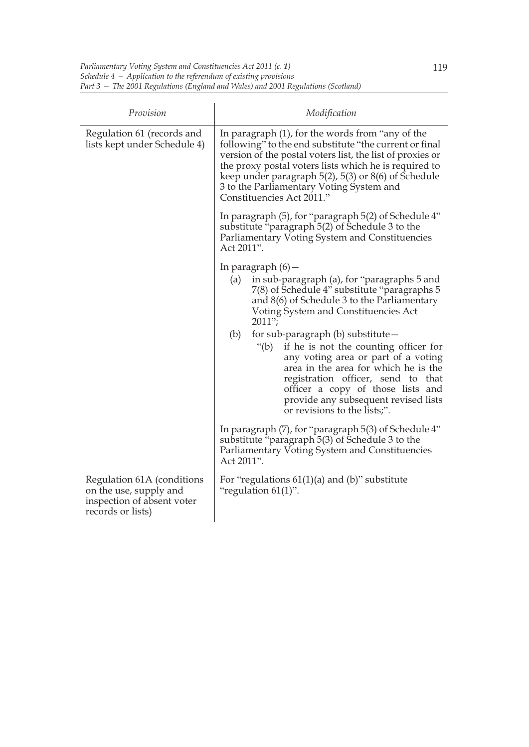| Provision                                                                                               | Modification                                                                                                                                                                                                                                                                                                                                                            |
|---------------------------------------------------------------------------------------------------------|-------------------------------------------------------------------------------------------------------------------------------------------------------------------------------------------------------------------------------------------------------------------------------------------------------------------------------------------------------------------------|
| Regulation 61 (records and<br>lists kept under Schedule 4)                                              | In paragraph (1), for the words from "any of the<br>following" to the end substitute "the current or final<br>version of the postal voters list, the list of proxies or<br>the proxy postal voters lists which he is required to<br>keep under paragraph $5(2)$ , $5(3)$ or $8(6)$ of Schedule<br>3 to the Parliamentary Voting System and<br>Constituencies Act 2011." |
|                                                                                                         | In paragraph (5), for "paragraph 5(2) of Schedule 4"<br>substitute "paragraph 5(2) of Schedule 3 to the<br>Parliamentary Voting System and Constituencies<br>Act 2011".                                                                                                                                                                                                 |
|                                                                                                         | In paragraph $(6)$ –<br>in sub-paragraph (a), for "paragraphs 5 and<br>(a)<br>7(8) of Schedule 4" substitute "paragraphs 5<br>and $8(6)$ of Schedule 3 to the Parliamentary<br>Voting System and Constituencies Act<br>$2011$ ";                                                                                                                                        |
|                                                                                                         | (b)<br>for sub-paragraph (b) substitute –<br>if he is not the counting officer for<br>"(b)<br>any voting area or part of a voting<br>area in the area for which he is the<br>registration officer, send to that<br>officer a copy of those lists and<br>provide any subsequent revised lists<br>or revisions to the lists;".                                            |
|                                                                                                         | In paragraph $(7)$ , for "paragraph $5(3)$ of Schedule 4"<br>substitute "paragraph 5(3) of Schedule 3 to the<br>Parliamentary Voting System and Constituencies<br>Act 2011".                                                                                                                                                                                            |
| Regulation 61A (conditions<br>on the use, supply and<br>inspection of absent voter<br>records or lists) | For "regulations $61(1)(a)$ and $(b)$ " substitute<br>"regulation $61(1)$ ".                                                                                                                                                                                                                                                                                            |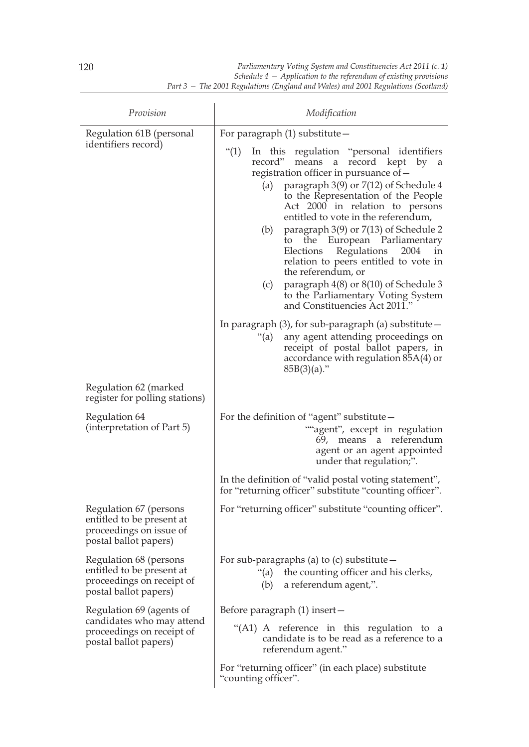| Provision                                                                                                   | Modification                                                                                                                                                                                                                                                                                                                                                                                                                                                                                                                                                                                                                                                                |
|-------------------------------------------------------------------------------------------------------------|-----------------------------------------------------------------------------------------------------------------------------------------------------------------------------------------------------------------------------------------------------------------------------------------------------------------------------------------------------------------------------------------------------------------------------------------------------------------------------------------------------------------------------------------------------------------------------------------------------------------------------------------------------------------------------|
| Regulation 61B (personal<br>identifiers record)                                                             | For paragraph $(1)$ substitute $-$<br>``(1)<br>In this regulation "personal identifiers<br>record"<br>record kept by<br>means a<br><sub>a</sub><br>registration officer in pursuance of -<br>paragraph 3(9) or 7(12) of Schedule 4<br>(a)<br>to the Representation of the People<br>Act 2000 in relation to persons<br>entitled to vote in the referendum,<br>paragraph 3(9) or 7(13) of Schedule 2<br>(b)<br>the European Parliamentary<br>to<br>Elections Regulations<br>2004<br>in<br>relation to peers entitled to vote in<br>the referendum, or<br>paragraph 4(8) or 8(10) of Schedule 3<br>(c)<br>to the Parliamentary Voting System<br>and Constituencies Act 2011." |
|                                                                                                             | In paragraph $(3)$ , for sub-paragraph $(a)$ substitute $-$<br>any agent attending proceedings on<br>"(a)<br>receipt of postal ballot papers, in<br>accordance with regulation $85A(4)$ or<br>$85B(3)(a)$ ."                                                                                                                                                                                                                                                                                                                                                                                                                                                                |
| Regulation 62 (marked<br>register for polling stations)                                                     |                                                                                                                                                                                                                                                                                                                                                                                                                                                                                                                                                                                                                                                                             |
| Regulation 64<br>(interpretation of Part 5)                                                                 | For the definition of "agent" substitute -<br>""agent", except in regulation<br>69, means a referendum<br>agent or an agent appointed<br>under that regulation;".                                                                                                                                                                                                                                                                                                                                                                                                                                                                                                           |
|                                                                                                             | In the definition of "valid postal voting statement",<br>for "returning officer" substitute "counting officer".                                                                                                                                                                                                                                                                                                                                                                                                                                                                                                                                                             |
| Regulation 67 (persons<br>entitled to be present at<br>proceedings on issue of<br>postal ballot papers)     | For "returning officer" substitute "counting officer".                                                                                                                                                                                                                                                                                                                                                                                                                                                                                                                                                                                                                      |
| Regulation 68 (persons<br>entitled to be present at<br>proceedings on receipt of<br>postal ballot papers)   | For sub-paragraphs (a) to (c) substitute $-$<br>the counting officer and his clerks,<br>"(a)<br>a referendum agent,".<br>(b)                                                                                                                                                                                                                                                                                                                                                                                                                                                                                                                                                |
| Regulation 69 (agents of<br>candidates who may attend<br>proceedings on receipt of<br>postal ballot papers) | Before paragraph (1) insert –<br>"(A1) A reference in this regulation to a<br>candidate is to be read as a reference to a<br>referendum agent."<br>For "returning officer" (in each place) substitute<br>"counting officer".                                                                                                                                                                                                                                                                                                                                                                                                                                                |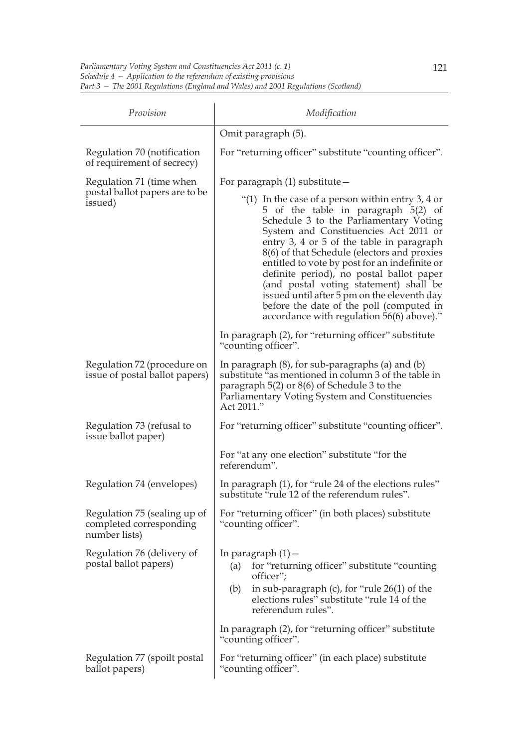| Provision                                                                | Modification                                                                                                                                                                                                                                                                                                                                                                                                                                                                                                                                           |
|--------------------------------------------------------------------------|--------------------------------------------------------------------------------------------------------------------------------------------------------------------------------------------------------------------------------------------------------------------------------------------------------------------------------------------------------------------------------------------------------------------------------------------------------------------------------------------------------------------------------------------------------|
|                                                                          | Omit paragraph (5).                                                                                                                                                                                                                                                                                                                                                                                                                                                                                                                                    |
| Regulation 70 (notification<br>of requirement of secrecy)                | For "returning officer" substitute "counting officer".                                                                                                                                                                                                                                                                                                                                                                                                                                                                                                 |
| Regulation 71 (time when                                                 | For paragraph $(1)$ substitute $-$                                                                                                                                                                                                                                                                                                                                                                                                                                                                                                                     |
| postal ballot papers are to be<br>issued)                                | "(1) In the case of a person within entry 3, 4 or<br>5 of the table in paragraph 5(2) of<br>Schedule 3 to the Parliamentary Voting<br>System and Constituencies Act 2011 or<br>entry 3, 4 or 5 of the table in paragraph<br>8(6) of that Schedule (electors and proxies<br>entitled to vote by post for an indefinite or<br>definite period), no postal ballot paper<br>(and postal voting statement) shall be<br>issued until after 5 pm on the eleventh day<br>before the date of the poll (computed in<br>accordance with regulation 56(6) above)." |
|                                                                          | In paragraph (2), for "returning officer" substitute<br>"counting officer".                                                                                                                                                                                                                                                                                                                                                                                                                                                                            |
| Regulation 72 (procedure on<br>issue of postal ballot papers)            | In paragraph $(8)$ , for sub-paragraphs $(a)$ and $(b)$<br>substitute "as mentioned in column 3 of the table in<br>paragraph $5(2)$ or $8(6)$ of Schedule 3 to the<br>Parliamentary Voting System and Constituencies<br>Act 2011."                                                                                                                                                                                                                                                                                                                     |
| Regulation 73 (refusal to<br>issue ballot paper)                         | For "returning officer" substitute "counting officer".                                                                                                                                                                                                                                                                                                                                                                                                                                                                                                 |
|                                                                          | For "at any one election" substitute "for the<br>referendum".                                                                                                                                                                                                                                                                                                                                                                                                                                                                                          |
| Regulation 74 (envelopes)                                                | In paragraph (1), for "rule 24 of the elections rules"<br>substitute "rule 12 of the referendum rules".                                                                                                                                                                                                                                                                                                                                                                                                                                                |
| Regulation 75 (sealing up of<br>completed corresponding<br>number lists) | For "returning officer" (in both places) substitute<br>"counting officer".                                                                                                                                                                                                                                                                                                                                                                                                                                                                             |
| Regulation 76 (delivery of<br>postal ballot papers)                      | In paragraph $(1)$ –<br>for "returning officer" substitute "counting<br>(a)<br>officer";<br>in sub-paragraph $(c)$ , for "rule 26(1) of the<br>(b)<br>elections rules" substitute "rule 14 of the<br>referendum rules".                                                                                                                                                                                                                                                                                                                                |
|                                                                          | In paragraph (2), for "returning officer" substitute<br>"counting officer".                                                                                                                                                                                                                                                                                                                                                                                                                                                                            |
| Regulation 77 (spoilt postal<br>ballot papers)                           | For "returning officer" (in each place) substitute<br>"counting officer".                                                                                                                                                                                                                                                                                                                                                                                                                                                                              |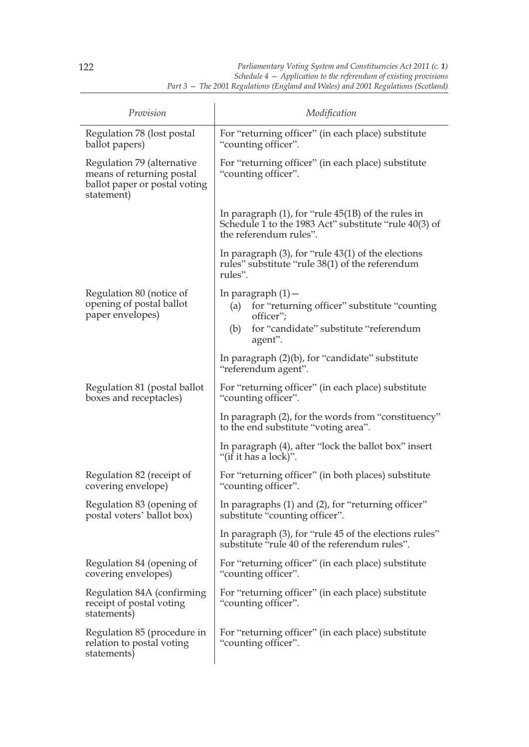| Provision                                                                                              | Modification                                                                                                                               |
|--------------------------------------------------------------------------------------------------------|--------------------------------------------------------------------------------------------------------------------------------------------|
| Regulation 78 (lost postal<br>ballot papers)                                                           | For "returning officer" (in each place) substitute<br>"counting officer".                                                                  |
| Regulation 79 (alternative<br>means of returning postal<br>ballot paper or postal voting<br>statement) | For "returning officer" (in each place) substitute<br>"counting officer".                                                                  |
|                                                                                                        | In paragraph $(1)$ , for "rule $45(1B)$ of the rules in<br>Schedule 1 to the 1983 Act" substitute "rule 40(3) of<br>the referendum rules". |
|                                                                                                        | In paragraph $(3)$ , for "rule $43(1)$ of the elections<br>rules" substitute "rule 38(1) of the referendum<br>rules".                      |
| Regulation 80 (notice of<br>opening of postal ballot<br>paper envelopes)                               | In paragraph $(1)$ –<br>for "returning officer" substitute "counting<br>(a)<br>officer";                                                   |
|                                                                                                        | for "candidate" substitute "referendum<br>(b)<br>agent".                                                                                   |
|                                                                                                        | In paragraph $(2)(b)$ , for "candidate" substitute<br>"referendum agent".                                                                  |
| Regulation 81 (postal ballot<br>boxes and receptacles)                                                 | For "returning officer" (in each place) substitute<br>"counting officer".                                                                  |
|                                                                                                        | In paragraph (2), for the words from "constituency"<br>to the end substitute "voting area".                                                |
|                                                                                                        | In paragraph (4), after "lock the ballot box" insert<br>"(if it has a lock)".                                                              |
| Regulation 82 (receipt of<br>covering envelope)                                                        | For "returning officer" (in both places) substitute<br>"counting officer".                                                                 |
| Regulation 83 (opening of<br>postal voters' ballot box)                                                | In paragraphs (1) and (2), for "returning officer"<br>substitute "counting officer".                                                       |
|                                                                                                        | In paragraph (3), for "rule 45 of the elections rules"<br>substitute "rule 40 of the referendum rules".                                    |
| Regulation 84 (opening of<br>covering envelopes)                                                       | For "returning officer" (in each place) substitute<br>"counting officer".                                                                  |
| Regulation 84A (confirming<br>receipt of postal voting<br>statements)                                  | For "returning officer" (in each place) substitute<br>"counting officer".                                                                  |
| Regulation 85 (procedure in<br>relation to postal voting<br>statements)                                | For "returning officer" (in each place) substitute<br>"counting officer".                                                                  |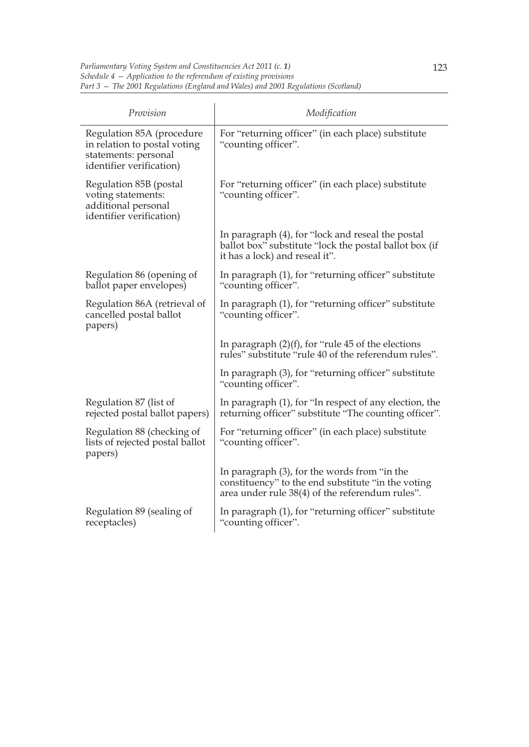| Provision                                                                                                     | Modification                                                                                                                                          |
|---------------------------------------------------------------------------------------------------------------|-------------------------------------------------------------------------------------------------------------------------------------------------------|
| Regulation 85A (procedure<br>in relation to postal voting<br>statements: personal<br>identifier verification) | For "returning officer" (in each place) substitute<br>"counting officer".                                                                             |
| Regulation 85B (postal<br>voting statements:<br>additional personal<br>identifier verification)               | For "returning officer" (in each place) substitute<br>"counting officer".                                                                             |
|                                                                                                               | In paragraph (4), for "lock and reseal the postal<br>ballot box" substitute "lock the postal ballot box (if<br>it has a lock) and reseal it".         |
| Regulation 86 (opening of<br>ballot paper envelopes)                                                          | In paragraph (1), for "returning officer" substitute<br>"counting officer".                                                                           |
| Regulation 86A (retrieval of<br>cancelled postal ballot<br>papers)                                            | In paragraph (1), for "returning officer" substitute<br>"counting officer".                                                                           |
|                                                                                                               | In paragraph $(2)(f)$ , for "rule 45 of the elections"<br>rules" substitute "rule 40 of the referendum rules".                                        |
|                                                                                                               | In paragraph (3), for "returning officer" substitute<br>"counting officer".                                                                           |
| Regulation 87 (list of<br>rejected postal ballot papers)                                                      | In paragraph (1), for "In respect of any election, the<br>returning officer" substitute "The counting officer".                                       |
| Regulation 88 (checking of<br>lists of rejected postal ballot<br>papers)                                      | For "returning officer" (in each place) substitute<br>"counting officer".                                                                             |
|                                                                                                               | In paragraph (3), for the words from "in the<br>constituency" to the end substitute "in the voting<br>area under rule 38(4) of the referendum rules". |
| Regulation 89 (sealing of<br>receptacles)                                                                     | In paragraph (1), for "returning officer" substitute<br>"counting officer".                                                                           |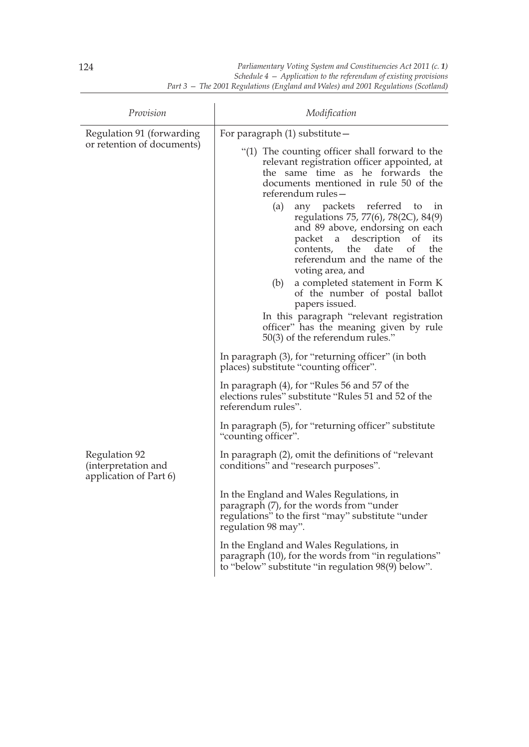| Provision                                                             | Modification                                                                                                                                                                                                                                                                                                                                                                                                                                                                                                                                                                                                                                                                                                                                                              |
|-----------------------------------------------------------------------|---------------------------------------------------------------------------------------------------------------------------------------------------------------------------------------------------------------------------------------------------------------------------------------------------------------------------------------------------------------------------------------------------------------------------------------------------------------------------------------------------------------------------------------------------------------------------------------------------------------------------------------------------------------------------------------------------------------------------------------------------------------------------|
| Regulation 91 (forwarding<br>or retention of documents)               | For paragraph $(1)$ substitute $-$<br>"(1) The counting officer shall forward to the<br>relevant registration officer appointed, at<br>the same time as he forwards the<br>documents mentioned in rule 50 of the<br>referendum rules-<br>(a)<br>any packets referred to<br>in<br>regulations 75, 77(6), 78(2C), 84(9)<br>and 89 above, endorsing on each<br>packet a description of<br>its<br>contents, the<br>of<br>the<br>date<br>referendum and the name of the<br>voting area, and<br>(b)<br>a completed statement in Form K<br>of the number of postal ballot<br>papers issued.<br>In this paragraph "relevant registration<br>officer" has the meaning given by rule                                                                                                |
| <b>Regulation 92</b><br>(interpretation and<br>application of Part 6) | 50(3) of the referendum rules."<br>In paragraph (3), for "returning officer" (in both<br>places) substitute "counting officer".<br>In paragraph (4), for "Rules 56 and 57 of the<br>elections rules" substitute "Rules 51 and 52 of the<br>referendum rules".<br>In paragraph (5), for "returning officer" substitute<br>"counting officer".<br>In paragraph (2), omit the definitions of "relevant"<br>conditions" and "research purposes".<br>In the England and Wales Regulations, in<br>paragraph (7), for the words from "under<br>regulations" to the first "may" substitute "under<br>regulation 98 may".<br>In the England and Wales Regulations, in<br>paragraph (10), for the words from "in regulations"<br>to "below" substitute "in regulation 98(9) below". |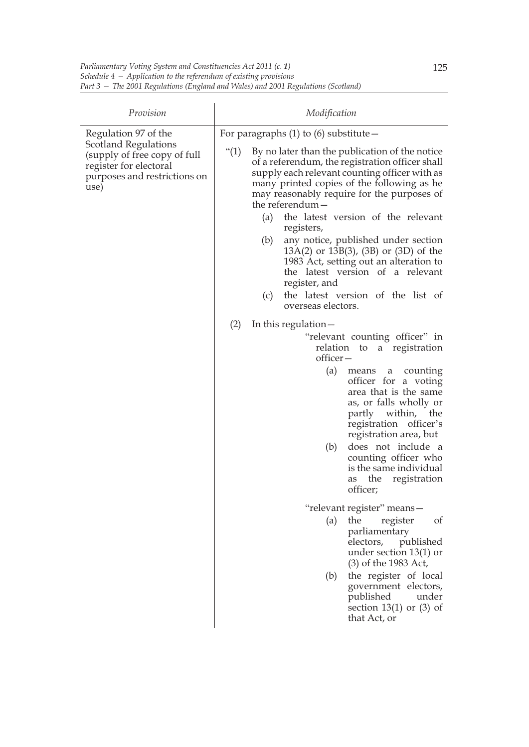| Provision                                                                                                                                             | Modification                                                                                                                                                                                                                                                                             |
|-------------------------------------------------------------------------------------------------------------------------------------------------------|------------------------------------------------------------------------------------------------------------------------------------------------------------------------------------------------------------------------------------------------------------------------------------------|
| Regulation 97 of the<br><b>Scotland Regulations</b><br>(supply of free copy of full<br>register for electoral<br>purposes and restrictions on<br>use) | For paragraphs $(1)$ to $(6)$ substitute -                                                                                                                                                                                                                                               |
|                                                                                                                                                       | " $(1)$<br>By no later than the publication of the notice<br>of a referendum, the registration officer shall<br>supply each relevant counting officer with as<br>many printed copies of the following as he<br>may reasonably require for the purposes of<br>the referendum-             |
|                                                                                                                                                       | (a)<br>the latest version of the relevant<br>registers,                                                                                                                                                                                                                                  |
|                                                                                                                                                       | (b)<br>any notice, published under section<br>$13A(2)$ or $13B(3)$ , $(3B)$ or $(3D)$ of the<br>1983 Act, setting out an alteration to<br>the latest version of a relevant<br>register, and                                                                                              |
|                                                                                                                                                       | the latest version of the list of<br>(c)<br>overseas electors.                                                                                                                                                                                                                           |
|                                                                                                                                                       | (2)<br>In this regulation -                                                                                                                                                                                                                                                              |
|                                                                                                                                                       | "relevant counting officer" in<br>relation to a registration<br>officer-                                                                                                                                                                                                                 |
|                                                                                                                                                       | (a)<br>means a<br>counting<br>officer for a voting<br>area that is the same<br>as, or falls wholly or<br>partly within, the<br>registration officer's<br>registration area, but<br>does not include a<br>(b)<br>counting officer who<br>is the same individual<br>registration<br>as the |
|                                                                                                                                                       | officer;                                                                                                                                                                                                                                                                                 |
|                                                                                                                                                       | "relevant register" means-                                                                                                                                                                                                                                                               |
|                                                                                                                                                       | the<br>register<br>(a)<br>of<br>parliamentary<br>electors, published<br>under section $13(1)$ or<br>(3) of the 1983 Act,                                                                                                                                                                 |
|                                                                                                                                                       | the register of local<br>(b)<br>government electors,<br>published<br>under<br>section $13(1)$ or $(3)$ of<br>that Act, or                                                                                                                                                                |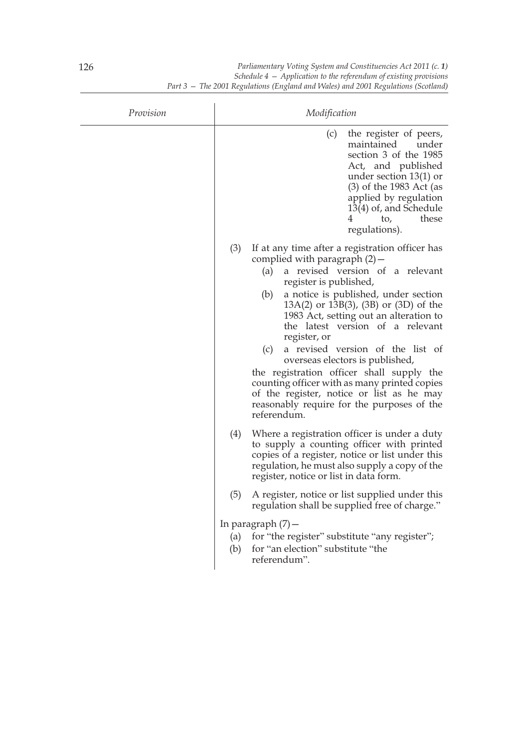| Provision |            | Modification                                                                                                                                                                                                                                                                                                                                                                                                                                                                                                                                                                                                                               |
|-----------|------------|--------------------------------------------------------------------------------------------------------------------------------------------------------------------------------------------------------------------------------------------------------------------------------------------------------------------------------------------------------------------------------------------------------------------------------------------------------------------------------------------------------------------------------------------------------------------------------------------------------------------------------------------|
|           |            | the register of peers,<br>(c)<br>maintained<br>under<br>section 3 of the 1985<br>Act, and published<br>under section $13(1)$ or<br>$(3)$ of the 1983 Act (as<br>applied by regulation<br>13(4) of, and Schedule<br>these<br>4<br>to,<br>regulations).                                                                                                                                                                                                                                                                                                                                                                                      |
|           | (3)        | If at any time after a registration officer has<br>complied with paragraph $(2)$ –<br>a revised version of a relevant<br>(a)<br>register is published,<br>a notice is published, under section<br>(b)<br>$13A(2)$ or $13B(3)$ , $(3B)$ or $(3D)$ of the<br>1983 Act, setting out an alteration to<br>the latest version of a relevant<br>register, or<br>a revised version of the list of<br>(c)<br>overseas electors is published,<br>the registration officer shall supply the<br>counting officer with as many printed copies<br>of the register, notice or list as he may<br>reasonably require for the purposes of the<br>referendum. |
|           | (4)        | Where a registration officer is under a duty<br>to supply a counting officer with printed<br>copies of a register, notice or list under this<br>regulation, he must also supply a copy of the<br>register, notice or list in data form.                                                                                                                                                                                                                                                                                                                                                                                                    |
|           | (5)        | A register, notice or list supplied under this<br>regulation shall be supplied free of charge."                                                                                                                                                                                                                                                                                                                                                                                                                                                                                                                                            |
|           | (a)<br>(b) | In paragraph $(7)$ –<br>for "the register" substitute "any register";<br>for "an election" substitute "the<br>referendum".                                                                                                                                                                                                                                                                                                                                                                                                                                                                                                                 |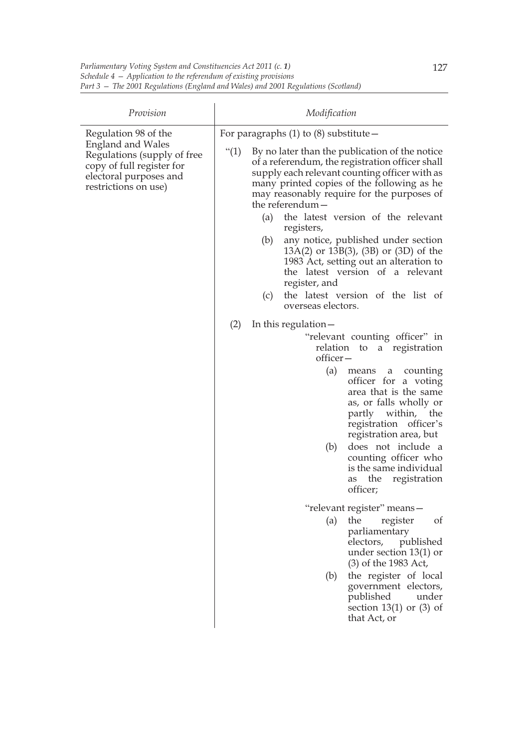| Provision                                                                                                                                                      | Modification                                                                                                                                                                                                                                                                          |  |
|----------------------------------------------------------------------------------------------------------------------------------------------------------------|---------------------------------------------------------------------------------------------------------------------------------------------------------------------------------------------------------------------------------------------------------------------------------------|--|
| Regulation 98 of the<br><b>England and Wales</b><br>Regulations (supply of free<br>copy of full register for<br>electoral purposes and<br>restrictions on use) | For paragraphs $(1)$ to $(8)$ substitute -                                                                                                                                                                                                                                            |  |
|                                                                                                                                                                | $\cdot\cdot(1)$<br>By no later than the publication of the notice<br>of a referendum, the registration officer shall<br>supply each relevant counting officer with as<br>many printed copies of the following as he<br>may reasonably require for the purposes of<br>the referendum – |  |
|                                                                                                                                                                | (a)<br>the latest version of the relevant<br>registers,                                                                                                                                                                                                                               |  |
|                                                                                                                                                                | any notice, published under section<br>(b)<br>$13A(2)$ or $13B(3)$ , $(3B)$ or $(3D)$ of the<br>1983 Act, setting out an alteration to<br>the latest version of a relevant<br>register, and                                                                                           |  |
|                                                                                                                                                                | the latest version of the list of<br>(c)<br>overseas electors.                                                                                                                                                                                                                        |  |
|                                                                                                                                                                | (2)<br>In this regulation -                                                                                                                                                                                                                                                           |  |
|                                                                                                                                                                | "relevant counting officer" in<br>relation to a registration<br>officer-                                                                                                                                                                                                              |  |
|                                                                                                                                                                | (a)<br>means a<br>counting<br>officer for a voting<br>area that is the same<br>as, or falls wholly or<br>partly within, the<br>registration officer's<br>registration area, but                                                                                                       |  |
|                                                                                                                                                                | does not include a<br>(b)<br>counting officer who<br>is the same individual<br>as the registration<br>officer;                                                                                                                                                                        |  |
|                                                                                                                                                                | "relevant register" means-                                                                                                                                                                                                                                                            |  |
|                                                                                                                                                                | the<br>register<br>(a)<br>of<br>parliamentary<br>electors, published<br>under section $13(1)$ or<br>(3) of the 1983 Act,                                                                                                                                                              |  |
|                                                                                                                                                                | the register of local<br>(b)<br>government electors,<br>published<br>under<br>section $13(1)$ or $(3)$ of<br>that Act, or                                                                                                                                                             |  |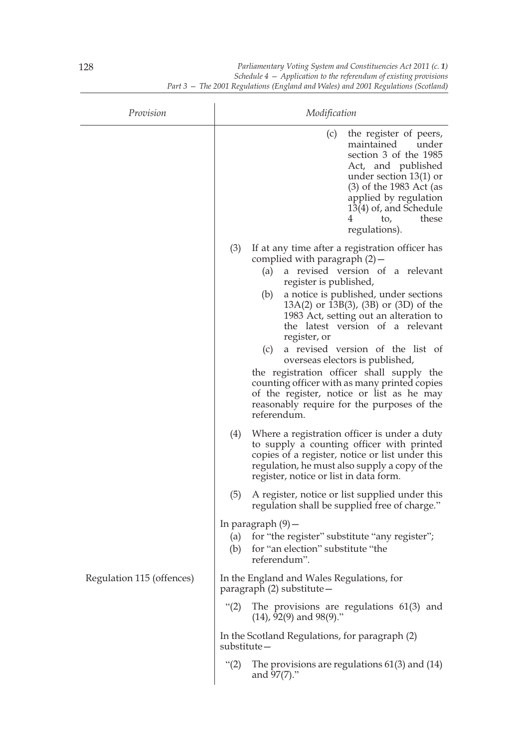| Provision                 |             | Modification                                                                                                                                                                                                                                                                                                                                                                                                                                                                                                                                                                                                                                |
|---------------------------|-------------|---------------------------------------------------------------------------------------------------------------------------------------------------------------------------------------------------------------------------------------------------------------------------------------------------------------------------------------------------------------------------------------------------------------------------------------------------------------------------------------------------------------------------------------------------------------------------------------------------------------------------------------------|
|                           |             | the register of peers,<br>(c)<br>maintained<br>under<br>section 3 of the 1985<br>Act, and published<br>under section $13(1)$ or<br>$(3)$ of the 1983 Act (as<br>applied by regulation<br>13(4) of, and Schedule<br>these<br>4<br>to,<br>regulations).                                                                                                                                                                                                                                                                                                                                                                                       |
|                           | (3)         | If at any time after a registration officer has<br>complied with paragraph $(2)$ –<br>a revised version of a relevant<br>(a)<br>register is published,<br>a notice is published, under sections<br>(b)<br>$13A(2)$ or $13B(3)$ , $(3B)$ or $(3D)$ of the<br>1983 Act, setting out an alteration to<br>the latest version of a relevant<br>register, or<br>a revised version of the list of<br>(c)<br>overseas electors is published,<br>the registration officer shall supply the<br>counting officer with as many printed copies<br>of the register, notice or list as he may<br>reasonably require for the purposes of the<br>referendum. |
|                           | (4)         | Where a registration officer is under a duty<br>to supply a counting officer with printed<br>copies of a register, notice or list under this<br>regulation, he must also supply a copy of the<br>register, notice or list in data form.                                                                                                                                                                                                                                                                                                                                                                                                     |
|                           | (5)         | A register, notice or list supplied under this<br>regulation shall be supplied free of charge."                                                                                                                                                                                                                                                                                                                                                                                                                                                                                                                                             |
|                           | (a)<br>(b)  | In paragraph $(9)$ –<br>for "the register" substitute "any register";<br>for "an election" substitute "the<br>referendum".                                                                                                                                                                                                                                                                                                                                                                                                                                                                                                                  |
| Regulation 115 (offences) |             | In the England and Wales Regulations, for<br>paragraph (2) substitute –                                                                                                                                                                                                                                                                                                                                                                                                                                                                                                                                                                     |
|                           |             | "(2) The provisions are regulations 61(3) and<br>$(14)$ , 92 $(9)$ and 98 $(9)$ ."                                                                                                                                                                                                                                                                                                                                                                                                                                                                                                                                                          |
|                           | substitute- | In the Scotland Regulations, for paragraph (2)                                                                                                                                                                                                                                                                                                                                                                                                                                                                                                                                                                                              |
|                           | $\lq(2)$    | The provisions are regulations $61(3)$ and $(14)$<br>and $97(7)$ ."                                                                                                                                                                                                                                                                                                                                                                                                                                                                                                                                                                         |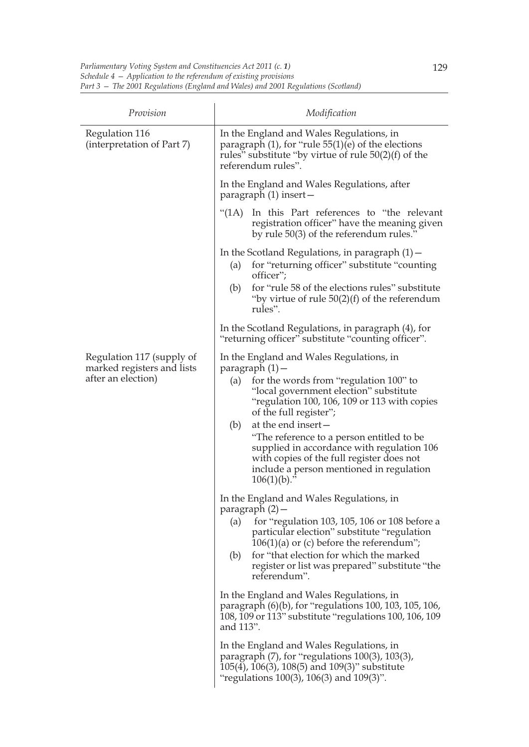| Provision                                                                     | Modification                                                                                                                                                                                                                                                                                                                                                                                                                                                                        |  |
|-------------------------------------------------------------------------------|-------------------------------------------------------------------------------------------------------------------------------------------------------------------------------------------------------------------------------------------------------------------------------------------------------------------------------------------------------------------------------------------------------------------------------------------------------------------------------------|--|
| Regulation 116<br>(interpretation of Part 7)                                  | In the England and Wales Regulations, in<br>paragraph $(1)$ , for "rule $55(1)(e)$ of the elections<br>rules" substitute "by virtue of rule $50(2)(f)$ of the<br>referendum rules".                                                                                                                                                                                                                                                                                                 |  |
|                                                                               | In the England and Wales Regulations, after<br>$\frac{1}{2}$ paragraph (1) insert $-$                                                                                                                                                                                                                                                                                                                                                                                               |  |
|                                                                               | "(1A) In this Part references to "the relevant"<br>registration officer" have the meaning given<br>by rule 50(3) of the referendum rules."                                                                                                                                                                                                                                                                                                                                          |  |
|                                                                               | In the Scotland Regulations, in paragraph $(1)$ –<br>for "returning officer" substitute "counting<br>(a)<br>officer";                                                                                                                                                                                                                                                                                                                                                               |  |
|                                                                               | for "rule 58 of the elections rules" substitute<br>(b)<br>"by virtue of rule $50(2)(f)$ of the referendum<br>rules".                                                                                                                                                                                                                                                                                                                                                                |  |
|                                                                               | In the Scotland Regulations, in paragraph (4), for<br>"returning officer" substitute "counting officer".                                                                                                                                                                                                                                                                                                                                                                            |  |
| Regulation 117 (supply of<br>marked registers and lists<br>after an election) | In the England and Wales Regulations, in<br>$\frac{1}{2}$ paragraph $(1)$ –<br>for the words from "regulation 100" to<br>(a)<br>"local government election" substitute<br>"regulation 100, 106, 109 or 113 with copies<br>of the full register";<br>at the end insert-<br>(b)<br>"The reference to a person entitled to be<br>supplied in accordance with regulation 106<br>with copies of the full register does not<br>include a person mentioned in regulation<br>$106(1)(b)$ ." |  |
|                                                                               | In the England and Wales Regulations, in<br>paragraph (2) –<br>(a)<br>for "regulation 103, 105, 106 or 108 before a<br>particular election" substitute "regulation<br>$106(1)(a)$ or (c) before the referendum";<br>for "that election for which the marked<br>(b)<br>register or list was prepared" substitute "the<br>referendum".                                                                                                                                                |  |
|                                                                               | In the England and Wales Regulations, in<br>paragraph (6)(b), for "regulations 100, 103, 105, 106,<br>108, 109 or 113" substitute "regulations 100, 106, 109<br>and 113".                                                                                                                                                                                                                                                                                                           |  |
|                                                                               | In the England and Wales Regulations, in<br>paragraph $(7)$ , for "regulations $100(3)$ , $103(3)$ ,<br>105(4), 106(3), 108(5) and 109(3)" substitute<br>"regulations $100(3)$ , $106(3)$ and $109(3)$ ".                                                                                                                                                                                                                                                                           |  |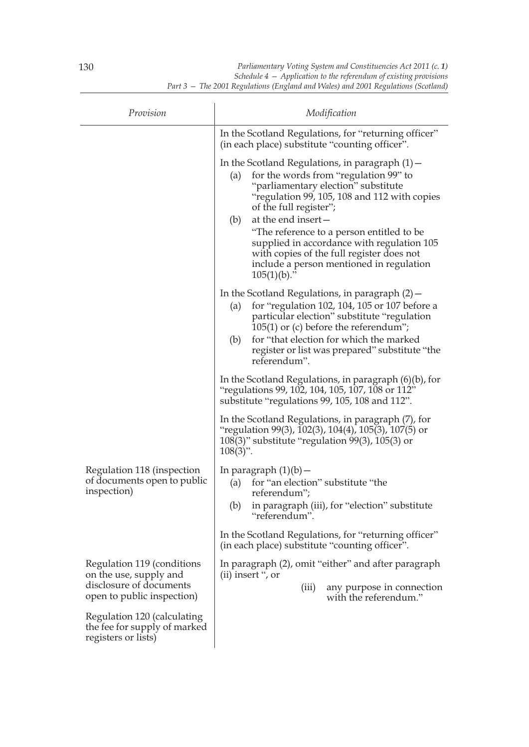| Provision                                                                                                     | Modification                                                                                                                                                                                                                                                                                                                                                                                                                                          |  |
|---------------------------------------------------------------------------------------------------------------|-------------------------------------------------------------------------------------------------------------------------------------------------------------------------------------------------------------------------------------------------------------------------------------------------------------------------------------------------------------------------------------------------------------------------------------------------------|--|
|                                                                                                               | In the Scotland Regulations, for "returning officer"<br>(in each place) substitute "counting officer".                                                                                                                                                                                                                                                                                                                                                |  |
|                                                                                                               | In the Scotland Regulations, in paragraph $(1)$ –<br>for the words from "regulation 99" to<br>(a)<br>"parliamentary election" substitute<br>"regulation 99, 105, 108 and 112 with copies<br>of the full register";<br>at the end insert-<br>(b)<br>"The reference to a person entitled to be<br>supplied in accordance with regulation 105<br>with copies of the full register does not<br>include a person mentioned in regulation<br>$105(1)(b)$ ." |  |
|                                                                                                               | In the Scotland Regulations, in paragraph $(2)$ –<br>for "regulation 102, 104, 105 or 107 before a<br>(a)<br>particular election" substitute "regulation<br>$105(1)$ or (c) before the referendum";<br>for "that election for which the marked<br>(b)<br>register or list was prepared" substitute "the<br>referendum".                                                                                                                               |  |
|                                                                                                               | In the Scotland Regulations, in paragraph $(6)(b)$ , for<br>"regulations 99, 102, 104, 105, 107, 108 or 112"<br>substitute "regulations 99, 105, 108 and 112".                                                                                                                                                                                                                                                                                        |  |
|                                                                                                               | In the Scotland Regulations, in paragraph (7), for<br>"regulation 99(3), 102(3), 104(4), 105(3), 107(5) or<br>108(3)" substitute "regulation 99(3), 105(3) or<br>$108(3)$ ".                                                                                                                                                                                                                                                                          |  |
| Regulation 118 (inspection<br>of documents open to public<br>inspection)                                      | In paragraph $(1)(b)$ –<br>for "an election" substitute "the<br>(a)<br>referendum":<br>in paragraph (iii), for "election" substitute<br>(b)<br>"referendum".                                                                                                                                                                                                                                                                                          |  |
|                                                                                                               | In the Scotland Regulations, for "returning officer"<br>(in each place) substitute "counting officer".                                                                                                                                                                                                                                                                                                                                                |  |
| Regulation 119 (conditions<br>on the use, supply and<br>disclosure of documents<br>open to public inspection) | In paragraph (2), omit "either" and after paragraph<br>(ii) insert ", or<br>(iii)<br>any purpose in connection<br>with the referendum."                                                                                                                                                                                                                                                                                                               |  |
| Regulation 120 (calculating<br>the fee for supply of marked<br>registers or lists)                            |                                                                                                                                                                                                                                                                                                                                                                                                                                                       |  |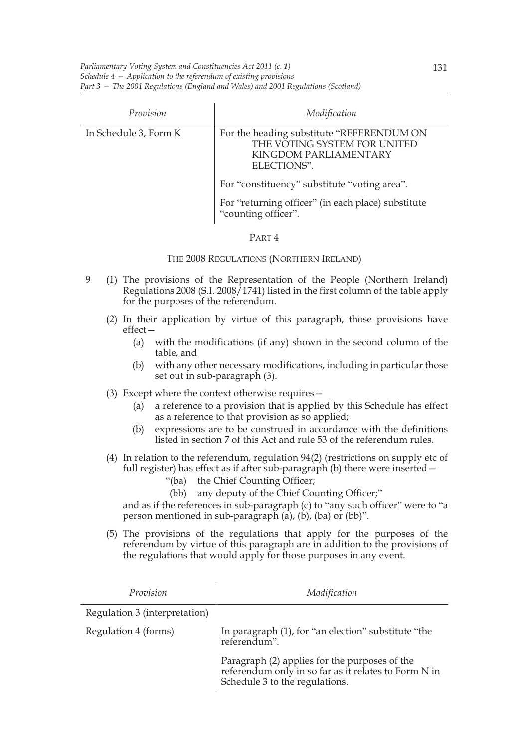| Provision             | Modification                                                                                                      |
|-----------------------|-------------------------------------------------------------------------------------------------------------------|
| In Schedule 3, Form K | For the heading substitute "REFERENDUM ON<br>THE VOTING SYSTEM FOR UNITED<br>KINGDOM PARLIAMENTARY<br>ELECTIONS". |
|                       | For "constituency" substitute "voting area".                                                                      |
|                       | For "returning officer" (in each place) substitute<br>"counting officer".                                         |

PART 4

THE 2008 REGULATIONS (NORTHERN IRELAND)

- 9 (1) The provisions of the Representation of the People (Northern Ireland) Regulations 2008 (S.I. 2008/1741) listed in the first column of the table apply for the purposes of the referendum.
	- (2) In their application by virtue of this paragraph, those provisions have effect—
		- (a) with the modifications (if any) shown in the second column of the table, and
		- (b) with any other necessary modifications, including in particular those set out in sub-paragraph (3).
	- (3) Except where the context otherwise requires—
		- (a) a reference to a provision that is applied by this Schedule has effect as a reference to that provision as so applied;
		- (b) expressions are to be construed in accordance with the definitions listed in section 7 of this Act and rule 53 of the referendum rules.
	- (4) In relation to the referendum, regulation 94(2) (restrictions on supply etc of full register) has effect as if after sub-paragraph (b) there were inserted—
		- "(ba) the Chief Counting Officer;
		- (bb) any deputy of the Chief Counting Officer;"

and as if the references in sub-paragraph (c) to "any such officer" were to "a person mentioned in sub-paragraph (a), (b), (ba) or (bb)".

(5) The provisions of the regulations that apply for the purposes of the referendum by virtue of this paragraph are in addition to the provisions of the regulations that would apply for those purposes in any event.

| Provision                     | Modification                                                                                                                            |
|-------------------------------|-----------------------------------------------------------------------------------------------------------------------------------------|
| Regulation 3 (interpretation) |                                                                                                                                         |
| Regulation 4 (forms)          | In paragraph (1), for "an election" substitute "the<br>referendum".                                                                     |
|                               | Paragraph (2) applies for the purposes of the<br>referendum only in so far as it relates to Form N in<br>Schedule 3 to the regulations. |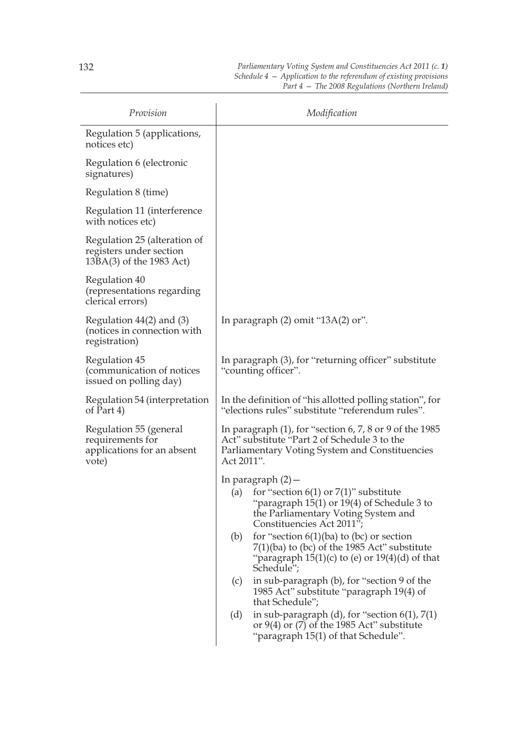*Parliamentary Voting System and Constituencies Act 2011 (c. 1) Schedule 4 — Application to the referendum of existing provisions Part 4 — The 2008 Regulations (Northern Ireland)*

| Provision                                                                           | Modification                                                                                                                                                                                |
|-------------------------------------------------------------------------------------|---------------------------------------------------------------------------------------------------------------------------------------------------------------------------------------------|
| Regulation 5 (applications,<br>notices etc)                                         |                                                                                                                                                                                             |
| Regulation 6 (electronic<br>signatures)                                             |                                                                                                                                                                                             |
| Regulation 8 (time)                                                                 |                                                                                                                                                                                             |
| Regulation 11 (interference<br>with notices etc)                                    |                                                                                                                                                                                             |
| Regulation 25 (alteration of<br>registers under section<br>13BA(3) of the 1983 Act) |                                                                                                                                                                                             |
| Regulation 40<br>(representations regarding<br>clerical errors)                     |                                                                                                                                                                                             |
| Regulation $44(2)$ and $(3)$<br>(notices in connection with<br>registration)        | In paragraph $(2)$ omit " $13A(2)$ or".                                                                                                                                                     |
| Regulation 45<br>(communication of notices<br>issued on polling day)                | In paragraph (3), for "returning officer" substitute<br>"counting officer".                                                                                                                 |
| Regulation 54 (interpretation<br>of Part 4)                                         | In the definition of "his allotted polling station", for<br>"elections rules" substitute "referendum rules".                                                                                |
| Regulation 55 (general<br>requirements for<br>applications for an absent<br>vote)   | In paragraph $(1)$ , for "section 6, 7, 8 or 9 of the 1985<br>Act" substitute "Part 2 of Schedule 3 to the<br>Parliamentary Voting System and Constituencies<br>Act 2011".                  |
|                                                                                     | In paragraph $(2)$ –<br>for "section $6(1)$ or $7(1)$ " substitute<br>(a)<br>"paragraph 15(1) or 19(4) of Schedule 3 to<br>the Parliamentary Voting System and<br>Constituencies Act 2011"; |
|                                                                                     | for "section $6(1)(ba)$ to (bc) or section<br>(b)<br>$7(1)(ba)$ to (bc) of the 1985 Act" substitute<br>"paragraph $15(1)(c)$ to (e) or $19(4)(d)$ of that<br>Schedule";                     |
|                                                                                     | in sub-paragraph (b), for "section 9 of the<br>(c)<br>1985 Act" substitute "paragraph 19(4) of<br>that Schedule";                                                                           |
|                                                                                     | in sub-paragraph (d), for "section $6(1)$ , $7(1)$<br>(d)<br>or $9(4)$ or $(7)$ of the 1985 Act" substitute<br>"paragraph 15(1) of that Schedule".                                          |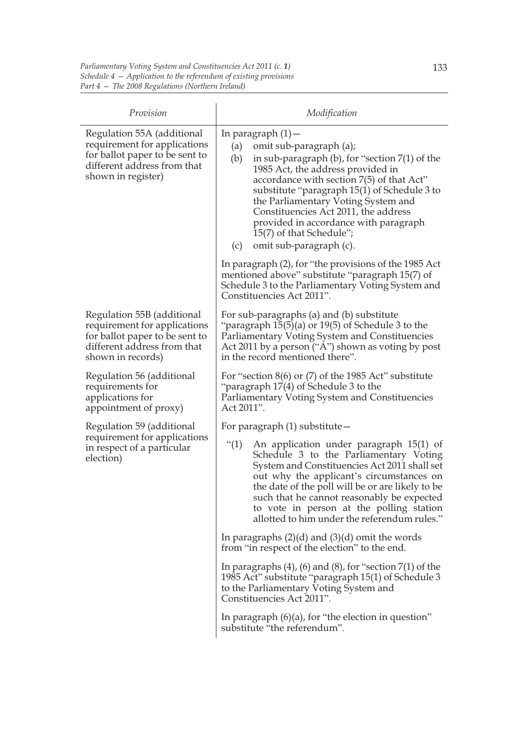| Provision                                                                                                                                         | Modification                                                                                                                                                                                                                                                                                                                                                                                                                              |
|---------------------------------------------------------------------------------------------------------------------------------------------------|-------------------------------------------------------------------------------------------------------------------------------------------------------------------------------------------------------------------------------------------------------------------------------------------------------------------------------------------------------------------------------------------------------------------------------------------|
| Regulation 55A (additional<br>requirement for applications<br>for ballot paper to be sent to<br>different address from that<br>shown in register) | In paragraph $(1)$ –<br>omit sub-paragraph (a);<br>(a)<br>in sub-paragraph (b), for "section $7(1)$ of the<br>(b)<br>1985 Act, the address provided in<br>accordance with section 7(5) of that Act"<br>substitute "paragraph 15(1) of Schedule 3 to<br>the Parliamentary Voting System and<br>Constituencies Act 2011, the address<br>provided in accordance with paragraph<br>15(7) of that Schedule";<br>omit sub-paragraph (c).<br>(c) |
|                                                                                                                                                   | In paragraph (2), for "the provisions of the 1985 Act"<br>mentioned above" substitute "paragraph 15(7) of<br>Schedule 3 to the Parliamentary Voting System and<br>Constituencies Act 2011".                                                                                                                                                                                                                                               |
| Regulation 55B (additional<br>requirement for applications<br>for ballot paper to be sent to<br>different address from that<br>shown in records)  | For sub-paragraphs (a) and (b) substitute<br>"paragraph $15(5)(a)$ or $19(5)$ of Schedule 3 to the<br>Parliamentary Voting System and Constituencies<br>Act 2011 by a person ("A") shown as voting by post<br>in the record mentioned there".                                                                                                                                                                                             |
| Regulation 56 (additional<br>requirements for<br>applications for<br>appointment of proxy)                                                        | For "section $8(6)$ or (7) of the 1985 Act" substitute<br>"paragraph 17(4) of Schedule 3 to the<br>Parliamentary Voting System and Constituencies<br>Act 2011".                                                                                                                                                                                                                                                                           |
| Regulation 59 (additional                                                                                                                         | For paragraph $(1)$ substitute $-$                                                                                                                                                                                                                                                                                                                                                                                                        |
| requirement for applications<br>in respect of a particular<br>election)                                                                           | ``(1)<br>An application under paragraph 15(1) of<br>Schedule 3 to the Parliamentary Voting<br>System and Constituencies Act 2011 shall set<br>out why the applicant's circumstances on<br>the date of the poll will be or are likely to be<br>such that he cannot reasonably be expected<br>to vote in person at the polling station<br>allotted to him under the referendum rules."                                                      |
|                                                                                                                                                   | In paragraphs $(2)(d)$ and $(3)(d)$ omit the words<br>from "in respect of the election" to the end.                                                                                                                                                                                                                                                                                                                                       |
|                                                                                                                                                   | In paragraphs $(4)$ , $(6)$ and $(8)$ , for "section $7(1)$ of the<br>1985 Act" substitute "paragraph 15(1) of Schedule 3<br>to the Parliamentary Voting System and<br>Constituencies Act 2011".                                                                                                                                                                                                                                          |
|                                                                                                                                                   | In paragraph $(6)(a)$ , for "the election in question"<br>substitute "the referendum".                                                                                                                                                                                                                                                                                                                                                    |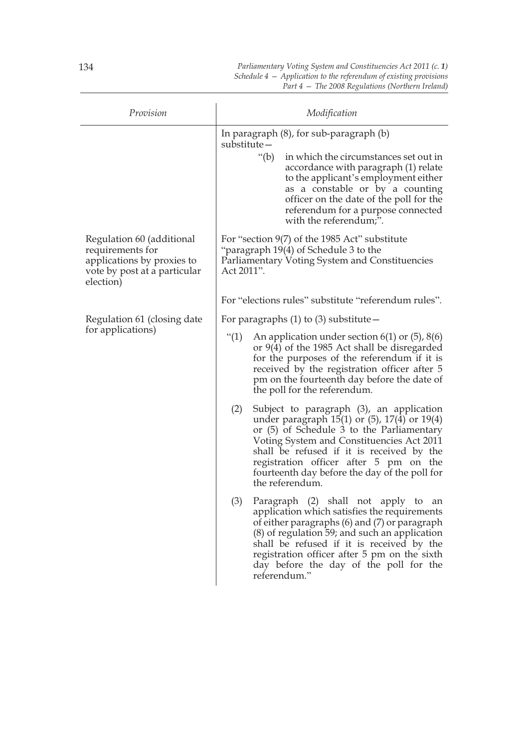| Provision                                                                                                                | Modification                                                                                                                                                                                                                                                                                                                                                  |
|--------------------------------------------------------------------------------------------------------------------------|---------------------------------------------------------------------------------------------------------------------------------------------------------------------------------------------------------------------------------------------------------------------------------------------------------------------------------------------------------------|
|                                                                                                                          | In paragraph (8), for sub-paragraph (b)<br>$substitute -$<br>" $(b)$<br>in which the circumstances set out in<br>accordance with paragraph (1) relate<br>to the applicant's employment either<br>as a constable or by a counting<br>officer on the date of the poll for the<br>referendum for a purpose connected<br>with the referendum;".                   |
| Regulation 60 (additional<br>requirements for<br>applications by proxies to<br>vote by post at a particular<br>election) | For "section 9(7) of the 1985 Act" substitute<br>"paragraph 19(4) of Schedule 3 to the<br>Parliamentary Voting System and Constituencies<br>Act 2011".                                                                                                                                                                                                        |
|                                                                                                                          | For "elections rules" substitute "referendum rules".                                                                                                                                                                                                                                                                                                          |
| Regulation 61 (closing date                                                                                              | For paragraphs $(1)$ to $(3)$ substitute –                                                                                                                                                                                                                                                                                                                    |
| for applications)                                                                                                        | ``(1)<br>An application under section $6(1)$ or $(5)$ , $8(6)$<br>or 9(4) of the 1985 Act shall be disregarded<br>for the purposes of the referendum if it is<br>received by the registration officer after 5<br>pm on the fourteenth day before the date of<br>the poll for the referendum.                                                                  |
|                                                                                                                          | (2)<br>Subject to paragraph (3), an application<br>under paragraph $15(1)$ or $(5)$ , $17(4)$ or $19(4)$<br>or (5) of Schedule 3 to the Parliamentary<br>Voting System and Constituencies Act 2011<br>shall be refused if it is received by the<br>registration officer after 5 pm on the<br>fourteenth day before the day of the poll for<br>the referendum. |
|                                                                                                                          | (3)<br>Paragraph (2) shall not apply to an<br>application which satisfies the requirements<br>of either paragraphs (6) and (7) or paragraph<br>(8) of regulation 59; and such an application<br>shall be refused if it is received by the<br>registration officer after 5 pm on the sixth<br>day before the day of the poll for the<br>referendum."           |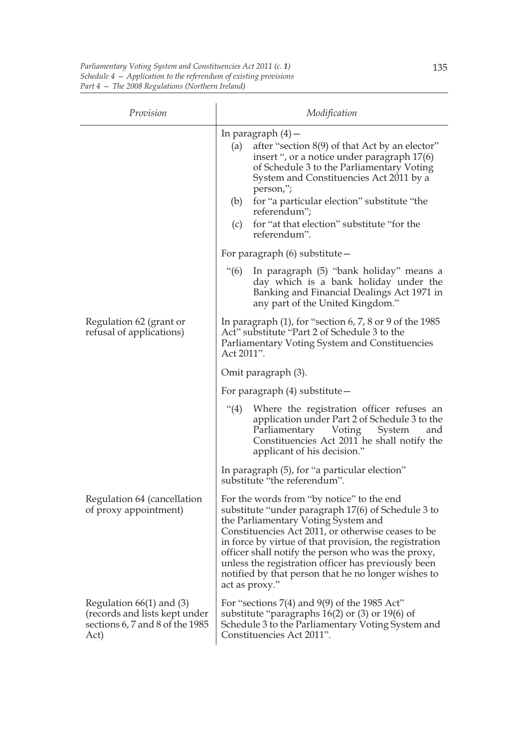| Provision                                                                                                | Modification                                                                                                                                                                                                                                                                                                                                                                                                                                 |
|----------------------------------------------------------------------------------------------------------|----------------------------------------------------------------------------------------------------------------------------------------------------------------------------------------------------------------------------------------------------------------------------------------------------------------------------------------------------------------------------------------------------------------------------------------------|
|                                                                                                          | In paragraph $(4)$ –<br>after "section $8(9)$ of that Act by an elector"<br>(a)<br>insert ", or a notice under paragraph 17(6)<br>of Schedule 3 to the Parliamentary Voting<br>System and Constituencies Act 2011 by a<br>person,";<br>for "a particular election" substitute "the<br>(b)<br>referendum";<br>for "at that election" substitute "for the<br>(c)<br>referendum".                                                               |
|                                                                                                          | For paragraph $(6)$ substitute $-$                                                                                                                                                                                                                                                                                                                                                                                                           |
|                                                                                                          | ``(6)<br>In paragraph (5) "bank holiday" means a<br>day which is a bank holiday under the<br>Banking and Financial Dealings Act 1971 in<br>any part of the United Kingdom."                                                                                                                                                                                                                                                                  |
| Regulation 62 (grant or<br>refusal of applications)                                                      | In paragraph $(1)$ , for "section 6, 7, 8 or 9 of the 1985<br>Act" substitute "Part 2 of Schedule 3 to the<br>Parliamentary Voting System and Constituencies<br>Act 2011".                                                                                                                                                                                                                                                                   |
|                                                                                                          | Omit paragraph (3).                                                                                                                                                                                                                                                                                                                                                                                                                          |
|                                                                                                          | For paragraph $(4)$ substitute $-$                                                                                                                                                                                                                                                                                                                                                                                                           |
|                                                                                                          | (4)<br>Where the registration officer refuses an<br>application under Part 2 of Schedule 3 to the<br>Parliamentary Voting System<br>and<br>Constituencies Act 2011 he shall notify the<br>applicant of his decision."                                                                                                                                                                                                                        |
|                                                                                                          | In paragraph (5), for "a particular election"<br>substitute "the referendum".                                                                                                                                                                                                                                                                                                                                                                |
| Regulation 64 (cancellation<br>of proxy appointment)                                                     | For the words from "by notice" to the end<br>substitute "under paragraph 17(6) of Schedule 3 to<br>the Parliamentary Voting System and<br>Constituencies Act 2011, or otherwise ceases to be<br>in force by virtue of that provision, the registration<br>officer shall notify the person who was the proxy,<br>unless the registration officer has previously been<br>notified by that person that he no longer wishes to<br>act as proxy." |
| Regulation $66(1)$ and $(3)$<br>(records and lists kept under<br>sections 6, 7 and 8 of the 1985<br>Act) | For "sections $7(4)$ and $9(9)$ of the 1985 Act"<br>substitute "paragraphs 16(2) or (3) or 19(6) of<br>Schedule 3 to the Parliamentary Voting System and<br>Constituencies Act 2011".                                                                                                                                                                                                                                                        |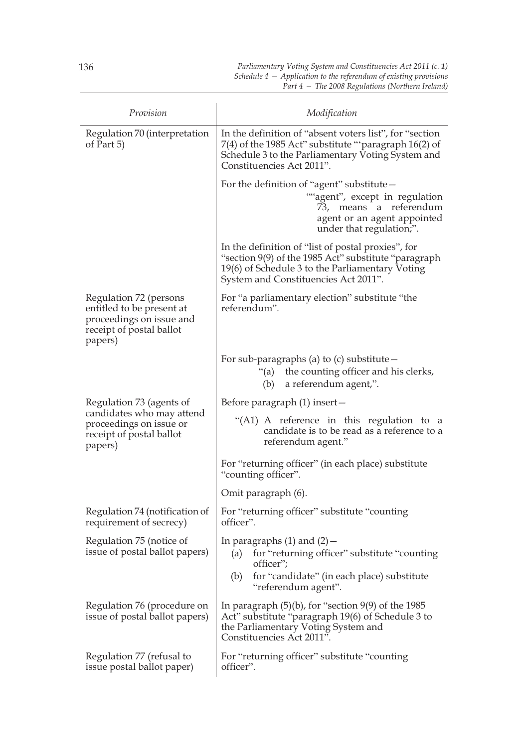| Provision                                                                                                               | Modification                                                                                                                                                                                           |
|-------------------------------------------------------------------------------------------------------------------------|--------------------------------------------------------------------------------------------------------------------------------------------------------------------------------------------------------|
| Regulation 70 (interpretation<br>of Part 5)                                                                             | In the definition of "absent voters list", for "section<br>7(4) of the 1985 Act" substitute "'paragraph 16(2) of<br>Schedule 3 to the Parliamentary Voting System and<br>Constituencies Act 2011".     |
|                                                                                                                         | For the definition of "agent" substitute -<br>""agent", except in regulation<br>73, means a referendum<br>agent or an agent appointed<br>under that regulation;".                                      |
|                                                                                                                         | In the definition of "list of postal proxies", for<br>"section 9(9) of the 1985 Act" substitute "paragraph"<br>19(6) of Schedule 3 to the Parliamentary Voting<br>System and Constituencies Act 2011". |
| Regulation 72 (persons<br>entitled to be present at<br>proceedings on issue and<br>receipt of postal ballot<br>papers)  | For "a parliamentary election" substitute "the<br>referendum".                                                                                                                                         |
|                                                                                                                         | For sub-paragraphs (a) to (c) substitute $-$<br>the counting officer and his clerks,<br>"(a)<br>(b)<br>a referendum agent,".                                                                           |
| Regulation 73 (agents of<br>candidates who may attend<br>proceedings on issue or<br>receipt of postal ballot<br>papers) | Before paragraph (1) insert –<br>"(A1) A reference in this regulation to a<br>candidate is to be read as a reference to a<br>referendum agent."                                                        |
|                                                                                                                         | For "returning officer" (in each place) substitute<br>"counting officer".                                                                                                                              |
|                                                                                                                         | Omit paragraph (6).                                                                                                                                                                                    |
| Regulation 74 (notification of<br>requirement of secrecy)                                                               | For "returning officer" substitute "counting<br>officer".                                                                                                                                              |
| Regulation 75 (notice of<br>issue of postal ballot papers)                                                              | In paragraphs $(1)$ and $(2)$ –<br>for "returning officer" substitute "counting<br>(a)<br>officer";                                                                                                    |
|                                                                                                                         | (b)<br>for "candidate" (in each place) substitute<br>"referendum agent".                                                                                                                               |
| Regulation 76 (procedure on<br>issue of postal ballot papers)                                                           | In paragraph $(5)(b)$ , for "section $9(9)$ of the 1985<br>Act" substitute "paragraph 19(6) of Schedule 3 to<br>the Parliamentary Voting System and<br>Constituencies Act 2011".                       |
| Regulation 77 (refusal to<br>issue postal ballot paper)                                                                 | For "returning officer" substitute "counting<br>officer".                                                                                                                                              |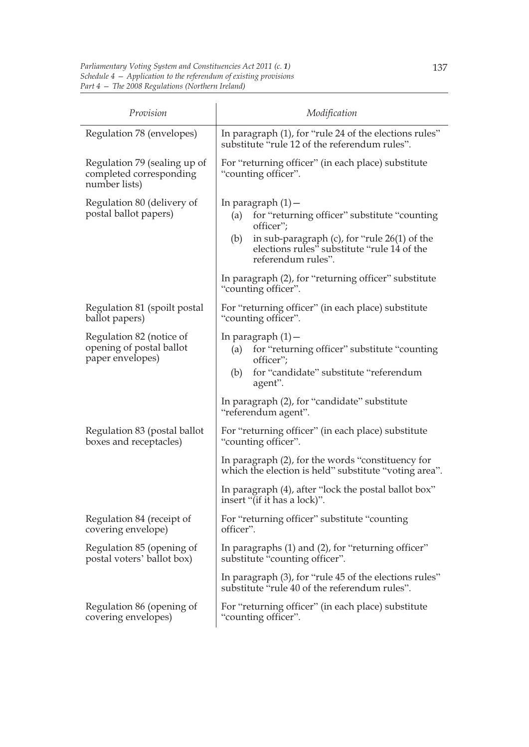| Provision                                                                | Modification                                                                                                                                                                                                                |
|--------------------------------------------------------------------------|-----------------------------------------------------------------------------------------------------------------------------------------------------------------------------------------------------------------------------|
| Regulation 78 (envelopes)                                                | In paragraph (1), for "rule 24 of the elections rules"<br>substitute "rule 12 of the referendum rules".                                                                                                                     |
| Regulation 79 (sealing up of<br>completed corresponding<br>number lists) | For "returning officer" (in each place) substitute<br>"counting officer".                                                                                                                                                   |
| Regulation 80 (delivery of<br>postal ballot papers)                      | In paragraph $(1)$ –<br>for "returning officer" substitute "counting<br>(a)<br>officer";<br>in sub-paragraph $(c)$ , for "rule 26(1) of the<br>(b)<br>elections rules" substitute "rule 14 of the<br>referendum rules".     |
|                                                                          | In paragraph (2), for "returning officer" substitute<br>"counting officer".                                                                                                                                                 |
| Regulation 81 (spoilt postal<br>ballot papers)                           | For "returning officer" (in each place) substitute<br>"counting officer".                                                                                                                                                   |
| Regulation 82 (notice of<br>opening of postal ballot<br>paper envelopes) | In paragraph $(1)$ –<br>for "returning officer" substitute "counting<br>(a)<br>officer";<br>for "candidate" substitute "referendum<br>(b)<br>agent".<br>In paragraph (2), for "candidate" substitute<br>"referendum agent". |
| Regulation 83 (postal ballot<br>boxes and receptacles)                   | For "returning officer" (in each place) substitute<br>"counting officer".                                                                                                                                                   |
|                                                                          | In paragraph (2), for the words "constituency for<br>which the election is held" substitute "voting area".                                                                                                                  |
|                                                                          | In paragraph (4), after "lock the postal ballot box"<br>insert "(if it has a lock)".                                                                                                                                        |
| Regulation 84 (receipt of<br>covering envelope)                          | For "returning officer" substitute "counting<br>officer".                                                                                                                                                                   |
| Regulation 85 (opening of<br>postal voters' ballot box)                  | In paragraphs (1) and (2), for "returning officer"<br>substitute "counting officer".                                                                                                                                        |
|                                                                          | In paragraph (3), for "rule 45 of the elections rules"<br>substitute "rule 40 of the referendum rules".                                                                                                                     |
| Regulation 86 (opening of<br>covering envelopes)                         | For "returning officer" (in each place) substitute<br>"counting officer".                                                                                                                                                   |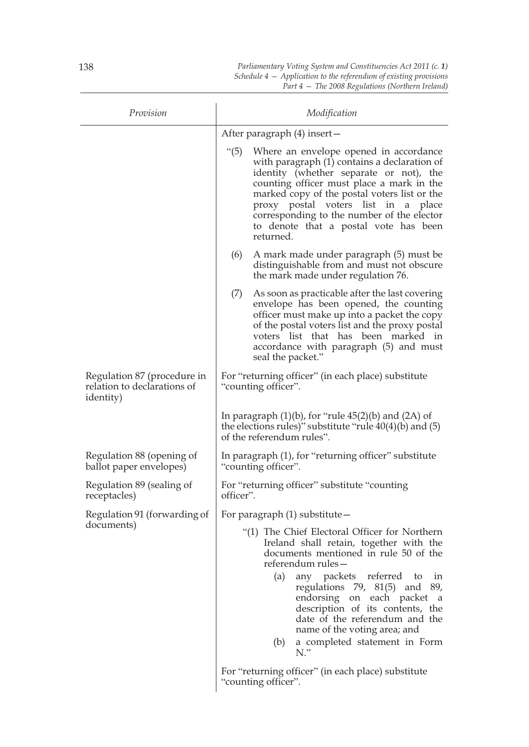*Parliamentary Voting System and Constituencies Act 2011 (c. 1) Schedule 4 — Application to the referendum of existing provisions Part 4 — The 2008 Regulations (Northern Ireland)*

| Provision                                                                       | Modification                                                                                                                                                                                                                                                                                                                                                                                 |
|---------------------------------------------------------------------------------|----------------------------------------------------------------------------------------------------------------------------------------------------------------------------------------------------------------------------------------------------------------------------------------------------------------------------------------------------------------------------------------------|
|                                                                                 | After paragraph (4) insert –                                                                                                                                                                                                                                                                                                                                                                 |
|                                                                                 | $\cdot\cdot(5)$<br>Where an envelope opened in accordance<br>with paragraph (1) contains a declaration of<br>identity (whether separate or not), the<br>counting officer must place a mark in the<br>marked copy of the postal voters list or the<br>proxy postal voters list in a place<br>corresponding to the number of the elector<br>to denote that a postal vote has been<br>returned. |
|                                                                                 | (6)<br>A mark made under paragraph (5) must be<br>distinguishable from and must not obscure<br>the mark made under regulation 76.                                                                                                                                                                                                                                                            |
|                                                                                 | (7)<br>As soon as practicable after the last covering<br>envelope has been opened, the counting<br>officer must make up into a packet the copy<br>of the postal voters list and the proxy postal<br>voters list that has been marked in<br>accordance with paragraph (5) and must<br>seal the packet."                                                                                       |
| Regulation 87 (procedure in<br>relation to declarations of<br><i>identity</i> ) | For "returning officer" (in each place) substitute<br>"counting officer".                                                                                                                                                                                                                                                                                                                    |
|                                                                                 | In paragraph $(1)(b)$ , for "rule $45(2)(b)$ and $(2A)$ of<br>the elections rules)" substitute "rule $40(4)(b)$ and $(5)$<br>of the referendum rules".                                                                                                                                                                                                                                       |
| Regulation 88 (opening of<br>ballot paper envelopes)                            | In paragraph (1), for "returning officer" substitute<br>"counting officer".                                                                                                                                                                                                                                                                                                                  |
| Regulation 89 (sealing of<br>receptacles)                                       | For "returning officer" substitute "counting<br>officer".                                                                                                                                                                                                                                                                                                                                    |
| Regulation 91 (forwarding of<br>documents)                                      | For paragraph $(1)$ substitute $-$                                                                                                                                                                                                                                                                                                                                                           |
|                                                                                 | "(1) The Chief Electoral Officer for Northern<br>Ireland shall retain, together with the<br>documents mentioned in rule 50 of the<br>referendum rules-                                                                                                                                                                                                                                       |
|                                                                                 | any packets referred to<br>(a)<br>in<br>regulations 79, 81(5) and 89,<br>endorsing on each packet a<br>description of its contents, the<br>date of the referendum and the<br>name of the voting area; and<br>a completed statement in Form<br>(b)<br>$N$ ."                                                                                                                                  |
|                                                                                 | For "returning officer" (in each place) substitute<br>"counting officer".                                                                                                                                                                                                                                                                                                                    |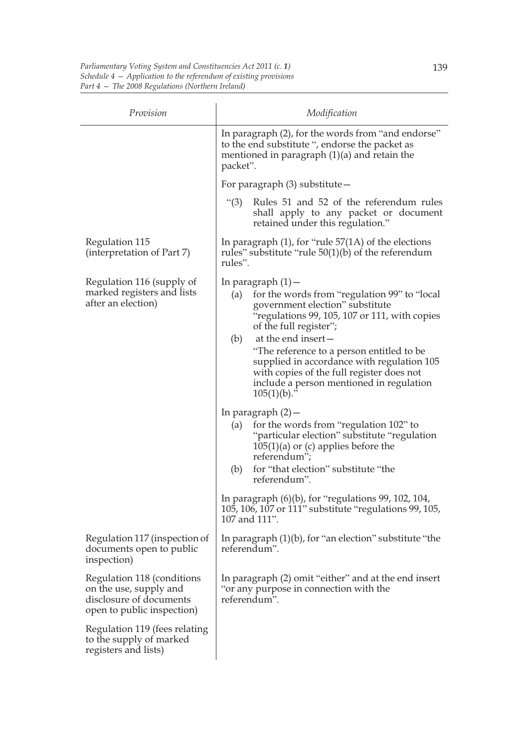| Provision                                                                                                     | Modification                                                                                                                                                                                                                                                                                                                                                                                                                 |
|---------------------------------------------------------------------------------------------------------------|------------------------------------------------------------------------------------------------------------------------------------------------------------------------------------------------------------------------------------------------------------------------------------------------------------------------------------------------------------------------------------------------------------------------------|
|                                                                                                               | In paragraph (2), for the words from "and endorse"<br>to the end substitute ", endorse the packet as<br>mentioned in paragraph $(1)(a)$ and retain the<br>packet".                                                                                                                                                                                                                                                           |
|                                                                                                               | For paragraph $(3)$ substitute $-$                                                                                                                                                                                                                                                                                                                                                                                           |
|                                                                                                               | ``(3)<br>Rules 51 and 52 of the referendum rules<br>shall apply to any packet or document<br>retained under this regulation."                                                                                                                                                                                                                                                                                                |
| Regulation 115<br>(interpretation of Part 7)                                                                  | In paragraph $(1)$ , for "rule $57(1)$ of the elections<br>rules" substitute "rule $50(1)(b)$ of the referendum<br>rules".                                                                                                                                                                                                                                                                                                   |
| Regulation 116 (supply of<br>marked registers and lists<br>after an election)                                 | In paragraph $(1)$ –<br>for the words from "regulation 99" to "local<br>(a)<br>government election" substitute<br>"regulations 99, 105, 107 or 111, with copies<br>of the full register";<br>at the end insert-<br>(b)<br>"The reference to a person entitled to be<br>supplied in accordance with regulation 105<br>with copies of the full register does not<br>include a person mentioned in regulation<br>$105(1)(b)$ ." |
|                                                                                                               | In paragraph $(2)$ –<br>for the words from "regulation 102" to<br>(a)<br>"particular election" substitute "regulation<br>$105(1)(a)$ or (c) applies before the<br>referendum";<br>for "that election" substitute "the<br>(b)<br>referendum".                                                                                                                                                                                 |
|                                                                                                               | In paragraph $(6)(b)$ , for "regulations 99, 102, 104,<br>105, 106, 107 or 111" substitute "regulations 99, 105,<br>107 and 111".                                                                                                                                                                                                                                                                                            |
| Regulation 117 (inspection of<br>documents open to public<br>inspection)                                      | In paragraph $(1)(b)$ , for "an election" substitute "the<br>referendum".                                                                                                                                                                                                                                                                                                                                                    |
| Regulation 118 (conditions<br>on the use, supply and<br>disclosure of documents<br>open to public inspection) | In paragraph (2) omit "either" and at the end insert<br>"or any purpose in connection with the<br>referendum".                                                                                                                                                                                                                                                                                                               |
| Regulation 119 (fees relating<br>to the supply of marked<br>registers and lists)                              |                                                                                                                                                                                                                                                                                                                                                                                                                              |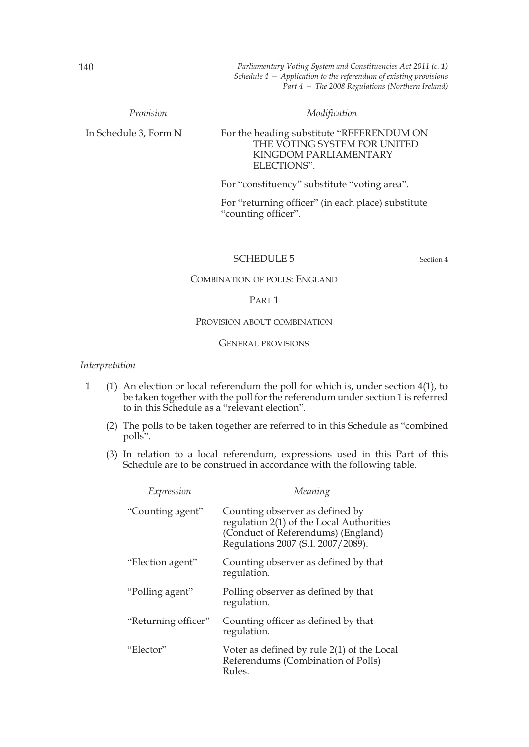| Provision             | Modification                                                                                                      |
|-----------------------|-------------------------------------------------------------------------------------------------------------------|
| In Schedule 3, Form N | For the heading substitute "REFERENDUM ON<br>THE VOTING SYSTEM FOR UNITED<br>KINGDOM PARLIAMENTARY<br>ELECTIONS". |
|                       | For "constituency" substitute "voting area".                                                                      |
|                       | For "returning officer" (in each place) substitute<br>"counting officer".                                         |

## SCHEDULE 5 Section 4

## COMBINATION OF POLLS: ENGLAND

### PART 1

## PROVISION ABOUT COMBINATION

### GENERAL PROVISIONS

# *Interpretation*

- 1 (1) An election or local referendum the poll for which is, under section 4(1), to be taken together with the poll for the referendum under section 1 is referred to in this Schedule as a "relevant election".
	- (2) The polls to be taken together are referred to in this Schedule as "combined polls".
	- (3) In relation to a local referendum, expressions used in this Part of this Schedule are to be construed in accordance with the following table.

| Expression          | Meaning                                                                                                                                                 |
|---------------------|---------------------------------------------------------------------------------------------------------------------------------------------------------|
| "Counting agent"    | Counting observer as defined by<br>regulation 2(1) of the Local Authorities<br>(Conduct of Referendums) (England)<br>Regulations 2007 (S.I. 2007/2089). |
| "Election agent"    | Counting observer as defined by that<br>regulation.                                                                                                     |
| "Polling agent"     | Polling observer as defined by that<br>regulation.                                                                                                      |
| "Returning officer" | Counting officer as defined by that<br>regulation.                                                                                                      |
| "Elector"           | Voter as defined by rule $2(1)$ of the Local<br>Referendums (Combination of Polls)<br>Rules.                                                            |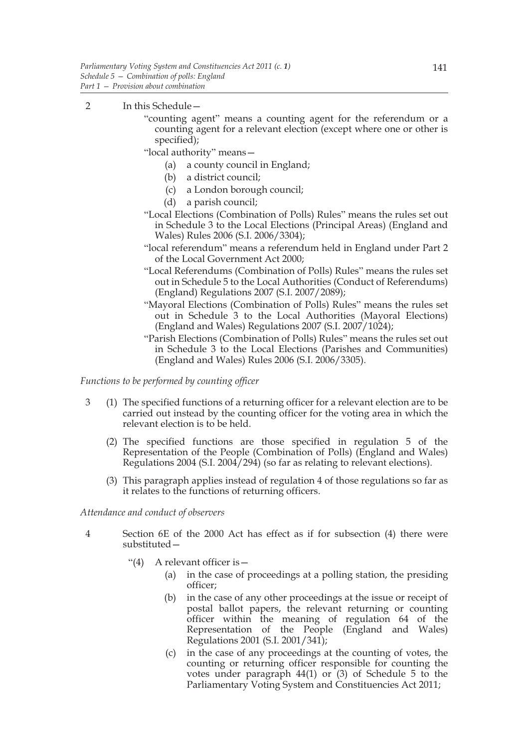2 In this Schedule-

"counting agent" means a counting agent for the referendum or a counting agent for a relevant election (except where one or other is specified);

- "local authority" means—
	- (a) a county council in England;
	- (b) a district council;
	- (c) a London borough council;
	- (d) a parish council;
- "Local Elections (Combination of Polls) Rules" means the rules set out in Schedule 3 to the Local Elections (Principal Areas) (England and Wales) Rules 2006 (S.I. 2006/3304);
- "local referendum" means a referendum held in England under Part 2 of the Local Government Act 2000;
- "Local Referendums (Combination of Polls) Rules" means the rules set out in Schedule 5 to the Local Authorities (Conduct of Referendums) (England) Regulations 2007 (S.I. 2007/2089);
- "Mayoral Elections (Combination of Polls) Rules" means the rules set out in Schedule 3 to the Local Authorities (Mayoral Elections) (England and Wales) Regulations 2007 (S.I. 2007/1024);
- "Parish Elections (Combination of Polls) Rules" means the rules set out in Schedule 3 to the Local Elections (Parishes and Communities) (England and Wales) Rules 2006 (S.I. 2006/3305).

*Functions to be performed by counting officer*

- 3 (1) The specified functions of a returning officer for a relevant election are to be carried out instead by the counting officer for the voting area in which the relevant election is to be held.
	- (2) The specified functions are those specified in regulation 5 of the Representation of the People (Combination of Polls) (England and Wales) Regulations 2004 (S.I. 2004/294) (so far as relating to relevant elections).
	- (3) This paragraph applies instead of regulation 4 of those regulations so far as it relates to the functions of returning officers.

*Attendance and conduct of observers*

- 4 Section 6E of the 2000 Act has effect as if for subsection (4) there were substituted—
	- "(4) A relevant officer is—
		- (a) in the case of proceedings at a polling station, the presiding officer;
		- (b) in the case of any other proceedings at the issue or receipt of postal ballot papers, the relevant returning or counting officer within the meaning of regulation 64 of the Representation of the People (England and Wales) Regulations 2001 (S.I. 2001/341);
		- (c) in the case of any proceedings at the counting of votes, the counting or returning officer responsible for counting the votes under paragraph  $44(1)$  or  $(3)$  of Schedule 5 to the Parliamentary Voting System and Constituencies Act 2011;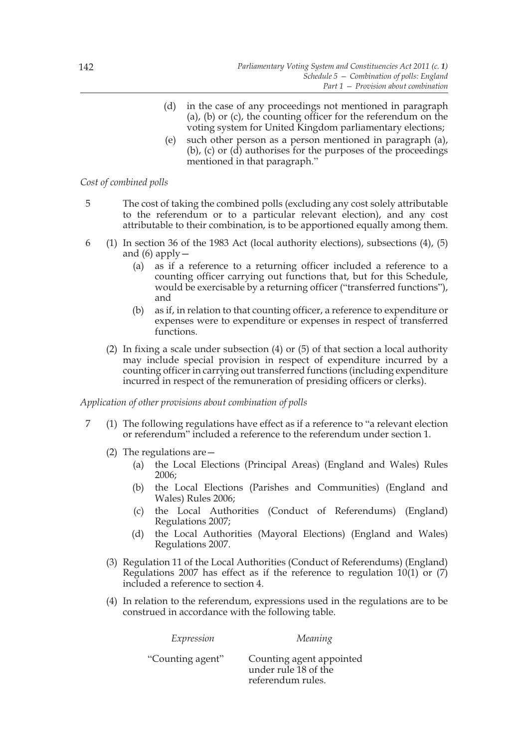- (d) in the case of any proceedings not mentioned in paragraph (a), (b) or (c), the counting officer for the referendum on the voting system for United Kingdom parliamentary elections;
- (e) such other person as a person mentioned in paragraph (a), (b), (c) or  $(d)$  authorises for the purposes of the proceedings mentioned in that paragraph."

## *Cost of combined polls*

- 5 The cost of taking the combined polls (excluding any cost solely attributable to the referendum or to a particular relevant election), and any cost attributable to their combination, is to be apportioned equally among them.
- 6 (1) In section 36 of the 1983 Act (local authority elections), subsections (4), (5) and  $(6)$  apply  $-$ 
	- (a) as if a reference to a returning officer included a reference to a counting officer carrying out functions that, but for this Schedule, would be exercisable by a returning officer ("transferred functions"), and
	- (b) as if, in relation to that counting officer, a reference to expenditure or expenses were to expenditure or expenses in respect of transferred functions.
	- (2) In fixing a scale under subsection (4) or (5) of that section a local authority may include special provision in respect of expenditure incurred by a counting officer in carrying out transferred functions (including expenditure incurred in respect of the remuneration of presiding officers or clerks).

## *Application of other provisions about combination of polls*

- 7 (1) The following regulations have effect as if a reference to "a relevant election or referendum" included a reference to the referendum under section 1.
	- (2) The regulations are—
		- (a) the Local Elections (Principal Areas) (England and Wales) Rules 2006;
		- (b) the Local Elections (Parishes and Communities) (England and Wales) Rules 2006;
		- (c) the Local Authorities (Conduct of Referendums) (England) Regulations 2007;
		- (d) the Local Authorities (Mayoral Elections) (England and Wales) Regulations 2007.
	- (3) Regulation 11 of the Local Authorities (Conduct of Referendums) (England) Regulations 2007 has effect as if the reference to regulation 10(1) or (7) included a reference to section 4.
	- (4) In relation to the referendum, expressions used in the regulations are to be construed in accordance with the following table.

*Expression Meaning*

"Counting agent" Counting agent appointed under rule 18 of the referendum rules.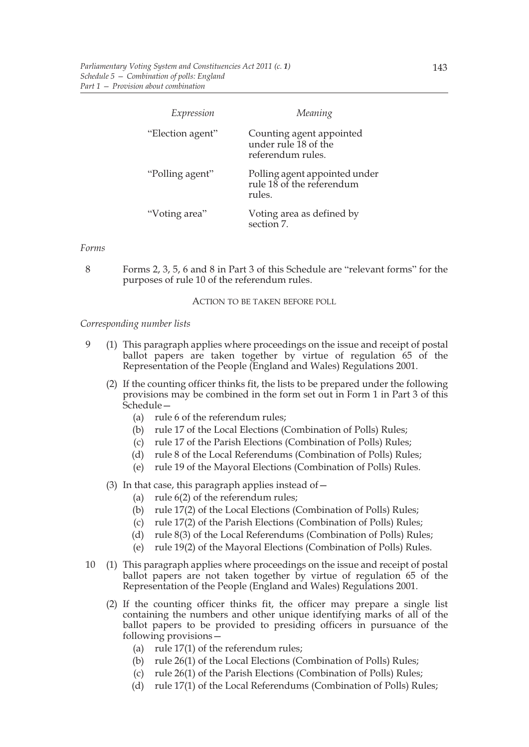| Expression       | Meaning                                                                |
|------------------|------------------------------------------------------------------------|
| "Election agent" | Counting agent appointed<br>under rule 18 of the<br>referendum rules.  |
| "Polling agent"  | Polling agent appointed under<br>rule $18$ of the referendum<br>rules. |
| "Voting area"    | Voting area as defined by<br>section 7.                                |

#### *Forms*

8 Forms 2, 3, 5, 6 and 8 in Part 3 of this Schedule are "relevant forms" for the purposes of rule 10 of the referendum rules.

#### ACTION TO BE TAKEN BEFORE POLL

#### *Corresponding number lists*

- 9 (1) This paragraph applies where proceedings on the issue and receipt of postal ballot papers are taken together by virtue of regulation 65 of the Representation of the People (England and Wales) Regulations 2001.
	- (2) If the counting officer thinks fit, the lists to be prepared under the following provisions may be combined in the form set out in Form 1 in Part 3 of this Schedule—
		- (a) rule 6 of the referendum rules;
		- (b) rule 17 of the Local Elections (Combination of Polls) Rules;
		- (c) rule 17 of the Parish Elections (Combination of Polls) Rules;
		- (d) rule 8 of the Local Referendums (Combination of Polls) Rules;
		- (e) rule 19 of the Mayoral Elections (Combination of Polls) Rules.

#### (3) In that case, this paragraph applies instead of  $-$

- (a) rule 6(2) of the referendum rules;
- (b) rule 17(2) of the Local Elections (Combination of Polls) Rules;
- (c) rule 17(2) of the Parish Elections (Combination of Polls) Rules;
- (d) rule 8(3) of the Local Referendums (Combination of Polls) Rules;
- (e) rule 19(2) of the Mayoral Elections (Combination of Polls) Rules.
- 10 (1) This paragraph applies where proceedings on the issue and receipt of postal ballot papers are not taken together by virtue of regulation 65 of the Representation of the People (England and Wales) Regulations 2001.
	- (2) If the counting officer thinks fit, the officer may prepare a single list containing the numbers and other unique identifying marks of all of the ballot papers to be provided to presiding officers in pursuance of the following provisions—
		- (a) rule 17(1) of the referendum rules;
		- (b) rule 26(1) of the Local Elections (Combination of Polls) Rules;
		- (c) rule 26(1) of the Parish Elections (Combination of Polls) Rules;
		- (d) rule 17(1) of the Local Referendums (Combination of Polls) Rules;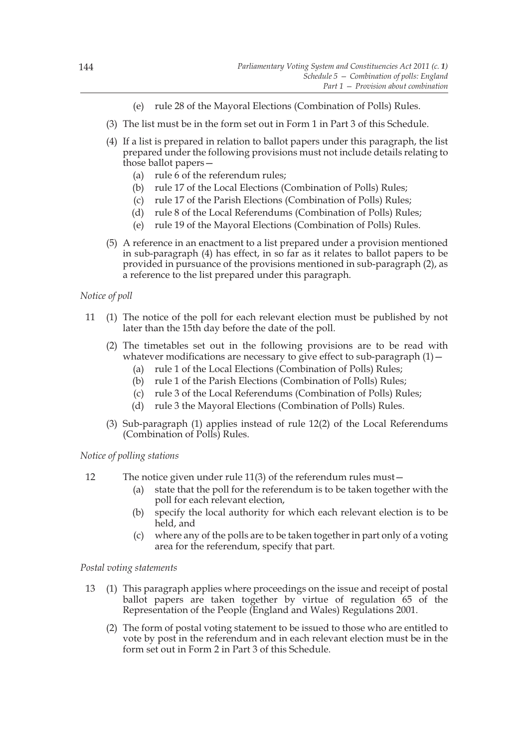- (e) rule 28 of the Mayoral Elections (Combination of Polls) Rules.
- (3) The list must be in the form set out in Form 1 in Part 3 of this Schedule.
- (4) If a list is prepared in relation to ballot papers under this paragraph, the list prepared under the following provisions must not include details relating to those ballot papers—
	- (a) rule 6 of the referendum rules;
	- (b) rule 17 of the Local Elections (Combination of Polls) Rules;
	- (c) rule 17 of the Parish Elections (Combination of Polls) Rules;
	- (d) rule 8 of the Local Referendums (Combination of Polls) Rules;
	- (e) rule 19 of the Mayoral Elections (Combination of Polls) Rules.
- (5) A reference in an enactment to a list prepared under a provision mentioned in sub-paragraph (4) has effect, in so far as it relates to ballot papers to be provided in pursuance of the provisions mentioned in sub-paragraph (2), as a reference to the list prepared under this paragraph.

### *Notice of poll*

- 11 (1) The notice of the poll for each relevant election must be published by not later than the 15th day before the date of the poll.
	- (2) The timetables set out in the following provisions are to be read with whatever modifications are necessary to give effect to sub-paragraph  $(1)$  -
		- (a) rule 1 of the Local Elections (Combination of Polls) Rules;
		- (b) rule 1 of the Parish Elections (Combination of Polls) Rules;
		- (c) rule 3 of the Local Referendums (Combination of Polls) Rules;
		- (d) rule 3 the Mayoral Elections (Combination of Polls) Rules.
	- (3) Sub-paragraph (1) applies instead of rule 12(2) of the Local Referendums (Combination of Polls) Rules.

### *Notice of polling stations*

- 12 The notice given under rule 11(3) of the referendum rules must -
	- (a) state that the poll for the referendum is to be taken together with the poll for each relevant election,
	- (b) specify the local authority for which each relevant election is to be held, and
	- (c) where any of the polls are to be taken together in part only of a voting area for the referendum, specify that part.

### *Postal voting statements*

- 13 (1) This paragraph applies where proceedings on the issue and receipt of postal ballot papers are taken together by virtue of regulation 65 of the Representation of the People (England and Wales) Regulations 2001.
	- (2) The form of postal voting statement to be issued to those who are entitled to vote by post in the referendum and in each relevant election must be in the form set out in Form 2 in Part 3 of this Schedule.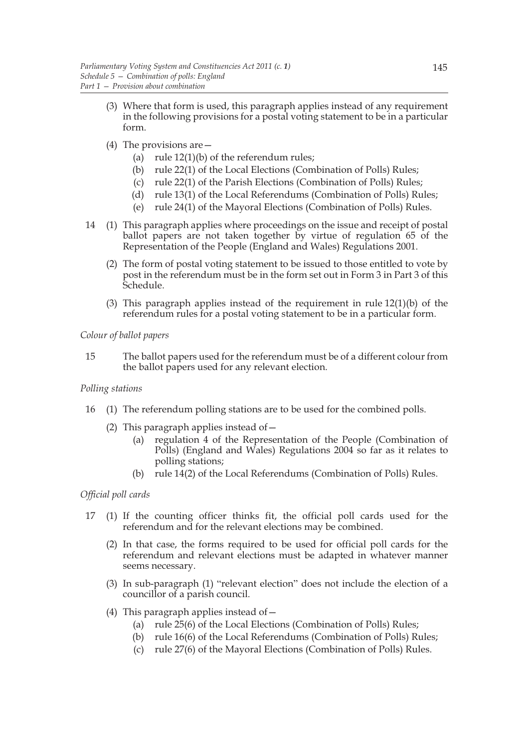- (3) Where that form is used, this paragraph applies instead of any requirement in the following provisions for a postal voting statement to be in a particular form.
- (4) The provisions are—
	- (a) rule 12(1)(b) of the referendum rules;
	- (b) rule 22(1) of the Local Elections (Combination of Polls) Rules;
	- (c) rule 22(1) of the Parish Elections (Combination of Polls) Rules;
	- (d) rule 13(1) of the Local Referendums (Combination of Polls) Rules;
	- (e) rule 24(1) of the Mayoral Elections (Combination of Polls) Rules.
- 14 (1) This paragraph applies where proceedings on the issue and receipt of postal ballot papers are not taken together by virtue of regulation 65 of the Representation of the People (England and Wales) Regulations 2001.
	- (2) The form of postal voting statement to be issued to those entitled to vote by post in the referendum must be in the form set out in Form 3 in Part 3 of this Schedule.
	- (3) This paragraph applies instead of the requirement in rule 12(1)(b) of the referendum rules for a postal voting statement to be in a particular form.

### *Colour of ballot papers*

15 The ballot papers used for the referendum must be of a different colour from the ballot papers used for any relevant election.

### *Polling stations*

- 16 (1) The referendum polling stations are to be used for the combined polls.
	- (2) This paragraph applies instead of  $-$ 
		- (a) regulation 4 of the Representation of the People (Combination of Polls) (England and Wales) Regulations 2004 so far as it relates to polling stations;
		- (b) rule 14(2) of the Local Referendums (Combination of Polls) Rules.

### *Official poll cards*

- 17 (1) If the counting officer thinks fit, the official poll cards used for the referendum and for the relevant elections may be combined.
	- (2) In that case, the forms required to be used for official poll cards for the referendum and relevant elections must be adapted in whatever manner seems necessary.
	- (3) In sub-paragraph (1) "relevant election" does not include the election of a councillor of a parish council.
	- (4) This paragraph applies instead of  $-$ 
		- (a) rule 25(6) of the Local Elections (Combination of Polls) Rules;
		- (b) rule 16(6) of the Local Referendums (Combination of Polls) Rules;
		- (c) rule 27(6) of the Mayoral Elections (Combination of Polls) Rules.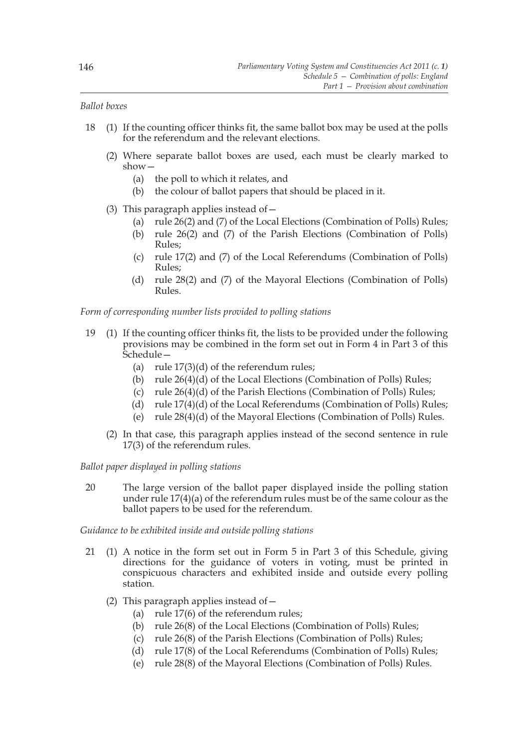#### *Ballot boxes*

- 18 (1) If the counting officer thinks fit, the same ballot box may be used at the polls for the referendum and the relevant elections.
	- (2) Where separate ballot boxes are used, each must be clearly marked to show—
		- (a) the poll to which it relates, and
		- (b) the colour of ballot papers that should be placed in it.
	- (3) This paragraph applies instead of  $-$ 
		- (a) rule 26(2) and (7) of the Local Elections (Combination of Polls) Rules;
		- (b) rule 26(2) and (7) of the Parish Elections (Combination of Polls) Rules;
		- (c) rule 17(2) and (7) of the Local Referendums (Combination of Polls) Rules;
		- (d) rule 28(2) and (7) of the Mayoral Elections (Combination of Polls) Rules.

### *Form of corresponding number lists provided to polling stations*

- 19 (1) If the counting officer thinks fit, the lists to be provided under the following provisions may be combined in the form set out in Form 4 in Part 3 of this Schedule—
	- (a) rule 17(3)(d) of the referendum rules;
	- (b) rule 26(4)(d) of the Local Elections (Combination of Polls) Rules;
	- (c) rule 26(4)(d) of the Parish Elections (Combination of Polls) Rules;
	- (d) rule 17(4)(d) of the Local Referendums (Combination of Polls) Rules;
	- (e) rule 28(4)(d) of the Mayoral Elections (Combination of Polls) Rules.
	- (2) In that case, this paragraph applies instead of the second sentence in rule 17(3) of the referendum rules.

### *Ballot paper displayed in polling stations*

20 The large version of the ballot paper displayed inside the polling station under rule 17(4)(a) of the referendum rules must be of the same colour as the ballot papers to be used for the referendum.

### *Guidance to be exhibited inside and outside polling stations*

- 21 (1) A notice in the form set out in Form 5 in Part 3 of this Schedule, giving directions for the guidance of voters in voting, must be printed in conspicuous characters and exhibited inside and outside every polling station.
	- (2) This paragraph applies instead of  $-$ 
		- (a) rule 17(6) of the referendum rules;
		- (b) rule 26(8) of the Local Elections (Combination of Polls) Rules;
		- (c) rule 26(8) of the Parish Elections (Combination of Polls) Rules;
		- (d) rule 17(8) of the Local Referendums (Combination of Polls) Rules;
		- (e) rule 28(8) of the Mayoral Elections (Combination of Polls) Rules.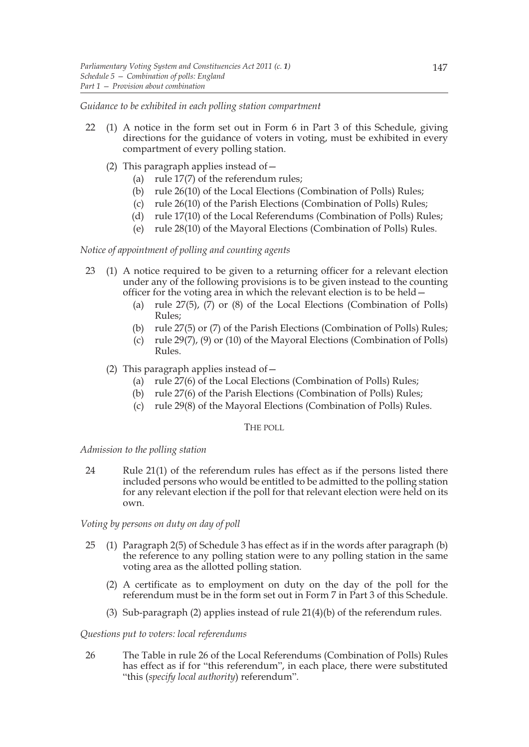*Guidance to be exhibited in each polling station compartment*

- 22 (1) A notice in the form set out in Form 6 in Part 3 of this Schedule, giving directions for the guidance of voters in voting, must be exhibited in every compartment of every polling station.
	- (2) This paragraph applies instead of  $-$ 
		- (a) rule 17(7) of the referendum rules;
		- (b) rule 26(10) of the Local Elections (Combination of Polls) Rules;
		- (c) rule 26(10) of the Parish Elections (Combination of Polls) Rules;
		- (d) rule 17(10) of the Local Referendums (Combination of Polls) Rules;
		- (e) rule 28(10) of the Mayoral Elections (Combination of Polls) Rules.

*Notice of appointment of polling and counting agents*

- 23 (1) A notice required to be given to a returning officer for a relevant election under any of the following provisions is to be given instead to the counting officer for the voting area in which the relevant election is to be held—
	- (a) rule 27(5), (7) or (8) of the Local Elections (Combination of Polls) Rules;
	- (b) rule 27(5) or (7) of the Parish Elections (Combination of Polls) Rules;
	- (c) rule 29(7), (9) or (10) of the Mayoral Elections (Combination of Polls) Rules.
	- (2) This paragraph applies instead of  $-$ 
		- (a) rule 27(6) of the Local Elections (Combination of Polls) Rules;
		- (b) rule 27(6) of the Parish Elections (Combination of Polls) Rules;
		- (c) rule 29(8) of the Mayoral Elections (Combination of Polls) Rules.

#### THE POLL

### *Admission to the polling station*

24 Rule 21(1) of the referendum rules has effect as if the persons listed there included persons who would be entitled to be admitted to the polling station for any relevant election if the poll for that relevant election were held on its own.

*Voting by persons on duty on day of poll*

- 25 (1) Paragraph 2(5) of Schedule 3 has effect as if in the words after paragraph (b) the reference to any polling station were to any polling station in the same voting area as the allotted polling station.
	- (2) A certificate as to employment on duty on the day of the poll for the referendum must be in the form set out in Form 7 in Part 3 of this Schedule.
	- (3) Sub-paragraph (2) applies instead of rule  $21(4)(b)$  of the referendum rules.

### *Questions put to voters: local referendums*

26 The Table in rule 26 of the Local Referendums (Combination of Polls) Rules has effect as if for "this referendum", in each place, there were substituted "this (*specify local authority*) referendum".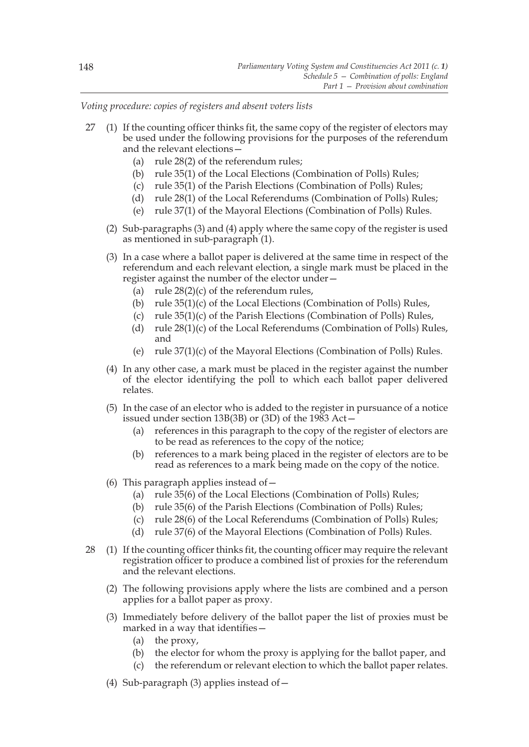*Voting procedure: copies of registers and absent voters lists*

- 27 (1) If the counting officer thinks fit, the same copy of the register of electors may be used under the following provisions for the purposes of the referendum and the relevant elections—
	- (a) rule 28(2) of the referendum rules;
	- (b) rule 35(1) of the Local Elections (Combination of Polls) Rules;
	- (c) rule 35(1) of the Parish Elections (Combination of Polls) Rules;
	- (d) rule 28(1) of the Local Referendums (Combination of Polls) Rules;
	- (e) rule 37(1) of the Mayoral Elections (Combination of Polls) Rules.
	- (2) Sub-paragraphs (3) and (4) apply where the same copy of the register is used as mentioned in sub-paragraph (1).
	- (3) In a case where a ballot paper is delivered at the same time in respect of the referendum and each relevant election, a single mark must be placed in the register against the number of the elector under—
		- (a) rule  $28(2)(c)$  of the referendum rules,
		- (b) rule 35(1)(c) of the Local Elections (Combination of Polls) Rules,
		- (c) rule 35(1)(c) of the Parish Elections (Combination of Polls) Rules,
		- (d) rule 28(1)(c) of the Local Referendums (Combination of Polls) Rules, and
		- (e) rule 37(1)(c) of the Mayoral Elections (Combination of Polls) Rules.
	- (4) In any other case, a mark must be placed in the register against the number of the elector identifying the poll to which each ballot paper delivered relates.
	- (5) In the case of an elector who is added to the register in pursuance of a notice issued under section 13B(3B) or (3D) of the 1983 Act—
		- (a) references in this paragraph to the copy of the register of electors are to be read as references to the copy of the notice;
		- (b) references to a mark being placed in the register of electors are to be read as references to a mark being made on the copy of the notice.
	- (6) This paragraph applies instead of  $-$ 
		- (a) rule 35(6) of the Local Elections (Combination of Polls) Rules;
		- (b) rule 35(6) of the Parish Elections (Combination of Polls) Rules;
		- (c) rule 28(6) of the Local Referendums (Combination of Polls) Rules;
		- (d) rule 37(6) of the Mayoral Elections (Combination of Polls) Rules.
- 28 (1) If the counting officer thinks fit, the counting officer may require the relevant registration officer to produce a combined list of proxies for the referendum and the relevant elections.
	- (2) The following provisions apply where the lists are combined and a person applies for a ballot paper as proxy.
	- (3) Immediately before delivery of the ballot paper the list of proxies must be marked in a way that identifies—
		- (a) the proxy,
		- (b) the elector for whom the proxy is applying for the ballot paper, and
		- (c) the referendum or relevant election to which the ballot paper relates.
	- (4) Sub-paragraph (3) applies instead of—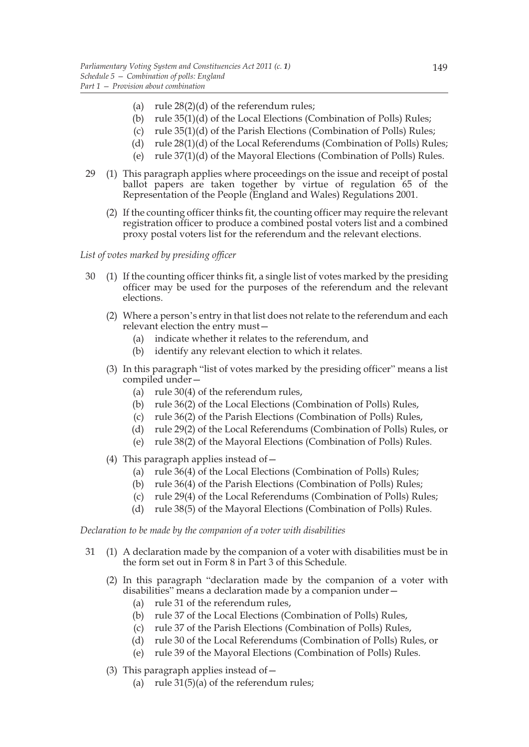- (a) rule 28(2)(d) of the referendum rules;
- (b) rule 35(1)(d) of the Local Elections (Combination of Polls) Rules;
- (c) rule 35(1)(d) of the Parish Elections (Combination of Polls) Rules;
- (d) rule 28(1)(d) of the Local Referendums (Combination of Polls) Rules;
- (e) rule 37(1)(d) of the Mayoral Elections (Combination of Polls) Rules.
- 29 (1) This paragraph applies where proceedings on the issue and receipt of postal ballot papers are taken together by virtue of regulation 65 of the Representation of the People (England and Wales) Regulations 2001.
	- (2) If the counting officer thinks fit, the counting officer may require the relevant registration officer to produce a combined postal voters list and a combined proxy postal voters list for the referendum and the relevant elections.

#### *List of votes marked by presiding officer*

- 30 (1) If the counting officer thinks fit, a single list of votes marked by the presiding officer may be used for the purposes of the referendum and the relevant elections.
	- (2) Where a person's entry in that list does not relate to the referendum and each relevant election the entry must—
		- (a) indicate whether it relates to the referendum, and
		- (b) identify any relevant election to which it relates.
	- (3) In this paragraph "list of votes marked by the presiding officer" means a list compiled under—
		- (a) rule 30(4) of the referendum rules,
		- (b) rule 36(2) of the Local Elections (Combination of Polls) Rules,
		- (c) rule 36(2) of the Parish Elections (Combination of Polls) Rules,
		- (d) rule 29(2) of the Local Referendums (Combination of Polls) Rules, or
		- (e) rule 38(2) of the Mayoral Elections (Combination of Polls) Rules.
	- (4) This paragraph applies instead of  $-$ 
		- (a) rule 36(4) of the Local Elections (Combination of Polls) Rules;
		- (b) rule 36(4) of the Parish Elections (Combination of Polls) Rules;
		- (c) rule 29(4) of the Local Referendums (Combination of Polls) Rules;
		- (d) rule 38(5) of the Mayoral Elections (Combination of Polls) Rules.

#### *Declaration to be made by the companion of a voter with disabilities*

- 31 (1) A declaration made by the companion of a voter with disabilities must be in the form set out in Form 8 in Part 3 of this Schedule.
	- (2) In this paragraph "declaration made by the companion of a voter with disabilities" means a declaration made by a companion under—
		- (a) rule 31 of the referendum rules,
		- (b) rule 37 of the Local Elections (Combination of Polls) Rules,
		- (c) rule 37 of the Parish Elections (Combination of Polls) Rules,
		- (d) rule 30 of the Local Referendums (Combination of Polls) Rules, or
		- (e) rule 39 of the Mayoral Elections (Combination of Polls) Rules.
	- (3) This paragraph applies instead of  $-$ 
		- (a) rule  $31(5)(a)$  of the referendum rules;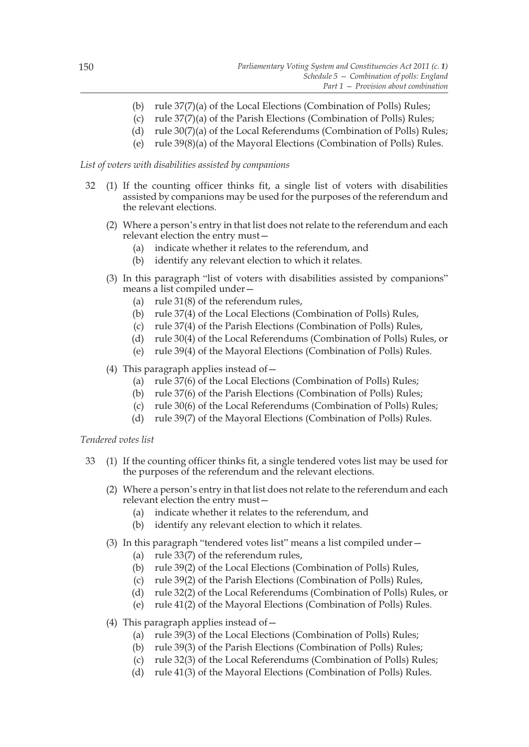- (b) rule 37(7)(a) of the Local Elections (Combination of Polls) Rules;
- (c) rule 37(7)(a) of the Parish Elections (Combination of Polls) Rules;
- (d) rule 30(7)(a) of the Local Referendums (Combination of Polls) Rules;
- (e) rule 39(8)(a) of the Mayoral Elections (Combination of Polls) Rules.

# *List of voters with disabilities assisted by companions*

- 32 (1) If the counting officer thinks fit, a single list of voters with disabilities assisted by companions may be used for the purposes of the referendum and the relevant elections.
	- (2) Where a person's entry in that list does not relate to the referendum and each relevant election the entry must—
		- (a) indicate whether it relates to the referendum, and
		- (b) identify any relevant election to which it relates.
	- (3) In this paragraph "list of voters with disabilities assisted by companions" means a list compiled under—
		- (a) rule 31(8) of the referendum rules,
		- (b) rule 37(4) of the Local Elections (Combination of Polls) Rules,
		- (c) rule 37(4) of the Parish Elections (Combination of Polls) Rules,
		- (d) rule 30(4) of the Local Referendums (Combination of Polls) Rules, or
		- (e) rule 39(4) of the Mayoral Elections (Combination of Polls) Rules.
	- (4) This paragraph applies instead of  $-$ 
		- (a) rule 37(6) of the Local Elections (Combination of Polls) Rules;
		- (b) rule 37(6) of the Parish Elections (Combination of Polls) Rules;
		- (c) rule 30(6) of the Local Referendums (Combination of Polls) Rules;
		- (d) rule 39(7) of the Mayoral Elections (Combination of Polls) Rules.

*Tendered votes list*

- 33 (1) If the counting officer thinks fit, a single tendered votes list may be used for the purposes of the referendum and the relevant elections.
	- (2) Where a person's entry in that list does not relate to the referendum and each relevant election the entry must—
		- (a) indicate whether it relates to the referendum, and
		- (b) identify any relevant election to which it relates.
	- (3) In this paragraph "tendered votes list" means a list compiled under—
		- (a) rule 33(7) of the referendum rules,
		- (b) rule 39(2) of the Local Elections (Combination of Polls) Rules,
		- (c) rule 39(2) of the Parish Elections (Combination of Polls) Rules,
		- (d) rule 32(2) of the Local Referendums (Combination of Polls) Rules, or
		- (e) rule 41(2) of the Mayoral Elections (Combination of Polls) Rules.
	- (4) This paragraph applies instead of  $-$ 
		- (a) rule 39(3) of the Local Elections (Combination of Polls) Rules;
		- (b) rule 39(3) of the Parish Elections (Combination of Polls) Rules;
		- (c) rule 32(3) of the Local Referendums (Combination of Polls) Rules;
		- (d) rule 41(3) of the Mayoral Elections (Combination of Polls) Rules.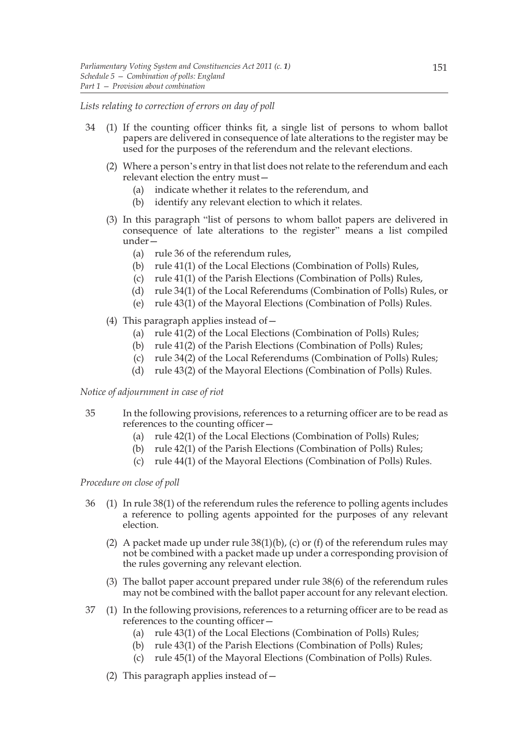#### *Lists relating to correction of errors on day of poll*

- 34 (1) If the counting officer thinks fit, a single list of persons to whom ballot papers are delivered in consequence of late alterations to the register may be used for the purposes of the referendum and the relevant elections.
	- (2) Where a person's entry in that list does not relate to the referendum and each relevant election the entry must—
		- (a) indicate whether it relates to the referendum, and
		- (b) identify any relevant election to which it relates.
	- (3) In this paragraph "list of persons to whom ballot papers are delivered in consequence of late alterations to the register" means a list compiled under—
		- (a) rule 36 of the referendum rules,
		- (b) rule 41(1) of the Local Elections (Combination of Polls) Rules,
		- (c) rule 41(1) of the Parish Elections (Combination of Polls) Rules,
		- (d) rule 34(1) of the Local Referendums (Combination of Polls) Rules, or
		- (e) rule 43(1) of the Mayoral Elections (Combination of Polls) Rules.
	- (4) This paragraph applies instead of  $-$ 
		- (a) rule 41(2) of the Local Elections (Combination of Polls) Rules;
		- (b) rule 41(2) of the Parish Elections (Combination of Polls) Rules;
		- (c) rule 34(2) of the Local Referendums (Combination of Polls) Rules;
		- (d) rule 43(2) of the Mayoral Elections (Combination of Polls) Rules.

#### *Notice of adjournment in case of riot*

- 35 In the following provisions, references to a returning officer are to be read as references to the counting officer—
	- (a) rule 42(1) of the Local Elections (Combination of Polls) Rules;
	- (b) rule 42(1) of the Parish Elections (Combination of Polls) Rules;
	- (c) rule 44(1) of the Mayoral Elections (Combination of Polls) Rules.

#### *Procedure on close of poll*

- 36 (1) In rule 38(1) of the referendum rules the reference to polling agents includes a reference to polling agents appointed for the purposes of any relevant election.
	- (2) A packet made up under rule  $38(1)(b)$ , (c) or (f) of the referendum rules may not be combined with a packet made up under a corresponding provision of the rules governing any relevant election.
	- (3) The ballot paper account prepared under rule 38(6) of the referendum rules may not be combined with the ballot paper account for any relevant election.
- 37 (1) In the following provisions, references to a returning officer are to be read as references to the counting officer—
	- (a) rule 43(1) of the Local Elections (Combination of Polls) Rules;
	- (b) rule 43(1) of the Parish Elections (Combination of Polls) Rules;
	- (c) rule 45(1) of the Mayoral Elections (Combination of Polls) Rules.
	- (2) This paragraph applies instead of  $-$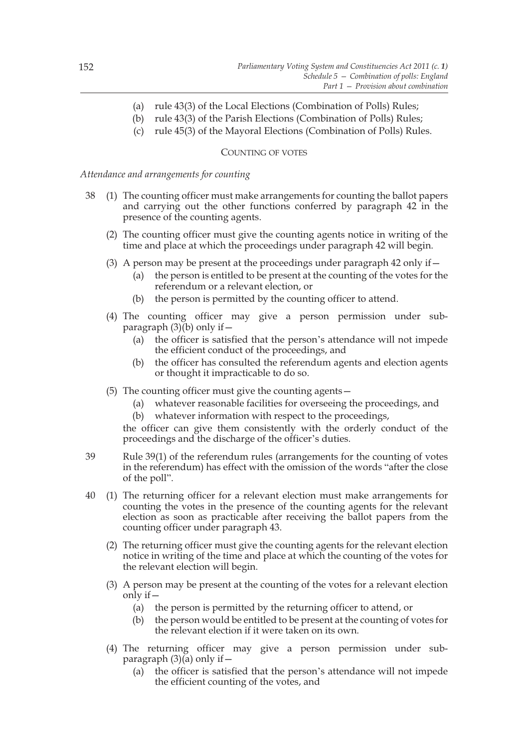- (a) rule 43(3) of the Local Elections (Combination of Polls) Rules;
- (b) rule 43(3) of the Parish Elections (Combination of Polls) Rules;
- (c) rule 45(3) of the Mayoral Elections (Combination of Polls) Rules.

#### COUNTING OF VOTES

*Attendance and arrangements for counting*

- 38 (1) The counting officer must make arrangements for counting the ballot papers and carrying out the other functions conferred by paragraph 42 in the presence of the counting agents.
	- (2) The counting officer must give the counting agents notice in writing of the time and place at which the proceedings under paragraph 42 will begin.
	- (3) A person may be present at the proceedings under paragraph 42 only if  $-$ 
		- (a) the person is entitled to be present at the counting of the votes for the referendum or a relevant election, or
		- (b) the person is permitted by the counting officer to attend.
	- (4) The counting officer may give a person permission under subparagraph  $(3)(b)$  only if  $-$ 
		- (a) the officer is satisfied that the person's attendance will not impede the efficient conduct of the proceedings, and
		- (b) the officer has consulted the referendum agents and election agents or thought it impracticable to do so.
	- (5) The counting officer must give the counting agents—
		- (a) whatever reasonable facilities for overseeing the proceedings, and
		- (b) whatever information with respect to the proceedings,

the officer can give them consistently with the orderly conduct of the proceedings and the discharge of the officer's duties.

- 39 Rule 39(1) of the referendum rules (arrangements for the counting of votes in the referendum) has effect with the omission of the words "after the close of the poll".
- 40 (1) The returning officer for a relevant election must make arrangements for counting the votes in the presence of the counting agents for the relevant election as soon as practicable after receiving the ballot papers from the counting officer under paragraph 43.
	- (2) The returning officer must give the counting agents for the relevant election notice in writing of the time and place at which the counting of the votes for the relevant election will begin.
	- (3) A person may be present at the counting of the votes for a relevant election only if—
		- (a) the person is permitted by the returning officer to attend, or
		- (b) the person would be entitled to be present at the counting of votes for the relevant election if it were taken on its own.
	- (4) The returning officer may give a person permission under subparagraph  $(3)(a)$  only if  $-$ 
		- (a) the officer is satisfied that the person's attendance will not impede the efficient counting of the votes, and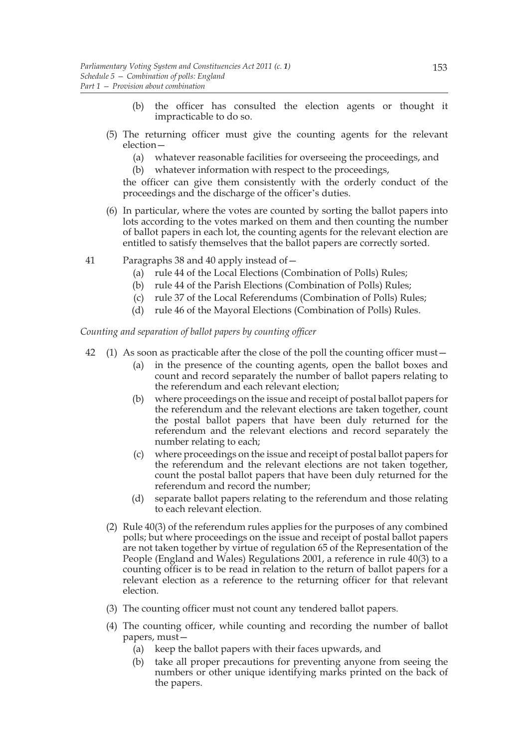- (b) the officer has consulted the election agents or thought it impracticable to do so.
- (5) The returning officer must give the counting agents for the relevant election—
	- (a) whatever reasonable facilities for overseeing the proceedings, and
	- (b) whatever information with respect to the proceedings,

the officer can give them consistently with the orderly conduct of the proceedings and the discharge of the officer's duties.

- (6) In particular, where the votes are counted by sorting the ballot papers into lots according to the votes marked on them and then counting the number of ballot papers in each lot, the counting agents for the relevant election are entitled to satisfy themselves that the ballot papers are correctly sorted.
- 41 Paragraphs 38 and 40 apply instead of—
	- (a) rule 44 of the Local Elections (Combination of Polls) Rules;
	- (b) rule 44 of the Parish Elections (Combination of Polls) Rules;
	- (c) rule 37 of the Local Referendums (Combination of Polls) Rules;
	- (d) rule 46 of the Mayoral Elections (Combination of Polls) Rules.

*Counting and separation of ballot papers by counting officer*

- 42 (1) As soon as practicable after the close of the poll the counting officer must—
	- (a) in the presence of the counting agents, open the ballot boxes and count and record separately the number of ballot papers relating to the referendum and each relevant election;
	- (b) where proceedings on the issue and receipt of postal ballot papers for the referendum and the relevant elections are taken together, count the postal ballot papers that have been duly returned for the referendum and the relevant elections and record separately the number relating to each;
	- (c) where proceedings on the issue and receipt of postal ballot papers for the referendum and the relevant elections are not taken together, count the postal ballot papers that have been duly returned for the referendum and record the number;
	- (d) separate ballot papers relating to the referendum and those relating to each relevant election.
	- (2) Rule 40(3) of the referendum rules applies for the purposes of any combined polls; but where proceedings on the issue and receipt of postal ballot papers are not taken together by virtue of regulation 65 of the Representation of the People (England and Wales) Regulations 2001, a reference in rule 40(3) to a counting officer is to be read in relation to the return of ballot papers for a relevant election as a reference to the returning officer for that relevant election.
	- (3) The counting officer must not count any tendered ballot papers.
	- (4) The counting officer, while counting and recording the number of ballot papers, must—
		- (a) keep the ballot papers with their faces upwards, and
		- (b) take all proper precautions for preventing anyone from seeing the numbers or other unique identifying marks printed on the back of the papers.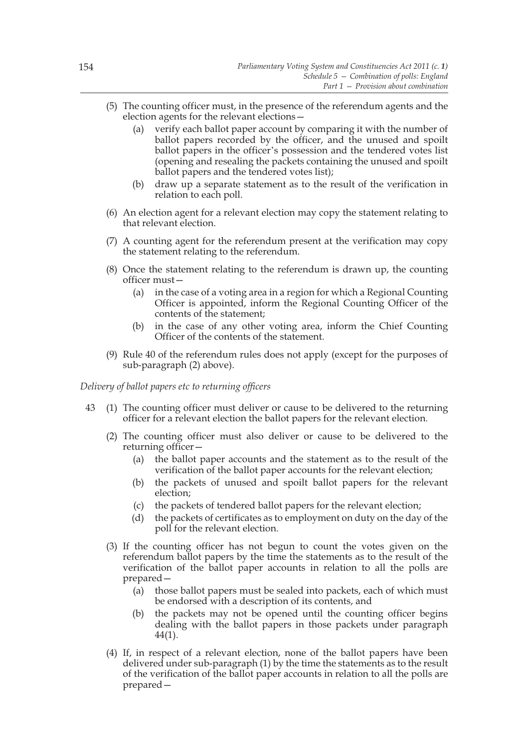- (5) The counting officer must, in the presence of the referendum agents and the election agents for the relevant elections—
	- (a) verify each ballot paper account by comparing it with the number of ballot papers recorded by the officer, and the unused and spoilt ballot papers in the officer's possession and the tendered votes list (opening and resealing the packets containing the unused and spoilt ballot papers and the tendered votes list);
	- (b) draw up a separate statement as to the result of the verification in relation to each poll.
- (6) An election agent for a relevant election may copy the statement relating to that relevant election.
- (7) A counting agent for the referendum present at the verification may copy the statement relating to the referendum.
- (8) Once the statement relating to the referendum is drawn up, the counting officer must—
	- (a) in the case of a voting area in a region for which a Regional Counting Officer is appointed, inform the Regional Counting Officer of the contents of the statement;
	- (b) in the case of any other voting area, inform the Chief Counting Officer of the contents of the statement.
- (9) Rule 40 of the referendum rules does not apply (except for the purposes of sub-paragraph (2) above).

### *Delivery of ballot papers etc to returning officers*

- 43 (1) The counting officer must deliver or cause to be delivered to the returning officer for a relevant election the ballot papers for the relevant election.
	- (2) The counting officer must also deliver or cause to be delivered to the returning officer—
		- (a) the ballot paper accounts and the statement as to the result of the verification of the ballot paper accounts for the relevant election;
		- (b) the packets of unused and spoilt ballot papers for the relevant election;
		- (c) the packets of tendered ballot papers for the relevant election;
		- (d) the packets of certificates as to employment on duty on the day of the poll for the relevant election.
	- (3) If the counting officer has not begun to count the votes given on the referendum ballot papers by the time the statements as to the result of the verification of the ballot paper accounts in relation to all the polls are prepared—
		- (a) those ballot papers must be sealed into packets, each of which must be endorsed with a description of its contents, and
		- (b) the packets may not be opened until the counting officer begins dealing with the ballot papers in those packets under paragraph 44(1).
	- (4) If, in respect of a relevant election, none of the ballot papers have been delivered under sub-paragraph (1) by the time the statements as to the result of the verification of the ballot paper accounts in relation to all the polls are prepared—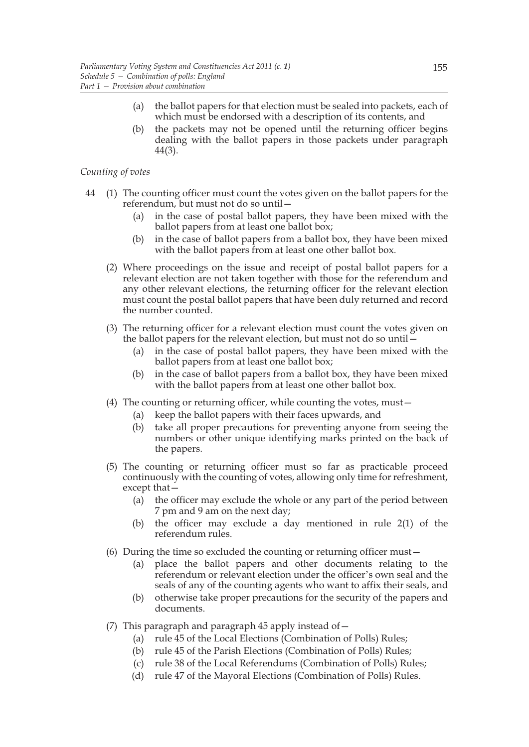- (a) the ballot papers for that election must be sealed into packets, each of which must be endorsed with a description of its contents, and
- (b) the packets may not be opened until the returning officer begins dealing with the ballot papers in those packets under paragraph 44(3).

#### *Counting of votes*

- 44 (1) The counting officer must count the votes given on the ballot papers for the referendum, but must not do so until—
	- (a) in the case of postal ballot papers, they have been mixed with the ballot papers from at least one ballot box;
	- (b) in the case of ballot papers from a ballot box, they have been mixed with the ballot papers from at least one other ballot box.
	- (2) Where proceedings on the issue and receipt of postal ballot papers for a relevant election are not taken together with those for the referendum and any other relevant elections, the returning officer for the relevant election must count the postal ballot papers that have been duly returned and record the number counted.
	- (3) The returning officer for a relevant election must count the votes given on the ballot papers for the relevant election, but must not do so until—
		- (a) in the case of postal ballot papers, they have been mixed with the ballot papers from at least one ballot box;
		- (b) in the case of ballot papers from a ballot box, they have been mixed with the ballot papers from at least one other ballot box.
	- (4) The counting or returning officer, while counting the votes, must—
		- (a) keep the ballot papers with their faces upwards, and
		- (b) take all proper precautions for preventing anyone from seeing the numbers or other unique identifying marks printed on the back of the papers.
	- (5) The counting or returning officer must so far as practicable proceed continuously with the counting of votes, allowing only time for refreshment, except that—
		- (a) the officer may exclude the whole or any part of the period between 7 pm and 9 am on the next day;
		- (b) the officer may exclude a day mentioned in rule 2(1) of the referendum rules.
	- (6) During the time so excluded the counting or returning officer must—
		- (a) place the ballot papers and other documents relating to the referendum or relevant election under the officer's own seal and the seals of any of the counting agents who want to affix their seals, and
		- (b) otherwise take proper precautions for the security of the papers and documents.
	- (7) This paragraph and paragraph 45 apply instead of  $-$ 
		- (a) rule 45 of the Local Elections (Combination of Polls) Rules;
		- (b) rule 45 of the Parish Elections (Combination of Polls) Rules;
		- (c) rule 38 of the Local Referendums (Combination of Polls) Rules;
		- (d) rule 47 of the Mayoral Elections (Combination of Polls) Rules.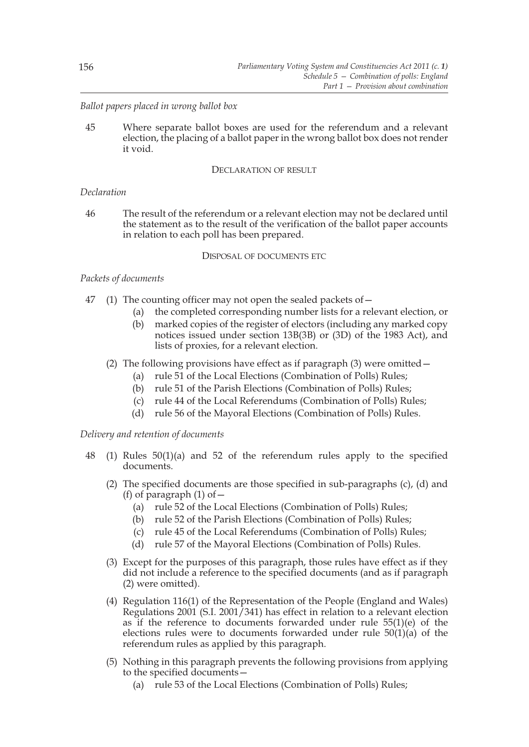#### *Ballot papers placed in wrong ballot box*

45 Where separate ballot boxes are used for the referendum and a relevant election, the placing of a ballot paper in the wrong ballot box does not render it void.

#### DECLARATION OF RESULT

#### *Declaration*

46 The result of the referendum or a relevant election may not be declared until the statement as to the result of the verification of the ballot paper accounts in relation to each poll has been prepared.

#### DISPOSAL OF DOCUMENTS ETC

### *Packets of documents*

- 47 (1) The counting officer may not open the sealed packets of -
	- (a) the completed corresponding number lists for a relevant election, or
	- (b) marked copies of the register of electors (including any marked copy notices issued under section 13B(3B) or (3D) of the 1983 Act), and lists of proxies, for a relevant election.
	- (2) The following provisions have effect as if paragraph (3) were omitted—
		- (a) rule 51 of the Local Elections (Combination of Polls) Rules;
		- (b) rule 51 of the Parish Elections (Combination of Polls) Rules;
		- (c) rule 44 of the Local Referendums (Combination of Polls) Rules;
		- (d) rule 56 of the Mayoral Elections (Combination of Polls) Rules.

### *Delivery and retention of documents*

- 48 (1) Rules 50(1)(a) and 52 of the referendum rules apply to the specified documents.
	- (2) The specified documents are those specified in sub-paragraphs (c), (d) and (f) of paragraph  $(1)$  of  $-$ 
		- (a) rule 52 of the Local Elections (Combination of Polls) Rules;
		- (b) rule 52 of the Parish Elections (Combination of Polls) Rules;
		- (c) rule 45 of the Local Referendums (Combination of Polls) Rules;
		- (d) rule 57 of the Mayoral Elections (Combination of Polls) Rules.
	- (3) Except for the purposes of this paragraph, those rules have effect as if they did not include a reference to the specified documents (and as if paragraph (2) were omitted).
	- (4) Regulation 116(1) of the Representation of the People (England and Wales) Regulations 2001 (S.I. 2001/341) has effect in relation to a relevant election as if the reference to documents forwarded under rule  $55(1)(e)$  of the elections rules were to documents forwarded under rule 50(1)(a) of the referendum rules as applied by this paragraph.
	- (5) Nothing in this paragraph prevents the following provisions from applying to the specified documents—
		- (a) rule 53 of the Local Elections (Combination of Polls) Rules;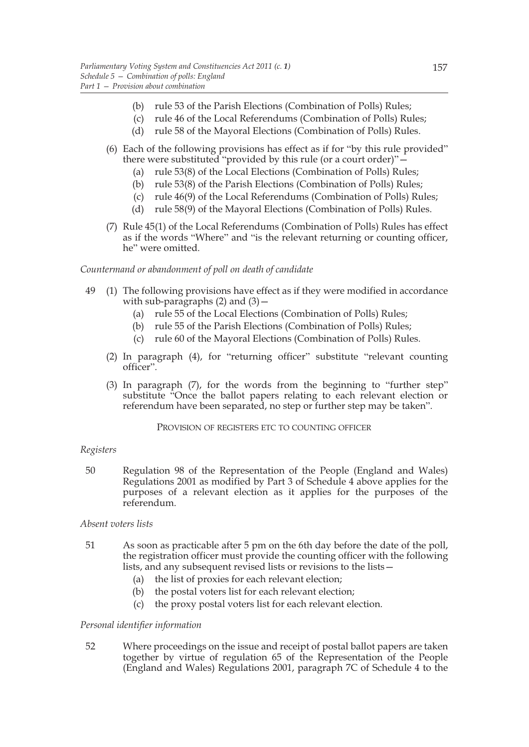- (b) rule 53 of the Parish Elections (Combination of Polls) Rules;
- (c) rule 46 of the Local Referendums (Combination of Polls) Rules;
- (d) rule 58 of the Mayoral Elections (Combination of Polls) Rules.
- (6) Each of the following provisions has effect as if for "by this rule provided" there were substituted "provided by this rule (or a court order)" $-$ 
	- (a) rule 53(8) of the Local Elections (Combination of Polls) Rules;
	- (b) rule 53(8) of the Parish Elections (Combination of Polls) Rules;
	- (c) rule 46(9) of the Local Referendums (Combination of Polls) Rules;
	- (d) rule 58(9) of the Mayoral Elections (Combination of Polls) Rules.
- (7) Rule 45(1) of the Local Referendums (Combination of Polls) Rules has effect as if the words "Where" and "is the relevant returning or counting officer, he" were omitted.

### *Countermand or abandonment of poll on death of candidate*

- 49 (1) The following provisions have effect as if they were modified in accordance with sub-paragraphs  $(2)$  and  $(3)$  -
	- (a) rule 55 of the Local Elections (Combination of Polls) Rules;
	- (b) rule 55 of the Parish Elections (Combination of Polls) Rules;
	- (c) rule 60 of the Mayoral Elections (Combination of Polls) Rules.
	- (2) In paragraph (4), for "returning officer" substitute "relevant counting officer".
	- (3) In paragraph (7), for the words from the beginning to "further step" substitute "Once the ballot papers relating to each relevant election or referendum have been separated, no step or further step may be taken".

PROVISION OF REGISTERS ETC TO COUNTING OFFICER

### *Registers*

50 Regulation 98 of the Representation of the People (England and Wales) Regulations 2001 as modified by Part 3 of Schedule 4 above applies for the purposes of a relevant election as it applies for the purposes of the referendum.

### *Absent voters lists*

- 51 As soon as practicable after 5 pm on the 6th day before the date of the poll, the registration officer must provide the counting officer with the following lists, and any subsequent revised lists or revisions to the lists—
	- (a) the list of proxies for each relevant election;
	- (b) the postal voters list for each relevant election;
	- (c) the proxy postal voters list for each relevant election.

## *Personal identifier information*

52 Where proceedings on the issue and receipt of postal ballot papers are taken together by virtue of regulation 65 of the Representation of the People (England and Wales) Regulations 2001, paragraph 7C of Schedule 4 to the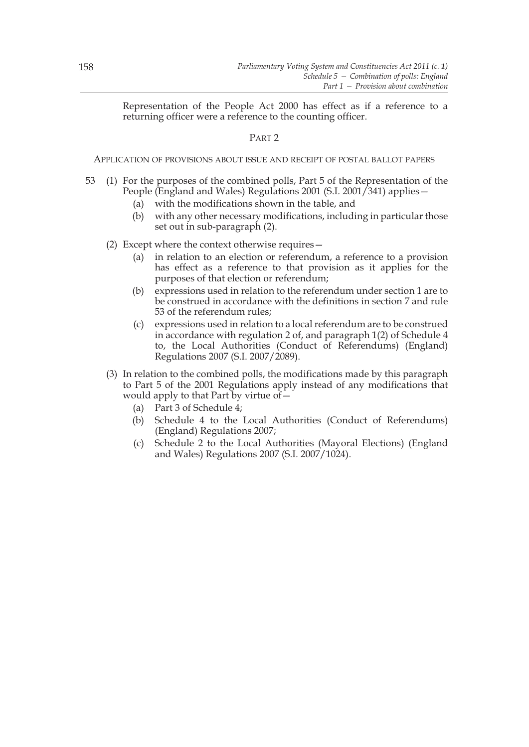Representation of the People Act 2000 has effect as if a reference to a returning officer were a reference to the counting officer.

### PART 2

APPLICATION OF PROVISIONS ABOUT ISSUE AND RECEIPT OF POSTAL BALLOT PAPERS

- 53 (1) For the purposes of the combined polls, Part 5 of the Representation of the People (England and Wales) Regulations 2001 (S.I. 2001/341) applies—
	- (a) with the modifications shown in the table, and
	- (b) with any other necessary modifications, including in particular those set out in sub-paragraph (2).

(2) Except where the context otherwise requires—

- (a) in relation to an election or referendum, a reference to a provision has effect as a reference to that provision as it applies for the purposes of that election or referendum;
- (b) expressions used in relation to the referendum under section 1 are to be construed in accordance with the definitions in section 7 and rule 53 of the referendum rules;
- (c) expressions used in relation to a local referendum are to be construed in accordance with regulation 2 of, and paragraph 1(2) of Schedule 4 to, the Local Authorities (Conduct of Referendums) (England) Regulations 2007 (S.I. 2007/2089).
- (3) In relation to the combined polls, the modifications made by this paragraph to Part 5 of the 2001 Regulations apply instead of any modifications that would apply to that Part by virtue of—
	- (a) Part 3 of Schedule 4;
	- (b) Schedule 4 to the Local Authorities (Conduct of Referendums) (England) Regulations 2007;
	- (c) Schedule 2 to the Local Authorities (Mayoral Elections) (England and Wales) Regulations 2007 (S.I. 2007/1024).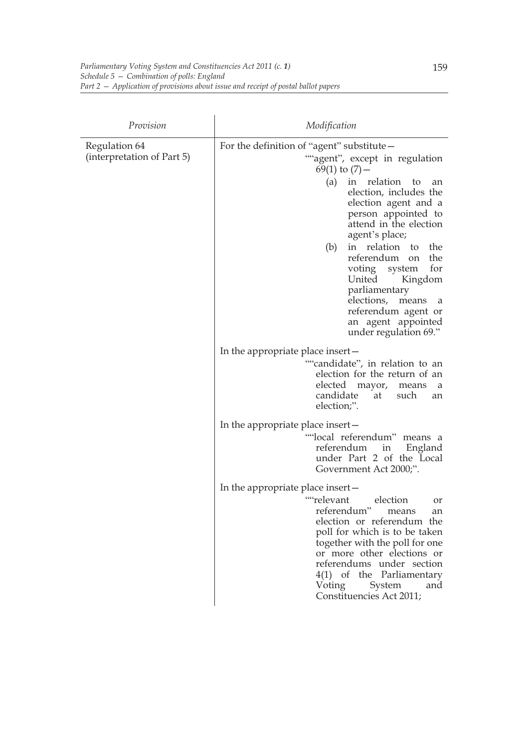| Provision                                   | Modification                                                                                                                                                                                                                                                                                                                                   |
|---------------------------------------------|------------------------------------------------------------------------------------------------------------------------------------------------------------------------------------------------------------------------------------------------------------------------------------------------------------------------------------------------|
| Regulation 64<br>(interpretation of Part 5) | For the definition of "agent" substitute -<br>""agent", except in regulation<br>$69(1)$ to $(7)$ -<br>(a)<br>in relation to<br>an<br>election, includes the<br>election agent and a<br>person appointed to<br>attend in the election                                                                                                           |
|                                             | agent's place;<br>in relation to<br>the<br>(b)<br>referendum<br>the<br><sub>on</sub><br>for<br>voting system<br>United<br>Kingdom<br>parliamentary<br>elections, means<br>a<br>referendum agent or<br>an agent appointed<br>under regulation 69."                                                                                              |
|                                             | In the appropriate place insert—<br>""candidate", in relation to an<br>election for the return of an<br>elected mayor, means<br>a<br>candidate<br>at<br>such<br>an<br>election;".                                                                                                                                                              |
|                                             | In the appropriate place insert-<br>"local referendum"<br>means a<br>referendum<br>in<br>England<br>under Part 2 of the Local<br>Government Act 2000;".                                                                                                                                                                                        |
|                                             | In the appropriate place insert—<br>""relevant<br>election<br>or<br>referendum"<br>means<br>an<br>election or referendum the<br>poll for which is to be taken<br>together with the poll for one<br>or more other elections or<br>referendums under section<br>4(1) of the Parliamentary<br>Voting<br>System<br>and<br>Constituencies Act 2011; |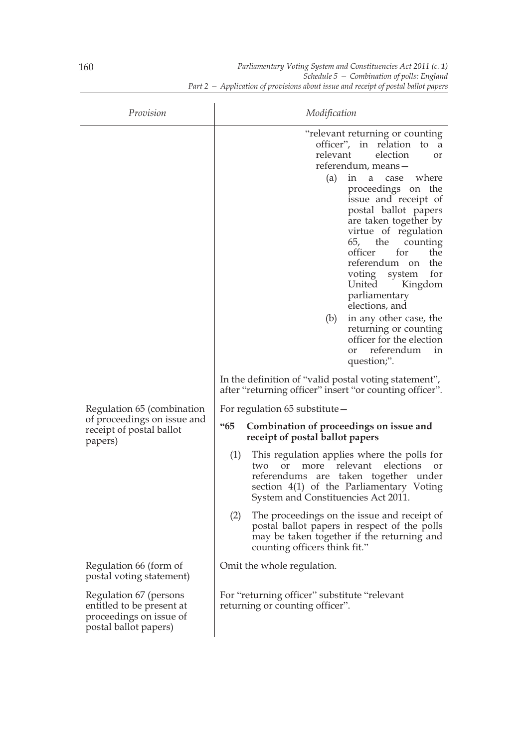| Provision                                                                                               | Modification                                                                                                                                                                                                                                                                                                |
|---------------------------------------------------------------------------------------------------------|-------------------------------------------------------------------------------------------------------------------------------------------------------------------------------------------------------------------------------------------------------------------------------------------------------------|
|                                                                                                         | "relevant returning or counting"<br>officer", in relation to<br>a<br>election<br>relevant<br>or<br>referendum, means-                                                                                                                                                                                       |
|                                                                                                         | (a)<br>where<br>in<br>case<br>a<br>proceedings on the<br>issue and receipt of<br>postal ballot papers<br>are taken together by<br>virtue of regulation<br>65, the counting<br>for<br>the<br>officer<br>referendum on<br>the<br>for<br>voting system<br>United<br>Kingdom<br>parliamentary<br>elections, and |
|                                                                                                         | (b)<br>in any other case, the<br>returning or counting<br>officer for the election<br>referendum<br>in<br>or<br>question;".                                                                                                                                                                                 |
|                                                                                                         | In the definition of "valid postal voting statement",<br>after "returning officer" insert "or counting officer".                                                                                                                                                                                            |
| Regulation 65 (combination                                                                              | For regulation 65 substitute –                                                                                                                                                                                                                                                                              |
| of proceedings on issue and<br>receipt of postal ballot<br>papers)                                      | "65<br>Combination of proceedings on issue and<br>receipt of postal ballot papers                                                                                                                                                                                                                           |
|                                                                                                         | (1)<br>This regulation applies where the polls for<br>elections<br>relevant<br>more<br>two or<br>or<br>referendums are taken together under<br>section 4(1) of the Parliamentary Voting<br>System and Constituencies Act 2011.                                                                              |
|                                                                                                         | (2)<br>The proceedings on the issue and receipt of<br>postal ballot papers in respect of the polls<br>may be taken together if the returning and<br>counting officers think fit."                                                                                                                           |
| Regulation 66 (form of<br>postal voting statement)                                                      | Omit the whole regulation.                                                                                                                                                                                                                                                                                  |
| Regulation 67 (persons<br>entitled to be present at<br>proceedings on issue of<br>postal ballot papers) | For "returning officer" substitute "relevant<br>returning or counting officer".                                                                                                                                                                                                                             |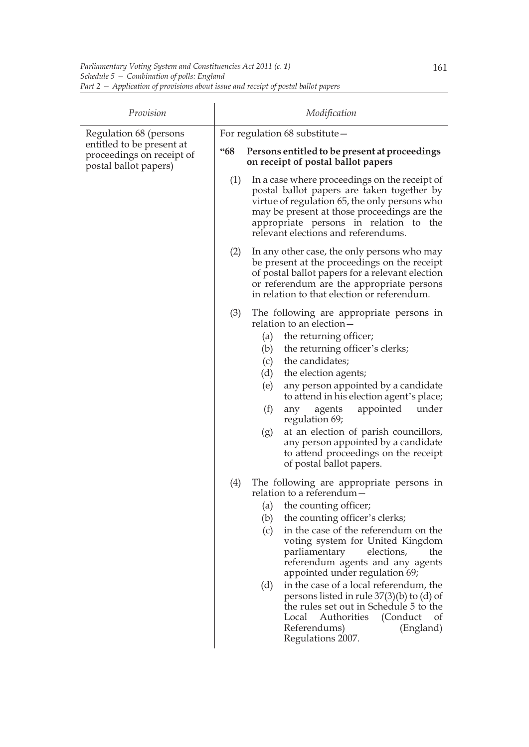| Provision                                                                                                 |     | Modification                                                                                                                                                                                                                                                                                                                                                                                                                                                                                                                                                                                  |
|-----------------------------------------------------------------------------------------------------------|-----|-----------------------------------------------------------------------------------------------------------------------------------------------------------------------------------------------------------------------------------------------------------------------------------------------------------------------------------------------------------------------------------------------------------------------------------------------------------------------------------------------------------------------------------------------------------------------------------------------|
| Regulation 68 (persons<br>entitled to be present at<br>proceedings on receipt of<br>postal ballot papers) |     | For regulation 68 substitute-                                                                                                                                                                                                                                                                                                                                                                                                                                                                                                                                                                 |
|                                                                                                           | "68 | Persons entitled to be present at proceedings<br>on receipt of postal ballot papers                                                                                                                                                                                                                                                                                                                                                                                                                                                                                                           |
|                                                                                                           | (1) | In a case where proceedings on the receipt of<br>postal ballot papers are taken together by<br>virtue of regulation 65, the only persons who<br>may be present at those proceedings are the<br>appropriate persons in relation to the<br>relevant elections and referendums.                                                                                                                                                                                                                                                                                                                  |
|                                                                                                           | (2) | In any other case, the only persons who may<br>be present at the proceedings on the receipt<br>of postal ballot papers for a relevant election<br>or referendum are the appropriate persons<br>in relation to that election or referendum.                                                                                                                                                                                                                                                                                                                                                    |
|                                                                                                           | (3) | The following are appropriate persons in<br>relation to an election-<br>the returning officer;<br>(a)<br>the returning officer's clerks;<br>(b)<br>the candidates;<br>(c)<br>the election agents;<br>(d)<br>any person appointed by a candidate<br>(e)<br>to attend in his election agent's place;<br>appointed<br>(f)<br>agents<br>under<br>any<br>regulation 69;<br>at an election of parish councillors,<br>(g)<br>any person appointed by a candidate<br>to attend proceedings on the receipt<br>of postal ballot papers.                                                                 |
|                                                                                                           | (4) | The following are appropriate persons in<br>relation to a referendum-<br>(a)<br>the counting officer;<br>the counting officer's clerks;<br>(b)<br>in the case of the referendum on the<br>(c)<br>voting system for United Kingdom<br>parliamentary<br>elections,<br>the<br>referendum agents and any agents<br>appointed under regulation 69;<br>in the case of a local referendum, the<br>(d)<br>persons listed in rule 37(3)(b) to (d) of<br>the rules set out in Schedule 5 to the<br>Authorities<br>(Conduct)<br>Local<br><sub>of</sub><br>Referendums)<br>(England)<br>Regulations 2007. |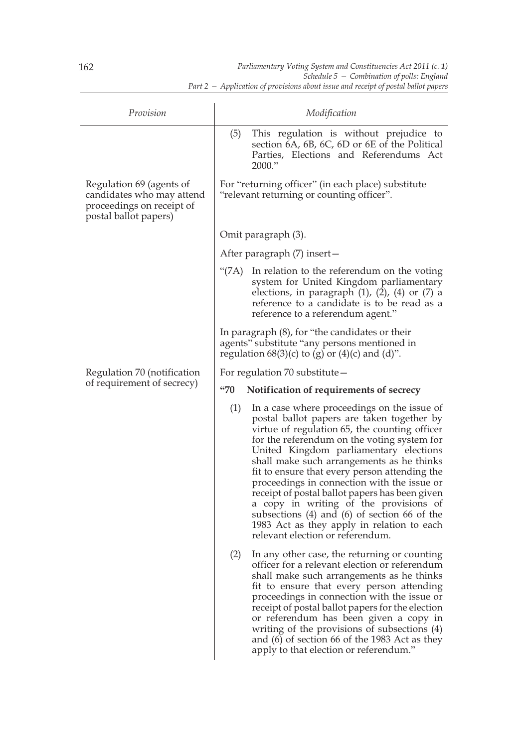| Parliamentary Voting System and Constituencies Act 2011 (c. 1)                       |
|--------------------------------------------------------------------------------------|
| Schedule $5$ – Combination of polls: England                                         |
| $Part 2 - Application of provisions about issue and receipt of postal ballot papers$ |

| Provision                                                                                                   | Modification                                                                                                                                                                                                                                                                                                                                                                                                                                                                                                                                                                                                              |
|-------------------------------------------------------------------------------------------------------------|---------------------------------------------------------------------------------------------------------------------------------------------------------------------------------------------------------------------------------------------------------------------------------------------------------------------------------------------------------------------------------------------------------------------------------------------------------------------------------------------------------------------------------------------------------------------------------------------------------------------------|
|                                                                                                             | (5)<br>This regulation is without prejudice to<br>section 6A, 6B, 6C, 6D or 6E of the Political<br>Parties, Elections and Referendums Act<br>2000."                                                                                                                                                                                                                                                                                                                                                                                                                                                                       |
| Regulation 69 (agents of<br>candidates who may attend<br>proceedings on receipt of<br>postal ballot papers) | For "returning officer" (in each place) substitute<br>"relevant returning or counting officer".                                                                                                                                                                                                                                                                                                                                                                                                                                                                                                                           |
|                                                                                                             | Omit paragraph (3).                                                                                                                                                                                                                                                                                                                                                                                                                                                                                                                                                                                                       |
|                                                                                                             | After paragraph (7) insert –                                                                                                                                                                                                                                                                                                                                                                                                                                                                                                                                                                                              |
|                                                                                                             | " $(7A)$<br>In relation to the referendum on the voting<br>system for United Kingdom parliamentary<br>elections, in paragraph $(1)$ , $(2)$ , $(4)$ or $(7)$ a<br>reference to a candidate is to be read as a<br>reference to a referendum agent."                                                                                                                                                                                                                                                                                                                                                                        |
|                                                                                                             | In paragraph (8), for "the candidates or their<br>agents" substitute "any persons mentioned in<br>regulation $68(3)(c)$ to (g) or $(4)(c)$ and $(d)$ ".                                                                                                                                                                                                                                                                                                                                                                                                                                                                   |
| Regulation 70 (notification                                                                                 | For regulation 70 substitute -                                                                                                                                                                                                                                                                                                                                                                                                                                                                                                                                                                                            |
| of requirement of secrecy)                                                                                  | 45<br>Notification of requirements of secrecy                                                                                                                                                                                                                                                                                                                                                                                                                                                                                                                                                                             |
|                                                                                                             | (1)<br>In a case where proceedings on the issue of<br>postal ballot papers are taken together by<br>virtue of regulation 65, the counting officer<br>for the referendum on the voting system for<br>United Kingdom parliamentary elections<br>shall make such arrangements as he thinks<br>fit to ensure that every person attending the<br>proceedings in connection with the issue or<br>receipt of postal ballot papers has been given<br>a copy in writing of the provisions of<br>subsections $(4)$ and $(6)$ of section 66 of the<br>1983 Act as they apply in relation to each<br>relevant election or referendum. |
|                                                                                                             | In any other case, the returning or counting<br>(2)<br>officer for a relevant election or referendum<br>shall make such arrangements as he thinks<br>fit to ensure that every person attending<br>proceedings in connection with the issue or<br>receipt of postal ballot papers for the election<br>or referendum has been given a copy in<br>writing of the provisions of subsections (4)<br>and (6) of section 66 of the 1983 Act as they<br>apply to that election or referendum."                                                                                                                                    |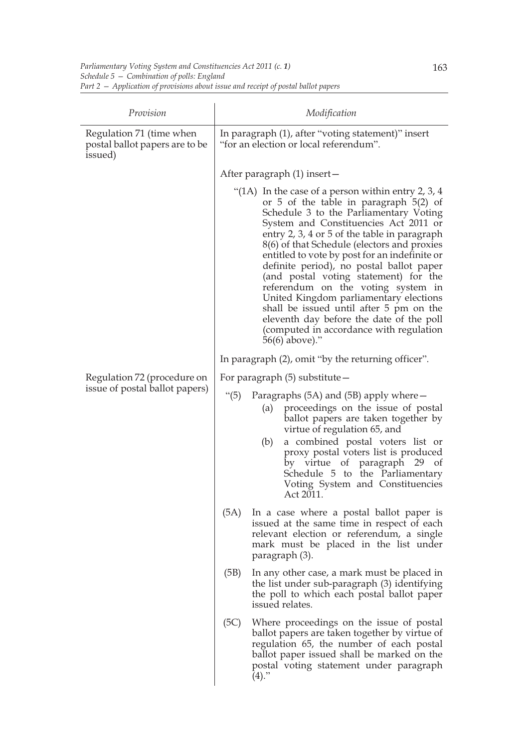| Provision                                                             | Modification                                                                                                                                                                                                                                                                                                                                                                                                                                                                                                                                                                                                                                                 |
|-----------------------------------------------------------------------|--------------------------------------------------------------------------------------------------------------------------------------------------------------------------------------------------------------------------------------------------------------------------------------------------------------------------------------------------------------------------------------------------------------------------------------------------------------------------------------------------------------------------------------------------------------------------------------------------------------------------------------------------------------|
| Regulation 71 (time when<br>postal ballot papers are to be<br>issued) | In paragraph (1), after "voting statement)" insert<br>"for an election or local referendum".                                                                                                                                                                                                                                                                                                                                                                                                                                                                                                                                                                 |
|                                                                       | After paragraph (1) insert –                                                                                                                                                                                                                                                                                                                                                                                                                                                                                                                                                                                                                                 |
|                                                                       | "(1A) In the case of a person within entry 2, 3, 4<br>or $5$ of the table in paragraph $5(2)$ of<br>Schedule 3 to the Parliamentary Voting<br>System and Constituencies Act 2011 or<br>entry 2, 3, 4 or 5 of the table in paragraph<br>8(6) of that Schedule (electors and proxies<br>entitled to vote by post for an indefinite or<br>definite period), no postal ballot paper<br>(and postal voting statement) for the<br>referendum on the voting system in<br>United Kingdom parliamentary elections<br>shall be issued until after 5 pm on the<br>eleventh day before the date of the poll<br>(computed in accordance with regulation<br>56(6) above)." |
|                                                                       | In paragraph (2), omit "by the returning officer".                                                                                                                                                                                                                                                                                                                                                                                                                                                                                                                                                                                                           |
| Regulation 72 (procedure on<br>issue of postal ballot papers)         | For paragraph $(5)$ substitute $-$                                                                                                                                                                                                                                                                                                                                                                                                                                                                                                                                                                                                                           |
|                                                                       | $\cdot\cdot(5)$<br>Paragraphs (5A) and (5B) apply where –<br>proceedings on the issue of postal<br>(a)<br>ballot papers are taken together by<br>virtue of regulation 65, and<br>a combined postal voters list or<br>(b)<br>proxy postal voters list is produced<br>by virtue of paragraph 29 of<br>Schedule 5 to the Parliamentary<br>Voting System and Constituencies<br>Act 2011.                                                                                                                                                                                                                                                                         |
|                                                                       | (5A)<br>In a case where a postal ballot paper is<br>issued at the same time in respect of each<br>relevant election or referendum, a single<br>mark must be placed in the list under<br>paragraph (3).                                                                                                                                                                                                                                                                                                                                                                                                                                                       |
|                                                                       | (5B)<br>In any other case, a mark must be placed in<br>the list under sub-paragraph (3) identifying<br>the poll to which each postal ballot paper<br>issued relates.                                                                                                                                                                                                                                                                                                                                                                                                                                                                                         |
|                                                                       | Where proceedings on the issue of postal<br>(5C)<br>ballot papers are taken together by virtue of<br>regulation 65, the number of each postal<br>ballot paper issued shall be marked on the<br>postal voting statement under paragraph<br>$(4)$ ."                                                                                                                                                                                                                                                                                                                                                                                                           |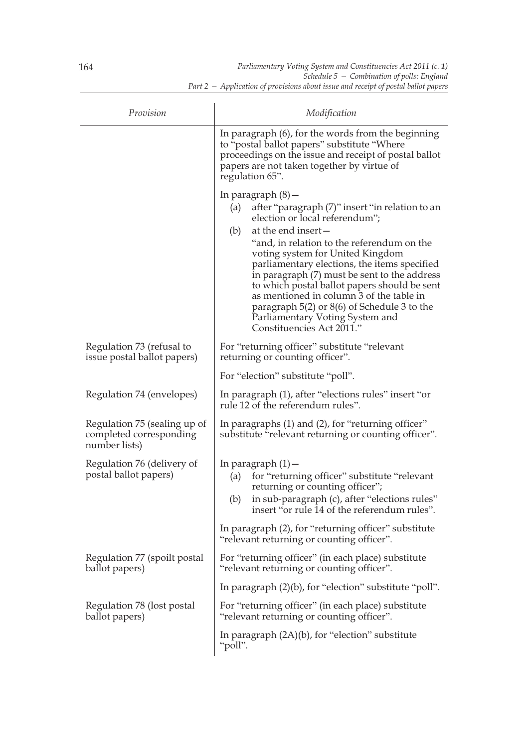| Provision                                                                | Modification                                                                                                                                                                                                                                                                                                                                                                                                                                                                                                                               |
|--------------------------------------------------------------------------|--------------------------------------------------------------------------------------------------------------------------------------------------------------------------------------------------------------------------------------------------------------------------------------------------------------------------------------------------------------------------------------------------------------------------------------------------------------------------------------------------------------------------------------------|
|                                                                          | In paragraph $(6)$ , for the words from the beginning<br>to "postal ballot papers" substitute "Where<br>proceedings on the issue and receipt of postal ballot<br>papers are not taken together by virtue of<br>regulation 65".                                                                                                                                                                                                                                                                                                             |
|                                                                          | In paragraph $(8)$ –<br>after "paragraph (7)" insert "in relation to an<br>(a)<br>election or local referendum";<br>at the end insert-<br>(b)<br>"and, in relation to the referendum on the<br>voting system for United Kingdom<br>parliamentary elections, the items specified<br>in paragraph (7) must be sent to the address<br>to which postal ballot papers should be sent<br>as mentioned in column 3 of the table in<br>paragraph 5(2) or 8(6) of Schedule 3 to the<br>Parliamentary Voting System and<br>Constituencies Act 2011." |
| Regulation 73 (refusal to<br>issue postal ballot papers)                 | For "returning officer" substitute "relevant<br>returning or counting officer".                                                                                                                                                                                                                                                                                                                                                                                                                                                            |
|                                                                          | For "election" substitute "poll".                                                                                                                                                                                                                                                                                                                                                                                                                                                                                                          |
| Regulation 74 (envelopes)                                                | In paragraph (1), after "elections rules" insert "or<br>rule 12 of the referendum rules".                                                                                                                                                                                                                                                                                                                                                                                                                                                  |
| Regulation 75 (sealing up of<br>completed corresponding<br>number lists) | In paragraphs (1) and (2), for "returning officer"<br>substitute "relevant returning or counting officer".                                                                                                                                                                                                                                                                                                                                                                                                                                 |
| Regulation 76 (delivery of<br>postal ballot papers)                      | In paragraph $(1)$ –<br>for "returning officer" substitute "relevant<br>(a)<br>returning or counting officer";<br>in sub-paragraph (c), after "elections rules"<br>(b)<br>insert "or rule 14 of the referendum rules".<br>In paragraph (2), for "returning officer" substitute                                                                                                                                                                                                                                                             |
|                                                                          | "relevant returning or counting officer".                                                                                                                                                                                                                                                                                                                                                                                                                                                                                                  |
| Regulation 77 (spoilt postal<br>ballot papers)                           | For "returning officer" (in each place) substitute<br>"relevant returning or counting officer".                                                                                                                                                                                                                                                                                                                                                                                                                                            |
|                                                                          | In paragraph $(2)(b)$ , for "election" substitute "poll".                                                                                                                                                                                                                                                                                                                                                                                                                                                                                  |
| Regulation 78 (lost postal<br>ballot papers)                             | For "returning officer" (in each place) substitute<br>"relevant returning or counting officer".                                                                                                                                                                                                                                                                                                                                                                                                                                            |
|                                                                          | In paragraph $(2A)(b)$ , for "election" substitute<br>"poll".                                                                                                                                                                                                                                                                                                                                                                                                                                                                              |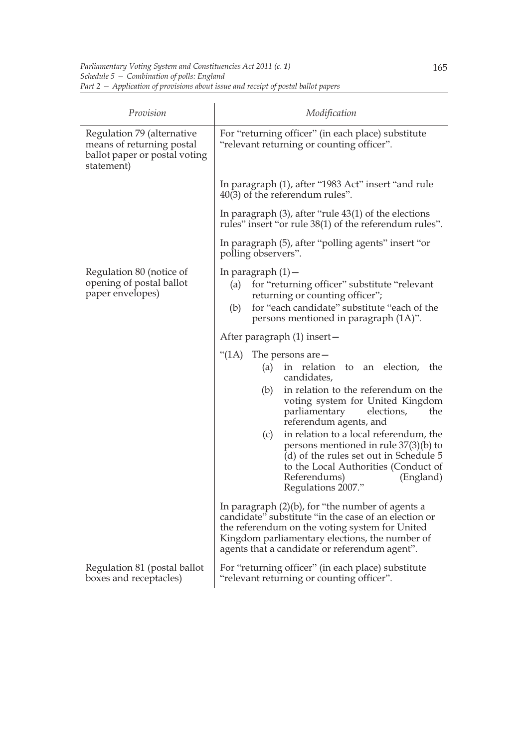| Provision                                                                                              | Modification                                                                                                                                                                                                                                                                                                                                                                                                                                                                                                                                                                                                                                                                                                                   |
|--------------------------------------------------------------------------------------------------------|--------------------------------------------------------------------------------------------------------------------------------------------------------------------------------------------------------------------------------------------------------------------------------------------------------------------------------------------------------------------------------------------------------------------------------------------------------------------------------------------------------------------------------------------------------------------------------------------------------------------------------------------------------------------------------------------------------------------------------|
| Regulation 79 (alternative<br>means of returning postal<br>ballot paper or postal voting<br>statement) | For "returning officer" (in each place) substitute<br>"relevant returning or counting officer".                                                                                                                                                                                                                                                                                                                                                                                                                                                                                                                                                                                                                                |
|                                                                                                        | In paragraph (1), after "1983 Act" insert "and rule<br>40(3) of the referendum rules".                                                                                                                                                                                                                                                                                                                                                                                                                                                                                                                                                                                                                                         |
|                                                                                                        | In paragraph $(3)$ , after "rule $43(1)$ of the elections<br>rules" insert "or rule 38(1) of the referendum rules".                                                                                                                                                                                                                                                                                                                                                                                                                                                                                                                                                                                                            |
|                                                                                                        | In paragraph (5), after "polling agents" insert "or<br>polling observers".                                                                                                                                                                                                                                                                                                                                                                                                                                                                                                                                                                                                                                                     |
| Regulation 80 (notice of<br>opening of postal ballot<br>paper envelopes)                               | In paragraph $(1)$ –<br>for "returning officer" substitute "relevant<br>(a)<br>returning or counting officer";<br>for "each candidate" substitute "each of the<br>(b)<br>persons mentioned in paragraph (1A)".<br>After paragraph (1) insert –<br>"(1A) The persons are $-$<br>in relation<br>election,<br>the<br>(a)<br>to an<br>candidates,<br>in relation to the referendum on the<br>(b)<br>voting system for United Kingdom<br>parliamentary elections,<br>the<br>referendum agents, and<br>in relation to a local referendum, the<br>(c)<br>persons mentioned in rule $37(3)(b)$ to<br>(d) of the rules set out in Schedule 5<br>to the Local Authorities (Conduct of<br>(England)<br>Referendums)<br>Regulations 2007." |
|                                                                                                        | In paragraph $(2)(b)$ , for "the number of agents a<br>candidate" substitute "in the case of an election or<br>the referendum on the voting system for United<br>Kingdom parliamentary elections, the number of<br>agents that a candidate or referendum agent".                                                                                                                                                                                                                                                                                                                                                                                                                                                               |
| Regulation 81 (postal ballot<br>boxes and receptacles)                                                 | For "returning officer" (in each place) substitute<br>"relevant returning or counting officer".                                                                                                                                                                                                                                                                                                                                                                                                                                                                                                                                                                                                                                |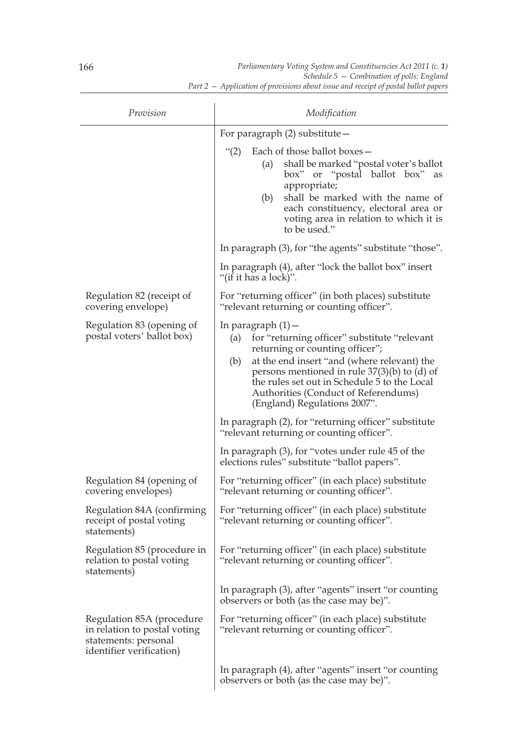| Parliamentary Voting System and Constituencies Act 2011 (c. 1)                       |  |
|--------------------------------------------------------------------------------------|--|
| Schedule $5$ – Combination of polls: England                                         |  |
| $Part 2 - Application of provisions about issue and receipt of postal ballot papers$ |  |

| Provision                                                                                                     | Modification                                                                                                                                                                                                                                                                                                                                   |
|---------------------------------------------------------------------------------------------------------------|------------------------------------------------------------------------------------------------------------------------------------------------------------------------------------------------------------------------------------------------------------------------------------------------------------------------------------------------|
|                                                                                                               | For paragraph $(2)$ substitute $-$                                                                                                                                                                                                                                                                                                             |
|                                                                                                               | $\cdot\cdot(2)$<br>Each of those ballot boxes -<br>shall be marked "postal voter's ballot<br>(a)<br>box" or "postal ballot box" as<br>appropriate;<br>shall be marked with the name of<br>(b)<br>each constituency, electoral area or<br>voting area in relation to which it is<br>to be used."                                                |
|                                                                                                               | In paragraph (3), for "the agents" substitute "those".                                                                                                                                                                                                                                                                                         |
|                                                                                                               | In paragraph (4), after "lock the ballot box" insert<br>"(if it has a lock)".                                                                                                                                                                                                                                                                  |
| Regulation 82 (receipt of<br>covering envelope)                                                               | For "returning officer" (in both places) substitute<br>"relevant returning or counting officer".                                                                                                                                                                                                                                               |
| Regulation 83 (opening of<br>postal voters' ballot box)                                                       | In paragraph $(1)$ –<br>for "returning officer" substitute "relevant<br>(a)<br>returning or counting officer";<br>at the end insert "and (where relevant) the<br>(b)<br>persons mentioned in rule $37(3)(b)$ to (d) of<br>the rules set out in Schedule 5 to the Local<br>Authorities (Conduct of Referendums)<br>(England) Regulations 2007". |
|                                                                                                               | In paragraph (2), for "returning officer" substitute<br>"relevant returning or counting officer".                                                                                                                                                                                                                                              |
|                                                                                                               | In paragraph (3), for "votes under rule 45 of the<br>elections rules" substitute "ballot papers".                                                                                                                                                                                                                                              |
| Regulation 84 (opening of<br>covering envelopes)                                                              | For "returning officer" (in each place) substitute<br>"relevant returning or counting officer".                                                                                                                                                                                                                                                |
| Regulation 84A (confirming<br>receipt of postal voting<br>statements)                                         | For "returning officer" (in each place) substitute<br>"relevant returning or counting officer".                                                                                                                                                                                                                                                |
| Regulation 85 (procedure in<br>relation to postal voting<br>statements)                                       | For "returning officer" (in each place) substitute<br>"relevant returning or counting officer".                                                                                                                                                                                                                                                |
|                                                                                                               | In paragraph (3), after "agents" insert "or counting<br>observers or both (as the case may be)".                                                                                                                                                                                                                                               |
| Regulation 85A (procedure<br>in relation to postal voting<br>statements: personal<br>identifier verification) | For "returning officer" (in each place) substitute<br>"relevant returning or counting officer".                                                                                                                                                                                                                                                |
|                                                                                                               | In paragraph (4), after "agents" insert "or counting<br>observers or both (as the case may be)".                                                                                                                                                                                                                                               |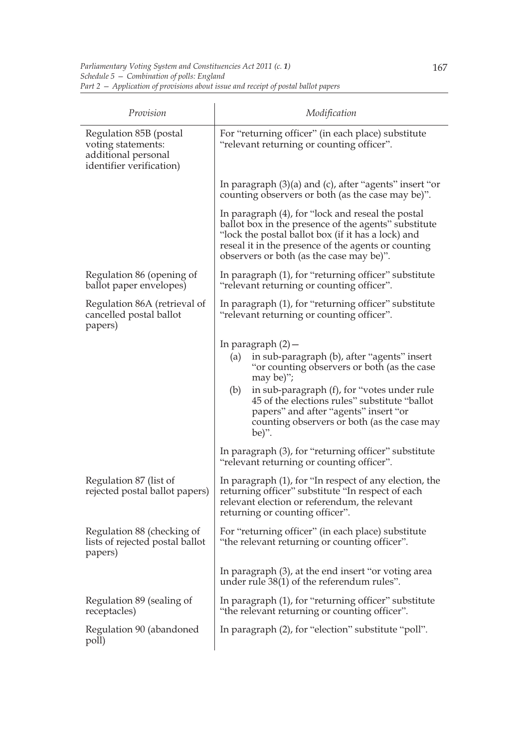| Provision                                                                                       | Modification                                                                                                                                                                                                                                                                                                                                      |
|-------------------------------------------------------------------------------------------------|---------------------------------------------------------------------------------------------------------------------------------------------------------------------------------------------------------------------------------------------------------------------------------------------------------------------------------------------------|
| Regulation 85B (postal<br>voting statements:<br>additional personal<br>identifier verification) | For "returning officer" (in each place) substitute<br>"relevant returning or counting officer".                                                                                                                                                                                                                                                   |
|                                                                                                 | In paragraph $(3)(a)$ and $(c)$ , after "agents" insert "or<br>counting observers or both (as the case may be)".                                                                                                                                                                                                                                  |
|                                                                                                 | In paragraph (4), for "lock and reseal the postal<br>ballot box in the presence of the agents" substitute<br>"lock the postal ballot box (if it has a lock) and<br>reseal it in the presence of the agents or counting<br>observers or both (as the case may be)".                                                                                |
| Regulation 86 (opening of<br>ballot paper envelopes)                                            | In paragraph (1), for "returning officer" substitute<br>"relevant returning or counting officer".                                                                                                                                                                                                                                                 |
| Regulation 86A (retrieval of<br>cancelled postal ballot<br>papers)                              | In paragraph (1), for "returning officer" substitute<br>"relevant returning or counting officer".                                                                                                                                                                                                                                                 |
|                                                                                                 | In paragraph $(2)$ –<br>in sub-paragraph (b), after "agents" insert<br>(a)<br>"or counting observers or both (as the case<br>may be $)$ ;<br>(b)<br>in sub-paragraph (f), for "votes under rule<br>45 of the elections rules" substitute "ballot<br>papers" and after "agents" insert "or<br>counting observers or both (as the case may<br>be)". |
|                                                                                                 | In paragraph (3), for "returning officer" substitute<br>"relevant returning or counting officer".                                                                                                                                                                                                                                                 |
| Regulation 87 (list of<br>rejected postal ballot papers)                                        | In paragraph (1), for "In respect of any election, the<br>returning officer" substitute "In respect of each<br>relevant election or referendum, the relevant<br>returning or counting officer".                                                                                                                                                   |
| Regulation 88 (checking of<br>lists of rejected postal ballot<br>papers)                        | For "returning officer" (in each place) substitute<br>"the relevant returning or counting officer".                                                                                                                                                                                                                                               |
|                                                                                                 | In paragraph (3), at the end insert "or voting area<br>under rule 38(1) of the referendum rules".                                                                                                                                                                                                                                                 |
| Regulation 89 (sealing of<br>receptacles)                                                       | In paragraph (1), for "returning officer" substitute<br>"the relevant returning or counting officer".                                                                                                                                                                                                                                             |
| Regulation 90 (abandoned<br>poll)                                                               | In paragraph (2), for "election" substitute "poll".                                                                                                                                                                                                                                                                                               |

i<br>S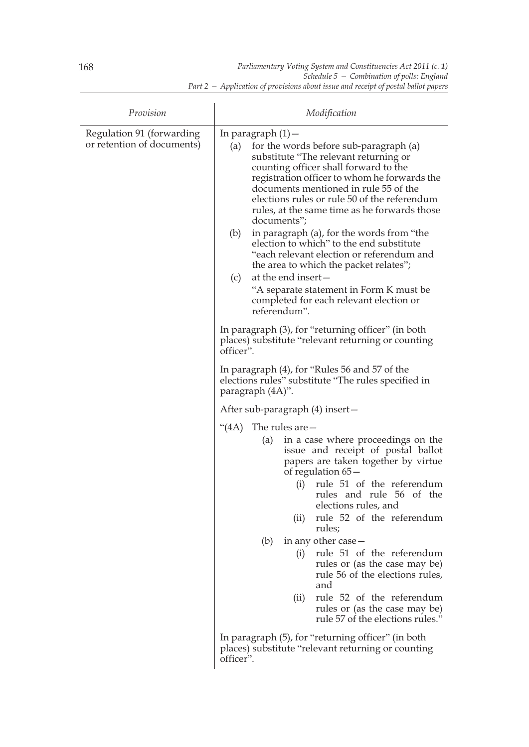*Parliamentary Voting System and Constituencies Act 2011 (c. 1) Schedule 5 — Combination of polls: England Part 2 — Application of provisions about issue and receipt of postal ballot papers*

| Provision                                               | Modification                                                                                                                                                                                                                                                                                                                                                                                                                                                                                                                                                                                                                                                                              |
|---------------------------------------------------------|-------------------------------------------------------------------------------------------------------------------------------------------------------------------------------------------------------------------------------------------------------------------------------------------------------------------------------------------------------------------------------------------------------------------------------------------------------------------------------------------------------------------------------------------------------------------------------------------------------------------------------------------------------------------------------------------|
| Regulation 91 (forwarding<br>or retention of documents) | In paragraph $(1)$ –<br>for the words before sub-paragraph (a)<br>(a)<br>substitute "The relevant returning or<br>counting officer shall forward to the<br>registration officer to whom he forwards the<br>documents mentioned in rule 55 of the<br>elections rules or rule 50 of the referendum<br>rules, at the same time as he forwards those<br>documents";<br>(b)<br>in paragraph (a), for the words from "the<br>election to which" to the end substitute<br>"each relevant election or referendum and<br>the area to which the packet relates";<br>at the end insert-<br>(c)<br>"A separate statement in Form K must be<br>completed for each relevant election or<br>referendum". |
|                                                         | In paragraph (3), for "returning officer" (in both<br>places) substitute "relevant returning or counting<br>officer".                                                                                                                                                                                                                                                                                                                                                                                                                                                                                                                                                                     |
|                                                         | In paragraph (4), for "Rules 56 and 57 of the<br>elections rules" substitute "The rules specified in<br>paragraph (4A)".                                                                                                                                                                                                                                                                                                                                                                                                                                                                                                                                                                  |
|                                                         | After sub-paragraph (4) insert –                                                                                                                                                                                                                                                                                                                                                                                                                                                                                                                                                                                                                                                          |
|                                                         | "(4A) The rules are $-$                                                                                                                                                                                                                                                                                                                                                                                                                                                                                                                                                                                                                                                                   |
|                                                         | in a case where proceedings on the<br>(a)<br>issue and receipt of postal ballot<br>papers are taken together by virtue<br>of regulation 65-<br>rule 51 of the referendum<br>(i)<br>rules and rule 56 of the<br>elections rules, and<br>rule 52 of the referendum<br>(ii)<br>rules;                                                                                                                                                                                                                                                                                                                                                                                                        |
|                                                         | in any other case -<br>(b)<br>rule 51 of the referendum<br>(i)<br>rules or (as the case may be)<br>rule 56 of the elections rules,<br>and                                                                                                                                                                                                                                                                                                                                                                                                                                                                                                                                                 |
|                                                         | rule 52 of the referendum<br>(ii)<br>rules or (as the case may be)<br>rule 57 of the elections rules."                                                                                                                                                                                                                                                                                                                                                                                                                                                                                                                                                                                    |
|                                                         | In paragraph (5), for "returning officer" (in both<br>places) substitute "relevant returning or counting<br>officer".                                                                                                                                                                                                                                                                                                                                                                                                                                                                                                                                                                     |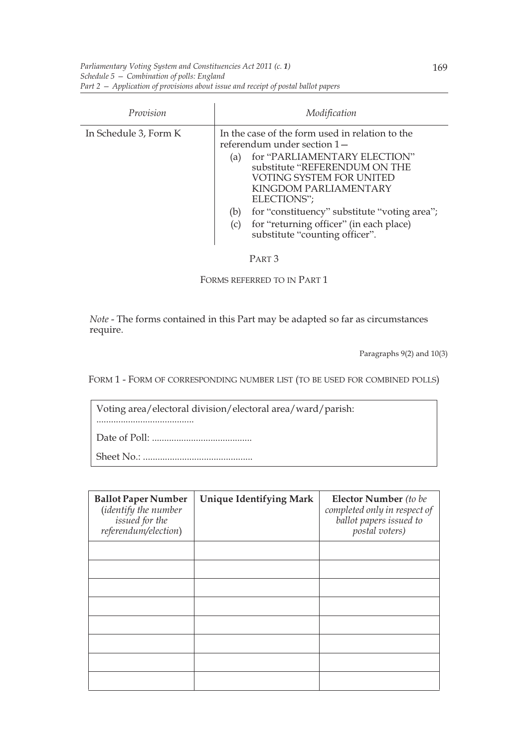| Provision             | Modification                                                                                                                                                                                                                                                                                                                                                            |
|-----------------------|-------------------------------------------------------------------------------------------------------------------------------------------------------------------------------------------------------------------------------------------------------------------------------------------------------------------------------------------------------------------------|
| In Schedule 3, Form K | In the case of the form used in relation to the<br>referendum under section $1-$<br>for "PARLIAMENTARY ELECTION"<br>(a)<br>substitute "REFERENDUM ON THE<br>VOTING SYSTEM FOR UNITED<br>KINGDOM PARLIAMENTARY<br>ELECTIONS";<br>for "constituency" substitute "voting area";<br>(b)<br>for "returning officer" (in each place)<br>(c)<br>substitute "counting officer". |

PART 3

FORMS REFERRED TO IN PART 1

*Note* - The forms contained in this Part may be adapted so far as circumstances require.

Paragraphs 9(2) and 10(3)

FORM 1 - FORM OF CORRESPONDING NUMBER LIST (TO BE USED FOR COMBINED POLLS)

Voting area/electoral division/electoral area/ward/parish:

........................................

Date of Poll: .........................................

Sheet No.: .............................................

| <b>Ballot Paper Number</b><br>(identify the number<br>issued for the<br>referendum/election) | <b>Unique Identifying Mark</b> | <b>Elector Number</b> (to be<br>completed only in respect of<br>ballot papers issued to<br>postal voters) |
|----------------------------------------------------------------------------------------------|--------------------------------|-----------------------------------------------------------------------------------------------------------|
|                                                                                              |                                |                                                                                                           |
|                                                                                              |                                |                                                                                                           |
|                                                                                              |                                |                                                                                                           |
|                                                                                              |                                |                                                                                                           |
|                                                                                              |                                |                                                                                                           |
|                                                                                              |                                |                                                                                                           |
|                                                                                              |                                |                                                                                                           |
|                                                                                              |                                |                                                                                                           |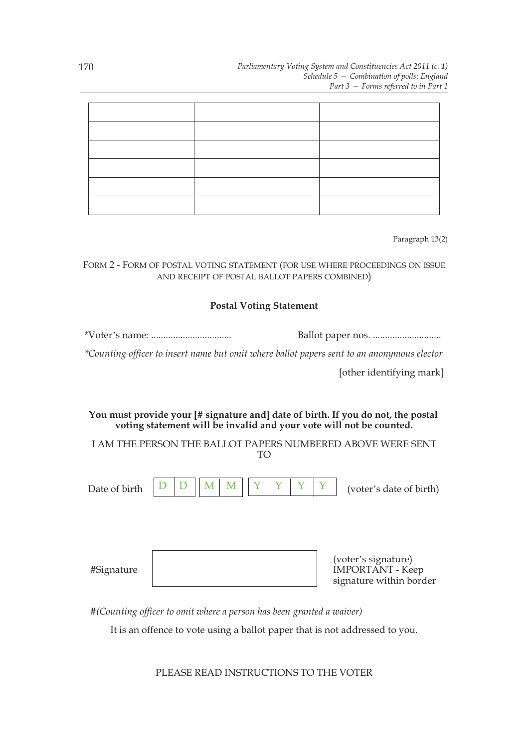Paragraph 13(2)

FORM 2 - FORM OF POSTAL VOTING STATEMENT (FOR USE WHERE PROCEEDINGS ON ISSUE AND RECEIPT OF POSTAL BALLOT PAPERS COMBINED)

# **Postal Voting Statement**

*\*Counting officer to insert name but omit where ballot papers sent to an anonymous elector*

[other identifying mark]

# **You must provide your [# signature and] date of birth. If you do not, the postal voting statement will be invalid and your vote will not be counted.**

I AM THE PERSON THE BALLOT PAPERS NUMBERED ABOVE WERE SENT TO

| Date of birth |  |  |  |  | (voter's date of birth)                                                   |
|---------------|--|--|--|--|---------------------------------------------------------------------------|
|               |  |  |  |  |                                                                           |
| #Signature    |  |  |  |  | (voter's signature)<br><b>IMPORTANT - Keep</b><br>signature within border |

*#(Counting officer to omit where a person has been granted a waiver)*

It is an offence to vote using a ballot paper that is not addressed to you.

PLEASE READ INSTRUCTIONS TO THE VOTER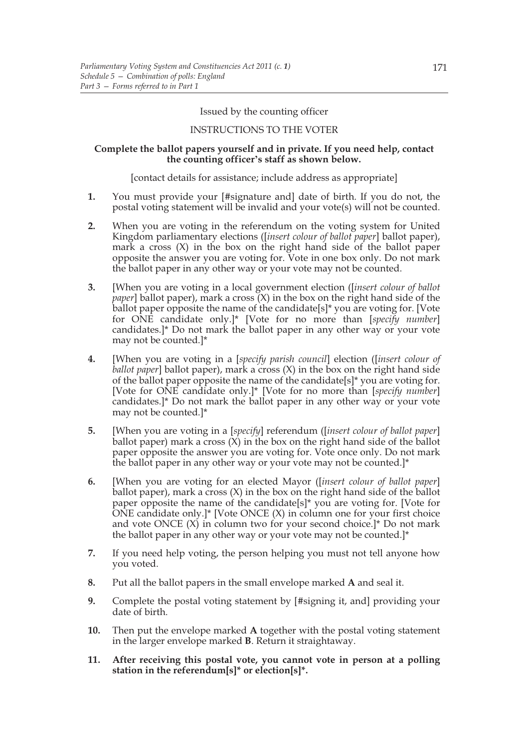### Issued by the counting officer

#### INSTRUCTIONS TO THE VOTER

#### **Complete the ballot papers yourself and in private. If you need help, contact the counting officer's staff as shown below.**

[contact details for assistance; include address as appropriate]

- **1.** You must provide your [#signature and] date of birth. If you do not, the postal voting statement will be invalid and your vote(s) will not be counted.
- **2.** When you are voting in the referendum on the voting system for United Kingdom parliamentary elections ([*insert colour of ballot paper*] ballot paper), mark a cross (X) in the box on the right hand side of the ballot paper opposite the answer you are voting for. Vote in one box only. Do not mark the ballot paper in any other way or your vote may not be counted.
- **3.** [When you are voting in a local government election ([*insert colour of ballot paper*] ballot paper), mark a cross (X) in the box on the right hand side of the ballot paper opposite the name of the candidate[s]\* you are voting for. [Vote for ONE candidate only.]\* [Vote for no more than [*specify number*] candidates.]\* Do not mark the ballot paper in any other way or your vote may not be counted.]\*
- **4.** [When you are voting in a [*specify parish council*] election ([*insert colour of ballot paper*] ballot paper), mark a cross (X) in the box on the right hand side of the ballot paper opposite the name of the candidate[s]<sup>\*</sup> you are voting for. [Vote for ONE candidate only.]\* [Vote for no more than [*specify number*] candidates.]\* Do not mark the ballot paper in any other way or your vote may not be counted.]\*
- **5.** [When you are voting in a [*specify*] referendum ([*insert colour of ballot paper*] ballot paper) mark a cross (X) in the box on the right hand side of the ballot paper opposite the answer you are voting for. Vote once only. Do not mark the ballot paper in any other way or your vote may not be counted.]\*
- **6.** [When you are voting for an elected Mayor ([*insert colour of ballot paper*] ballot paper), mark a cross  $(X)$  in the box on the right hand side of the ballot paper opposite the name of the candidate[s]\* you are voting for. [Vote for ONE candidate only.]\* [Vote ONCE  $(X)$  in column one for your first choice and vote ONCE  $(X)$  in column two for your second choice.]<sup>\*</sup> Do not mark the ballot paper in any other way or your vote may not be counted.]\*
- **7.** If you need help voting, the person helping you must not tell anyone how you voted.
- **8.** Put all the ballot papers in the small envelope marked **A** and seal it.
- **9.** Complete the postal voting statement by [#signing it, and] providing your date of birth.
- **10.** Then put the envelope marked **A** together with the postal voting statement in the larger envelope marked **B**. Return it straightaway.
- **11. After receiving this postal vote, you cannot vote in person at a polling station in the referendum[s]\* or election[s]\*.**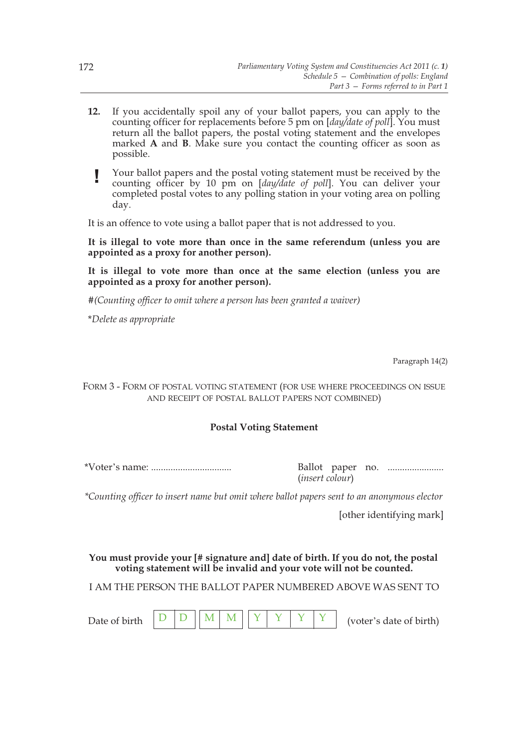- **12.** If you accidentally spoil any of your ballot papers, you can apply to the counting officer for replacements before 5 pm on [*day/date of poll*]. You must return all the ballot papers, the postal voting statement and the envelopes marked **A** and **B**. Make sure you contact the counting officer as soon as possible.
	- Your ballot papers and the postal voting statement must be received by the counting officer by 10 pm on [*day/date of poll*]. You can deliver your completed postal votes to any polling station in your voting area on polling day. **!**

It is an offence to vote using a ballot paper that is not addressed to you.

**It is illegal to vote more than once in the same referendum (unless you are appointed as a proxy for another person).**

**It is illegal to vote more than once at the same election (unless you are appointed as a proxy for another person).**

*#(Counting officer to omit where a person has been granted a waiver)*

\**Delete as appropriate*

Paragraph 14(2)

# FORM 3 - FORM OF POSTAL VOTING STATEMENT (FOR USE WHERE PROCEEDINGS ON ISSUE AND RECEIPT OF POSTAL BALLOT PAPERS NOT COMBINED)

# **Postal Voting Statement**

\*Voter's name: ................................. Ballot paper no. .......................

(*insert colour*)

*\*Counting officer to insert name but omit where ballot papers sent to an anonymous elector*

[other identifying mark]

# **You must provide your [# signature and] date of birth. If you do not, the postal voting statement will be invalid and your vote will not be counted.**

I AM THE PERSON THE BALLOT PAPER NUMBERED ABOVE WAS SENT TO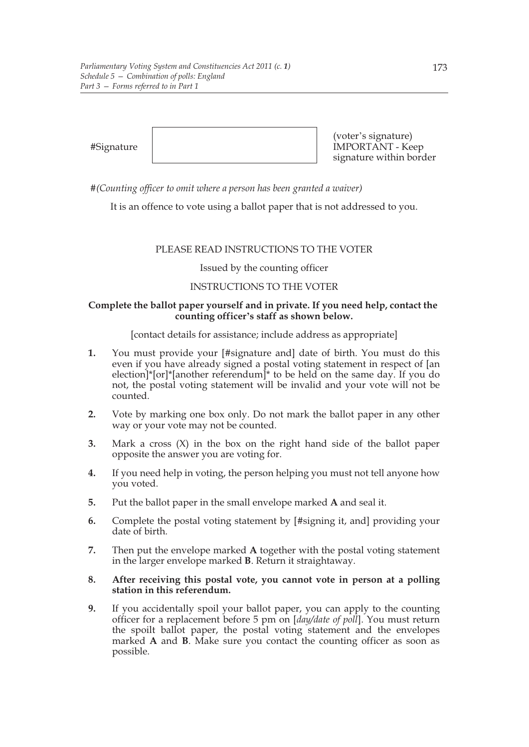#Signature (voter's signature) IMPORTANT - Keep signature within border

*#(Counting officer to omit where a person has been granted a waiver)*

It is an offence to vote using a ballot paper that is not addressed to you.

# PLEASE READ INSTRUCTIONS TO THE VOTER

### Issued by the counting officer

### INSTRUCTIONS TO THE VOTER

#### **Complete the ballot paper yourself and in private. If you need help, contact the counting officer's staff as shown below.**

### [contact details for assistance; include address as appropriate]

- **1.** You must provide your [#signature and] date of birth. You must do this even if you have already signed a postal voting statement in respect of [an election]\*[or]\*[another referendum]\* to be held on the same day. If you do not, the postal voting statement will be invalid and your vote will not be counted.
- **2.** Vote by marking one box only. Do not mark the ballot paper in any other way or your vote may not be counted.
- **3.** Mark a cross (X) in the box on the right hand side of the ballot paper opposite the answer you are voting for.
- **4.** If you need help in voting, the person helping you must not tell anyone how you voted.
- **5.** Put the ballot paper in the small envelope marked **A** and seal it.
- **6.** Complete the postal voting statement by [#signing it, and] providing your date of birth.
- **7.** Then put the envelope marked **A** together with the postal voting statement in the larger envelope marked **B**. Return it straightaway.

#### **8. After receiving this postal vote, you cannot vote in person at a polling station in this referendum.**

**9.** If you accidentally spoil your ballot paper, you can apply to the counting officer for a replacement before 5 pm on [*day/date of poll*]. You must return the spoilt ballot paper, the postal voting statement and the envelopes marked **A** and **B**. Make sure you contact the counting officer as soon as possible.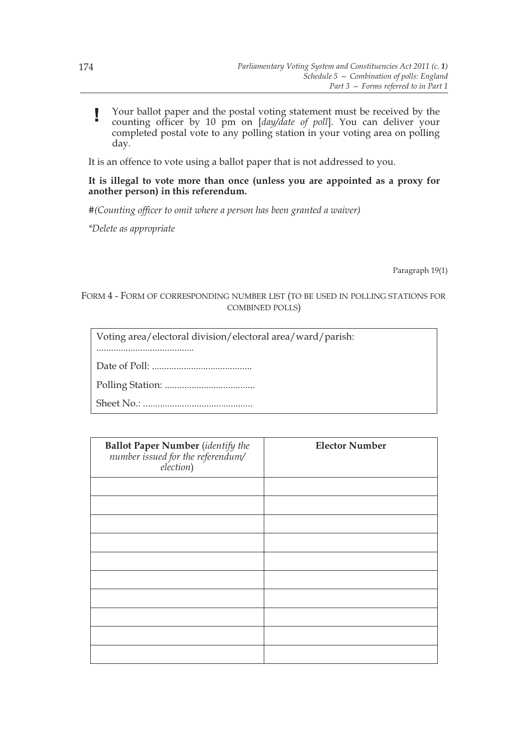Your ballot paper and the postal voting statement must be received by the counting officer by 10 pm on [*day/date of poll*]. You can deliver your completed postal vote to any polling station in your voting area on polling day. **!**

It is an offence to vote using a ballot paper that is not addressed to you.

# **It is illegal to vote more than once (unless you are appointed as a proxy for another person) in this referendum.**

*#(Counting officer to omit where a person has been granted a waiver)*

*\*Delete as appropriate*

Paragraph 19(1)

# FORM 4 - FORM OF CORRESPONDING NUMBER LIST (TO BE USED IN POLLING STATIONS FOR COMBINED POLLS)

| Voting area/electoral division/electoral area/ward/parish: |  |
|------------------------------------------------------------|--|
|                                                            |  |
|                                                            |  |
|                                                            |  |
|                                                            |  |

| <b>Ballot Paper Number</b> (identify the number issued for the referendum/<br>election) | <b>Elector Number</b> |
|-----------------------------------------------------------------------------------------|-----------------------|
|                                                                                         |                       |
|                                                                                         |                       |
|                                                                                         |                       |
|                                                                                         |                       |
|                                                                                         |                       |
|                                                                                         |                       |
|                                                                                         |                       |
|                                                                                         |                       |
|                                                                                         |                       |
|                                                                                         |                       |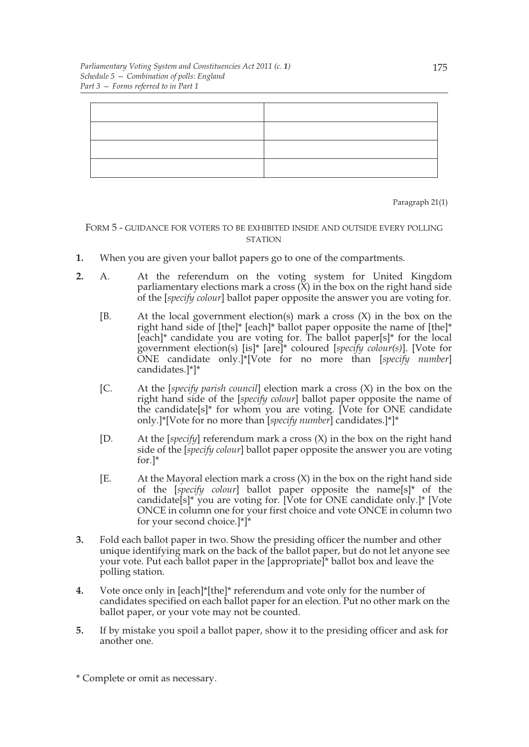Paragraph 21(1)

## FORM 5 - GUIDANCE FOR VOTERS TO BE EXHIBITED INSIDE AND OUTSIDE EVERY POLLING **STATION**

- **1.** When you are given your ballot papers go to one of the compartments.
- **2.** A. At the referendum on the voting system for United Kingdom parliamentary elections mark a cross  $(X)$  in the box on the right hand side of the [*specify colour*] ballot paper opposite the answer you are voting for.
	- [B. At the local government election(s) mark a cross (X) in the box on the right hand side of [the]\* [each]\* ballot paper opposite the name of [the]\* [each]\* candidate you are voting for. The ballot paper[s]\* for the local government election(s) [is]\* [are]\* coloured [*specify colour(s)*]. [Vote for ONE candidate only.]\*[Vote for no more than [*specify number*] candidates.]\*]\*
	- [C. At the [*specify parish council*] election mark a cross (X) in the box on the right hand side of the [*specify colour*] ballot paper opposite the name of the candidate $[s]^*$  for whom you are voting. [Vote for ONE candidate only.]\*[Vote for no more than [*specify number*] candidates.]\*]\*
	- [D. At the [*specify*] referendum mark a cross (X) in the box on the right hand side of the [*specify colour*] ballot paper opposite the answer you are voting for.]\*
	- [E. At the Mayoral election mark a cross (X) in the box on the right hand side of the [*specify colour*] ballot paper opposite the name[s]\* of the candidate[s]\* you are voting for. [Vote for ONE candidate only.]\* [Vote ONCE in column one for your first choice and vote ONCE in column two for your second choice.]\*]\*
- **3.** Fold each ballot paper in two. Show the presiding officer the number and other unique identifying mark on the back of the ballot paper, but do not let anyone see your vote. Put each ballot paper in the [appropriate]\* ballot box and leave the polling station.
- **4.** Vote once only in [each]\*[the]\* referendum and vote only for the number of candidates specified on each ballot paper for an election. Put no other mark on the ballot paper, or your vote may not be counted.
- **5.** If by mistake you spoil a ballot paper, show it to the presiding officer and ask for another one.

\* Complete or omit as necessary.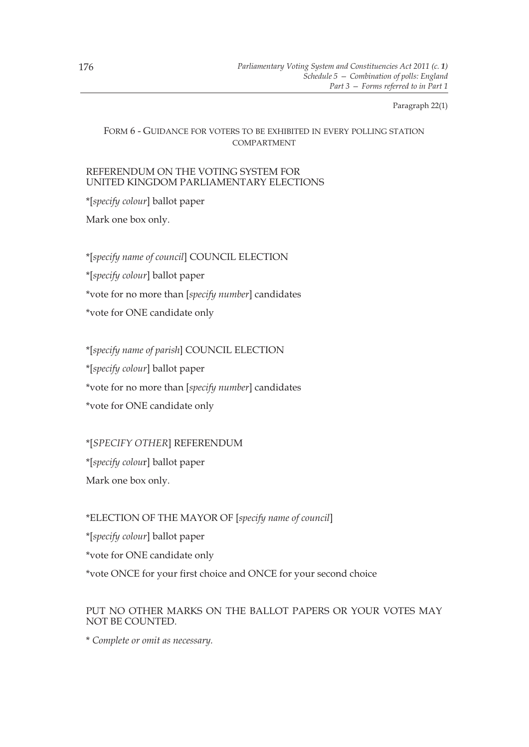#### Paragraph 22(1)

# FORM 6 - GUIDANCE FOR VOTERS TO BE EXHIBITED IN EVERY POLLING STATION COMPARTMENT

# REFERENDUM ON THE VOTING SYSTEM FOR UNITED KINGDOM PARLIAMENTARY ELECTIONS

\*[*specify colour*] ballot paper

Mark one box only.

\*[*specify name of council*] COUNCIL ELECTION \*[*specify colour*] ballot paper \*vote for no more than [*specify number*] candidates \*vote for ONE candidate only

\*[*specify name of parish*] COUNCIL ELECTION \*[*specify colour*] ballot paper \*vote for no more than [*specify number*] candidates \*vote for ONE candidate only

\*[*SPECIFY OTHER*] REFERENDUM

\*[*specify colou*r] ballot paper

Mark one box only.

\*ELECTION OF THE MAYOR OF [*specify name of council*]

\*[*specify colour*] ballot paper

\*vote for ONE candidate only

\*vote ONCE for your first choice and ONCE for your second choice

# PUT NO OTHER MARKS ON THE BALLOT PAPERS OR YOUR VOTES MAY NOT BE COUNTED.

\* *Complete or omit as necessary.*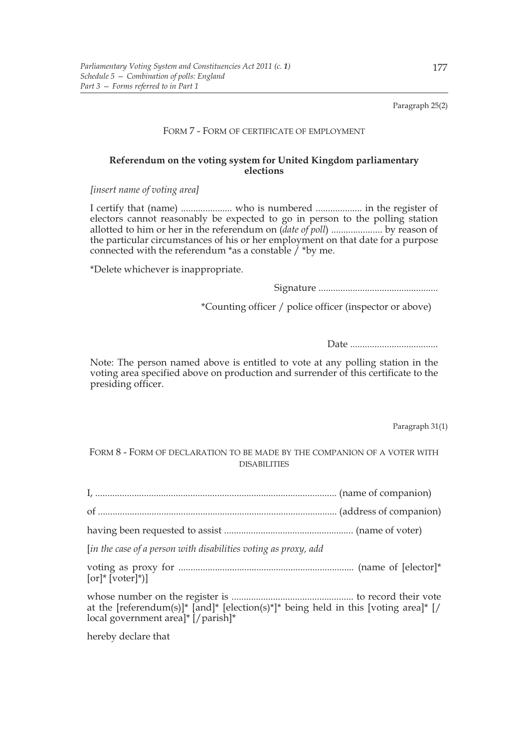Paragraph 25(2)

# FORM 7 - FORM OF CERTIFICATE OF EMPLOYMENT

# **Referendum on the voting system for United Kingdom parliamentary elections**

*[insert name of voting area]*

I certify that (name) ..................... who is numbered ................... in the register of electors cannot reasonably be expected to go in person to the polling station allotted to him or her in the referendum on (*date of poll*) ..................... by reason of the particular circumstances of his or her employment on that date for a purpose connected with the referendum \*as a constable  $\dot{}/$  \*by me.

\*Delete whichever is inappropriate.

Signature .................................................

\*Counting officer / police officer (inspector or above)

Date ....................................

Note: The person named above is entitled to vote at any polling station in the voting area specified above on production and surrender of this certificate to the presiding officer.

Paragraph 31(1)

FORM 8 - FORM OF DECLARATION TO BE MADE BY THE COMPANION OF A VOTER WITH DISABILITIES

I, ................................................................................................... (name of companion) of .................................................................................................. (address of companion) having been requested to assist ..................................................... (name of voter) [*in the case of a person with disabilities voting as proxy, add* voting as proxy for ........................................................................ (name of [elector]\*  $[or]$ <sup>\*</sup>  $[voter]$ <sup>\*</sup>)] whose number on the register is .................................................. to record their vote at the [referendum(s)]\* [and]\* [election(s)\*]\* being held in this [voting area]\* [/ local government area]\* [/parish]\*

hereby declare that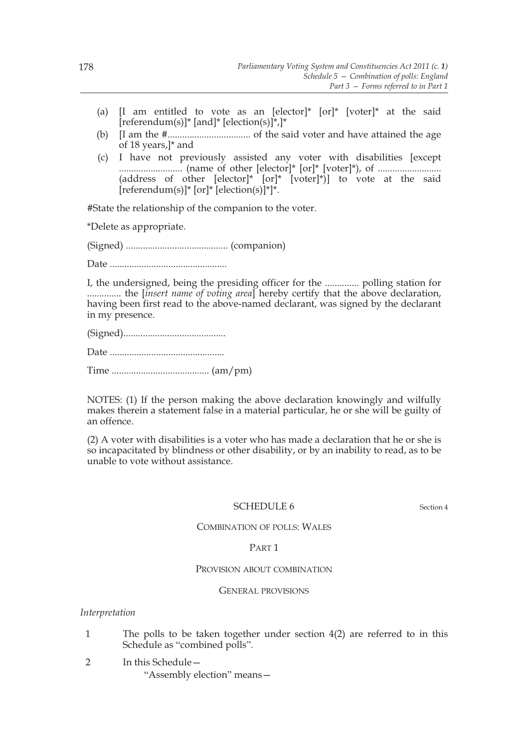- (a) [I am entitled to vote as an [elector]\*  $\lceil \text{or} \rceil^*$  [voter]\* at the said  $[referendum(s)]^*$  [and]\* [election(s)] $^*$ ,]\*
- (b) [I am the #.................................. of the said voter and have attained the age of 18 years,]\* and
- (c) I have not previously assisted any voter with disabilities [except .......................... (name of other [elector]\* [or]\* [voter]\*), of .......................... (address of other [elector]\* [or]\* [voter]\*)] to vote at the said  $[referendum(s)]^*$   $[or]^*$   $[electron(s)]^*$ ]\*.

#State the relationship of the companion to the voter.

\*Delete as appropriate.

(Signed) .......................................... (companion)

Date ................................................

I, the undersigned, being the presiding officer for the .............. polling station for .............. the [*insert name of voting area*] hereby certify that the above declaration, having been first read to the above-named declarant, was signed by the declarant in my presence.

NOTES: (1) If the person making the above declaration knowingly and wilfully makes therein a statement false in a material particular, he or she will be guilty of an offence.

(2) A voter with disabilities is a voter who has made a declaration that he or she is so incapacitated by blindness or other disability, or by an inability to read, as to be unable to vote without assistance.

#### SCHEDULE 6 Section 4

#### COMBINATION OF POLLS: WALES

## PART 1

#### PROVISION ABOUT COMBINATION

#### GENERAL PROVISIONS

#### *Interpretation*

- 1 The polls to be taken together under section 4(2) are referred to in this Schedule as "combined polls".
- 2 In this Schedule— "Assembly election" means—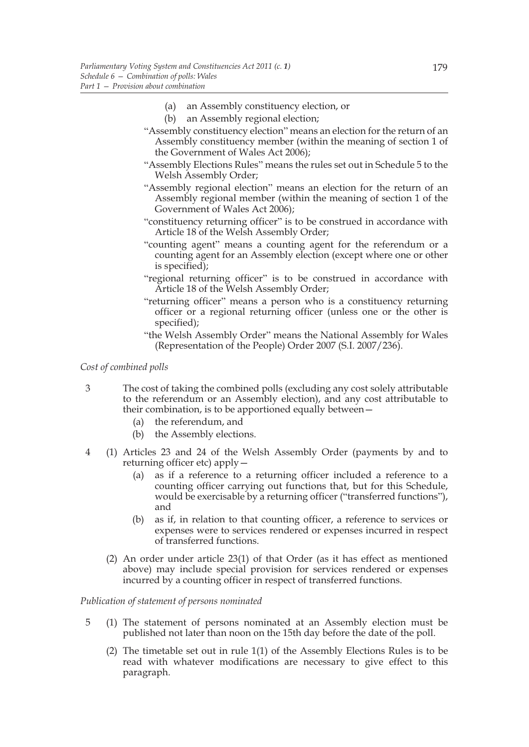- (a) an Assembly constituency election, or
- (b) an Assembly regional election;
- "Assembly constituency election" means an election for the return of an Assembly constituency member (within the meaning of section 1 of the Government of Wales Act 2006);
- "Assembly Elections Rules" means the rules set out in Schedule 5 to the Welsh Assembly Order;
- "Assembly regional election" means an election for the return of an Assembly regional member (within the meaning of section 1 of the Government of Wales Act 2006);
- "constituency returning officer" is to be construed in accordance with Article 18 of the Welsh Assembly Order;
- "counting agent" means a counting agent for the referendum or a counting agent for an Assembly election (except where one or other is specified);
- "regional returning officer" is to be construed in accordance with Article 18 of the Welsh Assembly Order;
- "returning officer" means a person who is a constituency returning officer or a regional returning officer (unless one or the other is specified);
- "the Welsh Assembly Order" means the National Assembly for Wales (Representation of the People) Order 2007 (S.I. 2007/236).

## *Cost of combined polls*

- 3 The cost of taking the combined polls (excluding any cost solely attributable to the referendum or an Assembly election), and any cost attributable to their combination, is to be apportioned equally between—
	- (a) the referendum, and
	- (b) the Assembly elections.
- 4 (1) Articles 23 and 24 of the Welsh Assembly Order (payments by and to returning officer etc) apply—
	- (a) as if a reference to a returning officer included a reference to a counting officer carrying out functions that, but for this Schedule, would be exercisable by a returning officer ("transferred functions"), and
	- (b) as if, in relation to that counting officer, a reference to services or expenses were to services rendered or expenses incurred in respect of transferred functions.
	- (2) An order under article 23(1) of that Order (as it has effect as mentioned above) may include special provision for services rendered or expenses incurred by a counting officer in respect of transferred functions.

#### *Publication of statement of persons nominated*

- 5 (1) The statement of persons nominated at an Assembly election must be published not later than noon on the 15th day before the date of the poll.
	- (2) The timetable set out in rule 1(1) of the Assembly Elections Rules is to be read with whatever modifications are necessary to give effect to this paragraph.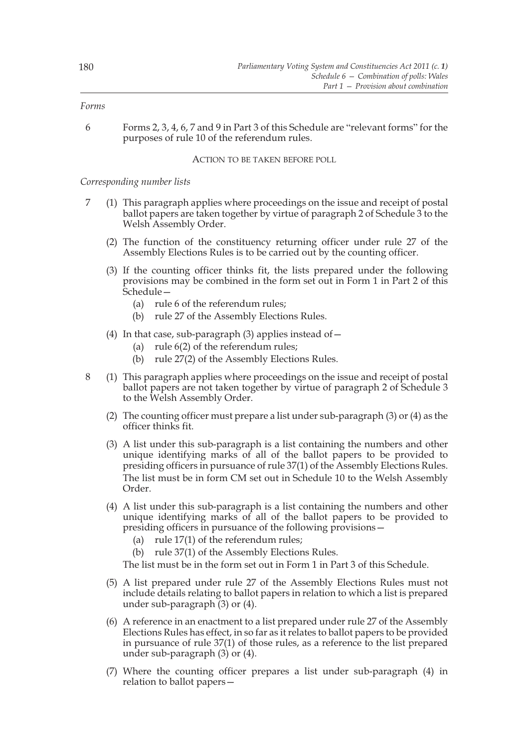#### *Forms*

6 Forms 2, 3, 4, 6, 7 and 9 in Part 3 of this Schedule are "relevant forms" for the purposes of rule 10 of the referendum rules.

#### ACTION TO BE TAKEN BEFORE POLL

#### *Corresponding number lists*

- 7 (1) This paragraph applies where proceedings on the issue and receipt of postal ballot papers are taken together by virtue of paragraph 2 of Schedule 3 to the Welsh Assembly Order.
	- (2) The function of the constituency returning officer under rule 27 of the Assembly Elections Rules is to be carried out by the counting officer.
	- (3) If the counting officer thinks fit, the lists prepared under the following provisions may be combined in the form set out in Form 1 in Part 2 of this Schedule—
		- (a) rule 6 of the referendum rules;
		- (b) rule 27 of the Assembly Elections Rules.
	- (4) In that case, sub-paragraph  $(3)$  applies instead of  $-$ 
		- (a) rule 6(2) of the referendum rules;
		- (b) rule 27(2) of the Assembly Elections Rules.
- 8 (1) This paragraph applies where proceedings on the issue and receipt of postal ballot papers are not taken together by virtue of paragraph 2 of Schedule 3 to the Welsh Assembly Order.
	- (2) The counting officer must prepare a list under sub-paragraph (3) or (4) as the officer thinks fit.
	- (3) A list under this sub-paragraph is a list containing the numbers and other unique identifying marks of all of the ballot papers to be provided to presiding officers in pursuance of rule 37(1) of the Assembly Elections Rules. The list must be in form CM set out in Schedule 10 to the Welsh Assembly Order.
	- (4) A list under this sub-paragraph is a list containing the numbers and other unique identifying marks of all of the ballot papers to be provided to presiding officers in pursuance of the following provisions—
		- (a) rule 17(1) of the referendum rules;
		- (b) rule 37(1) of the Assembly Elections Rules.

The list must be in the form set out in Form 1 in Part 3 of this Schedule.

- (5) A list prepared under rule 27 of the Assembly Elections Rules must not include details relating to ballot papers in relation to which a list is prepared under sub-paragraph (3) or (4).
- (6) A reference in an enactment to a list prepared under rule 27 of the Assembly Elections Rules has effect, in so far as it relates to ballot papers to be provided in pursuance of rule 37(1) of those rules, as a reference to the list prepared under sub-paragraph (3) or (4).
- (7) Where the counting officer prepares a list under sub-paragraph (4) in relation to ballot papers—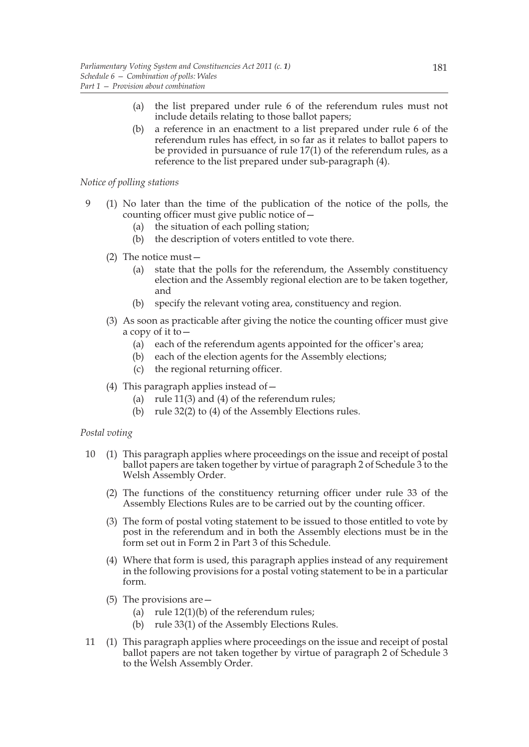- (a) the list prepared under rule 6 of the referendum rules must not include details relating to those ballot papers;
- (b) a reference in an enactment to a list prepared under rule 6 of the referendum rules has effect, in so far as it relates to ballot papers to be provided in pursuance of rule 17(1) of the referendum rules, as a reference to the list prepared under sub-paragraph (4).

## *Notice of polling stations*

- 9 (1) No later than the time of the publication of the notice of the polls, the counting officer must give public notice of—
	- (a) the situation of each polling station;
	- (b) the description of voters entitled to vote there.
	- (2) The notice must—
		- (a) state that the polls for the referendum, the Assembly constituency election and the Assembly regional election are to be taken together, and
		- (b) specify the relevant voting area, constituency and region.
	- (3) As soon as practicable after giving the notice the counting officer must give a copy of it to—
		- (a) each of the referendum agents appointed for the officer's area;
		- (b) each of the election agents for the Assembly elections;
		- (c) the regional returning officer.
	- (4) This paragraph applies instead of  $-$ 
		- (a) rule  $11(3)$  and  $(4)$  of the referendum rules;
		- (b) rule 32(2) to (4) of the Assembly Elections rules.

#### *Postal voting*

- 10 (1) This paragraph applies where proceedings on the issue and receipt of postal ballot papers are taken together by virtue of paragraph 2 of Schedule 3 to the Welsh Assembly Order.
	- (2) The functions of the constituency returning officer under rule 33 of the Assembly Elections Rules are to be carried out by the counting officer.
	- (3) The form of postal voting statement to be issued to those entitled to vote by post in the referendum and in both the Assembly elections must be in the form set out in Form 2 in Part 3 of this Schedule.
	- (4) Where that form is used, this paragraph applies instead of any requirement in the following provisions for a postal voting statement to be in a particular form.
	- (5) The provisions are—
		- (a) rule 12(1)(b) of the referendum rules;
		- (b) rule 33(1) of the Assembly Elections Rules.
- 11 (1) This paragraph applies where proceedings on the issue and receipt of postal ballot papers are not taken together by virtue of paragraph 2 of Schedule 3 to the Welsh Assembly Order.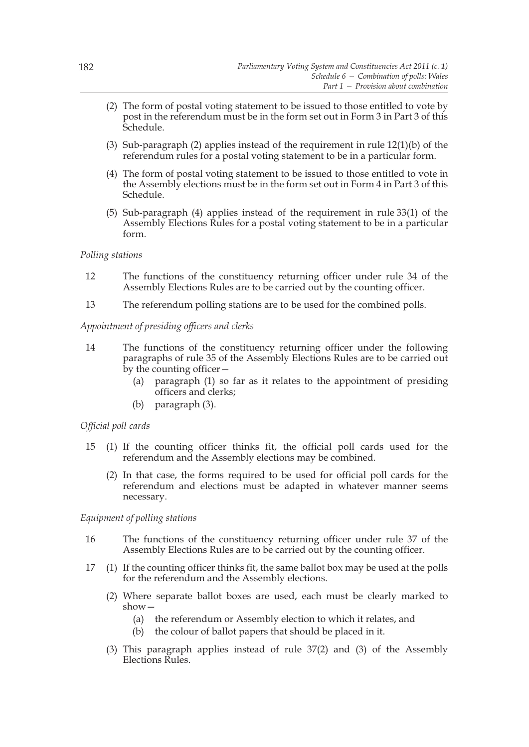- (2) The form of postal voting statement to be issued to those entitled to vote by post in the referendum must be in the form set out in Form 3 in Part 3 of this Schedule.
- (3) Sub-paragraph (2) applies instead of the requirement in rule 12(1)(b) of the referendum rules for a postal voting statement to be in a particular form.
- (4) The form of postal voting statement to be issued to those entitled to vote in the Assembly elections must be in the form set out in Form 4 in Part 3 of this Schedule.
- (5) Sub-paragraph (4) applies instead of the requirement in rule 33(1) of the Assembly Elections Rules for a postal voting statement to be in a particular form.

## *Polling stations*

- 12 The functions of the constituency returning officer under rule 34 of the Assembly Elections Rules are to be carried out by the counting officer.
- 13 The referendum polling stations are to be used for the combined polls.

## *Appointment of presiding officers and clerks*

- 14 The functions of the constituency returning officer under the following paragraphs of rule 35 of the Assembly Elections Rules are to be carried out by the counting officer—
	- (a) paragraph (1) so far as it relates to the appointment of presiding officers and clerks;
	- (b) paragraph (3).

## *Official poll cards*

- 15 (1) If the counting officer thinks fit, the official poll cards used for the referendum and the Assembly elections may be combined.
	- (2) In that case, the forms required to be used for official poll cards for the referendum and elections must be adapted in whatever manner seems necessary.

*Equipment of polling stations* 

- 16 The functions of the constituency returning officer under rule 37 of the Assembly Elections Rules are to be carried out by the counting officer.
- 17 (1) If the counting officer thinks fit, the same ballot box may be used at the polls for the referendum and the Assembly elections.
	- (2) Where separate ballot boxes are used, each must be clearly marked to show—
		- (a) the referendum or Assembly election to which it relates, and
		- (b) the colour of ballot papers that should be placed in it.
	- (3) This paragraph applies instead of rule 37(2) and (3) of the Assembly Elections Rules.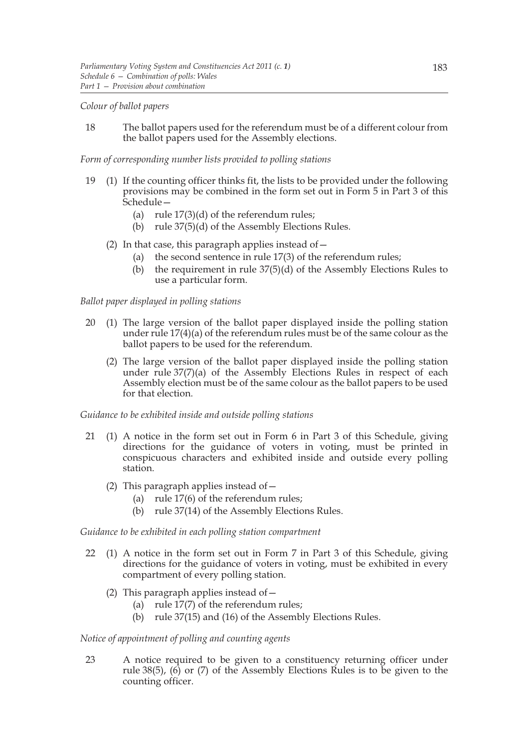#### *Colour of ballot papers*

18 The ballot papers used for the referendum must be of a different colour from the ballot papers used for the Assembly elections.

*Form of corresponding number lists provided to polling stations*

- 19 (1) If the counting officer thinks fit, the lists to be provided under the following provisions may be combined in the form set out in Form 5 in Part 3 of this Schedule—
	- (a) rule 17(3)(d) of the referendum rules;
	- (b) rule 37(5)(d) of the Assembly Elections Rules.
	- (2) In that case, this paragraph applies instead of  $-$ 
		- (a) the second sentence in rule 17(3) of the referendum rules;
		- (b) the requirement in rule 37(5)(d) of the Assembly Elections Rules to use a particular form.

*Ballot paper displayed in polling stations*

- 20 (1) The large version of the ballot paper displayed inside the polling station under rule 17(4)(a) of the referendum rules must be of the same colour as the ballot papers to be used for the referendum.
	- (2) The large version of the ballot paper displayed inside the polling station under rule 37(7)(a) of the Assembly Elections Rules in respect of each Assembly election must be of the same colour as the ballot papers to be used for that election.

*Guidance to be exhibited inside and outside polling stations*

- 21 (1) A notice in the form set out in Form 6 in Part 3 of this Schedule, giving directions for the guidance of voters in voting, must be printed in conspicuous characters and exhibited inside and outside every polling station.
	- (2) This paragraph applies instead of  $-$ 
		- (a) rule 17(6) of the referendum rules;
		- (b) rule 37(14) of the Assembly Elections Rules.

*Guidance to be exhibited in each polling station compartment*

- 22 (1) A notice in the form set out in Form 7 in Part 3 of this Schedule, giving directions for the guidance of voters in voting, must be exhibited in every compartment of every polling station.
	- (2) This paragraph applies instead of  $-$ 
		- (a) rule 17(7) of the referendum rules;
		- (b) rule 37(15) and (16) of the Assembly Elections Rules.

# *Notice of appointment of polling and counting agents*

23 A notice required to be given to a constituency returning officer under rule  $38(5)$ ,  $(6)$  or  $(7)$  of the Assembly Elections Rules is to be given to the counting officer.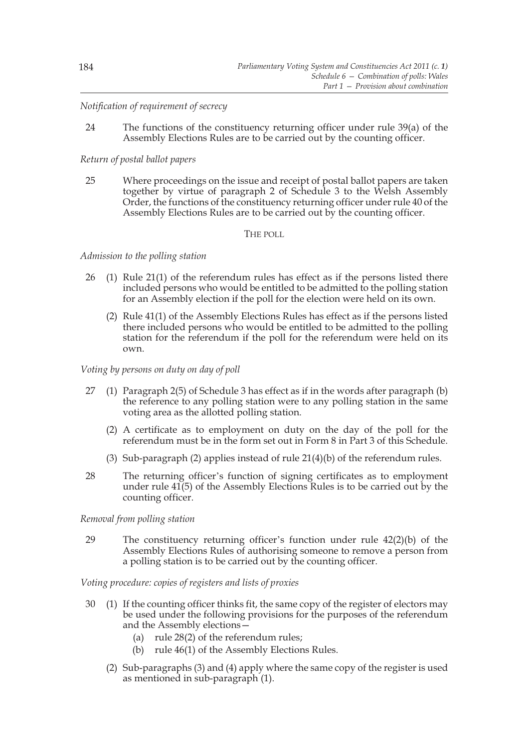# *Notification of requirement of secrecy*

24 The functions of the constituency returning officer under rule 39(a) of the Assembly Elections Rules are to be carried out by the counting officer.

## *Return of postal ballot papers*

25 Where proceedings on the issue and receipt of postal ballot papers are taken together by virtue of paragraph 2 of Schedule 3 to the Welsh Assembly Order, the functions of the constituency returning officer under rule 40 of the Assembly Elections Rules are to be carried out by the counting officer.

#### THE POLL

#### *Admission to the polling station*

- 26 (1) Rule 21(1) of the referendum rules has effect as if the persons listed there included persons who would be entitled to be admitted to the polling station for an Assembly election if the poll for the election were held on its own.
	- (2) Rule 41(1) of the Assembly Elections Rules has effect as if the persons listed there included persons who would be entitled to be admitted to the polling station for the referendum if the poll for the referendum were held on its own.

## *Voting by persons on duty on day of poll*

- 27 (1) Paragraph 2(5) of Schedule 3 has effect as if in the words after paragraph (b) the reference to any polling station were to any polling station in the same voting area as the allotted polling station.
	- (2) A certificate as to employment on duty on the day of the poll for the referendum must be in the form set out in Form 8 in Part 3 of this Schedule.
	- (3) Sub-paragraph (2) applies instead of rule 21(4)(b) of the referendum rules.
- 28 The returning officer's function of signing certificates as to employment under rule 41(5) of the Assembly Elections Rules is to be carried out by the counting officer.

*Removal from polling station*

29 The constituency returning officer's function under rule  $42(2)(b)$  of the Assembly Elections Rules of authorising someone to remove a person from a polling station is to be carried out by the counting officer.

#### *Voting procedure: copies of registers and lists of proxies*

- 30 (1) If the counting officer thinks fit, the same copy of the register of electors may be used under the following provisions for the purposes of the referendum and the Assembly elections—
	- (a) rule 28(2) of the referendum rules;
	- (b) rule 46(1) of the Assembly Elections Rules.
	- (2) Sub-paragraphs (3) and (4) apply where the same copy of the register is used as mentioned in sub-paragraph (1).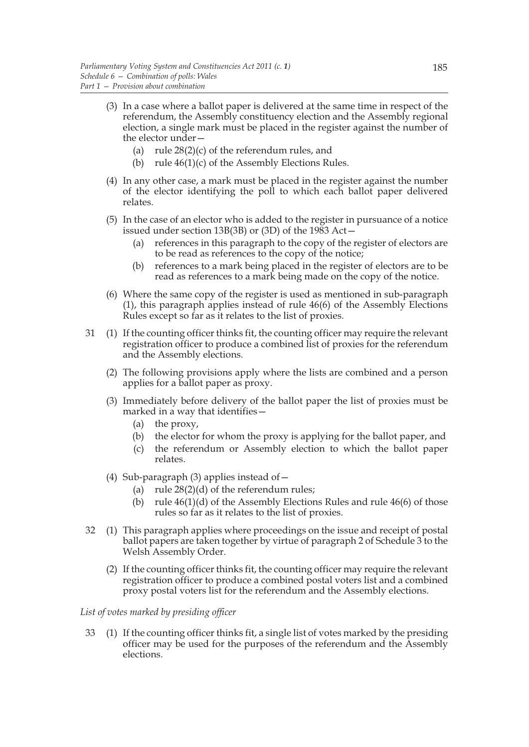- (3) In a case where a ballot paper is delivered at the same time in respect of the referendum, the Assembly constituency election and the Assembly regional election, a single mark must be placed in the register against the number of the elector under—
	- (a) rule 28(2)(c) of the referendum rules, and
	- (b) rule 46(1)(c) of the Assembly Elections Rules.
- (4) In any other case, a mark must be placed in the register against the number of the elector identifying the poll to which each ballot paper delivered relates.
- (5) In the case of an elector who is added to the register in pursuance of a notice issued under section 13B(3B) or (3D) of the 1983 Act—
	- (a) references in this paragraph to the copy of the register of electors are to be read as references to the copy of the notice;
	- (b) references to a mark being placed in the register of electors are to be read as references to a mark being made on the copy of the notice.
- (6) Where the same copy of the register is used as mentioned in sub-paragraph (1), this paragraph applies instead of rule 46(6) of the Assembly Elections Rules except so far as it relates to the list of proxies.
- 31 (1) If the counting officer thinks fit, the counting officer may require the relevant registration officer to produce a combined list of proxies for the referendum and the Assembly elections.
	- (2) The following provisions apply where the lists are combined and a person applies for a ballot paper as proxy.
	- (3) Immediately before delivery of the ballot paper the list of proxies must be marked in a way that identifies—
		- (a) the proxy,
		- (b) the elector for whom the proxy is applying for the ballot paper, and
		- (c) the referendum or Assembly election to which the ballot paper relates.
	- (4) Sub-paragraph (3) applies instead of  $-$ 
		- (a) rule  $28(2)(d)$  of the referendum rules;
		- (b) rule  $46(1)(d)$  of the Assembly Elections Rules and rule  $46(6)$  of those rules so far as it relates to the list of proxies.
- 32 (1) This paragraph applies where proceedings on the issue and receipt of postal ballot papers are taken together by virtue of paragraph 2 of Schedule 3 to the Welsh Assembly Order.
	- (2) If the counting officer thinks fit, the counting officer may require the relevant registration officer to produce a combined postal voters list and a combined proxy postal voters list for the referendum and the Assembly elections.

## *List of votes marked by presiding officer*

33 (1) If the counting officer thinks fit, a single list of votes marked by the presiding officer may be used for the purposes of the referendum and the Assembly elections.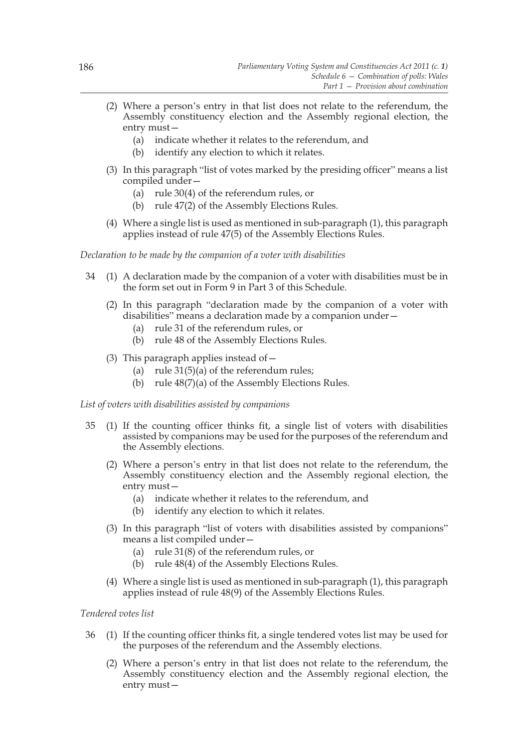- (2) Where a person's entry in that list does not relate to the referendum, the Assembly constituency election and the Assembly regional election, the entry must—
	- (a) indicate whether it relates to the referendum, and
	- (b) identify any election to which it relates.
- (3) In this paragraph "list of votes marked by the presiding officer" means a list compiled under—
	- (a) rule 30(4) of the referendum rules, or
	- (b) rule 47(2) of the Assembly Elections Rules.
- (4) Where a single list is used as mentioned in sub-paragraph (1), this paragraph applies instead of rule 47(5) of the Assembly Elections Rules.

*Declaration to be made by the companion of a voter with disabilities*

- 34 (1) A declaration made by the companion of a voter with disabilities must be in the form set out in Form 9 in Part 3 of this Schedule.
	- (2) In this paragraph "declaration made by the companion of a voter with disabilities" means a declaration made by a companion under—
		- (a) rule 31 of the referendum rules, or
		- (b) rule 48 of the Assembly Elections Rules.
	- (3) This paragraph applies instead of  $-$ 
		- (a) rule  $31(5)$ (a) of the referendum rules;
		- (b) rule 48(7)(a) of the Assembly Elections Rules.

*List of voters with disabilities assisted by companions*

- 35 (1) If the counting officer thinks fit, a single list of voters with disabilities assisted by companions may be used for the purposes of the referendum and the Assembly elections.
	- (2) Where a person's entry in that list does not relate to the referendum, the Assembly constituency election and the Assembly regional election, the entry must—
		- (a) indicate whether it relates to the referendum, and
		- (b) identify any election to which it relates.
	- (3) In this paragraph "list of voters with disabilities assisted by companions" means a list compiled under—
		- (a) rule 31(8) of the referendum rules, or
		- (b) rule 48(4) of the Assembly Elections Rules.
	- (4) Where a single list is used as mentioned in sub-paragraph (1), this paragraph applies instead of rule 48(9) of the Assembly Elections Rules.

## *Tendered votes list*

- 36 (1) If the counting officer thinks fit, a single tendered votes list may be used for the purposes of the referendum and the Assembly elections.
	- (2) Where a person's entry in that list does not relate to the referendum, the Assembly constituency election and the Assembly regional election, the entry must—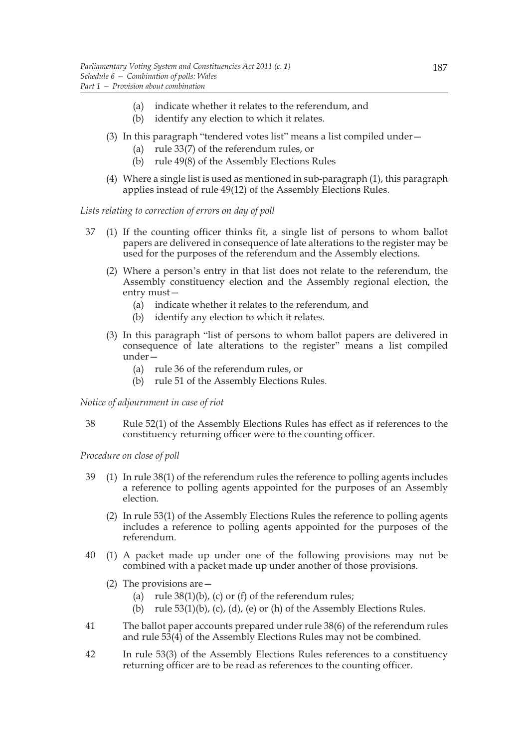- (a) indicate whether it relates to the referendum, and
- (b) identify any election to which it relates.
- (3) In this paragraph "tendered votes list" means a list compiled under—
	- (a) rule 33(7) of the referendum rules, or
	- (b) rule 49(8) of the Assembly Elections Rules
- (4) Where a single list is used as mentioned in sub-paragraph (1), this paragraph applies instead of rule 49(12) of the Assembly Elections Rules.

*Lists relating to correction of errors on day of poll*

- 37 (1) If the counting officer thinks fit, a single list of persons to whom ballot papers are delivered in consequence of late alterations to the register may be used for the purposes of the referendum and the Assembly elections.
	- (2) Where a person's entry in that list does not relate to the referendum, the Assembly constituency election and the Assembly regional election, the entry must—
		- (a) indicate whether it relates to the referendum, and
		- (b) identify any election to which it relates.
	- (3) In this paragraph "list of persons to whom ballot papers are delivered in consequence of late alterations to the register" means a list compiled under—
		- (a) rule 36 of the referendum rules, or
		- (b) rule 51 of the Assembly Elections Rules.

*Notice of adjournment in case of riot*

38 Rule 52(1) of the Assembly Elections Rules has effect as if references to the constituency returning officer were to the counting officer.

*Procedure on close of poll*

- 39 (1) In rule 38(1) of the referendum rules the reference to polling agents includes a reference to polling agents appointed for the purposes of an Assembly election.
	- (2) In rule 53(1) of the Assembly Elections Rules the reference to polling agents includes a reference to polling agents appointed for the purposes of the referendum.
- 40 (1) A packet made up under one of the following provisions may not be combined with a packet made up under another of those provisions.
	- (2) The provisions are—
		- (a) rule  $38(1)(b)$ , (c) or (f) of the referendum rules;
		- (b) rule 53(1)(b), (c), (d), (e) or (h) of the Assembly Elections Rules.
- 41 The ballot paper accounts prepared under rule 38(6) of the referendum rules and rule  $53(4)$  of the Assembly Elections Rules may not be combined.
- 42 In rule 53(3) of the Assembly Elections Rules references to a constituency returning officer are to be read as references to the counting officer.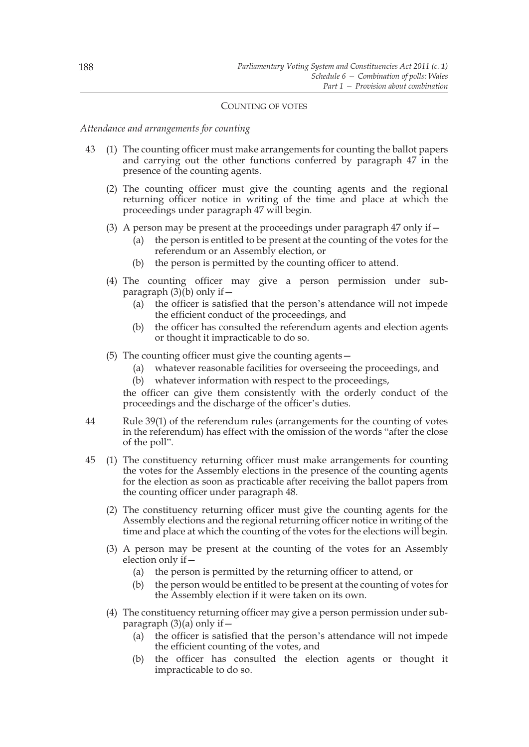#### COUNTING OF VOTES

*Attendance and arrangements for counting*

- 43 (1) The counting officer must make arrangements for counting the ballot papers and carrying out the other functions conferred by paragraph 47 in the presence of the counting agents.
	- (2) The counting officer must give the counting agents and the regional returning officer notice in writing of the time and place at which the proceedings under paragraph 47 will begin.
	- (3) A person may be present at the proceedings under paragraph 47 only if—
		- (a) the person is entitled to be present at the counting of the votes for the referendum or an Assembly election, or
		- (b) the person is permitted by the counting officer to attend.
	- (4) The counting officer may give a person permission under subparagraph  $(3)(b)$  only if  $-$ 
		- (a) the officer is satisfied that the person's attendance will not impede the efficient conduct of the proceedings, and
		- (b) the officer has consulted the referendum agents and election agents or thought it impracticable to do so.
	- (5) The counting officer must give the counting agents—
		- (a) whatever reasonable facilities for overseeing the proceedings, and
		- (b) whatever information with respect to the proceedings,

the officer can give them consistently with the orderly conduct of the proceedings and the discharge of the officer's duties.

- 44 Rule 39(1) of the referendum rules (arrangements for the counting of votes in the referendum) has effect with the omission of the words "after the close of the poll".
- 45 (1) The constituency returning officer must make arrangements for counting the votes for the Assembly elections in the presence of the counting agents for the election as soon as practicable after receiving the ballot papers from the counting officer under paragraph 48.
	- (2) The constituency returning officer must give the counting agents for the Assembly elections and the regional returning officer notice in writing of the time and place at which the counting of the votes for the elections will begin.
	- (3) A person may be present at the counting of the votes for an Assembly election only if—
		- (a) the person is permitted by the returning officer to attend, or
		- (b) the person would be entitled to be present at the counting of votes for the Assembly election if it were taken on its own.
	- (4) The constituency returning officer may give a person permission under subparagraph  $(3)(a)$  only if  $-$ 
		- (a) the officer is satisfied that the person's attendance will not impede the efficient counting of the votes, and
		- (b) the officer has consulted the election agents or thought it impracticable to do so.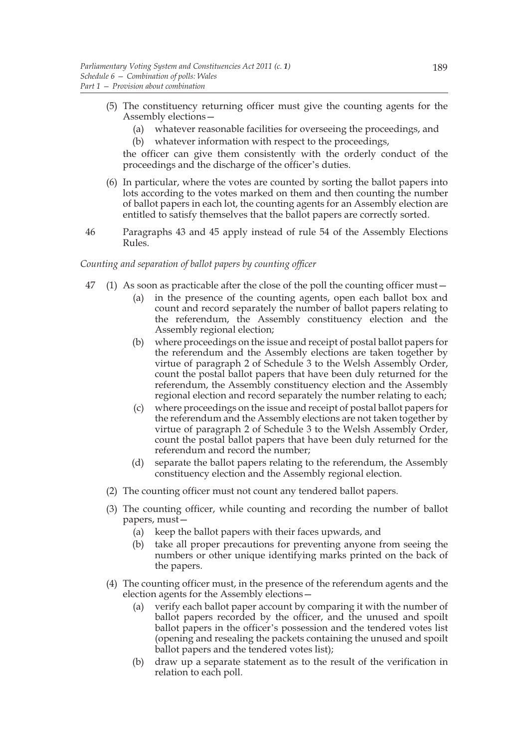- (5) The constituency returning officer must give the counting agents for the Assembly elections—
	- (a) whatever reasonable facilities for overseeing the proceedings, and
	- (b) whatever information with respect to the proceedings,

the officer can give them consistently with the orderly conduct of the proceedings and the discharge of the officer's duties.

- (6) In particular, where the votes are counted by sorting the ballot papers into lots according to the votes marked on them and then counting the number of ballot papers in each lot, the counting agents for an Assembly election are entitled to satisfy themselves that the ballot papers are correctly sorted.
- 46 Paragraphs 43 and 45 apply instead of rule 54 of the Assembly Elections Rules.

## *Counting and separation of ballot papers by counting officer*

- 47 (1) As soon as practicable after the close of the poll the counting officer must—
	- (a) in the presence of the counting agents, open each ballot box and count and record separately the number of ballot papers relating to the referendum, the Assembly constituency election and the Assembly regional election;
	- (b) where proceedings on the issue and receipt of postal ballot papers for the referendum and the Assembly elections are taken together by virtue of paragraph 2 of Schedule 3 to the Welsh Assembly Order, count the postal ballot papers that have been duly returned for the referendum, the Assembly constituency election and the Assembly regional election and record separately the number relating to each;
	- (c) where proceedings on the issue and receipt of postal ballot papers for the referendum and the Assembly elections are not taken together by virtue of paragraph 2 of Schedule 3 to the Welsh Assembly Order, count the postal ballot papers that have been duly returned for the referendum and record the number;
	- (d) separate the ballot papers relating to the referendum, the Assembly constituency election and the Assembly regional election.
	- (2) The counting officer must not count any tendered ballot papers.
	- (3) The counting officer, while counting and recording the number of ballot papers, must—
		- (a) keep the ballot papers with their faces upwards, and
		- (b) take all proper precautions for preventing anyone from seeing the numbers or other unique identifying marks printed on the back of the papers.
	- (4) The counting officer must, in the presence of the referendum agents and the election agents for the Assembly elections—
		- (a) verify each ballot paper account by comparing it with the number of ballot papers recorded by the officer, and the unused and spoilt ballot papers in the officer's possession and the tendered votes list (opening and resealing the packets containing the unused and spoilt ballot papers and the tendered votes list);
		- (b) draw up a separate statement as to the result of the verification in relation to each poll.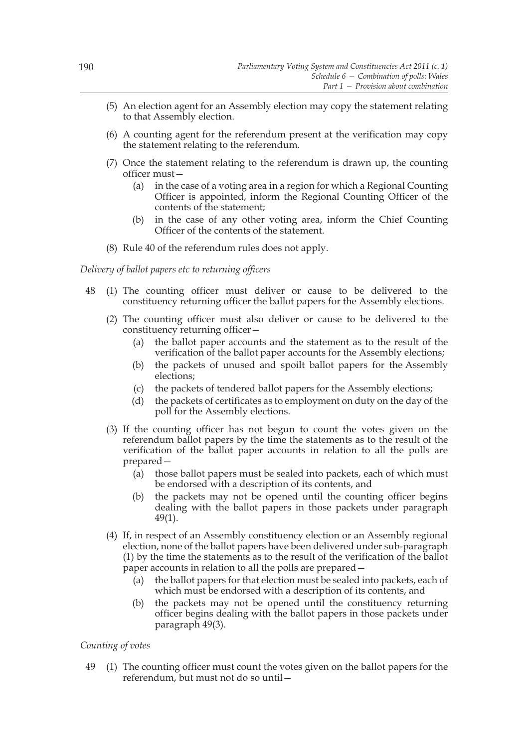- (5) An election agent for an Assembly election may copy the statement relating to that Assembly election.
- (6) A counting agent for the referendum present at the verification may copy the statement relating to the referendum.
- (7) Once the statement relating to the referendum is drawn up, the counting officer must—
	- (a) in the case of a voting area in a region for which a Regional Counting Officer is appointed, inform the Regional Counting Officer of the contents of the statement;
	- (b) in the case of any other voting area, inform the Chief Counting Officer of the contents of the statement.
- (8) Rule 40 of the referendum rules does not apply.

## *Delivery of ballot papers etc to returning officers*

- 48 (1) The counting officer must deliver or cause to be delivered to the constituency returning officer the ballot papers for the Assembly elections.
	- (2) The counting officer must also deliver or cause to be delivered to the constituency returning officer—
		- (a) the ballot paper accounts and the statement as to the result of the verification of the ballot paper accounts for the Assembly elections;
		- (b) the packets of unused and spoilt ballot papers for the Assembly elections;
		- (c) the packets of tendered ballot papers for the Assembly elections;
		- (d) the packets of certificates as to employment on duty on the day of the poll for the Assembly elections.
	- (3) If the counting officer has not begun to count the votes given on the referendum ballot papers by the time the statements as to the result of the verification of the ballot paper accounts in relation to all the polls are prepared—
		- (a) those ballot papers must be sealed into packets, each of which must be endorsed with a description of its contents, and
		- (b) the packets may not be opened until the counting officer begins dealing with the ballot papers in those packets under paragraph 49(1).
	- (4) If, in respect of an Assembly constituency election or an Assembly regional election, none of the ballot papers have been delivered under sub-paragraph (1) by the time the statements as to the result of the verification of the ballot paper accounts in relation to all the polls are prepared—
		- (a) the ballot papers for that election must be sealed into packets, each of which must be endorsed with a description of its contents, and
		- (b) the packets may not be opened until the constituency returning officer begins dealing with the ballot papers in those packets under paragraph 49(3).

## *Counting of votes*

49 (1) The counting officer must count the votes given on the ballot papers for the referendum, but must not do so until—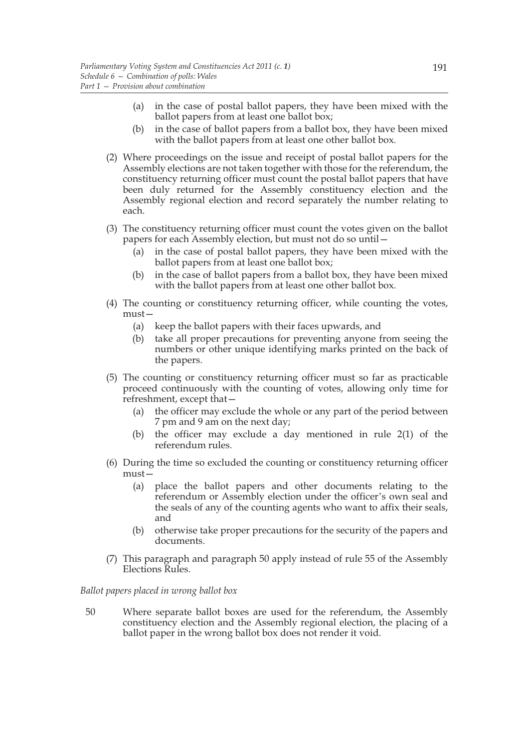- (a) in the case of postal ballot papers, they have been mixed with the ballot papers from at least one ballot box;
- (b) in the case of ballot papers from a ballot box, they have been mixed with the ballot papers from at least one other ballot box.
- (2) Where proceedings on the issue and receipt of postal ballot papers for the Assembly elections are not taken together with those for the referendum, the constituency returning officer must count the postal ballot papers that have been duly returned for the Assembly constituency election and the Assembly regional election and record separately the number relating to each.
- (3) The constituency returning officer must count the votes given on the ballot papers for each Assembly election, but must not do so until—
	- (a) in the case of postal ballot papers, they have been mixed with the ballot papers from at least one ballot box;
	- (b) in the case of ballot papers from a ballot box, they have been mixed with the ballot papers from at least one other ballot box.
- (4) The counting or constituency returning officer, while counting the votes, must—
	- (a) keep the ballot papers with their faces upwards, and
	- (b) take all proper precautions for preventing anyone from seeing the numbers or other unique identifying marks printed on the back of the papers.
- (5) The counting or constituency returning officer must so far as practicable proceed continuously with the counting of votes, allowing only time for refreshment, except that—
	- (a) the officer may exclude the whole or any part of the period between 7 pm and 9 am on the next day;
	- (b) the officer may exclude a day mentioned in rule 2(1) of the referendum rules.
- (6) During the time so excluded the counting or constituency returning officer must—
	- (a) place the ballot papers and other documents relating to the referendum or Assembly election under the officer's own seal and the seals of any of the counting agents who want to affix their seals, and
	- (b) otherwise take proper precautions for the security of the papers and documents.
- (7) This paragraph and paragraph 50 apply instead of rule 55 of the Assembly Elections Rules.

#### *Ballot papers placed in wrong ballot box*

50 Where separate ballot boxes are used for the referendum, the Assembly constituency election and the Assembly regional election, the placing of a ballot paper in the wrong ballot box does not render it void.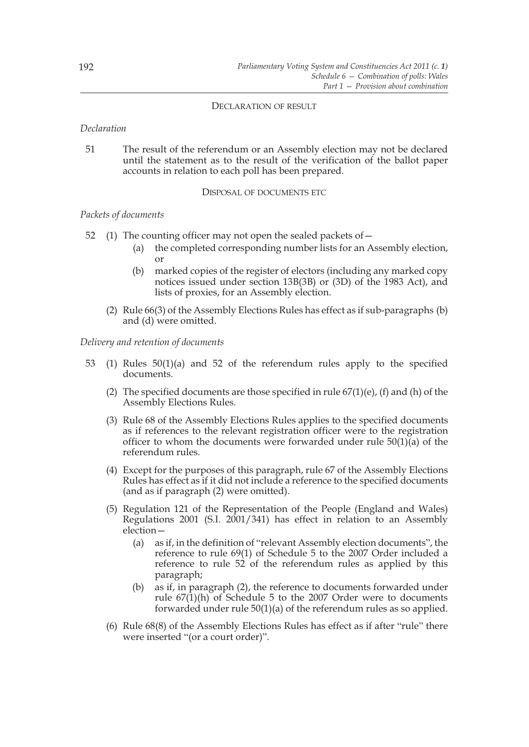#### DECLARATION OF RESULT

#### *Declaration*

51 The result of the referendum or an Assembly election may not be declared until the statement as to the result of the verification of the ballot paper accounts in relation to each poll has been prepared.

#### DISPOSAL OF DOCUMENTS ETC

## *Packets of documents*

- 52 (1) The counting officer may not open the sealed packets of—
	- (a) the completed corresponding number lists for an Assembly election, or
	- (b) marked copies of the register of electors (including any marked copy notices issued under section 13B(3B) or (3D) of the 1983 Act), and lists of proxies, for an Assembly election.
	- (2) Rule 66(3) of the Assembly Elections Rules has effect as if sub-paragraphs (b) and (d) were omitted.

#### *Delivery and retention of documents*

- 53 (1) Rules 50(1)(a) and 52 of the referendum rules apply to the specified documents.
	- (2) The specified documents are those specified in rule 67(1)(e), (f) and (h) of the Assembly Elections Rules.
	- (3) Rule 68 of the Assembly Elections Rules applies to the specified documents as if references to the relevant registration officer were to the registration officer to whom the documents were forwarded under rule  $50(1)(a)$  of the referendum rules.
	- (4) Except for the purposes of this paragraph, rule 67 of the Assembly Elections Rules has effect as if it did not include a reference to the specified documents (and as if paragraph (2) were omitted).
	- (5) Regulation 121 of the Representation of the People (England and Wales) Regulations 2001 (S.I. 2001/341) has effect in relation to an Assembly election—
		- (a) as if, in the definition of "relevant Assembly election documents", the reference to rule 69(1) of Schedule 5 to the 2007 Order included a reference to rule 52 of the referendum rules as applied by this paragraph;
		- (b) as if, in paragraph (2), the reference to documents forwarded under rule  $67(1)(h)$  of Schedule 5 to the 2007 Order were to documents forwarded under rule 50(1)(a) of the referendum rules as so applied.
	- (6) Rule 68(8) of the Assembly Elections Rules has effect as if after "rule" there were inserted "(or a court order)".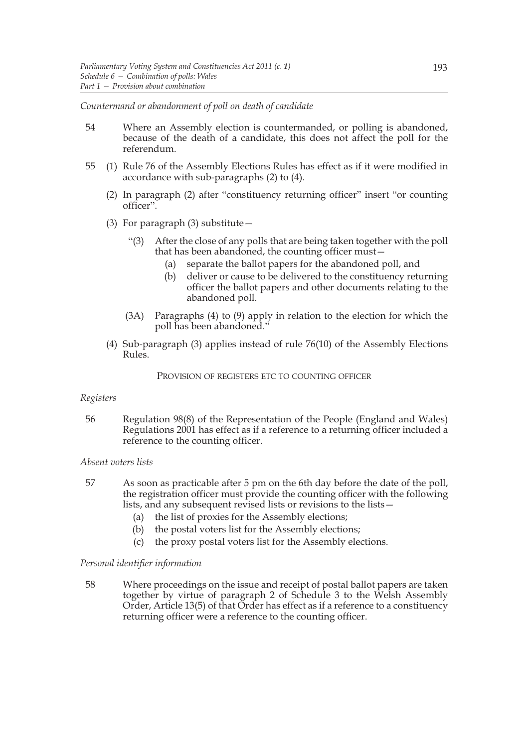#### *Countermand or abandonment of poll on death of candidate*

- 54 Where an Assembly election is countermanded, or polling is abandoned, because of the death of a candidate, this does not affect the poll for the referendum.
- 55 (1) Rule 76 of the Assembly Elections Rules has effect as if it were modified in accordance with sub-paragraphs (2) to (4).
	- (2) In paragraph (2) after "constituency returning officer" insert "or counting officer".
	- (3) For paragraph (3) substitute—
		- "(3) After the close of any polls that are being taken together with the poll that has been abandoned, the counting officer must—
			- (a) separate the ballot papers for the abandoned poll, and
			- (b) deliver or cause to be delivered to the constituency returning officer the ballot papers and other documents relating to the abandoned poll.
		- (3A) Paragraphs (4) to (9) apply in relation to the election for which the poll has been abandoned."
	- (4) Sub-paragraph (3) applies instead of rule 76(10) of the Assembly Elections Rules.

PROVISION OF REGISTERS ETC TO COUNTING OFFICER

#### *Registers*

56 Regulation 98(8) of the Representation of the People (England and Wales) Regulations 2001 has effect as if a reference to a returning officer included a reference to the counting officer.

## *Absent voters lists*

- 57 As soon as practicable after 5 pm on the 6th day before the date of the poll, the registration officer must provide the counting officer with the following lists, and any subsequent revised lists or revisions to the lists—
	- (a) the list of proxies for the Assembly elections;
	- (b) the postal voters list for the Assembly elections;
	- (c) the proxy postal voters list for the Assembly elections.

#### *Personal identifier information*

58 Where proceedings on the issue and receipt of postal ballot papers are taken together by virtue of paragraph 2 of Schedule 3 to the Welsh Assembly Order, Article 13(5) of that Order has effect as if a reference to a constituency returning officer were a reference to the counting officer.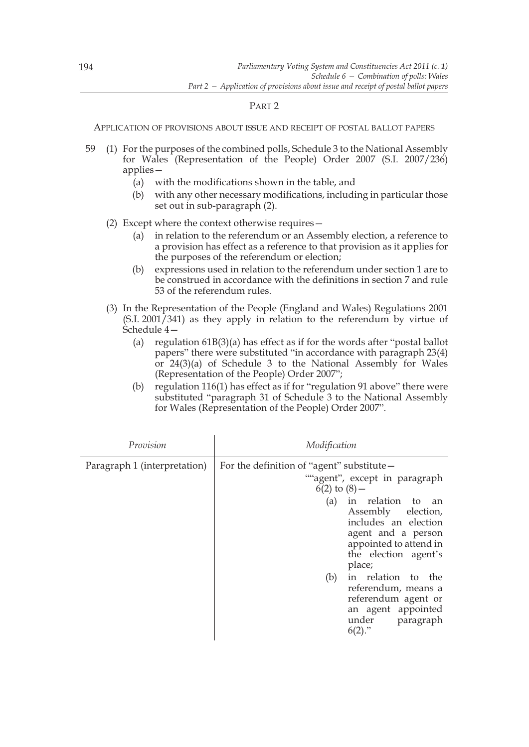## PART 2

APPLICATION OF PROVISIONS ABOUT ISSUE AND RECEIPT OF POSTAL BALLOT PAPERS

- 59 (1) For the purposes of the combined polls, Schedule 3 to the National Assembly for Wales (Representation of the People) Order 2007 (S.I. 2007/236) applies—
	- (a) with the modifications shown in the table, and
	- (b) with any other necessary modifications, including in particular those set out in sub-paragraph (2).
	- (2) Except where the context otherwise requires—
		- (a) in relation to the referendum or an Assembly election, a reference to a provision has effect as a reference to that provision as it applies for the purposes of the referendum or election;
		- (b) expressions used in relation to the referendum under section 1 are to be construed in accordance with the definitions in section 7 and rule 53 of the referendum rules.
	- (3) In the Representation of the People (England and Wales) Regulations 2001 (S.I. 2001/341) as they apply in relation to the referendum by virtue of Schedule 4—
		- (a) regulation 61B(3)(a) has effect as if for the words after "postal ballot papers" there were substituted "in accordance with paragraph 23(4) or 24(3)(a) of Schedule 3 to the National Assembly for Wales (Representation of the People) Order 2007";
		- (b) regulation 116(1) has effect as if for "regulation 91 above" there were substituted "paragraph 31 of Schedule 3 to the National Assembly for Wales (Representation of the People) Order 2007".

|                                                                                                                                        | Provision | Modification                                                                                                                                                                                                                                                                        |
|----------------------------------------------------------------------------------------------------------------------------------------|-----------|-------------------------------------------------------------------------------------------------------------------------------------------------------------------------------------------------------------------------------------------------------------------------------------|
| For the definition of "agent" substitute -<br>Paragraph 1 (interpretation)<br>$6(2)$ to $(8)$ –<br>place;<br>(b)<br>under<br>$6(2)$ ." |           | ""agent", except in paragraph<br>(a) in relation to an<br>Assembly election,<br>includes an election<br>agent and a person<br>appointed to attend in<br>the election agent's<br>in relation to the<br>referendum, means a<br>referendum agent or<br>an agent appointed<br>paragraph |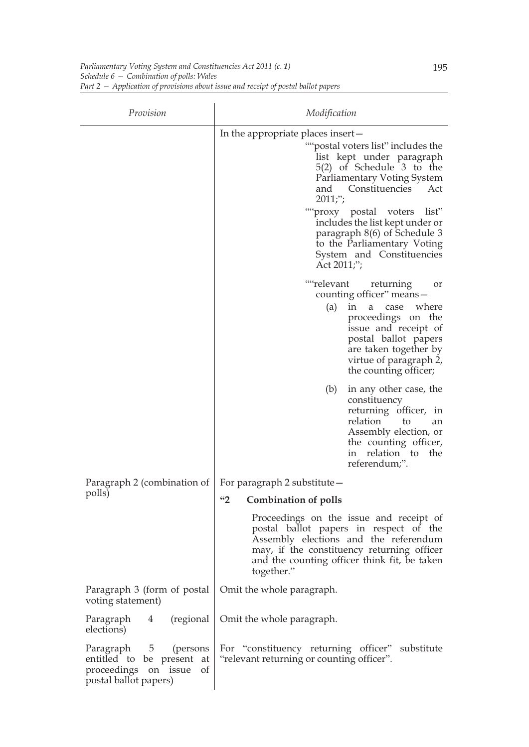| Provision                                                                                                         | Modification                                                                                                                                                                                                                                                                                                                                                                                           |
|-------------------------------------------------------------------------------------------------------------------|--------------------------------------------------------------------------------------------------------------------------------------------------------------------------------------------------------------------------------------------------------------------------------------------------------------------------------------------------------------------------------------------------------|
|                                                                                                                   | In the appropriate places insert –<br>""postal voters list" includes the<br>list kept under paragraph<br>5(2) of Schedule 3 to the<br><b>Parliamentary Voting System</b><br>Constituencies<br>Act<br>and<br>$2011$ ;";<br>""proxy postal voters<br>list"<br>includes the list kept under or<br>paragraph 8(6) of Schedule 3<br>to the Parliamentary Voting<br>System and Constituencies<br>Act 2011;"; |
|                                                                                                                   | ""relevant returning<br>or<br>counting officer" means-<br>where<br>(a)<br>in<br>a<br>case<br>proceedings on the<br>issue and receipt of<br>postal ballot papers<br>are taken together by<br>virtue of paragraph 2,<br>the counting officer;                                                                                                                                                            |
|                                                                                                                   | (b)<br>in any other case, the<br>constituency<br>returning officer, in<br>relation<br>to<br>an<br>Assembly election, or<br>the counting officer,<br>relation to<br>the<br>1n<br>referendum;".                                                                                                                                                                                                          |
| Paragraph 2 (combination of<br>polls)                                                                             | For paragraph 2 substitute –                                                                                                                                                                                                                                                                                                                                                                           |
|                                                                                                                   | $\frac{1}{2}$<br><b>Combination of polls</b>                                                                                                                                                                                                                                                                                                                                                           |
|                                                                                                                   | Proceedings on the issue and receipt of<br>postal ballot papers in respect of the<br>Assembly elections and the referendum<br>may, if the constituency returning officer<br>and the counting officer think fit, be taken<br>together."                                                                                                                                                                 |
| Paragraph 3 (form of postal<br>voting statement)                                                                  | Omit the whole paragraph.                                                                                                                                                                                                                                                                                                                                                                              |
| Paragraph<br>(regional)<br>4<br>elections)                                                                        | Omit the whole paragraph.                                                                                                                                                                                                                                                                                                                                                                              |
| Paragraph<br>5<br>(persons<br>entitled to be present<br>at<br>proceedings on issue<br>Οt<br>postal ballot papers) | For "constituency returning officer" substitute<br>"relevant returning or counting officer".                                                                                                                                                                                                                                                                                                           |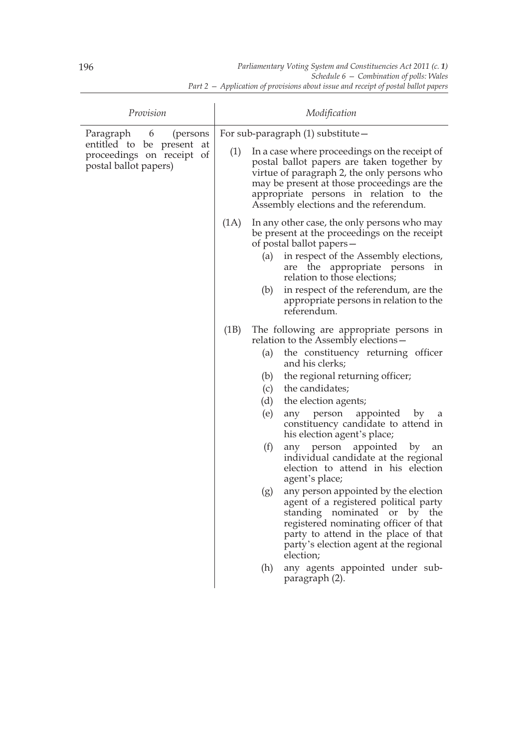| Provision                                                                                                     |      | Modification                                                                                                                                                                                                                                                                                                                                                                                                                                                                                                                                                                                                                                                                                                                                                                                                                  |
|---------------------------------------------------------------------------------------------------------------|------|-------------------------------------------------------------------------------------------------------------------------------------------------------------------------------------------------------------------------------------------------------------------------------------------------------------------------------------------------------------------------------------------------------------------------------------------------------------------------------------------------------------------------------------------------------------------------------------------------------------------------------------------------------------------------------------------------------------------------------------------------------------------------------------------------------------------------------|
| Paragraph<br>(persons<br>6<br>entitled to be present at<br>proceedings on receipt of<br>postal ballot papers) |      | For sub-paragraph $(1)$ substitute $-$                                                                                                                                                                                                                                                                                                                                                                                                                                                                                                                                                                                                                                                                                                                                                                                        |
|                                                                                                               | (1)  | In a case where proceedings on the receipt of<br>postal ballot papers are taken together by<br>virtue of paragraph 2, the only persons who<br>may be present at those proceedings are the<br>appropriate persons in relation to the<br>Assembly elections and the referendum.                                                                                                                                                                                                                                                                                                                                                                                                                                                                                                                                                 |
|                                                                                                               | (1A) | In any other case, the only persons who may<br>be present at the proceedings on the receipt<br>of postal ballot papers -<br>in respect of the Assembly elections,<br>(a)<br>are the appropriate persons<br>in<br>relation to those elections;<br>in respect of the referendum, are the<br>(b)<br>appropriate persons in relation to the<br>referendum.                                                                                                                                                                                                                                                                                                                                                                                                                                                                        |
|                                                                                                               | (1B) | The following are appropriate persons in<br>relation to the Assembly elections-<br>the constituency returning officer<br>(a)<br>and his clerks;<br>the regional returning officer;<br>(b)<br>the candidates;<br>(c)<br>(d)<br>the election agents;<br>(e)<br>any person<br>appointed<br>by<br>a<br>constituency candidate to attend in<br>his election agent's place;<br>appointed<br>(f)<br>any person<br>by<br>an<br>individual candidate at the regional<br>election to attend in his election<br>agent's place;<br>any person appointed by the election<br>(g)<br>agent of a registered political party<br>standing nominated or by the<br>registered nominating officer of that<br>party to attend in the place of that<br>party's election agent at the regional<br>election;<br>any agents appointed under sub-<br>(h) |
|                                                                                                               |      | paragraph (2).                                                                                                                                                                                                                                                                                                                                                                                                                                                                                                                                                                                                                                                                                                                                                                                                                |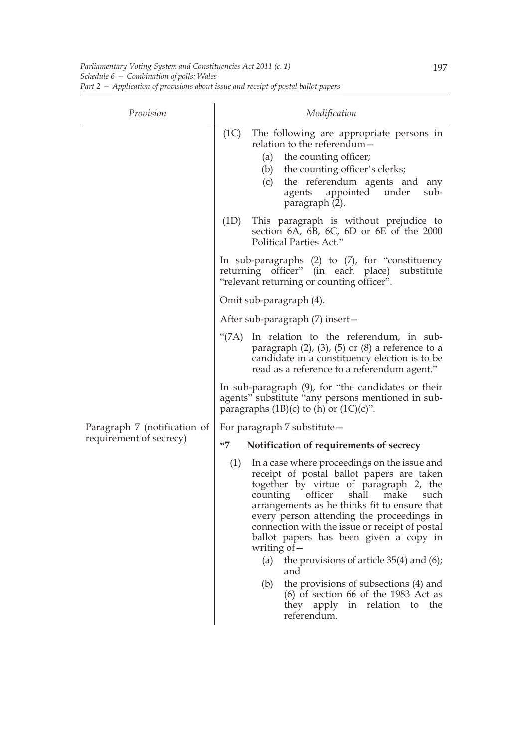| Provision                    | Modification                                                                                                                                                                                                                                                                                                                                                                                                                                                                                                                                                                                             |
|------------------------------|----------------------------------------------------------------------------------------------------------------------------------------------------------------------------------------------------------------------------------------------------------------------------------------------------------------------------------------------------------------------------------------------------------------------------------------------------------------------------------------------------------------------------------------------------------------------------------------------------------|
|                              | (1C)<br>The following are appropriate persons in<br>relation to the referendum-<br>(a) the counting officer;<br>(b) the counting officer's clerks;<br>the referendum agents and<br>(c)<br>any<br>agents appointed under<br>sub-<br>paragraph (2).                                                                                                                                                                                                                                                                                                                                                        |
|                              | (1D)<br>This paragraph is without prejudice to<br>section 6A, 6B, 6C, 6D or 6E of the 2000<br>Political Parties Act."                                                                                                                                                                                                                                                                                                                                                                                                                                                                                    |
|                              | In sub-paragraphs $(2)$ to $(7)$ , for "constituency<br>returning officer" (in each place) substitute<br>"relevant returning or counting officer".                                                                                                                                                                                                                                                                                                                                                                                                                                                       |
|                              | Omit sub-paragraph (4).                                                                                                                                                                                                                                                                                                                                                                                                                                                                                                                                                                                  |
|                              | After sub-paragraph (7) insert-                                                                                                                                                                                                                                                                                                                                                                                                                                                                                                                                                                          |
|                              | $\cdot \cdot (7A)$<br>In relation to the referendum, in sub-<br>paragraph $(2)$ , $(3)$ , $(5)$ or $(8)$ a reference to a<br>candidate in a constituency election is to be<br>read as a reference to a referendum agent."                                                                                                                                                                                                                                                                                                                                                                                |
|                              | In sub-paragraph (9), for "the candidates or their<br>agents" substitute "any persons mentioned in sub-<br>paragraphs $(1B)(c)$ to $(h)$ or $(1C)(c)$ ".                                                                                                                                                                                                                                                                                                                                                                                                                                                 |
| Paragraph 7 (notification of | For paragraph 7 substitute –                                                                                                                                                                                                                                                                                                                                                                                                                                                                                                                                                                             |
| requirement of secrecy)      | 55<br>Notification of requirements of secrecy                                                                                                                                                                                                                                                                                                                                                                                                                                                                                                                                                            |
|                              | (1)<br>In a case where proceedings on the issue and<br>receipt of postal ballot papers are taken<br>together by virtue of paragraph 2, the<br>officer shall make<br>counting<br>such<br>arrangements as he thinks fit to ensure that<br>every person attending the proceedings in<br>connection with the issue or receipt of postal<br>ballot papers has been given a copy in<br>writing of $-$<br>the provisions of article $35(4)$ and $(6)$ ;<br>(a)<br>and<br>the provisions of subsections (4) and<br>(b)<br>$(6)$ of section 66 of the 1983 Act as<br>they apply in relation to the<br>referendum. |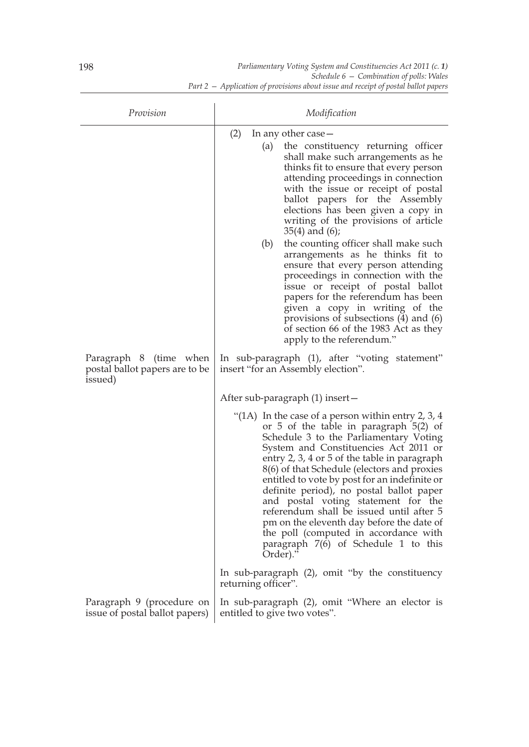| Parliamentary Voting System and Constituencies Act 2011 (c. 1)                       |
|--------------------------------------------------------------------------------------|
| Schedule $6$ – Combination of polls: Wales                                           |
| $Part 2 - Application of provisions about issue and receipt of postal ballot papers$ |

| Provision                                                           | Modification                                                                                                                                                                                                                                                                                                                                                                                                                                                                                                                                                                                               |
|---------------------------------------------------------------------|------------------------------------------------------------------------------------------------------------------------------------------------------------------------------------------------------------------------------------------------------------------------------------------------------------------------------------------------------------------------------------------------------------------------------------------------------------------------------------------------------------------------------------------------------------------------------------------------------------|
|                                                                     | (2)<br>In any other case –<br>the constituency returning officer<br>(a)<br>shall make such arrangements as he<br>thinks fit to ensure that every person<br>attending proceedings in connection<br>with the issue or receipt of postal<br>ballot papers for the Assembly<br>elections has been given a copy in<br>writing of the provisions of article<br>$35(4)$ and $(6)$ ;                                                                                                                                                                                                                               |
|                                                                     | the counting officer shall make such<br>(b)<br>arrangements as he thinks fit to<br>ensure that every person attending<br>proceedings in connection with the<br>issue or receipt of postal ballot<br>papers for the referendum has been<br>given a copy in writing of the<br>provisions of subsections $(4)$ and $(6)$<br>of section 66 of the 1983 Act as they<br>apply to the referendum."                                                                                                                                                                                                                |
| Paragraph 8 (time when<br>postal ballot papers are to be<br>issued) | In sub-paragraph (1), after "voting statement"<br>insert "for an Assembly election".                                                                                                                                                                                                                                                                                                                                                                                                                                                                                                                       |
|                                                                     | After sub-paragraph (1) insert –                                                                                                                                                                                                                                                                                                                                                                                                                                                                                                                                                                           |
|                                                                     | "(1A) In the case of a person within entry 2, 3, 4<br>or 5 of the table in paragraph $5(2)$ of<br>Schedule 3 to the Parliamentary Voting<br>System and Constituencies Act 2011 or<br>entry 2, 3, 4 or 5 of the table in paragraph<br>8(6) of that Schedule (electors and proxies<br>entitled to vote by post for an indefinite or<br>definite period), no postal ballot paper<br>and postal voting statement for the<br>referendum shall be issued until after 5<br>pm on the eleventh day before the date of<br>the poll (computed in accordance with<br>paragraph 7(6) of Schedule 1 to this<br>Order)." |
|                                                                     | In sub-paragraph (2), omit "by the constituency<br>returning officer".                                                                                                                                                                                                                                                                                                                                                                                                                                                                                                                                     |
| Paragraph 9 (procedure on<br>issue of postal ballot papers)         | In sub-paragraph (2), omit "Where an elector is<br>entitled to give two votes".                                                                                                                                                                                                                                                                                                                                                                                                                                                                                                                            |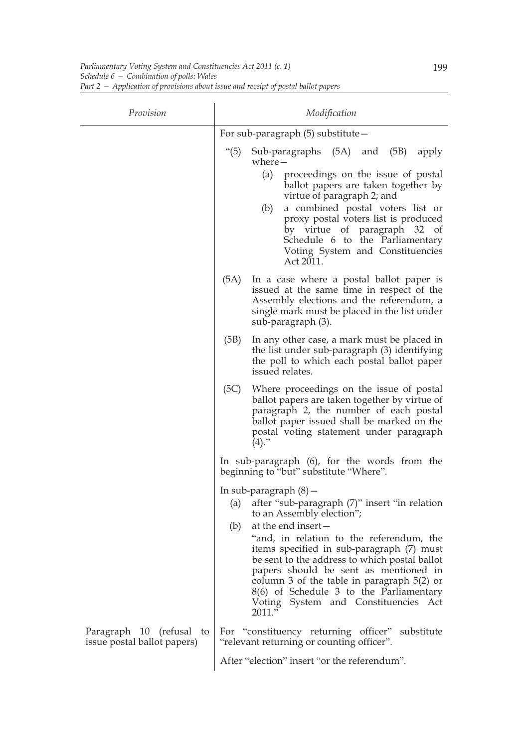| Provision                                               | Modification                                                                                                                                                                                                                                                                                                                            |
|---------------------------------------------------------|-----------------------------------------------------------------------------------------------------------------------------------------------------------------------------------------------------------------------------------------------------------------------------------------------------------------------------------------|
|                                                         | For sub-paragraph $(5)$ substitute $-$                                                                                                                                                                                                                                                                                                  |
|                                                         | $\cdot\cdot(5)$<br>Sub-paragraphs (5A) and (5B) apply<br>where $-$<br>(a) proceedings on the issue of postal<br>ballot papers are taken together by<br>virtue of paragraph 2; and<br>a combined postal voters list or<br>(b)<br>proxy postal voters list is produced<br>by virtue of paragraph 32 of<br>Schedule 6 to the Parliamentary |
|                                                         | Voting System and Constituencies<br>Act 2011.                                                                                                                                                                                                                                                                                           |
|                                                         | (5A)<br>In a case where a postal ballot paper is<br>issued at the same time in respect of the<br>Assembly elections and the referendum, a<br>single mark must be placed in the list under<br>sub-paragraph (3).                                                                                                                         |
|                                                         | (5B)<br>In any other case, a mark must be placed in<br>the list under sub-paragraph (3) identifying<br>the poll to which each postal ballot paper<br>issued relates.                                                                                                                                                                    |
|                                                         | (5C)<br>Where proceedings on the issue of postal<br>ballot papers are taken together by virtue of<br>paragraph 2, the number of each postal<br>ballot paper issued shall be marked on the<br>postal voting statement under paragraph<br>$(4)$ ."                                                                                        |
|                                                         | In sub-paragraph $(6)$ , for the words from the<br>beginning to "but" substitute "Where".                                                                                                                                                                                                                                               |
|                                                         | In sub-paragraph $(8)$ –<br>after "sub-paragraph (7)" insert "in relation<br>(a)<br>to an Assembly election";<br>at the end insert-<br>(b)<br>"and, in relation to the referendum, the<br>items specified in sub-paragraph (7) must                                                                                                     |
|                                                         | be sent to the address to which postal ballot<br>papers should be sent as mentioned in<br>column 3 of the table in paragraph $5(2)$ or<br>8(6) of Schedule 3 to the Parliamentary<br>Voting System and Constituencies Act<br>2011."                                                                                                     |
| Paragraph 10 (refusal to<br>issue postal ballot papers) | For "constituency returning officer" substitute<br>"relevant returning or counting officer".                                                                                                                                                                                                                                            |
|                                                         | After "election" insert "or the referendum".                                                                                                                                                                                                                                                                                            |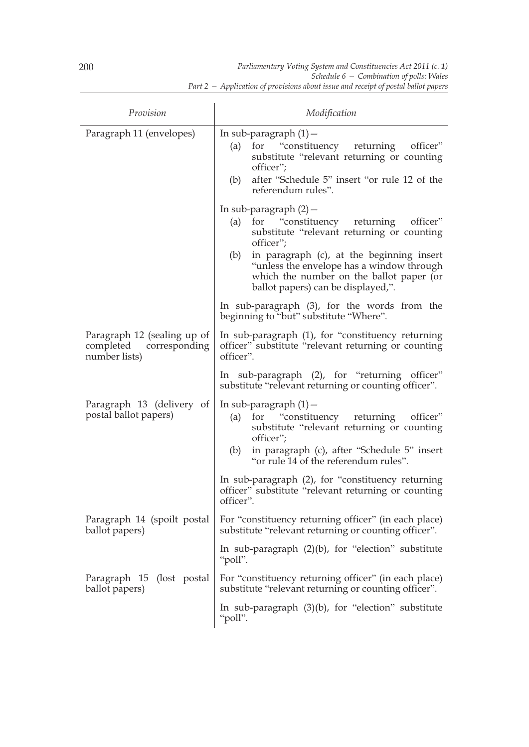*Parliamentary Voting System and Constituencies Act 2011 (c. 1) Schedule 6 — Combination of polls: Wales Part 2 — Application of provisions about issue and receipt of postal ballot papers*

| Provision                                                               | Modification                                                                                                                                                                                                                                                                                                             |
|-------------------------------------------------------------------------|--------------------------------------------------------------------------------------------------------------------------------------------------------------------------------------------------------------------------------------------------------------------------------------------------------------------------|
| Paragraph 11 (envelopes)                                                | In sub-paragraph $(1)$ –<br>for<br>"constituency returning"<br>officer"<br>(a)<br>substitute "relevant returning or counting<br>officer";<br>after "Schedule 5" insert "or rule 12 of the<br>(b)<br>referendum rules".                                                                                                   |
|                                                                         | In sub-paragraph $(2)$ –<br>for "constituency returning<br>(a)<br>officer"<br>substitute "relevant returning or counting<br>officer";<br>in paragraph (c), at the beginning insert<br>(b)<br>"unless the envelope has a window through<br>which the number on the ballot paper (or<br>ballot papers) can be displayed,". |
|                                                                         | In sub-paragraph (3), for the words from the<br>beginning to "but" substitute "Where".                                                                                                                                                                                                                                   |
| Paragraph 12 (sealing up of<br>completed corresponding<br>number lists) | In sub-paragraph (1), for "constituency returning<br>officer" substitute "relevant returning or counting<br>officer".                                                                                                                                                                                                    |
|                                                                         | In sub-paragraph (2), for "returning officer"<br>substitute "relevant returning or counting officer".                                                                                                                                                                                                                    |
| Paragraph 13 (delivery of<br>postal ballot papers)                      | In sub-paragraph $(1)$ –<br>for "constituency returning<br>officer"<br>(a)<br>substitute "relevant returning or counting<br>officer";<br>in paragraph (c), after "Schedule 5" insert<br>(b)<br>"or rule 14 of the referendum rules".                                                                                     |
|                                                                         | In sub-paragraph (2), for "constituency returning<br>officer" substitute "relevant returning or counting<br>officer".                                                                                                                                                                                                    |
| Paragraph 14 (spoilt postal<br>ballot papers)                           | For "constituency returning officer" (in each place)<br>substitute "relevant returning or counting officer".                                                                                                                                                                                                             |
|                                                                         | In sub-paragraph $(2)(b)$ , for "election" substitute<br>"poll".                                                                                                                                                                                                                                                         |
| Paragraph 15 (lost postal<br>ballot papers)                             | For "constituency returning officer" (in each place)<br>substitute "relevant returning or counting officer".                                                                                                                                                                                                             |
|                                                                         | In sub-paragraph $(3)(b)$ , for "election" substitute<br>"poll".                                                                                                                                                                                                                                                         |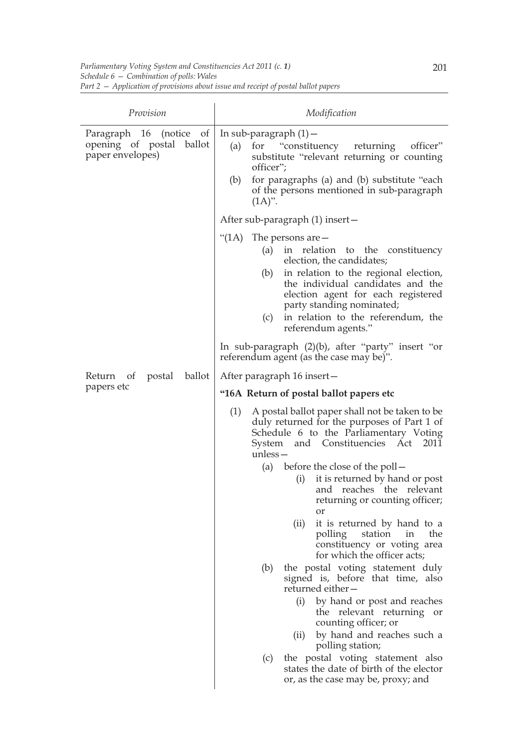| Provision                                                               | Modification                                                                                                                                                                                                                                                                                                                                                                                                                                                                                                                                                                                                                                                                                                                                                                                                                                                                       |
|-------------------------------------------------------------------------|------------------------------------------------------------------------------------------------------------------------------------------------------------------------------------------------------------------------------------------------------------------------------------------------------------------------------------------------------------------------------------------------------------------------------------------------------------------------------------------------------------------------------------------------------------------------------------------------------------------------------------------------------------------------------------------------------------------------------------------------------------------------------------------------------------------------------------------------------------------------------------|
| Paragraph 16 (notice of<br>opening of postal ballot<br>paper envelopes) | In sub-paragraph $(1)$ –<br>for<br>"constituency returning<br>officer"<br>(a)<br>substitute "relevant returning or counting<br>officer";<br>for paragraphs (a) and (b) substitute "each<br>(b)<br>of the persons mentioned in sub-paragraph<br>$(1A)$ ".                                                                                                                                                                                                                                                                                                                                                                                                                                                                                                                                                                                                                           |
|                                                                         | After sub-paragraph (1) insert –                                                                                                                                                                                                                                                                                                                                                                                                                                                                                                                                                                                                                                                                                                                                                                                                                                                   |
|                                                                         | " $(1A)$<br>The persons are $-$<br>(a) in relation to the constituency<br>election, the candidates;<br>in relation to the regional election,<br>(b)<br>the individual candidates and the<br>election agent for each registered<br>party standing nominated;<br>in relation to the referendum, the<br>(c)<br>referendum agents."                                                                                                                                                                                                                                                                                                                                                                                                                                                                                                                                                    |
|                                                                         | In sub-paragraph $(2)(b)$ , after "party" insert "or<br>referendum agent (as the case may be)".                                                                                                                                                                                                                                                                                                                                                                                                                                                                                                                                                                                                                                                                                                                                                                                    |
| ballot<br>postal<br>Return<br>of                                        | After paragraph 16 insert –                                                                                                                                                                                                                                                                                                                                                                                                                                                                                                                                                                                                                                                                                                                                                                                                                                                        |
| papers etc                                                              | "16A Return of postal ballot papers etc                                                                                                                                                                                                                                                                                                                                                                                                                                                                                                                                                                                                                                                                                                                                                                                                                                            |
|                                                                         | (1)<br>A postal ballot paper shall not be taken to be<br>duly returned for the purposes of Part 1 of<br>Schedule 6 to the Parliamentary Voting<br>System and Constituencies Act 2011<br>$unless -$<br>before the close of the poll —<br>(a)<br>it is returned by hand or post<br>(i)<br>and reaches the relevant<br>returning or counting officer;<br>or<br>(ii)<br>it is returned by hand to a<br>polling<br>station<br>the<br>in<br>constituency or voting area<br>for which the officer acts;<br>the postal voting statement duly<br>(b)<br>signed is, before that time, also<br>returned either-<br>(i) by hand or post and reaches<br>the relevant returning or<br>counting officer; or<br>by hand and reaches such a<br>(ii)<br>polling station;<br>the postal voting statement also<br>(c)<br>states the date of birth of the elector<br>or, as the case may be, proxy; and |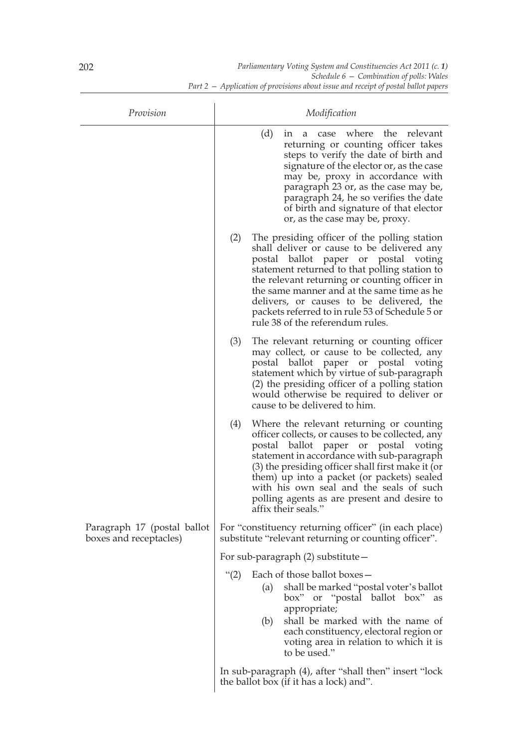| Parliamentary Voting System and Constituencies Act 2011 (c. 1)                     |  |
|------------------------------------------------------------------------------------|--|
| Schedule $6$ – Combination of polls: Wales                                         |  |
| Part 2 – Application of provisions about issue and receipt of postal ballot papers |  |

| Provision                                             | Modification                                                                                                                                                                                                                                                                                                                                                                                                                 |
|-------------------------------------------------------|------------------------------------------------------------------------------------------------------------------------------------------------------------------------------------------------------------------------------------------------------------------------------------------------------------------------------------------------------------------------------------------------------------------------------|
|                                                       | where<br>the relevant<br>(d)<br>1n<br>case<br>a<br>returning or counting officer takes<br>steps to verify the date of birth and<br>signature of the elector or, as the case<br>may be, proxy in accordance with<br>paragraph 23 or, as the case may be,<br>paragraph 24, he so verifies the date<br>of birth and signature of that elector<br>or, as the case may be, proxy.                                                 |
|                                                       | (2)<br>The presiding officer of the polling station<br>shall deliver or cause to be delivered any<br>postal ballot paper or postal voting<br>statement returned to that polling station to<br>the relevant returning or counting officer in<br>the same manner and at the same time as he<br>delivers, or causes to be delivered, the<br>packets referred to in rule 53 of Schedule 5 or<br>rule 38 of the referendum rules. |
|                                                       | (3)<br>The relevant returning or counting officer<br>may collect, or cause to be collected, any<br>postal ballot paper or postal voting<br>statement which by virtue of sub-paragraph<br>(2) the presiding officer of a polling station<br>would otherwise be required to deliver or<br>cause to be delivered to him.                                                                                                        |
|                                                       | (4)<br>Where the relevant returning or counting<br>officer collects, or causes to be collected, any<br>postal ballot paper or postal voting<br>statement in accordance with sub-paragraph<br>(3) the presiding officer shall first make it $\overline{0}$ or<br>them) up into a packet (or packets) sealed<br>with his own seal and the seals of such<br>polling agents as are present and desire to<br>affix their seals."  |
| Paragraph 17 (postal ballot<br>boxes and receptacles) | For "constituency returning officer" (in each place)<br>substitute "relevant returning or counting officer".                                                                                                                                                                                                                                                                                                                 |
|                                                       | For sub-paragraph $(2)$ substitute $-$                                                                                                                                                                                                                                                                                                                                                                                       |
|                                                       | $\cdot\cdot(2)$<br>Each of those ballot boxes -<br>shall be marked "postal voter's ballot<br>(a)<br>box" or "postal ballot box" as<br>appropriate;<br>shall be marked with the name of<br>(b)<br>each constituency, electoral region or<br>voting area in relation to which it is<br>to be used."                                                                                                                            |
|                                                       | In sub-paragraph (4), after "shall then" insert "lock<br>the ballot box (if it has a lock) and".                                                                                                                                                                                                                                                                                                                             |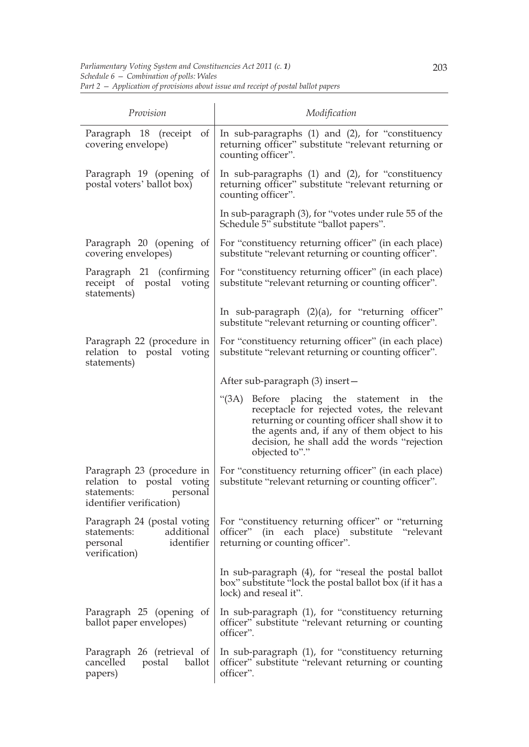| Provision                                                                                                      | Modification                                                                                                                                                                                                                                                                |  |  |
|----------------------------------------------------------------------------------------------------------------|-----------------------------------------------------------------------------------------------------------------------------------------------------------------------------------------------------------------------------------------------------------------------------|--|--|
| Paragraph 18 (receipt<br><sub>of</sub><br>covering envelope)                                                   | In sub-paragraphs (1) and (2), for "constituency<br>returning officer" substitute "relevant returning or<br>counting officer".                                                                                                                                              |  |  |
| Paragraph 19 (opening of<br>postal voters' ballot box)                                                         | In sub-paragraphs (1) and (2), for "constituency<br>returning officer" substitute "relevant returning or<br>counting officer".                                                                                                                                              |  |  |
|                                                                                                                | In sub-paragraph (3), for "votes under rule 55 of the<br>Schedule 5" substitute "ballot papers".                                                                                                                                                                            |  |  |
| Paragraph 20 (opening of<br>covering envelopes)                                                                | For "constituency returning officer" (in each place)<br>substitute "relevant returning or counting officer".                                                                                                                                                                |  |  |
| Paragraph 21 (confirming<br>receipt of postal voting<br>statements)                                            | For "constituency returning officer" (in each place)<br>substitute "relevant returning or counting officer".                                                                                                                                                                |  |  |
|                                                                                                                | In sub-paragraph $(2)(a)$ , for "returning officer"<br>substitute "relevant returning or counting officer".                                                                                                                                                                 |  |  |
| Paragraph 22 (procedure in<br>relation to postal voting<br>statements)                                         | For "constituency returning officer" (in each place)<br>substitute "relevant returning or counting officer".                                                                                                                                                                |  |  |
|                                                                                                                | After sub-paragraph (3) insert -                                                                                                                                                                                                                                            |  |  |
|                                                                                                                | $\cdot \cdot (3A)$<br>Before placing the statement in the<br>receptacle for rejected votes, the relevant<br>returning or counting officer shall show it to<br>the agents and, if any of them object to his<br>decision, he shall add the words "rejection<br>objected to"." |  |  |
| Paragraph 23 (procedure in<br>relation to postal voting<br>statements:<br>personal<br>identifier verification) | For "constituency returning officer" (in each place)<br>substitute "relevant returning or counting officer".                                                                                                                                                                |  |  |
| Paragraph 24 (postal voting<br>additional<br>statements:<br>identifier<br>personal<br>verification)            | For "constituency returning officer" or "returning<br>officer" (in each place) substitute "relevant<br>returning or counting officer".                                                                                                                                      |  |  |
|                                                                                                                | In sub-paragraph (4), for "reseal the postal ballot<br>box" substitute "lock the postal ballot box (if it has a<br>lock) and reseal it".                                                                                                                                    |  |  |
| Paragraph 25 (opening of<br>ballot paper envelopes)                                                            | In sub-paragraph (1), for "constituency returning<br>officer" substitute "relevant returning or counting<br>officer".                                                                                                                                                       |  |  |
| Paragraph 26 (retrieval of<br>cancelled<br>ballot<br>postal<br>papers)                                         | In sub-paragraph (1), for "constituency returning<br>officer" substitute "relevant returning or counting<br>officer".                                                                                                                                                       |  |  |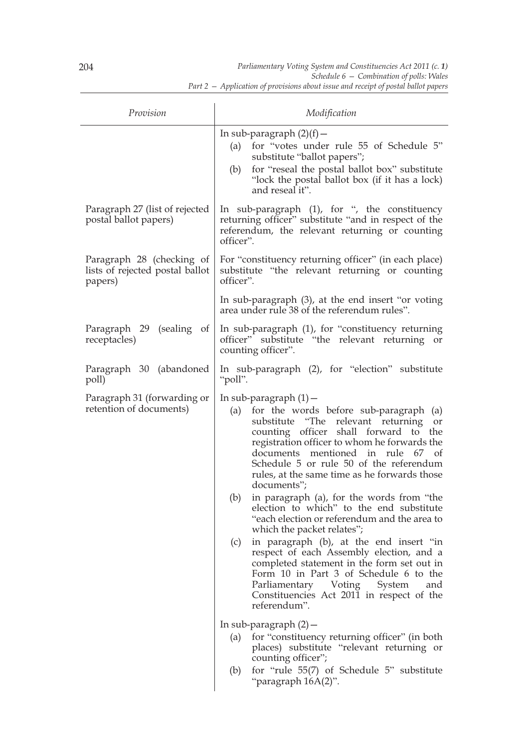| Provision                                                               | Modification                                                                                                                                                                                                                                                                                                                                                                                                                                                                                                                                                                                                                                                                                                                                                                                                                                     |  |
|-------------------------------------------------------------------------|--------------------------------------------------------------------------------------------------------------------------------------------------------------------------------------------------------------------------------------------------------------------------------------------------------------------------------------------------------------------------------------------------------------------------------------------------------------------------------------------------------------------------------------------------------------------------------------------------------------------------------------------------------------------------------------------------------------------------------------------------------------------------------------------------------------------------------------------------|--|
|                                                                         | In sub-paragraph $(2)(f)$ –<br>for "votes under rule 55 of Schedule 5"<br>(a)<br>substitute "ballot papers";<br>for "reseal the postal ballot box" substitute<br>(b)<br>"lock the postal ballot box (if it has a lock)<br>and reseal it".                                                                                                                                                                                                                                                                                                                                                                                                                                                                                                                                                                                                        |  |
| Paragraph 27 (list of rejected<br>postal ballot papers)                 | In sub-paragraph (1), for ", the constituency<br>returning officer" substitute "and in respect of the<br>referendum, the relevant returning or counting<br>officer".                                                                                                                                                                                                                                                                                                                                                                                                                                                                                                                                                                                                                                                                             |  |
| Paragraph 28 (checking of<br>lists of rejected postal ballot<br>papers) | For "constituency returning officer" (in each place)<br>substitute "the relevant returning or counting<br>officer".                                                                                                                                                                                                                                                                                                                                                                                                                                                                                                                                                                                                                                                                                                                              |  |
|                                                                         | In sub-paragraph (3), at the end insert "or voting<br>area under rule 38 of the referendum rules".                                                                                                                                                                                                                                                                                                                                                                                                                                                                                                                                                                                                                                                                                                                                               |  |
| Paragraph 29 (sealing of<br>receptacles)                                | In sub-paragraph (1), for "constituency returning<br>officer" substitute "the relevant returning or<br>counting officer".                                                                                                                                                                                                                                                                                                                                                                                                                                                                                                                                                                                                                                                                                                                        |  |
| Paragraph 30 (abandoned<br>poll)                                        | In sub-paragraph (2), for "election" substitute<br>"poll".                                                                                                                                                                                                                                                                                                                                                                                                                                                                                                                                                                                                                                                                                                                                                                                       |  |
| Paragraph 31 (forwarding or<br>retention of documents)                  | In sub-paragraph $(1)$ –<br>for the words before sub-paragraph (a)<br>(a)<br>substitute "The<br>relevant returning<br>or<br>counting officer shall forward to the<br>registration officer to whom he forwards the<br>mentioned in rule<br>67<br>documents<br>Οf<br>Schedule 5 or rule 50 of the referendum<br>rules, at the same time as he forwards those<br>documents";<br>(b) in paragraph (a), for the words from "the<br>election to which" to the end substitute<br>"each election or referendum and the area to<br>which the packet relates";<br>in paragraph (b), at the end insert "in<br>(c)<br>respect of each Assembly election, and a<br>completed statement in the form set out in<br>Form 10 in Part 3 of Schedule 6 to the<br>Parliamentary Voting<br>System<br>and<br>Constituencies Act 2011 in respect of the<br>referendum". |  |
|                                                                         | In sub-paragraph $(2)$ –<br>for "constituency returning officer" (in both<br>(a)<br>places) substitute "relevant returning or<br>counting officer";<br>for "rule 55(7) of Schedule 5" substitute<br>(b)<br>"paragraph 16A(2)".                                                                                                                                                                                                                                                                                                                                                                                                                                                                                                                                                                                                                   |  |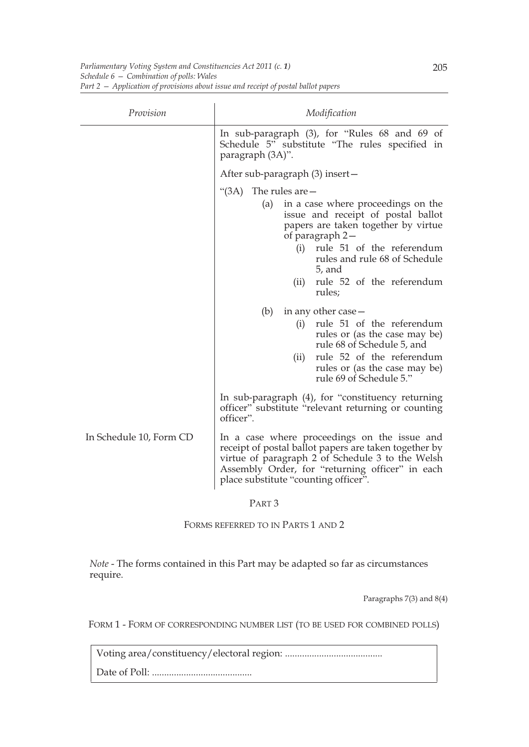| Provision               | Modification                                                                                                                                                                                                                                                               |  |  |
|-------------------------|----------------------------------------------------------------------------------------------------------------------------------------------------------------------------------------------------------------------------------------------------------------------------|--|--|
|                         | In sub-paragraph (3), for "Rules 68 and 69 of<br>Schedule 5" substitute "The rules specified in<br>paragraph (3A)".                                                                                                                                                        |  |  |
|                         | After sub-paragraph (3) insert -                                                                                                                                                                                                                                           |  |  |
|                         | "(3A) The rules are $-$                                                                                                                                                                                                                                                    |  |  |
|                         | in a case where proceedings on the<br>(a)<br>issue and receipt of postal ballot<br>papers are taken together by virtue<br>of paragraph 2-<br>rule 51 of the referendum<br>(i)<br>rules and rule 68 of Schedule<br>$5$ , and<br>rule 52 of the referendum<br>(ii)<br>rules; |  |  |
|                         | (b)<br>in any other case -<br>rule 51 of the referendum<br>(i)<br>rules or (as the case may be)<br>rule 68 of Schedule 5, and<br>rule 52 of the referendum<br>(ii)<br>rules or (as the case may be)<br>rule 69 of Schedule 5."                                             |  |  |
|                         | In sub-paragraph (4), for "constituency returning<br>officer" substitute "relevant returning or counting<br>officer".                                                                                                                                                      |  |  |
| In Schedule 10, Form CD | In a case where proceedings on the issue and<br>receipt of postal ballot papers are taken together by<br>virtue of paragraph 2 of Schedule 3 to the Welsh<br>Assembly Order, for "returning officer" in each<br>place substitute "counting officer".                       |  |  |

PART 3

FORMS REFERRED TO IN PARTS 1 AND 2

*Note* - The forms contained in this Part may be adapted so far as circumstances require.

Paragraphs 7(3) and 8(4)

FORM 1 - FORM OF CORRESPONDING NUMBER LIST (TO BE USED FOR COMBINED POLLS)

Voting area/constituency/electoral region: ........................................

Date of Poll: .........................................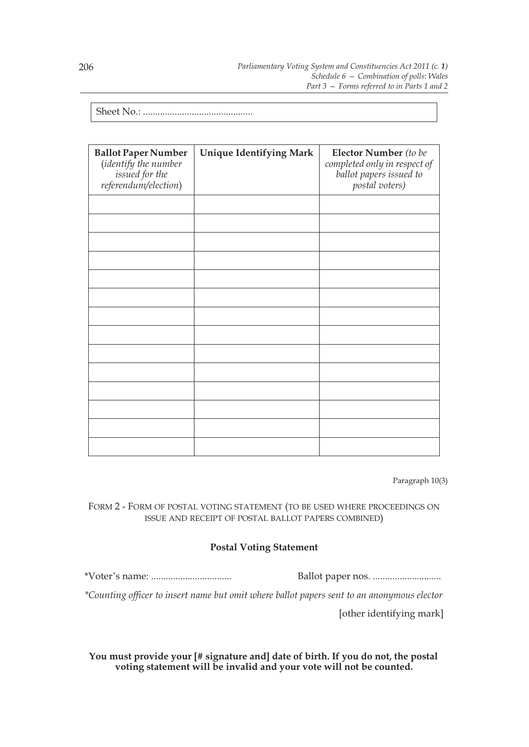Sheet No.: .............................................

| <b>Ballot Paper Number</b><br>(identify the number<br>issued for the<br>referendum/election) | <b>Unique Identifying Mark</b> | <b>Elector Number</b> (to be<br>completed only in respect of<br>ballot papers issued to<br>postal voters) |
|----------------------------------------------------------------------------------------------|--------------------------------|-----------------------------------------------------------------------------------------------------------|
|                                                                                              |                                |                                                                                                           |
|                                                                                              |                                |                                                                                                           |
|                                                                                              |                                |                                                                                                           |
|                                                                                              |                                |                                                                                                           |
|                                                                                              |                                |                                                                                                           |
|                                                                                              |                                |                                                                                                           |
|                                                                                              |                                |                                                                                                           |
|                                                                                              |                                |                                                                                                           |
|                                                                                              |                                |                                                                                                           |
|                                                                                              |                                |                                                                                                           |
|                                                                                              |                                |                                                                                                           |
|                                                                                              |                                |                                                                                                           |
|                                                                                              |                                |                                                                                                           |
|                                                                                              |                                |                                                                                                           |

Paragraph 10(3)

## FORM 2 - FORM OF POSTAL VOTING STATEMENT (TO BE USED WHERE PROCEEDINGS ON ISSUE AND RECEIPT OF POSTAL BALLOT PAPERS COMBINED)

## **Postal Voting Statement**

\*Voter's name: ................................. Ballot paper nos. ............................

*\*Counting officer to insert name but omit where ballot papers sent to an anonymous elector*

[other identifying mark]

**You must provide your [# signature and] date of birth. If you do not, the postal voting statement will be invalid and your vote will not be counted.**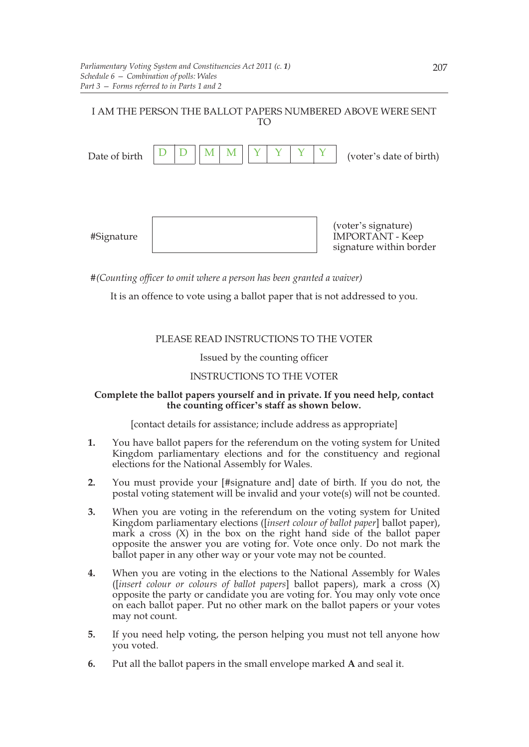## I AM THE PERSON THE BALLOT PAPERS NUMBERED ABOVE WERE SENT TO



*#(Counting officer to omit where a person has been granted a waiver)*

It is an offence to vote using a ballot paper that is not addressed to you.

# PLEASE READ INSTRUCTIONS TO THE VOTER

## Issued by the counting officer

## INSTRUCTIONS TO THE VOTER

## **Complete the ballot papers yourself and in private. If you need help, contact the counting officer's staff as shown below.**

[contact details for assistance; include address as appropriate]

- **1.** You have ballot papers for the referendum on the voting system for United Kingdom parliamentary elections and for the constituency and regional elections for the National Assembly for Wales.
- **2.** You must provide your [#signature and] date of birth. If you do not, the postal voting statement will be invalid and your vote(s) will not be counted.
- **3.** When you are voting in the referendum on the voting system for United Kingdom parliamentary elections ([*insert colour of ballot paper*] ballot paper), mark a cross (X) in the box on the right hand side of the ballot paper opposite the answer you are voting for. Vote once only. Do not mark the ballot paper in any other way or your vote may not be counted.
- **4.** When you are voting in the elections to the National Assembly for Wales ([*insert colour or colours of ballot papers*] ballot papers), mark a cross (X) opposite the party or candidate you are voting for. You may only vote once on each ballot paper. Put no other mark on the ballot papers or your votes may not count.
- **5.** If you need help voting, the person helping you must not tell anyone how you voted.
- **6.** Put all the ballot papers in the small envelope marked **A** and seal it.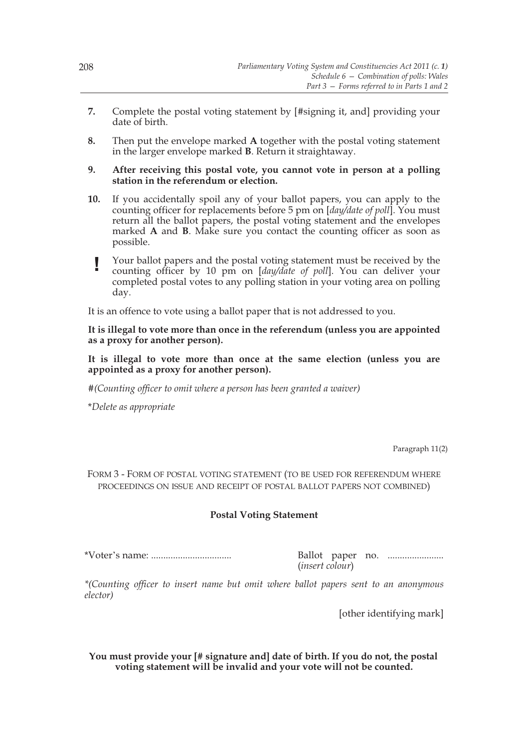- **7.** Complete the postal voting statement by [#signing it, and] providing your date of birth.
- **8.** Then put the envelope marked **A** together with the postal voting statement in the larger envelope marked **B**. Return it straightaway.
- **9. After receiving this postal vote, you cannot vote in person at a polling station in the referendum or election.**
- **10.** If you accidentally spoil any of your ballot papers, you can apply to the counting officer for replacements before 5 pm on [*day/date of poll*]. You must return all the ballot papers, the postal voting statement and the envelopes marked **A** and **B**. Make sure you contact the counting officer as soon as possible.
- Your ballot papers and the postal voting statement must be received by the counting officer by 10 pm on [*day/date of poll*]. You can deliver your completed postal votes to any polling station in your voting area on polling day. **!**

It is an offence to vote using a ballot paper that is not addressed to you.

**It is illegal to vote more than once in the referendum (unless you are appointed as a proxy for another person).**

**It is illegal to vote more than once at the same election (unless you are appointed as a proxy for another person).**

*#(Counting officer to omit where a person has been granted a waiver)*

\**Delete as appropriate*

Paragraph 11(2)

FORM 3 - FORM OF POSTAL VOTING STATEMENT (TO BE USED FOR REFERENDUM WHERE PROCEEDINGS ON ISSUE AND RECEIPT OF POSTAL BALLOT PAPERS NOT COMBINED)

## **Postal Voting Statement**

\*Voter's name: ................................. Ballot paper no. ....................... (*insert colour*)

*\*(Counting officer to insert name but omit where ballot papers sent to an anonymous elector)*

[other identifying mark]

**You must provide your [# signature and] date of birth. If you do not, the postal voting statement will be invalid and your vote will not be counted.**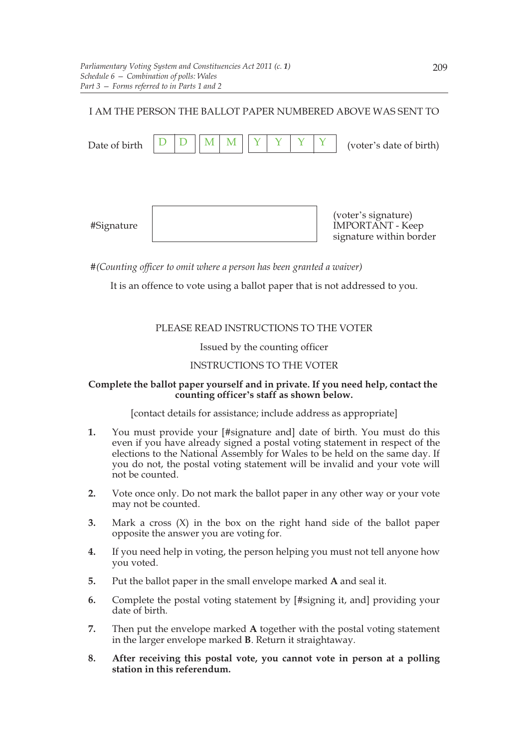# I AM THE PERSON THE BALLOT PAPER NUMBERED ABOVE WAS SENT TO

| Date of birth | M |  |  | (voter's date of birth)                                                   |
|---------------|---|--|--|---------------------------------------------------------------------------|
|               |   |  |  |                                                                           |
|               |   |  |  |                                                                           |
| #Signature    |   |  |  | (voter's signature)<br><b>IMPORTANT - Keep</b><br>signature within border |

*#(Counting officer to omit where a person has been granted a waiver)*

It is an offence to vote using a ballot paper that is not addressed to you.

# PLEASE READ INSTRUCTIONS TO THE VOTER

Issued by the counting officer

# INSTRUCTIONS TO THE VOTER

## **Complete the ballot paper yourself and in private. If you need help, contact the counting officer's staff as shown below.**

[contact details for assistance; include address as appropriate]

- **1.** You must provide your [#signature and] date of birth. You must do this even if you have already signed a postal voting statement in respect of the elections to the National Assembly for Wales to be held on the same day. If you do not, the postal voting statement will be invalid and your vote will not be counted.
- **2.** Vote once only. Do not mark the ballot paper in any other way or your vote may not be counted.
- **3.** Mark a cross (X) in the box on the right hand side of the ballot paper opposite the answer you are voting for.
- **4.** If you need help in voting, the person helping you must not tell anyone how you voted.
- **5.** Put the ballot paper in the small envelope marked **A** and seal it.
- **6.** Complete the postal voting statement by [#signing it, and] providing your date of birth.
- **7.** Then put the envelope marked **A** together with the postal voting statement in the larger envelope marked **B**. Return it straightaway.
- **8. After receiving this postal vote, you cannot vote in person at a polling station in this referendum.**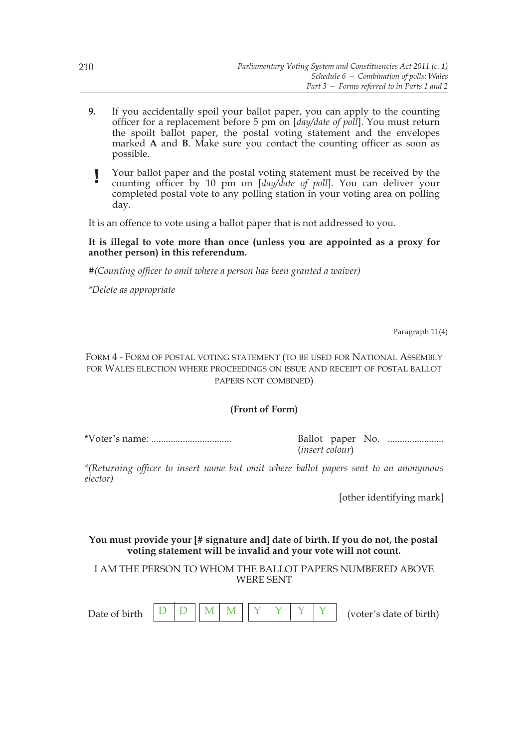- **9.** If you accidentally spoil your ballot paper, you can apply to the counting officer for a replacement before 5 pm on [*day/date of poll*]. You must return the spoilt ballot paper, the postal voting statement and the envelopes marked **A** and **B**. Make sure you contact the counting officer as soon as possible.
	- Your ballot paper and the postal voting statement must be received by the counting officer by 10 pm on [*day/date of poll*]. You can deliver your completed postal vote to any polling station in your voting area on polling day. **!**

It is an offence to vote using a ballot paper that is not addressed to you.

**It is illegal to vote more than once (unless you are appointed as a proxy for another person) in this referendum.**

*#(Counting officer to omit where a person has been granted a waiver)*

*\*Delete as appropriate*

Paragraph 11(4)

## FORM 4 - FORM OF POSTAL VOTING STATEMENT (TO BE USED FOR NATIONAL ASSEMBLY FOR WALES ELECTION WHERE PROCEEDINGS ON ISSUE AND RECEIPT OF POSTAL BALLOT PAPERS NOT COMBINED)

# **(Front of Form)**

\*Voter's name: ................................. Ballot paper No. .......................

(*insert colour*)

*\*(Returning officer to insert name but omit where ballot papers sent to an anonymous elector)*

[other identifying mark]

# **You must provide your [# signature and] date of birth. If you do not, the postal voting statement will be invalid and your vote will not count.**

# I AM THE PERSON TO WHOM THE BALLOT PAPERS NUMBERED ABOVE WERE SENT

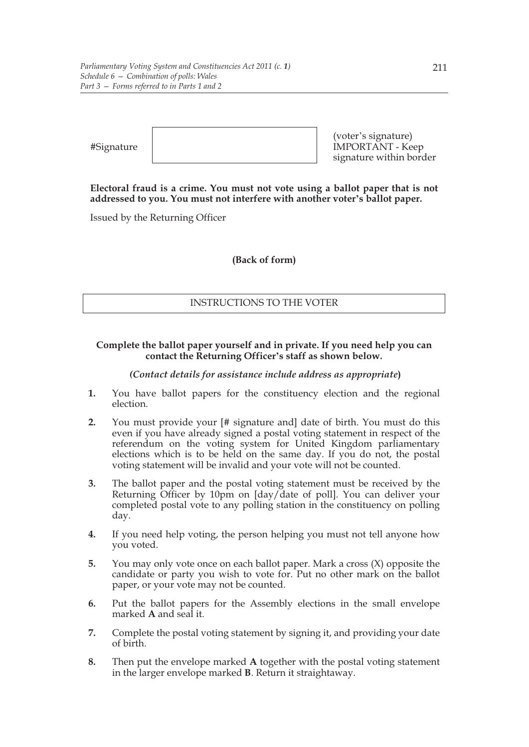#Signature

(voter's signature) IMPORTANT - Keep signature within border

**Electoral fraud is a crime. You must not vote using a ballot paper that is not addressed to you. You must not interfere with another voter's ballot paper.**

Issued by the Returning Officer

# **(Back of form)**

# INSTRUCTIONS TO THE VOTER

## **Complete the ballot paper yourself and in private. If you need help you can contact the Returning Officer's staff as shown below.**

# *(Contact details for assistance include address as appropriate***)**

- **1.** You have ballot papers for the constituency election and the regional election.
- **2.** You must provide your [# signature and] date of birth. You must do this even if you have already signed a postal voting statement in respect of the referendum on the voting system for United Kingdom parliamentary elections which is to be held on the same day. If you do not, the postal voting statement will be invalid and your vote will not be counted.
- **3.** The ballot paper and the postal voting statement must be received by the Returning Officer by 10pm on [day/date of poll]. You can deliver your completed postal vote to any polling station in the constituency on polling day.
- **4.** If you need help voting, the person helping you must not tell anyone how you voted.
- **5.** You may only vote once on each ballot paper. Mark a cross (X) opposite the candidate or party you wish to vote for. Put no other mark on the ballot paper, or your vote may not be counted.
- **6.** Put the ballot papers for the Assembly elections in the small envelope marked **A** and seal it.
- **7.** Complete the postal voting statement by signing it, and providing your date of birth.
- **8.** Then put the envelope marked **A** together with the postal voting statement in the larger envelope marked **B**. Return it straightaway.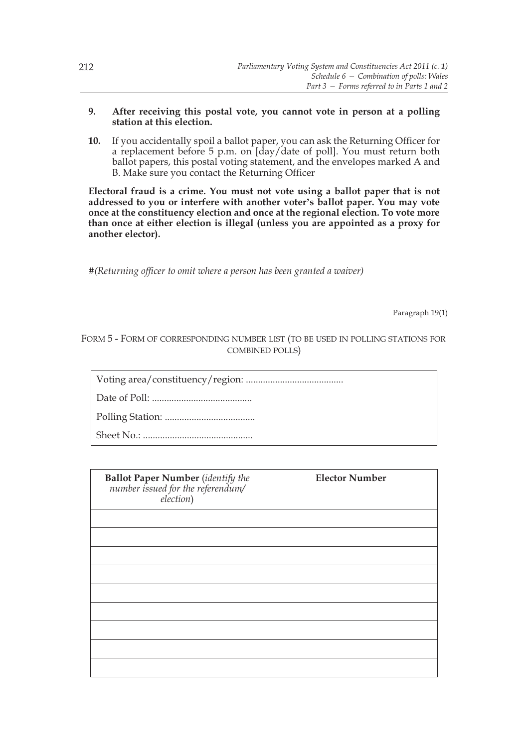## **9. After receiving this postal vote, you cannot vote in person at a polling station at this election.**

**10.** If you accidentally spoil a ballot paper, you can ask the Returning Officer for a replacement before 5 p.m. on [day/date of poll]. You must return both ballot papers, this postal voting statement, and the envelopes marked A and B. Make sure you contact the Returning Officer

**Electoral fraud is a crime. You must not vote using a ballot paper that is not addressed to you or interfere with another voter's ballot paper. You may vote once at the constituency election and once at the regional election. To vote more than once at either election is illegal (unless you are appointed as a proxy for another elector).**

*#(Returning officer to omit where a person has been granted a waiver)*

Paragraph 19(1)

# FORM 5 - FORM OF CORRESPONDING NUMBER LIST (TO BE USED IN POLLING STATIONS FOR COMBINED POLLS)

Voting area/constituency/region: ........................................ Date of Poll: ......................................... Polling Station: ..................................... Sheet No.: .............................................

| <b>Ballot Paper Number</b> (identify the<br>number issued for the referendum/<br>election) | <b>Elector Number</b> |
|--------------------------------------------------------------------------------------------|-----------------------|
|                                                                                            |                       |
|                                                                                            |                       |
|                                                                                            |                       |
|                                                                                            |                       |
|                                                                                            |                       |
|                                                                                            |                       |
|                                                                                            |                       |
|                                                                                            |                       |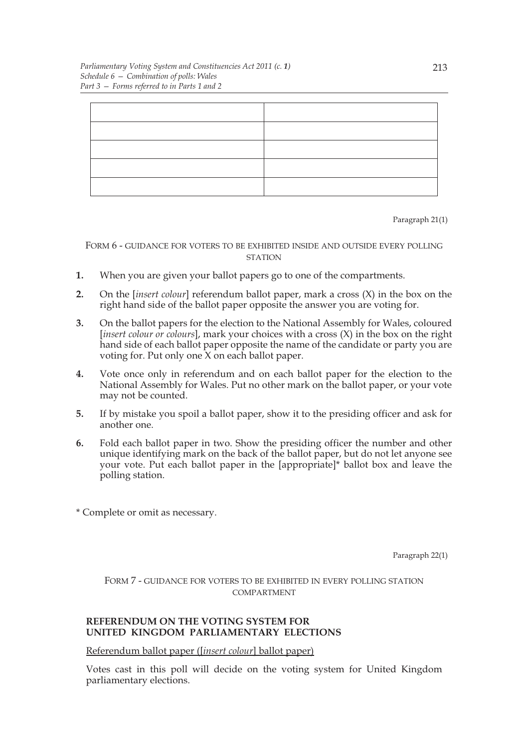Paragraph 21(1)

## FORM 6 - GUIDANCE FOR VOTERS TO BE EXHIBITED INSIDE AND OUTSIDE EVERY POLLING **STATION**

- **1.** When you are given your ballot papers go to one of the compartments.
- **2.** On the [*insert colour*] referendum ballot paper, mark a cross (X) in the box on the right hand side of the ballot paper opposite the answer you are voting for.
- **3.** On the ballot papers for the election to the National Assembly for Wales, coloured [*insert colour or colours*], mark your choices with a cross (X) in the box on the right hand side of each ballot paper opposite the name of the candidate or party you are voting for. Put only one X on each ballot paper.
- **4.** Vote once only in referendum and on each ballot paper for the election to the National Assembly for Wales. Put no other mark on the ballot paper, or your vote may not be counted.
- **5.** If by mistake you spoil a ballot paper, show it to the presiding officer and ask for another one.
- **6.** Fold each ballot paper in two. Show the presiding officer the number and other unique identifying mark on the back of the ballot paper, but do not let anyone see your vote. Put each ballot paper in the [appropriate]\* ballot box and leave the polling station.

\* Complete or omit as necessary.

Paragraph 22(1)

FORM 7 - GUIDANCE FOR VOTERS TO BE EXHIBITED IN EVERY POLLING STATION COMPARTMENT

## **REFERENDUM ON THE VOTING SYSTEM FOR UNITED KINGDOM PARLIAMENTARY ELECTIONS**

Referendum ballot paper ([*insert colour*] ballot paper)

Votes cast in this poll will decide on the voting system for United Kingdom parliamentary elections.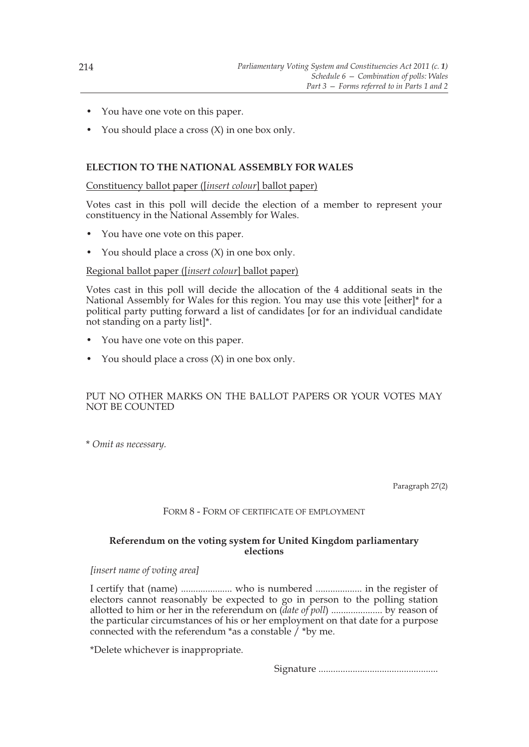- You have one vote on this paper.
- You should place a cross (X) in one box only.

# **ELECTION TO THE NATIONAL ASSEMBLY FOR WALES**

### Constituency ballot paper ([*insert colour*] ballot paper)

Votes cast in this poll will decide the election of a member to represent your constituency in the National Assembly for Wales.

- You have one vote on this paper.
- You should place a cross (X) in one box only.

# Regional ballot paper ([*insert colour*] ballot paper)

Votes cast in this poll will decide the allocation of the 4 additional seats in the National Assembly for Wales for this region. You may use this vote [either]\* for a political party putting forward a list of candidates [or for an individual candidate not standing on a party list]\*.

- You have one vote on this paper.
- You should place a cross  $(X)$  in one box only.

# PUT NO OTHER MARKS ON THE BALLOT PAPERS OR YOUR VOTES MAY NOT BE COUNTED

\* *Omit as necessary.*

Paragraph 27(2)

# FORM 8 - FORM OF CERTIFICATE OF EMPLOYMENT

# **Referendum on the voting system for United Kingdom parliamentary elections**

#### *[insert name of voting area]*

I certify that (name) ..................... who is numbered ................... in the register of electors cannot reasonably be expected to go in person to the polling station allotted to him or her in the referendum on (*date of poll*) ..................... by reason of the particular circumstances of his or her employment on that date for a purpose connected with the referendum \*as a constable  $\ell$  \*by me.

\*Delete whichever is inappropriate.

Signature .................................................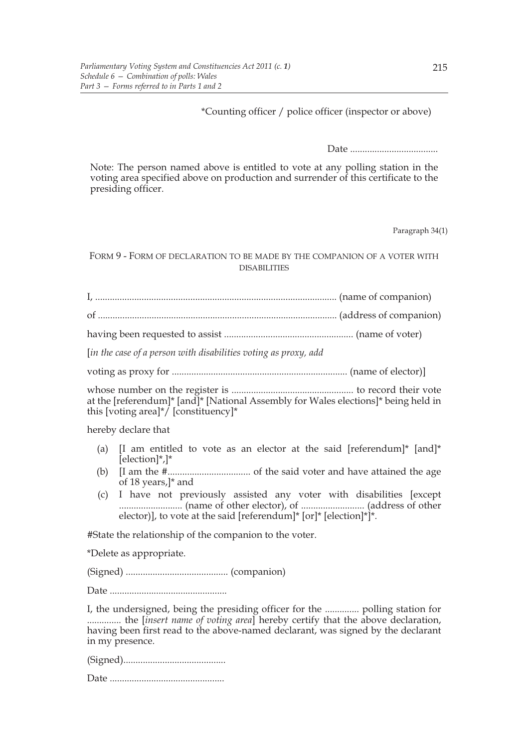\*Counting officer / police officer (inspector or above)

Date ....................................

Note: The person named above is entitled to vote at any polling station in the voting area specified above on production and surrender of this certificate to the presiding officer.

Paragraph 34(1)

### FORM 9 - FORM OF DECLARATION TO BE MADE BY THE COMPANION OF A VOTER WITH DISABILITIES

I, ................................................................................................... (name of companion) of .................................................................................................. (address of companion)

having been requested to assist ..................................................... (name of voter)

[*in the case of a person with disabilities voting as proxy, add*

voting as proxy for ........................................................................ (name of elector)]

whose number on the register is .................................................. to record their vote at the [referendum]\* [and]\* [National Assembly for Wales elections]\* being held in this [voting area]\*/ [constituency]\*

hereby declare that

- (a)  $[I \text{ am entitled to vote as an electron at the said } [referendum]^{*} \text{ [and]}^{*}$ [election]\*,]\*
- (b) [I am the #.................................. of the said voter and have attained the age of 18 years,]\* and
- (c) I have not previously assisted any voter with disabilities [except .......................... (name of other elector), of .......................... (address of other elector)], to vote at the said [referendum]\* [or]\* [election]\*]\*.

#State the relationship of the companion to the voter.

\*Delete as appropriate.

(Signed) .......................................... (companion)

Date ................................................

I, the undersigned, being the presiding officer for the .............. polling station for .............. the [*insert name of voting area*] hereby certify that the above declaration, having been first read to the above-named declarant, was signed by the declarant in my presence.

(Signed)..........................................

Date ...............................................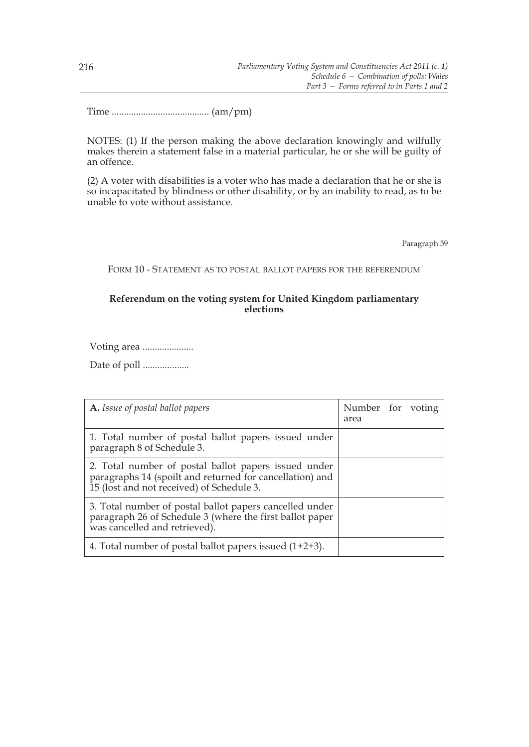Time ........................................ (am/pm)

NOTES: (1) If the person making the above declaration knowingly and wilfully makes therein a statement false in a material particular, he or she will be guilty of an offence.

(2) A voter with disabilities is a voter who has made a declaration that he or she is so incapacitated by blindness or other disability, or by an inability to read, as to be unable to vote without assistance.

Paragraph 59

FORM 10 - STATEMENT AS TO POSTAL BALLOT PAPERS FOR THE REFERENDUM

# **Referendum on the voting system for United Kingdom parliamentary elections**

Voting area ........................

Date of poll ....................

| <b>A.</b> Issue of postal ballot papers                                                                                                                       | Number for voting<br>area |  |
|---------------------------------------------------------------------------------------------------------------------------------------------------------------|---------------------------|--|
| 1. Total number of postal ballot papers issued under<br>paragraph 8 of Schedule 3.                                                                            |                           |  |
| 2. Total number of postal ballot papers issued under<br>paragraphs 14 (spoilt and returned for cancellation) and<br>15 (lost and not received) of Schedule 3. |                           |  |
| 3. Total number of postal ballot papers cancelled under<br>paragraph 26 of Schedule 3 (where the first ballot paper<br>was cancelled and retrieved).          |                           |  |
| 4. Total number of postal ballot papers issued $(1+2+3)$ .                                                                                                    |                           |  |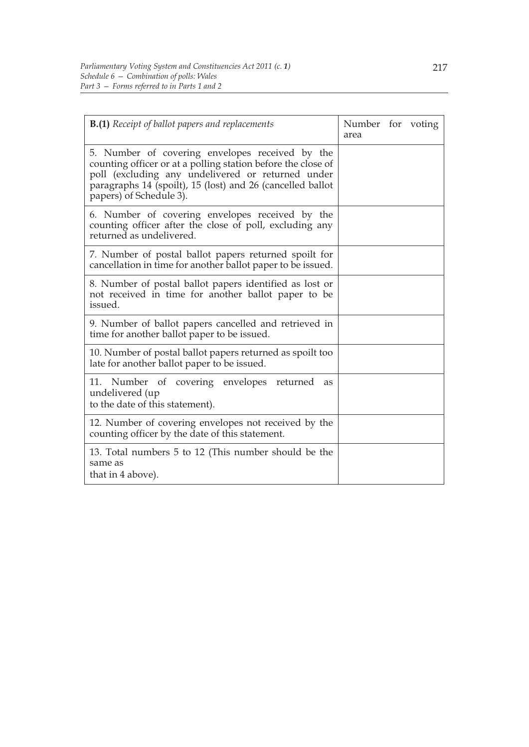| <b>B.(1)</b> Receipt of ballot papers and replacements                                                                                                                                                                                                        | Number for voting<br>area |  |
|---------------------------------------------------------------------------------------------------------------------------------------------------------------------------------------------------------------------------------------------------------------|---------------------------|--|
| 5. Number of covering envelopes received by the<br>counting officer or at a polling station before the close of<br>poll (excluding any undelivered or returned under<br>paragraphs 14 (spoilt), 15 (lost) and 26 (cancelled ballot<br>papers) of Schedule 3). |                           |  |
| 6. Number of covering envelopes received by the<br>counting officer after the close of poll, excluding any<br>returned as undelivered.                                                                                                                        |                           |  |
| 7. Number of postal ballot papers returned spoilt for<br>cancellation in time for another ballot paper to be issued.                                                                                                                                          |                           |  |
| 8. Number of postal ballot papers identified as lost or<br>not received in time for another ballot paper to be<br>issued.                                                                                                                                     |                           |  |
| 9. Number of ballot papers cancelled and retrieved in<br>time for another ballot paper to be issued.                                                                                                                                                          |                           |  |
| 10. Number of postal ballot papers returned as spoilt too<br>late for another ballot paper to be issued.                                                                                                                                                      |                           |  |
| 11. Number of covering envelopes returned<br>as<br>undelivered (up<br>to the date of this statement).                                                                                                                                                         |                           |  |
| 12. Number of covering envelopes not received by the<br>counting officer by the date of this statement.                                                                                                                                                       |                           |  |
| 13. Total numbers 5 to 12 (This number should be the<br>same as<br>that in 4 above).                                                                                                                                                                          |                           |  |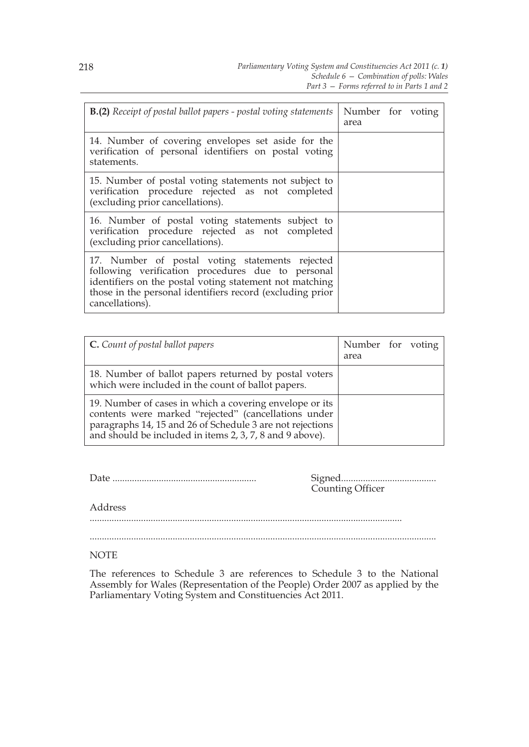| <b>B.(2)</b> Receipt of postal ballot papers - postal voting statements                                                                                                                                                                         | Number for voting<br>area |  |
|-------------------------------------------------------------------------------------------------------------------------------------------------------------------------------------------------------------------------------------------------|---------------------------|--|
| 14. Number of covering envelopes set aside for the<br>verification of personal identifiers on postal voting<br>statements.                                                                                                                      |                           |  |
| 15. Number of postal voting statements not subject to<br>verification procedure rejected as not completed<br>(excluding prior cancellations).                                                                                                   |                           |  |
| 16. Number of postal voting statements subject to<br>verification procedure rejected as not completed<br>(excluding prior cancellations).                                                                                                       |                           |  |
| 17. Number of postal voting statements rejected<br>following verification procedures due to personal<br>identifiers on the postal voting statement not matching<br>those in the personal identifiers record (excluding prior<br>cancellations). |                           |  |

| <b>C.</b> Count of postal ballot papers                                                                                                                                                                                                  | Number for voting<br>area |  |
|------------------------------------------------------------------------------------------------------------------------------------------------------------------------------------------------------------------------------------------|---------------------------|--|
| 18. Number of ballot papers returned by postal voters<br>which were included in the count of ballot papers.                                                                                                                              |                           |  |
| 19. Number of cases in which a covering envelope or its<br>contents were marked "rejected" (cancellations under<br>paragraphs 14, 15 and 26 of Schedule 3 are not rejections<br>and should be included in items 2, 3, 7, 8 and 9 above). |                           |  |

Date ........................................................... Signed.......................................

Counting Officer

# Address

................................................................................................................................

..............................................................................................................................................

# NOTE

The references to Schedule 3 are references to Schedule 3 to the National Assembly for Wales (Representation of the People) Order 2007 as applied by the Parliamentary Voting System and Constituencies Act 2011.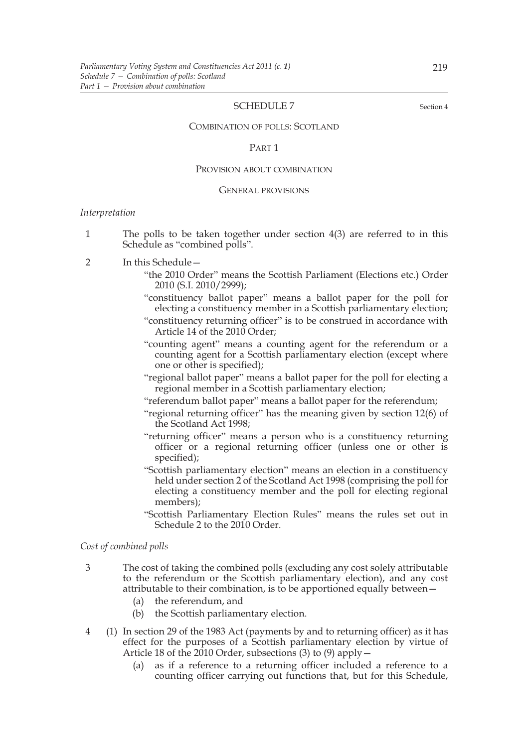#### SCHEDULE 7 Section 4

#### COMBINATION OF POLLS: SCOTLAND

#### PART 1

#### PROVISION ABOUT COMBINATION

#### GENERAL PROVISIONS

#### *Interpretation*

- 1 The polls to be taken together under section 4(3) are referred to in this Schedule as "combined polls".
- 2 In this Schedule—
	- "the 2010 Order" means the Scottish Parliament (Elections etc.) Order 2010 (S.I. 2010/2999);
	- "constituency ballot paper" means a ballot paper for the poll for electing a constituency member in a Scottish parliamentary election; "constituency returning officer" is to be construed in accordance with Article 14 of the 2010 Order;
	- "counting agent" means a counting agent for the referendum or a counting agent for a Scottish parliamentary election (except where one or other is specified);
	- "regional ballot paper" means a ballot paper for the poll for electing a regional member in a Scottish parliamentary election;
	- "referendum ballot paper" means a ballot paper for the referendum;
	- "regional returning officer" has the meaning given by section 12(6) of the Scotland Act 1998;
	- "returning officer" means a person who is a constituency returning officer or a regional returning officer (unless one or other is specified);
	- "Scottish parliamentary election" means an election in a constituency held under section 2 of the Scotland Act 1998 (comprising the poll for electing a constituency member and the poll for electing regional members);
	- "Scottish Parliamentary Election Rules" means the rules set out in Schedule 2 to the 2010 Order.

#### *Cost of combined polls*

- 3 The cost of taking the combined polls (excluding any cost solely attributable to the referendum or the Scottish parliamentary election), and any cost attributable to their combination, is to be apportioned equally between—
	- (a) the referendum, and
	- (b) the Scottish parliamentary election.
- 4 (1) In section 29 of the 1983 Act (payments by and to returning officer) as it has effect for the purposes of a Scottish parliamentary election by virtue of Article 18 of the 2010 Order, subsections  $(3)$  to  $(9)$  apply  $-$ 
	- (a) as if a reference to a returning officer included a reference to a counting officer carrying out functions that, but for this Schedule,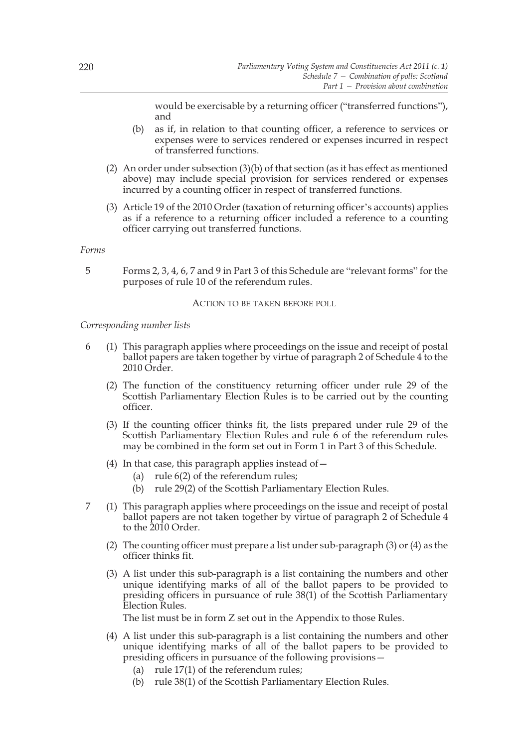would be exercisable by a returning officer ("transferred functions"), and

- (b) as if, in relation to that counting officer, a reference to services or expenses were to services rendered or expenses incurred in respect of transferred functions.
- (2) An order under subsection (3)(b) of that section (as it has effect as mentioned above) may include special provision for services rendered or expenses incurred by a counting officer in respect of transferred functions.
- (3) Article 19 of the 2010 Order (taxation of returning officer's accounts) applies as if a reference to a returning officer included a reference to a counting officer carrying out transferred functions.

### *Forms*

5 Forms 2, 3, 4, 6, 7 and 9 in Part 3 of this Schedule are "relevant forms" for the purposes of rule 10 of the referendum rules.

ACTION TO BE TAKEN BEFORE POLL

### *Corresponding number lists*

- 6 (1) This paragraph applies where proceedings on the issue and receipt of postal ballot papers are taken together by virtue of paragraph 2 of Schedule 4 to the 2010 Order.
	- (2) The function of the constituency returning officer under rule 29 of the Scottish Parliamentary Election Rules is to be carried out by the counting officer.
	- (3) If the counting officer thinks fit, the lists prepared under rule 29 of the Scottish Parliamentary Election Rules and rule 6 of the referendum rules may be combined in the form set out in Form 1 in Part 3 of this Schedule.
	- (4) In that case, this paragraph applies instead of  $-$ 
		- (a) rule 6(2) of the referendum rules;
		- (b) rule 29(2) of the Scottish Parliamentary Election Rules.
- 7 (1) This paragraph applies where proceedings on the issue and receipt of postal ballot papers are not taken together by virtue of paragraph 2 of Schedule 4 to the 2010 Order.
	- (2) The counting officer must prepare a list under sub-paragraph (3) or (4) as the officer thinks fit.
	- (3) A list under this sub-paragraph is a list containing the numbers and other unique identifying marks of all of the ballot papers to be provided to presiding officers in pursuance of rule 38(1) of the Scottish Parliamentary Election Rules.

The list must be in form Z set out in the Appendix to those Rules.

- (4) A list under this sub-paragraph is a list containing the numbers and other unique identifying marks of all of the ballot papers to be provided to presiding officers in pursuance of the following provisions—
	- (a) rule 17(1) of the referendum rules;
	- (b) rule 38(1) of the Scottish Parliamentary Election Rules.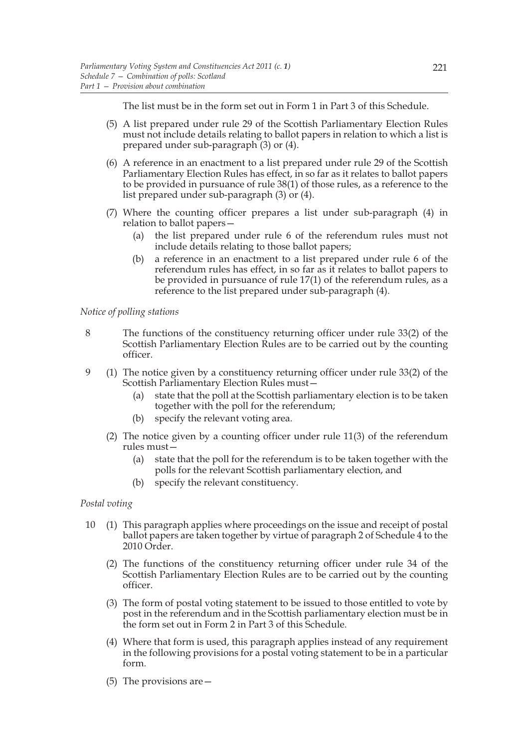The list must be in the form set out in Form 1 in Part 3 of this Schedule.

- (5) A list prepared under rule 29 of the Scottish Parliamentary Election Rules must not include details relating to ballot papers in relation to which a list is prepared under sub-paragraph (3) or (4).
- (6) A reference in an enactment to a list prepared under rule 29 of the Scottish Parliamentary Election Rules has effect, in so far as it relates to ballot papers to be provided in pursuance of rule 38(1) of those rules, as a reference to the list prepared under sub-paragraph (3) or (4).
- (7) Where the counting officer prepares a list under sub-paragraph (4) in relation to ballot papers—
	- (a) the list prepared under rule 6 of the referendum rules must not include details relating to those ballot papers;
	- (b) a reference in an enactment to a list prepared under rule 6 of the referendum rules has effect, in so far as it relates to ballot papers to be provided in pursuance of rule 17(1) of the referendum rules, as a reference to the list prepared under sub-paragraph (4).

### *Notice of polling stations*

- 8 The functions of the constituency returning officer under rule 33(2) of the Scottish Parliamentary Election Rules are to be carried out by the counting officer.
- 9 (1) The notice given by a constituency returning officer under rule 33(2) of the Scottish Parliamentary Election Rules must—
	- (a) state that the poll at the Scottish parliamentary election is to be taken together with the poll for the referendum;
	- (b) specify the relevant voting area.
	- (2) The notice given by a counting officer under rule 11(3) of the referendum rules must—
		- (a) state that the poll for the referendum is to be taken together with the polls for the relevant Scottish parliamentary election, and
		- (b) specify the relevant constituency.

# *Postal voting*

- 10 (1) This paragraph applies where proceedings on the issue and receipt of postal ballot papers are taken together by virtue of paragraph 2 of Schedule 4 to the 2010 Order.
	- (2) The functions of the constituency returning officer under rule 34 of the Scottish Parliamentary Election Rules are to be carried out by the counting officer.
	- (3) The form of postal voting statement to be issued to those entitled to vote by post in the referendum and in the Scottish parliamentary election must be in the form set out in Form 2 in Part 3 of this Schedule.
	- (4) Where that form is used, this paragraph applies instead of any requirement in the following provisions for a postal voting statement to be in a particular form.
	- (5) The provisions are—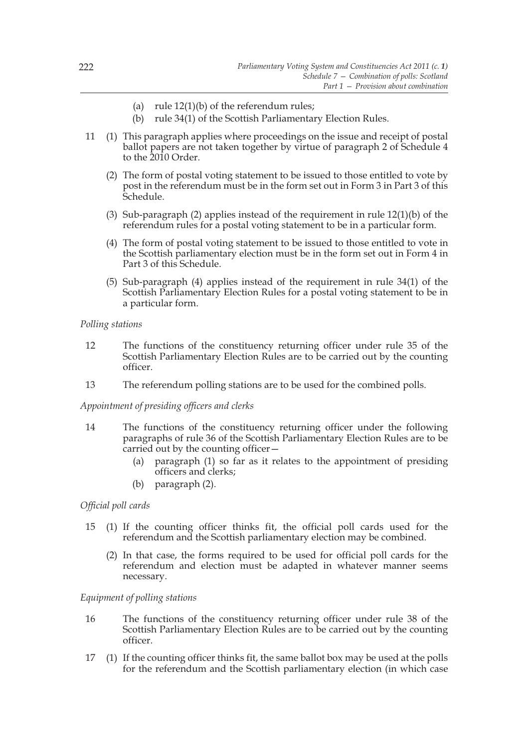- (a) rule 12(1)(b) of the referendum rules;
- (b) rule 34(1) of the Scottish Parliamentary Election Rules.
- 11 (1) This paragraph applies where proceedings on the issue and receipt of postal ballot papers are not taken together by virtue of paragraph 2 of Schedule 4 to the 2010 Order.
	- (2) The form of postal voting statement to be issued to those entitled to vote by post in the referendum must be in the form set out in Form 3 in Part 3 of this Schedule.
	- (3) Sub-paragraph (2) applies instead of the requirement in rule 12(1)(b) of the referendum rules for a postal voting statement to be in a particular form.
	- (4) The form of postal voting statement to be issued to those entitled to vote in the Scottish parliamentary election must be in the form set out in Form 4 in Part 3 of this Schedule.
	- (5) Sub-paragraph (4) applies instead of the requirement in rule 34(1) of the Scottish Parliamentary Election Rules for a postal voting statement to be in a particular form.

### *Polling stations*

- 12 The functions of the constituency returning officer under rule 35 of the Scottish Parliamentary Election Rules are to be carried out by the counting officer.
- 13 The referendum polling stations are to be used for the combined polls.

*Appointment of presiding officers and clerks*

- 14 The functions of the constituency returning officer under the following paragraphs of rule 36 of the Scottish Parliamentary Election Rules are to be carried out by the counting officer—
	- (a) paragraph (1) so far as it relates to the appointment of presiding officers and clerks;
	- (b) paragraph (2).

*Official poll cards*

- 15 (1) If the counting officer thinks fit, the official poll cards used for the referendum and the Scottish parliamentary election may be combined.
	- (2) In that case, the forms required to be used for official poll cards for the referendum and election must be adapted in whatever manner seems necessary.

*Equipment of polling stations* 

- 16 The functions of the constituency returning officer under rule 38 of the Scottish Parliamentary Election Rules are to be carried out by the counting officer.
- 17 (1) If the counting officer thinks fit, the same ballot box may be used at the polls for the referendum and the Scottish parliamentary election (in which case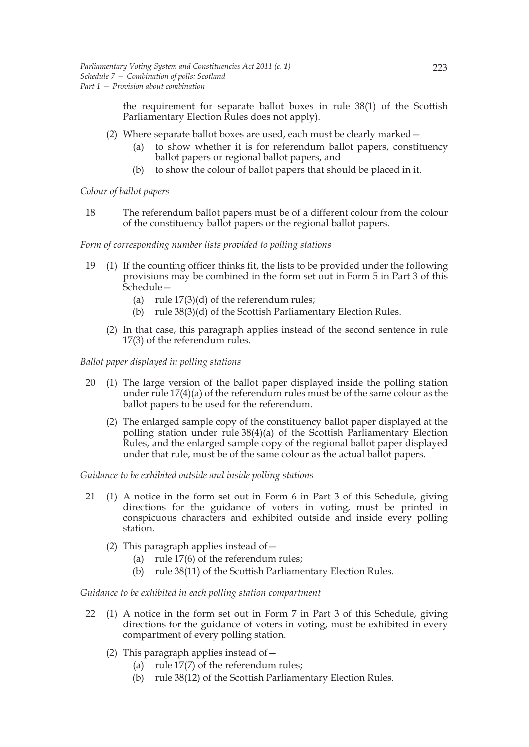the requirement for separate ballot boxes in rule 38(1) of the Scottish Parliamentary Election Rules does not apply).

- (2) Where separate ballot boxes are used, each must be clearly marked—
	- (a) to show whether it is for referendum ballot papers, constituency ballot papers or regional ballot papers, and
	- (b) to show the colour of ballot papers that should be placed in it.

# *Colour of ballot papers*

18 The referendum ballot papers must be of a different colour from the colour of the constituency ballot papers or the regional ballot papers.

*Form of corresponding number lists provided to polling stations*

- 19 (1) If the counting officer thinks fit, the lists to be provided under the following provisions may be combined in the form set out in Form 5 in Part 3 of this Schedule—
	- (a) rule 17(3)(d) of the referendum rules;
	- (b) rule 38(3)(d) of the Scottish Parliamentary Election Rules.
	- (2) In that case, this paragraph applies instead of the second sentence in rule 17(3) of the referendum rules.

*Ballot paper displayed in polling stations*

- 20 (1) The large version of the ballot paper displayed inside the polling station under rule 17(4)(a) of the referendum rules must be of the same colour as the ballot papers to be used for the referendum.
	- (2) The enlarged sample copy of the constituency ballot paper displayed at the polling station under rule 38(4)(a) of the Scottish Parliamentary Election Rules, and the enlarged sample copy of the regional ballot paper displayed under that rule, must be of the same colour as the actual ballot papers.

*Guidance to be exhibited outside and inside polling stations*

- 21 (1) A notice in the form set out in Form 6 in Part 3 of this Schedule, giving directions for the guidance of voters in voting, must be printed in conspicuous characters and exhibited outside and inside every polling station.
	- (2) This paragraph applies instead of  $-$ 
		- (a) rule 17(6) of the referendum rules;
		- (b) rule 38(11) of the Scottish Parliamentary Election Rules.

# *Guidance to be exhibited in each polling station compartment*

- 22 (1) A notice in the form set out in Form 7 in Part 3 of this Schedule, giving directions for the guidance of voters in voting, must be exhibited in every compartment of every polling station.
	- (2) This paragraph applies instead of—
		- (a) rule 17(7) of the referendum rules;
		- (b) rule 38(12) of the Scottish Parliamentary Election Rules.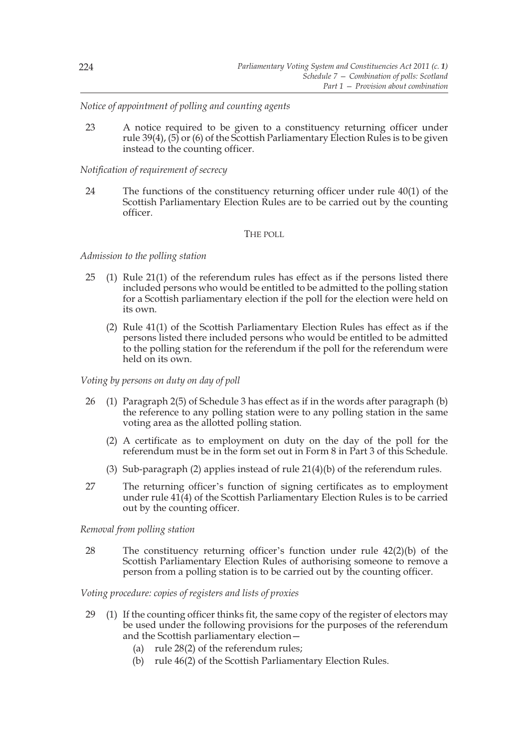*Notice of appointment of polling and counting agents*

23 A notice required to be given to a constituency returning officer under rule  $39(4)$ ,  $(5)$  or  $(6)$  of the Scottish Parliamentary Election Rules is to be given instead to the counting officer.

# *Notification of requirement of secrecy*

24 The functions of the constituency returning officer under rule 40(1) of the Scottish Parliamentary Election Rules are to be carried out by the counting officer.

# THE POLL

# *Admission to the polling station*

- 25 (1) Rule 21(1) of the referendum rules has effect as if the persons listed there included persons who would be entitled to be admitted to the polling station for a Scottish parliamentary election if the poll for the election were held on its own.
	- (2) Rule 41(1) of the Scottish Parliamentary Election Rules has effect as if the persons listed there included persons who would be entitled to be admitted to the polling station for the referendum if the poll for the referendum were held on its own.

# *Voting by persons on duty on day of poll*

- 26 (1) Paragraph 2(5) of Schedule 3 has effect as if in the words after paragraph (b) the reference to any polling station were to any polling station in the same voting area as the allotted polling station.
	- (2) A certificate as to employment on duty on the day of the poll for the referendum must be in the form set out in Form 8 in Part 3 of this Schedule.
	- (3) Sub-paragraph (2) applies instead of rule 21(4)(b) of the referendum rules.
- 27 The returning officer's function of signing certificates as to employment under rule 41(4) of the Scottish Parliamentary Election Rules is to be carried out by the counting officer.

# *Removal from polling station*

28 The constituency returning officer's function under rule 42(2)(b) of the Scottish Parliamentary Election Rules of authorising someone to remove a person from a polling station is to be carried out by the counting officer.

# *Voting procedure: copies of registers and lists of proxies*

- 29 (1) If the counting officer thinks fit, the same copy of the register of electors may be used under the following provisions for the purposes of the referendum and the Scottish parliamentary election—
	- (a) rule 28(2) of the referendum rules;
	- (b) rule 46(2) of the Scottish Parliamentary Election Rules.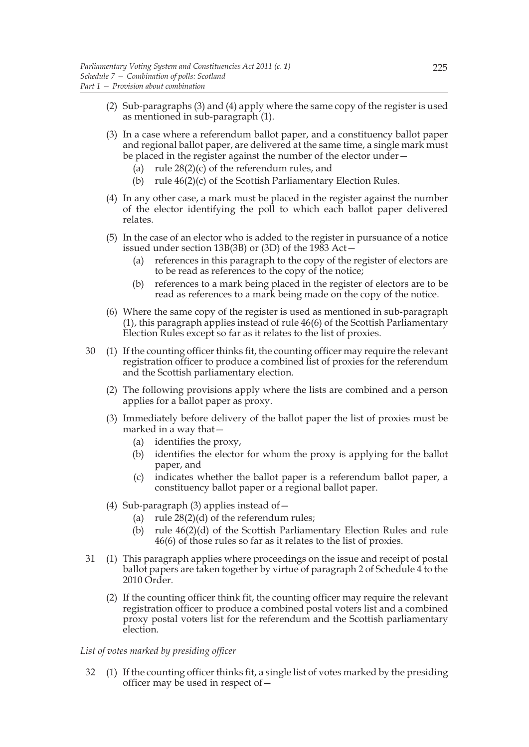- (2) Sub-paragraphs (3) and (4) apply where the same copy of the register is used as mentioned in sub-paragraph (1).
- (3) In a case where a referendum ballot paper, and a constituency ballot paper and regional ballot paper, are delivered at the same time, a single mark must be placed in the register against the number of the elector under—
	- (a) rule  $28(2)(c)$  of the referendum rules, and
	- (b) rule 46(2)(c) of the Scottish Parliamentary Election Rules.
- (4) In any other case, a mark must be placed in the register against the number of the elector identifying the poll to which each ballot paper delivered relates.
- (5) In the case of an elector who is added to the register in pursuance of a notice issued under section 13B(3B) or (3D) of the 1983 Act—
	- (a) references in this paragraph to the copy of the register of electors are to be read as references to the copy of the notice;
	- (b) references to a mark being placed in the register of electors are to be read as references to a mark being made on the copy of the notice.
- (6) Where the same copy of the register is used as mentioned in sub-paragraph (1), this paragraph applies instead of rule 46(6) of the Scottish Parliamentary Election Rules except so far as it relates to the list of proxies.
- 30 (1) If the counting officer thinks fit, the counting officer may require the relevant registration officer to produce a combined list of proxies for the referendum and the Scottish parliamentary election.
	- (2) The following provisions apply where the lists are combined and a person applies for a ballot paper as proxy.
	- (3) Immediately before delivery of the ballot paper the list of proxies must be marked in a way that—
		- (a) identifies the proxy,
		- (b) identifies the elector for whom the proxy is applying for the ballot paper, and
		- (c) indicates whether the ballot paper is a referendum ballot paper, a constituency ballot paper or a regional ballot paper.
	- (4) Sub-paragraph (3) applies instead of—
		- (a) rule 28(2)(d) of the referendum rules;
		- (b) rule 46(2)(d) of the Scottish Parliamentary Election Rules and rule 46(6) of those rules so far as it relates to the list of proxies.
- 31 (1) This paragraph applies where proceedings on the issue and receipt of postal ballot papers are taken together by virtue of paragraph 2 of Schedule 4 to the 2010 Order.
	- (2) If the counting officer think fit, the counting officer may require the relevant registration officer to produce a combined postal voters list and a combined proxy postal voters list for the referendum and the Scottish parliamentary election.

#### *List of votes marked by presiding officer*

32 (1) If the counting officer thinks fit, a single list of votes marked by the presiding officer may be used in respect of—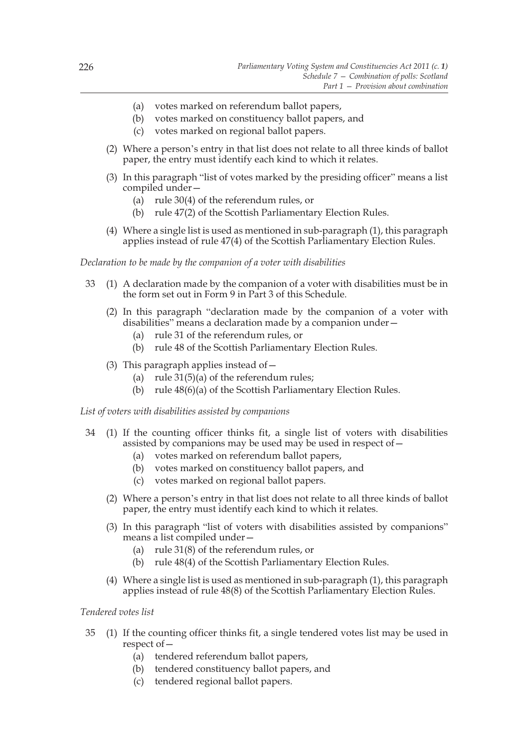- (a) votes marked on referendum ballot papers,
- (b) votes marked on constituency ballot papers, and
- (c) votes marked on regional ballot papers.
- (2) Where a person's entry in that list does not relate to all three kinds of ballot paper, the entry must identify each kind to which it relates.
- (3) In this paragraph "list of votes marked by the presiding officer" means a list compiled under—
	- (a) rule 30(4) of the referendum rules, or
	- (b) rule 47(2) of the Scottish Parliamentary Election Rules.
- (4) Where a single list is used as mentioned in sub-paragraph (1), this paragraph applies instead of rule 47(4) of the Scottish Parliamentary Election Rules.

*Declaration to be made by the companion of a voter with disabilities*

- 33 (1) A declaration made by the companion of a voter with disabilities must be in the form set out in Form 9 in Part 3 of this Schedule.
	- (2) In this paragraph "declaration made by the companion of a voter with disabilities" means a declaration made by a companion under—
		- (a) rule 31 of the referendum rules, or
		- (b) rule 48 of the Scottish Parliamentary Election Rules.
	- (3) This paragraph applies instead of  $-$ 
		- (a) rule  $31(5)$ (a) of the referendum rules;
		- (b) rule 48(6)(a) of the Scottish Parliamentary Election Rules.

*List of voters with disabilities assisted by companions*

- 34 (1) If the counting officer thinks fit, a single list of voters with disabilities assisted by companions may be used may be used in respect of  $-$ 
	- (a) votes marked on referendum ballot papers,
	- (b) votes marked on constituency ballot papers, and
	- (c) votes marked on regional ballot papers.
	- (2) Where a person's entry in that list does not relate to all three kinds of ballot paper, the entry must identify each kind to which it relates.
	- (3) In this paragraph "list of voters with disabilities assisted by companions" means a list compiled under—
		- (a) rule 31(8) of the referendum rules, or
		- (b) rule 48(4) of the Scottish Parliamentary Election Rules.
	- (4) Where a single list is used as mentioned in sub-paragraph (1), this paragraph applies instead of rule 48(8) of the Scottish Parliamentary Election Rules.

*Tendered votes list*

- 35 (1) If the counting officer thinks fit, a single tendered votes list may be used in respect of—
	- (a) tendered referendum ballot papers,
	- (b) tendered constituency ballot papers, and
	- (c) tendered regional ballot papers.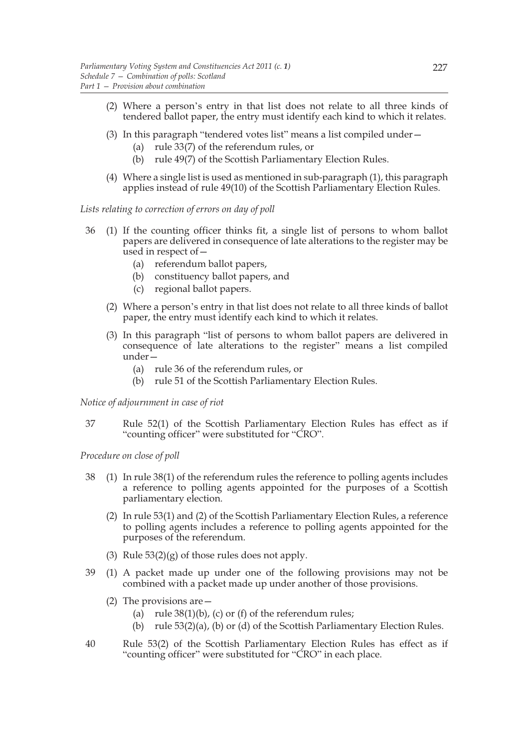- (2) Where a person's entry in that list does not relate to all three kinds of tendered ballot paper, the entry must identify each kind to which it relates.
- (3) In this paragraph "tendered votes list" means a list compiled under—
	- (a) rule 33(7) of the referendum rules, or
	- (b) rule 49(7) of the Scottish Parliamentary Election Rules.
- (4) Where a single list is used as mentioned in sub-paragraph (1), this paragraph applies instead of rule 49(10) of the Scottish Parliamentary Election Rules.

*Lists relating to correction of errors on day of poll*

- 36 (1) If the counting officer thinks fit, a single list of persons to whom ballot papers are delivered in consequence of late alterations to the register may be used in respect of—
	- (a) referendum ballot papers,
	- (b) constituency ballot papers, and
	- (c) regional ballot papers.
	- (2) Where a person's entry in that list does not relate to all three kinds of ballot paper, the entry must identify each kind to which it relates.
	- (3) In this paragraph "list of persons to whom ballot papers are delivered in consequence of late alterations to the register" means a list compiled under—
		- (a) rule 36 of the referendum rules, or
		- (b) rule 51 of the Scottish Parliamentary Election Rules.

*Notice of adjournment in case of riot*

37 Rule 52(1) of the Scottish Parliamentary Election Rules has effect as if "counting officer" were substituted for "CRO".

*Procedure on close of poll*

- 38 (1) In rule 38(1) of the referendum rules the reference to polling agents includes a reference to polling agents appointed for the purposes of a Scottish parliamentary election.
	- (2) In rule 53(1) and (2) of the Scottish Parliamentary Election Rules, a reference to polling agents includes a reference to polling agents appointed for the purposes of the referendum.
	- (3) Rule  $53(2)(g)$  of those rules does not apply.
- 39 (1) A packet made up under one of the following provisions may not be combined with a packet made up under another of those provisions.
	- (2) The provisions are—
		- (a) rule  $38(1)(b)$ , (c) or (f) of the referendum rules;
		- (b) rule 53(2)(a), (b) or (d) of the Scottish Parliamentary Election Rules.
- 40 Rule 53(2) of the Scottish Parliamentary Election Rules has effect as if "counting officer" were substituted for "CRO" in each place.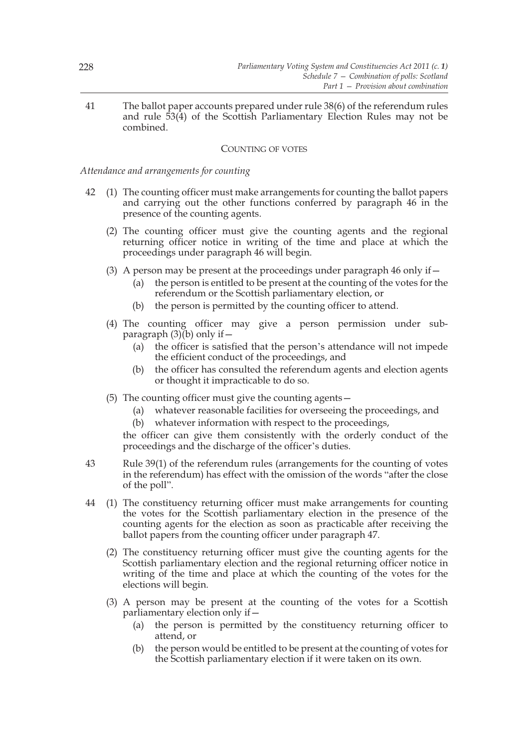41 The ballot paper accounts prepared under rule 38(6) of the referendum rules and rule 53(4) of the Scottish Parliamentary Election Rules may not be combined.

### COUNTING OF VOTES

*Attendance and arrangements for counting*

- 42 (1) The counting officer must make arrangements for counting the ballot papers and carrying out the other functions conferred by paragraph 46 in the presence of the counting agents.
	- (2) The counting officer must give the counting agents and the regional returning officer notice in writing of the time and place at which the proceedings under paragraph 46 will begin.
	- (3) A person may be present at the proceedings under paragraph 46 only if  $-$ 
		- (a) the person is entitled to be present at the counting of the votes for the referendum or the Scottish parliamentary election, or
		- (b) the person is permitted by the counting officer to attend.
	- (4) The counting officer may give a person permission under subparagraph  $(3)(b)$  only if  $-$ 
		- (a) the officer is satisfied that the person's attendance will not impede the efficient conduct of the proceedings, and
		- (b) the officer has consulted the referendum agents and election agents or thought it impracticable to do so.
	- (5) The counting officer must give the counting agents—
		- (a) whatever reasonable facilities for overseeing the proceedings, and
		- (b) whatever information with respect to the proceedings,

the officer can give them consistently with the orderly conduct of the proceedings and the discharge of the officer's duties.

- 43 Rule 39(1) of the referendum rules (arrangements for the counting of votes in the referendum) has effect with the omission of the words "after the close of the poll".
- 44 (1) The constituency returning officer must make arrangements for counting the votes for the Scottish parliamentary election in the presence of the counting agents for the election as soon as practicable after receiving the ballot papers from the counting officer under paragraph 47.
	- (2) The constituency returning officer must give the counting agents for the Scottish parliamentary election and the regional returning officer notice in writing of the time and place at which the counting of the votes for the elections will begin.
	- (3) A person may be present at the counting of the votes for a Scottish parliamentary election only if—
		- (a) the person is permitted by the constituency returning officer to attend, or
		- (b) the person would be entitled to be present at the counting of votes for the Scottish parliamentary election if it were taken on its own.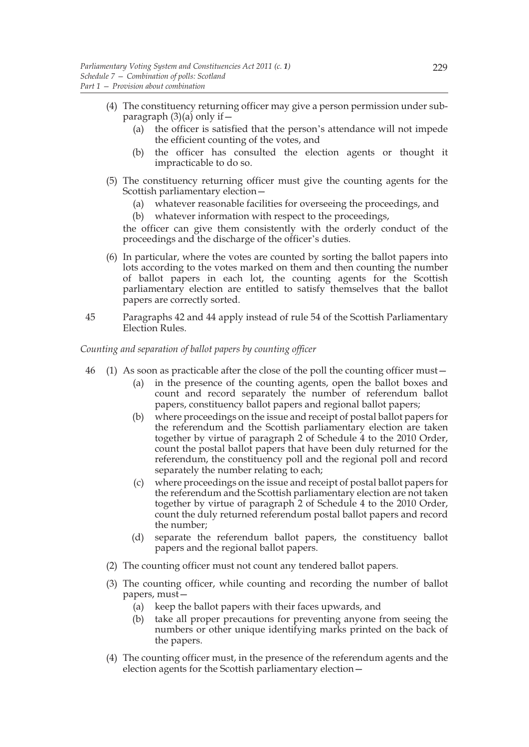- (4) The constituency returning officer may give a person permission under subparagraph  $(3)(a)$  only if  $-$ 
	- (a) the officer is satisfied that the person's attendance will not impede the efficient counting of the votes, and
	- (b) the officer has consulted the election agents or thought it impracticable to do so.
- (5) The constituency returning officer must give the counting agents for the Scottish parliamentary election—
	- (a) whatever reasonable facilities for overseeing the proceedings, and
	- (b) whatever information with respect to the proceedings,

the officer can give them consistently with the orderly conduct of the proceedings and the discharge of the officer's duties.

- (6) In particular, where the votes are counted by sorting the ballot papers into lots according to the votes marked on them and then counting the number of ballot papers in each lot, the counting agents for the Scottish parliamentary election are entitled to satisfy themselves that the ballot papers are correctly sorted.
- 45 Paragraphs 42 and 44 apply instead of rule 54 of the Scottish Parliamentary Election Rules.

*Counting and separation of ballot papers by counting officer*

- 46 (1) As soon as practicable after the close of the poll the counting officer must—
	- (a) in the presence of the counting agents, open the ballot boxes and count and record separately the number of referendum ballot papers, constituency ballot papers and regional ballot papers;
	- (b) where proceedings on the issue and receipt of postal ballot papers for the referendum and the Scottish parliamentary election are taken together by virtue of paragraph 2 of Schedule 4 to the 2010 Order, count the postal ballot papers that have been duly returned for the referendum, the constituency poll and the regional poll and record separately the number relating to each;
	- (c) where proceedings on the issue and receipt of postal ballot papers for the referendum and the Scottish parliamentary election are not taken together by virtue of paragraph 2 of Schedule 4 to the 2010 Order, count the duly returned referendum postal ballot papers and record the number;
	- (d) separate the referendum ballot papers, the constituency ballot papers and the regional ballot papers.
	- (2) The counting officer must not count any tendered ballot papers.
	- (3) The counting officer, while counting and recording the number of ballot papers, must—
		- (a) keep the ballot papers with their faces upwards, and
		- (b) take all proper precautions for preventing anyone from seeing the numbers or other unique identifying marks printed on the back of the papers.
	- (4) The counting officer must, in the presence of the referendum agents and the election agents for the Scottish parliamentary election—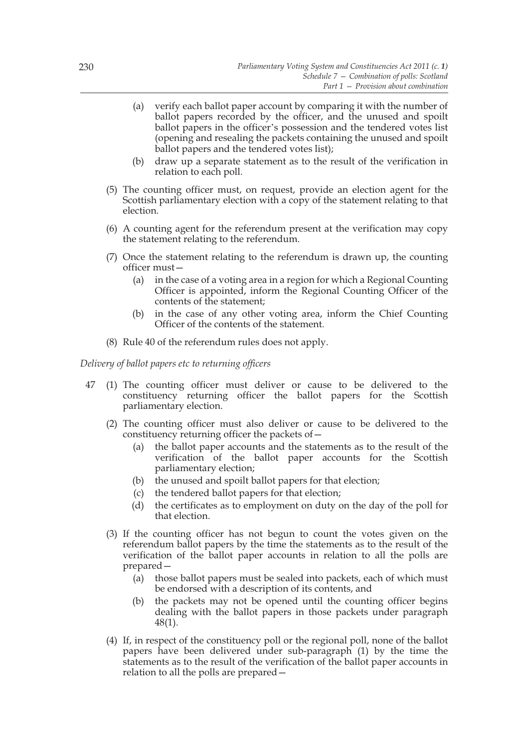- (a) verify each ballot paper account by comparing it with the number of ballot papers recorded by the officer, and the unused and spoilt ballot papers in the officer's possession and the tendered votes list (opening and resealing the packets containing the unused and spoilt ballot papers and the tendered votes list);
- (b) draw up a separate statement as to the result of the verification in relation to each poll.
- (5) The counting officer must, on request, provide an election agent for the Scottish parliamentary election with a copy of the statement relating to that election.
- (6) A counting agent for the referendum present at the verification may copy the statement relating to the referendum.
- (7) Once the statement relating to the referendum is drawn up, the counting officer must—
	- (a) in the case of a voting area in a region for which a Regional Counting Officer is appointed, inform the Regional Counting Officer of the contents of the statement;
	- (b) in the case of any other voting area, inform the Chief Counting Officer of the contents of the statement.
- (8) Rule 40 of the referendum rules does not apply.

*Delivery of ballot papers etc to returning officers*

- 47 (1) The counting officer must deliver or cause to be delivered to the constituency returning officer the ballot papers for the Scottish parliamentary election.
	- (2) The counting officer must also deliver or cause to be delivered to the constituency returning officer the packets of—
		- (a) the ballot paper accounts and the statements as to the result of the verification of the ballot paper accounts for the Scottish parliamentary election;
		- (b) the unused and spoilt ballot papers for that election;
		- (c) the tendered ballot papers for that election;
		- (d) the certificates as to employment on duty on the day of the poll for that election.
	- (3) If the counting officer has not begun to count the votes given on the referendum ballot papers by the time the statements as to the result of the verification of the ballot paper accounts in relation to all the polls are prepared—
		- (a) those ballot papers must be sealed into packets, each of which must be endorsed with a description of its contents, and
		- (b) the packets may not be opened until the counting officer begins dealing with the ballot papers in those packets under paragraph 48(1).
	- (4) If, in respect of the constituency poll or the regional poll, none of the ballot papers have been delivered under sub-paragraph (1) by the time the statements as to the result of the verification of the ballot paper accounts in relation to all the polls are prepared—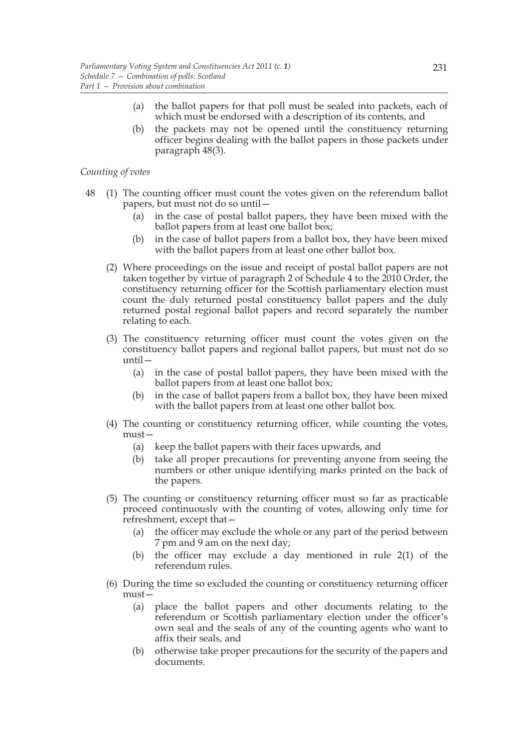- (a) the ballot papers for that poll must be sealed into packets, each of which must be endorsed with a description of its contents, and
- (b) the packets may not be opened until the constituency returning officer begins dealing with the ballot papers in those packets under paragraph 48(3).

### *Counting of votes*

- 48 (1) The counting officer must count the votes given on the referendum ballot papers, but must not do so until—
	- (a) in the case of postal ballot papers, they have been mixed with the ballot papers from at least one ballot box;
	- (b) in the case of ballot papers from a ballot box, they have been mixed with the ballot papers from at least one other ballot box.
	- (2) Where proceedings on the issue and receipt of postal ballot papers are not taken together by virtue of paragraph 2 of Schedule 4 to the 2010 Order, the constituency returning officer for the Scottish parliamentary election must count the duly returned postal constituency ballot papers and the duly returned postal regional ballot papers and record separately the number relating to each.
	- (3) The constituency returning officer must count the votes given on the constituency ballot papers and regional ballot papers, but must not do so until—
		- (a) in the case of postal ballot papers, they have been mixed with the ballot papers from at least one ballot box;
		- (b) in the case of ballot papers from a ballot box, they have been mixed with the ballot papers from at least one other ballot box.
	- (4) The counting or constituency returning officer, while counting the votes, must—
		- (a) keep the ballot papers with their faces upwards, and
		- (b) take all proper precautions for preventing anyone from seeing the numbers or other unique identifying marks printed on the back of the papers.
	- (5) The counting or constituency returning officer must so far as practicable proceed continuously with the counting of votes, allowing only time for refreshment, except that—
		- (a) the officer may exclude the whole or any part of the period between 7 pm and 9 am on the next day;
		- (b) the officer may exclude a day mentioned in rule 2(1) of the referendum rules.
	- (6) During the time so excluded the counting or constituency returning officer must—
		- (a) place the ballot papers and other documents relating to the referendum or Scottish parliamentary election under the officer's own seal and the seals of any of the counting agents who want to affix their seals, and
		- (b) otherwise take proper precautions for the security of the papers and documents.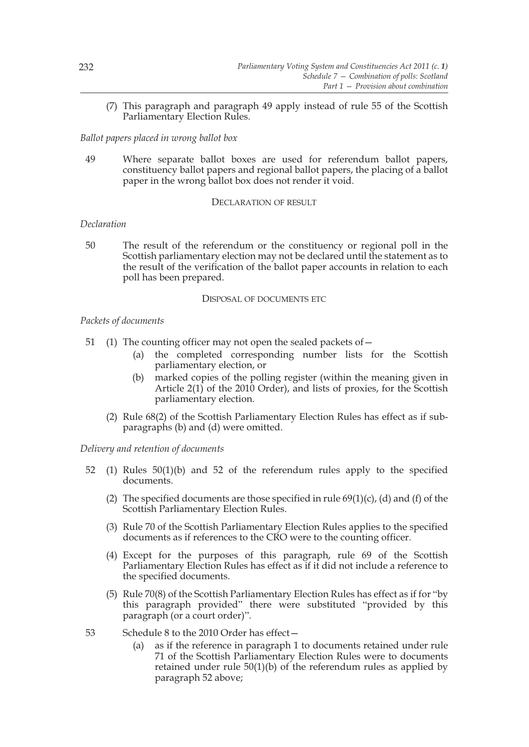(7) This paragraph and paragraph 49 apply instead of rule 55 of the Scottish Parliamentary Election Rules.

# *Ballot papers placed in wrong ballot box*

49 Where separate ballot boxes are used for referendum ballot papers, constituency ballot papers and regional ballot papers, the placing of a ballot paper in the wrong ballot box does not render it void.

# DECLARATION OF RESULT

# *Declaration*

50 The result of the referendum or the constituency or regional poll in the Scottish parliamentary election may not be declared until the statement as to the result of the verification of the ballot paper accounts in relation to each poll has been prepared.

### DISPOSAL OF DOCUMENTS ETC

# *Packets of documents*

- 51 (1) The counting officer may not open the sealed packets of—
	- (a) the completed corresponding number lists for the Scottish parliamentary election, or
	- (b) marked copies of the polling register (within the meaning given in Article 2(1) of the 2010 Order), and lists of proxies, for the Scottish parliamentary election.
	- (2) Rule 68(2) of the Scottish Parliamentary Election Rules has effect as if subparagraphs (b) and (d) were omitted.

*Delivery and retention of documents*

- 52 (1) Rules 50(1)(b) and 52 of the referendum rules apply to the specified documents.
	- (2) The specified documents are those specified in rule  $69(1)(c)$ , (d) and (f) of the Scottish Parliamentary Election Rules.
	- (3) Rule 70 of the Scottish Parliamentary Election Rules applies to the specified documents as if references to the CRO were to the counting officer.
	- (4) Except for the purposes of this paragraph, rule 69 of the Scottish Parliamentary Election Rules has effect as if it did not include a reference to the specified documents.
	- (5) Rule 70(8) of the Scottish Parliamentary Election Rules has effect as if for "by this paragraph provided" there were substituted "provided by this paragraph (or a court order)".
- 53 Schedule 8 to the 2010 Order has effect—
	- (a) as if the reference in paragraph 1 to documents retained under rule 71 of the Scottish Parliamentary Election Rules were to documents retained under rule  $50(1)(b)$  of the referendum rules as applied by paragraph 52 above;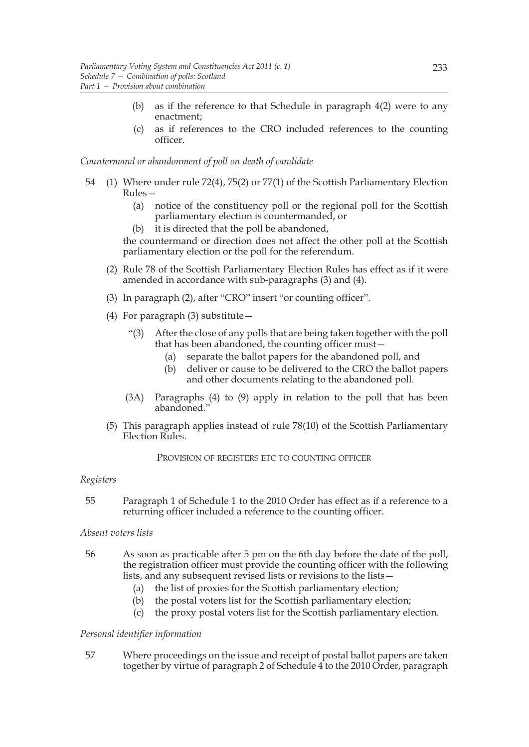- (b) as if the reference to that Schedule in paragraph 4(2) were to any enactment;
- (c) as if references to the CRO included references to the counting officer.

*Countermand or abandonment of poll on death of candidate*

- 54 (1) Where under rule 72(4), 75(2) or 77(1) of the Scottish Parliamentary Election Rules—
	- (a) notice of the constituency poll or the regional poll for the Scottish parliamentary election is countermanded, or
	- (b) it is directed that the poll be abandoned,

the countermand or direction does not affect the other poll at the Scottish parliamentary election or the poll for the referendum.

- (2) Rule 78 of the Scottish Parliamentary Election Rules has effect as if it were amended in accordance with sub-paragraphs (3) and (4).
- (3) In paragraph (2), after "CRO" insert "or counting officer".
- (4) For paragraph (3) substitute—
	- "(3) After the close of any polls that are being taken together with the poll that has been abandoned, the counting officer must—
		- (a) separate the ballot papers for the abandoned poll, and
		- (b) deliver or cause to be delivered to the CRO the ballot papers and other documents relating to the abandoned poll.
	- (3A) Paragraphs (4) to (9) apply in relation to the poll that has been abandoned."
- (5) This paragraph applies instead of rule 78(10) of the Scottish Parliamentary Election Rules.

PROVISION OF REGISTERS ETC TO COUNTING OFFICER

### *Registers*

55 Paragraph 1 of Schedule 1 to the 2010 Order has effect as if a reference to a returning officer included a reference to the counting officer.

#### *Absent voters lists*

- 56 As soon as practicable after 5 pm on the 6th day before the date of the poll, the registration officer must provide the counting officer with the following lists, and any subsequent revised lists or revisions to the lists—
	- (a) the list of proxies for the Scottish parliamentary election;
	- (b) the postal voters list for the Scottish parliamentary election;
	- (c) the proxy postal voters list for the Scottish parliamentary election.

# *Personal identifier information*

57 Where proceedings on the issue and receipt of postal ballot papers are taken together by virtue of paragraph 2 of Schedule 4 to the 2010 Order, paragraph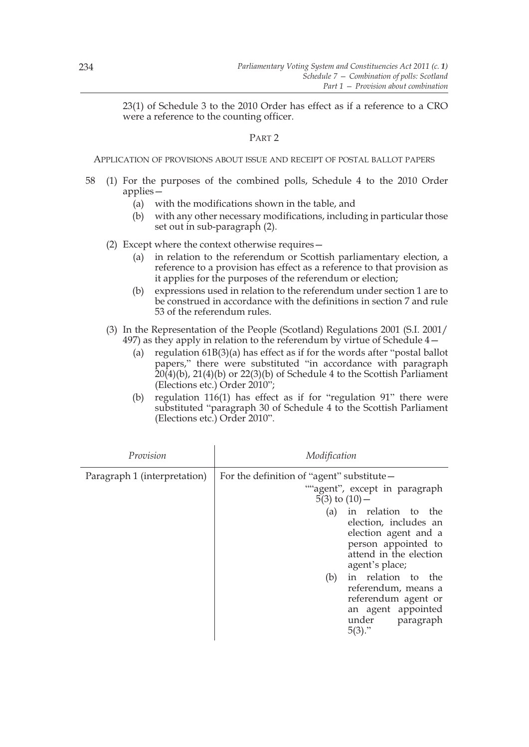23(1) of Schedule 3 to the 2010 Order has effect as if a reference to a CRO were a reference to the counting officer.

# PART 2

APPLICATION OF PROVISIONS ABOUT ISSUE AND RECEIPT OF POSTAL BALLOT PAPERS

- 58 (1) For the purposes of the combined polls, Schedule 4 to the 2010 Order applies—
	- (a) with the modifications shown in the table, and
	- (b) with any other necessary modifications, including in particular those set out in sub-paragraph (2).

(2) Except where the context otherwise requires—

- (a) in relation to the referendum or Scottish parliamentary election, a reference to a provision has effect as a reference to that provision as it applies for the purposes of the referendum or election;
- (b) expressions used in relation to the referendum under section 1 are to be construed in accordance with the definitions in section 7 and rule 53 of the referendum rules.

# (3) In the Representation of the People (Scotland) Regulations 2001 (S.I. 2001/ 497) as they apply in relation to the referendum by virtue of Schedule 4—

- (a) regulation 61B(3)(a) has effect as if for the words after "postal ballot papers," there were substituted "in accordance with paragraph  $20(4)(b)$ ,  $21(4)(b)$  or  $22(3)(b)$  of Schedule 4 to the Scottish Parliament (Elections etc.) Order 2010";
- (b) regulation 116(1) has effect as if for "regulation 91" there were substituted "paragraph 30 of Schedule 4 to the Scottish Parliament (Elections etc.) Order 2010".

|                                                                                                                                 | Provision | Modification                                                                                                                                                                                                                                                               |
|---------------------------------------------------------------------------------------------------------------------------------|-----------|----------------------------------------------------------------------------------------------------------------------------------------------------------------------------------------------------------------------------------------------------------------------------|
| Paragraph 1 (interpretation)<br>For the definition of "agent" substitute –<br>$5(3)$ to $(10)$ –<br>agent's place;<br>$5(3)$ ." |           | ""agent", except in paragraph<br>(a) in relation to the<br>election, includes an<br>election agent and a<br>person appointed to<br>attend in the election<br>(b) in relation to the<br>referendum, means a<br>referendum agent or<br>an agent appointed<br>under paragraph |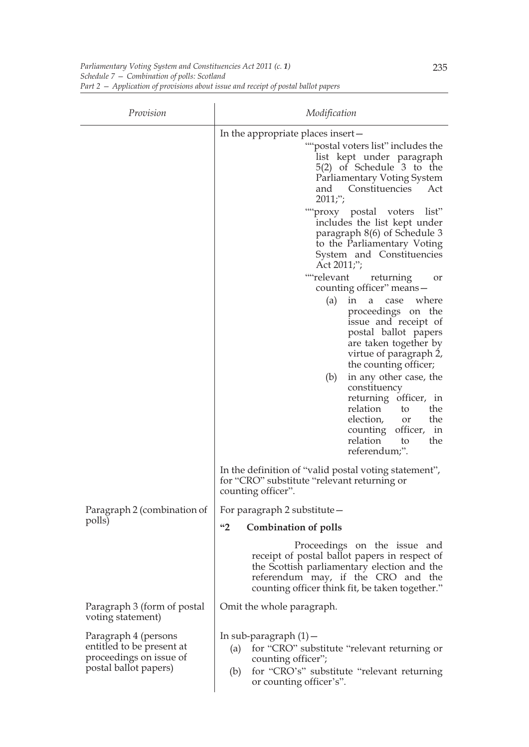| Provision                                                                                             | Modification                                                                                                                                                                                                                                                                                                                                                                        |
|-------------------------------------------------------------------------------------------------------|-------------------------------------------------------------------------------------------------------------------------------------------------------------------------------------------------------------------------------------------------------------------------------------------------------------------------------------------------------------------------------------|
|                                                                                                       | In the appropriate places insert –<br>""postal voters list" includes the<br>list kept under paragraph<br>5(2) of Schedule 3 to the<br>Parliamentary Voting System<br>Constituencies<br>and<br>Act<br>$2011$ ;";<br>""proxy postal voters<br>list"                                                                                                                                   |
|                                                                                                       | includes the list kept under<br>paragraph 8(6) of Schedule 3<br>to the Parliamentary Voting<br>System and Constituencies<br>Act 2011;";                                                                                                                                                                                                                                             |
|                                                                                                       | ""relevant<br>returning<br>or<br>counting officer" means-                                                                                                                                                                                                                                                                                                                           |
|                                                                                                       | (a)<br>in<br>where<br>case<br>a<br>proceedings on the<br>issue and receipt of<br>postal ballot papers<br>are taken together by<br>virtue of paragraph 2,<br>the counting officer;<br>in any other case, the<br>(b)<br>constituency<br>returning officer, in<br>relation<br>the<br>to<br>election,<br>the<br>or<br>officer, in<br>counting<br>relation<br>the<br>to<br>referendum;". |
|                                                                                                       | In the definition of "valid postal voting statement",<br>for "CRO" substitute "relevant returning or<br>counting officer".                                                                                                                                                                                                                                                          |
| Paragraph 2 (combination of                                                                           | For paragraph 2 substitute –                                                                                                                                                                                                                                                                                                                                                        |
| polls)                                                                                                | $\mathbf{G}$<br><b>Combination of polls</b>                                                                                                                                                                                                                                                                                                                                         |
|                                                                                                       | Proceedings on the issue and<br>receipt of postal ballot papers in respect of<br>the Scottish parliamentary election and the<br>referendum may, if the CRO and the<br>counting officer think fit, be taken together."                                                                                                                                                               |
| Paragraph 3 (form of postal<br>voting statement)                                                      | Omit the whole paragraph.                                                                                                                                                                                                                                                                                                                                                           |
| Paragraph 4 (persons<br>entitled to be present at<br>proceedings on issue of<br>postal ballot papers) | In sub-paragraph $(1)$ –<br>for "CRO" substitute "relevant returning or<br>(a)<br>counting officer";<br>for "CRO's" substitute "relevant returning<br>(b)<br>or counting officer's".                                                                                                                                                                                                |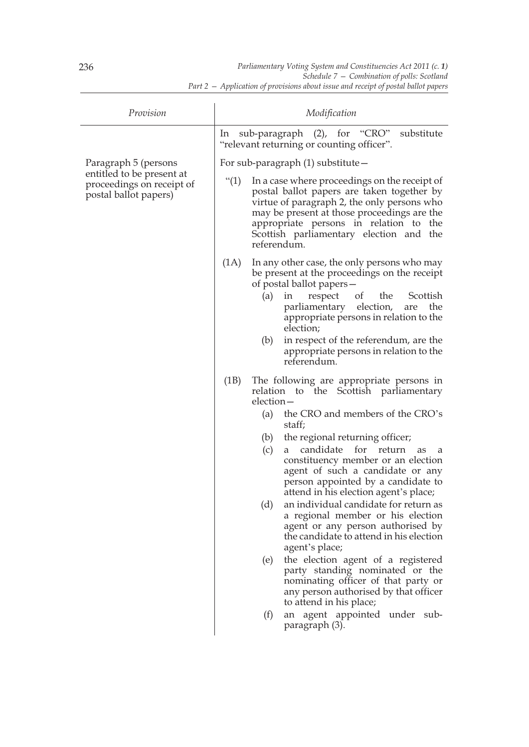| Provision                                                                       |                                    |             | Modification                                                                                                                                                                                                                                                                   |  |
|---------------------------------------------------------------------------------|------------------------------------|-------------|--------------------------------------------------------------------------------------------------------------------------------------------------------------------------------------------------------------------------------------------------------------------------------|--|
|                                                                                 | ln.                                |             | sub-paragraph (2), for "CRO"<br>substitute<br>"relevant returning or counting officer".                                                                                                                                                                                        |  |
| Paragraph 5 (persons                                                            | For sub-paragraph (1) substitute - |             |                                                                                                                                                                                                                                                                                |  |
| entitled to be present at<br>proceedings on receipt of<br>postal ballot papers) | $\cdot(1)$                         | referendum. | In a case where proceedings on the receipt of<br>postal ballot papers are taken together by<br>virtue of paragraph 2, the only persons who<br>may be present at those proceedings are the<br>appropriate persons in relation to the<br>Scottish parliamentary election and the |  |
|                                                                                 | (1A)                               |             | In any other case, the only persons who may<br>be present at the proceedings on the receipt<br>of postal ballot papers-                                                                                                                                                        |  |
|                                                                                 |                                    | (a)         | the<br>of<br>Scottish<br>respect<br>in<br>parliamentary election,<br>the<br>are<br>appropriate persons in relation to the<br>election;                                                                                                                                         |  |
|                                                                                 |                                    | (b)         | in respect of the referendum, are the<br>appropriate persons in relation to the<br>referendum.                                                                                                                                                                                 |  |
|                                                                                 | (1B)                               | election-   | The following are appropriate persons in<br>relation to the Scottish parliamentary                                                                                                                                                                                             |  |
|                                                                                 |                                    | (a)         | the CRO and members of the CRO's<br>staff;                                                                                                                                                                                                                                     |  |
|                                                                                 |                                    | (b)         | the regional returning officer;                                                                                                                                                                                                                                                |  |
|                                                                                 |                                    | (c)         | candidate<br>for return<br>a<br>as<br>a<br>constituency member or an election<br>agent of such a candidate or any<br>person appointed by a candidate to<br>attend in his election agent's place;                                                                               |  |
|                                                                                 |                                    | (d)         | an individual candidate for return as<br>a regional member or his election<br>agent or any person authorised by<br>the candidate to attend in his election<br>agent's place;                                                                                                   |  |
|                                                                                 |                                    | (e)         | the election agent of a registered<br>party standing nominated or the<br>nominating officer of that party or<br>any person authorised by that officer<br>to attend in his place;                                                                                               |  |
|                                                                                 |                                    | (f)         | an agent appointed under sub-<br>paragraph (3).                                                                                                                                                                                                                                |  |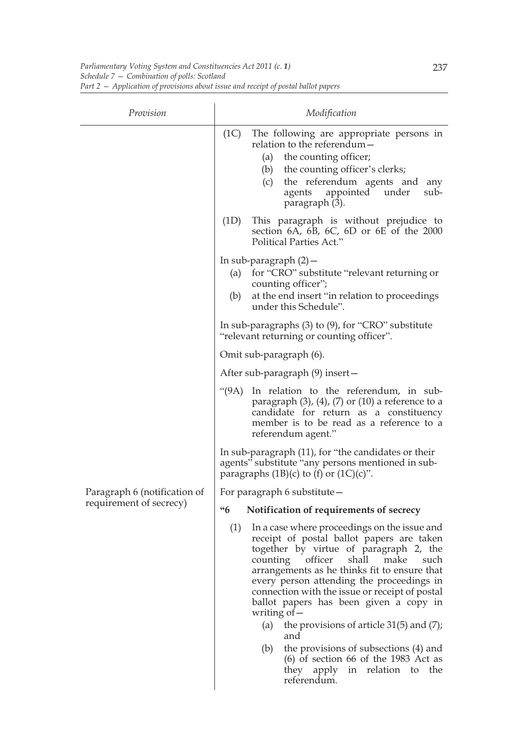| Provision                    | Modification                                                                                                                                                                                                                                                                                                                                                                                                                                                                                                                                                                                                |  |  |  |
|------------------------------|-------------------------------------------------------------------------------------------------------------------------------------------------------------------------------------------------------------------------------------------------------------------------------------------------------------------------------------------------------------------------------------------------------------------------------------------------------------------------------------------------------------------------------------------------------------------------------------------------------------|--|--|--|
|                              | The following are appropriate persons in<br>(1C)<br>relation to the referendum-<br>(a) the counting officer;<br>(b) the counting officer's clerks;<br>the referendum agents and any<br>(c)<br>agents appointed under<br>sub-<br>paragraph (3).                                                                                                                                                                                                                                                                                                                                                              |  |  |  |
|                              | (1D)<br>This paragraph is without prejudice to<br>section 6A, 6B, 6C, 6D or 6E of the 2000<br><b>Political Parties Act."</b>                                                                                                                                                                                                                                                                                                                                                                                                                                                                                |  |  |  |
|                              | In sub-paragraph $(2)$ –<br>for "CRO" substitute "relevant returning or<br>(a)<br>counting officer";<br>at the end insert "in relation to proceedings<br>(b)<br>under this Schedule".                                                                                                                                                                                                                                                                                                                                                                                                                       |  |  |  |
|                              | In sub-paragraphs (3) to (9), for "CRO" substitute<br>"relevant returning or counting officer".                                                                                                                                                                                                                                                                                                                                                                                                                                                                                                             |  |  |  |
|                              | Omit sub-paragraph (6).                                                                                                                                                                                                                                                                                                                                                                                                                                                                                                                                                                                     |  |  |  |
|                              | After sub-paragraph (9) insert -                                                                                                                                                                                                                                                                                                                                                                                                                                                                                                                                                                            |  |  |  |
|                              | (9A)<br>In relation to the referendum, in sub-<br>paragraph $(3)$ , $(4)$ , $(7)$ or $(10)$ a reference to a<br>candidate for return as a constituency<br>member is to be read as a reference to a<br>referendum agent."                                                                                                                                                                                                                                                                                                                                                                                    |  |  |  |
|                              | In sub-paragraph (11), for "the candidates or their<br>agents" substitute "any persons mentioned in sub-<br>paragraphs $(1B)(c)$ to $(f)$ or $(1C)(c)$ ".                                                                                                                                                                                                                                                                                                                                                                                                                                                   |  |  |  |
| Paragraph 6 (notification of | For paragraph 6 substitute -                                                                                                                                                                                                                                                                                                                                                                                                                                                                                                                                                                                |  |  |  |
| requirement of secrecy)      | 46<br>Notification of requirements of secrecy                                                                                                                                                                                                                                                                                                                                                                                                                                                                                                                                                               |  |  |  |
|                              | (1)<br>In a case where proceedings on the issue and<br>receipt of postal ballot papers are taken<br>together by virtue of paragraph 2, the<br>shall<br>make<br>counting<br>officer<br>such<br>arrangements as he thinks fit to ensure that<br>every person attending the proceedings in<br>connection with the issue or receipt of postal<br>ballot papers has been given a copy in<br>writing of $-$<br>(a) the provisions of article $31(5)$ and $(7)$ ;<br>and<br>the provisions of subsections (4) and<br>(b)<br>$(6)$ of section 66 of the 1983 Act as<br>they apply in relation to the<br>referendum. |  |  |  |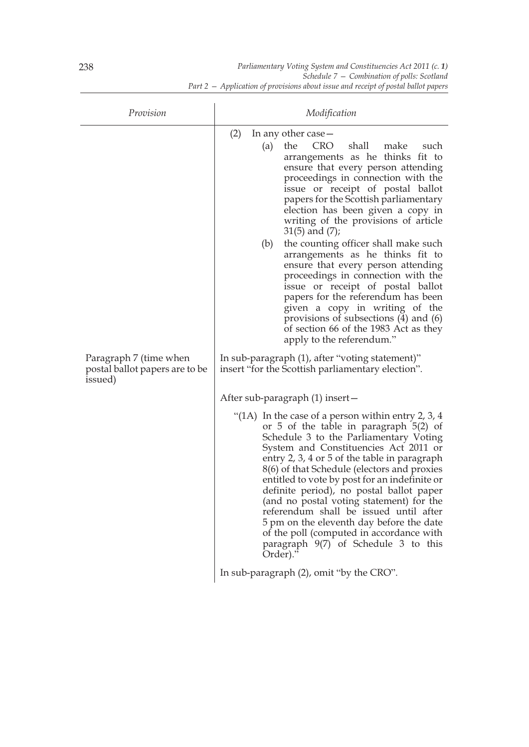| Provision                                 | Modification                                                                                                                                                                                                                                                                                                                                                                                                                                                                                                                                                                                                                                                                                                                                                                                                                      |
|-------------------------------------------|-----------------------------------------------------------------------------------------------------------------------------------------------------------------------------------------------------------------------------------------------------------------------------------------------------------------------------------------------------------------------------------------------------------------------------------------------------------------------------------------------------------------------------------------------------------------------------------------------------------------------------------------------------------------------------------------------------------------------------------------------------------------------------------------------------------------------------------|
| Paragraph 7 (time when                    | (2)<br>In any other case $-$<br><b>CRO</b><br>shall<br>the<br>make<br>(a)<br>such<br>arrangements as he thinks fit to<br>ensure that every person attending<br>proceedings in connection with the<br>issue or receipt of postal ballot<br>papers for the Scottish parliamentary<br>election has been given a copy in<br>writing of the provisions of article<br>$31(5)$ and $(7)$ ;<br>the counting officer shall make such<br>(b)<br>arrangements as he thinks fit to<br>ensure that every person attending<br>proceedings in connection with the<br>issue or receipt of postal ballot<br>papers for the referendum has been<br>given a copy in writing of the<br>provisions of subsections (4) and (6)<br>of section 66 of the 1983 Act as they<br>apply to the referendum."<br>In sub-paragraph (1), after "voting statement)" |
| postal ballot papers are to be<br>issued) | insert "for the Scottish parliamentary election".                                                                                                                                                                                                                                                                                                                                                                                                                                                                                                                                                                                                                                                                                                                                                                                 |
|                                           | After sub-paragraph (1) insert-                                                                                                                                                                                                                                                                                                                                                                                                                                                                                                                                                                                                                                                                                                                                                                                                   |
|                                           | "(1A) In the case of a person within entry $2, 3, 4$<br>or 5 of the table in paragraph $5(2)$ of<br>Schedule 3 to the Parliamentary Voting<br>System and Constituencies Act 2011 or<br>entry 2, 3, 4 or 5 of the table in paragraph<br>8(6) of that Schedule (electors and proxies<br>entitled to vote by post for an indefinite or<br>definite period), no postal ballot paper<br>(and no postal voting statement) for the<br>referendum shall be issued until after<br>5 pm on the eleventh day before the date<br>of the poll (computed in accordance with<br>paragraph 9(7) of Schedule 3 to this<br>Order)."                                                                                                                                                                                                                 |
|                                           | In sub-paragraph (2), omit "by the CRO".                                                                                                                                                                                                                                                                                                                                                                                                                                                                                                                                                                                                                                                                                                                                                                                          |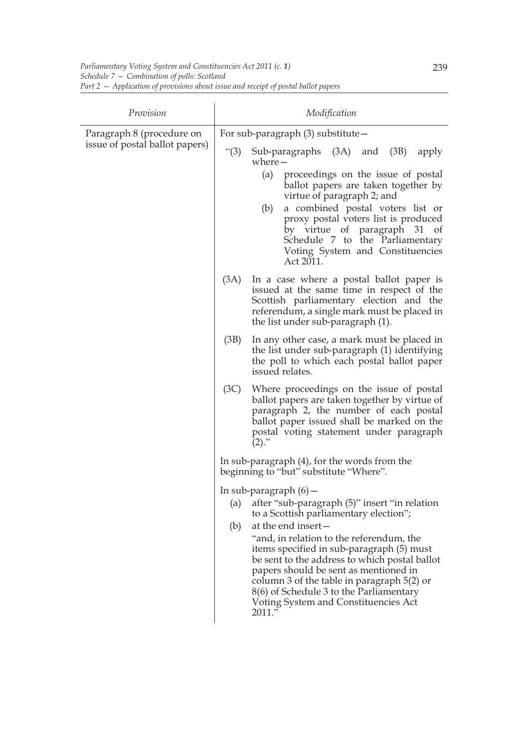| Provision                      | Modification                                                                                                                                                                                                                                                                                                                                                                                                                                                                               |  |  |
|--------------------------------|--------------------------------------------------------------------------------------------------------------------------------------------------------------------------------------------------------------------------------------------------------------------------------------------------------------------------------------------------------------------------------------------------------------------------------------------------------------------------------------------|--|--|
| Paragraph 8 (procedure on      | For sub-paragraph (3) substitute -                                                                                                                                                                                                                                                                                                                                                                                                                                                         |  |  |
| issue of postal ballot papers) | ``(3)<br>Sub-paragraphs (3A) and (3B) apply<br>$where-$                                                                                                                                                                                                                                                                                                                                                                                                                                    |  |  |
|                                | (a)<br>proceedings on the issue of postal<br>ballot papers are taken together by<br>virtue of paragraph 2; and<br>a combined postal voters list or<br>(b)<br>proxy postal voters list is produced<br>by virtue of paragraph 31 of<br>Schedule 7 to the Parliamentary<br>Voting System and Constituencies<br>Act 2011.                                                                                                                                                                      |  |  |
|                                | (3A)<br>In a case where a postal ballot paper is<br>issued at the same time in respect of the<br>Scottish parliamentary election and the<br>referendum, a single mark must be placed in<br>the list under sub-paragraph (1).                                                                                                                                                                                                                                                               |  |  |
|                                | (3B)<br>In any other case, a mark must be placed in<br>the list under sub-paragraph (1) identifying<br>the poll to which each postal ballot paper<br>issued relates.                                                                                                                                                                                                                                                                                                                       |  |  |
|                                | (3C)<br>Where proceedings on the issue of postal<br>ballot papers are taken together by virtue of<br>paragraph 2, the number of each postal<br>ballot paper issued shall be marked on the<br>postal voting statement under paragraph<br>$(2)$ ."                                                                                                                                                                                                                                           |  |  |
|                                | In sub-paragraph (4), for the words from the<br>beginning to "but" substitute "Where".                                                                                                                                                                                                                                                                                                                                                                                                     |  |  |
|                                | In sub-paragraph $(6)$ -<br>after "sub-paragraph (5)" insert "in relation<br>(a)<br>to a Scottish parliamentary election";<br>at the end insert-<br>(b)<br>"and, in relation to the referendum, the<br>items specified in sub-paragraph (5) must<br>be sent to the address to which postal ballot<br>papers should be sent as mentioned in<br>column 3 of the table in paragraph $5(2)$ or<br>8(6) of Schedule 3 to the Parliamentary<br>Voting System and Constituencies Act<br>$2011$ ." |  |  |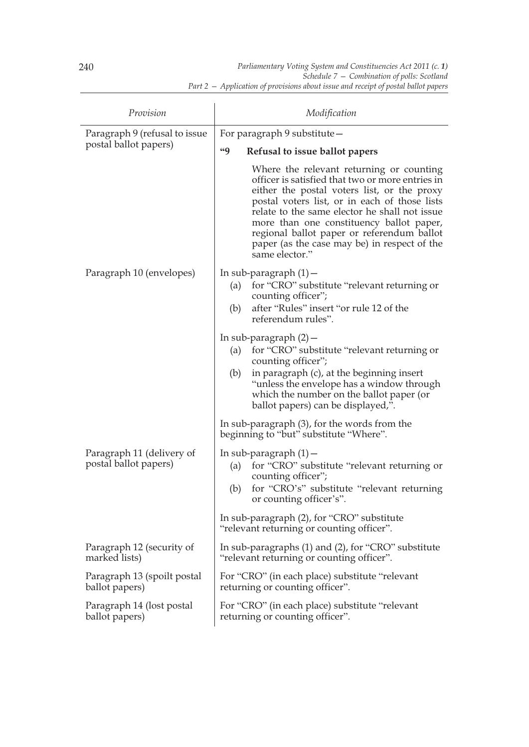| Provision                                          | Modification                                                                                                                                                                                                                                                                                                                                                                                              |  |
|----------------------------------------------------|-----------------------------------------------------------------------------------------------------------------------------------------------------------------------------------------------------------------------------------------------------------------------------------------------------------------------------------------------------------------------------------------------------------|--|
| Paragraph 9 (refusal to issue                      | For paragraph 9 substitute –                                                                                                                                                                                                                                                                                                                                                                              |  |
| postal ballot papers)                              | 69<br>Refusal to issue ballot papers                                                                                                                                                                                                                                                                                                                                                                      |  |
|                                                    | Where the relevant returning or counting<br>officer is satisfied that two or more entries in<br>either the postal voters list, or the proxy<br>postal voters list, or in each of those lists<br>relate to the same elector he shall not issue<br>more than one constituency ballot paper,<br>regional ballot paper or referendum ballot<br>paper (as the case may be) in respect of the<br>same elector." |  |
| Paragraph 10 (envelopes)                           | In sub-paragraph $(1)$ –                                                                                                                                                                                                                                                                                                                                                                                  |  |
|                                                    | for "CRO" substitute "relevant returning or<br>(a)<br>counting officer";                                                                                                                                                                                                                                                                                                                                  |  |
|                                                    | after "Rules" insert "or rule 12 of the<br>(b)<br>referendum rules".                                                                                                                                                                                                                                                                                                                                      |  |
|                                                    | In sub-paragraph $(2)$ –                                                                                                                                                                                                                                                                                                                                                                                  |  |
|                                                    | for "CRO" substitute "relevant returning or<br>(a)<br>counting officer";                                                                                                                                                                                                                                                                                                                                  |  |
|                                                    | in paragraph (c), at the beginning insert<br>(b)<br>"unless the envelope has a window through<br>which the number on the ballot paper (or<br>ballot papers) can be displayed,".                                                                                                                                                                                                                           |  |
|                                                    | In sub-paragraph (3), for the words from the<br>beginning to "but" substitute "Where".                                                                                                                                                                                                                                                                                                                    |  |
| Paragraph 11 (delivery of<br>postal ballot papers) | In sub-paragraph $(1)$ –<br>for "CRO" substitute "relevant returning or<br>(a)<br>counting officer";<br>for "CRO's" substitute "relevant returning<br>(b)<br>or counting officer's".                                                                                                                                                                                                                      |  |
|                                                    | In sub-paragraph (2), for "CRO" substitute<br>"relevant returning or counting officer".                                                                                                                                                                                                                                                                                                                   |  |
| Paragraph 12 (security of<br>marked lists)         | In sub-paragraphs (1) and (2), for "CRO" substitute<br>"relevant returning or counting officer".                                                                                                                                                                                                                                                                                                          |  |
| Paragraph 13 (spoilt postal<br>ballot papers)      | For "CRO" (in each place) substitute "relevant<br>returning or counting officer".                                                                                                                                                                                                                                                                                                                         |  |
| Paragraph 14 (lost postal<br>ballot papers)        | For "CRO" (in each place) substitute "relevant<br>returning or counting officer".                                                                                                                                                                                                                                                                                                                         |  |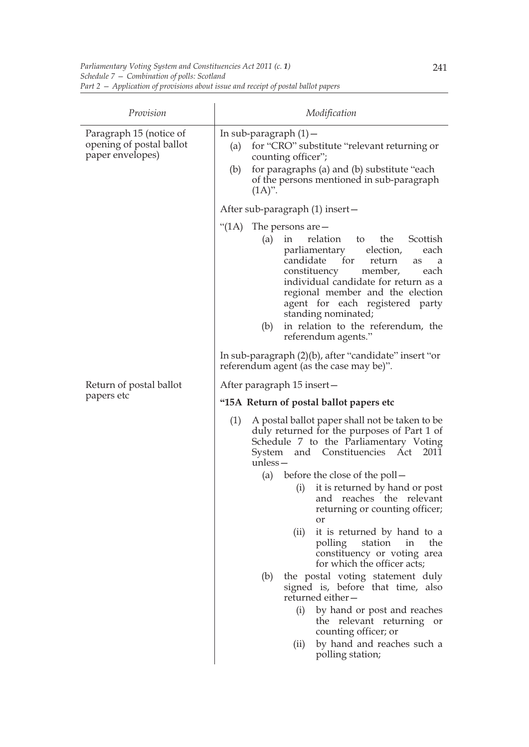| Provision                                                               | Modification                                                                                                                                                                                                                                                                                                                                                                                                                                                                                                                                                                                                                                                                                                                                           |
|-------------------------------------------------------------------------|--------------------------------------------------------------------------------------------------------------------------------------------------------------------------------------------------------------------------------------------------------------------------------------------------------------------------------------------------------------------------------------------------------------------------------------------------------------------------------------------------------------------------------------------------------------------------------------------------------------------------------------------------------------------------------------------------------------------------------------------------------|
| Paragraph 15 (notice of<br>opening of postal ballot<br>paper envelopes) | In sub-paragraph $(1)$ –<br>for "CRO" substitute "relevant returning or<br>(a)<br>counting officer";<br>for paragraphs (a) and (b) substitute "each<br>(b)<br>of the persons mentioned in sub-paragraph<br>$(1A)$ ".                                                                                                                                                                                                                                                                                                                                                                                                                                                                                                                                   |
|                                                                         | After sub-paragraph (1) insert -                                                                                                                                                                                                                                                                                                                                                                                                                                                                                                                                                                                                                                                                                                                       |
|                                                                         | "(1A) The persons are $-$<br>the<br>Scottish<br>(a)<br>relation to<br>in<br>parliamentary election,<br>each<br>for<br>candidate<br>return<br>as<br>a<br>constituency member,<br>each<br>individual candidate for return as a<br>regional member and the election<br>agent for each registered party<br>standing nominated;<br>in relation to the referendum, the<br>(b)<br>referendum agents."                                                                                                                                                                                                                                                                                                                                                         |
|                                                                         | In sub-paragraph (2)(b), after "candidate" insert "or<br>referendum agent (as the case may be)".                                                                                                                                                                                                                                                                                                                                                                                                                                                                                                                                                                                                                                                       |
| Return of postal ballot                                                 | After paragraph 15 insert –                                                                                                                                                                                                                                                                                                                                                                                                                                                                                                                                                                                                                                                                                                                            |
| papers etc                                                              | "15A Return of postal ballot papers etc                                                                                                                                                                                                                                                                                                                                                                                                                                                                                                                                                                                                                                                                                                                |
|                                                                         | (1)<br>A postal ballot paper shall not be taken to be<br>duly returned for the purposes of Part 1 of<br>Schedule 7 to the Parliamentary Voting<br>System and Constituencies Act 2011<br>$unless -$<br>before the close of the poll –<br>(a)<br>it is returned by hand or post<br>(i)<br>and reaches the relevant<br>returning or counting officer;<br>or<br>(ii)<br>it is returned by hand to a<br>polling station<br>the<br>in<br>constituency or voting area<br>for which the officer acts;<br>the postal voting statement duly<br>(b)<br>signed is, before that time, also<br>returned either-<br>(i)<br>by hand or post and reaches<br>the relevant returning or<br>counting officer; or<br>by hand and reaches such a<br>(ii)<br>polling station; |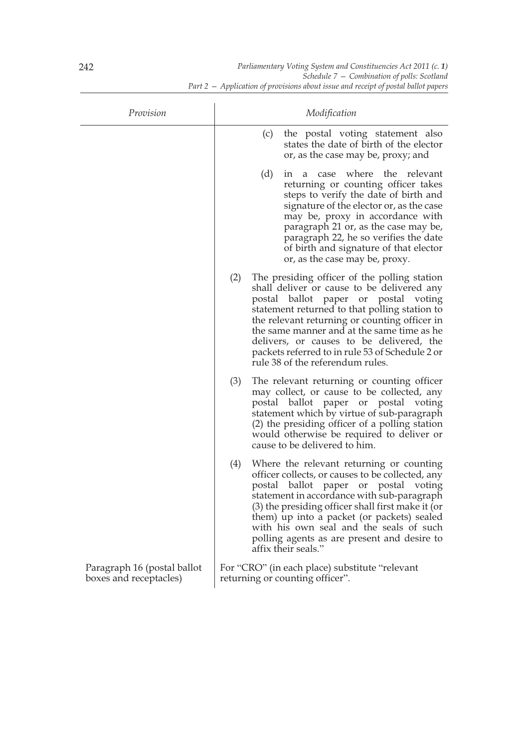| Parliamentary Voting System and Constituencies Act 2011 (c. 1)                       |
|--------------------------------------------------------------------------------------|
| Schedule 7 – Combination of polls: Scotland                                          |
| $Part 2 - Application of provisions about issue and receipt of postal ballot papers$ |

| Provision                                             | Modification                                                                                                                                                                                                                                                                                                                                                                                                                 |  |
|-------------------------------------------------------|------------------------------------------------------------------------------------------------------------------------------------------------------------------------------------------------------------------------------------------------------------------------------------------------------------------------------------------------------------------------------------------------------------------------------|--|
|                                                       | (c)<br>the postal voting statement also<br>states the date of birth of the elector<br>or, as the case may be, proxy; and                                                                                                                                                                                                                                                                                                     |  |
|                                                       | (d)<br>where<br>the relevant<br>case<br>1n<br>a<br>returning or counting officer takes<br>steps to verify the date of birth and<br>signature of the elector or, as the case<br>may be, proxy in accordance with<br>paragraph 21 or, as the case may be,<br>paragraph 22, he so verifies the date<br>of birth and signature of that elector<br>or, as the case may be, proxy.                                                 |  |
|                                                       | The presiding officer of the polling station<br>(2)<br>shall deliver or cause to be delivered any<br>postal ballot paper or postal voting<br>statement returned to that polling station to<br>the relevant returning or counting officer in<br>the same manner and at the same time as he<br>delivers, or causes to be delivered, the<br>packets referred to in rule 53 of Schedule 2 or<br>rule 38 of the referendum rules. |  |
|                                                       | (3)<br>The relevant returning or counting officer<br>may collect, or cause to be collected, any<br>postal ballot paper or postal voting<br>statement which by virtue of sub-paragraph<br>(2) the presiding officer of a polling station<br>would otherwise be required to deliver or<br>cause to be delivered to him.                                                                                                        |  |
|                                                       | (4)<br>Where the relevant returning or counting<br>officer collects, or causes to be collected, any<br>postal ballot paper or postal voting<br>statement in accordance with sub-paragraph<br>(3) the presiding officer shall first make it (or<br>them) up into a packet (or packets) sealed<br>with his own seal and the seals of such<br>polling agents as are present and desire to<br>affix their seals."                |  |
| Paragraph 16 (postal ballot<br>boxes and receptacles) | For "CRO" (in each place) substitute "relevant<br>returning or counting officer".                                                                                                                                                                                                                                                                                                                                            |  |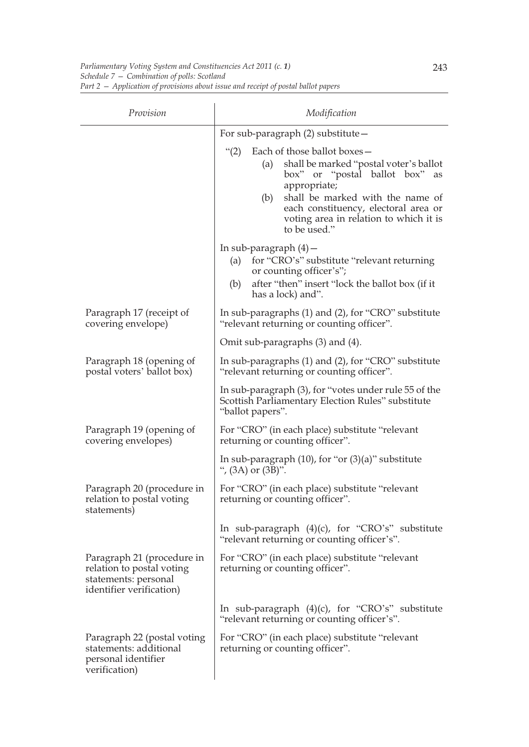| Provision                                                                                                   | Modification                                                                                                                                                                                                                                                                                      |  |
|-------------------------------------------------------------------------------------------------------------|---------------------------------------------------------------------------------------------------------------------------------------------------------------------------------------------------------------------------------------------------------------------------------------------------|--|
|                                                                                                             | For sub-paragraph (2) substitute -                                                                                                                                                                                                                                                                |  |
|                                                                                                             | $\binom{11}{2}$<br>Each of those ballot boxes-<br>shall be marked "postal voter's ballot<br>(a)<br>box" or "postal ballot box"<br>as<br>appropriate;<br>shall be marked with the name of<br>(b)<br>each constituency, electoral area or<br>voting area in relation to which it is<br>to be used." |  |
|                                                                                                             | In sub-paragraph $(4)$ –<br>for "CRO's" substitute "relevant returning<br>(a)<br>or counting officer's";<br>after "then" insert "lock the ballot box (if it<br>(b)<br>has a lock) and".                                                                                                           |  |
| Paragraph 17 (receipt of<br>covering envelope)                                                              | In sub-paragraphs (1) and (2), for "CRO" substitute<br>"relevant returning or counting officer".                                                                                                                                                                                                  |  |
|                                                                                                             | Omit sub-paragraphs (3) and (4).                                                                                                                                                                                                                                                                  |  |
| Paragraph 18 (opening of<br>postal voters' ballot box)                                                      | In sub-paragraphs (1) and (2), for "CRO" substitute<br>"relevant returning or counting officer".                                                                                                                                                                                                  |  |
|                                                                                                             | In sub-paragraph (3), for "votes under rule 55 of the<br>Scottish Parliamentary Election Rules" substitute<br>"ballot papers".                                                                                                                                                                    |  |
| Paragraph 19 (opening of<br>covering envelopes)                                                             | For "CRO" (in each place) substitute "relevant<br>returning or counting officer".                                                                                                                                                                                                                 |  |
|                                                                                                             | In sub-paragraph $(10)$ , for "or $(3)(a)$ " substitute<br>", $(3A)$ or $(3B)$ ".                                                                                                                                                                                                                 |  |
| Paragraph 20 (procedure in<br>relation to postal voting<br>statements)                                      | For "CRO" (in each place) substitute "relevant<br>returning or counting officer".                                                                                                                                                                                                                 |  |
|                                                                                                             | In sub-paragraph (4)(c), for "CRO's" substitute<br>"relevant returning or counting officer's".                                                                                                                                                                                                    |  |
| Paragraph 21 (procedure in<br>relation to postal voting<br>statements: personal<br>identifier verification) | For "CRO" (in each place) substitute "relevant<br>returning or counting officer".                                                                                                                                                                                                                 |  |
|                                                                                                             | In sub-paragraph (4)(c), for "CRO's" substitute<br>"relevant returning or counting officer's".                                                                                                                                                                                                    |  |
| Paragraph 22 (postal voting<br>statements: additional<br>personal identifier<br>verification)               | For "CRO" (in each place) substitute "relevant<br>returning or counting officer".                                                                                                                                                                                                                 |  |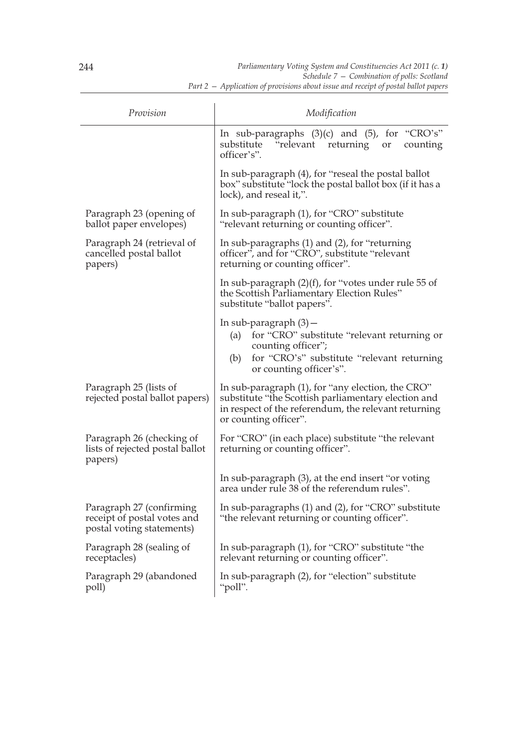| Provision                                                                            | Modification                                                                                                                                                                              |  |
|--------------------------------------------------------------------------------------|-------------------------------------------------------------------------------------------------------------------------------------------------------------------------------------------|--|
|                                                                                      | In sub-paragraphs $(3)(c)$ and $(5)$ , for "CRO's"<br>"relevant returning<br>substitute<br>counting<br>or<br>officer's".                                                                  |  |
|                                                                                      | In sub-paragraph (4), for "reseal the postal ballot<br>box" substitute "lock the postal ballot box (if it has a<br>lock), and reseal it,".                                                |  |
| Paragraph 23 (opening of<br>ballot paper envelopes)                                  | In sub-paragraph (1), for "CRO" substitute<br>"relevant returning or counting officer".                                                                                                   |  |
| Paragraph 24 (retrieval of<br>cancelled postal ballot<br>papers)                     | In sub-paragraphs $(1)$ and $(2)$ , for "returning<br>officer", and for "CRO", substitute "relevant"<br>returning or counting officer".                                                   |  |
|                                                                                      | In sub-paragraph $(2)(f)$ , for "votes under rule 55 of<br>the Scottish Parliamentary Election Rules"<br>substitute "ballot papers".                                                      |  |
|                                                                                      | In sub-paragraph $(3)$ –<br>for "CRO" substitute "relevant returning or<br>(a)<br>counting officer";<br>for "CRO's" substitute "relevant returning<br>(b)<br>or counting officer's".      |  |
| Paragraph 25 (lists of<br>rejected postal ballot papers)                             | In sub-paragraph (1), for "any election, the CRO"<br>substitute "the Scottish parliamentary election and<br>in respect of the referendum, the relevant returning<br>or counting officer". |  |
| Paragraph 26 (checking of<br>lists of rejected postal ballot<br>papers)              | For "CRO" (in each place) substitute "the relevant<br>returning or counting officer".                                                                                                     |  |
|                                                                                      | In sub-paragraph (3), at the end insert "or voting<br>area under rule 38 of the referendum rules".                                                                                        |  |
| Paragraph 27 (confirming<br>receipt of postal votes and<br>postal voting statements) | In sub-paragraphs (1) and (2), for "CRO" substitute<br>"the relevant returning or counting officer".                                                                                      |  |
| Paragraph 28 (sealing of<br>receptacles)                                             | In sub-paragraph (1), for "CRO" substitute "the<br>relevant returning or counting officer".                                                                                               |  |
| Paragraph 29 (abandoned<br>poll)                                                     | In sub-paragraph (2), for "election" substitute<br>"poll".                                                                                                                                |  |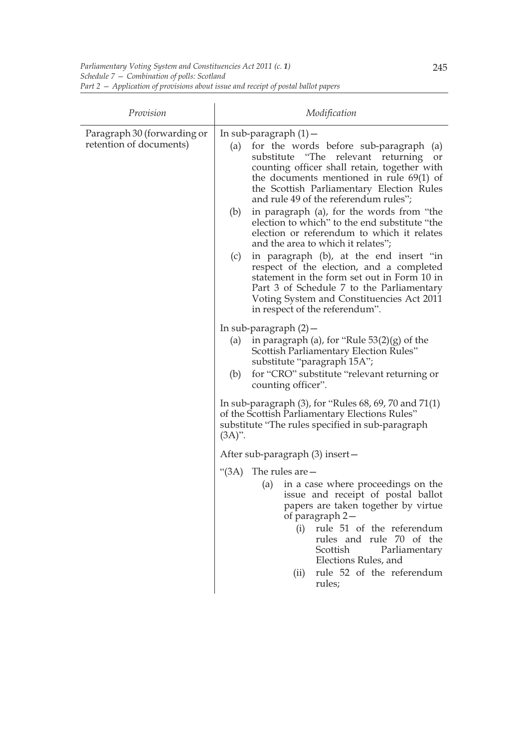| Provision                                              | Modification                                                                                                                                                                                                                                                                                                                                                                                                                                                                                                                                                                                                                                                                                                                                                                                                                                                                                                                                                                                                                                                                                                                                                                                                                                                                                                                                                   |  |
|--------------------------------------------------------|----------------------------------------------------------------------------------------------------------------------------------------------------------------------------------------------------------------------------------------------------------------------------------------------------------------------------------------------------------------------------------------------------------------------------------------------------------------------------------------------------------------------------------------------------------------------------------------------------------------------------------------------------------------------------------------------------------------------------------------------------------------------------------------------------------------------------------------------------------------------------------------------------------------------------------------------------------------------------------------------------------------------------------------------------------------------------------------------------------------------------------------------------------------------------------------------------------------------------------------------------------------------------------------------------------------------------------------------------------------|--|
| Paragraph 30 (forwarding or<br>retention of documents) | In sub-paragraph $(1)$ –<br>for the words before sub-paragraph<br>(a)<br>(a)<br>substitute "The<br>relevant returning<br>or<br>counting officer shall retain, together with<br>the documents mentioned in rule $69(1)$ of<br>the Scottish Parliamentary Election Rules<br>and rule 49 of the referendum rules";<br>(b)<br>in paragraph (a), for the words from "the<br>election to which" to the end substitute "the<br>election or referendum to which it relates<br>and the area to which it relates";<br>(c)<br>in paragraph (b), at the end insert "in<br>respect of the election, and a completed<br>statement in the form set out in Form 10 in<br>Part 3 of Schedule 7 to the Parliamentary<br>Voting System and Constituencies Act 2011<br>in respect of the referendum".<br>In sub-paragraph $(2)$ –<br>in paragraph (a), for "Rule $53(2)(g)$ of the<br>(a)<br>Scottish Parliamentary Election Rules"<br>substitute "paragraph 15A";<br>for "CRO" substitute "relevant returning or<br>(b)<br>counting officer".<br>In sub-paragraph $(3)$ , for "Rules 68, 69, 70 and 71 $(1)$<br>of the Scottish Parliamentary Elections Rules"<br>substitute "The rules specified in sub-paragraph<br>$(3A)$ ".<br>After sub-paragraph (3) insert –<br>"(3A) The rules are $-$<br>in a case where proceedings on the<br>(a)<br>issue and receipt of postal ballot |  |
|                                                        |                                                                                                                                                                                                                                                                                                                                                                                                                                                                                                                                                                                                                                                                                                                                                                                                                                                                                                                                                                                                                                                                                                                                                                                                                                                                                                                                                                |  |
|                                                        | papers are taken together by virtue<br>of paragraph 2-<br>rule 51 of the referendum<br>(i)<br>rules and rule 70 of the<br>Scottish<br>Parliamentary<br>Elections Rules, and<br>rule 52 of the referendum<br>(ii)<br>rules;                                                                                                                                                                                                                                                                                                                                                                                                                                                                                                                                                                                                                                                                                                                                                                                                                                                                                                                                                                                                                                                                                                                                     |  |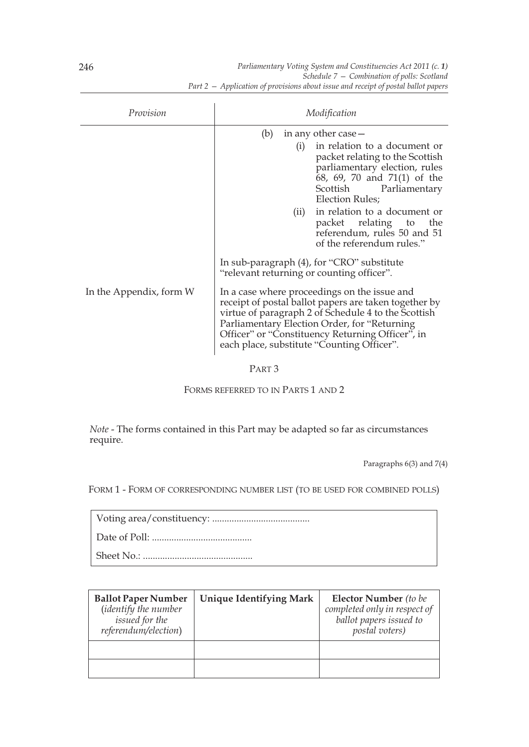| Parliamentary Voting System and Constituencies Act 2011 (c. 1)                       |
|--------------------------------------------------------------------------------------|
| Schedule $7$ – Combination of polls: Scotland                                        |
| Part $2$ – Application of provisions about issue and receipt of postal ballot papers |

| Provision               | Modification                                                                                                                                                                                                                                                                                                   |                                                                                                                                                                                                                 |
|-------------------------|----------------------------------------------------------------------------------------------------------------------------------------------------------------------------------------------------------------------------------------------------------------------------------------------------------------|-----------------------------------------------------------------------------------------------------------------------------------------------------------------------------------------------------------------|
|                         | (b)<br>(i)                                                                                                                                                                                                                                                                                                     | in any other case $-$<br>in relation to a document or<br>packet relating to the Scottish<br>parliamentary election, rules<br>68, 69, 70 and 71(1) of the<br>Scottish<br>Parliamentary<br><b>Election Rules:</b> |
|                         | (ii)                                                                                                                                                                                                                                                                                                           | in relation to a document or<br>packet relating to the<br>referendum, rules 50 and 51<br>of the referendum rules."                                                                                              |
|                         | In sub-paragraph (4), for "CRO" substitute<br>"relevant returning or counting officer".                                                                                                                                                                                                                        |                                                                                                                                                                                                                 |
| In the Appendix, form W | In a case where proceedings on the issue and<br>receipt of postal ballot papers are taken together by<br>virtue of paragraph 2 of Schedule 4 to the Scottish<br>Parliamentary Election Order, for "Returning<br>Officer" or "Constituency Returning Officer", in<br>each place, substitute "Counting Officer". |                                                                                                                                                                                                                 |

PART 3

FORMS REFERRED TO IN PARTS 1 AND 2

*Note* - The forms contained in this Part may be adapted so far as circumstances require.

Paragraphs 6(3) and 7(4)

FORM 1 - FORM OF CORRESPONDING NUMBER LIST (TO BE USED FOR COMBINED POLLS)

| <b>Ballot Paper Number</b><br>(identify the number<br>issued for the<br>referendum/election) | <b>Unique Identifying Mark</b> | <b>Elector Number</b> (to be<br>completed only in respect of<br>ballot papers issued to<br><i>postal</i> voters) |
|----------------------------------------------------------------------------------------------|--------------------------------|------------------------------------------------------------------------------------------------------------------|
|                                                                                              |                                |                                                                                                                  |
|                                                                                              |                                |                                                                                                                  |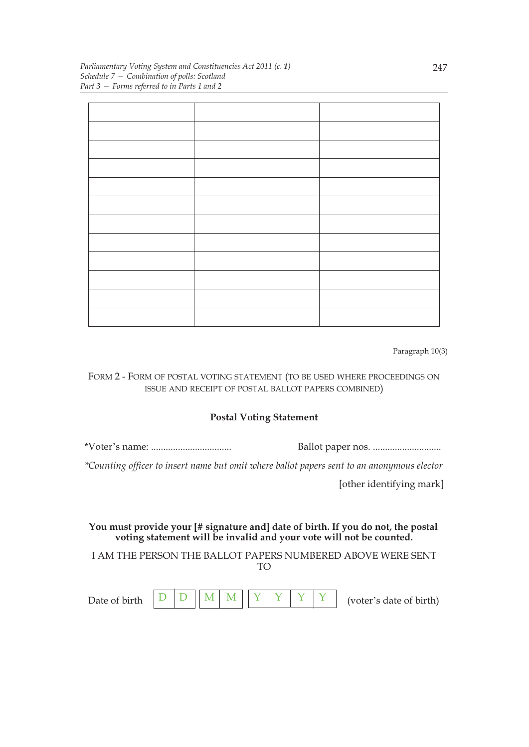Paragraph 10(3)

FORM 2 - FORM OF POSTAL VOTING STATEMENT (TO BE USED WHERE PROCEEDINGS ON ISSUE AND RECEIPT OF POSTAL BALLOT PAPERS COMBINED)

# **Postal Voting Statement**

\*Voter's name: ................................. Ballot paper nos. ............................

*\*Counting officer to insert name but omit where ballot papers sent to an anonymous elector*

[other identifying mark]

**You must provide your [# signature and] date of birth. If you do not, the postal voting statement will be invalid and your vote will not be counted.**

I AM THE PERSON THE BALLOT PAPERS NUMBERED ABOVE WERE SENT TO

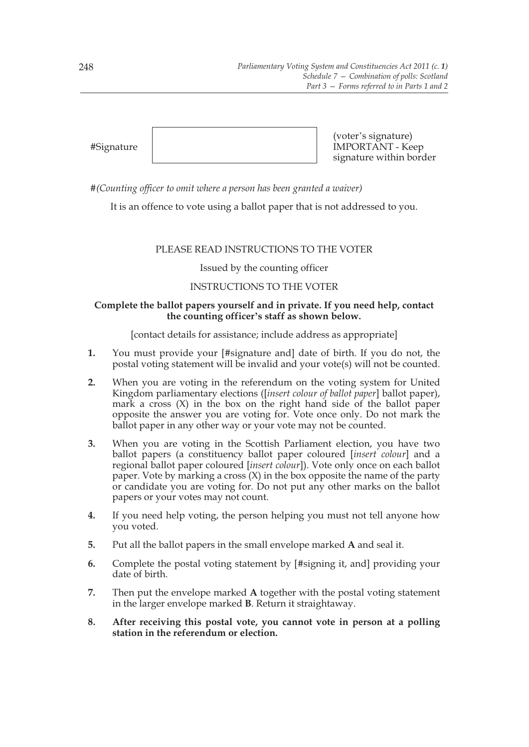#Signature

(voter's signature) IMPORTANT - Keep signature within border

*#(Counting officer to omit where a person has been granted a waiver)*

It is an offence to vote using a ballot paper that is not addressed to you.

# PLEASE READ INSTRUCTIONS TO THE VOTER

# Issued by the counting officer

# INSTRUCTIONS TO THE VOTER

### **Complete the ballot papers yourself and in private. If you need help, contact the counting officer's staff as shown below.**

# [contact details for assistance; include address as appropriate]

- **1.** You must provide your [#signature and] date of birth. If you do not, the postal voting statement will be invalid and your vote(s) will not be counted.
- **2.** When you are voting in the referendum on the voting system for United Kingdom parliamentary elections ([*insert colour of ballot paper*] ballot paper), mark a cross (X) in the box on the right hand side of the ballot paper opposite the answer you are voting for. Vote once only. Do not mark the ballot paper in any other way or your vote may not be counted.
- **3.** When you are voting in the Scottish Parliament election, you have two ballot papers (a constituency ballot paper coloured [*insert colour*] and a regional ballot paper coloured [*insert colour*]). Vote only once on each ballot paper. Vote by marking a cross (X) in the box opposite the name of the party or candidate you are voting for. Do not put any other marks on the ballot papers or your votes may not count.
- **4.** If you need help voting, the person helping you must not tell anyone how you voted.
- **5.** Put all the ballot papers in the small envelope marked **A** and seal it.
- **6.** Complete the postal voting statement by [#signing it, and] providing your date of birth.
- **7.** Then put the envelope marked **A** together with the postal voting statement in the larger envelope marked **B**. Return it straightaway.
- **8. After receiving this postal vote, you cannot vote in person at a polling station in the referendum or election.**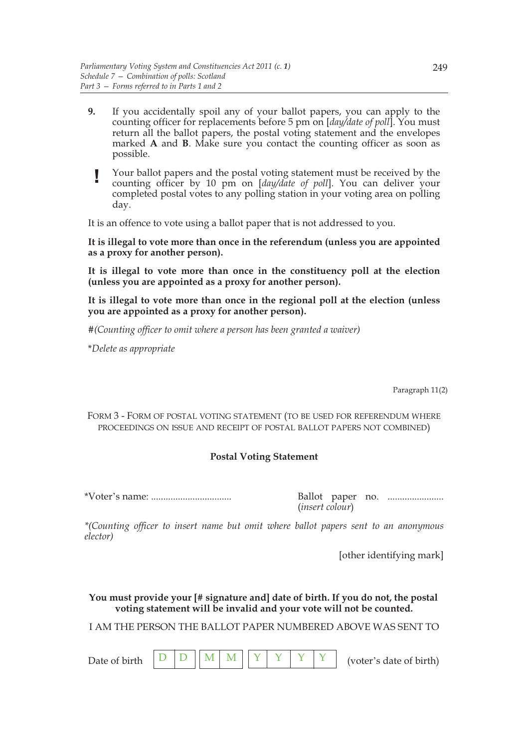- **9.** If you accidentally spoil any of your ballot papers, you can apply to the counting officer for replacements before 5 pm on [*day/date of poll*]. You must return all the ballot papers, the postal voting statement and the envelopes marked **A** and **B**. Make sure you contact the counting officer as soon as possible.
	- Your ballot papers and the postal voting statement must be received by the counting officer by 10 pm on [*day/date of poll*]. You can deliver your completed postal votes to any polling station in your voting area on polling day. **!**

It is an offence to vote using a ballot paper that is not addressed to you.

**It is illegal to vote more than once in the referendum (unless you are appointed as a proxy for another person).**

**It is illegal to vote more than once in the constituency poll at the election (unless you are appointed as a proxy for another person).**

**It is illegal to vote more than once in the regional poll at the election (unless you are appointed as a proxy for another person).**

*#(Counting officer to omit where a person has been granted a waiver)*

\**Delete as appropriate*

Paragraph 11(2)

FORM 3 - FORM OF POSTAL VOTING STATEMENT (TO BE USED FOR REFERENDUM WHERE PROCEEDINGS ON ISSUE AND RECEIPT OF POSTAL BALLOT PAPERS NOT COMBINED)

# **Postal Voting Statement**

\*Voter's name: ................................. Ballot paper no. ....................... (*insert colour*)

*\*(Counting officer to insert name but omit where ballot papers sent to an anonymous elector)*

[other identifying mark]

**You must provide your [# signature and] date of birth. If you do not, the postal voting statement will be invalid and your vote will not be counted.**

I AM THE PERSON THE BALLOT PAPER NUMBERED ABOVE WAS SENT TO

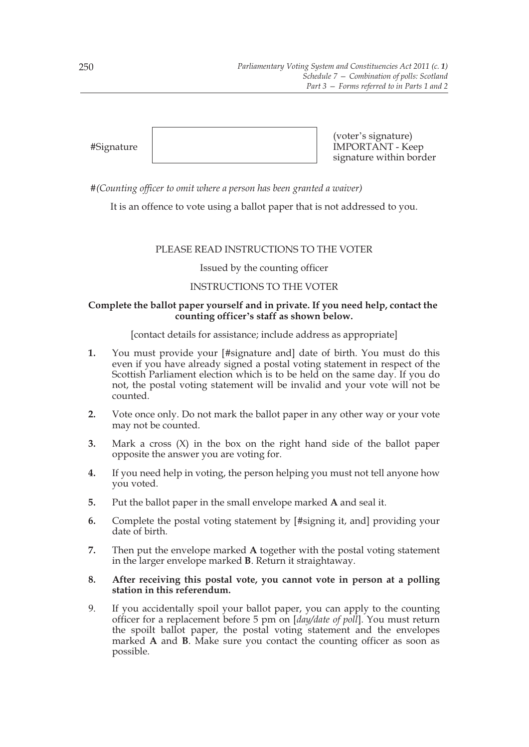#Signature (voter's signature) IMPORTANT - Keep signature within border

*#(Counting officer to omit where a person has been granted a waiver)*

It is an offence to vote using a ballot paper that is not addressed to you.

# PLEASE READ INSTRUCTIONS TO THE VOTER

Issued by the counting officer

# INSTRUCTIONS TO THE VOTER

### **Complete the ballot paper yourself and in private. If you need help, contact the counting officer's staff as shown below.**

# [contact details for assistance; include address as appropriate]

- **1.** You must provide your [#signature and] date of birth. You must do this even if you have already signed a postal voting statement in respect of the Scottish Parliament election which is to be held on the same day. If you do not, the postal voting statement will be invalid and your vote will not be counted.
- **2.** Vote once only. Do not mark the ballot paper in any other way or your vote may not be counted.
- **3.** Mark a cross (X) in the box on the right hand side of the ballot paper opposite the answer you are voting for.
- **4.** If you need help in voting, the person helping you must not tell anyone how you voted.
- **5.** Put the ballot paper in the small envelope marked **A** and seal it.
- **6.** Complete the postal voting statement by [#signing it, and] providing your date of birth.
- **7.** Then put the envelope marked **A** together with the postal voting statement in the larger envelope marked **B**. Return it straightaway.

### **8. After receiving this postal vote, you cannot vote in person at a polling station in this referendum.**

9. If you accidentally spoil your ballot paper, you can apply to the counting officer for a replacement before 5 pm on [*day/date of poll*]. You must return the spoilt ballot paper, the postal voting statement and the envelopes marked **A** and **B**. Make sure you contact the counting officer as soon as possible.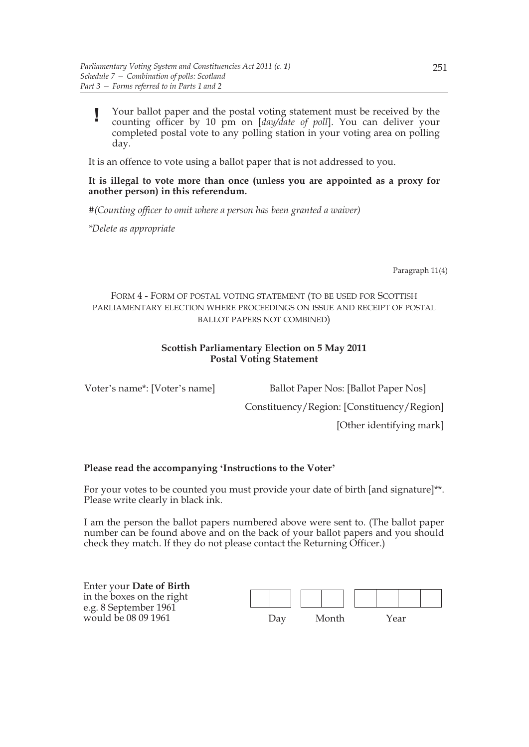Your ballot paper and the postal voting statement must be received by the counting officer by 10 pm on [*day/date of poll*]. You can deliver your completed postal vote to any polling station in your voting area on polling day. **!**

It is an offence to vote using a ballot paper that is not addressed to you.

### **It is illegal to vote more than once (unless you are appointed as a proxy for another person) in this referendum.**

*#(Counting officer to omit where a person has been granted a waiver)*

*\*Delete as appropriate*

Paragraph 11(4)

FORM 4 - FORM OF POSTAL VOTING STATEMENT (TO BE USED FOR SCOTTISH PARLIAMENTARY ELECTION WHERE PROCEEDINGS ON ISSUE AND RECEIPT OF POSTAL BALLOT PAPERS NOT COMBINED)

### **Scottish Parliamentary Election on 5 May 2011 Postal Voting Statement**

Voter's name\*: [Voter's name] Ballot Paper Nos: [Ballot Paper Nos]

Constituency/Region: [Constituency/Region]

[Other identifying mark]

### **Please read the accompanying 'Instructions to the Voter'**

For your votes to be counted you must provide your date of birth [and signature]\*\*. Please write clearly in black ink.

I am the person the ballot papers numbered above were sent to. (The ballot paper number can be found above and on the back of your ballot papers and you should check they match. If they do not please contact the Returning Officer.)

| Enter your <b>Date of Birth</b> |     |       |      |  |
|---------------------------------|-----|-------|------|--|
| in the boxes on the right       |     |       |      |  |
| e.g. 8 September 1961           |     |       |      |  |
| would be 08 09 1961             | Dav | Month | Year |  |
|                                 |     |       |      |  |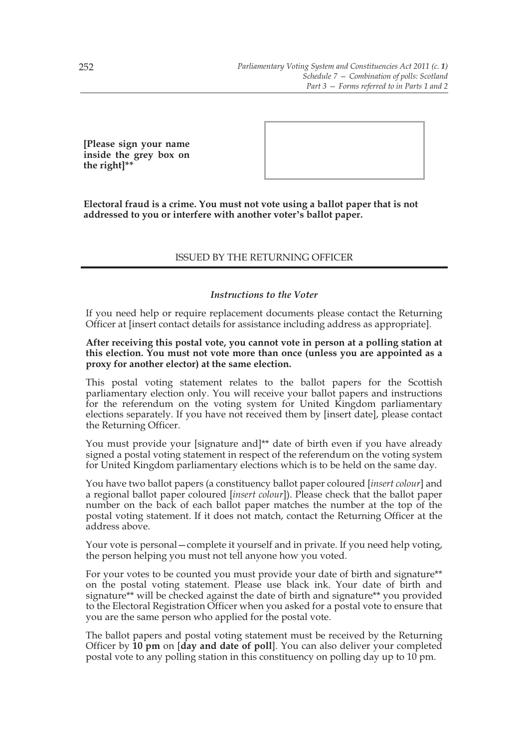**[Please sign your name inside the grey box on the right]\*\***



**Electoral fraud is a crime. You must not vote using a ballot paper that is not addressed to you or interfere with another voter's ballot paper.**

### ISSUED BY THE RETURNING OFFICER

### *Instructions to the Voter*

If you need help or require replacement documents please contact the Returning Officer at [insert contact details for assistance including address as appropriate].

### **After receiving this postal vote, you cannot vote in person at a polling station at this election. You must not vote more than once (unless you are appointed as a proxy for another elector) at the same election.**

This postal voting statement relates to the ballot papers for the Scottish parliamentary election only. You will receive your ballot papers and instructions for the referendum on the voting system for United Kingdom parliamentary elections separately. If you have not received them by [insert date], please contact the Returning Officer.

You must provide your [signature and]\*\* date of birth even if you have already signed a postal voting statement in respect of the referendum on the voting system for United Kingdom parliamentary elections which is to be held on the same day.

You have two ballot papers (a constituency ballot paper coloured [*insert colour*] and a regional ballot paper coloured [*insert colour*]). Please check that the ballot paper number on the back of each ballot paper matches the number at the top of the postal voting statement. If it does not match, contact the Returning Officer at the address above.

Your vote is personal—complete it yourself and in private. If you need help voting, the person helping you must not tell anyone how you voted.

For your votes to be counted you must provide your date of birth and signature\*\* on the postal voting statement. Please use black ink. Your date of birth and signature\*\* will be checked against the date of birth and signature\*\* you provided to the Electoral Registration Officer when you asked for a postal vote to ensure that you are the same person who applied for the postal vote.

The ballot papers and postal voting statement must be received by the Returning Officer by **10 pm** on [**day and date of poll**]. You can also deliver your completed postal vote to any polling station in this constituency on polling day up to 10 pm.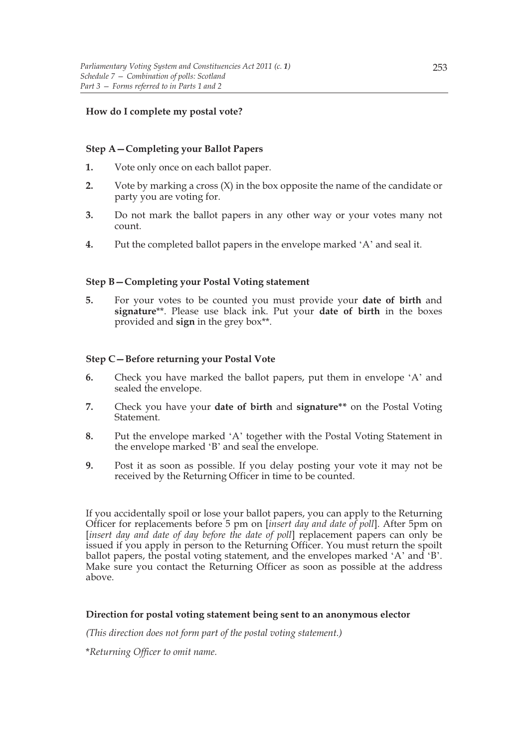# **How do I complete my postal vote?**

# **Step A—Completing your Ballot Papers**

- **1.** Vote only once on each ballot paper.
- **2.** Vote by marking a cross (X) in the box opposite the name of the candidate or party you are voting for.
- **3.** Do not mark the ballot papers in any other way or your votes many not count.
- **4.** Put the completed ballot papers in the envelope marked 'A' and seal it.

# **Step B—Completing your Postal Voting statement**

**5.** For your votes to be counted you must provide your **date of birth** and **signature**\*\*. Please use black ink. Put your **date of birth** in the boxes provided and **sign** in the grey box\*\*.

# **Step C—Before returning your Postal Vote**

- **6.** Check you have marked the ballot papers, put them in envelope 'A' and sealed the envelope.
- **7.** Check you have your **date of birth** and **signature\*\*** on the Postal Voting Statement.
- **8.** Put the envelope marked 'A' together with the Postal Voting Statement in the envelope marked 'B' and seal the envelope.
- **9.** Post it as soon as possible. If you delay posting your vote it may not be received by the Returning Officer in time to be counted.

If you accidentally spoil or lose your ballot papers, you can apply to the Returning Officer for replacements before 5 pm on [*insert day and date of poll*]. After 5pm on [*insert day and date of day before the date of poll*] replacement papers can only be issued if you apply in person to the Returning Officer. You must return the spoilt ballot papers, the postal voting statement, and the envelopes marked 'A' and 'B'. Make sure you contact the Returning Officer as soon as possible at the address above.

### **Direction for postal voting statement being sent to an anonymous elector**

*(This direction does not form part of the postal voting statement.)*

\**Returning Officer to omit name.*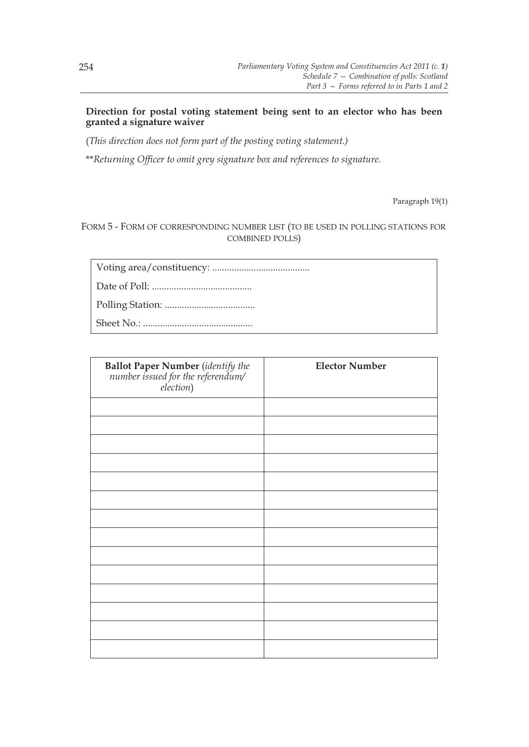# **Direction for postal voting statement being sent to an elector who has been granted a signature waiver**

(*This direction does not form part of the posting voting statement.)*

\*\**Returning Officer to omit grey signature box and references to signature.*

Paragraph 19(1)

# FORM 5 - FORM OF CORRESPONDING NUMBER LIST (TO BE USED IN POLLING STATIONS FOR COMBINED POLLS)

| <b>Ballot Paper Number</b> (identify the number issued for the referendum/<br>election) | <b>Elector Number</b> |
|-----------------------------------------------------------------------------------------|-----------------------|
|                                                                                         |                       |
|                                                                                         |                       |
|                                                                                         |                       |
|                                                                                         |                       |
|                                                                                         |                       |
|                                                                                         |                       |
|                                                                                         |                       |
|                                                                                         |                       |
|                                                                                         |                       |
|                                                                                         |                       |
|                                                                                         |                       |
|                                                                                         |                       |
|                                                                                         |                       |
|                                                                                         |                       |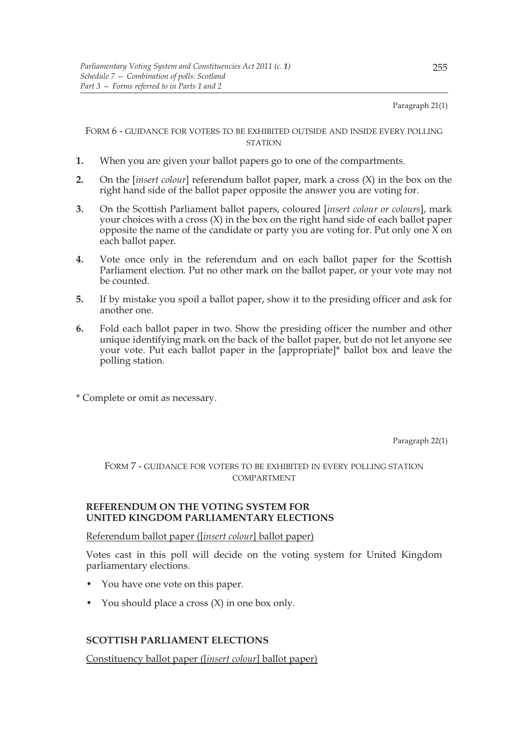### Paragraph 21(1)

# FORM 6 - GUIDANCE FOR VOTERS TO BE EXHIBITED OUTSIDE AND INSIDE EVERY POLLING **STATION**

- **1.** When you are given your ballot papers go to one of the compartments.
- **2.** On the [*insert colour*] referendum ballot paper, mark a cross (X) in the box on the right hand side of the ballot paper opposite the answer you are voting for.
- **3.** On the Scottish Parliament ballot papers, coloured [*insert colour or colours*], mark your choices with a cross (X) in the box on the right hand side of each ballot paper opposite the name of the candidate or party you are voting for. Put only one  $\hat{X}$  on each ballot paper.
- **4.** Vote once only in the referendum and on each ballot paper for the Scottish Parliament election. Put no other mark on the ballot paper, or your vote may not be counted.
- **5.** If by mistake you spoil a ballot paper, show it to the presiding officer and ask for another one.
- **6.** Fold each ballot paper in two. Show the presiding officer the number and other unique identifying mark on the back of the ballot paper, but do not let anyone see your vote. Put each ballot paper in the [appropriate]\* ballot box and leave the polling station.

\* Complete or omit as necessary.

Paragraph 22(1)

FORM 7 - GUIDANCE FOR VOTERS TO BE EXHIBITED IN EVERY POLLING STATION COMPARTMENT

### **REFERENDUM ON THE VOTING SYSTEM FOR UNITED KINGDOM PARLIAMENTARY ELECTIONS**

### Referendum ballot paper ([*insert colour*] ballot paper)

Votes cast in this poll will decide on the voting system for United Kingdom parliamentary elections.

- You have one vote on this paper.
- You should place a cross  $(X)$  in one box only.

# **SCOTTISH PARLIAMENT ELECTIONS**

Constituency ballot paper ([*insert colour*] ballot paper)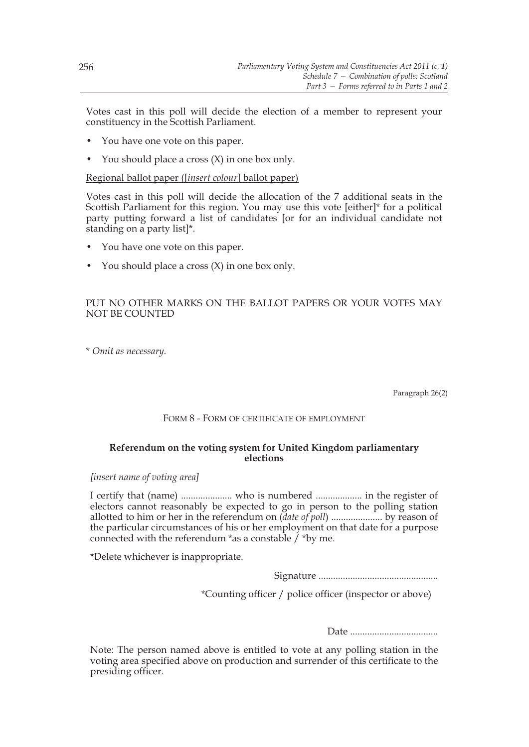Votes cast in this poll will decide the election of a member to represent your constituency in the Scottish Parliament.

- You have one vote on this paper.
- You should place a cross  $(X)$  in one box only.

### Regional ballot paper ([*insert colour*] ballot paper)

Votes cast in this poll will decide the allocation of the 7 additional seats in the Scottish Parliament for this region. You may use this vote [either]\* for a political party putting forward a list of candidates [or for an individual candidate not standing on a party list]\*.

- You have one vote on this paper.
- You should place a cross (X) in one box only.

# PUT NO OTHER MARKS ON THE BALLOT PAPERS OR YOUR VOTES MAY NOT BE COUNTED

\* *Omit as necessary.*

Paragraph 26(2)

### FORM 8 - FORM OF CERTIFICATE OF EMPLOYMENT

# **Referendum on the voting system for United Kingdom parliamentary elections**

*[insert name of voting area]*

I certify that (name) ..................... who is numbered ................... in the register of electors cannot reasonably be expected to go in person to the polling station allotted to him or her in the referendum on (*date of poll*) ..................... by reason of the particular circumstances of his or her employment on that date for a purpose connected with the referendum \*as a constable  $\dot{}/$  \*by me.

\*Delete whichever is inappropriate.

Signature .................................................

\*Counting officer / police officer (inspector or above)

Date ....................................

Note: The person named above is entitled to vote at any polling station in the voting area specified above on production and surrender of this certificate to the presiding officer.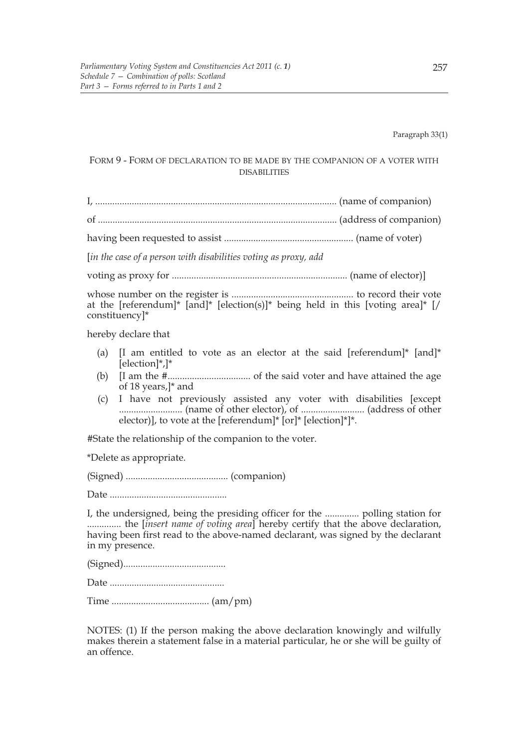# FORM 9 - FORM OF DECLARATION TO BE MADE BY THE COMPANION OF A VOTER WITH DISABILITIES

I, ................................................................................................... (name of companion)

of .................................................................................................. (address of companion)

having been requested to assist ..................................................... (name of voter)

[*in the case of a person with disabilities voting as proxy, add*

voting as proxy for ........................................................................ (name of elector)]

whose number on the register is .................................................. to record their vote at the [referendum]\* [and]\* [election(s)]\* being held in this [voting area]\* [/ constituency]\*

hereby declare that

- (a) [I am entitled to vote as an elector at the said [referendum]\* [and]\* [election]\*,]\*
- (b) [I am the #.................................. of the said voter and have attained the age of 18 years,]\* and
- (c) I have not previously assisted any voter with disabilities [except .......................... (name of other elector), of .......................... (address of other elector)], to vote at the [referendum]\* [or]\* [election]\*]\*.

#State the relationship of the companion to the voter.

\*Delete as appropriate.

(Signed) .......................................... (companion)

Date ................................................

I, the undersigned, being the presiding officer for the .............. polling station for .............. the [*insert name of voting area*] hereby certify that the above declaration, having been first read to the above-named declarant, was signed by the declarant in my presence.

(Signed)..........................................

Date ...............................................

Time ........................................ (am/pm)

NOTES: (1) If the person making the above declaration knowingly and wilfully makes therein a statement false in a material particular, he or she will be guilty of an offence.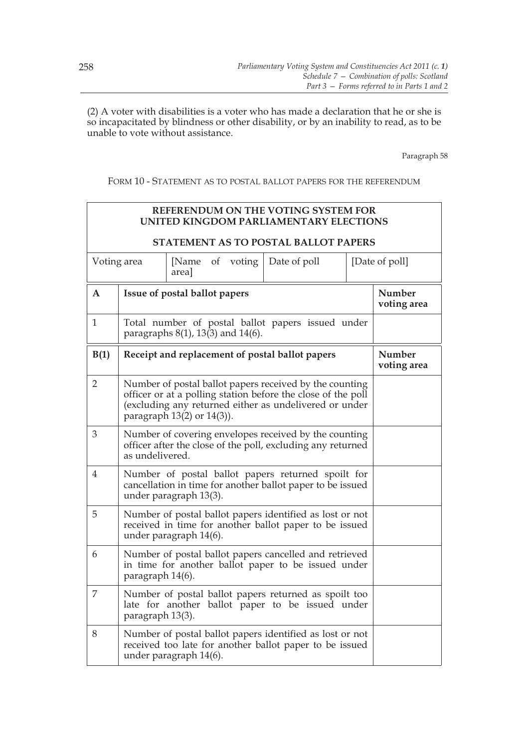(2) A voter with disabilities is a voter who has made a declaration that he or she is so incapacitated by blindness or other disability, or by an inability to read, as to be unable to vote without assistance.

Paragraph 58

### FORM 10 - STATEMENT AS TO POSTAL BALLOT PAPERS FOR THE REFERENDUM

| <b>REFERENDUM ON THE VOTING SYSTEM FOR</b><br>UNITED KINGDOM PARLIAMENTARY ELECTIONS<br>STATEMENT AS TO POSTAL BALLOT PAPERS |                                                                                                                                                                                                                      |  |  |  |                              |
|------------------------------------------------------------------------------------------------------------------------------|----------------------------------------------------------------------------------------------------------------------------------------------------------------------------------------------------------------------|--|--|--|------------------------------|
|                                                                                                                              | of<br>voting<br>Date of poll<br>Voting area<br>[Name<br>area]                                                                                                                                                        |  |  |  | [Date of poll]               |
| A                                                                                                                            | Issue of postal ballot papers                                                                                                                                                                                        |  |  |  | <b>Number</b><br>voting area |
| $\mathbf{1}$                                                                                                                 | Total number of postal ballot papers issued under<br>paragraphs 8(1), 13(3) and 14(6).                                                                                                                               |  |  |  |                              |
| B(1)                                                                                                                         | Number<br>Receipt and replacement of postal ballot papers<br>voting area                                                                                                                                             |  |  |  |                              |
| $\overline{2}$                                                                                                               | Number of postal ballot papers received by the counting<br>officer or at a polling station before the close of the poll<br>(excluding any returned either as undelivered or under<br>paragraph $13(2)$ or $14(3)$ ). |  |  |  |                              |
| 3                                                                                                                            | Number of covering envelopes received by the counting<br>officer after the close of the poll, excluding any returned<br>as undelivered.                                                                              |  |  |  |                              |
| 4                                                                                                                            | Number of postal ballot papers returned spoilt for<br>cancellation in time for another ballot paper to be issued<br>under paragraph 13(3).                                                                           |  |  |  |                              |
| 5                                                                                                                            | Number of postal ballot papers identified as lost or not<br>received in time for another ballot paper to be issued<br>under paragraph 14(6).                                                                         |  |  |  |                              |
| 6                                                                                                                            | Number of postal ballot papers cancelled and retrieved<br>in time for another ballot paper to be issued under<br>paragraph 14(6).                                                                                    |  |  |  |                              |
| 7                                                                                                                            | Number of postal ballot papers returned as spoilt too<br>late for another ballot paper to be issued under<br>paragraph 13(3).                                                                                        |  |  |  |                              |
| 8                                                                                                                            | Number of postal ballot papers identified as lost or not<br>received too late for another ballot paper to be issued<br>under paragraph 14(6).                                                                        |  |  |  |                              |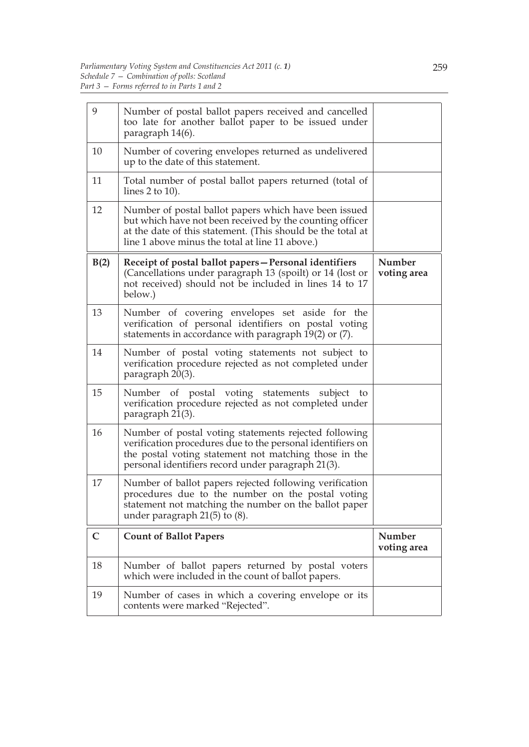| 9<br>Number of postal ballot papers received and cancelled<br>too late for another ballot paper to be issued under<br>paragraph 14(6).<br>10<br>Number of covering envelopes returned as undelivered<br>up to the date of this statement.<br>11<br>Total number of postal ballot papers returned (total of<br>lines $2$ to $10$ ).<br>12<br>Number of postal ballot papers which have been issued<br>but which have not been received by the counting officer<br>at the date of this statement. (This should be the total at<br>line 1 above minus the total at line 11 above.)<br><b>Number</b><br>B(2)<br>Receipt of postal ballot papers-Personal identifiers<br>(Cancellations under paragraph 13 (spoilt) or 14 (lost or<br>voting area<br>not received) should not be included in lines 14 to 17<br>below.)<br>13<br>Number of covering envelopes set aside for the<br>verification of personal identifiers on postal voting<br>statements in accordance with paragraph 19(2) or (7).<br>14<br>Number of postal voting statements not subject to<br>verification procedure rejected as not completed under<br>paragraph 20(3).<br>15<br>Number of postal voting statements subject<br>to<br>verification procedure rejected as not completed under<br>paragraph 21(3). |
|------------------------------------------------------------------------------------------------------------------------------------------------------------------------------------------------------------------------------------------------------------------------------------------------------------------------------------------------------------------------------------------------------------------------------------------------------------------------------------------------------------------------------------------------------------------------------------------------------------------------------------------------------------------------------------------------------------------------------------------------------------------------------------------------------------------------------------------------------------------------------------------------------------------------------------------------------------------------------------------------------------------------------------------------------------------------------------------------------------------------------------------------------------------------------------------------------------------------------------------------------------------------------|
|                                                                                                                                                                                                                                                                                                                                                                                                                                                                                                                                                                                                                                                                                                                                                                                                                                                                                                                                                                                                                                                                                                                                                                                                                                                                              |
|                                                                                                                                                                                                                                                                                                                                                                                                                                                                                                                                                                                                                                                                                                                                                                                                                                                                                                                                                                                                                                                                                                                                                                                                                                                                              |
|                                                                                                                                                                                                                                                                                                                                                                                                                                                                                                                                                                                                                                                                                                                                                                                                                                                                                                                                                                                                                                                                                                                                                                                                                                                                              |
|                                                                                                                                                                                                                                                                                                                                                                                                                                                                                                                                                                                                                                                                                                                                                                                                                                                                                                                                                                                                                                                                                                                                                                                                                                                                              |
|                                                                                                                                                                                                                                                                                                                                                                                                                                                                                                                                                                                                                                                                                                                                                                                                                                                                                                                                                                                                                                                                                                                                                                                                                                                                              |
|                                                                                                                                                                                                                                                                                                                                                                                                                                                                                                                                                                                                                                                                                                                                                                                                                                                                                                                                                                                                                                                                                                                                                                                                                                                                              |
|                                                                                                                                                                                                                                                                                                                                                                                                                                                                                                                                                                                                                                                                                                                                                                                                                                                                                                                                                                                                                                                                                                                                                                                                                                                                              |
|                                                                                                                                                                                                                                                                                                                                                                                                                                                                                                                                                                                                                                                                                                                                                                                                                                                                                                                                                                                                                                                                                                                                                                                                                                                                              |
| 16<br>Number of postal voting statements rejected following<br>verification procedures due to the personal identifiers on<br>the postal voting statement not matching those in the<br>personal identifiers record under paragraph 21(3).                                                                                                                                                                                                                                                                                                                                                                                                                                                                                                                                                                                                                                                                                                                                                                                                                                                                                                                                                                                                                                     |
| 17<br>Number of ballot papers rejected following verification<br>procedures due to the number on the postal voting<br>statement not matching the number on the ballot paper<br>under paragraph $21(5)$ to $(8)$ .                                                                                                                                                                                                                                                                                                                                                                                                                                                                                                                                                                                                                                                                                                                                                                                                                                                                                                                                                                                                                                                            |
| $\mathbf C$<br><b>Number</b><br><b>Count of Ballot Papers</b><br>voting area                                                                                                                                                                                                                                                                                                                                                                                                                                                                                                                                                                                                                                                                                                                                                                                                                                                                                                                                                                                                                                                                                                                                                                                                 |
| 18<br>Number of ballot papers returned by postal voters<br>which were included in the count of ballot papers.                                                                                                                                                                                                                                                                                                                                                                                                                                                                                                                                                                                                                                                                                                                                                                                                                                                                                                                                                                                                                                                                                                                                                                |
| 19<br>Number of cases in which a covering envelope or its<br>contents were marked "Rejected".                                                                                                                                                                                                                                                                                                                                                                                                                                                                                                                                                                                                                                                                                                                                                                                                                                                                                                                                                                                                                                                                                                                                                                                |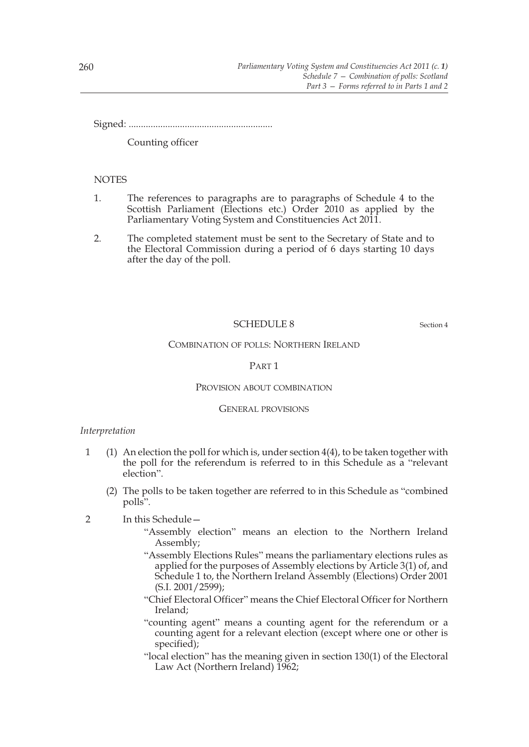Signed: ...........................................................

Counting officer

### **NOTES**

- 1. The references to paragraphs are to paragraphs of Schedule 4 to the Scottish Parliament (Elections etc.) Order 2010 as applied by the Parliamentary Voting System and Constituencies Act 2011.
- 2. The completed statement must be sent to the Secretary of State and to the Electoral Commission during a period of 6 days starting 10 days after the day of the poll.

### SCHEDULE 8 Section 4

## COMBINATION OF POLLS: NORTHERN IRELAND

#### PART 1

#### PROVISION ABOUT COMBINATION

#### GENERAL PROVISIONS

#### *Interpretation*

- 1 (1) An election the poll for which is, under section 4(4), to be taken together with the poll for the referendum is referred to in this Schedule as a "relevant election".
	- (2) The polls to be taken together are referred to in this Schedule as "combined polls".
- 2 In this Schedule—
	- "Assembly election" means an election to the Northern Ireland Assembly;
	- "Assembly Elections Rules" means the parliamentary elections rules as applied for the purposes of Assembly elections by Article 3(1) of, and Schedule 1 to, the Northern Ireland Assembly (Elections) Order 2001 (S.I. 2001/2599);
	- "Chief Electoral Officer" means the Chief Electoral Officer for Northern Ireland;
	- "counting agent" means a counting agent for the referendum or a counting agent for a relevant election (except where one or other is specified);
	- "local election" has the meaning given in section 130(1) of the Electoral Law Act (Northern Ireland) 1962;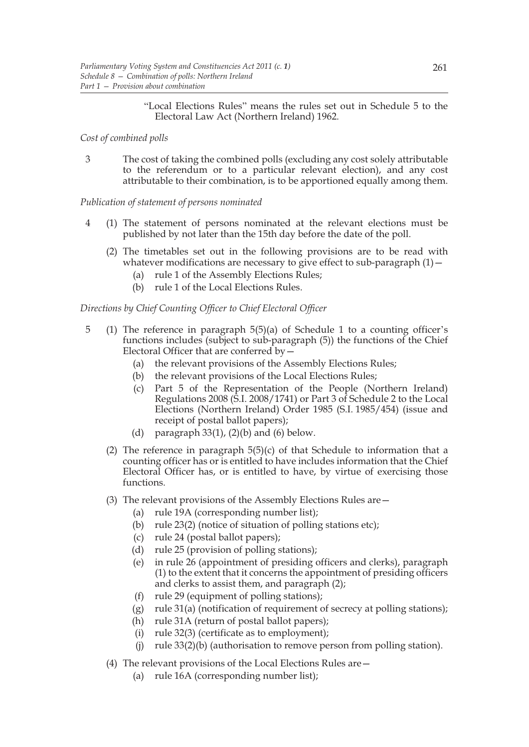"Local Elections Rules" means the rules set out in Schedule 5 to the Electoral Law Act (Northern Ireland) 1962.

# *Cost of combined polls*

3 The cost of taking the combined polls (excluding any cost solely attributable to the referendum or to a particular relevant election), and any cost attributable to their combination, is to be apportioned equally among them.

# *Publication of statement of persons nominated*

- 4 (1) The statement of persons nominated at the relevant elections must be published by not later than the 15th day before the date of the poll.
	- (2) The timetables set out in the following provisions are to be read with whatever modifications are necessary to give effect to sub-paragraph  $(1)$  -
		- (a) rule 1 of the Assembly Elections Rules;
		- (b) rule 1 of the Local Elections Rules.

# *Directions by Chief Counting Officer to Chief Electoral Officer*

- 5 (1) The reference in paragraph 5(5)(a) of Schedule 1 to a counting officer's functions includes (subject to sub-paragraph (5)) the functions of the Chief Electoral Officer that are conferred by—
	- (a) the relevant provisions of the Assembly Elections Rules;
	- (b) the relevant provisions of the Local Elections Rules;
	- (c) Part 5 of the Representation of the People (Northern Ireland) Regulations 2008 (S.I. 2008/1741) or Part 3 of Schedule 2 to the Local Elections (Northern Ireland) Order 1985 (S.I. 1985/454) (issue and receipt of postal ballot papers);
	- (d) paragraph  $33(1)$ ,  $(2)(b)$  and  $(6)$  below.
	- (2) The reference in paragraph  $5(5)(c)$  of that Schedule to information that a counting officer has or is entitled to have includes information that the Chief Electoral Officer has, or is entitled to have, by virtue of exercising those functions.
	- (3) The relevant provisions of the Assembly Elections Rules are—
		- (a) rule 19A (corresponding number list);
		- (b) rule 23(2) (notice of situation of polling stations etc);
		- (c) rule 24 (postal ballot papers);
		- (d) rule 25 (provision of polling stations);
		- (e) in rule 26 (appointment of presiding officers and clerks), paragraph (1) to the extent that it concerns the appointment of presiding officers and clerks to assist them, and paragraph (2);
		- (f) rule 29 (equipment of polling stations);
		- (g) rule 31(a) (notification of requirement of secrecy at polling stations);
		- (h) rule 31A (return of postal ballot papers);
		- (i) rule 32(3) (certificate as to employment);
		- (j) rule 33(2)(b) (authorisation to remove person from polling station).
	- (4) The relevant provisions of the Local Elections Rules are—
		- (a) rule 16A (corresponding number list);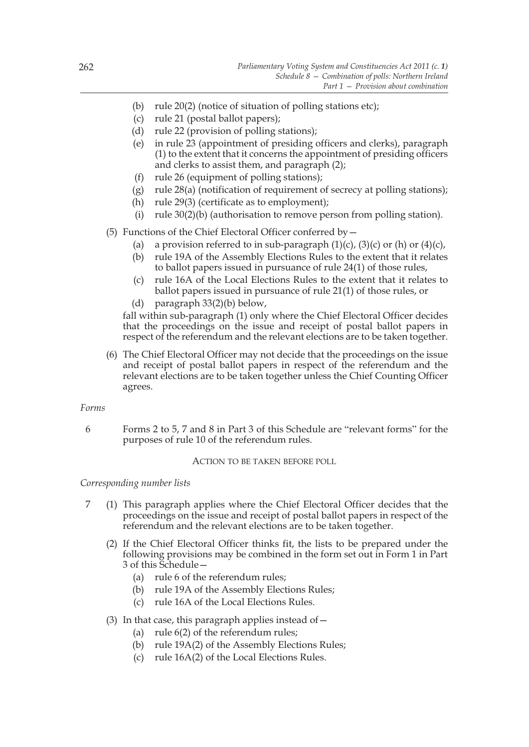- (b) rule 20(2) (notice of situation of polling stations etc);
- (c) rule 21 (postal ballot papers);
- (d) rule 22 (provision of polling stations);
- (e) in rule 23 (appointment of presiding officers and clerks), paragraph (1) to the extent that it concerns the appointment of presiding officers and clerks to assist them, and paragraph (2);
- (f) rule 26 (equipment of polling stations);
- (g) rule 28(a) (notification of requirement of secrecy at polling stations);
- (h) rule 29(3) (certificate as to employment);
- (i) rule 30(2)(b) (authorisation to remove person from polling station).
- (5) Functions of the Chief Electoral Officer conferred by—
	- (a) a provision referred to in sub-paragraph  $(1)(c)$ ,  $(3)(c)$  or  $(h)$  or  $(4)(c)$ ,
	- (b) rule 19A of the Assembly Elections Rules to the extent that it relates to ballot papers issued in pursuance of rule 24(1) of those rules,
	- (c) rule 16A of the Local Elections Rules to the extent that it relates to ballot papers issued in pursuance of rule 21(1) of those rules, or
	- (d) paragraph 33(2)(b) below,

fall within sub-paragraph (1) only where the Chief Electoral Officer decides that the proceedings on the issue and receipt of postal ballot papers in respect of the referendum and the relevant elections are to be taken together.

(6) The Chief Electoral Officer may not decide that the proceedings on the issue and receipt of postal ballot papers in respect of the referendum and the relevant elections are to be taken together unless the Chief Counting Officer agrees.

### *Forms*

6 Forms 2 to 5, 7 and 8 in Part 3 of this Schedule are "relevant forms" for the purposes of rule 10 of the referendum rules.

ACTION TO BE TAKEN BEFORE POLL

### *Corresponding number lists*

- 7 (1) This paragraph applies where the Chief Electoral Officer decides that the proceedings on the issue and receipt of postal ballot papers in respect of the referendum and the relevant elections are to be taken together.
	- (2) If the Chief Electoral Officer thinks fit, the lists to be prepared under the following provisions may be combined in the form set out in Form 1 in Part 3 of this Schedule—
		- (a) rule 6 of the referendum rules;
		- (b) rule 19A of the Assembly Elections Rules;
		- (c) rule 16A of the Local Elections Rules.
	- (3) In that case, this paragraph applies instead of  $-$ 
		- (a) rule 6(2) of the referendum rules;
		- (b) rule 19A(2) of the Assembly Elections Rules;
		- (c) rule 16A(2) of the Local Elections Rules.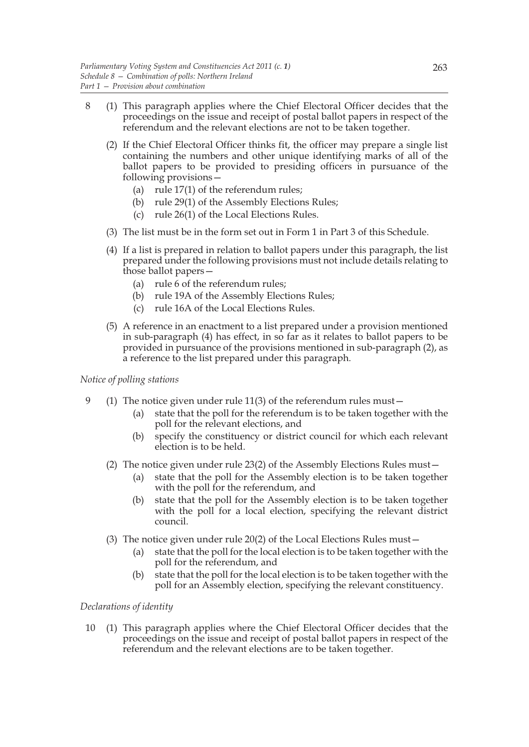- 8 (1) This paragraph applies where the Chief Electoral Officer decides that the proceedings on the issue and receipt of postal ballot papers in respect of the referendum and the relevant elections are not to be taken together.
	- (2) If the Chief Electoral Officer thinks fit, the officer may prepare a single list containing the numbers and other unique identifying marks of all of the ballot papers to be provided to presiding officers in pursuance of the following provisions—
		- (a) rule 17(1) of the referendum rules;
		- (b) rule 29(1) of the Assembly Elections Rules;
		- (c) rule 26(1) of the Local Elections Rules.
	- (3) The list must be in the form set out in Form 1 in Part 3 of this Schedule.
	- (4) If a list is prepared in relation to ballot papers under this paragraph, the list prepared under the following provisions must not include details relating to those ballot papers—
		- (a) rule 6 of the referendum rules;
		- (b) rule 19A of the Assembly Elections Rules;
		- (c) rule 16A of the Local Elections Rules.
	- (5) A reference in an enactment to a list prepared under a provision mentioned in sub-paragraph (4) has effect, in so far as it relates to ballot papers to be provided in pursuance of the provisions mentioned in sub-paragraph (2), as a reference to the list prepared under this paragraph.

### *Notice of polling stations*

- 9 (1) The notice given under rule 11(3) of the referendum rules must—
	- (a) state that the poll for the referendum is to be taken together with the poll for the relevant elections, and
	- (b) specify the constituency or district council for which each relevant election is to be held.
	- (2) The notice given under rule 23(2) of the Assembly Elections Rules must—
		- (a) state that the poll for the Assembly election is to be taken together with the poll for the referendum, and
		- (b) state that the poll for the Assembly election is to be taken together with the poll for a local election, specifying the relevant district council.
	- (3) The notice given under rule 20(2) of the Local Elections Rules must—
		- (a) state that the poll for the local election is to be taken together with the poll for the referendum, and
		- (b) state that the poll for the local election is to be taken together with the poll for an Assembly election, specifying the relevant constituency.

### *Declarations of identity*

10 (1) This paragraph applies where the Chief Electoral Officer decides that the proceedings on the issue and receipt of postal ballot papers in respect of the referendum and the relevant elections are to be taken together.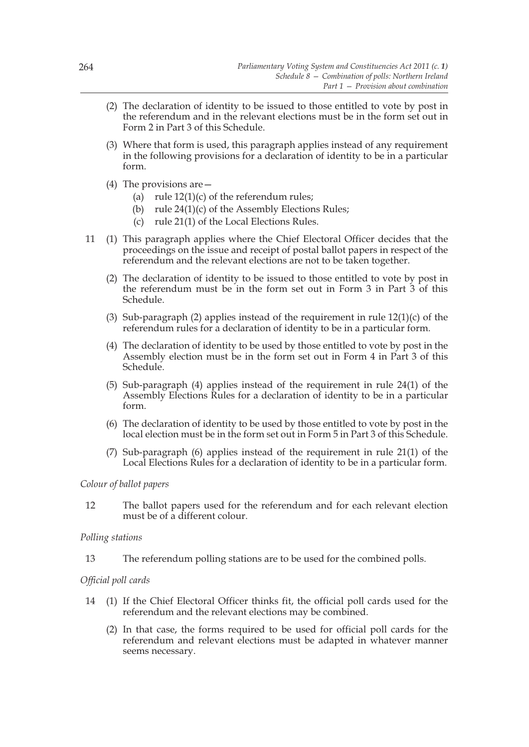- (2) The declaration of identity to be issued to those entitled to vote by post in the referendum and in the relevant elections must be in the form set out in Form 2 in Part 3 of this Schedule.
- (3) Where that form is used, this paragraph applies instead of any requirement in the following provisions for a declaration of identity to be in a particular form.
- (4) The provisions are—
	- (a) rule  $12(1)(c)$  of the referendum rules;
	- (b) rule 24(1)(c) of the Assembly Elections Rules;
	- (c) rule 21(1) of the Local Elections Rules.
- 11 (1) This paragraph applies where the Chief Electoral Officer decides that the proceedings on the issue and receipt of postal ballot papers in respect of the referendum and the relevant elections are not to be taken together.
	- (2) The declaration of identity to be issued to those entitled to vote by post in the referendum must be in the form set out in Form 3 in Part 3 of this Schedule.
	- (3) Sub-paragraph (2) applies instead of the requirement in rule  $12(1)(c)$  of the referendum rules for a declaration of identity to be in a particular form.
	- (4) The declaration of identity to be used by those entitled to vote by post in the Assembly election must be in the form set out in Form 4 in Part 3 of this Schedule.
	- (5) Sub-paragraph (4) applies instead of the requirement in rule 24(1) of the Assembly Elections Rules for a declaration of identity to be in a particular form.
	- (6) The declaration of identity to be used by those entitled to vote by post in the local election must be in the form set out in Form 5 in Part 3 of this Schedule.
	- (7) Sub-paragraph (6) applies instead of the requirement in rule 21(1) of the Local Elections Rules for a declaration of identity to be in a particular form.

### *Colour of ballot papers*

12 The ballot papers used for the referendum and for each relevant election must be of a different colour.

### *Polling stations*

13 The referendum polling stations are to be used for the combined polls.

### *Official poll cards*

- 14 (1) If the Chief Electoral Officer thinks fit, the official poll cards used for the referendum and the relevant elections may be combined.
	- (2) In that case, the forms required to be used for official poll cards for the referendum and relevant elections must be adapted in whatever manner seems necessary.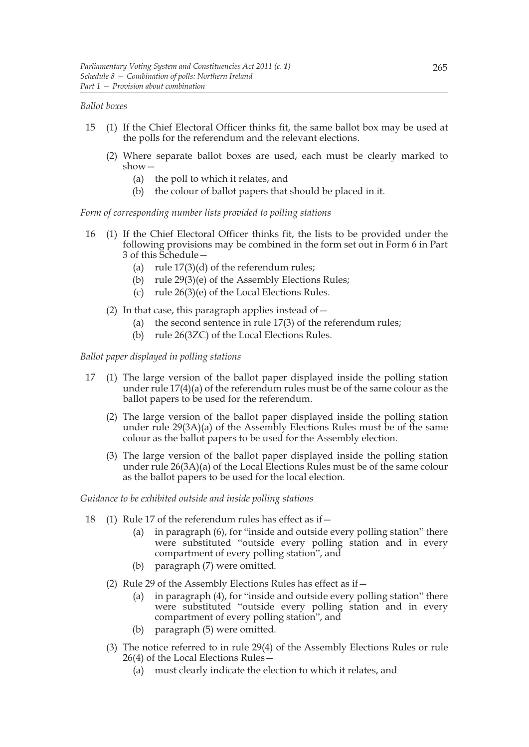#### *Ballot boxes*

- 15 (1) If the Chief Electoral Officer thinks fit, the same ballot box may be used at the polls for the referendum and the relevant elections.
	- (2) Where separate ballot boxes are used, each must be clearly marked to show—
		- (a) the poll to which it relates, and
		- (b) the colour of ballot papers that should be placed in it.

*Form of corresponding number lists provided to polling stations*

- 16 (1) If the Chief Electoral Officer thinks fit, the lists to be provided under the following provisions may be combined in the form set out in Form 6 in Part 3 of this Schedule—
	- (a) rule 17(3)(d) of the referendum rules;
	- (b) rule 29(3)(e) of the Assembly Elections Rules;
	- (c) rule 26(3)(e) of the Local Elections Rules.
	- (2) In that case, this paragraph applies instead of  $-$ 
		- (a) the second sentence in rule 17(3) of the referendum rules;
		- (b) rule 26(3ZC) of the Local Elections Rules.

*Ballot paper displayed in polling stations*

- 17 (1) The large version of the ballot paper displayed inside the polling station under rule 17(4)(a) of the referendum rules must be of the same colour as the ballot papers to be used for the referendum.
	- (2) The large version of the ballot paper displayed inside the polling station under rule 29(3A)(a) of the Assembly Elections Rules must be of the same colour as the ballot papers to be used for the Assembly election.
	- (3) The large version of the ballot paper displayed inside the polling station under rule 26(3A)(a) of the Local Elections Rules must be of the same colour as the ballot papers to be used for the local election.

*Guidance to be exhibited outside and inside polling stations*

- 18 (1) Rule 17 of the referendum rules has effect as if—
	- (a) in paragraph (6), for "inside and outside every polling station" there were substituted "outside every polling station and in every compartment of every polling station", and
	- (b) paragraph (7) were omitted.
	- (2) Rule 29 of the Assembly Elections Rules has effect as if—
		- (a) in paragraph (4), for "inside and outside every polling station" there were substituted "outside every polling station and in every compartment of every polling station", and
		- (b) paragraph (5) were omitted.
	- (3) The notice referred to in rule 29(4) of the Assembly Elections Rules or rule 26(4) of the Local Elections Rules—
		- (a) must clearly indicate the election to which it relates, and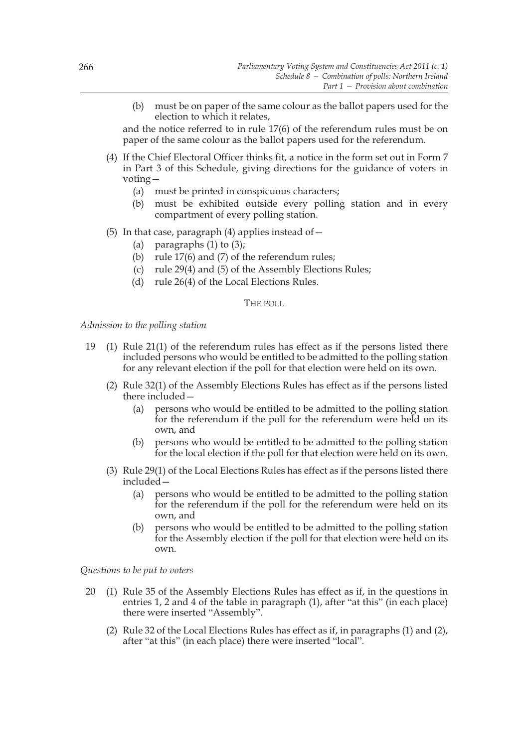(b) must be on paper of the same colour as the ballot papers used for the election to which it relates,

and the notice referred to in rule 17(6) of the referendum rules must be on paper of the same colour as the ballot papers used for the referendum.

- (4) If the Chief Electoral Officer thinks fit, a notice in the form set out in Form 7 in Part 3 of this Schedule, giving directions for the guidance of voters in voting—
	- (a) must be printed in conspicuous characters;
	- (b) must be exhibited outside every polling station and in every compartment of every polling station.
- (5) In that case, paragraph  $(4)$  applies instead of  $-$ 
	- (a) paragraphs  $(1)$  to  $(3)$ ;
	- (b) rule 17(6) and (7) of the referendum rules;
	- (c) rule 29(4) and (5) of the Assembly Elections Rules;
	- (d) rule 26(4) of the Local Elections Rules.

#### THE POLL

#### *Admission to the polling station*

- 19 (1) Rule 21(1) of the referendum rules has effect as if the persons listed there included persons who would be entitled to be admitted to the polling station for any relevant election if the poll for that election were held on its own.
	- (2) Rule 32(1) of the Assembly Elections Rules has effect as if the persons listed there included—
		- (a) persons who would be entitled to be admitted to the polling station for the referendum if the poll for the referendum were held on its own, and
		- (b) persons who would be entitled to be admitted to the polling station for the local election if the poll for that election were held on its own.
	- (3) Rule 29(1) of the Local Elections Rules has effect as if the persons listed there included—
		- (a) persons who would be entitled to be admitted to the polling station for the referendum if the poll for the referendum were held on its own, and
		- (b) persons who would be entitled to be admitted to the polling station for the Assembly election if the poll for that election were held on its own.

*Questions to be put to voters*

- 20 (1) Rule 35 of the Assembly Elections Rules has effect as if, in the questions in entries 1, 2 and 4 of the table in paragraph (1), after "at this" (in each place) there were inserted "Assembly".
	- (2) Rule 32 of the Local Elections Rules has effect as if, in paragraphs (1) and (2), after "at this" (in each place) there were inserted "local".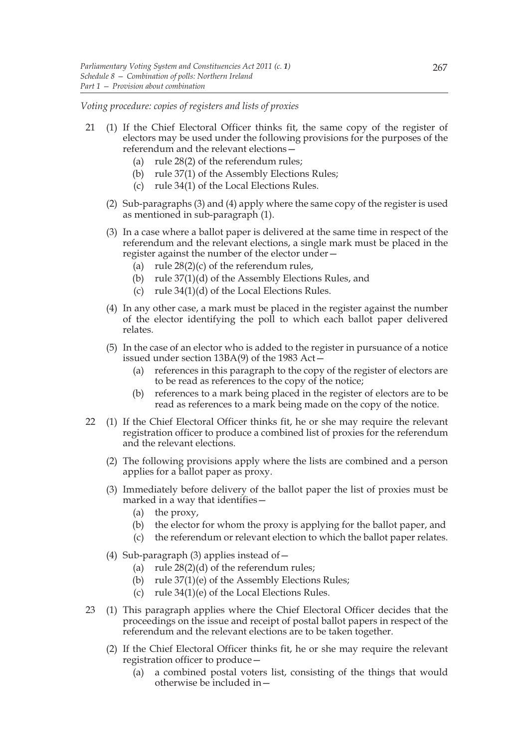*Voting procedure: copies of registers and lists of proxies*

- 21 (1) If the Chief Electoral Officer thinks fit, the same copy of the register of electors may be used under the following provisions for the purposes of the referendum and the relevant elections—
	- (a) rule 28(2) of the referendum rules;
	- (b) rule 37(1) of the Assembly Elections Rules;
	- (c) rule 34(1) of the Local Elections Rules.
	- (2) Sub-paragraphs (3) and (4) apply where the same copy of the register is used as mentioned in sub-paragraph (1).
	- (3) In a case where a ballot paper is delivered at the same time in respect of the referendum and the relevant elections, a single mark must be placed in the register against the number of the elector under—
		- (a) rule  $28(2)(c)$  of the referendum rules,
		- (b) rule 37(1)(d) of the Assembly Elections Rules, and
		- (c) rule 34(1)(d) of the Local Elections Rules.
	- (4) In any other case, a mark must be placed in the register against the number of the elector identifying the poll to which each ballot paper delivered relates.
	- (5) In the case of an elector who is added to the register in pursuance of a notice issued under section 13BA(9) of the 1983 Act—
		- (a) references in this paragraph to the copy of the register of electors are to be read as references to the copy of the notice;
		- (b) references to a mark being placed in the register of electors are to be read as references to a mark being made on the copy of the notice.
- 22 (1) If the Chief Electoral Officer thinks fit, he or she may require the relevant registration officer to produce a combined list of proxies for the referendum and the relevant elections.
	- (2) The following provisions apply where the lists are combined and a person applies for a ballot paper as proxy.
	- (3) Immediately before delivery of the ballot paper the list of proxies must be marked in a way that identifies—
		- (a) the proxy,
		- (b) the elector for whom the proxy is applying for the ballot paper, and
		- (c) the referendum or relevant election to which the ballot paper relates.
	- (4) Sub-paragraph (3) applies instead of  $-$ 
		- (a) rule  $28(2)(d)$  of the referendum rules;
		- (b) rule 37(1)(e) of the Assembly Elections Rules;
		- (c) rule 34(1)(e) of the Local Elections Rules.
- 23 (1) This paragraph applies where the Chief Electoral Officer decides that the proceedings on the issue and receipt of postal ballot papers in respect of the referendum and the relevant elections are to be taken together.
	- (2) If the Chief Electoral Officer thinks fit, he or she may require the relevant registration officer to produce—
		- (a) a combined postal voters list, consisting of the things that would otherwise be included in—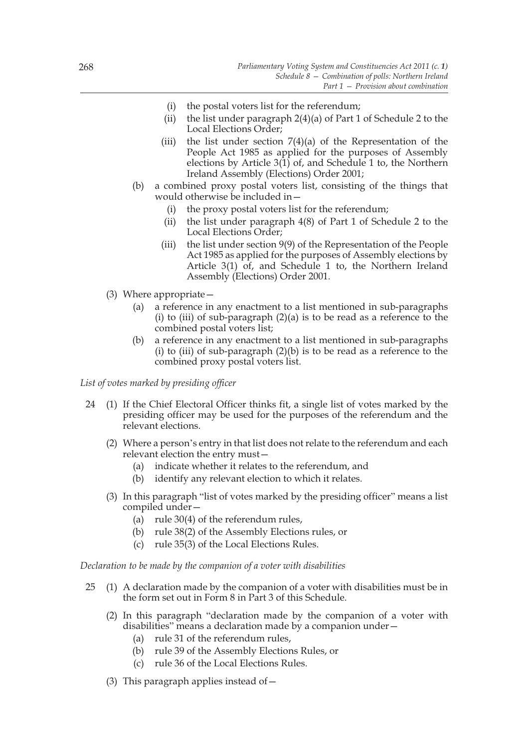- (i) the postal voters list for the referendum;
- (ii) the list under paragraph  $2(4)(a)$  of Part 1 of Schedule 2 to the Local Elections Order;
- (iii) the list under section  $7(4)(a)$  of the Representation of the People Act 1985 as applied for the purposes of Assembly elections by Article  $3(1)$  of, and Schedule 1 to, the Northern Ireland Assembly (Elections) Order 2001;
- (b) a combined proxy postal voters list, consisting of the things that would otherwise be included in—
	- (i) the proxy postal voters list for the referendum;
	- (ii) the list under paragraph 4(8) of Part 1 of Schedule 2 to the Local Elections Order;
	- (iii) the list under section 9(9) of the Representation of the People Act 1985 as applied for the purposes of Assembly elections by Article 3(1) of, and Schedule 1 to, the Northern Ireland Assembly (Elections) Order 2001.
- (3) Where appropriate—
	- (a) a reference in any enactment to a list mentioned in sub-paragraphs (i) to (iii) of sub-paragraph  $(2)(a)$  is to be read as a reference to the combined postal voters list;
	- (b) a reference in any enactment to a list mentioned in sub-paragraphs (i) to (iii) of sub-paragraph (2)(b) is to be read as a reference to the combined proxy postal voters list.

*List of votes marked by presiding officer*

- 24 (1) If the Chief Electoral Officer thinks fit, a single list of votes marked by the presiding officer may be used for the purposes of the referendum and the relevant elections.
	- (2) Where a person's entry in that list does not relate to the referendum and each relevant election the entry must—
		- (a) indicate whether it relates to the referendum, and
		- (b) identify any relevant election to which it relates.
	- (3) In this paragraph "list of votes marked by the presiding officer" means a list compiled under—
		- (a) rule 30(4) of the referendum rules,
		- (b) rule 38(2) of the Assembly Elections rules, or
		- (c) rule 35(3) of the Local Elections Rules.

*Declaration to be made by the companion of a voter with disabilities*

- 25 (1) A declaration made by the companion of a voter with disabilities must be in the form set out in Form 8 in Part 3 of this Schedule.
	- (2) In this paragraph "declaration made by the companion of a voter with disabilities" means a declaration made by a companion under—
		- (a) rule 31 of the referendum rules,
		- (b) rule 39 of the Assembly Elections Rules, or
		- (c) rule 36 of the Local Elections Rules.
	- (3) This paragraph applies instead of  $-$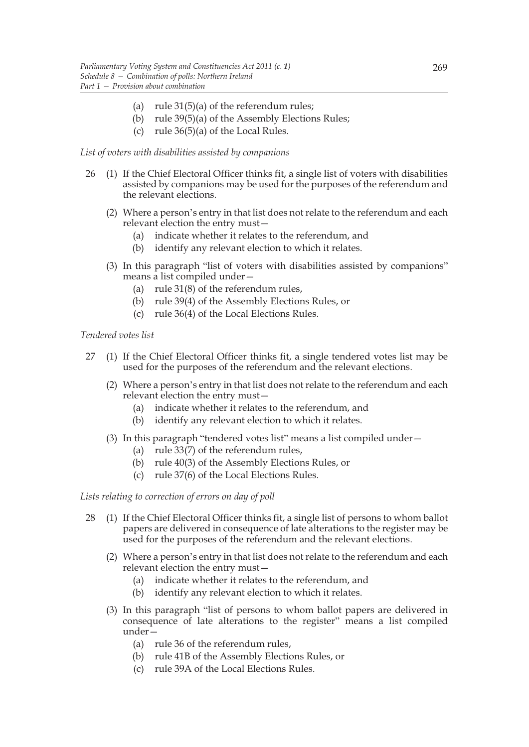- (a) rule  $31(5)(a)$  of the referendum rules;
- (b) rule 39(5)(a) of the Assembly Elections Rules;
- (c) rule  $36(5)(a)$  of the Local Rules.

### *List of voters with disabilities assisted by companions*

- 26 (1) If the Chief Electoral Officer thinks fit, a single list of voters with disabilities assisted by companions may be used for the purposes of the referendum and the relevant elections.
	- (2) Where a person's entry in that list does not relate to the referendum and each relevant election the entry must—
		- (a) indicate whether it relates to the referendum, and
		- (b) identify any relevant election to which it relates.
	- (3) In this paragraph "list of voters with disabilities assisted by companions" means a list compiled under—
		- (a) rule 31(8) of the referendum rules,
		- (b) rule 39(4) of the Assembly Elections Rules, or
		- (c) rule 36(4) of the Local Elections Rules.

# *Tendered votes list*

- 27 (1) If the Chief Electoral Officer thinks fit, a single tendered votes list may be used for the purposes of the referendum and the relevant elections.
	- (2) Where a person's entry in that list does not relate to the referendum and each relevant election the entry must—
		- (a) indicate whether it relates to the referendum, and
		- (b) identify any relevant election to which it relates.
	- (3) In this paragraph "tendered votes list" means a list compiled under—
		- (a) rule 33(7) of the referendum rules,
		- (b) rule 40(3) of the Assembly Elections Rules, or
		- (c) rule 37(6) of the Local Elections Rules.

### *Lists relating to correction of errors on day of poll*

- 28 (1) If the Chief Electoral Officer thinks fit, a single list of persons to whom ballot papers are delivered in consequence of late alterations to the register may be used for the purposes of the referendum and the relevant elections.
	- (2) Where a person's entry in that list does not relate to the referendum and each relevant election the entry must—
		- (a) indicate whether it relates to the referendum, and
		- (b) identify any relevant election to which it relates.
	- (3) In this paragraph "list of persons to whom ballot papers are delivered in consequence of late alterations to the register" means a list compiled under—
		- (a) rule 36 of the referendum rules,
		- (b) rule 41B of the Assembly Elections Rules, or
		- (c) rule 39A of the Local Elections Rules.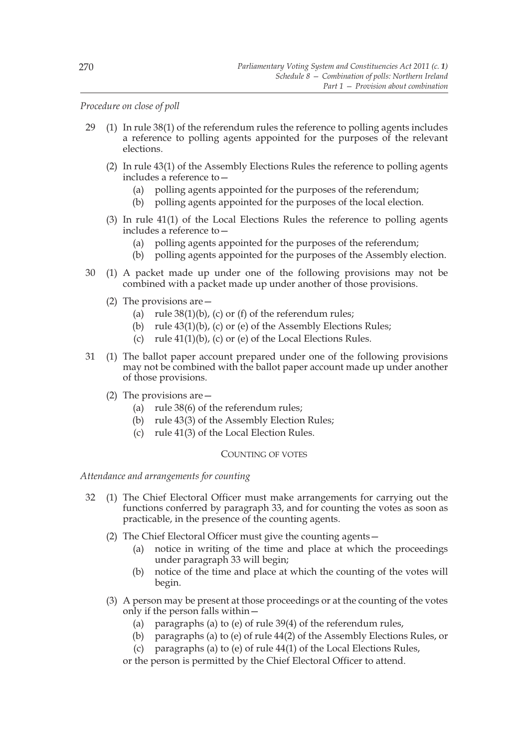*Procedure on close of poll*

- 29 (1) In rule 38(1) of the referendum rules the reference to polling agents includes a reference to polling agents appointed for the purposes of the relevant elections.
	- (2) In rule 43(1) of the Assembly Elections Rules the reference to polling agents includes a reference to—
		- (a) polling agents appointed for the purposes of the referendum;
		- (b) polling agents appointed for the purposes of the local election.
	- (3) In rule 41(1) of the Local Elections Rules the reference to polling agents includes a reference to—
		- (a) polling agents appointed for the purposes of the referendum;
		- (b) polling agents appointed for the purposes of the Assembly election.
- 30 (1) A packet made up under one of the following provisions may not be combined with a packet made up under another of those provisions.
	- (2) The provisions are—
		- (a) rule  $38(1)(b)$ , (c) or (f) of the referendum rules;
		- (b) rule 43(1)(b), (c) or (e) of the Assembly Elections Rules;
		- (c) rule  $41(1)(b)$ , (c) or (e) of the Local Elections Rules.
- 31 (1) The ballot paper account prepared under one of the following provisions may not be combined with the ballot paper account made up under another of those provisions.
	- (2) The provisions are—
		- (a) rule 38(6) of the referendum rules;
		- (b) rule 43(3) of the Assembly Election Rules;
		- (c) rule 41(3) of the Local Election Rules.

### COUNTING OF VOTES

*Attendance and arrangements for counting*

- 32 (1) The Chief Electoral Officer must make arrangements for carrying out the functions conferred by paragraph 33, and for counting the votes as soon as practicable, in the presence of the counting agents.
	- (2) The Chief Electoral Officer must give the counting agents—
		- (a) notice in writing of the time and place at which the proceedings under paragraph 33 will begin;
		- (b) notice of the time and place at which the counting of the votes will begin.
	- (3) A person may be present at those proceedings or at the counting of the votes only if the person falls within—
		- (a) paragraphs (a) to (e) of rule 39(4) of the referendum rules,
		- (b) paragraphs (a) to (e) of rule 44(2) of the Assembly Elections Rules, or
		- (c) paragraphs (a) to (e) of rule 44(1) of the Local Elections Rules,

or the person is permitted by the Chief Electoral Officer to attend.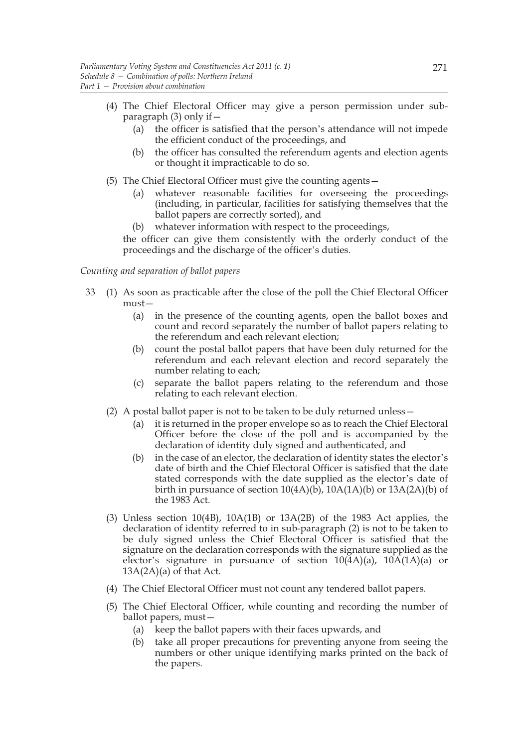- (4) The Chief Electoral Officer may give a person permission under subparagraph  $(3)$  only if  $-$ 
	- (a) the officer is satisfied that the person's attendance will not impede the efficient conduct of the proceedings, and
	- (b) the officer has consulted the referendum agents and election agents or thought it impracticable to do so.
- (5) The Chief Electoral Officer must give the counting agents—
	- (a) whatever reasonable facilities for overseeing the proceedings (including, in particular, facilities for satisfying themselves that the ballot papers are correctly sorted), and
	- (b) whatever information with respect to the proceedings,

the officer can give them consistently with the orderly conduct of the proceedings and the discharge of the officer's duties.

### *Counting and separation of ballot papers*

- 33 (1) As soon as practicable after the close of the poll the Chief Electoral Officer must—
	- (a) in the presence of the counting agents, open the ballot boxes and count and record separately the number of ballot papers relating to the referendum and each relevant election;
	- (b) count the postal ballot papers that have been duly returned for the referendum and each relevant election and record separately the number relating to each;
	- (c) separate the ballot papers relating to the referendum and those relating to each relevant election.
	- (2) A postal ballot paper is not to be taken to be duly returned unless—
		- (a) it is returned in the proper envelope so as to reach the Chief Electoral Officer before the close of the poll and is accompanied by the declaration of identity duly signed and authenticated, and
		- (b) in the case of an elector, the declaration of identity states the elector's date of birth and the Chief Electoral Officer is satisfied that the date stated corresponds with the date supplied as the elector's date of birth in pursuance of section  $10(4A)(b)$ ,  $10A(1A)(b)$  or  $13A(2A)(b)$  of the 1983 Act.
	- (3) Unless section 10(4B), 10A(1B) or 13A(2B) of the 1983 Act applies, the declaration of identity referred to in sub-paragraph (2) is not to be taken to be duly signed unless the Chief Electoral Officer is satisfied that the signature on the declaration corresponds with the signature supplied as the elector's signature in pursuance of section  $10(4A)(a)$ ,  $10A(1A)(a)$  or  $13A(2A)(a)$  of that Act.
	- (4) The Chief Electoral Officer must not count any tendered ballot papers.
	- (5) The Chief Electoral Officer, while counting and recording the number of ballot papers, must—
		- (a) keep the ballot papers with their faces upwards, and
		- (b) take all proper precautions for preventing anyone from seeing the numbers or other unique identifying marks printed on the back of the papers.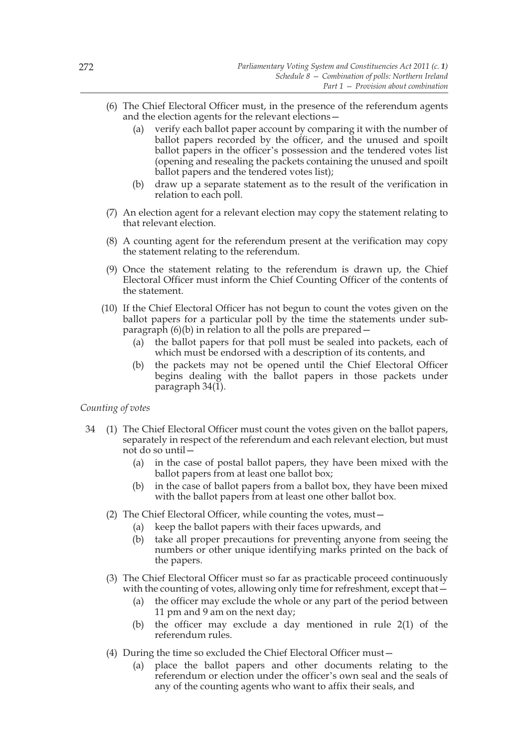- (6) The Chief Electoral Officer must, in the presence of the referendum agents and the election agents for the relevant elections—
	- (a) verify each ballot paper account by comparing it with the number of ballot papers recorded by the officer, and the unused and spoilt ballot papers in the officer's possession and the tendered votes list (opening and resealing the packets containing the unused and spoilt ballot papers and the tendered votes list);
	- (b) draw up a separate statement as to the result of the verification in relation to each poll.
- (7) An election agent for a relevant election may copy the statement relating to that relevant election.
- (8) A counting agent for the referendum present at the verification may copy the statement relating to the referendum.
- (9) Once the statement relating to the referendum is drawn up, the Chief Electoral Officer must inform the Chief Counting Officer of the contents of the statement.
- (10) If the Chief Electoral Officer has not begun to count the votes given on the ballot papers for a particular poll by the time the statements under subparagraph (6)(b) in relation to all the polls are prepared—
	- (a) the ballot papers for that poll must be sealed into packets, each of which must be endorsed with a description of its contents, and
	- (b) the packets may not be opened until the Chief Electoral Officer begins dealing with the ballot papers in those packets under paragraph 34(1).

### *Counting of votes*

- 34 (1) The Chief Electoral Officer must count the votes given on the ballot papers, separately in respect of the referendum and each relevant election, but must not do so until—
	- (a) in the case of postal ballot papers, they have been mixed with the ballot papers from at least one ballot box;
	- (b) in the case of ballot papers from a ballot box, they have been mixed with the ballot papers from at least one other ballot box.
	- (2) The Chief Electoral Officer, while counting the votes, must—
		- (a) keep the ballot papers with their faces upwards, and
		- (b) take all proper precautions for preventing anyone from seeing the numbers or other unique identifying marks printed on the back of the papers.
	- (3) The Chief Electoral Officer must so far as practicable proceed continuously with the counting of votes, allowing only time for refreshment, except that  $-$ 
		- (a) the officer may exclude the whole or any part of the period between 11 pm and 9 am on the next day;
		- (b) the officer may exclude a day mentioned in rule 2(1) of the referendum rules.
	- (4) During the time so excluded the Chief Electoral Officer must—
		- (a) place the ballot papers and other documents relating to the referendum or election under the officer's own seal and the seals of any of the counting agents who want to affix their seals, and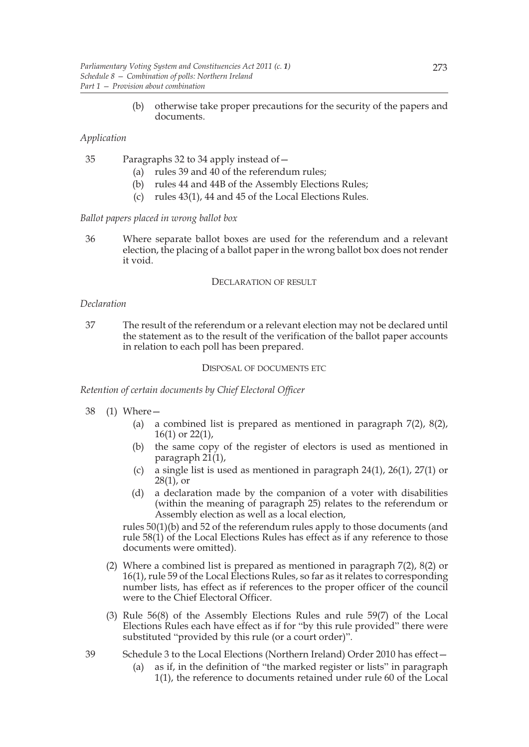(b) otherwise take proper precautions for the security of the papers and documents.

### *Application*

35 Paragraphs 32 to 34 apply instead of—

- (a) rules 39 and 40 of the referendum rules;
- (b) rules 44 and 44B of the Assembly Elections Rules;
- (c) rules 43(1), 44 and 45 of the Local Elections Rules.

*Ballot papers placed in wrong ballot box*

36 Where separate ballot boxes are used for the referendum and a relevant election, the placing of a ballot paper in the wrong ballot box does not render it void.

### DECLARATION OF RESULT

### *Declaration*

37 The result of the referendum or a relevant election may not be declared until the statement as to the result of the verification of the ballot paper accounts in relation to each poll has been prepared.

### DISPOSAL OF DOCUMENTS ETC

*Retention of certain documents by Chief Electoral Officer*

- 38 (1) Where—
	- (a) a combined list is prepared as mentioned in paragraph 7(2), 8(2), 16(1) or 22(1),
	- (b) the same copy of the register of electors is used as mentioned in paragraph 21(1),
	- (c) a single list is used as mentioned in paragraph  $24(1)$ ,  $26(1)$ ,  $27(1)$  or  $28(1)$ , or
	- (d) a declaration made by the companion of a voter with disabilities (within the meaning of paragraph 25) relates to the referendum or Assembly election as well as a local election,

rules 50(1)(b) and 52 of the referendum rules apply to those documents (and rule 58(1) of the Local Elections Rules has effect as if any reference to those documents were omitted).

- (2) Where a combined list is prepared as mentioned in paragraph 7(2), 8(2) or 16(1), rule 59 of the Local Elections Rules, so far as it relates to corresponding number lists, has effect as if references to the proper officer of the council were to the Chief Electoral Officer.
- (3) Rule 56(8) of the Assembly Elections Rules and rule 59(7) of the Local Elections Rules each have effect as if for "by this rule provided" there were substituted "provided by this rule (or a court order)".
- 39 Schedule 3 to the Local Elections (Northern Ireland) Order 2010 has effect—
	- (a) as if, in the definition of "the marked register or lists" in paragraph 1(1), the reference to documents retained under rule 60 of the Local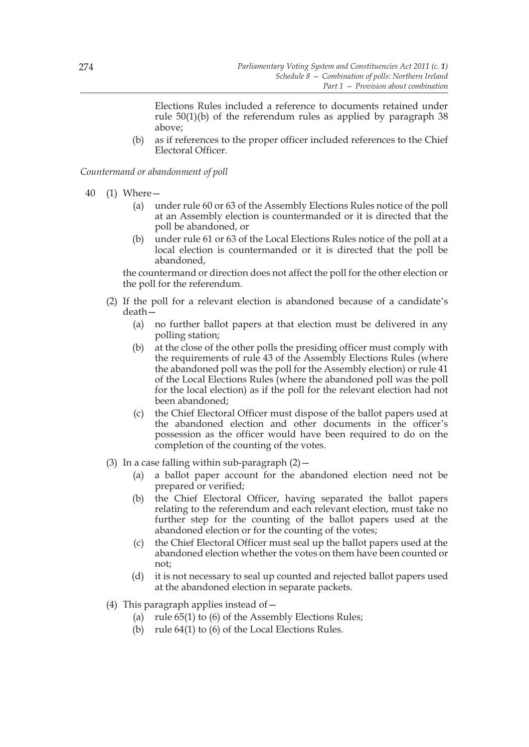Elections Rules included a reference to documents retained under rule 50(1)(b) of the referendum rules as applied by paragraph 38 above;

(b) as if references to the proper officer included references to the Chief Electoral Officer.

*Countermand or abandonment of poll*

- 40 (1) Where—
	- (a) under rule 60 or 63 of the Assembly Elections Rules notice of the poll at an Assembly election is countermanded or it is directed that the poll be abandoned, or
	- (b) under rule 61 or 63 of the Local Elections Rules notice of the poll at a local election is countermanded or it is directed that the poll be abandoned,

the countermand or direction does not affect the poll for the other election or the poll for the referendum.

- (2) If the poll for a relevant election is abandoned because of a candidate's death—
	- (a) no further ballot papers at that election must be delivered in any polling station;
	- (b) at the close of the other polls the presiding officer must comply with the requirements of rule 43 of the Assembly Elections Rules (where the abandoned poll was the poll for the Assembly election) or rule 41 of the Local Elections Rules (where the abandoned poll was the poll for the local election) as if the poll for the relevant election had not been abandoned;
	- (c) the Chief Electoral Officer must dispose of the ballot papers used at the abandoned election and other documents in the officer's possession as the officer would have been required to do on the completion of the counting of the votes.
- (3) In a case falling within sub-paragraph  $(2)$  -
	- (a) a ballot paper account for the abandoned election need not be prepared or verified;
	- (b) the Chief Electoral Officer, having separated the ballot papers relating to the referendum and each relevant election, must take no further step for the counting of the ballot papers used at the abandoned election or for the counting of the votes;
	- (c) the Chief Electoral Officer must seal up the ballot papers used at the abandoned election whether the votes on them have been counted or not;
	- (d) it is not necessary to seal up counted and rejected ballot papers used at the abandoned election in separate packets.
- (4) This paragraph applies instead of—
	- (a) rule 65(1) to (6) of the Assembly Elections Rules;
	- (b) rule 64(1) to (6) of the Local Elections Rules.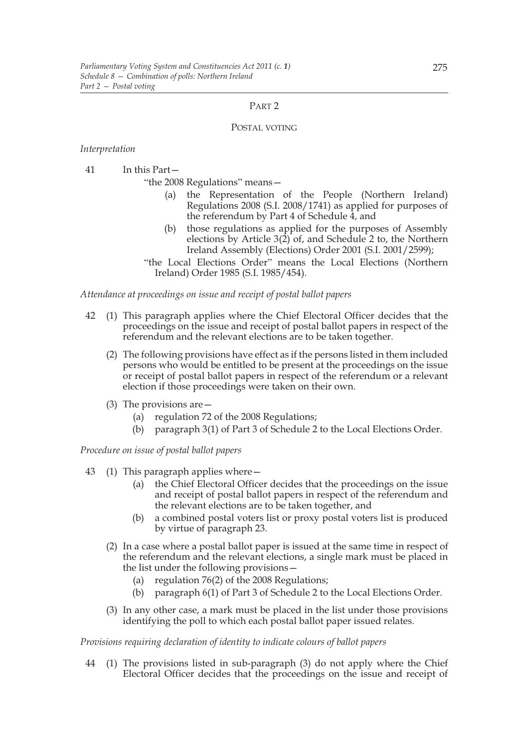### PART 2

### POSTAL VOTING

### *Interpretation*

- 41 In this Part—
	- "the 2008 Regulations" means—
		- (a) the Representation of the People (Northern Ireland) Regulations 2008 (S.I. 2008/1741) as applied for purposes of the referendum by Part 4 of Schedule 4, and
		- (b) those regulations as applied for the purposes of Assembly elections by Article 3(2) of, and Schedule 2 to, the Northern Ireland Assembly (Elections) Order 2001 (S.I. 2001/2599);
	- "the Local Elections Order" means the Local Elections (Northern Ireland) Order 1985 (S.I. 1985/454).

*Attendance at proceedings on issue and receipt of postal ballot papers*

- 42 (1) This paragraph applies where the Chief Electoral Officer decides that the proceedings on the issue and receipt of postal ballot papers in respect of the referendum and the relevant elections are to be taken together.
	- (2) The following provisions have effect as if the persons listed in them included persons who would be entitled to be present at the proceedings on the issue or receipt of postal ballot papers in respect of the referendum or a relevant election if those proceedings were taken on their own.
	- (3) The provisions are—
		- (a) regulation 72 of the 2008 Regulations;
		- (b) paragraph 3(1) of Part 3 of Schedule 2 to the Local Elections Order.

*Procedure on issue of postal ballot papers*

- 43 (1) This paragraph applies where—
	- (a) the Chief Electoral Officer decides that the proceedings on the issue and receipt of postal ballot papers in respect of the referendum and the relevant elections are to be taken together, and
	- (b) a combined postal voters list or proxy postal voters list is produced by virtue of paragraph 23.
	- (2) In a case where a postal ballot paper is issued at the same time in respect of the referendum and the relevant elections, a single mark must be placed in the list under the following provisions—
		- (a) regulation 76(2) of the 2008 Regulations;
		- (b) paragraph 6(1) of Part 3 of Schedule 2 to the Local Elections Order.
	- (3) In any other case, a mark must be placed in the list under those provisions identifying the poll to which each postal ballot paper issued relates.

*Provisions requiring declaration of identity to indicate colours of ballot papers*

44 (1) The provisions listed in sub-paragraph (3) do not apply where the Chief Electoral Officer decides that the proceedings on the issue and receipt of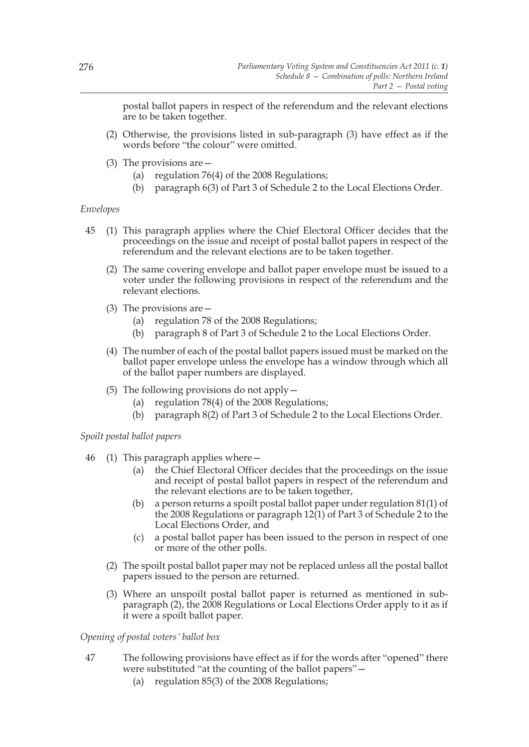postal ballot papers in respect of the referendum and the relevant elections are to be taken together.

- (2) Otherwise, the provisions listed in sub-paragraph (3) have effect as if the words before "the colour" were omitted.
- (3) The provisions are—
	- (a) regulation 76(4) of the 2008 Regulations;
	- (b) paragraph 6(3) of Part 3 of Schedule 2 to the Local Elections Order.

### *Envelopes*

- 45 (1) This paragraph applies where the Chief Electoral Officer decides that the proceedings on the issue and receipt of postal ballot papers in respect of the referendum and the relevant elections are to be taken together.
	- (2) The same covering envelope and ballot paper envelope must be issued to a voter under the following provisions in respect of the referendum and the relevant elections.
	- (3) The provisions are—
		- (a) regulation 78 of the 2008 Regulations;
		- (b) paragraph 8 of Part 3 of Schedule 2 to the Local Elections Order.
	- (4) The number of each of the postal ballot papers issued must be marked on the ballot paper envelope unless the envelope has a window through which all of the ballot paper numbers are displayed.
	- (5) The following provisions do not apply—
		- (a) regulation 78(4) of the 2008 Regulations;
		- (b) paragraph 8(2) of Part 3 of Schedule 2 to the Local Elections Order.

# *Spoilt postal ballot papers*

- 46 (1) This paragraph applies where—
	- (a) the Chief Electoral Officer decides that the proceedings on the issue and receipt of postal ballot papers in respect of the referendum and the relevant elections are to be taken together,
	- (b) a person returns a spoilt postal ballot paper under regulation 81(1) of the 2008 Regulations or paragraph 12(1) of Part 3 of Schedule 2 to the Local Elections Order, and
	- (c) a postal ballot paper has been issued to the person in respect of one or more of the other polls.
	- (2) The spoilt postal ballot paper may not be replaced unless all the postal ballot papers issued to the person are returned.
	- (3) Where an unspoilt postal ballot paper is returned as mentioned in subparagraph (2), the 2008 Regulations or Local Elections Order apply to it as if it were a spoilt ballot paper.

### *Opening of postal voters' ballot box*

- 47 The following provisions have effect as if for the words after "opened" there were substituted "at the counting of the ballot papers"—
	- (a) regulation 85(3) of the 2008 Regulations;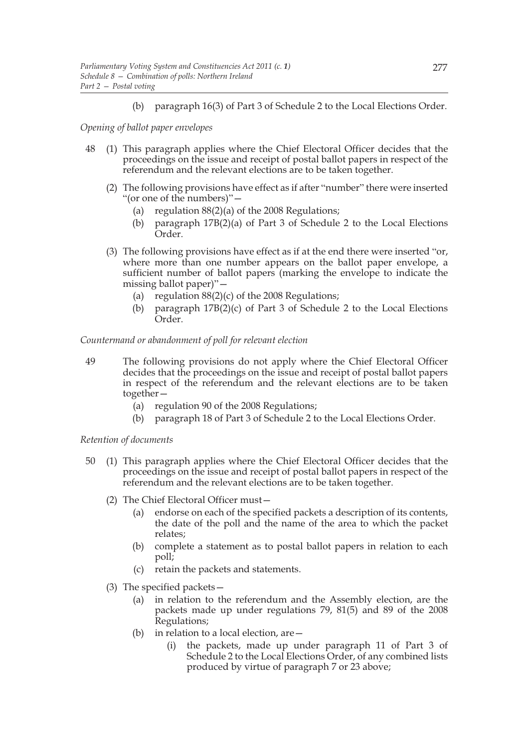(b) paragraph 16(3) of Part 3 of Schedule 2 to the Local Elections Order.

*Opening of ballot paper envelopes*

- 48 (1) This paragraph applies where the Chief Electoral Officer decides that the proceedings on the issue and receipt of postal ballot papers in respect of the referendum and the relevant elections are to be taken together.
	- (2) The following provisions have effect as if after "number" there were inserted "(or one of the numbers)"—
		- (a) regulation 88(2)(a) of the 2008 Regulations;
		- (b) paragraph 17B(2)(a) of Part 3 of Schedule 2 to the Local Elections Order.
	- (3) The following provisions have effect as if at the end there were inserted "or, where more than one number appears on the ballot paper envelope, a sufficient number of ballot papers (marking the envelope to indicate the missing ballot paper)"—
		- (a) regulation 88(2)(c) of the 2008 Regulations;
		- (b) paragraph 17B(2)(c) of Part 3 of Schedule 2 to the Local Elections Order.

*Countermand or abandonment of poll for relevant election*

- 49 The following provisions do not apply where the Chief Electoral Officer decides that the proceedings on the issue and receipt of postal ballot papers in respect of the referendum and the relevant elections are to be taken together—
	- (a) regulation 90 of the 2008 Regulations;
	- (b) paragraph 18 of Part 3 of Schedule 2 to the Local Elections Order.

*Retention of documents*

- 50 (1) This paragraph applies where the Chief Electoral Officer decides that the proceedings on the issue and receipt of postal ballot papers in respect of the referendum and the relevant elections are to be taken together.
	- (2) The Chief Electoral Officer must—
		- (a) endorse on each of the specified packets a description of its contents, the date of the poll and the name of the area to which the packet relates;
		- (b) complete a statement as to postal ballot papers in relation to each poll;
		- (c) retain the packets and statements.
	- (3) The specified packets—
		- (a) in relation to the referendum and the Assembly election, are the packets made up under regulations 79, 81(5) and 89 of the 2008 Regulations;
		- (b) in relation to a local election, are—
			- (i) the packets, made up under paragraph 11 of Part 3 of Schedule 2 to the Local Elections Order, of any combined lists produced by virtue of paragraph 7 or 23 above;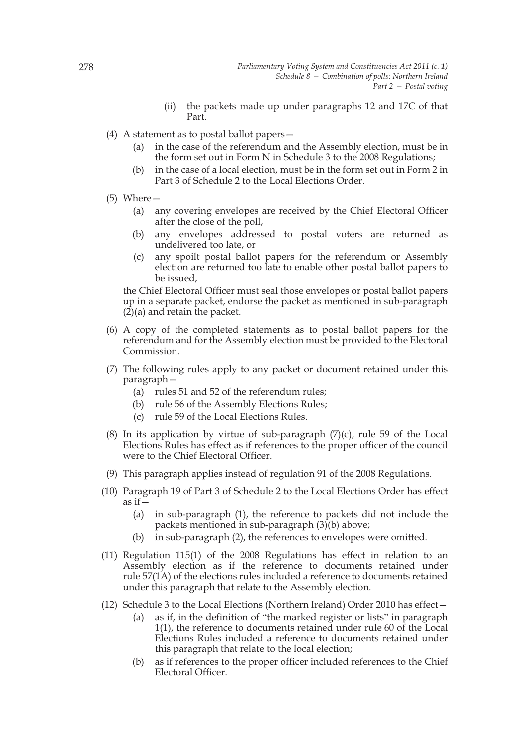- (ii) the packets made up under paragraphs 12 and 17C of that Part.
- (4) A statement as to postal ballot papers—
	- (a) in the case of the referendum and the Assembly election, must be in the form set out in Form N in Schedule 3 to the 2008 Regulations;
	- (b) in the case of a local election, must be in the form set out in Form 2 in Part 3 of Schedule 2 to the Local Elections Order.
- (5) Where—
	- (a) any covering envelopes are received by the Chief Electoral Officer after the close of the poll,
	- (b) any envelopes addressed to postal voters are returned as undelivered too late, or
	- (c) any spoilt postal ballot papers for the referendum or Assembly election are returned too late to enable other postal ballot papers to be issued,

the Chief Electoral Officer must seal those envelopes or postal ballot papers up in a separate packet, endorse the packet as mentioned in sub-paragraph  $(2)$ (a) and retain the packet.

- (6) A copy of the completed statements as to postal ballot papers for the referendum and for the Assembly election must be provided to the Electoral Commission.
- (7) The following rules apply to any packet or document retained under this paragraph—
	- (a) rules 51 and 52 of the referendum rules;
	- (b) rule 56 of the Assembly Elections Rules;
	- (c) rule 59 of the Local Elections Rules.
- (8) In its application by virtue of sub-paragraph  $(7)(c)$ , rule 59 of the Local Elections Rules has effect as if references to the proper officer of the council were to the Chief Electoral Officer.
- (9) This paragraph applies instead of regulation 91 of the 2008 Regulations.
- (10) Paragraph 19 of Part 3 of Schedule 2 to the Local Elections Order has effect as if  $\frac{6}{x}$ 
	- (a) in sub-paragraph (1), the reference to packets did not include the packets mentioned in sub-paragraph  $(3)(b)$  above;
	- (b) in sub-paragraph (2), the references to envelopes were omitted.
- (11) Regulation 115(1) of the 2008 Regulations has effect in relation to an Assembly election as if the reference to documents retained under rule 57(1A) of the elections rules included a reference to documents retained under this paragraph that relate to the Assembly election.
- (12) Schedule 3 to the Local Elections (Northern Ireland) Order 2010 has effect—
	- (a) as if, in the definition of "the marked register or lists" in paragraph 1(1), the reference to documents retained under rule 60 of the Local Elections Rules included a reference to documents retained under this paragraph that relate to the local election;
	- (b) as if references to the proper officer included references to the Chief Electoral Officer.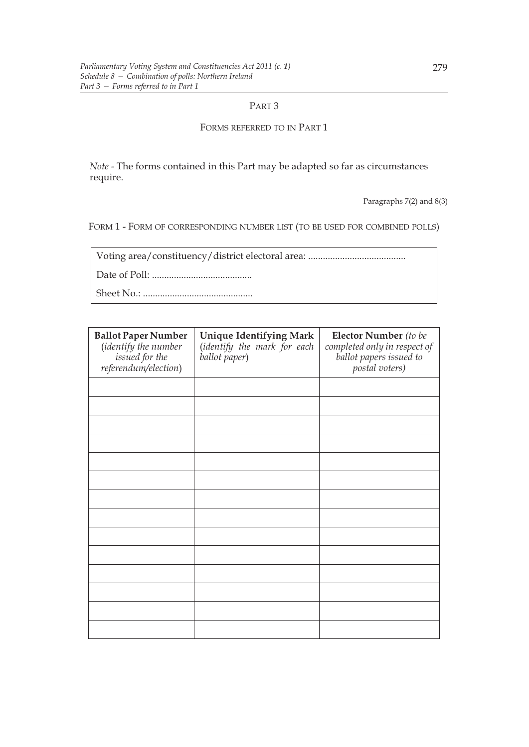### PART 3

### FORMS REFERRED TO IN PART 1

*Note* - The forms contained in this Part may be adapted so far as circumstances require.

Paragraphs 7(2) and 8(3)

FORM 1 - FORM OF CORRESPONDING NUMBER LIST (TO BE USED FOR COMBINED POLLS)

Voting area/constituency/district electoral area: ........................................ Date of Poll: .........................................

Sheet No.: .............................................

| <b>Ballot Paper Number</b><br>(identify the number<br>issued for the<br>referendum/election) | <b>Unique Identifying Mark</b><br>(identify the mark for each<br>ballot paper) | <b>Elector Number</b> (to be<br>completed only in respect of<br>ballot papers issued to<br><i>postal</i> voters) |
|----------------------------------------------------------------------------------------------|--------------------------------------------------------------------------------|------------------------------------------------------------------------------------------------------------------|
|                                                                                              |                                                                                |                                                                                                                  |
|                                                                                              |                                                                                |                                                                                                                  |
|                                                                                              |                                                                                |                                                                                                                  |
|                                                                                              |                                                                                |                                                                                                                  |
|                                                                                              |                                                                                |                                                                                                                  |
|                                                                                              |                                                                                |                                                                                                                  |
|                                                                                              |                                                                                |                                                                                                                  |
|                                                                                              |                                                                                |                                                                                                                  |
|                                                                                              |                                                                                |                                                                                                                  |
|                                                                                              |                                                                                |                                                                                                                  |
|                                                                                              |                                                                                |                                                                                                                  |
|                                                                                              |                                                                                |                                                                                                                  |
|                                                                                              |                                                                                |                                                                                                                  |
|                                                                                              |                                                                                |                                                                                                                  |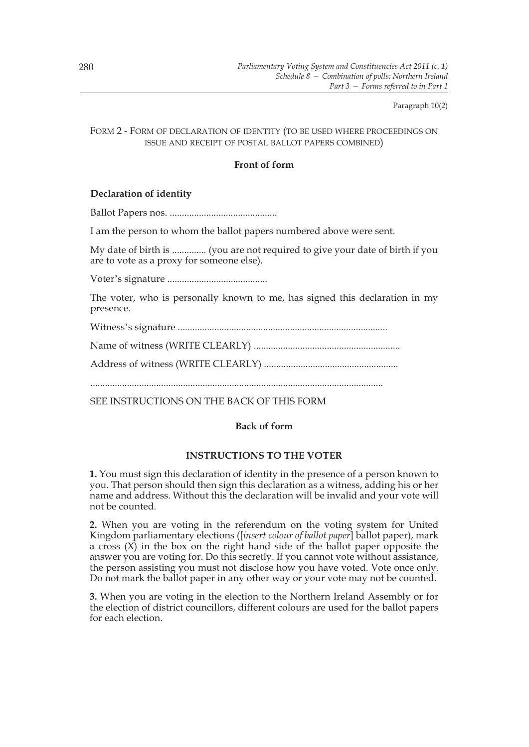#### Paragraph 10(2)

# FORM 2 - FORM OF DECLARATION OF IDENTITY (TO BE USED WHERE PROCEEDINGS ON ISSUE AND RECEIPT OF POSTAL BALLOT PAPERS COMBINED)

# **Front of form**

# **Declaration of identity**

Ballot Papers nos. ............................................

I am the person to whom the ballot papers numbered above were sent.

My date of birth is .............. (you are not required to give your date of birth if you are to vote as a proxy for someone else).

Voter's signature .........................................

The voter, who is personally known to me, has signed this declaration in my presence.

Witness's signature ......................................................................................

Name of witness (WRITE CLEARLY) ............................................................

Address of witness (WRITE CLEARLY) .......................................................

........................................................................................................................

SEE INSTRUCTIONS ON THE BACK OF THIS FORM

# **Back of form**

### **INSTRUCTIONS TO THE VOTER**

**1.** You must sign this declaration of identity in the presence of a person known to you. That person should then sign this declaration as a witness, adding his or her name and address. Without this the declaration will be invalid and your vote will not be counted.

**2.** When you are voting in the referendum on the voting system for United Kingdom parliamentary elections ([*insert colour of ballot paper*] ballot paper), mark a cross  $(X)$  in the box on the right hand side of the ballot paper opposite the answer you are voting for. Do this secretly. If you cannot vote without assistance, the person assisting you must not disclose how you have voted. Vote once only. Do not mark the ballot paper in any other way or your vote may not be counted.

**3.** When you are voting in the election to the Northern Ireland Assembly or for the election of district councillors, different colours are used for the ballot papers for each election.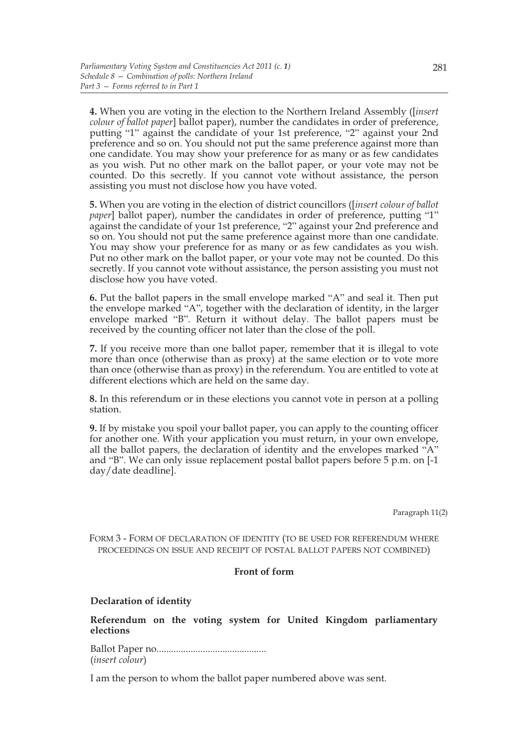**4.** When you are voting in the election to the Northern Ireland Assembly ([*insert colour of ballot paper*] ballot paper), number the candidates in order of preference, putting "1" against the candidate of your 1st preference, "2" against your 2nd preference and so on. You should not put the same preference against more than one candidate. You may show your preference for as many or as few candidates as you wish. Put no other mark on the ballot paper, or your vote may not be counted. Do this secretly. If you cannot vote without assistance, the person assisting you must not disclose how you have voted.

**5.** When you are voting in the election of district councillors ([*insert colour of ballot paper*] ballot paper), number the candidates in order of preference, putting "1" against the candidate of your 1st preference, "2" against your 2nd preference and so on. You should not put the same preference against more than one candidate. You may show your preference for as many or as few candidates as you wish. Put no other mark on the ballot paper, or your vote may not be counted. Do this secretly. If you cannot vote without assistance, the person assisting you must not disclose how you have voted.

**6.** Put the ballot papers in the small envelope marked "A" and seal it. Then put the envelope marked "A", together with the declaration of identity, in the larger envelope marked "B". Return it without delay. The ballot papers must be received by the counting officer not later than the close of the poll.

**7.** If you receive more than one ballot paper, remember that it is illegal to vote more than once (otherwise than as proxy) at the same election or to vote more than once (otherwise than as proxy) in the referendum. You are entitled to vote at different elections which are held on the same day.

**8.** In this referendum or in these elections you cannot vote in person at a polling station.

**9.** If by mistake you spoil your ballot paper, you can apply to the counting officer for another one. With your application you must return, in your own envelope, all the ballot papers, the declaration of identity and the envelopes marked "A" and "B". We can only issue replacement postal ballot papers before 5 p.m. on [-1 day/date deadline].

Paragraph 11(2)

FORM 3 - FORM OF DECLARATION OF IDENTITY (TO BE USED FOR REFERENDUM WHERE PROCEEDINGS ON ISSUE AND RECEIPT OF POSTAL BALLOT PAPERS NOT COMBINED)

#### **Front of form**

### **Declaration of identity**

**Referendum on the voting system for United Kingdom parliamentary elections**

Ballot Paper no............................................. (*insert colour*)

I am the person to whom the ballot paper numbered above was sent.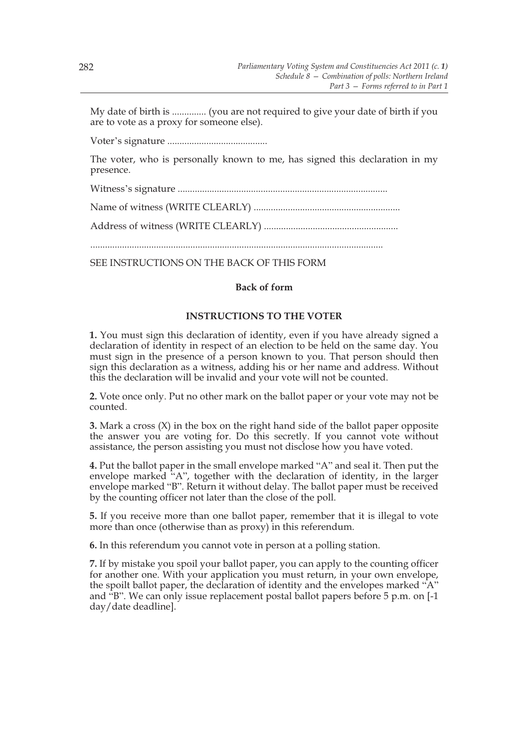My date of birth is .............. (you are not required to give your date of birth if you are to vote as a proxy for someone else).

Voter's signature .........................................

The voter, who is personally known to me, has signed this declaration in my presence.

Witness's signature ......................................................................................

Name of witness (WRITE CLEARLY) ............................................................

Address of witness (WRITE CLEARLY) .......................................................

........................................................................................................................

SEE INSTRUCTIONS ON THE BACK OF THIS FORM

# **Back of form**

### **INSTRUCTIONS TO THE VOTER**

**1.** You must sign this declaration of identity, even if you have already signed a declaration of identity in respect of an election to be held on the same day. You must sign in the presence of a person known to you. That person should then sign this declaration as a witness, adding his or her name and address. Without this the declaration will be invalid and your vote will not be counted.

**2.** Vote once only. Put no other mark on the ballot paper or your vote may not be counted.

**3.** Mark a cross (X) in the box on the right hand side of the ballot paper opposite the answer you are voting for. Do this secretly. If you cannot vote without assistance, the person assisting you must not disclose how you have voted.

**4.** Put the ballot paper in the small envelope marked "A" and seal it. Then put the envelope marked "A", together with the declaration of identity, in the larger envelope marked "B". Return it without delay. The ballot paper must be received by the counting officer not later than the close of the poll.

**5.** If you receive more than one ballot paper, remember that it is illegal to vote more than once (otherwise than as proxy) in this referendum.

**6.** In this referendum you cannot vote in person at a polling station.

**7.** If by mistake you spoil your ballot paper, you can apply to the counting officer for another one. With your application you must return, in your own envelope, the spoilt ballot paper, the declaration of identity and the envelopes marked "A" and "B". We can only issue replacement postal ballot papers before 5 p.m. on [-1 day/date deadline].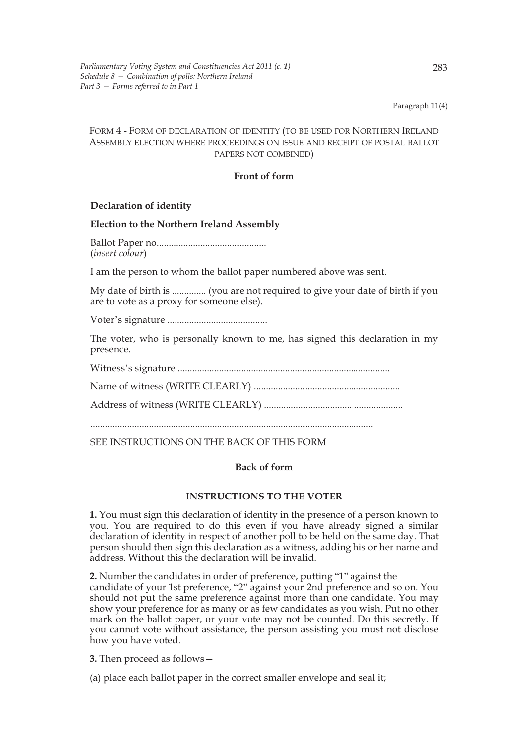### Paragraph 11(4)

# FORM 4 - FORM OF DECLARATION OF IDENTITY (TO BE USED FOR NORTHERN IRELAND ASSEMBLY ELECTION WHERE PROCEEDINGS ON ISSUE AND RECEIPT OF POSTAL BALLOT PAPERS NOT COMBINED)

# **Front of form**

# **Declaration of identity**

# **Election to the Northern Ireland Assembly**

Ballot Paper no............................................. (*insert colour*)

I am the person to whom the ballot paper numbered above was sent.

My date of birth is .............. (you are not required to give your date of birth if you are to vote as a proxy for someone else).

Voter's signature .........................................

The voter, who is personally known to me, has signed this declaration in my presence.

Witness's signature .......................................................................................

Name of witness (WRITE CLEARLY) ............................................................

Address of witness (WRITE CLEARLY) .........................................................

....................................................................................................................

SEE INSTRUCTIONS ON THE BACK OF THIS FORM

# **Back of form**

### **INSTRUCTIONS TO THE VOTER**

**1.** You must sign this declaration of identity in the presence of a person known to you. You are required to do this even if you have already signed a similar declaration of identity in respect of another poll to be held on the same day. That person should then sign this declaration as a witness, adding his or her name and address. Without this the declaration will be invalid.

**2.** Number the candidates in order of preference, putting "1" against the candidate of your 1st preference, "2" against your 2nd preference and so on. You should not put the same preference against more than one candidate. You may show your preference for as many or as few candidates as you wish. Put no other mark on the ballot paper, or your vote may not be counted. Do this secretly. If you cannot vote without assistance, the person assisting you must not disclose how you have voted.

**3.** Then proceed as follows—

(a) place each ballot paper in the correct smaller envelope and seal it;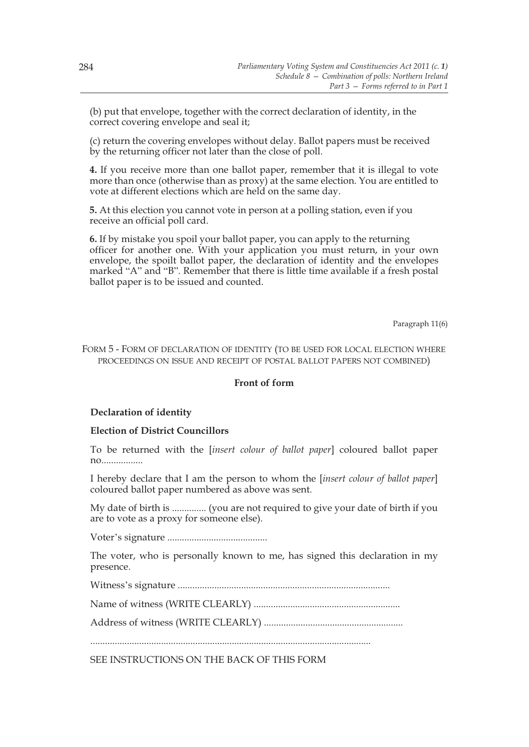(b) put that envelope, together with the correct declaration of identity, in the correct covering envelope and seal it:

(c) return the covering envelopes without delay. Ballot papers must be received by the returning officer not later than the close of poll.

**4.** If you receive more than one ballot paper, remember that it is illegal to vote more than once (otherwise than as proxy) at the same election. You are entitled to vote at different elections which are held on the same day.

**5.** At this election you cannot vote in person at a polling station, even if you receive an official poll card.

**6.** If by mistake you spoil your ballot paper, you can apply to the returning officer for another one. With your application you must return, in your own envelope, the spoilt ballot paper, the declaration of identity and the envelopes marked "A" and "B". Remember that there is little time available if a fresh postal ballot paper is to be issued and counted.

Paragraph 11(6)

FORM 5 - FORM OF DECLARATION OF IDENTITY (TO BE USED FOR LOCAL ELECTION WHERE PROCEEDINGS ON ISSUE AND RECEIPT OF POSTAL BALLOT PAPERS NOT COMBINED)

### **Front of form**

### **Declaration of identity**

### **Election of District Councillors**

To be returned with the [*insert colour of ballot paper*] coloured ballot paper no.................

I hereby declare that I am the person to whom the [*insert colour of ballot paper*] coloured ballot paper numbered as above was sent.

My date of birth is .............. (you are not required to give your date of birth if you are to vote as a proxy for someone else).

Voter's signature .........................................

The voter, who is personally known to me, has signed this declaration in my presence.

Witness's signature .......................................................................................

Name of witness (WRITE CLEARLY) ............................................................

Address of witness (WRITE CLEARLY) .........................................................

...................................................................................................................

SEE INSTRUCTIONS ON THE BACK OF THIS FORM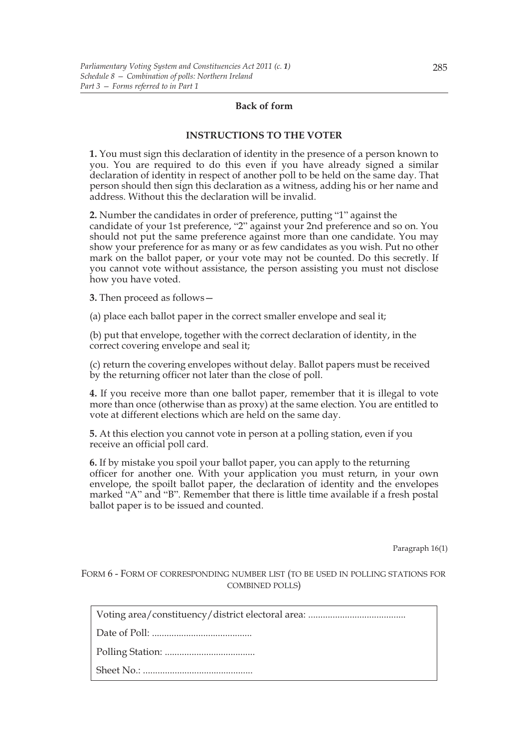### **Back of form**

### **INSTRUCTIONS TO THE VOTER**

**1.** You must sign this declaration of identity in the presence of a person known to you. You are required to do this even if you have already signed a similar declaration of identity in respect of another poll to be held on the same day. That person should then sign this declaration as a witness, adding his or her name and address. Without this the declaration will be invalid.

**2.** Number the candidates in order of preference, putting "1" against the candidate of your 1st preference, "2" against your 2nd preference and so on. You should not put the same preference against more than one candidate. You may show your preference for as many or as few candidates as you wish. Put no other mark on the ballot paper, or your vote may not be counted. Do this secretly. If you cannot vote without assistance, the person assisting you must not disclose how you have voted.

**3.** Then proceed as follows—

(a) place each ballot paper in the correct smaller envelope and seal it;

(b) put that envelope, together with the correct declaration of identity, in the correct covering envelope and seal it;

(c) return the covering envelopes without delay. Ballot papers must be received by the returning officer not later than the close of poll.

**4.** If you receive more than one ballot paper, remember that it is illegal to vote more than once (otherwise than as proxy) at the same election. You are entitled to vote at different elections which are held on the same day.

**5.** At this election you cannot vote in person at a polling station, even if you receive an official poll card.

**6.** If by mistake you spoil your ballot paper, you can apply to the returning officer for another one. With your application you must return, in your own envelope, the spoilt ballot paper, the declaration of identity and the envelopes marked "A" and "B". Remember that there is little time available if a fresh postal ballot paper is to be issued and counted.

Paragraph 16(1)

FORM 6 - FORM OF CORRESPONDING NUMBER LIST (TO BE USED IN POLLING STATIONS FOR COMBINED POLLS)

Voting area/constituency/district electoral area: ........................................ Date of Poll: ......................................... Polling Station: ..................................... Sheet No.: .............................................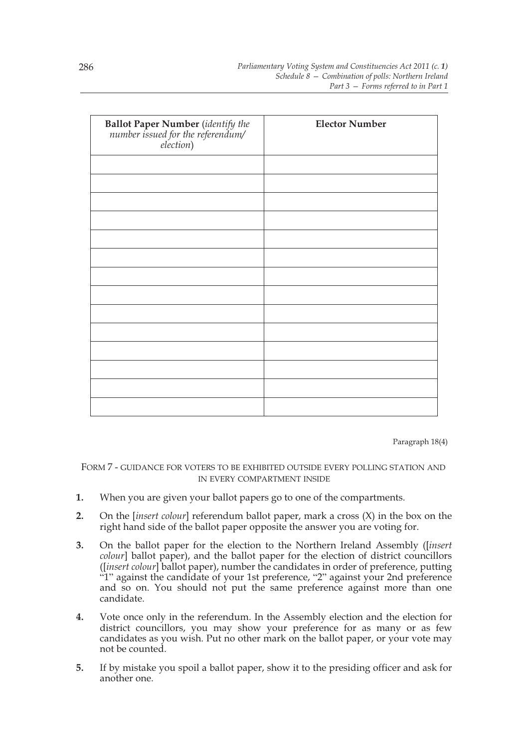| <b>Ballot Paper Number</b> (identify the number issued for the referendum/<br>election) | <b>Elector Number</b> |
|-----------------------------------------------------------------------------------------|-----------------------|
|                                                                                         |                       |
|                                                                                         |                       |
|                                                                                         |                       |
|                                                                                         |                       |
|                                                                                         |                       |
|                                                                                         |                       |
|                                                                                         |                       |
|                                                                                         |                       |
|                                                                                         |                       |
|                                                                                         |                       |

Paragraph 18(4)

FORM 7 - GUIDANCE FOR VOTERS TO BE EXHIBITED OUTSIDE EVERY POLLING STATION AND IN EVERY COMPARTMENT INSIDE

- **1.** When you are given your ballot papers go to one of the compartments.
- **2.** On the [*insert colour*] referendum ballot paper, mark a cross (X) in the box on the right hand side of the ballot paper opposite the answer you are voting for.
- **3.** On the ballot paper for the election to the Northern Ireland Assembly ([*insert colour*] ballot paper), and the ballot paper for the election of district councillors ([*insert colour*] ballot paper), number the candidates in order of preference, putting "1" against the candidate of your 1st preference, "2" against your 2nd preference and so on. You should not put the same preference against more than one candidate.
- **4.** Vote once only in the referendum. In the Assembly election and the election for district councillors, you may show your preference for as many or as few candidates as you wish. Put no other mark on the ballot paper, or your vote may not be counted.
- **5.** If by mistake you spoil a ballot paper, show it to the presiding officer and ask for another one.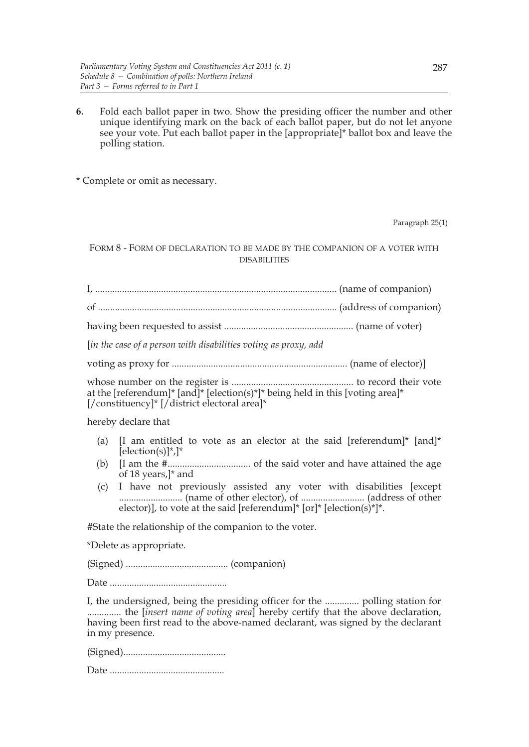**6.** Fold each ballot paper in two. Show the presiding officer the number and other unique identifying mark on the back of each ballot paper, but do not let anyone see your vote. Put each ballot paper in the [appropriate]\* ballot box and leave the polling station.

\* Complete or omit as necessary.

Paragraph 25(1)

## FORM 8 - FORM OF DECLARATION TO BE MADE BY THE COMPANION OF A VOTER WITH DISABILITIES

| [in the case of a person with disabilities voting as proxy, add                              |  |
|----------------------------------------------------------------------------------------------|--|
|                                                                                              |  |
| at the fundament would family funding (a) with the sense in 1.1.1.1 in this funding consider |  |

at the [referendum]\* [and]\* [election(s)\*]\* being held in this [voting area]\* [/constituency]\* [/district electoral area]\*

hereby declare that

- (a)  $[I \text{ am entitled to vote as an electron at the said } [referendum]^{*} \text{ [and]}^{*}$  $[electron(s)]^*$ ,]\*
- (b) [I am the #.................................. of the said voter and have attained the age of 18 years,]\* and
- (c) I have not previously assisted any voter with disabilities [except .......................... (name of other elector), of .......................... (address of other elector)], to vote at the said [referendum]\* [or]\* [election(s)\*]\*.

#State the relationship of the companion to the voter.

\*Delete as appropriate.

(Signed) .......................................... (companion)

Date ................................................

I, the undersigned, being the presiding officer for the .............. polling station for .............. the [*insert name of voting area*] hereby certify that the above declaration, having been first read to the above-named declarant, was signed by the declarant in my presence.

(Signed).......................................... Date ...............................................

287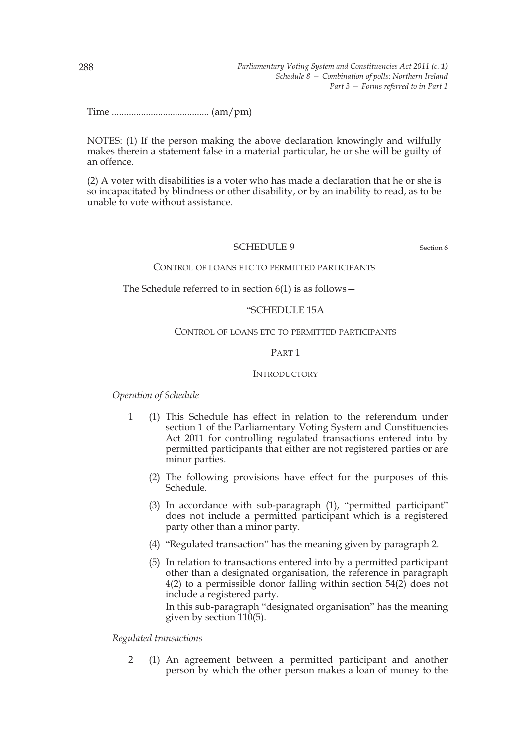Time ........................................ (am/pm)

NOTES: (1) If the person making the above declaration knowingly and wilfully makes therein a statement false in a material particular, he or she will be guilty of an offence.

(2) A voter with disabilities is a voter who has made a declaration that he or she is so incapacitated by blindness or other disability, or by an inability to read, as to be unable to vote without assistance.

## SCHEDULE 9 Section 6

# CONTROL OF LOANS ETC TO PERMITTED PARTICIPANTS

The Schedule referred to in section 6(1) is as follows—

### "SCHEDULE 15A

#### CONTROL OF LOANS ETC TO PERMITTED PARTICIPANTS

#### PART 1

#### **INTRODUCTORY**

### *Operation of Schedule*

- 1 (1) This Schedule has effect in relation to the referendum under section 1 of the Parliamentary Voting System and Constituencies Act 2011 for controlling regulated transactions entered into by permitted participants that either are not registered parties or are minor parties.
	- (2) The following provisions have effect for the purposes of this Schedule.
	- (3) In accordance with sub-paragraph (1), "permitted participant" does not include a permitted participant which is a registered party other than a minor party.
	- (4) "Regulated transaction" has the meaning given by paragraph 2.
	- (5) In relation to transactions entered into by a permitted participant other than a designated organisation, the reference in paragraph  $4(2)$  to a permissible donor falling within section  $54(2)$  does not include a registered party.

In this sub-paragraph "designated organisation" has the meaning given by section  $110(5)$ .

### *Regulated transactions*

2 (1) An agreement between a permitted participant and another person by which the other person makes a loan of money to the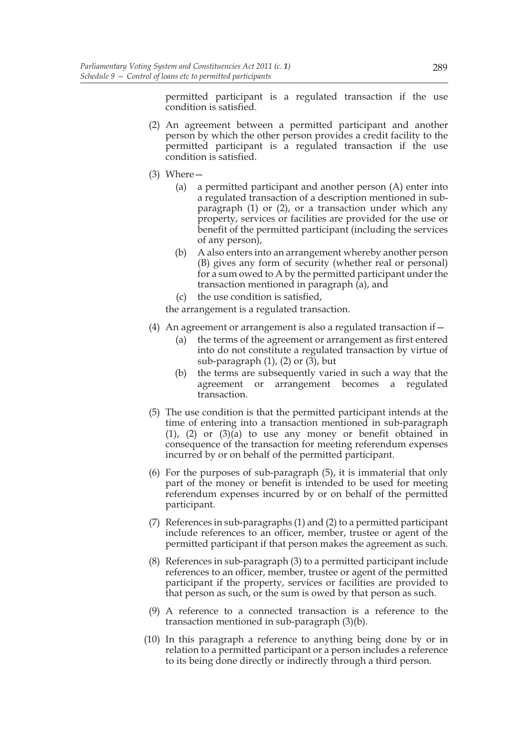permitted participant is a regulated transaction if the use condition is satisfied.

- (2) An agreement between a permitted participant and another person by which the other person provides a credit facility to the permitted participant is a regulated transaction if the use condition is satisfied.
- (3) Where—
	- (a) a permitted participant and another person (A) enter into a regulated transaction of a description mentioned in subparagraph (1) or (2), or a transaction under which any property, services or facilities are provided for the use or benefit of the permitted participant (including the services of any person),
	- (b) A also enters into an arrangement whereby another person (B) gives any form of security (whether real or personal) for a sum owed to A by the permitted participant under the transaction mentioned in paragraph (a), and
	- (c) the use condition is satisfied,

the arrangement is a regulated transaction.

- (4) An agreement or arrangement is also a regulated transaction if  $-$ 
	- (a) the terms of the agreement or arrangement as first entered into do not constitute a regulated transaction by virtue of sub-paragraph  $(1)$ ,  $(2)$  or  $(3)$ , but
	- (b) the terms are subsequently varied in such a way that the agreement or arrangement becomes a regulated transaction.
- (5) The use condition is that the permitted participant intends at the time of entering into a transaction mentioned in sub-paragraph  $(1)$ ,  $(2)$  or  $(3)(a)$  to use any money or benefit obtained in consequence of the transaction for meeting referendum expenses incurred by or on behalf of the permitted participant.
- (6) For the purposes of sub-paragraph (5), it is immaterial that only part of the money or benefit is intended to be used for meeting referendum expenses incurred by or on behalf of the permitted participant.
- (7) References in sub-paragraphs (1) and (2) to a permitted participant include references to an officer, member, trustee or agent of the permitted participant if that person makes the agreement as such.
- (8) References in sub-paragraph (3) to a permitted participant include references to an officer, member, trustee or agent of the permitted participant if the property, services or facilities are provided to that person as such, or the sum is owed by that person as such.
- (9) A reference to a connected transaction is a reference to the transaction mentioned in sub-paragraph (3)(b).
- (10) In this paragraph a reference to anything being done by or in relation to a permitted participant or a person includes a reference to its being done directly or indirectly through a third person.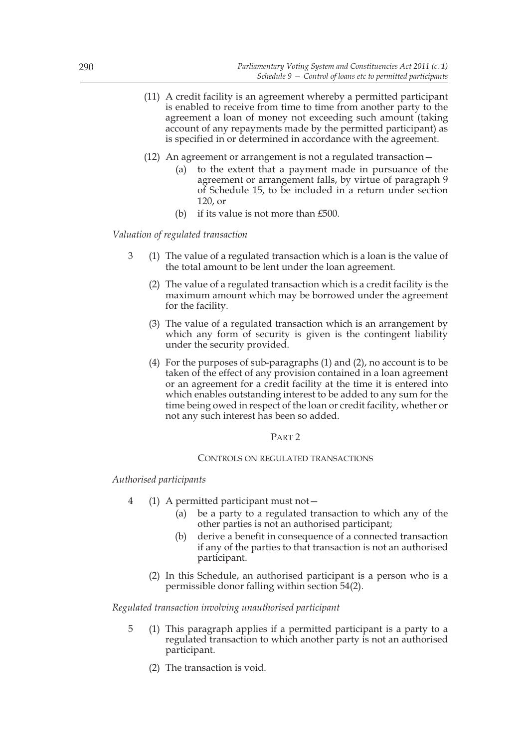- (11) A credit facility is an agreement whereby a permitted participant is enabled to receive from time to time from another party to the agreement a loan of money not exceeding such amount (taking account of any repayments made by the permitted participant) as is specified in or determined in accordance with the agreement.
- (12) An agreement or arrangement is not a regulated transaction—
	- (a) to the extent that a payment made in pursuance of the agreement or arrangement falls, by virtue of paragraph 9 of Schedule 15, to be included in a return under section 120, or
	- (b) if its value is not more than £500.

# *Valuation of regulated transaction*

- 3 (1) The value of a regulated transaction which is a loan is the value of the total amount to be lent under the loan agreement.
	- (2) The value of a regulated transaction which is a credit facility is the maximum amount which may be borrowed under the agreement for the facility.
	- (3) The value of a regulated transaction which is an arrangement by which any form of security is given is the contingent liability under the security provided.
	- (4) For the purposes of sub-paragraphs (1) and (2), no account is to be taken of the effect of any provision contained in a loan agreement or an agreement for a credit facility at the time it is entered into which enables outstanding interest to be added to any sum for the time being owed in respect of the loan or credit facility, whether or not any such interest has been so added.

## PART 2

## CONTROLS ON REGULATED TRANSACTIONS

## *Authorised participants*

- 4 (1) A permitted participant must not—
	- (a) be a party to a regulated transaction to which any of the other parties is not an authorised participant;
	- (b) derive a benefit in consequence of a connected transaction if any of the parties to that transaction is not an authorised participant.
	- (2) In this Schedule, an authorised participant is a person who is a permissible donor falling within section 54(2).

## *Regulated transaction involving unauthorised participant*

- 5 (1) This paragraph applies if a permitted participant is a party to a regulated transaction to which another party is not an authorised participant.
	- (2) The transaction is void.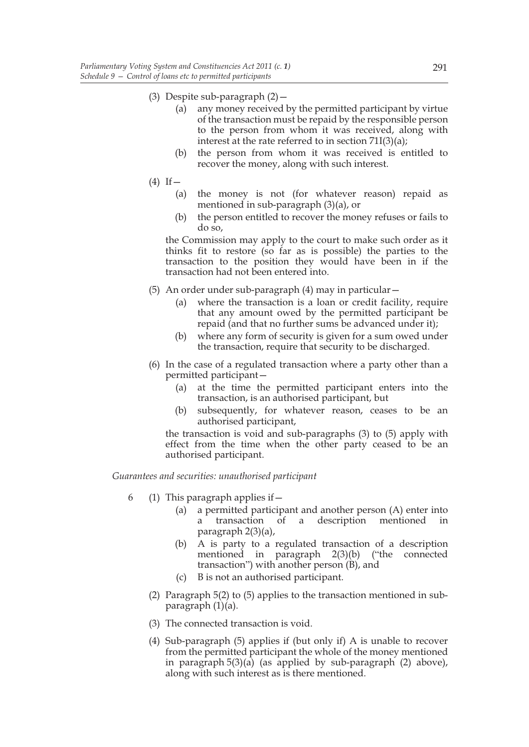- (3) Despite sub-paragraph (2)—
	- (a) any money received by the permitted participant by virtue of the transaction must be repaid by the responsible person to the person from whom it was received, along with interest at the rate referred to in section  $71I(3)(a)$ ;
	- (b) the person from whom it was received is entitled to recover the money, along with such interest.
- $(4)$  If  $-$ 
	- (a) the money is not (for whatever reason) repaid as mentioned in sub-paragraph (3)(a), or
	- (b) the person entitled to recover the money refuses or fails to do so,

the Commission may apply to the court to make such order as it thinks fit to restore (so far as is possible) the parties to the transaction to the position they would have been in if the transaction had not been entered into.

- (5) An order under sub-paragraph (4) may in particular—
	- (a) where the transaction is a loan or credit facility, require that any amount owed by the permitted participant be repaid (and that no further sums be advanced under it);
	- (b) where any form of security is given for a sum owed under the transaction, require that security to be discharged.
- (6) In the case of a regulated transaction where a party other than a permitted participant—
	- (a) at the time the permitted participant enters into the transaction, is an authorised participant, but
	- (b) subsequently, for whatever reason, ceases to be an authorised participant,

the transaction is void and sub-paragraphs (3) to (5) apply with effect from the time when the other party ceased to be an authorised participant.

*Guarantees and securities: unauthorised participant*

- 6 (1) This paragraph applies if—
	- (a) a permitted participant and another person (A) enter into<br>a transaction of a description mentioned in a transaction of a description mentioned in paragraph 2(3)(a),
	- (b) A is party to a regulated transaction of a description mentioned in paragraph 2(3)(b) ("the connected transaction") with another person (B), and
	- (c) B is not an authorised participant.
	- (2) Paragraph 5(2) to (5) applies to the transaction mentioned in subparagraph  $(1)(a)$ .
	- (3) The connected transaction is void.
	- (4) Sub-paragraph (5) applies if (but only if) A is unable to recover from the permitted participant the whole of the money mentioned in paragraph 5(3)(a) (as applied by sub-paragraph (2) above), along with such interest as is there mentioned.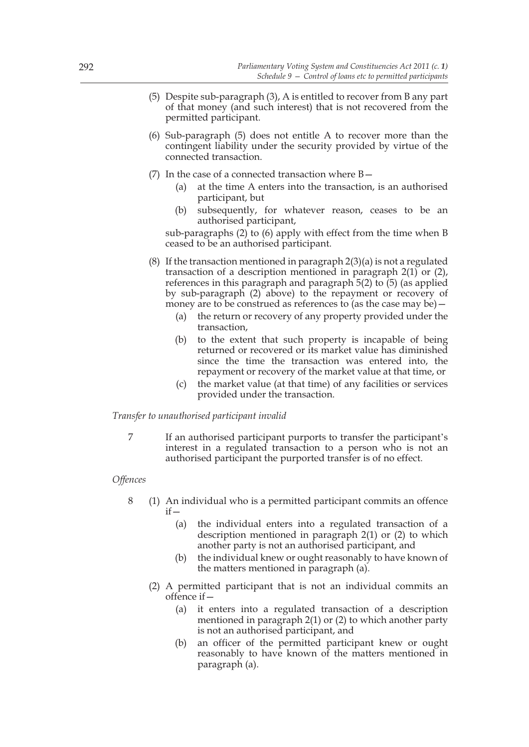- (5) Despite sub-paragraph (3), A is entitled to recover from B any part of that money (and such interest) that is not recovered from the permitted participant.
- (6) Sub-paragraph (5) does not entitle A to recover more than the contingent liability under the security provided by virtue of the connected transaction.
- (7) In the case of a connected transaction where B—
	- (a) at the time A enters into the transaction, is an authorised participant, but
	- (b) subsequently, for whatever reason, ceases to be an authorised participant,

sub-paragraphs (2) to (6) apply with effect from the time when B ceased to be an authorised participant.

- (8) If the transaction mentioned in paragraph  $2(3)(a)$  is not a regulated transaction of a description mentioned in paragraph 2(1) or (2), references in this paragraph and paragraph  $5(2)$  to  $\overline{(5)}$  (as applied by sub-paragraph (2) above) to the repayment or recovery of money are to be construed as references to (as the case may be)—
	- (a) the return or recovery of any property provided under the transaction,
	- (b) to the extent that such property is incapable of being returned or recovered or its market value has diminished since the time the transaction was entered into, the repayment or recovery of the market value at that time, or
	- (c) the market value (at that time) of any facilities or services provided under the transaction.

### *Transfer to unauthorised participant invalid*

7 If an authorised participant purports to transfer the participant's interest in a regulated transaction to a person who is not an authorised participant the purported transfer is of no effect.

### *Offences*

- 8 (1) An individual who is a permitted participant commits an offence  $if$ 
	- (a) the individual enters into a regulated transaction of a description mentioned in paragraph 2(1) or (2) to which another party is not an authorised participant, and
	- (b) the individual knew or ought reasonably to have known of the matters mentioned in paragraph (a).
	- (2) A permitted participant that is not an individual commits an offence if—
		- (a) it enters into a regulated transaction of a description mentioned in paragraph 2(1) or (2) to which another party is not an authorised participant, and
		- (b) an officer of the permitted participant knew or ought reasonably to have known of the matters mentioned in paragraph (a).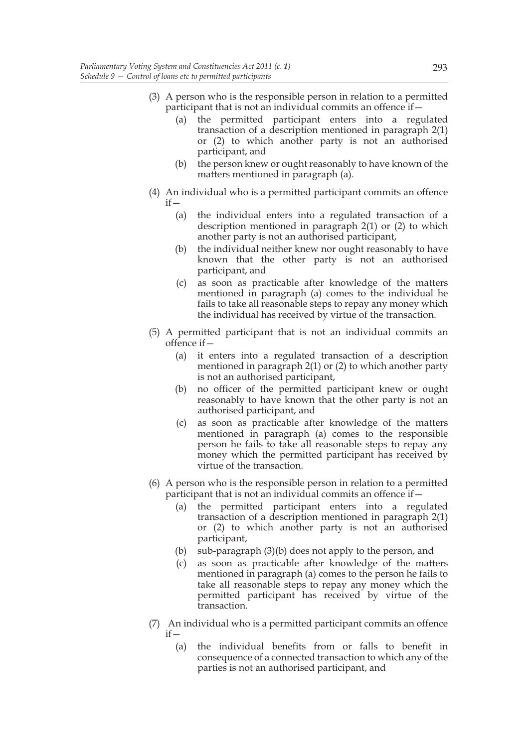- (3) A person who is the responsible person in relation to a permitted participant that is not an individual commits an offence if—
	- (a) the permitted participant enters into a regulated transaction of a description mentioned in paragraph 2(1) or (2) to which another party is not an authorised participant, and
	- (b) the person knew or ought reasonably to have known of the matters mentioned in paragraph (a).
- (4) An individual who is a permitted participant commits an offence  $if -$ 
	- (a) the individual enters into a regulated transaction of a description mentioned in paragraph 2(1) or (2) to which another party is not an authorised participant,
	- (b) the individual neither knew nor ought reasonably to have known that the other party is not an authorised participant, and
	- (c) as soon as practicable after knowledge of the matters mentioned in paragraph (a) comes to the individual he fails to take all reasonable steps to repay any money which the individual has received by virtue of the transaction.
- (5) A permitted participant that is not an individual commits an offence if—
	- (a) it enters into a regulated transaction of a description mentioned in paragraph 2(1) or (2) to which another party is not an authorised participant,
	- (b) no officer of the permitted participant knew or ought reasonably to have known that the other party is not an authorised participant, and
	- (c) as soon as practicable after knowledge of the matters mentioned in paragraph (a) comes to the responsible person he fails to take all reasonable steps to repay any money which the permitted participant has received by virtue of the transaction.
- (6) A person who is the responsible person in relation to a permitted participant that is not an individual commits an offence if—
	- (a) the permitted participant enters into a regulated transaction of a description mentioned in paragraph 2(1) or (2) to which another party is not an authorised participant,
	- (b) sub-paragraph (3)(b) does not apply to the person, and
	- (c) as soon as practicable after knowledge of the matters mentioned in paragraph (a) comes to the person he fails to take all reasonable steps to repay any money which the permitted participant has received by virtue of the transaction.
- (7) An individual who is a permitted participant commits an offence  $if -$ 
	- (a) the individual benefits from or falls to benefit in consequence of a connected transaction to which any of the parties is not an authorised participant, and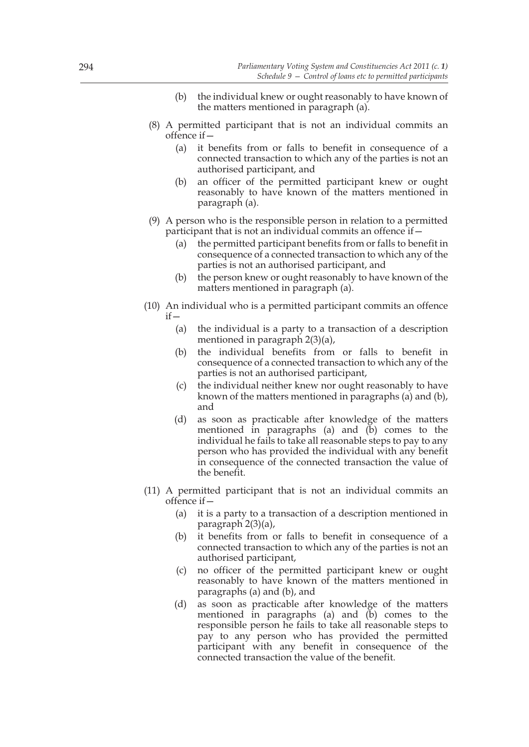- (b) the individual knew or ought reasonably to have known of the matters mentioned in paragraph (a).
- (8) A permitted participant that is not an individual commits an offence if—
	- (a) it benefits from or falls to benefit in consequence of a connected transaction to which any of the parties is not an authorised participant, and
	- (b) an officer of the permitted participant knew or ought reasonably to have known of the matters mentioned in paragraph (a).
- (9) A person who is the responsible person in relation to a permitted participant that is not an individual commits an offence if—
	- (a) the permitted participant benefits from or falls to benefit in consequence of a connected transaction to which any of the parties is not an authorised participant, and
	- (b) the person knew or ought reasonably to have known of the matters mentioned in paragraph (a).
- (10) An individual who is a permitted participant commits an offence  $if -$ 
	- (a) the individual is a party to a transaction of a description mentioned in paragraph 2(3)(a),
	- (b) the individual benefits from or falls to benefit in consequence of a connected transaction to which any of the parties is not an authorised participant,
	- (c) the individual neither knew nor ought reasonably to have known of the matters mentioned in paragraphs (a) and (b), and
	- (d) as soon as practicable after knowledge of the matters mentioned in paragraphs (a) and (b) comes to the individual he fails to take all reasonable steps to pay to any person who has provided the individual with any benefit in consequence of the connected transaction the value of the benefit.
- (11) A permitted participant that is not an individual commits an offence if—
	- (a) it is a party to a transaction of a description mentioned in paragraph 2(3)(a),
	- (b) it benefits from or falls to benefit in consequence of a connected transaction to which any of the parties is not an authorised participant,
	- (c) no officer of the permitted participant knew or ought reasonably to have known of the matters mentioned in paragraphs (a) and (b), and
	- (d) as soon as practicable after knowledge of the matters mentioned in paragraphs (a) and (b) comes to the responsible person he fails to take all reasonable steps to pay to any person who has provided the permitted participant with any benefit in consequence of the connected transaction the value of the benefit.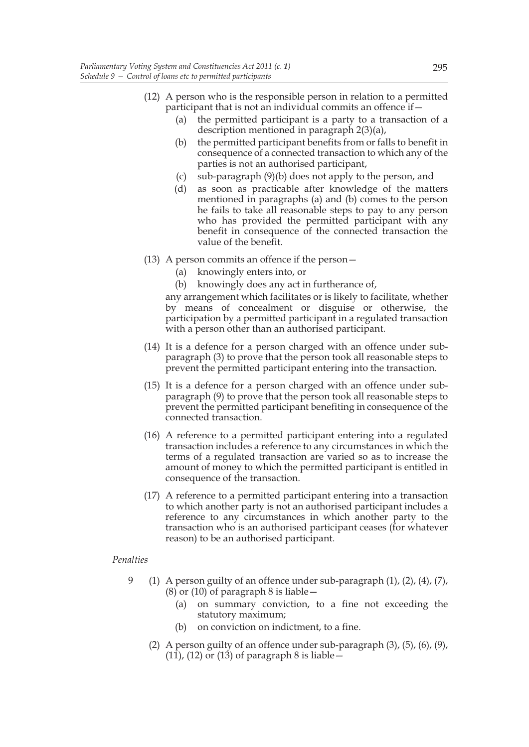- (12) A person who is the responsible person in relation to a permitted participant that is not an individual commits an offence if—
	- (a) the permitted participant is a party to a transaction of a description mentioned in paragraph 2(3)(a),
	- (b) the permitted participant benefits from or falls to benefit in consequence of a connected transaction to which any of the parties is not an authorised participant,
	- (c) sub-paragraph (9)(b) does not apply to the person, and
	- (d) as soon as practicable after knowledge of the matters mentioned in paragraphs (a) and (b) comes to the person he fails to take all reasonable steps to pay to any person who has provided the permitted participant with any benefit in consequence of the connected transaction the value of the benefit.
- (13) A person commits an offence if the person—
	- (a) knowingly enters into, or
	- (b) knowingly does any act in furtherance of,

any arrangement which facilitates or is likely to facilitate, whether by means of concealment or disguise or otherwise, the participation by a permitted participant in a regulated transaction with a person other than an authorised participant.

- (14) It is a defence for a person charged with an offence under subparagraph (3) to prove that the person took all reasonable steps to prevent the permitted participant entering into the transaction.
- (15) It is a defence for a person charged with an offence under subparagraph (9) to prove that the person took all reasonable steps to prevent the permitted participant benefiting in consequence of the connected transaction.
- (16) A reference to a permitted participant entering into a regulated transaction includes a reference to any circumstances in which the terms of a regulated transaction are varied so as to increase the amount of money to which the permitted participant is entitled in consequence of the transaction.
- (17) A reference to a permitted participant entering into a transaction to which another party is not an authorised participant includes a reference to any circumstances in which another party to the transaction who is an authorised participant ceases (for whatever reason) to be an authorised participant.

### *Penalties*

- 9 (1) A person guilty of an offence under sub-paragraph  $(1)$ ,  $(2)$ ,  $(4)$ ,  $(7)$ ,  $(8)$  or  $(10)$  of paragraph 8 is liable  $-$ 
	- (a) on summary conviction, to a fine not exceeding the statutory maximum;
	- (b) on conviction on indictment, to a fine.
	- (2) A person guilty of an offence under sub-paragraph (3), (5), (6), (9),  $(11)$ ,  $(12)$  or  $(13)$  of paragraph 8 is liable  $-$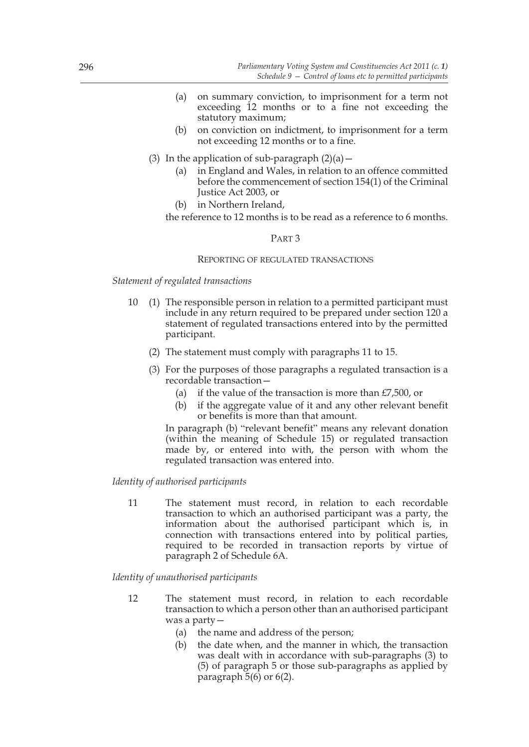- (a) on summary conviction, to imprisonment for a term not exceeding 12 months or to a fine not exceeding the statutory maximum;
- (b) on conviction on indictment, to imprisonment for a term not exceeding 12 months or to a fine.
- (3) In the application of sub-paragraph  $(2)(a)$ 
	- (a) in England and Wales, in relation to an offence committed before the commencement of section 154(1) of the Criminal Justice Act 2003, or
	- (b) in Northern Ireland,

the reference to 12 months is to be read as a reference to 6 months.

# PART 3

## REPORTING OF REGULATED TRANSACTIONS

## *Statement of regulated transactions*

- 10 (1) The responsible person in relation to a permitted participant must include in any return required to be prepared under section 120 a statement of regulated transactions entered into by the permitted participant.
	- (2) The statement must comply with paragraphs 11 to 15.
	- (3) For the purposes of those paragraphs a regulated transaction is a recordable transaction—
		- (a) if the value of the transaction is more than £7,500, or
		- (b) if the aggregate value of it and any other relevant benefit or benefits is more than that amount.

In paragraph (b) "relevant benefit" means any relevant donation (within the meaning of Schedule 15) or regulated transaction made by, or entered into with, the person with whom the regulated transaction was entered into.

# *Identity of authorised participants*

11 The statement must record, in relation to each recordable transaction to which an authorised participant was a party, the information about the authorised participant which is, in connection with transactions entered into by political parties, required to be recorded in transaction reports by virtue of paragraph 2 of Schedule 6A.

## *Identity of unauthorised participants*

- 12 The statement must record, in relation to each recordable transaction to which a person other than an authorised participant was a party—
	- (a) the name and address of the person;
	- (b) the date when, and the manner in which, the transaction was dealt with in accordance with sub-paragraphs (3) to (5) of paragraph 5 or those sub-paragraphs as applied by paragraph  $\overline{5(6)}$  or 6(2).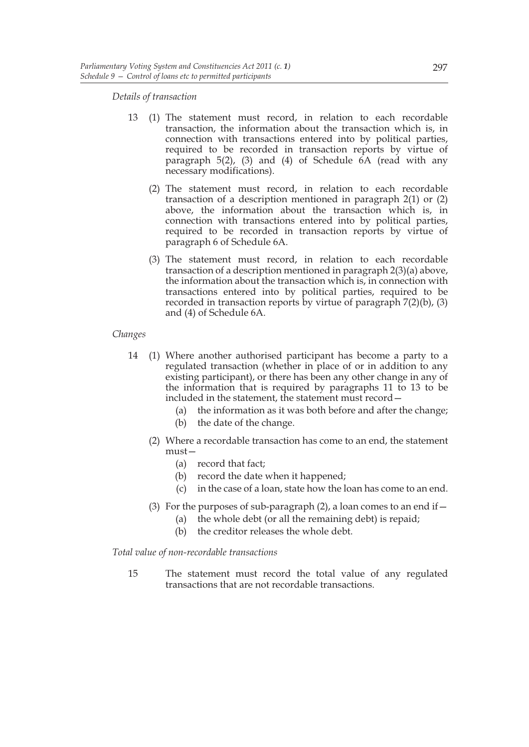*Details of transaction*

- 13 (1) The statement must record, in relation to each recordable transaction, the information about the transaction which is, in connection with transactions entered into by political parties, required to be recorded in transaction reports by virtue of paragraph  $5(2)$ , (3) and (4) of Schedule  $6A$  (read with any necessary modifications).
	- (2) The statement must record, in relation to each recordable transaction of a description mentioned in paragraph 2(1) or (2) above, the information about the transaction which is, in connection with transactions entered into by political parties, required to be recorded in transaction reports by virtue of paragraph 6 of Schedule 6A.
	- (3) The statement must record, in relation to each recordable transaction of a description mentioned in paragraph 2(3)(a) above, the information about the transaction which is, in connection with transactions entered into by political parties, required to be recorded in transaction reports by virtue of paragraph 7(2)(b), (3) and (4) of Schedule 6A.

### *Changes*

- 14 (1) Where another authorised participant has become a party to a regulated transaction (whether in place of or in addition to any existing participant), or there has been any other change in any of the information that is required by paragraphs 11 to 13 to be included in the statement, the statement must record—
	- (a) the information as it was both before and after the change;
	- (b) the date of the change.
	- (2) Where a recordable transaction has come to an end, the statement must—
		- (a) record that fact;
		- (b) record the date when it happened;
		- (c) in the case of a loan, state how the loan has come to an end.
	- (3) For the purposes of sub-paragraph (2), a loan comes to an end if  $-$ 
		- (a) the whole debt (or all the remaining debt) is repaid;
		- (b) the creditor releases the whole debt.

*Total value of non-recordable transactions*

15 The statement must record the total value of any regulated transactions that are not recordable transactions.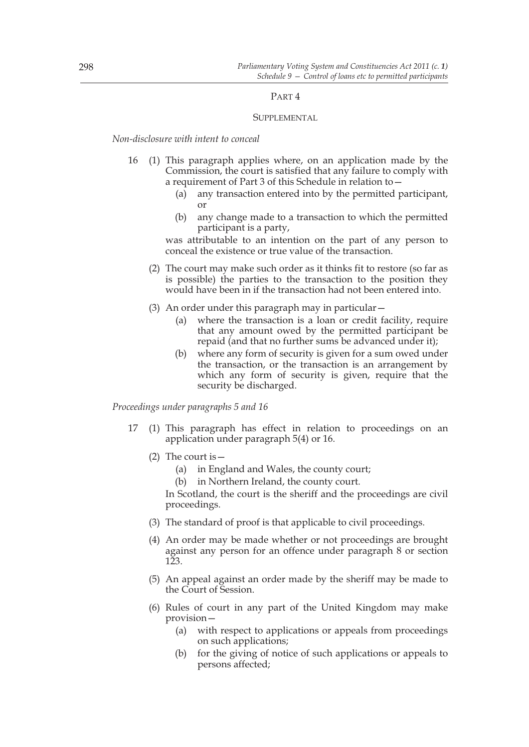### PART 4

### SUPPLEMENTAL

*Non-disclosure with intent to conceal*

- 16 (1) This paragraph applies where, on an application made by the Commission, the court is satisfied that any failure to comply with a requirement of Part 3 of this Schedule in relation to—
	- (a) any transaction entered into by the permitted participant, or
	- (b) any change made to a transaction to which the permitted participant is a party,

was attributable to an intention on the part of any person to conceal the existence or true value of the transaction.

- (2) The court may make such order as it thinks fit to restore (so far as is possible) the parties to the transaction to the position they would have been in if the transaction had not been entered into.
- (3) An order under this paragraph may in particular—
	- (a) where the transaction is a loan or credit facility, require that any amount owed by the permitted participant be repaid (and that no further sums be advanced under it);
	- (b) where any form of security is given for a sum owed under the transaction, or the transaction is an arrangement by which any form of security is given, require that the security be discharged.

*Proceedings under paragraphs 5 and 16*

- 17 (1) This paragraph has effect in relation to proceedings on an application under paragraph 5(4) or 16.
	- (2) The court is—
		- (a) in England and Wales, the county court;

(b) in Northern Ireland, the county court.

In Scotland, the court is the sheriff and the proceedings are civil proceedings.

- (3) The standard of proof is that applicable to civil proceedings.
- (4) An order may be made whether or not proceedings are brought against any person for an offence under paragraph 8 or section 123.
- (5) An appeal against an order made by the sheriff may be made to the Court of Session.
- (6) Rules of court in any part of the United Kingdom may make provision—
	- (a) with respect to applications or appeals from proceedings on such applications;
	- (b) for the giving of notice of such applications or appeals to persons affected;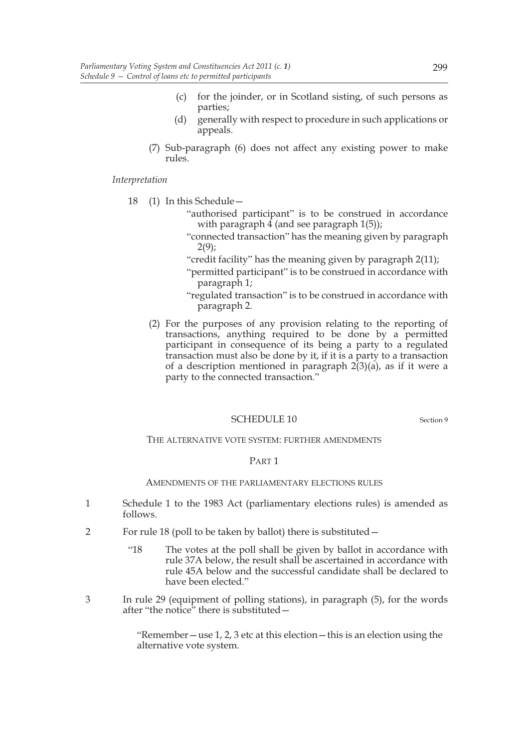- (c) for the joinder, or in Scotland sisting, of such persons as parties;
- (d) generally with respect to procedure in such applications or appeals.
- (7) Sub-paragraph (6) does not affect any existing power to make rules.

### *Interpretation*

- 18 (1) In this Schedule—
	- "authorised participant" is to be construed in accordance with paragraph  $\overline{4}$  (and see paragraph 1(5));
	- "connected transaction" has the meaning given by paragraph 2(9);
	- "credit facility" has the meaning given by paragraph 2(11);
	- "permitted participant" is to be construed in accordance with paragraph 1;
	- "regulated transaction" is to be construed in accordance with paragraph 2.
	- (2) For the purposes of any provision relating to the reporting of transactions, anything required to be done by a permitted participant in consequence of its being a party to a regulated transaction must also be done by it, if it is a party to a transaction of a description mentioned in paragraph  $2(3)(a)$ , as if it were a party to the connected transaction."

## SCHEDULE 10 Section 9

#### THE ALTERNATIVE VOTE SYSTEM: FURTHER AMENDMENTS

# PART 1

### AMENDMENTS OF THE PARLIAMENTARY ELECTIONS RULES

- 1 Schedule 1 to the 1983 Act (parliamentary elections rules) is amended as follows.
- 2 For rule 18 (poll to be taken by ballot) there is substituted—
	- "18 The votes at the poll shall be given by ballot in accordance with rule 37A below, the result shall be ascertained in accordance with rule 45A below and the successful candidate shall be declared to have been elected."
- 3 In rule 29 (equipment of polling stations), in paragraph (5), for the words after "the notice" there is substituted -

"Remember—use 1, 2, 3 etc at this election—this is an election using the alternative vote system.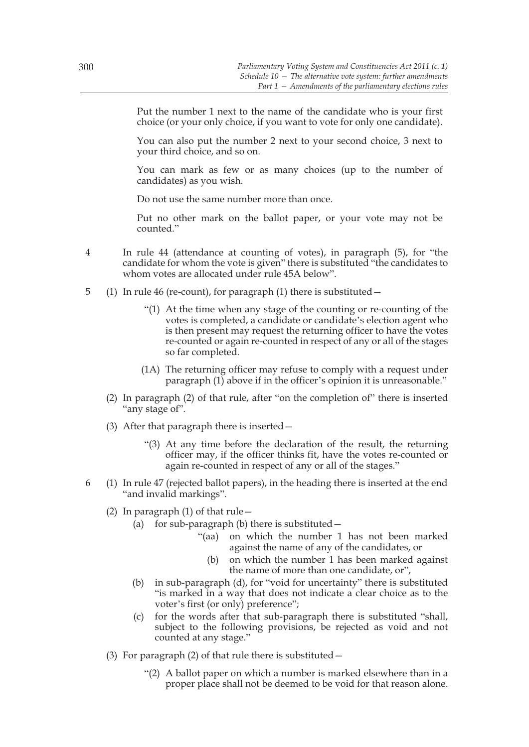Put the number 1 next to the name of the candidate who is your first choice (or your only choice, if you want to vote for only one candidate).

You can also put the number 2 next to your second choice, 3 next to your third choice, and so on.

You can mark as few or as many choices (up to the number of candidates) as you wish.

Do not use the same number more than once.

Put no other mark on the ballot paper, or your vote may not be counted."

- 4 In rule 44 (attendance at counting of votes), in paragraph (5), for "the candidate for whom the vote is given" there is substituted "the candidates to whom votes are allocated under rule 45A below".
- 5 (1) In rule 46 (re-count), for paragraph (1) there is substituted—
	- "(1) At the time when any stage of the counting or re-counting of the votes is completed, a candidate or candidate's election agent who is then present may request the returning officer to have the votes re-counted or again re-counted in respect of any or all of the stages so far completed.
	- (1A) The returning officer may refuse to comply with a request under paragraph (1) above if in the officer's opinion it is unreasonable."
	- (2) In paragraph (2) of that rule, after "on the completion of" there is inserted "any stage of".
	- (3) After that paragraph there is inserted—
		- "(3) At any time before the declaration of the result, the returning officer may, if the officer thinks fit, have the votes re-counted or again re-counted in respect of any or all of the stages."
- 6 (1) In rule 47 (rejected ballot papers), in the heading there is inserted at the end "and invalid markings".
	- (2) In paragraph (1) of that rule  $-$ 
		- (a) for sub-paragraph (b) there is substituted  $-$ 
			- "(aa) on which the number 1 has not been marked against the name of any of the candidates, or
				- (b) on which the number 1 has been marked against the name of more than one candidate, or",
		- (b) in sub-paragraph (d), for "void for uncertainty" there is substituted "is marked in a way that does not indicate a clear choice as to the voter's first (or only) preference";
		- (c) for the words after that sub-paragraph there is substituted "shall, subject to the following provisions, be rejected as void and not counted at any stage."
	- (3) For paragraph (2) of that rule there is substituted—
		- "(2) A ballot paper on which a number is marked elsewhere than in a proper place shall not be deemed to be void for that reason alone.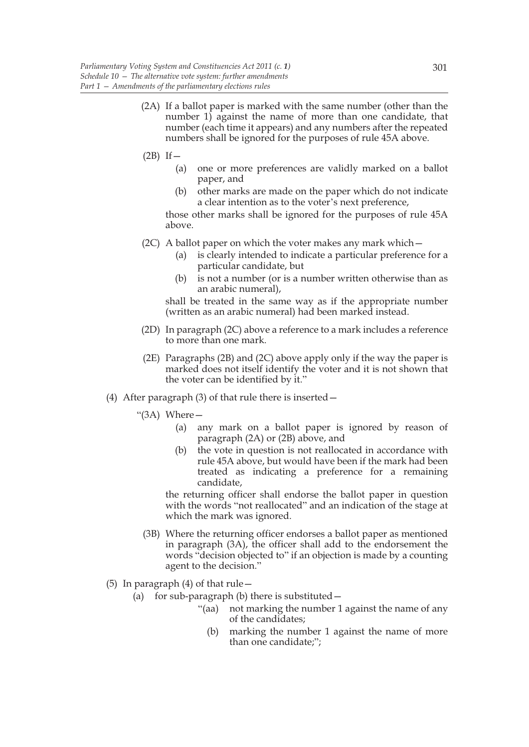- (2A) If a ballot paper is marked with the same number (other than the number 1) against the name of more than one candidate, that number (each time it appears) and any numbers after the repeated numbers shall be ignored for the purposes of rule 45A above.
- $(2B)$  If  $-$ 
	- (a) one or more preferences are validly marked on a ballot paper, and
	- (b) other marks are made on the paper which do not indicate a clear intention as to the voter's next preference,

those other marks shall be ignored for the purposes of rule 45A above.

- (2C) A ballot paper on which the voter makes any mark which—
	- (a) is clearly intended to indicate a particular preference for a particular candidate, but
	- (b) is not a number (or is a number written otherwise than as an arabic numeral),

shall be treated in the same way as if the appropriate number (written as an arabic numeral) had been marked instead.

- (2D) In paragraph (2C) above a reference to a mark includes a reference to more than one mark.
- (2E) Paragraphs (2B) and (2C) above apply only if the way the paper is marked does not itself identify the voter and it is not shown that the voter can be identified by it."
- (4) After paragraph (3) of that rule there is inserted—
	- "(3A) Where—
		- (a) any mark on a ballot paper is ignored by reason of paragraph (2A) or (2B) above, and
		- (b) the vote in question is not reallocated in accordance with rule 45A above, but would have been if the mark had been treated as indicating a preference for a remaining candidate,

the returning officer shall endorse the ballot paper in question with the words "not reallocated" and an indication of the stage at which the mark was ignored.

- (3B) Where the returning officer endorses a ballot paper as mentioned in paragraph (3A), the officer shall add to the endorsement the words "decision objected to" if an objection is made by a counting agent to the decision."
- (5) In paragraph  $(4)$  of that rule  $-$ 
	- (a) for sub-paragraph (b) there is substituted  $-$ 
		- "(aa) not marking the number 1 against the name of any of the candidates;
			- (b) marking the number 1 against the name of more than one candidate;";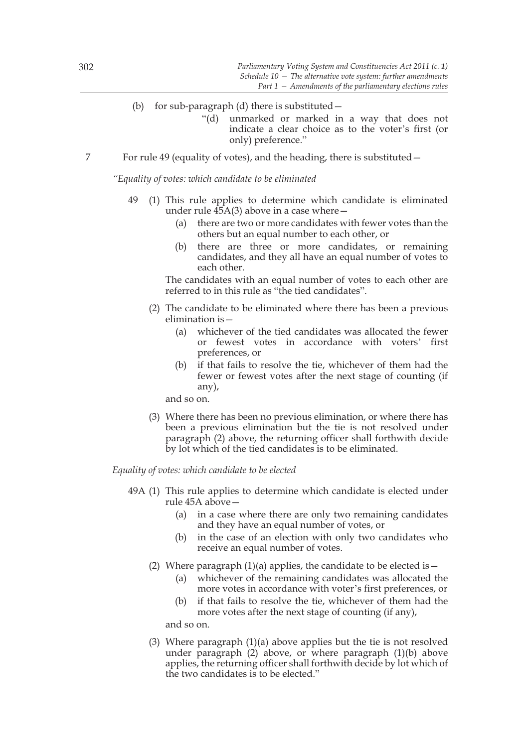- (b) for sub-paragraph (d) there is substituted  $-$ 
	- "(d) unmarked or marked in a way that does not indicate a clear choice as to the voter's first (or only) preference."
- 7 For rule 49 (equality of votes), and the heading, there is substituted—

*"Equality of votes: which candidate to be eliminated*

- 49 (1) This rule applies to determine which candidate is eliminated under rule 45A(3) above in a case where—
	- (a) there are two or more candidates with fewer votes than the others but an equal number to each other, or
	- (b) there are three or more candidates, or remaining candidates, and they all have an equal number of votes to each other.

The candidates with an equal number of votes to each other are referred to in this rule as "the tied candidates".

- (2) The candidate to be eliminated where there has been a previous elimination is—
	- (a) whichever of the tied candidates was allocated the fewer or fewest votes in accordance with voters' first preferences, or
	- (b) if that fails to resolve the tie, whichever of them had the fewer or fewest votes after the next stage of counting (if any),

and so on.

(3) Where there has been no previous elimination, or where there has been a previous elimination but the tie is not resolved under paragraph (2) above, the returning officer shall forthwith decide by lot which of the tied candidates is to be eliminated.

*Equality of votes: which candidate to be elected*

- 49A (1) This rule applies to determine which candidate is elected under rule 45A above—
	- (a) in a case where there are only two remaining candidates and they have an equal number of votes, or
	- (b) in the case of an election with only two candidates who receive an equal number of votes.
	- (2) Where paragraph  $(1)(a)$  applies, the candidate to be elected is -
		- (a) whichever of the remaining candidates was allocated the more votes in accordance with voter's first preferences, or
		- (b) if that fails to resolve the tie, whichever of them had the more votes after the next stage of counting (if any),

and so on.

(3) Where paragraph (1)(a) above applies but the tie is not resolved under paragraph (2) above, or where paragraph (1)(b) above applies, the returning officer shall forthwith decide by lot which of the two candidates is to be elected."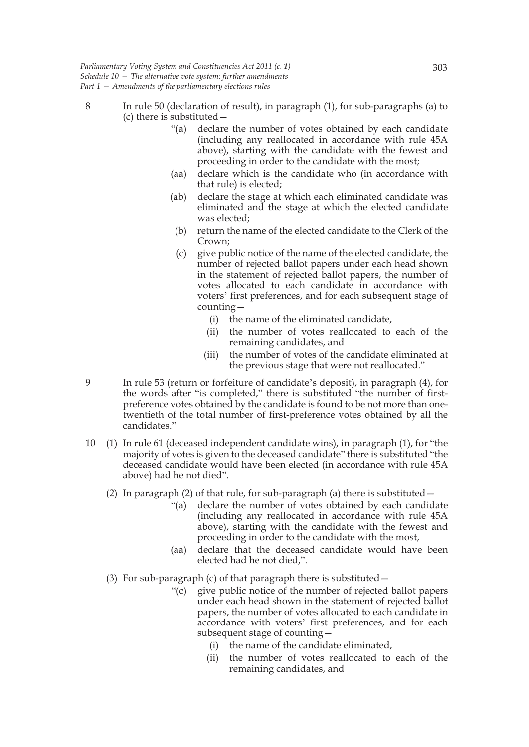- 8 In rule 50 (declaration of result), in paragraph (1), for sub-paragraphs (a) to (c) there is substituted—
	- "(a) declare the number of votes obtained by each candidate (including any reallocated in accordance with rule 45A above), starting with the candidate with the fewest and proceeding in order to the candidate with the most;
	- (aa) declare which is the candidate who (in accordance with that rule) is elected;
	- (ab) declare the stage at which each eliminated candidate was eliminated and the stage at which the elected candidate was elected;
	- (b) return the name of the elected candidate to the Clerk of the Crown;
	- (c) give public notice of the name of the elected candidate, the number of rejected ballot papers under each head shown in the statement of rejected ballot papers, the number of votes allocated to each candidate in accordance with voters' first preferences, and for each subsequent stage of counting—
		- (i) the name of the eliminated candidate,
		- (ii) the number of votes reallocated to each of the remaining candidates, and
		- (iii) the number of votes of the candidate eliminated at the previous stage that were not reallocated."
- 9 In rule 53 (return or forfeiture of candidate's deposit), in paragraph (4), for the words after "is completed," there is substituted "the number of firstpreference votes obtained by the candidate is found to be not more than onetwentieth of the total number of first-preference votes obtained by all the candidates."
- 10 (1) In rule 61 (deceased independent candidate wins), in paragraph (1), for "the majority of votes is given to the deceased candidate" there is substituted "the deceased candidate would have been elected (in accordance with rule 45A above) had he not died".
	- (2) In paragraph (2) of that rule, for sub-paragraph (a) there is substituted—
		- "(a) declare the number of votes obtained by each candidate (including any reallocated in accordance with rule 45A above), starting with the candidate with the fewest and proceeding in order to the candidate with the most,
		- (aa) declare that the deceased candidate would have been elected had he not died,".
	- (3) For sub-paragraph (c) of that paragraph there is substituted  $-$ 
		- "(c) give public notice of the number of rejected ballot papers under each head shown in the statement of rejected ballot papers, the number of votes allocated to each candidate in accordance with voters' first preferences, and for each subsequent stage of counting—
			- (i) the name of the candidate eliminated,
			- (ii) the number of votes reallocated to each of the remaining candidates, and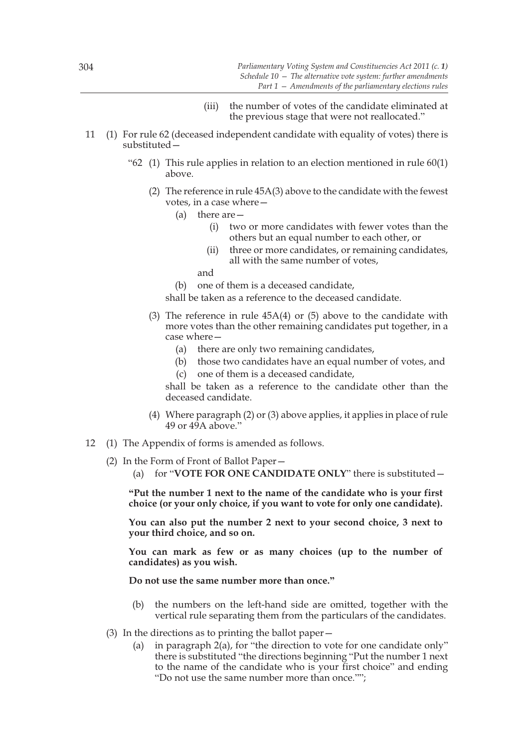- (iii) the number of votes of the candidate eliminated at the previous stage that were not reallocated."
- 11 (1) For rule 62 (deceased independent candidate with equality of votes) there is substituted—
	- "62 (1) This rule applies in relation to an election mentioned in rule  $60(1)$ above.
		- (2) The reference in rule 45A(3) above to the candidate with the fewest votes, in a case where—
			- (a) there are—
				- (i) two or more candidates with fewer votes than the others but an equal number to each other, or
				- (ii) three or more candidates, or remaining candidates, all with the same number of votes,

and

(b) one of them is a deceased candidate,

shall be taken as a reference to the deceased candidate.

- (3) The reference in rule 45A(4) or (5) above to the candidate with more votes than the other remaining candidates put together, in a case where—
	- (a) there are only two remaining candidates,
	- (b) those two candidates have an equal number of votes, and
	- (c) one of them is a deceased candidate,

shall be taken as a reference to the candidate other than the deceased candidate.

- (4) Where paragraph (2) or (3) above applies, it applies in place of rule 49 or 49A above."
- 12 (1) The Appendix of forms is amended as follows.
	- (2) In the Form of Front of Ballot Paper—
		- (a) for "**VOTE FOR ONE CANDIDATE ONLY**" there is substituted—

**"Put the number 1 next to the name of the candidate who is your first choice (or your only choice, if you want to vote for only one candidate).**

**You can also put the number 2 next to your second choice, 3 next to your third choice, and so on.**

**You can mark as few or as many choices (up to the number of candidates) as you wish.**

**Do not use the same number more than once."**

- (b) the numbers on the left-hand side are omitted, together with the vertical rule separating them from the particulars of the candidates.
- (3) In the directions as to printing the ballot paper—
	- (a) in paragraph 2(a), for "the direction to vote for one candidate only" there is substituted "the directions beginning "Put the number 1 next to the name of the candidate who is your first choice" and ending "Do not use the same number more than once."";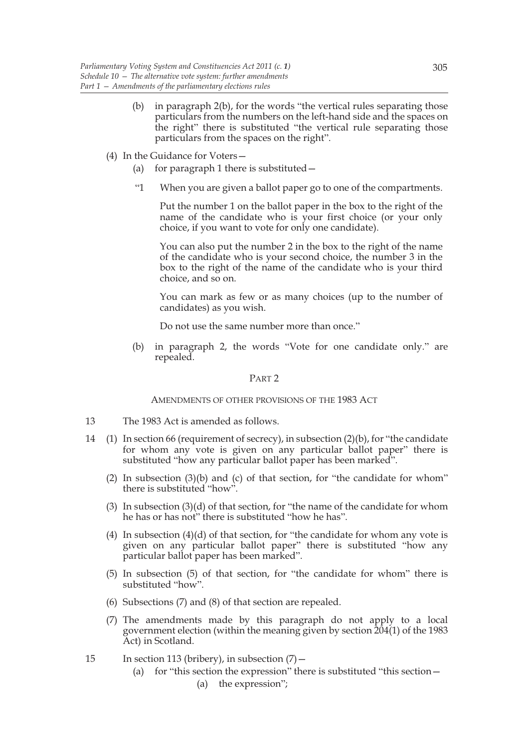- (b) in paragraph 2(b), for the words "the vertical rules separating those particulars from the numbers on the left-hand side and the spaces on the right" there is substituted "the vertical rule separating those particulars from the spaces on the right".
- (4) In the Guidance for Voters—
	- (a) for paragraph 1 there is substituted—
	- "1 When you are given a ballot paper go to one of the compartments.

Put the number 1 on the ballot paper in the box to the right of the name of the candidate who is your first choice (or your only choice, if you want to vote for only one candidate).

You can also put the number 2 in the box to the right of the name of the candidate who is your second choice, the number 3 in the box to the right of the name of the candidate who is your third choice, and so on.

You can mark as few or as many choices (up to the number of candidates) as you wish.

Do not use the same number more than once."

(b) in paragraph 2, the words "Vote for one candidate only." are repealed.

## PART 2

## AMENDMENTS OF OTHER PROVISIONS OF THE 1983 ACT

- 13 The 1983 Act is amended as follows.
- 14 (1) In section 66 (requirement of secrecy), in subsection (2)(b), for "the candidate for whom any vote is given on any particular ballot paper" there is substituted "how any particular ballot paper has been marked".
	- (2) In subsection (3)(b) and (c) of that section, for "the candidate for whom" there is substituted "how".
	- (3) In subsection (3)(d) of that section, for "the name of the candidate for whom he has or has not" there is substituted "how he has".
	- (4) In subsection (4)(d) of that section, for "the candidate for whom any vote is given on any particular ballot paper" there is substituted "how any particular ballot paper has been marked".
	- (5) In subsection (5) of that section, for "the candidate for whom" there is substituted "how".
	- (6) Subsections (7) and (8) of that section are repealed.
	- (7) The amendments made by this paragraph do not apply to a local government election (within the meaning given by section 204(1) of the 1983 Act) in Scotland.
- 15 In section 113 (bribery), in subsection  $(7)$  -
	- (a) for "this section the expression" there is substituted "this section—
		- (a) the expression";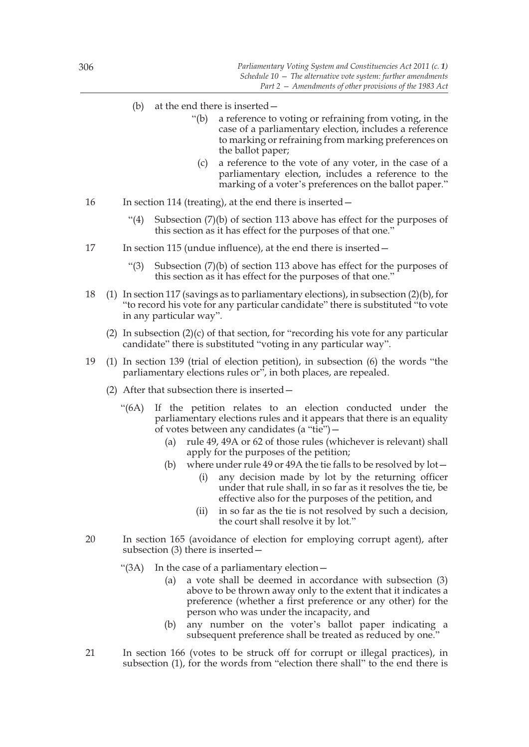- (b) at the end there is inserted—
	- "(b) a reference to voting or refraining from voting, in the case of a parliamentary election, includes a reference to marking or refraining from marking preferences on the ballot paper;
		- (c) a reference to the vote of any voter, in the case of a parliamentary election, includes a reference to the marking of a voter's preferences on the ballot paper."
- 16 In section 114 (treating), at the end there is inserted
	- "(4) Subsection (7)(b) of section 113 above has effect for the purposes of this section as it has effect for the purposes of that one."
- 17 In section 115 (undue influence), at the end there is inserted -
	- "(3) Subsection (7)(b) of section 113 above has effect for the purposes of this section as it has effect for the purposes of that one."
- 18 (1) In section 117 (savings as to parliamentary elections), in subsection (2)(b), for "to record his vote for any particular candidate" there is substituted "to vote in any particular way".
	- (2) In subsection (2)(c) of that section, for "recording his vote for any particular candidate" there is substituted "voting in any particular way".
- 19 (1) In section 139 (trial of election petition), in subsection (6) the words "the parliamentary elections rules or", in both places, are repealed.
	- (2) After that subsection there is inserted—
		- "(6A) If the petition relates to an election conducted under the parliamentary elections rules and it appears that there is an equality of votes between any candidates (a "tie")—
			- (a) rule 49, 49A or 62 of those rules (whichever is relevant) shall apply for the purposes of the petition;
			- (b) where under rule 49 or 49A the tie falls to be resolved by lot—
				- (i) any decision made by lot by the returning officer under that rule shall, in so far as it resolves the tie, be effective also for the purposes of the petition, and
				- (ii) in so far as the tie is not resolved by such a decision, the court shall resolve it by lot."
- 20 In section 165 (avoidance of election for employing corrupt agent), after subsection (3) there is inserted—
	- "(3A) In the case of a parliamentary election—
		- (a) a vote shall be deemed in accordance with subsection (3) above to be thrown away only to the extent that it indicates a preference (whether a first preference or any other) for the person who was under the incapacity, and
		- (b) any number on the voter's ballot paper indicating a subsequent preference shall be treated as reduced by one."
- 21 In section 166 (votes to be struck off for corrupt or illegal practices), in subsection (1), for the words from "election there shall" to the end there is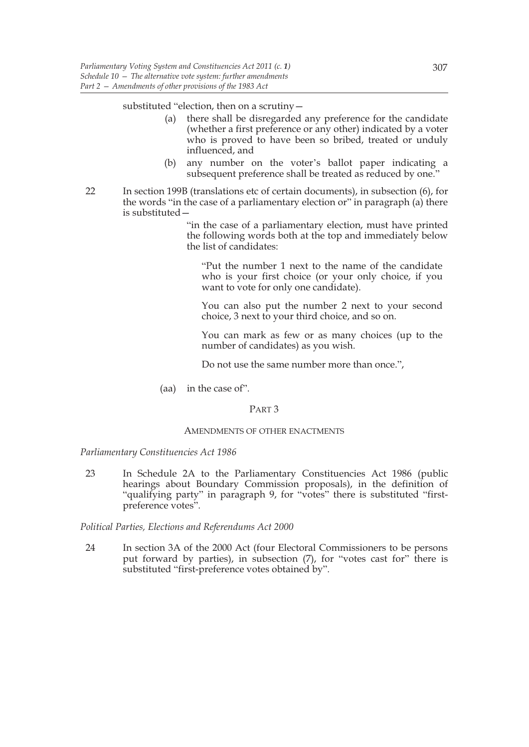substituted "election, then on a scrutiny—

- (a) there shall be disregarded any preference for the candidate (whether a first preference or any other) indicated by a voter who is proved to have been so bribed, treated or unduly influenced, and
- (b) any number on the voter's ballot paper indicating a subsequent preference shall be treated as reduced by one."
- 22 In section 199B (translations etc of certain documents), in subsection (6), for the words "in the case of a parliamentary election or" in paragraph (a) there is substituted—

 "in the case of a parliamentary election, must have printed the following words both at the top and immediately below the list of candidates:

"Put the number 1 next to the name of the candidate who is your first choice (or your only choice, if you want to vote for only one candidate).

You can also put the number 2 next to your second choice, 3 next to your third choice, and so on.

You can mark as few or as many choices (up to the number of candidates) as you wish.

Do not use the same number more than once.",

(aa) in the case of".

### PART 3

### AMENDMENTS OF OTHER ENACTMENTS

### *Parliamentary Constituencies Act 1986*

23 In Schedule 2A to the Parliamentary Constituencies Act 1986 (public hearings about Boundary Commission proposals), in the definition of "qualifying party" in paragraph 9, for "votes" there is substituted "firstpreference votes".

### *Political Parties, Elections and Referendums Act 2000*

24 In section 3A of the 2000 Act (four Electoral Commissioners to be persons put forward by parties), in subsection (7), for "votes cast for" there is substituted "first-preference votes obtained by".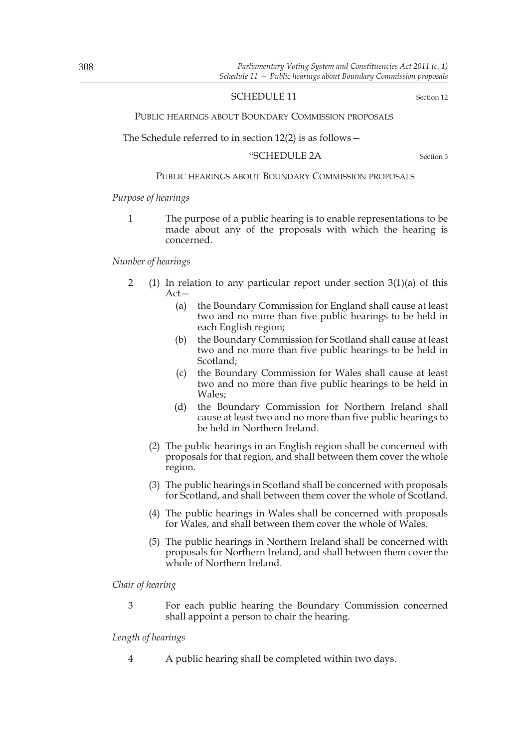## SCHEDULE 11 Section 12

### PUBLIC HEARINGS ABOUT BOUNDARY COMMISSION PROPOSALS

The Schedule referred to in section 12(2) is as follows—

## "SCHEDULE 2A Section 5

## PUBLIC HEARINGS ABOUT BOUNDARY COMMISSION PROPOSALS

## *Purpose of hearings*

1 The purpose of a public hearing is to enable representations to be made about any of the proposals with which the hearing is concerned.

## *Number of hearings*

- 2 (1) In relation to any particular report under section 3(1)(a) of this Act—
	- (a) the Boundary Commission for England shall cause at least two and no more than five public hearings to be held in each English region;
	- (b) the Boundary Commission for Scotland shall cause at least two and no more than five public hearings to be held in Scotland;
	- (c) the Boundary Commission for Wales shall cause at least two and no more than five public hearings to be held in Wales;
	- (d) the Boundary Commission for Northern Ireland shall cause at least two and no more than five public hearings to be held in Northern Ireland.
	- (2) The public hearings in an English region shall be concerned with proposals for that region, and shall between them cover the whole region.
	- (3) The public hearings in Scotland shall be concerned with proposals for Scotland, and shall between them cover the whole of Scotland.
	- (4) The public hearings in Wales shall be concerned with proposals for Wales, and shall between them cover the whole of Wales.
	- (5) The public hearings in Northern Ireland shall be concerned with proposals for Northern Ireland, and shall between them cover the whole of Northern Ireland.

## *Chair of hearing*

3 For each public hearing the Boundary Commission concerned shall appoint a person to chair the hearing.

## *Length of hearings*

4 A public hearing shall be completed within two days.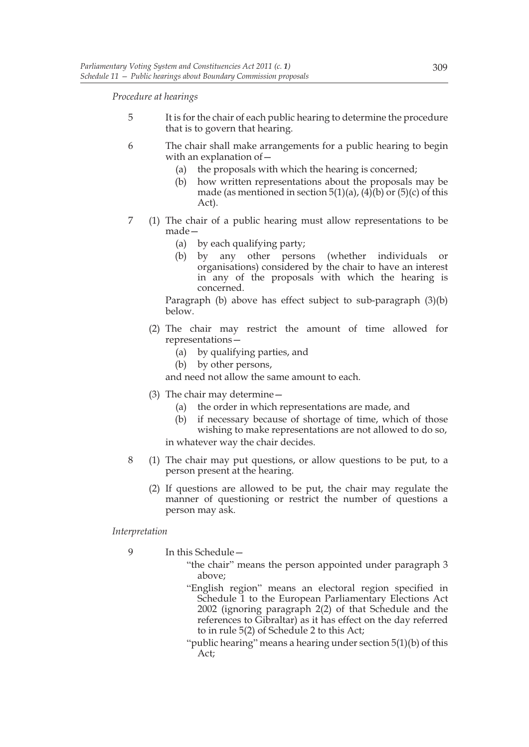*Procedure at hearings*

- 5 It is for the chair of each public hearing to determine the procedure that is to govern that hearing.
- 6 The chair shall make arrangements for a public hearing to begin with an explanation of—
	- (a) the proposals with which the hearing is concerned;
	- (b) how written representations about the proposals may be made (as mentioned in section 5(1)(a),  $(4)(b)$  or (5)(c) of this Act).
- 7 (1) The chair of a public hearing must allow representations to be made—
	- (a) by each qualifying party;
	- (b) by any other persons (whether individuals or organisations) considered by the chair to have an interest in any of the proposals with which the hearing is concerned.

Paragraph (b) above has effect subject to sub-paragraph (3)(b) below.

- (2) The chair may restrict the amount of time allowed for representations—
	- (a) by qualifying parties, and
	- (b) by other persons,

and need not allow the same amount to each.

- (3) The chair may determine—
	- (a) the order in which representations are made, and
	- (b) if necessary because of shortage of time, which of those wishing to make representations are not allowed to do so,

in whatever way the chair decides.

- 8 (1) The chair may put questions, or allow questions to be put, to a person present at the hearing.
	- (2) If questions are allowed to be put, the chair may regulate the manner of questioning or restrict the number of questions a person may ask.

*Interpretation*

- 9 In this Schedule—
	- "the chair" means the person appointed under paragraph 3 above;
	- "English region" means an electoral region specified in Schedule 1 to the European Parliamentary Elections Act 2002 (ignoring paragraph 2(2) of that Schedule and the references to Gibraltar) as it has effect on the day referred to in rule 5(2) of Schedule 2 to this Act;
	- "public hearing" means a hearing under section 5(1)(b) of this Act;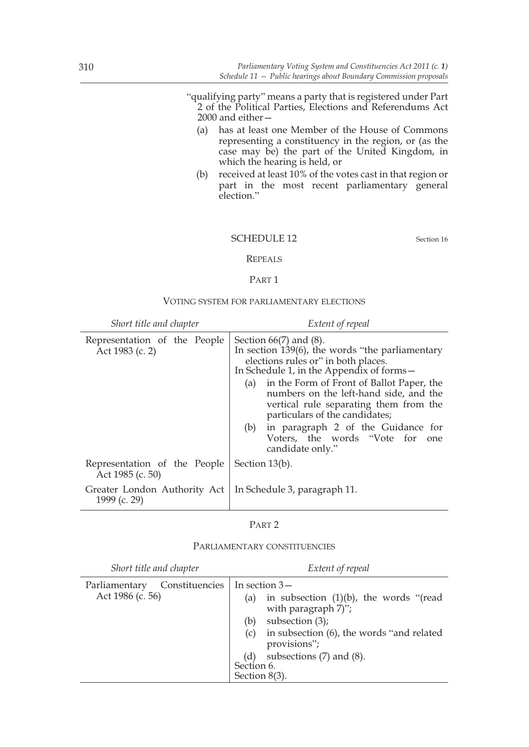"qualifying party" means a party that is registered under Part 2 of the Political Parties, Elections and Referendums Act 2000 and either—

- (a) has at least one Member of the House of Commons representing a constituency in the region, or (as the case may be) the part of the United Kingdom, in which the hearing is held, or
- (b) received at least 10% of the votes cast in that region or part in the most recent parliamentary general election."

# SCHEDULE 12 Section 16

### REPEALS

### PART 1

#### VOTING SYSTEM FOR PARLIAMENTARY ELECTIONS

| Short title and chapter                          | Extent of repeal                                                                                                                                                                                                                                                                                                                                 |  |
|--------------------------------------------------|--------------------------------------------------------------------------------------------------------------------------------------------------------------------------------------------------------------------------------------------------------------------------------------------------------------------------------------------------|--|
| Representation of the People<br>Act 1983 (c. 2)  | Section $66(7)$ and $(8)$ .<br>In section $139(6)$ , the words "the parliamentary"<br>elections rules or" in both places.<br>In Schedule 1, in the Appendix of forms -<br>in the Form of Front of Ballot Paper, the<br>(a)<br>numbers on the left-hand side, and the<br>vertical rule separating them from the<br>particulars of the candidates; |  |
|                                                  | (b) in paragraph 2 of the Guidance for<br>Voters, the words "Vote for<br>one<br>candidate only."                                                                                                                                                                                                                                                 |  |
| Representation of the People<br>Act 1985 (c. 50) | Section 13(b).                                                                                                                                                                                                                                                                                                                                   |  |
| Greater London Authority Act<br>1999 (c. 29)     | In Schedule 3, paragraph 11.                                                                                                                                                                                                                                                                                                                     |  |

# PART 2

| Short title and chapter           |                |                                                                               | Extent of repeal                                                                                                                                                                     |
|-----------------------------------|----------------|-------------------------------------------------------------------------------|--------------------------------------------------------------------------------------------------------------------------------------------------------------------------------------|
| Parliamentary<br>Act 1986 (c. 56) | Constituencies | In section $3-$<br>(a)<br>(b)<br>(c)<br>(d)<br>Section 6.<br>Section $8(3)$ . | in subsection $(1)(b)$ , the words "(read<br>with paragraph 7)";<br>subsection $(3)$ ;<br>in subsection (6), the words "and related<br>provisions";<br>subsections $(7)$ and $(8)$ . |

### PARLIAMENTARY CONSTITUENCIES